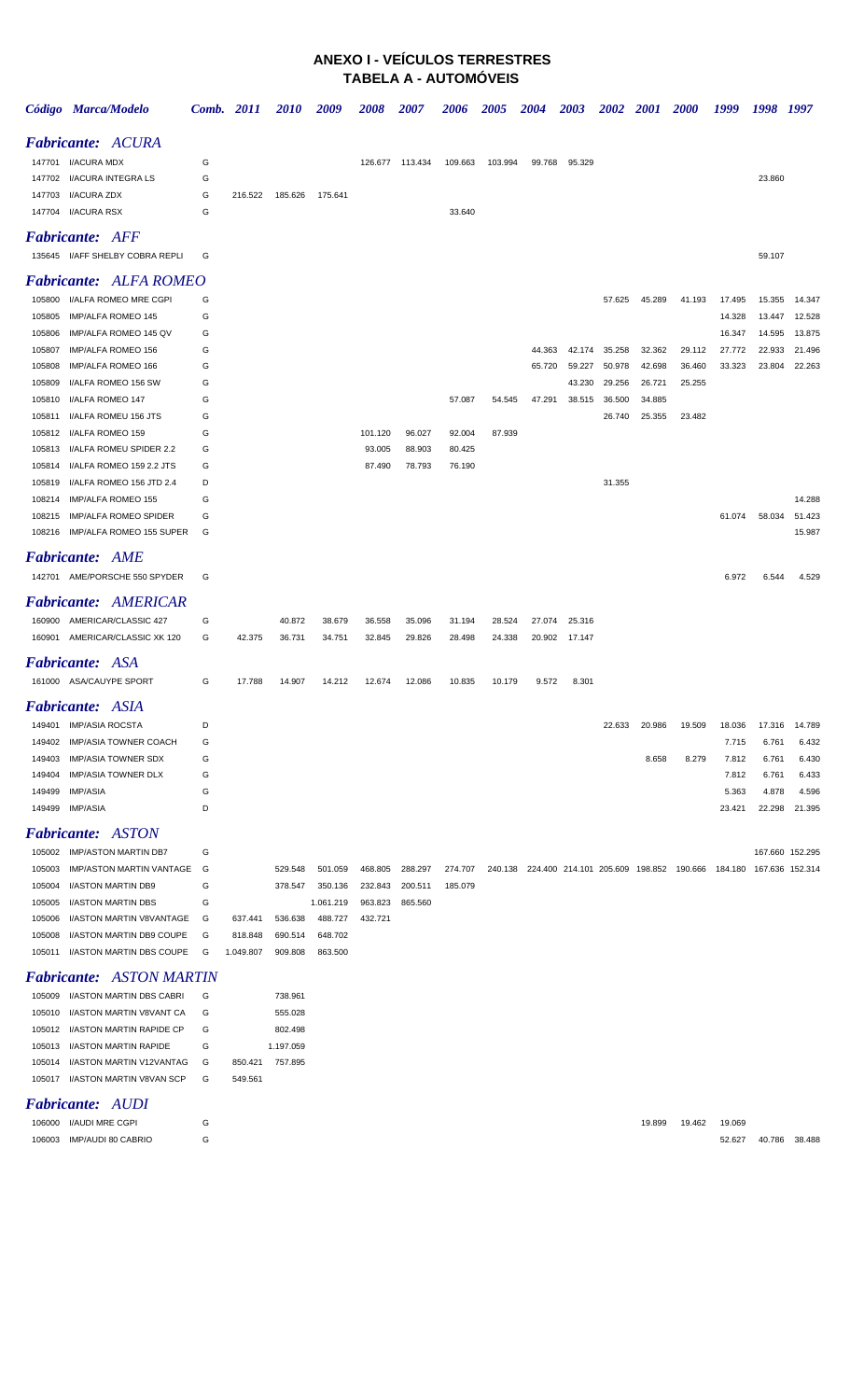## **ANEXO I - VEÍCULOS TERRESTRES TABELA A - AUTOMÓVEIS**

|                  | Código Marca/Modelo                                 |        | Comb. 2011 | <i><b>2010</b></i>   | 2009               | <i><b>2008</b></i> | <i><b>2007</b></i> | 2006    | <i><b>2005</b></i> | 2004                                                    | 2003             | <i><b>2002</b></i> | <i>2001</i>      | <i><b>2000</b></i> | 1999           | 1998            | 1997            |
|------------------|-----------------------------------------------------|--------|------------|----------------------|--------------------|--------------------|--------------------|---------|--------------------|---------------------------------------------------------|------------------|--------------------|------------------|--------------------|----------------|-----------------|-----------------|
|                  | <b>Fabricante: ACURA</b>                            |        |            |                      |                    |                    |                    |         |                    |                                                         |                  |                    |                  |                    |                |                 |                 |
|                  | 147701 I/ACURA MDX                                  | G      |            |                      |                    |                    | 126.677 113.434    | 109.663 | 103.994            | 99.768                                                  | 95.329           |                    |                  |                    |                |                 |                 |
|                  | 147702 I/ACURA INTEGRA LS                           | G      |            |                      |                    |                    |                    |         |                    |                                                         |                  |                    |                  |                    |                | 23.860          |                 |
|                  | 147703 I/ACURA ZDX                                  | G      | 216.522    | 185.626              | 175.641            |                    |                    |         |                    |                                                         |                  |                    |                  |                    |                |                 |                 |
|                  | 147704 I/ACURA RSX                                  | G      |            |                      |                    |                    |                    | 33.640  |                    |                                                         |                  |                    |                  |                    |                |                 |                 |
|                  | <b>Fabricante: AFF</b>                              |        |            |                      |                    |                    |                    |         |                    |                                                         |                  |                    |                  |                    |                |                 |                 |
|                  | 135645 I/AFF SHELBY COBRA REPLI                     | G      |            |                      |                    |                    |                    |         |                    |                                                         |                  |                    |                  |                    |                | 59.107          |                 |
|                  |                                                     |        |            |                      |                    |                    |                    |         |                    |                                                         |                  |                    |                  |                    |                |                 |                 |
|                  | <b>Fabricante:</b> ALFA ROMEO                       |        |            |                      |                    |                    |                    |         |                    |                                                         |                  |                    |                  |                    |                |                 |                 |
| 105800           | I/ALFA ROMEO MRE CGPI                               | G      |            |                      |                    |                    |                    |         |                    |                                                         |                  | 57.625             | 45.289           | 41.193             | 17.495         | 15.355          | 14.347          |
| 105805           | IMP/ALFA ROMEO 145                                  | G      |            |                      |                    |                    |                    |         |                    |                                                         |                  |                    |                  |                    | 14.328         | 13.447          | 12.528          |
| 105806           | IMP/ALFA ROMEO 145 QV                               | G      |            |                      |                    |                    |                    |         |                    |                                                         |                  |                    |                  |                    | 16.347         | 14.595          | 13.875          |
| 105807           | IMP/ALFA ROMEO 156                                  | G      |            |                      |                    |                    |                    |         |                    | 44.363                                                  | 42.174           | 35.258             | 32.362           | 29.112             | 27.772         | 22.933          | 21.496          |
| 105808<br>105809 | IMP/ALFA ROMEO 166<br>I/ALFA ROMEO 156 SW           | G<br>G |            |                      |                    |                    |                    |         |                    | 65.720                                                  | 59.227<br>43.230 | 50.978<br>29.256   | 42.698<br>26.721 | 36.460<br>25.255   | 33.323         | 23.804          | 22.263          |
| 105810           | I/ALFA ROMEO 147                                    | G      |            |                      |                    |                    |                    | 57.087  | 54.545             | 47.291                                                  | 38.515           | 36.500             | 34.885           |                    |                |                 |                 |
| 105811           | I/ALFA ROMEU 156 JTS                                | G      |            |                      |                    |                    |                    |         |                    |                                                         |                  | 26.740             | 25.355           | 23.482             |                |                 |                 |
| 105812           | I/ALFA ROMEO 159                                    | G      |            |                      |                    | 101.120            | 96.027             | 92.004  | 87.939             |                                                         |                  |                    |                  |                    |                |                 |                 |
| 105813           | I/ALFA ROMEU SPIDER 2.2                             | G      |            |                      |                    | 93.005             | 88.903             | 80.425  |                    |                                                         |                  |                    |                  |                    |                |                 |                 |
| 105814           | I/ALFA ROMEO 159 2.2 JTS                            | G      |            |                      |                    | 87.490             | 78.793             | 76.190  |                    |                                                         |                  |                    |                  |                    |                |                 |                 |
| 105819           | I/ALFA ROMEO 156 JTD 2.4                            | D      |            |                      |                    |                    |                    |         |                    |                                                         |                  | 31.355             |                  |                    |                |                 |                 |
| 108214           | <b>IMP/ALFA ROMEO 155</b>                           | G      |            |                      |                    |                    |                    |         |                    |                                                         |                  |                    |                  |                    |                |                 | 14.288          |
| 108215           | <b>IMP/ALFA ROMEO SPIDER</b>                        | G      |            |                      |                    |                    |                    |         |                    |                                                         |                  |                    |                  |                    | 61.074         | 58.034          | 51.423          |
| 108216           | IMP/ALFA ROMEO 155 SUPER                            | G      |            |                      |                    |                    |                    |         |                    |                                                         |                  |                    |                  |                    |                |                 | 15.987          |
|                  | <b>Fabricante: AME</b>                              |        |            |                      |                    |                    |                    |         |                    |                                                         |                  |                    |                  |                    |                |                 |                 |
|                  | 142701 AME/PORSCHE 550 SPYDER                       | G      |            |                      |                    |                    |                    |         |                    |                                                         |                  |                    |                  |                    | 6.972          | 6.544           | 4.529           |
|                  |                                                     |        |            |                      |                    |                    |                    |         |                    |                                                         |                  |                    |                  |                    |                |                 |                 |
|                  | <b>Fabricante: AMERICAR</b>                         |        |            |                      |                    |                    |                    |         |                    |                                                         |                  |                    |                  |                    |                |                 |                 |
|                  | 160900 AMERICAR/CLASSIC 427                         | G      |            | 40.872               | 38.679             | 36.558             | 35.096             | 31.194  | 28.524             | 27.074                                                  | 25.316           |                    |                  |                    |                |                 |                 |
|                  | 160901 AMERICAR/CLASSIC XK 120                      | G      | 42.375     | 36.731               | 34.751             | 32.845             | 29.826             | 28.498  | 24.338             | 20.902                                                  | 17.147           |                    |                  |                    |                |                 |                 |
|                  | <b>Fabricante: ASA</b>                              |        |            |                      |                    |                    |                    |         |                    |                                                         |                  |                    |                  |                    |                |                 |                 |
|                  | 161000 ASA/CAUYPE SPORT                             | G      | 17.788     | 14.907               | 14.212             | 12.674             | 12.086             | 10.835  | 10.179             | 9.572                                                   | 8.301            |                    |                  |                    |                |                 |                 |
|                  |                                                     |        |            |                      |                    |                    |                    |         |                    |                                                         |                  |                    |                  |                    |                |                 |                 |
|                  | <b>Fabricante: ASIA</b>                             |        |            |                      |                    |                    |                    |         |                    |                                                         |                  |                    |                  |                    |                |                 |                 |
| 149401           | <b>IMP/ASIA ROCSTA</b>                              | D      |            |                      |                    |                    |                    |         |                    |                                                         |                  | 22.633             | 20.986           | 19.509             | 18.036         | 17.316          | 14.789          |
| 149402<br>149403 | IMP/ASIA TOWNER COACH<br><b>IMP/ASIA TOWNER SDX</b> | G<br>G |            |                      |                    |                    |                    |         |                    |                                                         |                  |                    | 8.658            | 8.279              | 7.715<br>7.812 | 6.761<br>6.761  | 6.432<br>6.430  |
| 149404           | <b>IMP/ASIA TOWNER DLX</b>                          | G      |            |                      |                    |                    |                    |         |                    |                                                         |                  |                    |                  |                    | 7.812          | 6.761           | 6.433           |
| 149499           | <b>IMP/ASIA</b>                                     | G      |            |                      |                    |                    |                    |         |                    |                                                         |                  |                    |                  |                    | 5.363          | 4.878           | 4.596           |
|                  | 149499 IMP/ASIA                                     | D      |            |                      |                    |                    |                    |         |                    |                                                         |                  |                    |                  |                    | 23.421         | 22.298          | 21.395          |
|                  |                                                     |        |            |                      |                    |                    |                    |         |                    |                                                         |                  |                    |                  |                    |                |                 |                 |
|                  | <b>Fabricante: ASTON</b>                            |        |            |                      |                    |                    |                    |         |                    |                                                         |                  |                    |                  |                    |                |                 |                 |
|                  | 105002 IMP/ASTON MARTIN DB7                         | G      |            |                      |                    |                    |                    |         |                    |                                                         |                  |                    |                  |                    |                |                 | 167.660 152.295 |
| 105003           | IMP/ASTON MARTIN VANTAGE                            | G<br>G |            | 529.548              | 501.059<br>350.136 | 468.805            | 288.297            | 274.707 |                    | 240.138 224.400 214.101 205.609 198.852 190.666 184.180 |                  |                    |                  |                    |                | 167.636 152.314 |                 |
| 105004<br>105005 | I/ASTON MARTIN DB9<br>I/ASTON MARTIN DBS            | G      |            | 378.547              | 1.061.219          | 232.843<br>963.823 | 200.511<br>865.560 | 185.079 |                    |                                                         |                  |                    |                  |                    |                |                 |                 |
| 105006           | I/ASTON MARTIN V8VANTAGE                            | G      | 637.441    | 536.638              | 488.727            | 432.721            |                    |         |                    |                                                         |                  |                    |                  |                    |                |                 |                 |
| 105008           | I/ASTON MARTIN DB9 COUPE                            | G      | 818.848    | 690.514              | 648.702            |                    |                    |         |                    |                                                         |                  |                    |                  |                    |                |                 |                 |
|                  | 105011 I/ASTON MARTIN DBS COUPE                     | G      | 1.049.807  | 909.808              | 863.500            |                    |                    |         |                    |                                                         |                  |                    |                  |                    |                |                 |                 |
|                  |                                                     |        |            |                      |                    |                    |                    |         |                    |                                                         |                  |                    |                  |                    |                |                 |                 |
|                  | <b>Fabricante: ASTON MARTIN</b>                     |        |            |                      |                    |                    |                    |         |                    |                                                         |                  |                    |                  |                    |                |                 |                 |
|                  | 105009 I/ASTON MARTIN DBS CABRI                     | G      |            | 738.961              |                    |                    |                    |         |                    |                                                         |                  |                    |                  |                    |                |                 |                 |
| 105010           | I/ASTON MARTIN V8VANT CA                            | G      |            | 555.028              |                    |                    |                    |         |                    |                                                         |                  |                    |                  |                    |                |                 |                 |
| 105012<br>105013 | I/ASTON MARTIN RAPIDE CP<br>I/ASTON MARTIN RAPIDE   | G<br>G |            | 802.498<br>1.197.059 |                    |                    |                    |         |                    |                                                         |                  |                    |                  |                    |                |                 |                 |
| 105014           | I/ASTON MARTIN V12VANTAG                            | G      | 850.421    | 757.895              |                    |                    |                    |         |                    |                                                         |                  |                    |                  |                    |                |                 |                 |
|                  | 105017 I/ASTON MARTIN V8VAN SCP                     | G      | 549.561    |                      |                    |                    |                    |         |                    |                                                         |                  |                    |                  |                    |                |                 |                 |
|                  |                                                     |        |            |                      |                    |                    |                    |         |                    |                                                         |                  |                    |                  |                    |                |                 |                 |
|                  | <b>Fabricante: AUDI</b>                             |        |            |                      |                    |                    |                    |         |                    |                                                         |                  |                    |                  |                    |                |                 |                 |
|                  | 106000 I/AUDI MRE CGPI                              | G      |            |                      |                    |                    |                    |         |                    |                                                         |                  |                    | 19.899           | 19.462             | 19.069         |                 |                 |
|                  | 106003 IMP/AUDI 80 CABRIO                           | G      |            |                      |                    |                    |                    |         |                    |                                                         |                  |                    |                  |                    | 52.627         |                 | 40.786 38.488   |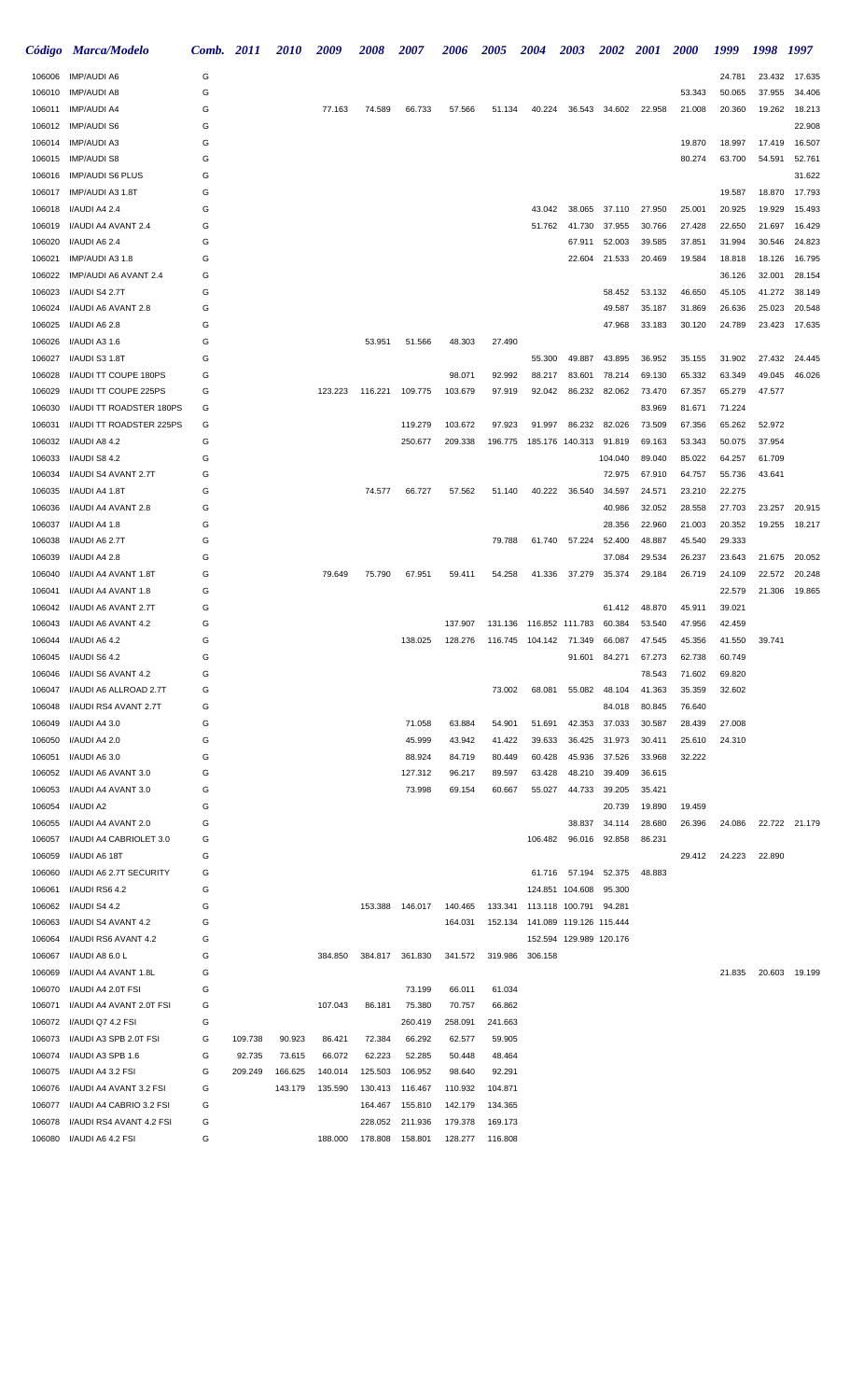|                  | Código Marca/Modelo                         | Comb.  | 2011    | <i>2010</i> | 2009    | <b>2008</b> | 2007            | 2006    | <b>2005</b> | 2004            | 2003                            | <b>2002</b> | <b>2001</b> | <b>2000</b> | 1999             | 1998             | 1997             |
|------------------|---------------------------------------------|--------|---------|-------------|---------|-------------|-----------------|---------|-------------|-----------------|---------------------------------|-------------|-------------|-------------|------------------|------------------|------------------|
| 106006           | <b>IMP/AUDI A6</b>                          | G      |         |             |         |             |                 |         |             |                 |                                 |             |             |             | 24.781           | 23.432           | 17.635           |
| 106010           | <b>IMP/AUDI A8</b>                          | G      |         |             |         |             |                 |         |             |                 |                                 |             |             | 53.343      | 50.065           | 37.955           | 34.406           |
| 106011           | <b>IMP/AUDI A4</b>                          | G      |         |             | 77.163  | 74.589      | 66.733          | 57.566  | 51.134      | 40.224          | 36.543                          | 34.602      | 22.958      | 21.008      | 20.360           | 19.262           | 18.213           |
| 106012           | <b>IMP/AUDI S6</b>                          | G      |         |             |         |             |                 |         |             |                 |                                 |             |             |             |                  |                  | 22.908           |
| 106014           | IMP/AUDI A3                                 | G      |         |             |         |             |                 |         |             |                 |                                 |             |             | 19.870      | 18.997           | 17.419           | 16.507           |
| 106015           | <b>IMP/AUDI S8</b>                          | G      |         |             |         |             |                 |         |             |                 |                                 |             |             | 80.274      | 63.700           | 54.591           | 52.761           |
| 106016           | <b>IMP/AUDI S6 PLUS</b>                     | G      |         |             |         |             |                 |         |             |                 |                                 |             |             |             |                  |                  | 31.622           |
| 106017           | IMP/AUDI A3 1.8T                            | G      |         |             |         |             |                 |         |             |                 |                                 |             |             |             | 19.587           | 18.870           | 17.793           |
| 106018           | I/AUDI A4 2.4                               | G      |         |             |         |             |                 |         |             | 43.042          | 38.065                          | 37.110      | 27.950      | 25.001      | 20.925           | 19.929           | 15.493           |
| 106019           | I/AUDI A4 AVANT 2.4                         | G      |         |             |         |             |                 |         |             | 51.762          | 41.730                          | 37.955      | 30.766      | 27.428      | 22.650           | 21.697           | 16.429           |
| 106020           | I/AUDI A6 2.4                               | G      |         |             |         |             |                 |         |             |                 | 67.911                          | 52.003      | 39.585      | 37.851      | 31.994           | 30.546           | 24.823           |
| 106021<br>106022 | IMP/AUDI A3 1.8<br>IMP/AUDI A6 AVANT 2.4    | G<br>G |         |             |         |             |                 |         |             |                 | 22.604                          | 21.533      | 20.469      | 19.584      | 18.818<br>36.126 | 18.126<br>32.001 | 16.795<br>28.154 |
| 106023           | I/AUDI S4 2.7T                              | G      |         |             |         |             |                 |         |             |                 |                                 | 58.452      | 53.132      | 46.650      | 45.105           | 41.272           | 38.149           |
| 106024           | I/AUDI A6 AVANT 2.8                         | G      |         |             |         |             |                 |         |             |                 |                                 | 49.587      | 35.187      | 31.869      | 26.636           | 25.023           | 20.548           |
| 106025           | I/AUDI A6 2.8                               | G      |         |             |         |             |                 |         |             |                 |                                 | 47.968      | 33.183      | 30.120      | 24.789           | 23.423           | 17.635           |
| 106026           | I/AUDI A3 1.6                               | G      |         |             |         | 53.951      | 51.566          | 48.303  | 27.490      |                 |                                 |             |             |             |                  |                  |                  |
| 106027           | I/AUDI S3 1.8T                              | G      |         |             |         |             |                 |         |             | 55.300          | 49.887                          | 43.895      | 36.952      | 35.155      | 31.902           | 27.432           | 24.445           |
| 106028           | I/AUDI TT COUPE 180PS                       | G      |         |             |         |             |                 | 98.071  | 92.992      | 88.217          | 83.601                          | 78.214      | 69.130      | 65.332      | 63.349           | 49.045           | 46.026           |
| 106029           | I/AUDI TT COUPE 225PS                       | G      |         |             | 123.223 | 116.221     | 109.775         | 103.679 | 97.919      | 92.042          | 86.232                          | 82.062      | 73.470      | 67.357      | 65.279           | 47.577           |                  |
| 106030           | I/AUDI TT ROADSTER 180PS                    | G      |         |             |         |             |                 |         |             |                 |                                 |             | 83.969      | 81.671      | 71.224           |                  |                  |
| 106031           | I/AUDI TT ROADSTER 225PS                    | G      |         |             |         |             | 119.279         | 103.672 | 97.923      | 91.997          | 86.232                          | 82.026      | 73.509      | 67.356      | 65.262           | 52.972           |                  |
| 106032           | I/AUDI A8 4.2                               | G      |         |             |         |             | 250.677         | 209.338 | 196.775     |                 | 185.176 140.313                 | 91.819      | 69.163      | 53.343      | 50.075           | 37.954           |                  |
| 106033           | <b>I/AUDI S8 4.2</b>                        | G      |         |             |         |             |                 |         |             |                 |                                 | 104.040     | 89.040      | 85.022      | 64.257           | 61.709           |                  |
| 106034           | I/AUDI S4 AVANT 2.7T                        | G      |         |             |         |             |                 |         |             |                 |                                 | 72.975      | 67.910      | 64.757      | 55.736           | 43.641           |                  |
| 106035           | I/AUDI A4 1.8T                              | G      |         |             |         | 74.577      | 66.727          | 57.562  | 51.140      | 40.222          | 36.540                          | 34.597      | 24.571      | 23.210      | 22.275           |                  |                  |
| 106036           | I/AUDI A4 AVANT 2.8                         | G      |         |             |         |             |                 |         |             |                 |                                 | 40.986      | 32.052      | 28.558      | 27.703           | 23.257           | 20.915           |
| 106037           | I/AUDI A4 1.8                               | G      |         |             |         |             |                 |         |             |                 |                                 | 28.356      | 22.960      | 21.003      | 20.352           | 19.255           | 18.217           |
| 106038           | I/AUDI A6 2.7T                              | G      |         |             |         |             |                 |         | 79.788      | 61.740          | 57.224                          | 52.400      | 48.887      | 45.540      | 29.333           |                  |                  |
| 106039           | I/AUDI A4 2.8                               | G<br>G |         |             |         |             |                 |         |             |                 |                                 | 37.084      | 29.534      | 26.237      | 23.643           | 21.675           | 20.052           |
| 106040<br>106041 | I/AUDI A4 AVANT 1.8T<br>I/AUDI A4 AVANT 1.8 | G      |         |             | 79.649  | 75.790      | 67.951          | 59.411  | 54.258      | 41.336          | 37.279                          | 35.374      | 29.184      | 26.719      | 24.109<br>22.579 | 22.572<br>21.306 | 20.248<br>19.865 |
| 106042           | I/AUDI A6 AVANT 2.7T                        | G      |         |             |         |             |                 |         |             |                 |                                 | 61.412      | 48.870      | 45.911      | 39.021           |                  |                  |
| 106043           | I/AUDI A6 AVANT 4.2                         | G      |         |             |         |             |                 | 137.907 |             |                 | 131.136 116.852 111.783         | 60.384      | 53.540      | 47.956      | 42.459           |                  |                  |
| 106044           | I/AUDI A6 4.2                               | G      |         |             |         |             | 138.025         | 128.276 |             | 116.745 104.142 | 71.349                          | 66.087      | 47.545      | 45.356      | 41.550           | 39.741           |                  |
| 106045           | I/AUDI S6 4.2                               | G      |         |             |         |             |                 |         |             |                 | 91.601                          | 84.271      | 67.273      | 62.738      | 60.749           |                  |                  |
| 106046           | I/AUDI S6 AVANT 4.2                         | G      |         |             |         |             |                 |         |             |                 |                                 |             | 78.543      | 71.602      | 69.820           |                  |                  |
| 106047           | I/AUDI A6 ALLROAD 2.7T                      | G      |         |             |         |             |                 |         | 73.002      | 68.081          | 55.082                          | 48.104      | 41.363      | 35.359      | 32.602           |                  |                  |
| 106048           | I/AUDI RS4 AVANT 2.7T                       | G      |         |             |         |             |                 |         |             |                 |                                 | 84.018      | 80.845      | 76.640      |                  |                  |                  |
| 106049           | I/AUDI A4 3.0                               | G      |         |             |         |             | 71.058          | 63.884  | 54.901      | 51.691          | 42.353                          | 37.033      | 30.587      | 28.439      | 27.008           |                  |                  |
| 106050           | I/AUDI A4 2.0                               | G      |         |             |         |             | 45.999          | 43.942  | 41.422      | 39.633          | 36.425                          | 31.973      | 30.411      | 25.610      | 24.310           |                  |                  |
| 106051           | I/AUDI A6 3.0                               | G      |         |             |         |             | 88.924          | 84.719  | 80.449      | 60.428          | 45.936                          | 37.526      | 33.968      | 32.222      |                  |                  |                  |
| 106052           | I/AUDI A6 AVANT 3.0                         | G      |         |             |         |             | 127.312         | 96.217  | 89.597      | 63.428          | 48.210                          | 39.409      | 36.615      |             |                  |                  |                  |
| 106053           | I/AUDI A4 AVANT 3.0                         | G      |         |             |         |             | 73.998          | 69.154  | 60.667      | 55.027          | 44.733                          | 39.205      | 35.421      |             |                  |                  |                  |
| 106054           | I/AUDI A2                                   | G      |         |             |         |             |                 |         |             |                 |                                 | 20.739      | 19.890      | 19.459      |                  |                  |                  |
| 106055           | I/AUDI A4 AVANT 2.0                         | G      |         |             |         |             |                 |         |             |                 | 38.837                          | 34.114      | 28.680      | 26.396      | 24.086           |                  | 22.722 21.179    |
| 106057<br>106059 | I/AUDI A4 CABRIOLET 3.0<br>I/AUDI A6 18T    | G<br>G |         |             |         |             |                 |         |             | 106.482         | 96.016                          | 92.858      | 86.231      | 29.412      | 24.223           | 22.890           |                  |
| 106060           | I/AUDI A6 2.7T SECURITY                     | G      |         |             |         |             |                 |         |             | 61.716          | 57.194                          | 52.375      | 48.883      |             |                  |                  |                  |
| 106061           | I/AUDI RS6 4.2                              | G      |         |             |         |             |                 |         |             |                 | 124.851 104.608                 | 95.300      |             |             |                  |                  |                  |
| 106062           | <b>I/AUDI S4 4.2</b>                        | G      |         |             |         |             | 153.388 146.017 | 140.465 | 133.341     |                 | 113.118 100.791 94.281          |             |             |             |                  |                  |                  |
| 106063           | I/AUDI S4 AVANT 4.2                         | G      |         |             |         |             |                 | 164.031 |             |                 | 152.134 141.089 119.126 115.444 |             |             |             |                  |                  |                  |
| 106064           | I/AUDI RS6 AVANT 4.2                        | G      |         |             |         |             |                 |         |             |                 | 152.594 129.989 120.176         |             |             |             |                  |                  |                  |
| 106067           | I/AUDI A8 6.0 L                             | G      |         |             | 384.850 |             | 384.817 361.830 | 341.572 | 319.986     | 306.158         |                                 |             |             |             |                  |                  |                  |
| 106069           | I/AUDI A4 AVANT 1.8L                        | G      |         |             |         |             |                 |         |             |                 |                                 |             |             |             | 21.835           |                  | 20.603 19.199    |
| 106070           | I/AUDI A4 2.0T FSI                          | G      |         |             |         |             | 73.199          | 66.011  | 61.034      |                 |                                 |             |             |             |                  |                  |                  |
| 106071           | I/AUDI A4 AVANT 2.0T FSI                    | G      |         |             | 107.043 | 86.181      | 75.380          | 70.757  | 66.862      |                 |                                 |             |             |             |                  |                  |                  |
| 106072           | I/AUDI Q7 4.2 FSI                           | G      |         |             |         |             | 260.419         | 258.091 | 241.663     |                 |                                 |             |             |             |                  |                  |                  |
| 106073           | I/AUDI A3 SPB 2.0T FSI                      | G      | 109.738 | 90.923      | 86.421  | 72.384      | 66.292          | 62.577  | 59.905      |                 |                                 |             |             |             |                  |                  |                  |
| 106074           | I/AUDI A3 SPB 1.6                           | G      | 92.735  | 73.615      | 66.072  | 62.223      | 52.285          | 50.448  | 48.464      |                 |                                 |             |             |             |                  |                  |                  |
| 106075           | I/AUDI A4 3.2 FSI                           | G      | 209.249 | 166.625     | 140.014 | 125.503     | 106.952         | 98.640  | 92.291      |                 |                                 |             |             |             |                  |                  |                  |
| 106076           | I/AUDI A4 AVANT 3.2 FSI                     | G      |         | 143.179     | 135.590 | 130.413     | 116.467         | 110.932 | 104.871     |                 |                                 |             |             |             |                  |                  |                  |
| 106077           | I/AUDI A4 CABRIO 3.2 FSI                    | G      |         |             |         | 164.467     | 155.810         | 142.179 | 134.365     |                 |                                 |             |             |             |                  |                  |                  |
| 106078           | I/AUDI RS4 AVANT 4.2 FSI                    | G      |         |             |         | 228.052     | 211.936         | 179.378 | 169.173     |                 |                                 |             |             |             |                  |                  |                  |
| 106080           | I/AUDI A6 4.2 FSI                           | G      |         |             | 188.000 | 178.808     | 158.801         | 128.277 | 116.808     |                 |                                 |             |             |             |                  |                  |                  |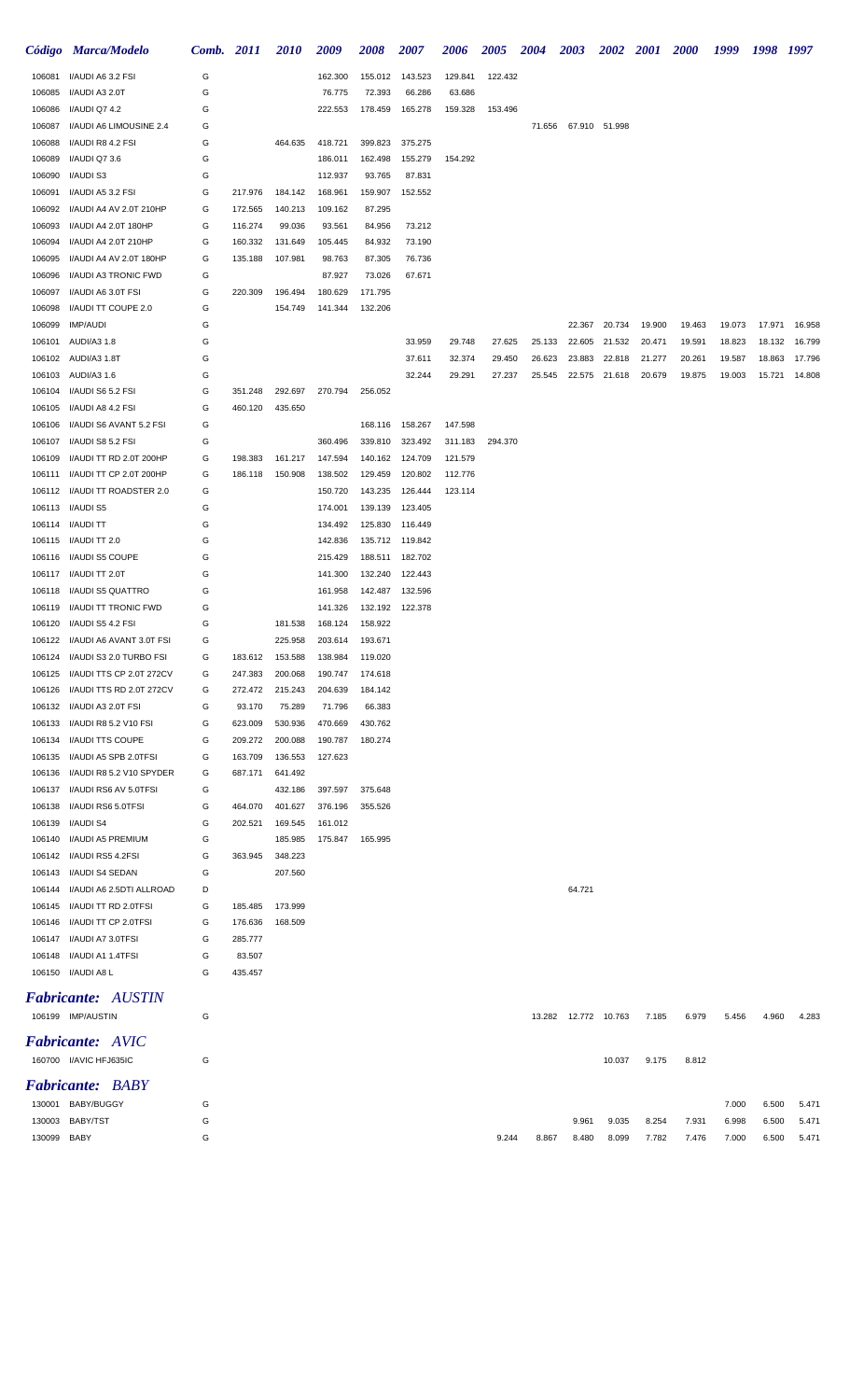|                  | Código Marca/Modelo                                 | Comb. 2011 |                    | <b>2010</b>        | 2009               | 2008               | 2007            | 2006    | <b>2005</b> | <b>2004</b> | <b>2003</b>            | <b>2002</b> | <b>2001</b> | <b>2000</b> | 1999   | 1998 1997 |        |
|------------------|-----------------------------------------------------|------------|--------------------|--------------------|--------------------|--------------------|-----------------|---------|-------------|-------------|------------------------|-------------|-------------|-------------|--------|-----------|--------|
| 106081           | I/AUDI A6 3.2 FSI                                   | G          |                    |                    | 162.300            | 155.012            | 143.523         | 129.841 | 122.432     |             |                        |             |             |             |        |           |        |
| 106085           | I/AUDI A3 2.0T                                      | G          |                    |                    | 76.775             | 72.393             | 66.286          | 63.686  |             |             |                        |             |             |             |        |           |        |
| 106086           | I/AUDI Q7 4.2                                       | G          |                    |                    | 222.553            | 178.459            | 165.278         | 159.328 | 153.496     |             |                        |             |             |             |        |           |        |
| 106087           | I/AUDI A6 LIMOUSINE 2.4                             | G          |                    |                    |                    |                    |                 |         |             | 71.656      | 67.910 51.998          |             |             |             |        |           |        |
| 106088           | I/AUDI R8 4.2 FSI                                   | G          |                    | 464.635            | 418.721            | 399.823            | 375.275         |         |             |             |                        |             |             |             |        |           |        |
| 106089           | <b>I/AUDI Q7 3.6</b>                                | G          |                    |                    | 186.011            | 162.498            | 155.279         | 154.292 |             |             |                        |             |             |             |        |           |        |
| 106090           | I/AUDI S3                                           | G          |                    |                    | 112.937            | 93.765             | 87.831          |         |             |             |                        |             |             |             |        |           |        |
| 106091           | I/AUDI A5 3.2 FSI                                   | G          | 217.976            | 184.142            | 168.961            | 159.907            | 152.552         |         |             |             |                        |             |             |             |        |           |        |
| 106092           | I/AUDI A4 AV 2.0T 210HP                             | G          | 172.565            | 140.213            | 109.162            | 87.295             |                 |         |             |             |                        |             |             |             |        |           |        |
| 106093           | I/AUDI A4 2.0T 180HP                                | G          | 116.274            | 99.036             | 93.561             | 84.956             | 73.212          |         |             |             |                        |             |             |             |        |           |        |
| 106094           | I/AUDI A4 2.0T 210HP                                | G          | 160.332            | 131.649            | 105.445            | 84.932             | 73.190          |         |             |             |                        |             |             |             |        |           |        |
| 106095           | I/AUDI A4 AV 2.0T 180HP                             | G          | 135.188            | 107.981            | 98.763             | 87.305             | 76.736          |         |             |             |                        |             |             |             |        |           |        |
| 106096           | I/AUDI A3 TRONIC FWD                                | G          |                    |                    | 87.927             | 73.026             | 67.671          |         |             |             |                        |             |             |             |        |           |        |
| 106097           | I/AUDI A6 3.0T FSI                                  | G          | 220.309            | 196.494            | 180.629            | 171.795            |                 |         |             |             |                        |             |             |             |        |           |        |
| 106098<br>106099 | I/AUDI TT COUPE 2.0<br><b>IMP/AUDI</b>              | G<br>G     |                    | 154.749            | 141.344            | 132.206            |                 |         |             |             | 22.367                 | 20.734      | 19.900      | 19.463      | 19.073 | 17.971    | 16.958 |
| 106101           | AUDI/A3 1.8                                         | G          |                    |                    |                    |                    | 33.959          | 29.748  | 27.625      | 25.133      | 22.605                 | 21.532      | 20.471      | 19.591      | 18.823 | 18.132    | 16.799 |
| 106102           | AUDI/A3 1.8T                                        | G          |                    |                    |                    |                    | 37.611          | 32.374  | 29.450      | 26.623      | 23.883                 | 22.818      | 21.277      | 20.261      | 19.587 | 18.863    | 17.796 |
| 106103           | AUDI/A3 1.6                                         | G          |                    |                    |                    |                    | 32.244          | 29.291  | 27.237      | 25.545      | 22.575                 | 21.618      | 20.679      | 19.875      | 19.003 | 15.721    | 14.808 |
| 106104           | I/AUDI S6 5.2 FSI                                   | G          | 351.248            | 292.697            | 270.794            | 256.052            |                 |         |             |             |                        |             |             |             |        |           |        |
| 106105           | I/AUDI A8 4.2 FSI                                   | G          | 460.120            | 435.650            |                    |                    |                 |         |             |             |                        |             |             |             |        |           |        |
| 106106           | I/AUDI S6 AVANT 5.2 FSI                             | G          |                    |                    |                    | 168.116            | 158.267         | 147.598 |             |             |                        |             |             |             |        |           |        |
| 106107           | I/AUDI S8 5.2 FSI                                   | G          |                    |                    | 360.496            | 339.810            | 323.492         | 311.183 | 294.370     |             |                        |             |             |             |        |           |        |
| 106109           | I/AUDI TT RD 2.0T 200HP                             | G          | 198.383            | 161.217            | 147.594            | 140.162            | 124.709         | 121.579 |             |             |                        |             |             |             |        |           |        |
| 106111           | I/AUDI TT CP 2.0T 200HP                             | G          | 186.118            | 150.908            | 138.502            | 129.459            | 120.802         | 112.776 |             |             |                        |             |             |             |        |           |        |
| 106112           | I/AUDI TT ROADSTER 2.0                              | G          |                    |                    | 150.720            | 143.235            | 126.444         | 123.114 |             |             |                        |             |             |             |        |           |        |
| 106113           | I/AUDI S5                                           | G          |                    |                    | 174.001            | 139.139            | 123.405         |         |             |             |                        |             |             |             |        |           |        |
| 106114           | <b>I/AUDITT</b>                                     | G          |                    |                    | 134.492            | 125.830            | 116.449         |         |             |             |                        |             |             |             |        |           |        |
| 106115           | I/AUDI TT 2.0                                       | G          |                    |                    | 142.836            |                    | 135.712 119.842 |         |             |             |                        |             |             |             |        |           |        |
| 106116           | I/AUDI S5 COUPE                                     | G          |                    |                    | 215.429            |                    | 188.511 182.702 |         |             |             |                        |             |             |             |        |           |        |
| 106117           | I/AUDI TT 2.0T                                      | G          |                    |                    | 141.300            | 132.240            | 122.443         |         |             |             |                        |             |             |             |        |           |        |
| 106118           | I/AUDI S5 QUATTRO                                   | G          |                    |                    | 161.958            | 142.487            | 132.596         |         |             |             |                        |             |             |             |        |           |        |
| 106119           | I/AUDI TT TRONIC FWD                                | G          |                    |                    | 141.326            | 132.192            | 122.378         |         |             |             |                        |             |             |             |        |           |        |
| 106120           | I/AUDI S5 4.2 FSI                                   | G<br>G     |                    | 181.538            | 168.124            | 158.922            |                 |         |             |             |                        |             |             |             |        |           |        |
| 106122<br>106124 | I/AUDI A6 AVANT 3.0T FSI<br>I/AUDI S3 2.0 TURBO FSI | G          | 183.612            | 225.958<br>153.588 | 203.614<br>138.984 | 193.671<br>119.020 |                 |         |             |             |                        |             |             |             |        |           |        |
| 106125           | I/AUDI TTS CP 2.0T 272CV                            | G          | 247.383            | 200.068            | 190.747            | 174.618            |                 |         |             |             |                        |             |             |             |        |           |        |
| 106126           | I/AUDI TTS RD 2.0T 272CV                            | G          | 272.472            | 215.243            | 204.639            | 184.142            |                 |         |             |             |                        |             |             |             |        |           |        |
| 106132           | I/AUDI A3 2.0T FSI                                  | G          | 93.170             | 75.289             | 71.796             | 66.383             |                 |         |             |             |                        |             |             |             |        |           |        |
| 106133           | I/AUDI R8 5.2 V10 FSI                               | G          | 623.009            | 530.936            | 470.669            | 430.762            |                 |         |             |             |                        |             |             |             |        |           |        |
| 106134           | I/AUDI TTS COUPE                                    | G          | 209.272            | 200.088            | 190.787            | 180.274            |                 |         |             |             |                        |             |             |             |        |           |        |
| 106135           | I/AUDI A5 SPB 2.0TFSI                               | G          | 163.709            | 136.553            | 127.623            |                    |                 |         |             |             |                        |             |             |             |        |           |        |
| 106136           | I/AUDI R8 5.2 V10 SPYDER                            | G          | 687.171            | 641.492            |                    |                    |                 |         |             |             |                        |             |             |             |        |           |        |
| 106137           | I/AUDI RS6 AV 5.0TFSI                               | G          |                    | 432.186            | 397.597            | 375.648            |                 |         |             |             |                        |             |             |             |        |           |        |
| 106138           | I/AUDI RS6 5.0TFSI                                  | G          | 464.070            | 401.627            | 376.196            | 355.526            |                 |         |             |             |                        |             |             |             |        |           |        |
| 106139           | I/AUDI S4                                           | G          | 202.521            | 169.545            | 161.012            |                    |                 |         |             |             |                        |             |             |             |        |           |        |
| 106140           | I/AUDI A5 PREMIUM                                   | G          |                    | 185.985            | 175.847            | 165.995            |                 |         |             |             |                        |             |             |             |        |           |        |
| 106142           | I/AUDI RS5 4.2FSI                                   | G          | 363.945            | 348.223            |                    |                    |                 |         |             |             |                        |             |             |             |        |           |        |
| 106143           | I/AUDI S4 SEDAN                                     | G          |                    | 207.560            |                    |                    |                 |         |             |             |                        |             |             |             |        |           |        |
| 106144           | I/AUDI A6 2.5DTI ALLROAD                            | D          |                    |                    |                    |                    |                 |         |             |             | 64.721                 |             |             |             |        |           |        |
| 106145<br>106146 | I/AUDI TT RD 2.0TFSI<br>I/AUDI TT CP 2.0TFSI        | G<br>G     | 185.485<br>176.636 | 173.999<br>168.509 |                    |                    |                 |         |             |             |                        |             |             |             |        |           |        |
| 106147           | I/AUDI A7 3.0TFSI                                   | G          | 285.777            |                    |                    |                    |                 |         |             |             |                        |             |             |             |        |           |        |
| 106148           | I/AUDI A1 1.4TFSI                                   | G          | 83.507             |                    |                    |                    |                 |         |             |             |                        |             |             |             |        |           |        |
|                  | 106150 I/AUDI A8 L                                  | G          | 435.457            |                    |                    |                    |                 |         |             |             |                        |             |             |             |        |           |        |
|                  |                                                     |            |                    |                    |                    |                    |                 |         |             |             |                        |             |             |             |        |           |        |
|                  | Fabricante: AUSTIN                                  |            |                    |                    |                    |                    |                 |         |             |             |                        |             |             |             |        |           |        |
|                  | 106199 IMP/AUSTIN                                   | G          |                    |                    |                    |                    |                 |         |             |             | 13.282  12.772  10.763 |             | 7.185       | 6.979       | 5.456  | 4.960     | 4.283  |
|                  | <b>Fabricante:</b> AVIC                             |            |                    |                    |                    |                    |                 |         |             |             |                        |             |             |             |        |           |        |
|                  | 160700 I/AVIC HFJ635IC                              | G          |                    |                    |                    |                    |                 |         |             |             |                        | 10.037      | 9.175       | 8.812       |        |           |        |
|                  |                                                     |            |                    |                    |                    |                    |                 |         |             |             |                        |             |             |             |        |           |        |
|                  | <b>Fabricante: BABY</b>                             |            |                    |                    |                    |                    |                 |         |             |             |                        |             |             |             |        |           |        |
|                  | 130001 BABY/BUGGY                                   | G          |                    |                    |                    |                    |                 |         |             |             |                        |             |             |             | 7.000  | 6.500     | 5.471  |
| 130003           | <b>BABY/TST</b>                                     | G          |                    |                    |                    |                    |                 |         |             |             | 9.961                  | 9.035       | 8.254       | 7.931       | 6.998  | 6.500     | 5.471  |
| 130099           | BABY                                                | G          |                    |                    |                    |                    |                 |         | 9.244       | 8.867       | 8.480                  | 8.099       | 7.782       | 7.476       | 7.000  | 6.500     | 5.471  |
|                  |                                                     |            |                    |                    |                    |                    |                 |         |             |             |                        |             |             |             |        |           |        |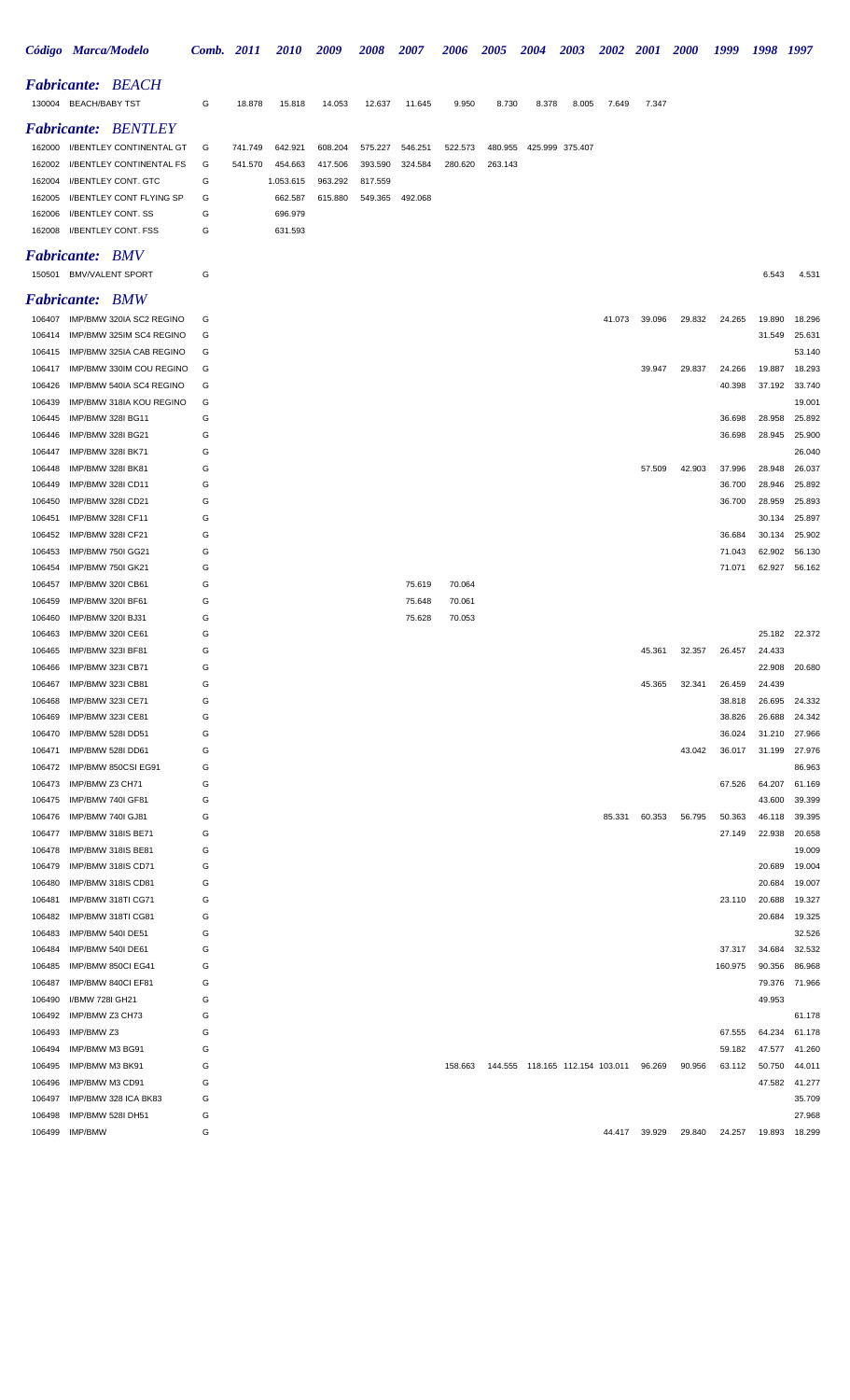|                  | Código Marca/Modelo                                  | <b>Comb.</b> 2011 |         | <i>2010</i> | 2009    | 2008    | <i><b>2007</b></i> | <i><b>2006</b></i> | 2005    | 2004  | 2003                            | <i><b>2002</b></i> | <i>2001</i> | <i><b>2000</b></i> | 1999    | 1998             | 1997             |
|------------------|------------------------------------------------------|-------------------|---------|-------------|---------|---------|--------------------|--------------------|---------|-------|---------------------------------|--------------------|-------------|--------------------|---------|------------------|------------------|
|                  | <b>Fabricante: BEACH</b>                             |                   |         |             |         |         |                    |                    |         |       |                                 |                    |             |                    |         |                  |                  |
|                  | 130004 BEACH/BABY TST                                | G                 | 18.878  | 15.818      | 14.053  | 12.637  | 11.645             | 9.950              | 8.730   | 8.378 | 8.005                           | 7.649              | 7.347       |                    |         |                  |                  |
|                  | <b>Fabricante: BENTLEY</b>                           |                   |         |             |         |         |                    |                    |         |       |                                 |                    |             |                    |         |                  |                  |
| 162000           | I/BENTLEY CONTINENTAL GT                             | G                 | 741.749 | 642.921     | 608.204 | 575.227 | 546.251            | 522.573            | 480.955 |       | 425.999 375.407                 |                    |             |                    |         |                  |                  |
| 162002           | I/BENTLEY CONTINENTAL FS                             | G                 | 541.570 | 454.663     | 417.506 | 393.590 | 324.584            | 280.620            | 263.143 |       |                                 |                    |             |                    |         |                  |                  |
| 162004           | I/BENTLEY CONT. GTC                                  | G                 |         | 1.053.615   | 963.292 | 817.559 |                    |                    |         |       |                                 |                    |             |                    |         |                  |                  |
| 162005           | <b>I/BENTLEY CONT FLYING SP</b>                      | G                 |         | 662.587     | 615.880 | 549.365 | 492.068            |                    |         |       |                                 |                    |             |                    |         |                  |                  |
| 162006           | I/BENTLEY CONT. SS                                   | G                 |         | 696.979     |         |         |                    |                    |         |       |                                 |                    |             |                    |         |                  |                  |
| 162008           | I/BENTLEY CONT. FSS                                  | G                 |         | 631.593     |         |         |                    |                    |         |       |                                 |                    |             |                    |         |                  |                  |
|                  | <b>Fabricante: BMV</b>                               |                   |         |             |         |         |                    |                    |         |       |                                 |                    |             |                    |         |                  |                  |
|                  | 150501 BMV/VALENT SPORT                              | G                 |         |             |         |         |                    |                    |         |       |                                 |                    |             |                    |         | 6.543            | 4.531            |
|                  |                                                      |                   |         |             |         |         |                    |                    |         |       |                                 |                    |             |                    |         |                  |                  |
|                  | <b>Fabricante: BMW</b>                               |                   |         |             |         |         |                    |                    |         |       |                                 |                    |             |                    |         |                  |                  |
| 106407           | IMP/BMW 320IA SC2 REGINO                             | G                 |         |             |         |         |                    |                    |         |       |                                 | 41.073             | 39.096      | 29.832             | 24.265  | 19.890           | 18.296           |
| 106414<br>106415 | IMP/BMW 325IM SC4 REGINO                             | G                 |         |             |         |         |                    |                    |         |       |                                 |                    |             |                    |         | 31.549           | 25.631           |
| 106417           | IMP/BMW 325IA CAB REGINO<br>IMP/BMW 330IM COU REGINO | G<br>G            |         |             |         |         |                    |                    |         |       |                                 |                    | 39.947      | 29.837             | 24.266  | 19.887           | 53.140<br>18.293 |
| 106426           | IMP/BMW 540IA SC4 REGINO                             | G                 |         |             |         |         |                    |                    |         |       |                                 |                    |             |                    | 40.398  | 37.192           | 33.740           |
| 106439           | IMP/BMW 318IA KOU REGINO                             | G                 |         |             |         |         |                    |                    |         |       |                                 |                    |             |                    |         |                  | 19.001           |
| 106445           | IMP/BMW 328I BG11                                    | G                 |         |             |         |         |                    |                    |         |       |                                 |                    |             |                    | 36.698  | 28.958           | 25.892           |
| 106446           | IMP/BMW 328I BG21                                    | G                 |         |             |         |         |                    |                    |         |       |                                 |                    |             |                    | 36.698  | 28.945           | 25.900           |
| 106447           | IMP/BMW 328I BK71                                    | G                 |         |             |         |         |                    |                    |         |       |                                 |                    |             |                    |         |                  | 26.040           |
| 106448           | IMP/BMW 328I BK81                                    | G                 |         |             |         |         |                    |                    |         |       |                                 |                    | 57.509      | 42.903             | 37.996  | 28.948           | 26.037           |
| 106449           | IMP/BMW 328I CD11                                    | G                 |         |             |         |         |                    |                    |         |       |                                 |                    |             |                    | 36.700  | 28.946           | 25.892           |
| 106450           | IMP/BMW 328I CD21                                    | G                 |         |             |         |         |                    |                    |         |       |                                 |                    |             |                    | 36.700  | 28.959           | 25.893           |
| 106451           | IMP/BMW 328I CF11                                    | G                 |         |             |         |         |                    |                    |         |       |                                 |                    |             |                    |         | 30.134           | 25.897           |
| 106452           | IMP/BMW 328I CF21                                    | G                 |         |             |         |         |                    |                    |         |       |                                 |                    |             |                    | 36.684  | 30.134           | 25.902           |
| 106453           | IMP/BMW 750I GG21                                    | G                 |         |             |         |         |                    |                    |         |       |                                 |                    |             |                    | 71.043  | 62.902           | 56.130           |
| 106454           | IMP/BMW 750I GK21                                    | G                 |         |             |         |         |                    |                    |         |       |                                 |                    |             |                    | 71.071  | 62.927           | 56.162           |
| 106457           | IMP/BMW 320I CB61<br>IMP/BMW 320I BF61               | G<br>G            |         |             |         |         | 75.619             | 70.064             |         |       |                                 |                    |             |                    |         |                  |                  |
| 106459<br>106460 | IMP/BMW 320I BJ31                                    | G                 |         |             |         |         | 75.648<br>75.628   | 70.061<br>70.053   |         |       |                                 |                    |             |                    |         |                  |                  |
| 106463           | IMP/BMW 320I CE61                                    | G                 |         |             |         |         |                    |                    |         |       |                                 |                    |             |                    |         | 25.182           | 22.372           |
| 106465           | IMP/BMW 323I BF81                                    | G                 |         |             |         |         |                    |                    |         |       |                                 |                    | 45.361      | 32.357             | 26.457  | 24.433           |                  |
| 106466           | IMP/BMW 323I CB71                                    | G                 |         |             |         |         |                    |                    |         |       |                                 |                    |             |                    |         | 22.908           | 20.680           |
| 106467           | IMP/BMW 323I CB81                                    | G                 |         |             |         |         |                    |                    |         |       |                                 |                    | 45.365      | 32.341             | 26.459  | 24.439           |                  |
| 106468           | IMP/BMW 323I CE71                                    | G                 |         |             |         |         |                    |                    |         |       |                                 |                    |             |                    | 38.818  | 26.695           | 24.332           |
| 106469           | IMP/BMW 323I CE81                                    | G                 |         |             |         |         |                    |                    |         |       |                                 |                    |             |                    | 38.826  | 26.688           | 24.342           |
| 106470           | IMP/BMW 528I DD51                                    | G                 |         |             |         |         |                    |                    |         |       |                                 |                    |             |                    | 36.024  | 31.210           | 27.966           |
| 106471           | IMP/BMW 528I DD61                                    | G                 |         |             |         |         |                    |                    |         |       |                                 |                    |             | 43.042             | 36.017  | 31.199           | 27.976           |
| 106472           | IMP/BMW 850CSI EG91                                  | G                 |         |             |         |         |                    |                    |         |       |                                 |                    |             |                    |         |                  | 86.963           |
| 106473           | IMP/BMW Z3 CH71                                      | G                 |         |             |         |         |                    |                    |         |       |                                 |                    |             |                    | 67.526  | 64.207           | 61.169           |
| 106475           | IMP/BMW 740I GF81                                    | G                 |         |             |         |         |                    |                    |         |       |                                 |                    |             |                    |         | 43.600           | 39.399           |
| 106476           | IMP/BMW 740I GJ81<br>IMP/BMW 318IS BE71              | G                 |         |             |         |         |                    |                    |         |       |                                 | 85.331             | 60.353      | 56.795             | 50.363  | 46.118           | 39.395           |
| 106477<br>106478 | IMP/BMW 318IS BE81                                   | G<br>G            |         |             |         |         |                    |                    |         |       |                                 |                    |             |                    | 27.149  | 22.938           | 20.658<br>19.009 |
| 106479           | IMP/BMW 318IS CD71                                   | G                 |         |             |         |         |                    |                    |         |       |                                 |                    |             |                    |         | 20.689           | 19.004           |
| 106480           | IMP/BMW 318IS CD81                                   | G                 |         |             |         |         |                    |                    |         |       |                                 |                    |             |                    |         | 20.684           | 19.007           |
| 106481           | IMP/BMW 318TI CG71                                   | G                 |         |             |         |         |                    |                    |         |       |                                 |                    |             |                    | 23.110  | 20.688           | 19.327           |
| 106482           | IMP/BMW 318TI CG81                                   | G                 |         |             |         |         |                    |                    |         |       |                                 |                    |             |                    |         | 20.684           | 19.325           |
| 106483           | IMP/BMW 540I DE51                                    | G                 |         |             |         |         |                    |                    |         |       |                                 |                    |             |                    |         |                  | 32.526           |
| 106484           | IMP/BMW 540I DE61                                    | G                 |         |             |         |         |                    |                    |         |       |                                 |                    |             |                    | 37.317  | 34.684           | 32.532           |
| 106485           | IMP/BMW 850CI EG41                                   | G                 |         |             |         |         |                    |                    |         |       |                                 |                    |             |                    | 160.975 | 90.356           | 86.968           |
| 106487           | IMP/BMW 840CI EF81                                   | G                 |         |             |         |         |                    |                    |         |       |                                 |                    |             |                    |         | 79.376           | 71.966           |
| 106490           | I/BMW 728I GH21                                      | G                 |         |             |         |         |                    |                    |         |       |                                 |                    |             |                    |         | 49.953           |                  |
| 106492           | IMP/BMW Z3 CH73                                      | G                 |         |             |         |         |                    |                    |         |       |                                 |                    |             |                    |         |                  | 61.178           |
| 106493           | IMP/BMW Z3                                           | G                 |         |             |         |         |                    |                    |         |       |                                 |                    |             |                    | 67.555  | 64.234           | 61.178           |
| 106494           | IMP/BMW M3 BG91                                      | G                 |         |             |         |         |                    |                    |         |       |                                 |                    |             |                    | 59.182  | 47.577           | 41.260           |
| 106495<br>106496 | IMP/BMW M3 BK91<br>IMP/BMW M3 CD91                   | G<br>G            |         |             |         |         |                    | 158.663            |         |       | 144.555 118.165 112.154 103.011 |                    | 96.269      | 90.956             | 63.112  | 50.750<br>47.582 | 44.011<br>41.277 |
| 106497           | IMP/BMW 328 ICA BK83                                 | G                 |         |             |         |         |                    |                    |         |       |                                 |                    |             |                    |         |                  | 35.709           |
| 106498           | IMP/BMW 528I DH51                                    | G                 |         |             |         |         |                    |                    |         |       |                                 |                    |             |                    |         |                  | 27.968           |
| 106499           | IMP/BMW                                              | G                 |         |             |         |         |                    |                    |         |       |                                 | 44.417             | 39.929      | 29.840             | 24.257  | 19.893           | 18.299           |
|                  |                                                      |                   |         |             |         |         |                    |                    |         |       |                                 |                    |             |                    |         |                  |                  |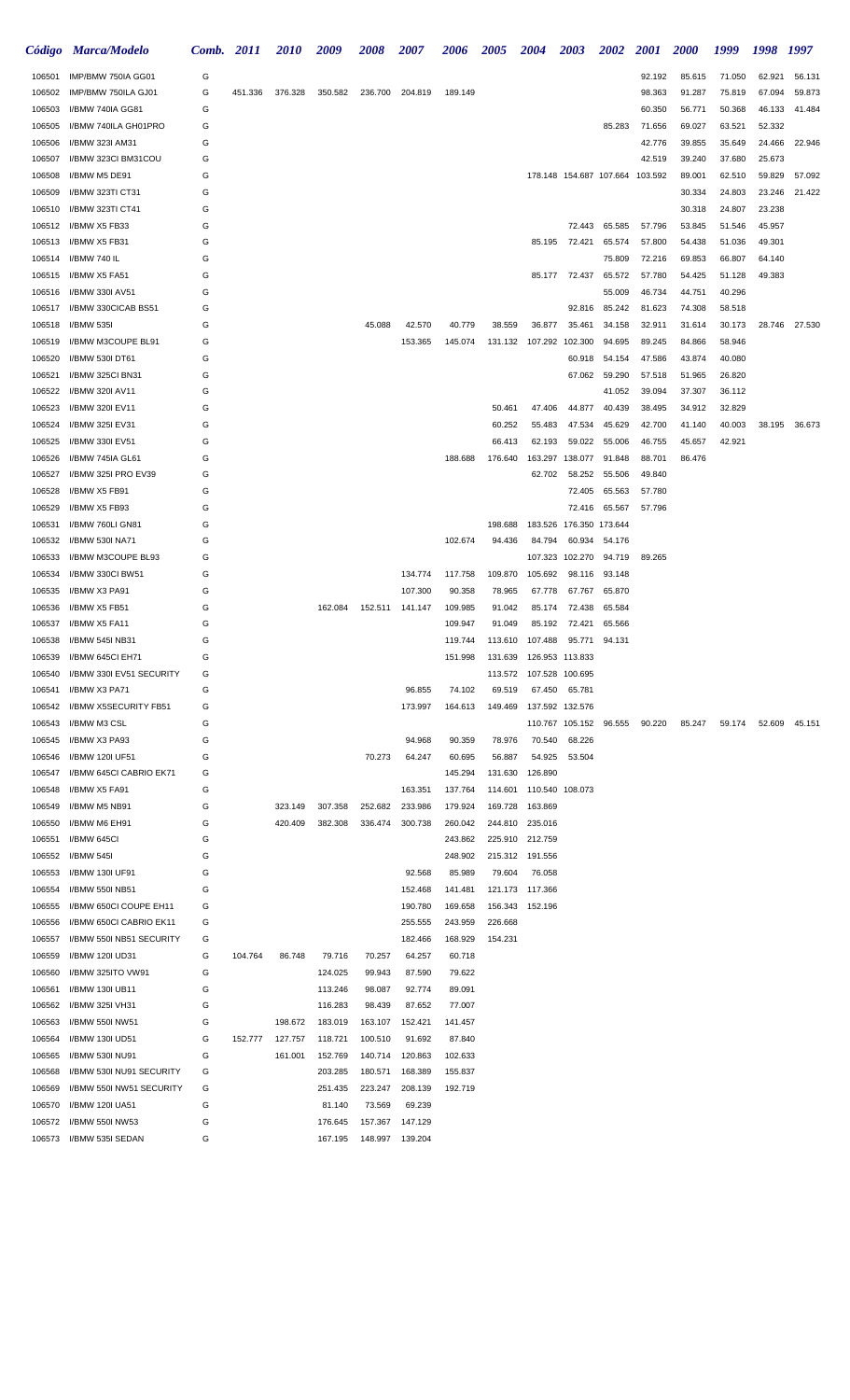|                  | Código Marca/Modelo                        | Comb.  | 2011    | <i>2010</i> | 2009    | <b>2008</b> | <b>2007</b>     | <b>2006</b>       | <b>2005</b>      | <b>2004</b>               | <b>2003</b>                     | <b>2002</b>      | <b>2001</b>      | <b>2000</b>      | 1999             | 1998   | 1997          |
|------------------|--------------------------------------------|--------|---------|-------------|---------|-------------|-----------------|-------------------|------------------|---------------------------|---------------------------------|------------------|------------------|------------------|------------------|--------|---------------|
| 106501           | IMP/BMW 750IA GG01                         | G      |         |             |         |             |                 |                   |                  |                           |                                 |                  | 92.192           | 85.615           | 71.050           | 62.921 | 56.131        |
| 106502           | IMP/BMW 750ILA GJ01                        | G      | 451.336 | 376.328     | 350.582 | 236.700     | 204.819         | 189.149           |                  |                           |                                 |                  | 98.363           | 91.287           | 75.819           | 67.094 | 59.873        |
| 106503           | I/BMW 740IA GG81                           | G      |         |             |         |             |                 |                   |                  |                           |                                 |                  | 60.350           | 56.771           | 50.368           | 46.133 | 41.484        |
| 106505           | I/BMW 740ILA GH01PRO                       | G      |         |             |         |             |                 |                   |                  |                           |                                 | 85.283           | 71.656           | 69.027           | 63.521           | 52.332 |               |
| 106506           | I/BMW 323I AM31                            | G      |         |             |         |             |                 |                   |                  |                           |                                 |                  | 42.776           | 39.855           | 35.649           | 24.466 | 22.946        |
| 106507           | I/BMW 323CI BM31COU                        | G      |         |             |         |             |                 |                   |                  |                           |                                 |                  | 42.519           | 39.240           | 37.680           | 25.673 |               |
| 106508           | I/BMW M5 DE91                              | G      |         |             |         |             |                 |                   |                  |                           | 178.148 154.687 107.664 103.592 |                  |                  | 89.001           | 62.510           | 59.829 | 57.092        |
| 106509           | I/BMW 323TI CT31                           | G      |         |             |         |             |                 |                   |                  |                           |                                 |                  |                  | 30.334           | 24.803           | 23.246 | 21.422        |
| 106510           | I/BMW 323TI CT41                           | G      |         |             |         |             |                 |                   |                  |                           |                                 |                  |                  | 30.318           | 24.807           | 23.238 |               |
| 106512           | I/BMW X5 FB33                              | G      |         |             |         |             |                 |                   |                  |                           | 72.443                          | 65.585           | 57.796           | 53.845           | 51.546           | 45.957 |               |
| 106513           | I/BMW X5 FB31                              | G      |         |             |         |             |                 |                   |                  | 85.195                    | 72.421                          | 65.574           | 57.800           | 54.438           | 51.036           | 49.301 |               |
| 106514           | I/BMW 740 IL                               | G      |         |             |         |             |                 |                   |                  |                           |                                 | 75.809           | 72.216           | 69.853           | 66.807           | 64.140 |               |
| 106515           | I/BMW X5 FA51                              | G      |         |             |         |             |                 |                   |                  |                           | 85.177 72.437                   | 65.572           | 57.780           | 54.425           | 51.128           | 49.383 |               |
| 106516           | I/BMW 330I AV51                            | G      |         |             |         |             |                 |                   |                  |                           |                                 | 55.009           | 46.734           | 44.751           | 40.296           |        |               |
| 106517           | I/BMW 330CICAB BS51                        | G      |         |             |         |             |                 |                   |                  |                           | 92.816                          | 85.242           | 81.623           | 74.308           | 58.518           |        |               |
| 106518           | I/BMW 535I                                 | G      |         |             |         | 45.088      | 42.570          | 40.779            | 38.559           | 36.877                    | 35.461                          | 34.158           | 32.911           | 31.614           | 30.173           |        | 28.746 27.530 |
| 106519           | I/BMW M3COUPE BL91                         | G      |         |             |         |             | 153.365         | 145.074           |                  | 131.132 107.292 102.300   |                                 | 94.695           | 89.245           | 84.866           | 58.946           |        |               |
| 106520           | I/BMW 530I DT61                            | G      |         |             |         |             |                 |                   |                  |                           | 60.918                          | 54.154           | 47.586           | 43.874           | 40.080           |        |               |
| 106521           | I/BMW 325CI BN31                           | G      |         |             |         |             |                 |                   |                  |                           | 67.062                          | 59.290           | 57.518           | 51.965           | 26.820           |        |               |
| 106522           | I/BMW 320I AV11                            | G<br>G |         |             |         |             |                 |                   |                  | 47.406                    |                                 | 41.052           | 39.094           | 37.307           | 36.112           |        |               |
| 106523<br>106524 | I/BMW 320I EV11<br>I/BMW 325I EV31         | G      |         |             |         |             |                 |                   | 50.461<br>60.252 | 55.483                    | 44.877<br>47.534                | 40.439<br>45.629 | 38.495<br>42.700 | 34.912<br>41.140 | 32.829<br>40.003 | 38.195 | 36.673        |
| 106525           | I/BMW 330I EV51                            | G      |         |             |         |             |                 |                   | 66.413           | 62.193                    | 59.022                          | 55.006           | 46.755           | 45.657           | 42.921           |        |               |
| 106526           | I/BMW 745IA GL61                           | G      |         |             |         |             |                 | 188.688           | 176.640          |                           | 163.297 138.077                 | 91.848           | 88.701           | 86.476           |                  |        |               |
| 106527           | I/BMW 325I PRO EV39                        | G      |         |             |         |             |                 |                   |                  | 62.702                    | 58.252                          | 55.506           | 49.840           |                  |                  |        |               |
| 106528           | I/BMW X5 FB91                              | G      |         |             |         |             |                 |                   |                  |                           | 72.405                          | 65.563           | 57.780           |                  |                  |        |               |
| 106529           | I/BMW X5 FB93                              | G      |         |             |         |             |                 |                   |                  |                           | 72.416                          | 65.567           | 57.796           |                  |                  |        |               |
| 106531           | I/BMW 760LI GN81                           | G      |         |             |         |             |                 |                   | 198.688          |                           | 183.526 176.350 173.644         |                  |                  |                  |                  |        |               |
| 106532           | I/BMW 530I NA71                            | G      |         |             |         |             |                 | 102.674           | 94.436           | 84.794                    | 60.934                          | 54.176           |                  |                  |                  |        |               |
| 106533           | I/BMW M3COUPE BL93                         | G      |         |             |         |             |                 |                   |                  |                           | 107.323 102.270                 | 94.719           | 89.265           |                  |                  |        |               |
| 106534           | I/BMW 330CI BW51                           | G      |         |             |         |             | 134.774         | 117.758           | 109.870          | 105.692                   | 98.116                          | 93.148           |                  |                  |                  |        |               |
| 106535           | I/BMW X3 PA91                              | G      |         |             |         |             | 107.300         | 90.358            | 78.965           | 67.778                    | 67.767                          | 65.870           |                  |                  |                  |        |               |
| 106536           | I/BMW X5 FB51                              | G      |         |             | 162.084 |             | 152.511 141.147 | 109.985           | 91.042           | 85.174                    | 72.438                          | 65.584           |                  |                  |                  |        |               |
| 106537           | I/BMW X5 FA11                              | G      |         |             |         |             |                 | 109.947           | 91.049           | 85.192                    | 72.421                          | 65.566           |                  |                  |                  |        |               |
| 106538           | I/BMW 545I NB31                            | G      |         |             |         |             |                 | 119.744           | 113.610          | 107.488                   | 95.771                          | 94.131           |                  |                  |                  |        |               |
| 106539           | I/BMW 645CI EH71                           | G      |         |             |         |             |                 | 151.998           |                  | 131.639  126.953  113.833 |                                 |                  |                  |                  |                  |        |               |
| 106540           | I/BMW 330I EV51 SECURITY                   | G      |         |             |         |             |                 |                   |                  | 113.572 107.528 100.695   |                                 |                  |                  |                  |                  |        |               |
| 106541           | I/BMW X3 PA71                              | G      |         |             |         |             | 96.855          | 74.102            | 69.519           | 67.450                    | 65.781                          |                  |                  |                  |                  |        |               |
| 106542           | I/BMW X5SECURITY FB51                      | G      |         |             |         |             | 173.997         | 164.613           |                  | 149.469  137.592  132.576 |                                 |                  |                  |                  |                  |        |               |
| 106543           | I/BMW M3 CSL                               | G      |         |             |         |             |                 |                   |                  |                           | 110.767 105.152                 | 96.555           | 90.220           | 85.247           | 59.174           |        | 52.609 45.151 |
| 106545           | I/BMW X3 PA93                              | G      |         |             |         |             | 94.968          | 90.359            | 78.976           | 70.540                    | 68.226                          |                  |                  |                  |                  |        |               |
| 106546<br>106547 | I/BMW 120I UF51<br>I/BMW 645CI CABRIO EK71 | G<br>G |         |             |         | 70.273      | 64.247          | 60.695<br>145.294 | 56.887           | 54.925<br>131.630 126.890 | 53.504                          |                  |                  |                  |                  |        |               |
| 106548           | I/BMW X5 FA91                              | G      |         |             |         |             | 163.351         | 137.764           |                  | 114.601 110.540 108.073   |                                 |                  |                  |                  |                  |        |               |
| 106549           | I/BMW M5 NB91                              | G      |         | 323.149     | 307.358 | 252.682     | 233.986         | 179.924           | 169.728          | 163.869                   |                                 |                  |                  |                  |                  |        |               |
| 106550           | I/BMW M6 EH91                              | G      |         | 420.409     | 382.308 | 336.474     | 300.738         | 260.042           | 244.810          | 235.016                   |                                 |                  |                  |                  |                  |        |               |
| 106551           | I/BMW 645CI                                | G      |         |             |         |             |                 | 243.862           |                  | 225.910 212.759           |                                 |                  |                  |                  |                  |        |               |
| 106552           | I/BMW 545I                                 | G      |         |             |         |             |                 | 248.902           |                  | 215.312 191.556           |                                 |                  |                  |                  |                  |        |               |
| 106553           | I/BMW 130I UF91                            | G      |         |             |         |             | 92.568          | 85.989            | 79.604           | 76.058                    |                                 |                  |                  |                  |                  |        |               |
| 106554           | I/BMW 550I NB51                            | G      |         |             |         |             | 152.468         | 141.481           |                  | 121.173 117.366           |                                 |                  |                  |                  |                  |        |               |
| 106555           | I/BMW 650CI COUPE EH11                     | G      |         |             |         |             | 190.780         | 169.658           |                  | 156.343 152.196           |                                 |                  |                  |                  |                  |        |               |
| 106556           | I/BMW 650CI CABRIO EK11                    | G      |         |             |         |             | 255.555         | 243.959           | 226.668          |                           |                                 |                  |                  |                  |                  |        |               |
| 106557           | I/BMW 550I NB51 SECURITY                   | G      |         |             |         |             | 182.466         | 168.929           | 154.231          |                           |                                 |                  |                  |                  |                  |        |               |
| 106559           | I/BMW 120I UD31                            | G      | 104.764 | 86.748      | 79.716  | 70.257      | 64.257          | 60.718            |                  |                           |                                 |                  |                  |                  |                  |        |               |
| 106560           | I/BMW 325ITO VW91                          | G      |         |             | 124.025 | 99.943      | 87.590          | 79.622            |                  |                           |                                 |                  |                  |                  |                  |        |               |
| 106561           | I/BMW 130I UB11                            | G      |         |             | 113.246 | 98.087      | 92.774          | 89.091            |                  |                           |                                 |                  |                  |                  |                  |        |               |
| 106562           | I/BMW 325I VH31                            | G      |         |             | 116.283 | 98.439      | 87.652          | 77.007            |                  |                           |                                 |                  |                  |                  |                  |        |               |
| 106563           | I/BMW 550I NW51                            | G      |         | 198.672     | 183.019 | 163.107     | 152.421         | 141.457           |                  |                           |                                 |                  |                  |                  |                  |        |               |
| 106564           | I/BMW 130I UD51                            | G      | 152.777 | 127.757     | 118.721 | 100.510     | 91.692          | 87.840            |                  |                           |                                 |                  |                  |                  |                  |        |               |
| 106565           | I/BMW 530I NU91                            | G      |         | 161.001     | 152.769 | 140.714     | 120.863         | 102.633           |                  |                           |                                 |                  |                  |                  |                  |        |               |
| 106568           | I/BMW 530I NU91 SECURITY                   | G      |         |             | 203.285 | 180.571     | 168.389         | 155.837           |                  |                           |                                 |                  |                  |                  |                  |        |               |
| 106569           | I/BMW 550I NW51 SECURITY                   | G      |         |             | 251.435 | 223.247     | 208.139         | 192.719           |                  |                           |                                 |                  |                  |                  |                  |        |               |
| 106570           | I/BMW 120I UA51                            | G      |         |             | 81.140  | 73.569      | 69.239          |                   |                  |                           |                                 |                  |                  |                  |                  |        |               |
| 106572           | I/BMW 550I NW53                            | G      |         |             | 176.645 | 157.367     | 147.129         |                   |                  |                           |                                 |                  |                  |                  |                  |        |               |
| 106573           | I/BMW 535I SEDAN                           | G      |         |             | 167.195 | 148.997     | 139.204         |                   |                  |                           |                                 |                  |                  |                  |                  |        |               |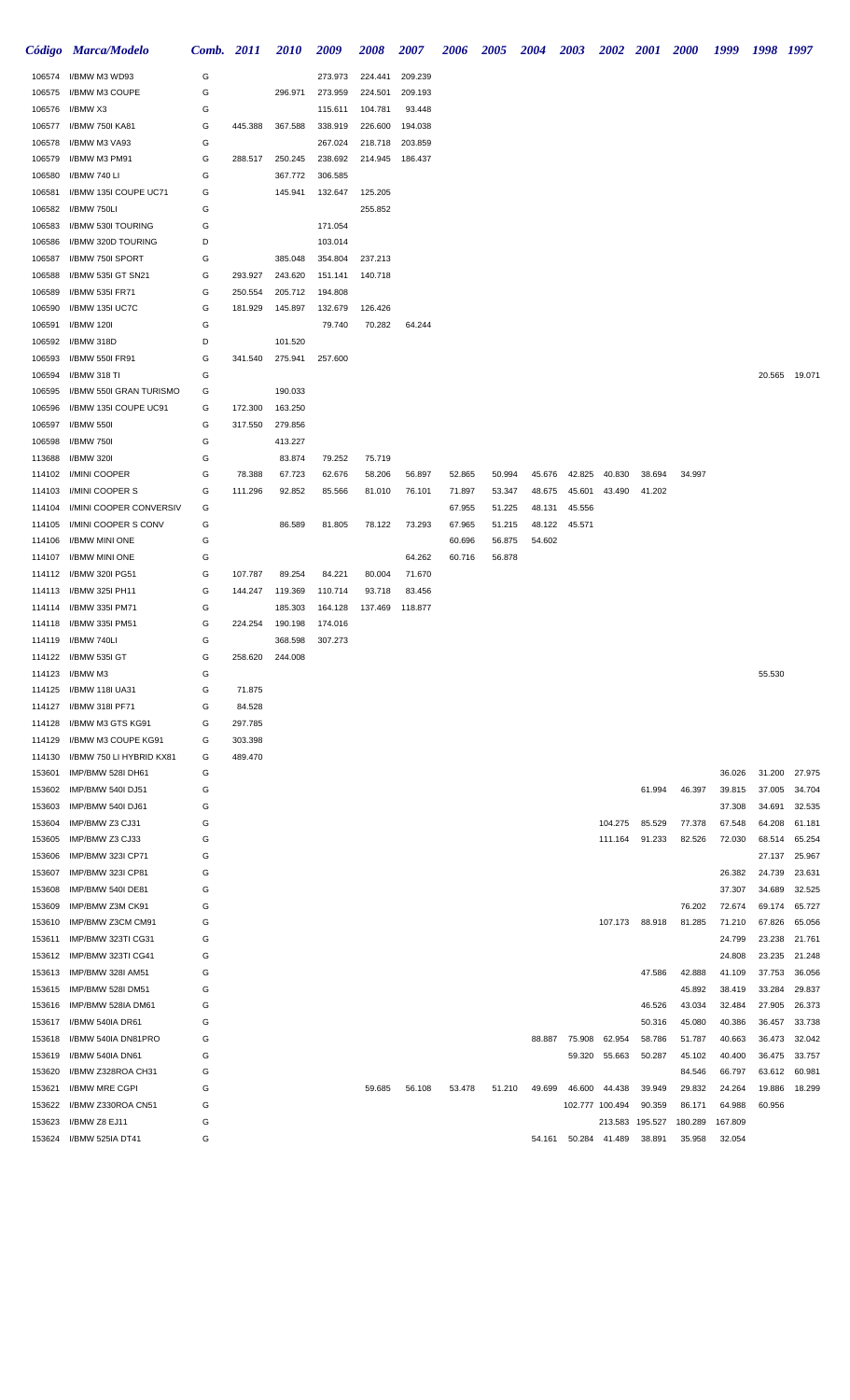|                  | Código Marca/Modelo                      | Comb. 2011 |                    | <i>2010</i>      | 2009             | <b>2008</b>      | 2007             | <b>2006</b>      | <b>2005</b>      | 2004             | <b>2003</b>      | <b>2002</b>      | <b>2001</b> 2000 |                  | 1999             | 1998 1997        |                  |
|------------------|------------------------------------------|------------|--------------------|------------------|------------------|------------------|------------------|------------------|------------------|------------------|------------------|------------------|------------------|------------------|------------------|------------------|------------------|
| 106574           | I/BMW M3 WD93                            | G          |                    |                  | 273.973          | 224.441          | 209.239          |                  |                  |                  |                  |                  |                  |                  |                  |                  |                  |
| 106575           | I/BMW M3 COUPE                           | G          |                    | 296.971          | 273.959          | 224.501          | 209.193          |                  |                  |                  |                  |                  |                  |                  |                  |                  |                  |
| 106576           | I/BMW X3                                 | G          |                    |                  | 115.611          | 104.781          | 93.448           |                  |                  |                  |                  |                  |                  |                  |                  |                  |                  |
| 106577           | I/BMW 750I KA81                          | G          | 445.388            | 367.588          | 338.919          | 226.600          | 194.038          |                  |                  |                  |                  |                  |                  |                  |                  |                  |                  |
| 106578           | I/BMW M3 VA93                            | G          |                    |                  | 267.024          | 218.718          | 203.859          |                  |                  |                  |                  |                  |                  |                  |                  |                  |                  |
| 106579           | I/BMW M3 PM91                            | G          | 288.517            | 250.245          | 238.692          | 214.945          | 186.437          |                  |                  |                  |                  |                  |                  |                  |                  |                  |                  |
| 106580           | I/BMW 740 LI                             | G          |                    | 367.772          | 306.585          |                  |                  |                  |                  |                  |                  |                  |                  |                  |                  |                  |                  |
| 106581           | I/BMW 135I COUPE UC71                    | G          |                    | 145.941          | 132.647          | 125.205          |                  |                  |                  |                  |                  |                  |                  |                  |                  |                  |                  |
| 106582<br>106583 | I/BMW 750LI<br>I/BMW 530I TOURING        | G<br>G     |                    |                  | 171.054          | 255.852          |                  |                  |                  |                  |                  |                  |                  |                  |                  |                  |                  |
| 106586           | I/BMW 320D TOURING                       | D          |                    |                  | 103.014          |                  |                  |                  |                  |                  |                  |                  |                  |                  |                  |                  |                  |
| 106587           | I/BMW 750I SPORT                         | G          |                    | 385.048          | 354.804          | 237.213          |                  |                  |                  |                  |                  |                  |                  |                  |                  |                  |                  |
| 106588           | I/BMW 535I GT SN21                       | G          | 293.927            | 243.620          | 151.141          | 140.718          |                  |                  |                  |                  |                  |                  |                  |                  |                  |                  |                  |
| 106589           | I/BMW 535I FR71                          | G          | 250.554            | 205.712          | 194.808          |                  |                  |                  |                  |                  |                  |                  |                  |                  |                  |                  |                  |
| 106590           | I/BMW 135I UC7C                          | G          | 181.929            | 145.897          | 132.679          | 126.426          |                  |                  |                  |                  |                  |                  |                  |                  |                  |                  |                  |
| 106591           | I/BMW 120I                               | G          |                    |                  | 79.740           | 70.282           | 64.244           |                  |                  |                  |                  |                  |                  |                  |                  |                  |                  |
| 106592           | I/BMW 318D                               | D          |                    | 101.520          |                  |                  |                  |                  |                  |                  |                  |                  |                  |                  |                  |                  |                  |
| 106593           | I/BMW 550I FR91                          | G          | 341.540            | 275.941          | 257.600          |                  |                  |                  |                  |                  |                  |                  |                  |                  |                  |                  |                  |
| 106594           | I/BMW 318 TI                             | G          |                    |                  |                  |                  |                  |                  |                  |                  |                  |                  |                  |                  |                  |                  | 20.565 19.071    |
| 106595           | I/BMW 550I GRAN TURISMO                  | G          |                    | 190.033          |                  |                  |                  |                  |                  |                  |                  |                  |                  |                  |                  |                  |                  |
| 106596           | I/BMW 135I COUPE UC91                    | G          | 172.300            | 163.250          |                  |                  |                  |                  |                  |                  |                  |                  |                  |                  |                  |                  |                  |
| 106597           | I/BMW 550I                               | G          | 317.550            | 279.856          |                  |                  |                  |                  |                  |                  |                  |                  |                  |                  |                  |                  |                  |
| 106598           | I/BMW 750I                               | G          |                    | 413.227          |                  |                  |                  |                  |                  |                  |                  |                  |                  |                  |                  |                  |                  |
| 113688           | I/BMW 320I                               | G          |                    | 83.874           | 79.252           | 75.719           |                  |                  |                  |                  |                  |                  |                  |                  |                  |                  |                  |
| 114102<br>114103 | I/MINI COOPER<br>I/MINI COOPER S         | G<br>G     | 78.388<br>111.296  | 67.723<br>92.852 | 62.676<br>85.566 | 58.206<br>81.010 | 56.897<br>76.101 | 52.865<br>71.897 | 50.994<br>53.347 | 45.676<br>48.675 | 42.825<br>45.601 | 40.830<br>43.490 | 38.694<br>41.202 | 34.997           |                  |                  |                  |
| 114104           | I/MINI COOPER CONVERSIV                  | G          |                    |                  |                  |                  |                  | 67.955           | 51.225           | 48.131           | 45.556           |                  |                  |                  |                  |                  |                  |
| 114105           | I/MINI COOPER S CONV                     | G          |                    | 86.589           | 81.805           | 78.122           | 73.293           | 67.965           | 51.215           | 48.122           | 45.571           |                  |                  |                  |                  |                  |                  |
| 114106           | I/BMW MINI ONE                           | G          |                    |                  |                  |                  |                  | 60.696           | 56.875           | 54.602           |                  |                  |                  |                  |                  |                  |                  |
| 114107           | I/BMW MINI ONE                           | G          |                    |                  |                  |                  | 64.262           | 60.716           | 56.878           |                  |                  |                  |                  |                  |                  |                  |                  |
| 114112           | I/BMW 320I PG51                          | G          | 107.787            | 89.254           | 84.221           | 80.004           | 71.670           |                  |                  |                  |                  |                  |                  |                  |                  |                  |                  |
| 114113           | I/BMW 325I PH11                          | G          | 144.247            | 119.369          | 110.714          | 93.718           | 83.456           |                  |                  |                  |                  |                  |                  |                  |                  |                  |                  |
| 114114           | I/BMW 335I PM71                          | G          |                    | 185.303          | 164.128          | 137.469          | 118.877          |                  |                  |                  |                  |                  |                  |                  |                  |                  |                  |
| 114118           | I/BMW 335I PM51                          | G          | 224.254            | 190.198          | 174.016          |                  |                  |                  |                  |                  |                  |                  |                  |                  |                  |                  |                  |
| 114119           | I/BMW 740LI                              | G          |                    | 368.598          | 307.273          |                  |                  |                  |                  |                  |                  |                  |                  |                  |                  |                  |                  |
|                  | 114122 I/BMW 535I GT                     | G          | 258.620            | 244.008          |                  |                  |                  |                  |                  |                  |                  |                  |                  |                  |                  |                  |                  |
| 114123           | I/BMW M3                                 | G          |                    |                  |                  |                  |                  |                  |                  |                  |                  |                  |                  |                  |                  | 55.530           |                  |
| 114125           | I/BMW 118I UA31                          | G          | 71.875             |                  |                  |                  |                  |                  |                  |                  |                  |                  |                  |                  |                  |                  |                  |
| 114127           | I/BMW 318I PF71                          | G<br>G     | 84.528             |                  |                  |                  |                  |                  |                  |                  |                  |                  |                  |                  |                  |                  |                  |
| 114128<br>114129 | I/BMW M3 GTS KG91<br>I/BMW M3 COUPE KG91 | G          | 297.785<br>303.398 |                  |                  |                  |                  |                  |                  |                  |                  |                  |                  |                  |                  |                  |                  |
| 114130           | I/BMW 750 LI HYBRID KX81                 | G          | 489.470            |                  |                  |                  |                  |                  |                  |                  |                  |                  |                  |                  |                  |                  |                  |
| 153601           | IMP/BMW 528I DH61                        | G          |                    |                  |                  |                  |                  |                  |                  |                  |                  |                  |                  |                  | 36.026           | 31.200           | 27.975           |
| 153602           | IMP/BMW 540I DJ51                        | G          |                    |                  |                  |                  |                  |                  |                  |                  |                  |                  | 61.994           | 46.397           | 39.815           | 37.005           | 34.704           |
| 153603           | IMP/BMW 540I DJ61                        | G          |                    |                  |                  |                  |                  |                  |                  |                  |                  |                  |                  |                  | 37.308           | 34.691           | 32.535           |
| 153604           | IMP/BMW Z3 CJ31                          | G          |                    |                  |                  |                  |                  |                  |                  |                  |                  | 104.275          | 85.529           | 77.378           | 67.548           | 64.208           | 61.181           |
| 153605           | IMP/BMW Z3 CJ33                          | G          |                    |                  |                  |                  |                  |                  |                  |                  |                  | 111.164          | 91.233           | 82.526           | 72.030           | 68.514           | 65.254           |
| 153606           | IMP/BMW 323I CP71                        | G          |                    |                  |                  |                  |                  |                  |                  |                  |                  |                  |                  |                  |                  | 27.137           | 25.967           |
| 153607           | IMP/BMW 323I CP81                        | G          |                    |                  |                  |                  |                  |                  |                  |                  |                  |                  |                  |                  | 26.382           | 24.739           | 23.631           |
| 153608           | IMP/BMW 540I DE81                        | G          |                    |                  |                  |                  |                  |                  |                  |                  |                  |                  |                  |                  | 37.307           | 34.689           | 32.525           |
| 153609           | IMP/BMW Z3M CK91                         | G          |                    |                  |                  |                  |                  |                  |                  |                  |                  |                  |                  | 76.202           | 72.674           | 69.174           | 65.727           |
| 153610           | IMP/BMW Z3CM CM91                        | G          |                    |                  |                  |                  |                  |                  |                  |                  |                  | 107.173          | 88.918           | 81.285           | 71.210           | 67.826           | 65.056           |
| 153611           | IMP/BMW 323TI CG31                       | G          |                    |                  |                  |                  |                  |                  |                  |                  |                  |                  |                  |                  | 24.799           | 23.238           | 21.761           |
| 153612<br>153613 | IMP/BMW 323TI CG41<br>IMP/BMW 328I AM51  | G<br>G     |                    |                  |                  |                  |                  |                  |                  |                  |                  |                  | 47.586           |                  | 24.808<br>41.109 | 23.235<br>37.753 | 21.248<br>36.056 |
| 153615           | IMP/BMW 528I DM51                        | G          |                    |                  |                  |                  |                  |                  |                  |                  |                  |                  |                  | 42.888<br>45.892 | 38.419           | 33.284           | 29.837           |
| 153616           | IMP/BMW 528IA DM61                       | G          |                    |                  |                  |                  |                  |                  |                  |                  |                  |                  | 46.526           | 43.034           | 32.484           | 27.905           | 26.373           |
| 153617           | I/BMW 540IA DR61                         | G          |                    |                  |                  |                  |                  |                  |                  |                  |                  |                  | 50.316           | 45.080           | 40.386           | 36.457           | 33.738           |
| 153618           | I/BMW 540IA DN81PRO                      | G          |                    |                  |                  |                  |                  |                  |                  | 88.887           | 75.908           | 62.954           | 58.786           | 51.787           | 40.663           | 36.473           | 32.042           |
| 153619           | I/BMW 540IA DN61                         | G          |                    |                  |                  |                  |                  |                  |                  |                  | 59.320           | 55.663           | 50.287           | 45.102           | 40.400           | 36.475           | 33.757           |
| 153620           | I/BMW Z328ROA CH31                       | G          |                    |                  |                  |                  |                  |                  |                  |                  |                  |                  |                  | 84.546           | 66.797           | 63.612           | 60.981           |
| 153621           | I/BMW MRE CGPI                           | G          |                    |                  |                  | 59.685           | 56.108           | 53.478           | 51.210           | 49.699           | 46.600           | 44.438           | 39.949           | 29.832           | 24.264           | 19.886           | 18.299           |
| 153622           | I/BMW Z330ROA CN51                       | G          |                    |                  |                  |                  |                  |                  |                  |                  |                  | 102.777 100.494  | 90.359           | 86.171           | 64.988           | 60.956           |                  |
| 153623           | I/BMW Z8 EJ11                            | G          |                    |                  |                  |                  |                  |                  |                  |                  |                  | 213.583          | 195.527          | 180.289          | 167.809          |                  |                  |
| 153624           | I/BMW 525IA DT41                         | G          |                    |                  |                  |                  |                  |                  |                  | 54.161           |                  | 50.284 41.489    | 38.891           | 35.958           | 32.054           |                  |                  |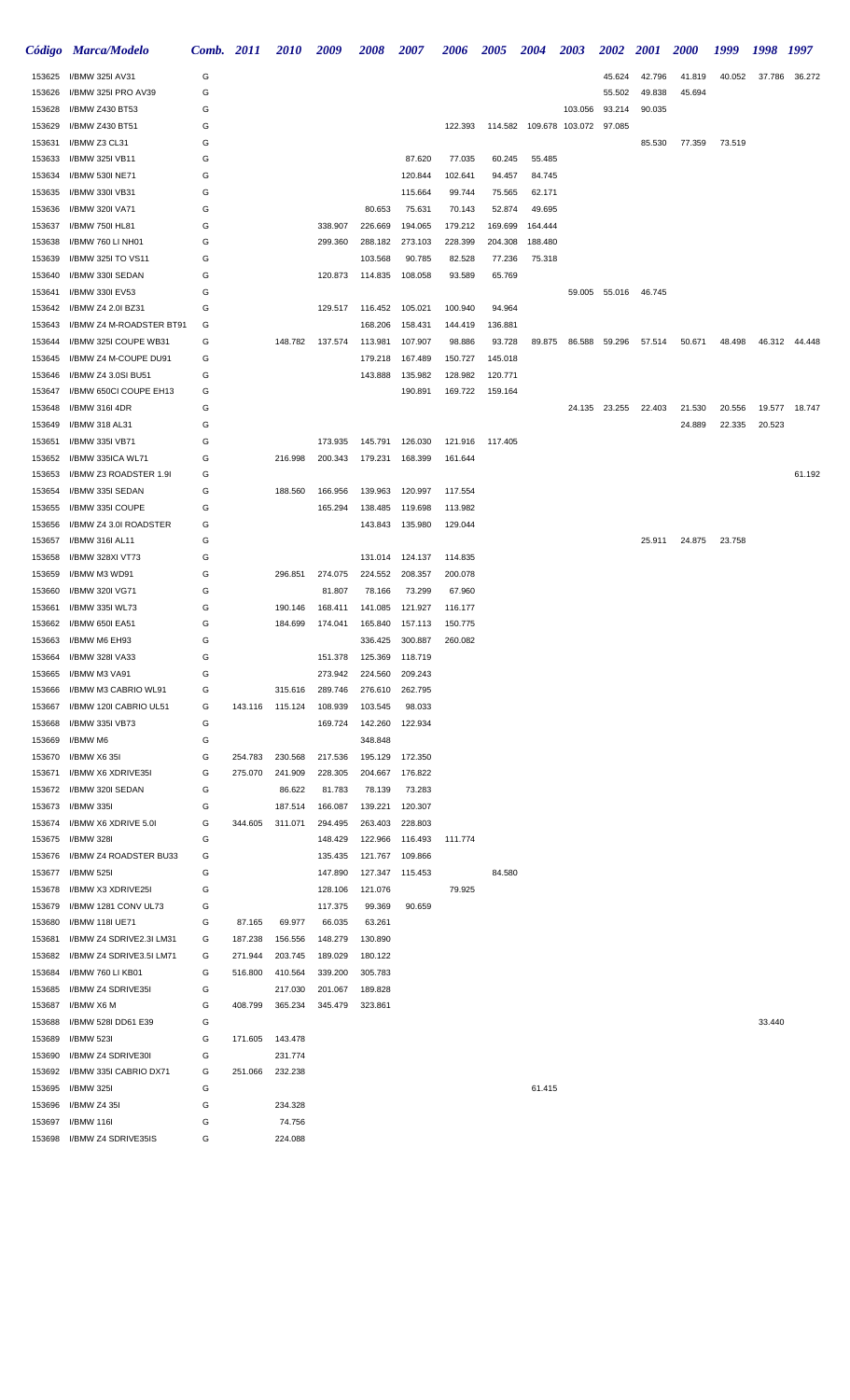|                  | Código Marca/Modelo                      | Comb. 2011 |         | <b>2010</b>        | 2009               | 2008               | 2007               | 2006              | <i><b>2005</b></i> | <b>2004</b>             | 2003    | <b>2002</b>   | <i>2001</i> | <i>2000</i> | 1999   | 1998   | - 1997        |
|------------------|------------------------------------------|------------|---------|--------------------|--------------------|--------------------|--------------------|-------------------|--------------------|-------------------------|---------|---------------|-------------|-------------|--------|--------|---------------|
| 153625           | I/BMW 325I AV31                          | G          |         |                    |                    |                    |                    |                   |                    |                         |         | 45.624        | 42.796      | 41.819      | 40.052 | 37.786 | 36.272        |
| 153626           | I/BMW 325I PRO AV39                      | G          |         |                    |                    |                    |                    |                   |                    |                         |         | 55.502        | 49.838      | 45.694      |        |        |               |
| 153628           | I/BMW Z430 BT53                          | G          |         |                    |                    |                    |                    |                   |                    |                         | 103.056 | 93.214        | 90.035      |             |        |        |               |
| 153629           | I/BMW Z430 BT51                          | G          |         |                    |                    |                    |                    | 122.393           |                    | 114.582 109.678 103.072 |         | 97.085        |             |             |        |        |               |
| 153631           | I/BMW Z3 CL31                            | G          |         |                    |                    |                    |                    |                   |                    |                         |         |               | 85.530      | 77.359      | 73.519 |        |               |
| 153633           | I/BMW 325I VB11                          | G          |         |                    |                    |                    | 87.620             | 77.035            | 60.245             | 55.485                  |         |               |             |             |        |        |               |
| 153634<br>153635 | I/BMW 530I NE71<br>I/BMW 330I VB31       | G<br>G     |         |                    |                    |                    | 120.844<br>115.664 | 102.641<br>99.744 | 94.457             | 84.745                  |         |               |             |             |        |        |               |
| 153636           | I/BMW 320I VA71                          | G          |         |                    |                    | 80.653             | 75.631             | 70.143            | 75.565<br>52.874   | 62.171<br>49.695        |         |               |             |             |        |        |               |
| 153637           | I/BMW 750I HL81                          | G          |         |                    | 338.907            | 226.669            | 194.065            | 179.212           | 169.699            | 164.444                 |         |               |             |             |        |        |               |
| 153638           | I/BMW 760 LI NH01                        | G          |         |                    | 299.360            | 288.182            | 273.103            | 228.399           | 204.308            | 188.480                 |         |               |             |             |        |        |               |
| 153639           | I/BMW 325I TO VS11                       | G          |         |                    |                    | 103.568            | 90.785             | 82.528            | 77.236             | 75.318                  |         |               |             |             |        |        |               |
| 153640           | I/BMW 330I SEDAN                         | G          |         |                    | 120.873            | 114.835            | 108.058            | 93.589            | 65.769             |                         |         |               |             |             |        |        |               |
| 153641           | I/BMW 330I EV53                          | G          |         |                    |                    |                    |                    |                   |                    |                         |         | 59.005 55.016 | 46.745      |             |        |        |               |
| 153642           | I/BMW Z4 2.0I BZ31                       | G          |         |                    | 129.517            | 116.452            | 105.021            | 100.940           | 94.964             |                         |         |               |             |             |        |        |               |
| 153643           | I/BMW Z4 M-ROADSTER BT91                 | G          |         |                    |                    | 168.206            | 158.431            | 144.419           | 136.881            |                         |         |               |             |             |        |        |               |
| 153644           | I/BMW 325I COUPE WB31                    | G          |         | 148.782            | 137.574            | 113.981            | 107.907            | 98.886            | 93.728             | 89.875                  |         | 86.588 59.296 | 57.514      | 50.671      | 48.498 |        | 46.312 44.448 |
| 153645           | I/BMW Z4 M-COUPE DU91                    | G          |         |                    |                    | 179.218            | 167.489            | 150.727           | 145.018            |                         |         |               |             |             |        |        |               |
| 153646           | I/BMW Z4 3.0SI BU51                      | G          |         |                    |                    | 143.888            | 135.982            | 128.982           | 120.771            |                         |         |               |             |             |        |        |               |
| 153647<br>153648 | I/BMW 650CI COUPE EH13<br>I/BMW 316I 4DR | G<br>G     |         |                    |                    |                    | 190.891            | 169.722           | 159.164            |                         |         | 24.135 23.255 | 22.403      | 21.530      | 20.556 |        | 19.577 18.747 |
| 153649           | I/BMW 318 AL31                           | G          |         |                    |                    |                    |                    |                   |                    |                         |         |               |             | 24.889      | 22.335 | 20.523 |               |
| 153651           | I/BMW 335I VB71                          | G          |         |                    | 173.935            | 145.791            | 126.030            | 121.916           | 117.405            |                         |         |               |             |             |        |        |               |
| 153652           | I/BMW 335ICA WL71                        | G          |         | 216.998            | 200.343            | 179.231            | 168.399            | 161.644           |                    |                         |         |               |             |             |        |        |               |
| 153653           | I/BMW Z3 ROADSTER 1.9I                   | G          |         |                    |                    |                    |                    |                   |                    |                         |         |               |             |             |        |        | 61.192        |
| 153654           | I/BMW 335I SEDAN                         | G          |         | 188.560            | 166.956            | 139.963            | 120.997            | 117.554           |                    |                         |         |               |             |             |        |        |               |
| 153655           | I/BMW 335I COUPE                         | G          |         |                    | 165.294            | 138.485            | 119.698            | 113.982           |                    |                         |         |               |             |             |        |        |               |
| 153656           | I/BMW Z4 3.0I ROADSTER                   | G          |         |                    |                    | 143.843            | 135.980            | 129.044           |                    |                         |         |               |             |             |        |        |               |
| 153657           | I/BMW 316I AL11                          | G          |         |                    |                    |                    |                    |                   |                    |                         |         |               | 25.911      | 24.875      | 23.758 |        |               |
| 153658           | I/BMW 328XI VT73                         | G          |         |                    |                    | 131.014            | 124.137            | 114.835           |                    |                         |         |               |             |             |        |        |               |
| 153659           | I/BMW M3 WD91                            | G          |         | 296.851            | 274.075            | 224.552            | 208.357            | 200.078           |                    |                         |         |               |             |             |        |        |               |
| 153660<br>153661 | I/BMW 320I VG71<br>I/BMW 335I WL73       | G<br>G     |         | 190.146            | 81.807<br>168.411  | 78.166<br>141.085  | 73.299<br>121.927  | 67.960<br>116.177 |                    |                         |         |               |             |             |        |        |               |
| 153662           | I/BMW 650I EA51                          | G          |         | 184.699            | 174.041            | 165.840            | 157.113            | 150.775           |                    |                         |         |               |             |             |        |        |               |
| 153663           | I/BMW M6 EH93                            | G          |         |                    |                    | 336.425            | 300.887            | 260.082           |                    |                         |         |               |             |             |        |        |               |
| 153664           | I/BMW 328I VA33                          | G          |         |                    | 151.378            | 125.369            | 118.719            |                   |                    |                         |         |               |             |             |        |        |               |
| 153665           | I/BMW M3 VA91                            | G          |         |                    | 273.942            | 224.560            | 209.243            |                   |                    |                         |         |               |             |             |        |        |               |
| 153666           | I/BMW M3 CABRIO WL91                     | G          |         | 315.616            | 289.746            | 276.610            | 262.795            |                   |                    |                         |         |               |             |             |        |        |               |
| 153667           | I/BMW 120I CABRIO UL51                   | G          | 143.116 | 115.124            | 108.939            | 103.545            | 98.033             |                   |                    |                         |         |               |             |             |        |        |               |
| 153668           | I/BMW 335I VB73                          | G          |         |                    | 169.724            | 142.260            | 122.934            |                   |                    |                         |         |               |             |             |        |        |               |
| 153669           | I/BMW M6                                 | G          |         |                    |                    | 348.848            |                    |                   |                    |                         |         |               |             |             |        |        |               |
| 153670           | I/BMW X6 35I                             | G          | 254.783 | 230.568            | 217.536            | 195.129            | 172.350            |                   |                    |                         |         |               |             |             |        |        |               |
| 153671           | I/BMW X6 XDRIVE35I                       | G          | 275.070 | 241.909            | 228.305            | 204.667            | 176.822            |                   |                    |                         |         |               |             |             |        |        |               |
| 153672<br>153673 | I/BMW 320I SEDAN<br>I/BMW 335I           | G<br>G     |         | 86.622<br>187.514  | 81.783<br>166.087  | 78.139<br>139.221  | 73.283<br>120.307  |                   |                    |                         |         |               |             |             |        |        |               |
| 153674           | I/BMW X6 XDRIVE 5.0I                     | G          | 344.605 | 311.071            | 294.495            | 263.403            | 228.803            |                   |                    |                         |         |               |             |             |        |        |               |
| 153675           | I/BMW 328I                               | G          |         |                    | 148.429            | 122.966            | 116.493            | 111.774           |                    |                         |         |               |             |             |        |        |               |
| 153676           | I/BMW Z4 ROADSTER BU33                   | G          |         |                    | 135.435            | 121.767            | 109.866            |                   |                    |                         |         |               |             |             |        |        |               |
| 153677           | I/BMW 525I                               | G          |         |                    | 147.890            |                    | 127.347 115.453    |                   | 84.580             |                         |         |               |             |             |        |        |               |
| 153678           | I/BMW X3 XDRIVE25I                       | G          |         |                    | 128.106            | 121.076            |                    | 79.925            |                    |                         |         |               |             |             |        |        |               |
| 153679           | I/BMW 1281 CONV UL73                     | G          |         |                    | 117.375            | 99.369             | 90.659             |                   |                    |                         |         |               |             |             |        |        |               |
| 153680           | I/BMW 118I UE71                          | G          | 87.165  | 69.977             | 66.035             | 63.261             |                    |                   |                    |                         |         |               |             |             |        |        |               |
| 153681           | I/BMW Z4 SDRIVE2.3I LM31                 | G          | 187.238 | 156.556            | 148.279            | 130.890            |                    |                   |                    |                         |         |               |             |             |        |        |               |
| 153682           | I/BMW Z4 SDRIVE3.5I LM71                 | G          | 271.944 | 203.745            | 189.029            | 180.122            |                    |                   |                    |                         |         |               |             |             |        |        |               |
| 153684<br>153685 | I/BMW 760 LI KB01<br>I/BMW Z4 SDRIVE35I  | G<br>G     | 516.800 | 410.564<br>217.030 | 339.200<br>201.067 | 305.783<br>189.828 |                    |                   |                    |                         |         |               |             |             |        |        |               |
| 153687           | I/BMW X6 M                               | G          | 408.799 | 365.234            | 345.479            | 323.861            |                    |                   |                    |                         |         |               |             |             |        |        |               |
| 153688           | I/BMW 528I DD61 E39                      | G          |         |                    |                    |                    |                    |                   |                    |                         |         |               |             |             |        | 33.440 |               |
| 153689           | I/BMW 523I                               | G          | 171.605 | 143.478            |                    |                    |                    |                   |                    |                         |         |               |             |             |        |        |               |
| 153690           | I/BMW Z4 SDRIVE30I                       | G          |         | 231.774            |                    |                    |                    |                   |                    |                         |         |               |             |             |        |        |               |
| 153692           | I/BMW 335I CABRIO DX71                   | G          | 251.066 | 232.238            |                    |                    |                    |                   |                    |                         |         |               |             |             |        |        |               |
| 153695           | I/BMW 325I                               | G          |         |                    |                    |                    |                    |                   |                    | 61.415                  |         |               |             |             |        |        |               |
| 153696           | I/BMW Z4 35I                             | G          |         | 234.328            |                    |                    |                    |                   |                    |                         |         |               |             |             |        |        |               |
| 153697           | I/BMW 116I                               | G          |         | 74.756             |                    |                    |                    |                   |                    |                         |         |               |             |             |        |        |               |
| 153698           | I/BMW Z4 SDRIVE35IS                      | G          |         | 224.088            |                    |                    |                    |                   |                    |                         |         |               |             |             |        |        |               |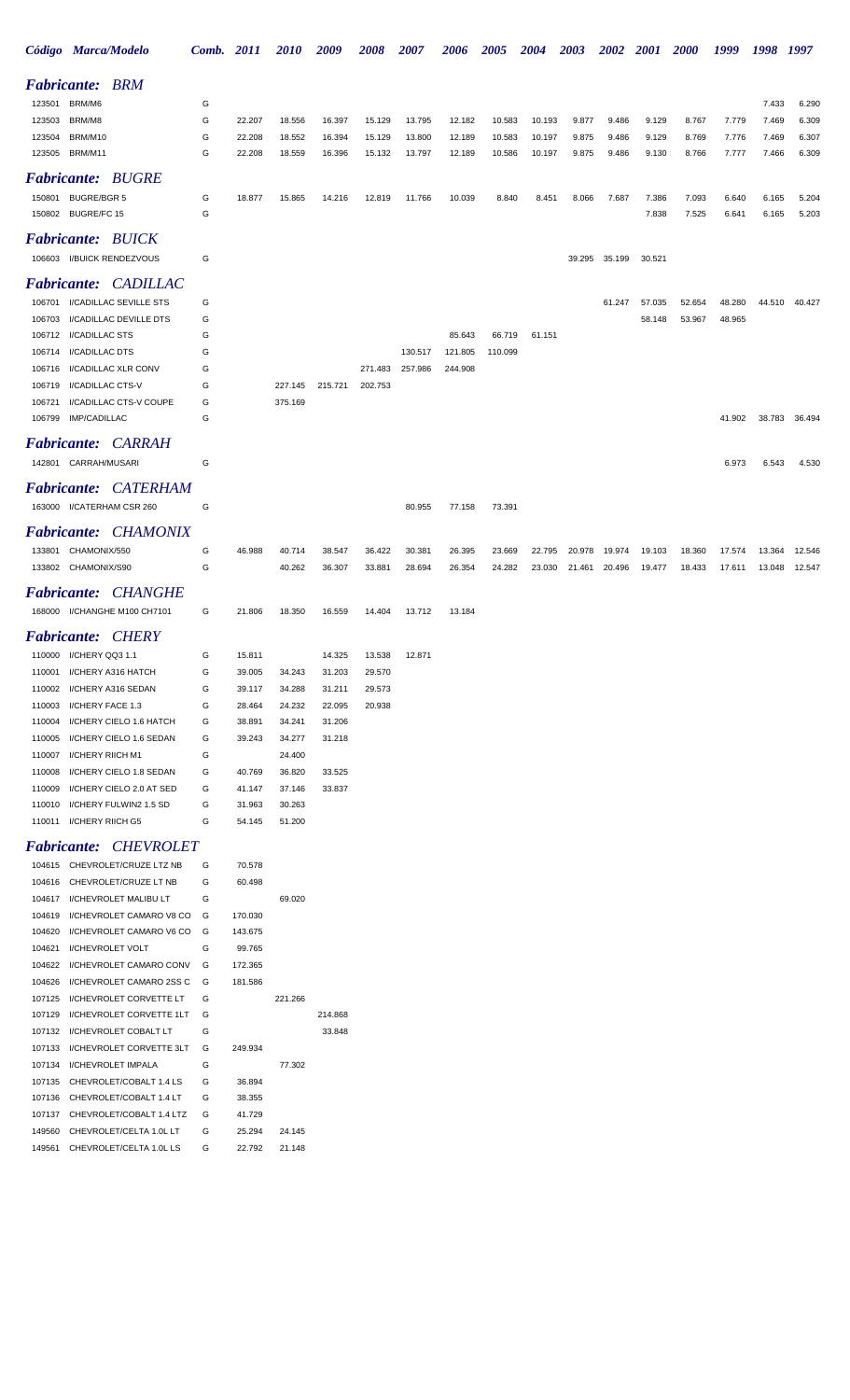|                  | Código Marca/Modelo                                       |                                   | Comb. 2011 |         | <i>2010</i>      | 2009              | 2008             | 2007             | 2006             | 2005             | <b>2004</b>      | 2003             | <b>2002</b>      | <b>2001</b>      | <b>2000</b>      | 1999             | 1998             | 1997             |
|------------------|-----------------------------------------------------------|-----------------------------------|------------|---------|------------------|-------------------|------------------|------------------|------------------|------------------|------------------|------------------|------------------|------------------|------------------|------------------|------------------|------------------|
|                  | <b>Fabricante: BRM</b>                                    |                                   |            |         |                  |                   |                  |                  |                  |                  |                  |                  |                  |                  |                  |                  |                  |                  |
| 123501           | BRM/M6                                                    |                                   | G          |         |                  |                   |                  |                  |                  |                  |                  |                  |                  |                  |                  |                  | 7.433            | 6.290            |
| 123503           | BRM/M8                                                    |                                   | G          | 22.207  | 18.556           | 16.397            | 15.129           | 13.795           | 12.182           | 10.583           | 10.193           | 9.877            | 9.486            | 9.129            | 8.767            | 7.779            | 7.469            | 6.309            |
| 123504           | BRM/M10                                                   |                                   | G          | 22.208  | 18.552           | 16.394            | 15.129           | 13.800           | 12.189           | 10.583           | 10.197           | 9.875            | 9.486            | 9.129            | 8.769            | 7.776            | 7.469            | 6.307            |
|                  | 123505 BRM/M11                                            |                                   | G          | 22.208  | 18.559           | 16.396            | 15.132           | 13.797           | 12.189           | 10.586           | 10.197           | 9.875            | 9.486            | 9.130            | 8.766            | 7.777            | 7.466            | 6.309            |
|                  | <b>Fabricante: BUGRE</b>                                  |                                   |            |         |                  |                   |                  |                  |                  |                  |                  |                  |                  |                  |                  |                  |                  |                  |
|                  | 150801 BUGRE/BGR 5                                        |                                   | G          | 18.877  | 15.865           | 14.216            | 12.819           | 11.766           | 10.039           | 8.840            | 8.451            | 8.066            | 7.687            | 7.386            | 7.093            | 6.640            | 6.165            | 5.204            |
|                  | 150802 BUGRE/FC 15                                        |                                   | G          |         |                  |                   |                  |                  |                  |                  |                  |                  |                  | 7.838            | 7.525            | 6.641            | 6.165            | 5.203            |
|                  | <b>Fabricante: BUICK</b>                                  |                                   |            |         |                  |                   |                  |                  |                  |                  |                  |                  |                  |                  |                  |                  |                  |                  |
|                  | 106603 I/BUICK RENDEZVOUS                                 |                                   | G          |         |                  |                   |                  |                  |                  |                  |                  | 39.295           | 35.199           | 30.521           |                  |                  |                  |                  |
|                  |                                                           | <b>Fabricante: CADILLAC</b>       |            |         |                  |                   |                  |                  |                  |                  |                  |                  |                  |                  |                  |                  |                  |                  |
|                  | I/CADILLAC SEVILLE STS                                    |                                   |            |         |                  |                   |                  |                  |                  |                  |                  |                  |                  |                  |                  |                  |                  |                  |
| 106701<br>106703 | I/CADILLAC DEVILLE DTS                                    |                                   | G<br>G     |         |                  |                   |                  |                  |                  |                  |                  |                  | 61.247           | 57.035<br>58.148 | 52.654<br>53.967 | 48.280<br>48.965 | 44.510           | 40.427           |
|                  | 106712 I/CADILLAC STS                                     |                                   | G          |         |                  |                   |                  |                  | 85.643           | 66.719           | 61.151           |                  |                  |                  |                  |                  |                  |                  |
| 106714           | I/CADILLAC DTS                                            |                                   | G          |         |                  |                   |                  | 130.517          | 121.805          | 110.099          |                  |                  |                  |                  |                  |                  |                  |                  |
| 106716           | I/CADILLAC XLR CONV                                       |                                   | G          |         |                  |                   | 271.483          | 257.986          | 244.908          |                  |                  |                  |                  |                  |                  |                  |                  |                  |
| 106719           | I/CADILLAC CTS-V                                          |                                   | G          |         | 227.145          | 215.721           | 202.753          |                  |                  |                  |                  |                  |                  |                  |                  |                  |                  |                  |
| 106721           | I/CADILLAC CTS-V COUPE                                    |                                   | G          |         | 375.169          |                   |                  |                  |                  |                  |                  |                  |                  |                  |                  |                  |                  |                  |
| 106799           | <b>IMP/CADILLAC</b>                                       |                                   | G          |         |                  |                   |                  |                  |                  |                  |                  |                  |                  |                  |                  | 41.902           | 38.783           | 36.494           |
|                  | <b>Fabricante: CARRAH</b>                                 |                                   |            |         |                  |                   |                  |                  |                  |                  |                  |                  |                  |                  |                  |                  |                  |                  |
|                  | 142801 CARRAH/MUSARI                                      |                                   | G          |         |                  |                   |                  |                  |                  |                  |                  |                  |                  |                  |                  | 6.973            | 6.543            | 4.530            |
|                  |                                                           | <b>Fabricante: CATERHAM</b>       |            |         |                  |                   |                  |                  |                  |                  |                  |                  |                  |                  |                  |                  |                  |                  |
|                  | 163000 I/CATERHAM CSR 260                                 |                                   | G          |         |                  |                   |                  | 80.955           | 77.158           | 73.391           |                  |                  |                  |                  |                  |                  |                  |                  |
|                  |                                                           |                                   |            |         |                  |                   |                  |                  |                  |                  |                  |                  |                  |                  |                  |                  |                  |                  |
|                  |                                                           | <b>Fabricante: CHAMONIX</b>       |            |         |                  |                   |                  |                  |                  |                  |                  |                  |                  |                  |                  |                  |                  |                  |
|                  | 133801 CHAMONIX/550<br>133802 CHAMONIX/S90                |                                   | G<br>G     | 46.988  | 40.714<br>40.262 | 38.547<br>36.307  | 36.422<br>33.881 | 30.381<br>28.694 | 26.395<br>26.354 | 23.669<br>24.282 | 22.795<br>23.030 | 20.978<br>21.461 | 19.974<br>20.496 | 19.103<br>19.477 | 18.360<br>18.433 | 17.574<br>17.611 | 13.364<br>13.048 | 12.546<br>12.547 |
|                  |                                                           |                                   |            |         |                  |                   |                  |                  |                  |                  |                  |                  |                  |                  |                  |                  |                  |                  |
|                  | <i><b>Fabricante:</b></i>                                 | <b>CHANGHE</b>                    |            |         |                  |                   |                  |                  |                  |                  |                  |                  |                  |                  |                  |                  |                  |                  |
|                  | 168000 I/CHANGHE M100 CH7101                              |                                   | G          | 21.806  | 18.350           | 16.559            | 14.404           | 13.712           | 13.184           |                  |                  |                  |                  |                  |                  |                  |                  |                  |
|                  | <i><b>Fabricante:</b></i>                                 | <b>CHERY</b>                      |            |         |                  |                   |                  |                  |                  |                  |                  |                  |                  |                  |                  |                  |                  |                  |
|                  | 110000 I/CHERY QQ3 1.1                                    |                                   | G          | 15.811  |                  | 14.325            | 13.538           | 12.871           |                  |                  |                  |                  |                  |                  |                  |                  |                  |                  |
|                  | 110001 I/CHERY A316 HATCH                                 |                                   | G          | 39.005  | 34.243           | 31.203            | 29.570           |                  |                  |                  |                  |                  |                  |                  |                  |                  |                  |                  |
|                  | 110002 I/CHERY A316 SEDAN                                 |                                   | G          | 39.117  | 34.288           | 31.211            | 29.573           |                  |                  |                  |                  |                  |                  |                  |                  |                  |                  |                  |
|                  | 110003 I/CHERY FACE 1.3                                   |                                   | G          | 28.464  | 24.232           | 22.095            | 20.938           |                  |                  |                  |                  |                  |                  |                  |                  |                  |                  |                  |
|                  | 110004 I/CHERY CIELO 1.6 HATCH                            |                                   | G          | 38.891  | 34.241           | 31.206            |                  |                  |                  |                  |                  |                  |                  |                  |                  |                  |                  |                  |
|                  | 110005 I/CHERY CIELO 1.6 SEDAN<br>110007 I/CHERY RIICH M1 |                                   | G<br>G     | 39.243  | 34.277           | 31.218            |                  |                  |                  |                  |                  |                  |                  |                  |                  |                  |                  |                  |
|                  | 110008 I/CHERY CIELO 1.8 SEDAN                            |                                   | G          | 40.769  | 24.400<br>36.820 | 33.525            |                  |                  |                  |                  |                  |                  |                  |                  |                  |                  |                  |                  |
|                  | 110009 I/CHERY CIELO 2.0 AT SED                           |                                   | G          | 41.147  | 37.146           | 33.837            |                  |                  |                  |                  |                  |                  |                  |                  |                  |                  |                  |                  |
|                  | 110010 I/CHERY FULWIN2 1.5 SD                             |                                   | G          | 31.963  | 30.263           |                   |                  |                  |                  |                  |                  |                  |                  |                  |                  |                  |                  |                  |
|                  | 110011 I/CHERY RIICH G5                                   |                                   | G          | 54.145  | 51.200           |                   |                  |                  |                  |                  |                  |                  |                  |                  |                  |                  |                  |                  |
|                  |                                                           | <b>Fabricante: CHEVROLET</b>      |            |         |                  |                   |                  |                  |                  |                  |                  |                  |                  |                  |                  |                  |                  |                  |
|                  |                                                           | 104615 CHEVROLET/CRUZE LTZ NB     | G          | 70.578  |                  |                   |                  |                  |                  |                  |                  |                  |                  |                  |                  |                  |                  |                  |
|                  | 104616 CHEVROLET/CRUZE LT NB                              |                                   | G          | 60.498  |                  |                   |                  |                  |                  |                  |                  |                  |                  |                  |                  |                  |                  |                  |
|                  | 104617 I/CHEVROLET MALIBU LT                              |                                   | G          |         | 69.020           |                   |                  |                  |                  |                  |                  |                  |                  |                  |                  |                  |                  |                  |
|                  |                                                           | 104619 I/CHEVROLET CAMARO V8 CO G |            | 170.030 |                  |                   |                  |                  |                  |                  |                  |                  |                  |                  |                  |                  |                  |                  |
|                  |                                                           | 104620 I/CHEVROLET CAMARO V6 CO G |            | 143.675 |                  |                   |                  |                  |                  |                  |                  |                  |                  |                  |                  |                  |                  |                  |
|                  | 104621 I/CHEVROLET VOLT                                   |                                   | G          | 99.765  |                  |                   |                  |                  |                  |                  |                  |                  |                  |                  |                  |                  |                  |                  |
|                  |                                                           | 104622 I/CHEVROLET CAMARO CONV    | G          | 172.365 |                  |                   |                  |                  |                  |                  |                  |                  |                  |                  |                  |                  |                  |                  |
| 104626           |                                                           | I/CHEVROLET CAMARO 2SS C G        |            | 181.586 |                  |                   |                  |                  |                  |                  |                  |                  |                  |                  |                  |                  |                  |                  |
|                  |                                                           | 107125 I/CHEVROLET CORVETTE LT    | G          |         | 221.266          |                   |                  |                  |                  |                  |                  |                  |                  |                  |                  |                  |                  |                  |
|                  | 107132 I/CHEVROLET COBALT LT                              | 107129 I/CHEVROLET CORVETTE 1LT   | G<br>G     |         |                  | 214.868<br>33.848 |                  |                  |                  |                  |                  |                  |                  |                  |                  |                  |                  |                  |
|                  |                                                           | 107133 I/CHEVROLET CORVETTE 3LT   | G          | 249.934 |                  |                   |                  |                  |                  |                  |                  |                  |                  |                  |                  |                  |                  |                  |
|                  | 107134 I/CHEVROLET IMPALA                                 |                                   | G          |         | 77.302           |                   |                  |                  |                  |                  |                  |                  |                  |                  |                  |                  |                  |                  |
|                  |                                                           | 107135 CHEVROLET/COBALT 1.4 LS    | G          | 36.894  |                  |                   |                  |                  |                  |                  |                  |                  |                  |                  |                  |                  |                  |                  |
|                  |                                                           | 107136 CHEVROLET/COBALT 1.4 LT    | G          | 38.355  |                  |                   |                  |                  |                  |                  |                  |                  |                  |                  |                  |                  |                  |                  |
|                  |                                                           | 107137 CHEVROLET/COBALT 1.4 LTZ   | G          | 41.729  |                  |                   |                  |                  |                  |                  |                  |                  |                  |                  |                  |                  |                  |                  |
|                  | 149560 CHEVROLET/CELTA 1.0L LT                            |                                   | G          | 25.294  | 24.145           |                   |                  |                  |                  |                  |                  |                  |                  |                  |                  |                  |                  |                  |
|                  | 149561 CHEVROLET/CELTA 1.0L LS                            |                                   | G          | 22.792  | 21.148           |                   |                  |                  |                  |                  |                  |                  |                  |                  |                  |                  |                  |                  |
|                  |                                                           |                                   |            |         |                  |                   |                  |                  |                  |                  |                  |                  |                  |                  |                  |                  |                  |                  |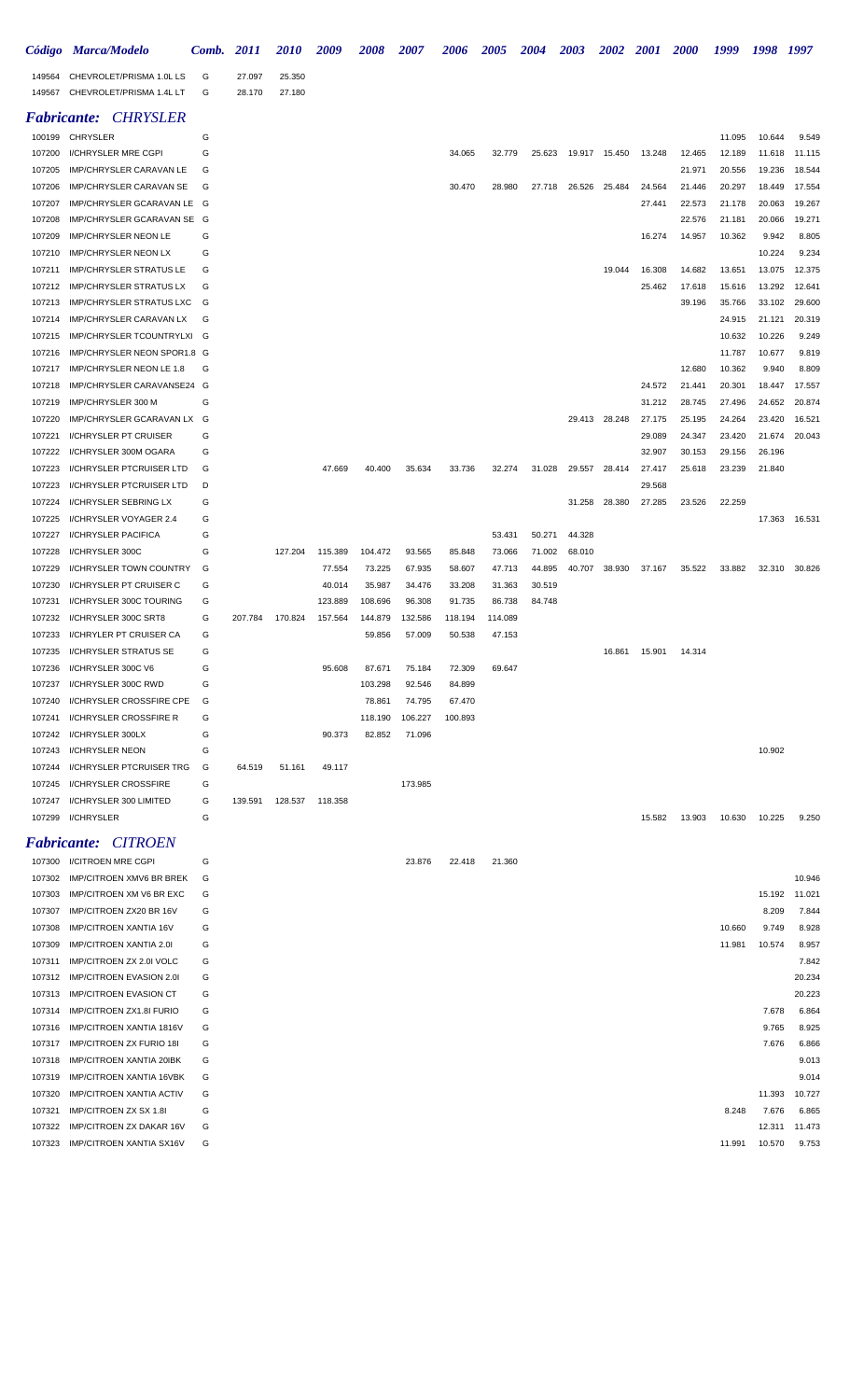|                  | Código Marca/Modelo                                         | Comb.  | <b>2011</b>      | 2010             | 2009    | 2008              | <i><b>2007</b></i> | 2006              | <b>2005</b>       | 2004   | 2003   | <b>2002</b>   | <b>2001</b> | <b>2000</b> | 1999             | 1998             | 1997            |
|------------------|-------------------------------------------------------------|--------|------------------|------------------|---------|-------------------|--------------------|-------------------|-------------------|--------|--------|---------------|-------------|-------------|------------------|------------------|-----------------|
| 149564           | CHEVROLET/PRISMA 1.0L LS<br>149567 CHEVROLET/PRISMA 1.4L LT | G<br>G | 27.097<br>28.170 | 25.350<br>27.180 |         |                   |                    |                   |                   |        |        |               |             |             |                  |                  |                 |
|                  | <b>Fabricante: CHRYSLER</b>                                 |        |                  |                  |         |                   |                    |                   |                   |        |        |               |             |             |                  |                  |                 |
| 100199           | CHRYSLER                                                    | G      |                  |                  |         |                   |                    |                   |                   |        |        |               |             |             | 11.095           | 10.644           | 9.549           |
| 107200           | I/CHRYSLER MRE CGPI                                         | G      |                  |                  |         |                   |                    | 34.065            | 32.779            | 25.623 |        | 19.917 15.450 | 13.248      | 12.465      | 12.189           | 11.618           | 11.115          |
| 107205           | IMP/CHRYSLER CARAVAN LE                                     | G      |                  |                  |         |                   |                    |                   |                   |        |        |               |             | 21.971      | 20.556           | 19.236           | 18.544          |
| 107206           | IMP/CHRYSLER CARAVAN SE                                     | G      |                  |                  |         |                   |                    | 30.470            | 28.980            | 27.718 | 26.526 | 25.484        | 24.564      | 21.446      | 20.297           | 18.449           | 17.554          |
| 107207           | IMP/CHRYSLER GCARAVAN LE G                                  |        |                  |                  |         |                   |                    |                   |                   |        |        |               | 27.441      | 22.573      | 21.178           | 20.063           | 19.267          |
| 107208           | IMP/CHRYSLER GCARAVAN SE G                                  |        |                  |                  |         |                   |                    |                   |                   |        |        |               |             | 22.576      | 21.181           | 20.066           | 19.271          |
| 107209           | <b>IMP/CHRYSLER NEON LE</b>                                 | G      |                  |                  |         |                   |                    |                   |                   |        |        |               | 16.274      | 14.957      | 10.362           | 9.942            | 8.805           |
| 107210           | <b>IMP/CHRYSLER NEON LX</b>                                 | G      |                  |                  |         |                   |                    |                   |                   |        |        |               |             |             |                  | 10.224           | 9.234           |
| 107211           | <b>IMP/CHRYSLER STRATUS LE</b>                              | G      |                  |                  |         |                   |                    |                   |                   |        |        | 19.044        | 16.308      | 14.682      | 13.651           | 13.075           | 12.375          |
| 107212           | <b>IMP/CHRYSLER STRATUS LX</b>                              | G      |                  |                  |         |                   |                    |                   |                   |        |        |               | 25.462      | 17.618      | 15.616           | 13.292           | 12.641          |
| 107213           | IMP/CHRYSLER STRATUS LXC                                    | G      |                  |                  |         |                   |                    |                   |                   |        |        |               |             | 39.196      | 35.766           | 33.102           | 29.600          |
| 107214           | IMP/CHRYSLER CARAVAN LX                                     | G      |                  |                  |         |                   |                    |                   |                   |        |        |               |             |             | 24.915<br>10.632 | 21.121           | 20.319<br>9.249 |
| 107215<br>107216 | IMP/CHRYSLER TCOUNTRYLXI G<br>IMP/CHRYSLER NEON SPOR1.8 G   |        |                  |                  |         |                   |                    |                   |                   |        |        |               |             |             | 11.787           | 10.226<br>10.677 | 9.819           |
| 107217           | IMP/CHRYSLER NEON LE 1.8                                    | G      |                  |                  |         |                   |                    |                   |                   |        |        |               |             | 12.680      | 10.362           | 9.940            | 8.809           |
| 107218           | IMP/CHRYSLER CARAVANSE24 G                                  |        |                  |                  |         |                   |                    |                   |                   |        |        |               | 24.572      | 21.441      | 20.301           | 18.447           | 17.557          |
| 107219           | IMP/CHRYSLER 300 M                                          | G      |                  |                  |         |                   |                    |                   |                   |        |        |               | 31.212      | 28.745      | 27.496           | 24.652           | 20.874          |
| 107220           | IMP/CHRYSLER GCARAVAN LX G                                  |        |                  |                  |         |                   |                    |                   |                   |        | 29.413 | 28.248        | 27.175      | 25.195      | 24.264           | 23.420           | 16.521          |
| 107221           | I/CHRYSLER PT CRUISER                                       | G      |                  |                  |         |                   |                    |                   |                   |        |        |               | 29.089      | 24.347      | 23.420           | 21.674           | 20.043          |
| 107222           | I/CHRYSLER 300M OGARA                                       | G      |                  |                  |         |                   |                    |                   |                   |        |        |               | 32.907      | 30.153      | 29.156           | 26.196           |                 |
| 107223           | I/CHRYSLER PTCRUISER LTD                                    | G      |                  |                  | 47.669  | 40.400            | 35.634             | 33.736            | 32.274            | 31.028 | 29.557 | 28.414        | 27.417      | 25.618      | 23.239           | 21.840           |                 |
| 107223           | I/CHRYSLER PTCRUISER LTD                                    | D      |                  |                  |         |                   |                    |                   |                   |        |        |               | 29.568      |             |                  |                  |                 |
| 107224           | I/CHRYSLER SEBRING LX                                       | G      |                  |                  |         |                   |                    |                   |                   |        | 31.258 | 28.380        | 27.285      | 23.526      | 22.259           |                  |                 |
| 107225           | I/CHRYSLER VOYAGER 2.4                                      | G      |                  |                  |         |                   |                    |                   |                   |        |        |               |             |             |                  | 17.363           | 16.531          |
| 107227           | I/CHRYSLER PACIFICA                                         | G      |                  |                  |         |                   |                    |                   | 53.431            | 50.271 | 44.328 |               |             |             |                  |                  |                 |
| 107228           | I/CHRYSLER 300C                                             | G      |                  | 127.204          | 115.389 | 104.472           | 93.565             | 85.848            | 73.066            | 71.002 | 68.010 |               |             |             |                  |                  |                 |
| 107229           | I/CHRYSLER TOWN COUNTRY                                     | G      |                  |                  | 77.554  | 73.225            | 67.935             | 58.607            | 47.713            | 44.895 | 40.707 | 38.930        | 37.167      | 35.522      | 33.882           | 32.310           | 30.826          |
| 107230           | I/CHRYSLER PT CRUISER C                                     | G      |                  |                  | 40.014  | 35.987            | 34.476             | 33.208            | 31.363            | 30.519 |        |               |             |             |                  |                  |                 |
| 107231<br>107232 | I/CHRYSLER 300C TOURING                                     | G<br>G |                  |                  | 123.889 | 108.696           | 96.308             | 91.735            | 86.738            | 84.748 |        |               |             |             |                  |                  |                 |
| 107233           | I/CHRYSLER 300C SRT8<br>I/CHRYLER PT CRUISER CA             | G      | 207.784          | 170.824          | 157.564 | 144.879<br>59.856 | 132.586<br>57.009  | 118.194<br>50.538 | 114.089<br>47.153 |        |        |               |             |             |                  |                  |                 |
| 107235           | I/CHRYSLER STRATUS SE                                       | G      |                  |                  |         |                   |                    |                   |                   |        |        | 16.861        | 15.901      | 14.314      |                  |                  |                 |
| 107236           | I/CHRYSLER 300C V6                                          | G      |                  |                  | 95.608  | 87.671            | 75.184             | 72.309            | 69.647            |        |        |               |             |             |                  |                  |                 |
|                  | 107237 I/CHRYSLER 300C RWD                                  | G      |                  |                  |         | 103.298           | 92.546             | 84.899            |                   |        |        |               |             |             |                  |                  |                 |
| 107240           | I/CHRYSLER CROSSFIRE CPE                                    | G      |                  |                  |         | 78.861            | 74.795             | 67.470            |                   |        |        |               |             |             |                  |                  |                 |
| 107241           | I/CHRYSLER CROSSFIRE R                                      | G      |                  |                  |         | 118.190           | 106.227            | 100.893           |                   |        |        |               |             |             |                  |                  |                 |
|                  | 107242 I/CHRYSLER 300LX                                     | G      |                  |                  | 90.373  | 82.852            | 71.096             |                   |                   |        |        |               |             |             |                  |                  |                 |
|                  | 107243 I/CHRYSLER NEON                                      | G      |                  |                  |         |                   |                    |                   |                   |        |        |               |             |             |                  | 10.902           |                 |
|                  | 107244 I/CHRYSLER PTCRUISER TRG                             | G      | 64.519           | 51.161           | 49.117  |                   |                    |                   |                   |        |        |               |             |             |                  |                  |                 |
|                  | 107245 I/CHRYSLER CROSSFIRE                                 | G      |                  |                  |         |                   | 173.985            |                   |                   |        |        |               |             |             |                  |                  |                 |
|                  | 107247 I/CHRYSLER 300 LIMITED                               | G      | 139.591          | 128.537          | 118.358 |                   |                    |                   |                   |        |        |               |             |             |                  |                  |                 |
|                  | 107299 I/CHRYSLER                                           | G      |                  |                  |         |                   |                    |                   |                   |        |        |               | 15.582      | 13.903      | 10.630           | 10.225           | 9.250           |
|                  | <b>Fabricante: CITROEN</b>                                  |        |                  |                  |         |                   |                    |                   |                   |        |        |               |             |             |                  |                  |                 |
|                  | 107300 I/CITROEN MRE CGPI                                   | G      |                  |                  |         |                   | 23.876             | 22.418            | 21.360            |        |        |               |             |             |                  |                  |                 |
| 107302           | IMP/CITROEN XMV6 BR BREK                                    | G      |                  |                  |         |                   |                    |                   |                   |        |        |               |             |             |                  |                  | 10.946          |
| 107303           | IMP/CITROEN XM V6 BR EXC                                    | G      |                  |                  |         |                   |                    |                   |                   |        |        |               |             |             |                  | 15.192           | 11.021          |
| 107307           | IMP/CITROEN ZX20 BR 16V                                     | G      |                  |                  |         |                   |                    |                   |                   |        |        |               |             |             |                  | 8.209            | 7.844           |
| 107308           | <b>IMP/CITROEN XANTIA 16V</b>                               | G      |                  |                  |         |                   |                    |                   |                   |        |        |               |             |             | 10.660           | 9.749            | 8.928           |
| 107309           | IMP/CITROEN XANTIA 2.0I                                     | G      |                  |                  |         |                   |                    |                   |                   |        |        |               |             |             | 11.981           | 10.574           | 8.957           |
| 107311           | IMP/CITROEN ZX 2.0I VOLC                                    | G      |                  |                  |         |                   |                    |                   |                   |        |        |               |             |             |                  |                  | 7.842           |
|                  | 107312 IMP/CITROEN EVASION 2.01                             | G      |                  |                  |         |                   |                    |                   |                   |        |        |               |             |             |                  |                  | 20.234          |
|                  | 107313 IMP/CITROEN EVASION CT                               | G      |                  |                  |         |                   |                    |                   |                   |        |        |               |             |             |                  |                  | 20.223          |
|                  | 107314 IMP/CITROEN ZX1.8I FURIO                             | G      |                  |                  |         |                   |                    |                   |                   |        |        |               |             |             |                  | 7.678            | 6.864           |
| 107316           | IMP/CITROEN XANTIA 1816V                                    | G      |                  |                  |         |                   |                    |                   |                   |        |        |               |             |             |                  | 9.765            | 8.925           |
|                  | 107317 IMP/CITROEN ZX FURIO 181                             | G      |                  |                  |         |                   |                    |                   |                   |        |        |               |             |             |                  | 7.676            | 6.866           |
| 107318           | IMP/CITROEN XANTIA 20IBK                                    | G      |                  |                  |         |                   |                    |                   |                   |        |        |               |             |             |                  |                  | 9.013           |
| 107319           | IMP/CITROEN XANTIA 16VBK                                    | G      |                  |                  |         |                   |                    |                   |                   |        |        |               |             |             |                  |                  | 9.014           |
|                  | 107320 IMP/CITROEN XANTIA ACTIV                             | G      |                  |                  |         |                   |                    |                   |                   |        |        |               |             |             |                  | 11.393           | 10.727          |

 IMP/CITROEN ZX SX 1.8I G 8.248 7.676 6.865 IMP/CITROEN ZX DAKAR 16V G 12.311 11.473 IMP/CITROEN XANTIA SX16V G 11.991 10.570 9.753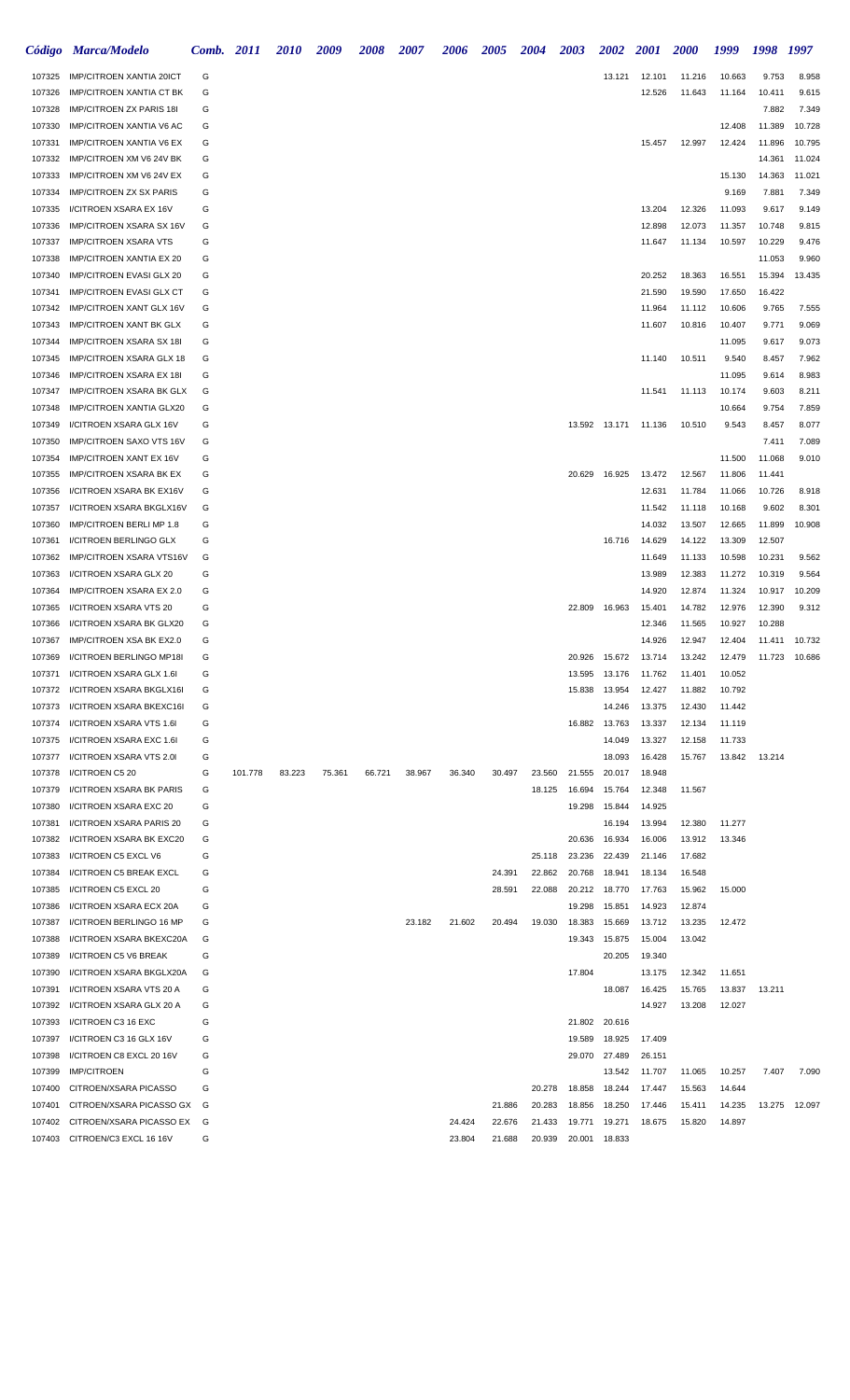|                  | Código Marca/Modelo                                               | Comb.  | <i>2011</i> | <i>2010</i> | 2009   | 2008   | 2007   | <i><b>2006</b></i> | <b>2005</b> | <b>2004</b> | <b>2003</b>      | <b>2002</b>      | <b>2001</b>      | <b>2000</b>      | 1999             | 1998           | 1997           |
|------------------|-------------------------------------------------------------------|--------|-------------|-------------|--------|--------|--------|--------------------|-------------|-------------|------------------|------------------|------------------|------------------|------------------|----------------|----------------|
| 107325           | <b>IMP/CITROEN XANTIA 20ICT</b>                                   | G      |             |             |        |        |        |                    |             |             |                  | 13.121           | 12.101           | 11.216           | 10.663           | 9.753          | 8.958          |
| 107326           | <b>IMP/CITROEN XANTIA CT BK</b>                                   | G      |             |             |        |        |        |                    |             |             |                  |                  | 12.526           | 11.643           | 11.164           | 10.411         | 9.615          |
| 107328           | <b>IMP/CITROEN ZX PARIS 18I</b>                                   | G      |             |             |        |        |        |                    |             |             |                  |                  |                  |                  |                  | 7.882          | 7.349          |
| 107330           | <b>IMP/CITROEN XANTIA V6 AC</b>                                   | G      |             |             |        |        |        |                    |             |             |                  |                  |                  |                  | 12.408           | 11.389         | 10.728         |
| 107331           | <b>IMP/CITROEN XANTIA V6 EX</b>                                   | G      |             |             |        |        |        |                    |             |             |                  |                  | 15.457           | 12.997           | 12.424           | 11.896         | 10.795         |
| 107332           | IMP/CITROEN XM V6 24V BK                                          | G      |             |             |        |        |        |                    |             |             |                  |                  |                  |                  |                  | 14.361         | 11.024         |
| 107333           | IMP/CITROEN XM V6 24V EX                                          | G      |             |             |        |        |        |                    |             |             |                  |                  |                  |                  | 15.130           | 14.363         | 11.021         |
| 107334           | <b>IMP/CITROEN ZX SX PARIS</b>                                    | G      |             |             |        |        |        |                    |             |             |                  |                  |                  |                  | 9.169            | 7.881          | 7.349          |
| 107335           | I/CITROEN XSARA EX 16V                                            | G      |             |             |        |        |        |                    |             |             |                  |                  | 13.204           | 12.326           | 11.093           | 9.617          | 9.149          |
| 107336           | IMP/CITROEN XSARA SX 16V                                          | G      |             |             |        |        |        |                    |             |             |                  |                  | 12.898           | 12.073           | 11.357           | 10.748         | 9.815          |
| 107337           | <b>IMP/CITROEN XSARA VTS</b>                                      | G      |             |             |        |        |        |                    |             |             |                  |                  | 11.647           | 11.134           | 10.597           | 10.229         | 9.476          |
| 107338           | <b>IMP/CITROEN XANTIA EX 20</b>                                   | G      |             |             |        |        |        |                    |             |             |                  |                  |                  |                  |                  | 11.053         | 9.960          |
| 107340           | <b>IMP/CITROEN EVASI GLX 20</b>                                   | G      |             |             |        |        |        |                    |             |             |                  |                  | 20.252           | 18.363           | 16.551           | 15.394         | 13.435         |
| 107341           | <b>IMP/CITROEN EVASI GLX CT</b>                                   | G      |             |             |        |        |        |                    |             |             |                  |                  | 21.590           | 19.590           | 17.650           | 16.422         |                |
| 107342           | <b>IMP/CITROEN XANT GLX 16V</b><br><b>IMP/CITROEN XANT BK GLX</b> | G<br>G |             |             |        |        |        |                    |             |             |                  |                  | 11.964           | 11.112           | 10.606           | 9.765          | 7.555          |
| 107343<br>107344 | <b>IMP/CITROEN XSARA SX 18I</b>                                   | G      |             |             |        |        |        |                    |             |             |                  |                  | 11.607           | 10.816           | 10.407<br>11.095 | 9.771<br>9.617 | 9.069<br>9.073 |
| 107345           | <b>IMP/CITROEN XSARA GLX 18</b>                                   | G      |             |             |        |        |        |                    |             |             |                  |                  | 11.140           | 10.511           | 9.540            | 8.457          | 7.962          |
| 107346           | <b>IMP/CITROEN XSARA EX 18I</b>                                   | G      |             |             |        |        |        |                    |             |             |                  |                  |                  |                  | 11.095           | 9.614          | 8.983          |
| 107347           | <b>IMP/CITROEN XSARA BK GLX</b>                                   | G      |             |             |        |        |        |                    |             |             |                  |                  | 11.541           | 11.113           | 10.174           | 9.603          | 8.211          |
| 107348           | <b>IMP/CITROEN XANTIA GLX20</b>                                   | G      |             |             |        |        |        |                    |             |             |                  |                  |                  |                  | 10.664           | 9.754          | 7.859          |
| 107349           | I/CITROEN XSARA GLX 16V                                           | G      |             |             |        |        |        |                    |             |             |                  | 13.592 13.171    | 11.136           | 10.510           | 9.543            | 8.457          | 8.077          |
| 107350           | <b>IMP/CITROEN SAXO VTS 16V</b>                                   | G      |             |             |        |        |        |                    |             |             |                  |                  |                  |                  |                  | 7.411          | 7.089          |
| 107354           | <b>IMP/CITROEN XANT EX 16V</b>                                    | G      |             |             |        |        |        |                    |             |             |                  |                  |                  |                  | 11.500           | 11.068         | 9.010          |
| 107355           | <b>IMP/CITROEN XSARA BK EX</b>                                    | G      |             |             |        |        |        |                    |             |             | 20.629           | 16.925           | 13.472           | 12.567           | 11.806           | 11.441         |                |
| 107356           | I/CITROEN XSARA BK EX16V                                          | G      |             |             |        |        |        |                    |             |             |                  |                  | 12.631           | 11.784           | 11.066           | 10.726         | 8.918          |
| 107357           | I/CITROEN XSARA BKGLX16V                                          | G      |             |             |        |        |        |                    |             |             |                  |                  | 11.542           | 11.118           | 10.168           | 9.602          | 8.301          |
| 107360           | IMP/CITROEN BERLI MP 1.8                                          | G      |             |             |        |        |        |                    |             |             |                  |                  | 14.032           | 13.507           | 12.665           | 11.899         | 10.908         |
| 107361           | I/CITROEN BERLINGO GLX                                            | G      |             |             |        |        |        |                    |             |             |                  | 16.716           | 14.629           | 14.122           | 13.309           | 12.507         |                |
| 107362           | <b>IMP/CITROEN XSARA VTS16V</b>                                   | G      |             |             |        |        |        |                    |             |             |                  |                  | 11.649           | 11.133           | 10.598           | 10.231         | 9.562          |
| 107363           | I/CITROEN XSARA GLX 20                                            | G      |             |             |        |        |        |                    |             |             |                  |                  | 13.989           | 12.383           | 11.272           | 10.319         | 9.564          |
| 107364           | <b>IMP/CITROEN XSARA EX 2.0</b>                                   | G      |             |             |        |        |        |                    |             |             |                  |                  | 14.920           | 12.874           | 11.324           | 10.917         | 10.209         |
| 107365           | I/CITROEN XSARA VTS 20                                            | G      |             |             |        |        |        |                    |             |             | 22.809           | 16.963           | 15.401           | 14.782           | 12.976           | 12.390         | 9.312          |
| 107366           | I/CITROEN XSARA BK GLX20                                          | G      |             |             |        |        |        |                    |             |             |                  |                  | 12.346           | 11.565           | 10.927           | 10.288         |                |
| 107367<br>107369 | IMP/CITROEN XSA BK EX2.0<br>I/CITROEN BERLINGO MP18I              | G<br>G |             |             |        |        |        |                    |             |             |                  |                  | 14.926           | 12.947           | 12.404           | 11.411         | 10.732         |
| 107371           | I/CITROEN XSARA GLX 1.6I                                          | G      |             |             |        |        |        |                    |             |             | 20.926<br>13.595 | 15.672<br>13.176 | 13.714<br>11.762 | 13.242<br>11.401 | 12.479<br>10.052 | 11.723         | 10.686         |
| 107372           | I/CITROEN XSARA BKGLX16I                                          | G      |             |             |        |        |        |                    |             |             | 15.838           | 13.954           | 12.427           | 11.882           | 10.792           |                |                |
| 107373           | I/CITROEN XSARA BKEXC16I                                          | G      |             |             |        |        |        |                    |             |             |                  | 14.246           | 13.375           | 12.430           | 11.442           |                |                |
| 107374           | I/CITROEN XSARA VTS 1.6I                                          | G      |             |             |        |        |        |                    |             |             | 16.882           | 13.763           | 13.337           | 12.134           | 11.119           |                |                |
| 107375           | I/CITROEN XSARA EXC 1.6I                                          | G      |             |             |        |        |        |                    |             |             |                  | 14.049           | 13.327           | 12.158           | 11.733           |                |                |
| 107377           | I/CITROEN XSARA VTS 2.0I                                          | G      |             |             |        |        |        |                    |             |             |                  | 18.093           | 16.428           | 15.767           | 13.842           | 13.214         |                |
| 107378           | I/CITROEN C5 20                                                   | G      | 101.778     | 83.223      | 75.361 | 66.721 | 38.967 | 36.340             | 30.497      | 23.560      | 21.555           | 20.017           | 18.948           |                  |                  |                |                |
| 107379           | I/CITROEN XSARA BK PARIS                                          | G      |             |             |        |        |        |                    |             | 18.125      | 16.694           | 15.764           | 12.348           | 11.567           |                  |                |                |
| 107380           | I/CITROEN XSARA EXC 20                                            | G      |             |             |        |        |        |                    |             |             | 19.298           | 15.844           | 14.925           |                  |                  |                |                |
| 107381           | I/CITROEN XSARA PARIS 20                                          | G      |             |             |        |        |        |                    |             |             |                  | 16.194           | 13.994           | 12.380           | 11.277           |                |                |
| 107382           | I/CITROEN XSARA BK EXC20                                          | G      |             |             |        |        |        |                    |             |             | 20.636           | 16.934           | 16.006           | 13.912           | 13.346           |                |                |
| 107383           | I/CITROEN C5 EXCL V6                                              | G      |             |             |        |        |        |                    |             | 25.118      | 23.236           | 22.439           | 21.146           | 17.682           |                  |                |                |
| 107384           | I/CITROEN C5 BREAK EXCL                                           | G      |             |             |        |        |        |                    | 24.391      | 22.862      | 20.768           | 18.941           | 18.134           | 16.548           |                  |                |                |
| 107385           | I/CITROEN C5 EXCL 20                                              | G      |             |             |        |        |        |                    | 28.591      | 22.088      | 20.212           | 18.770           | 17.763           | 15.962           | 15.000           |                |                |
| 107386           | I/CITROEN XSARA ECX 20A                                           | G      |             |             |        |        |        |                    |             |             | 19.298           | 15.851           | 14.923           | 12.874           |                  |                |                |
| 107387<br>107388 | I/CITROEN BERLINGO 16 MP<br>I/CITROEN XSARA BKEXC20A              | G<br>G |             |             |        |        | 23.182 | 21.602             | 20.494      | 19.030      | 18.383<br>19.343 | 15.669<br>15.875 | 13.712<br>15.004 | 13.235<br>13.042 | 12.472           |                |                |
| 107389           | I/CITROEN C5 V6 BREAK                                             | G      |             |             |        |        |        |                    |             |             |                  | 20.205           | 19.340           |                  |                  |                |                |
| 107390           | I/CITROEN XSARA BKGLX20A                                          | G      |             |             |        |        |        |                    |             |             | 17.804           |                  | 13.175           | 12.342           | 11.651           |                |                |
| 107391           | I/CITROEN XSARA VTS 20 A                                          | G      |             |             |        |        |        |                    |             |             |                  | 18.087           | 16.425           | 15.765           | 13.837           | 13.211         |                |
| 107392           | I/CITROEN XSARA GLX 20 A                                          | G      |             |             |        |        |        |                    |             |             |                  |                  | 14.927           | 13.208           | 12.027           |                |                |
| 107393           | I/CITROEN C3 16 EXC                                               | G      |             |             |        |        |        |                    |             |             | 21.802           | 20.616           |                  |                  |                  |                |                |
| 107397           | I/CITROEN C3 16 GLX 16V                                           | G      |             |             |        |        |        |                    |             |             | 19.589           | 18.925           | 17.409           |                  |                  |                |                |
| 107398           | I/CITROEN C8 EXCL 20 16V                                          | G      |             |             |        |        |        |                    |             |             | 29.070           | 27.489           | 26.151           |                  |                  |                |                |
| 107399           | <b>IMP/CITROEN</b>                                                | G      |             |             |        |        |        |                    |             |             |                  | 13.542           | 11.707           | 11.065           | 10.257           | 7.407          | 7.090          |
| 107400           | CITROEN/XSARA PICASSO                                             | G      |             |             |        |        |        |                    |             | 20.278      | 18.858           | 18.244           | 17.447           | 15.563           | 14.644           |                |                |
| 107401           | CITROEN/XSARA PICASSO GX                                          | G      |             |             |        |        |        |                    | 21.886      | 20.283      | 18.856           | 18.250           | 17.446           | 15.411           | 14.235           | 13.275         | 12.097         |
| 107402           | CITROEN/XSARA PICASSO EX                                          | G      |             |             |        |        |        | 24.424             | 22.676      | 21.433      | 19.771           | 19.271           | 18.675           | 15.820           | 14.897           |                |                |
|                  | 107403 CITROEN/C3 EXCL 16 16V                                     | G      |             |             |        |        |        | 23.804             | 21.688      | 20.939      | 20.001           | 18.833           |                  |                  |                  |                |                |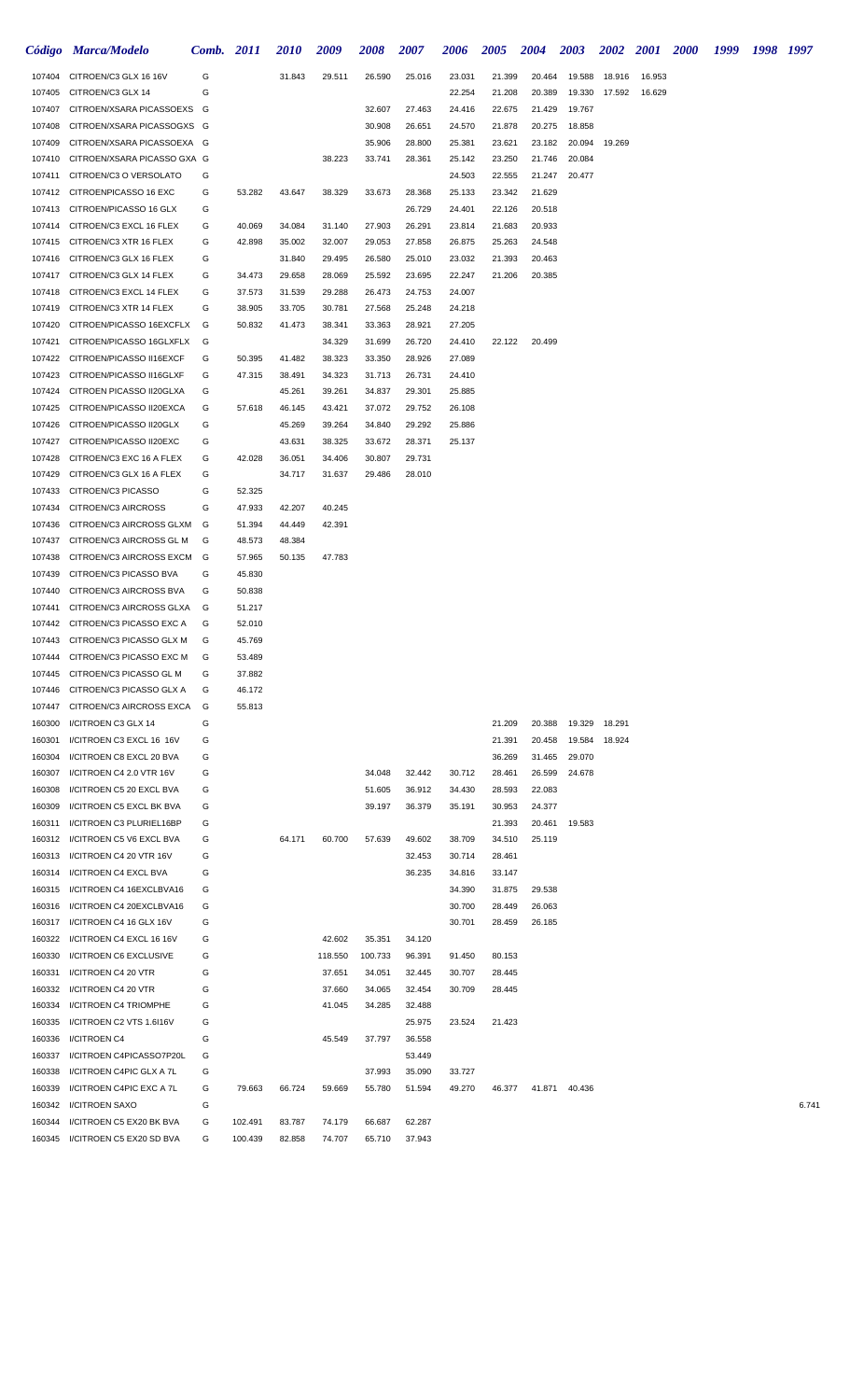|                  | Código Marca/Modelo                                        | Comb. 2011 |                  | <i>2010</i>      | 2009             | 2008             | 2007             | 2006             | 2005             | 2004             | <b>2003</b>   | 2002   | <b>2001</b> | <i>2000</i> | 1999 | 1998 | 1997  |
|------------------|------------------------------------------------------------|------------|------------------|------------------|------------------|------------------|------------------|------------------|------------------|------------------|---------------|--------|-------------|-------------|------|------|-------|
| 107404           | CITROEN/C3 GLX 16 16V                                      | G          |                  | 31.843           | 29.511           | 26.590           | 25.016           | 23.031           | 21.399           | 20.464           | 19.588        | 18.916 | 16.953      |             |      |      |       |
| 107405           | CITROEN/C3 GLX 14                                          | G          |                  |                  |                  |                  |                  | 22.254           | 21.208           | 20.389           | 19.330        | 17.592 | 16.629      |             |      |      |       |
| 107407           | CITROEN/XSARA PICASSOEXS                                   | G          |                  |                  |                  | 32.607           | 27.463           | 24.416           | 22.675           | 21.429           | 19.767        |        |             |             |      |      |       |
| 107408           | CITROEN/XSARA PICASSOGXS G                                 |            |                  |                  |                  | 30.908           | 26.651           | 24.570           | 21.878           | 20.275           | 18.858        |        |             |             |      |      |       |
| 107409           | CITROEN/XSARA PICASSOEXA G                                 |            |                  |                  |                  | 35.906           | 28.800           | 25.381           | 23.621           | 23.182           | 20.094        | 19.269 |             |             |      |      |       |
| 107410           | CITROEN/XSARA PICASSO GXA G                                |            |                  |                  | 38.223           | 33.741           | 28.361           | 25.142           | 23.250           | 21.746           | 20.084        |        |             |             |      |      |       |
| 107411           | CITROEN/C3 O VERSOLATO                                     | G          |                  |                  |                  |                  |                  | 24.503           | 22.555           | 21.247           | 20.477        |        |             |             |      |      |       |
| 107412           | CITROENPICASSO 16 EXC                                      | G          | 53.282           | 43.647           | 38.329           | 33.673           | 28.368           | 25.133           | 23.342           | 21.629           |               |        |             |             |      |      |       |
| 107413<br>107414 | CITROEN/PICASSO 16 GLX<br>CITROEN/C3 EXCL 16 FLEX          | G<br>G     | 40.069           | 34.084           | 31.140           | 27.903           | 26.729<br>26.291 | 24.401<br>23.814 | 22.126<br>21.683 | 20.518<br>20.933 |               |        |             |             |      |      |       |
| 107415           | CITROEN/C3 XTR 16 FLEX                                     | G          | 42.898           | 35.002           | 32.007           | 29.053           | 27.858           | 26.875           | 25.263           | 24.548           |               |        |             |             |      |      |       |
| 107416           | CITROEN/C3 GLX 16 FLEX                                     | G          |                  | 31.840           | 29.495           | 26.580           | 25.010           | 23.032           | 21.393           | 20.463           |               |        |             |             |      |      |       |
| 107417           | CITROEN/C3 GLX 14 FLEX                                     | G          | 34.473           | 29.658           | 28.069           | 25.592           | 23.695           | 22.247           | 21.206           | 20.385           |               |        |             |             |      |      |       |
| 107418           | CITROEN/C3 EXCL 14 FLEX                                    | G          | 37.573           | 31.539           | 29.288           | 26.473           | 24.753           | 24.007           |                  |                  |               |        |             |             |      |      |       |
| 107419           | CITROEN/C3 XTR 14 FLEX                                     | G          | 38.905           | 33.705           | 30.781           | 27.568           | 25.248           | 24.218           |                  |                  |               |        |             |             |      |      |       |
| 107420           | CITROEN/PICASSO 16EXCFLX                                   | G          | 50.832           | 41.473           | 38.341           | 33.363           | 28.921           | 27.205           |                  |                  |               |        |             |             |      |      |       |
| 107421           | CITROEN/PICASSO 16GLXFLX                                   | G          |                  |                  | 34.329           | 31.699           | 26.720           | 24.410           | 22.122           | 20.499           |               |        |             |             |      |      |       |
| 107422           | CITROEN/PICASSO II16EXCF                                   | G          | 50.395           | 41.482           | 38.323           | 33.350           | 28.926           | 27.089           |                  |                  |               |        |             |             |      |      |       |
| 107423           | CITROEN/PICASSO II16GLXF                                   | G          | 47.315           | 38.491           | 34.323           | 31.713           | 26.731           | 24.410           |                  |                  |               |        |             |             |      |      |       |
| 107424           | CITROEN PICASSO II20GLXA                                   | G          |                  | 45.261           | 39.261           | 34.837           | 29.301           | 25.885           |                  |                  |               |        |             |             |      |      |       |
| 107425           | CITROEN/PICASSO II20EXCA                                   | G          | 57.618           | 46.145           | 43.421           | 37.072           | 29.752           | 26.108           |                  |                  |               |        |             |             |      |      |       |
| 107426           | CITROEN/PICASSO II20GLX                                    | G          |                  | 45.269           | 39.264           | 34.840           | 29.292           | 25.886           |                  |                  |               |        |             |             |      |      |       |
| 107427<br>107428 | CITROEN/PICASSO II20EXC<br>CITROEN/C3 EXC 16 A FLEX        | G<br>G     | 42.028           | 43.631<br>36.051 | 38.325<br>34.406 | 33.672<br>30.807 | 28.371<br>29.731 | 25.137           |                  |                  |               |        |             |             |      |      |       |
| 107429           | CITROEN/C3 GLX 16 A FLEX                                   | G          |                  | 34.717           | 31.637           | 29.486           | 28.010           |                  |                  |                  |               |        |             |             |      |      |       |
| 107433           | CITROEN/C3 PICASSO                                         | G          | 52.325           |                  |                  |                  |                  |                  |                  |                  |               |        |             |             |      |      |       |
| 107434           | CITROEN/C3 AIRCROSS                                        | G          | 47.933           | 42.207           | 40.245           |                  |                  |                  |                  |                  |               |        |             |             |      |      |       |
| 107436           | CITROEN/C3 AIRCROSS GLXM                                   | G          | 51.394           | 44.449           | 42.391           |                  |                  |                  |                  |                  |               |        |             |             |      |      |       |
| 107437           | CITROEN/C3 AIRCROSS GL M                                   | G          | 48.573           | 48.384           |                  |                  |                  |                  |                  |                  |               |        |             |             |      |      |       |
| 107438           | CITROEN/C3 AIRCROSS EXCM                                   | G          | 57.965           | 50.135           | 47.783           |                  |                  |                  |                  |                  |               |        |             |             |      |      |       |
| 107439           | CITROEN/C3 PICASSO BVA                                     | G          | 45.830           |                  |                  |                  |                  |                  |                  |                  |               |        |             |             |      |      |       |
| 107440           | CITROEN/C3 AIRCROSS BVA                                    | G          | 50.838           |                  |                  |                  |                  |                  |                  |                  |               |        |             |             |      |      |       |
| 107441           | CITROEN/C3 AIRCROSS GLXA                                   | G          | 51.217           |                  |                  |                  |                  |                  |                  |                  |               |        |             |             |      |      |       |
| 107442           | CITROEN/C3 PICASSO EXC A                                   | G          | 52.010           |                  |                  |                  |                  |                  |                  |                  |               |        |             |             |      |      |       |
|                  | 107443 CITROEN/C3 PICASSO GLX M                            | G          | 45.769           |                  |                  |                  |                  |                  |                  |                  |               |        |             |             |      |      |       |
|                  | 107444 CITROEN/C3 PICASSO EXC M                            | G          | 53.489           |                  |                  |                  |                  |                  |                  |                  |               |        |             |             |      |      |       |
| 107446           | 107445 CITROEN/C3 PICASSO GL M<br>CITROEN/C3 PICASSO GLX A | G<br>G     | 37.882<br>46.172 |                  |                  |                  |                  |                  |                  |                  |               |        |             |             |      |      |       |
|                  | 107447 CITROEN/C3 AIRCROSS EXCA                            | G          | 55.813           |                  |                  |                  |                  |                  |                  |                  |               |        |             |             |      |      |       |
| 160300           | I/CITROEN C3 GLX 14                                        | G          |                  |                  |                  |                  |                  |                  | 21.209           |                  | 20.388 19.329 | 18.291 |             |             |      |      |       |
| 160301           | I/CITROEN C3 EXCL 16 16V                                   | G          |                  |                  |                  |                  |                  |                  | 21.391           | 20.458           | 19.584        | 18.924 |             |             |      |      |       |
| 160304           | I/CITROEN C8 EXCL 20 BVA                                   | G          |                  |                  |                  |                  |                  |                  | 36.269           | 31.465           | 29.070        |        |             |             |      |      |       |
| 160307           | I/CITROEN C4 2.0 VTR 16V                                   | G          |                  |                  |                  | 34.048           | 32.442           | 30.712           | 28.461           | 26.599           | 24.678        |        |             |             |      |      |       |
| 160308           | I/CITROEN C5 20 EXCL BVA                                   | G          |                  |                  |                  | 51.605           | 36.912           | 34.430           | 28.593           | 22.083           |               |        |             |             |      |      |       |
| 160309           | I/CITROEN C5 EXCL BK BVA                                   | G          |                  |                  |                  | 39.197           | 36.379           | 35.191           | 30.953           | 24.377           |               |        |             |             |      |      |       |
| 160311           | I/CITROEN C3 PLURIEL16BP                                   | G          |                  |                  |                  |                  |                  |                  | 21.393           |                  | 20.461 19.583 |        |             |             |      |      |       |
| 160312           | I/CITROEN C5 V6 EXCL BVA                                   | G          |                  | 64.171           | 60.700           | 57.639           | 49.602           | 38.709           | 34.510           | 25.119           |               |        |             |             |      |      |       |
| 160313           | I/CITROEN C4 20 VTR 16V                                    | G          |                  |                  |                  |                  | 32.453           | 30.714           | 28.461           |                  |               |        |             |             |      |      |       |
| 160314<br>160315 | I/CITROEN C4 EXCL BVA<br>I/CITROEN C4 16EXCLBVA16          | G<br>G     |                  |                  |                  |                  | 36.235           | 34.816<br>34.390 | 33.147           |                  |               |        |             |             |      |      |       |
| 160316           | I/CITROEN C4 20EXCLBVA16                                   | G          |                  |                  |                  |                  |                  | 30.700           | 31.875<br>28.449 | 29.538<br>26.063 |               |        |             |             |      |      |       |
|                  | 160317 I/CITROEN C4 16 GLX 16V                             | G          |                  |                  |                  |                  |                  | 30.701           | 28.459           | 26.185           |               |        |             |             |      |      |       |
| 160322           | I/CITROEN C4 EXCL 16 16V                                   | G          |                  |                  | 42.602           | 35.351           | 34.120           |                  |                  |                  |               |        |             |             |      |      |       |
| 160330           | I/CITROEN C6 EXCLUSIVE                                     | G          |                  |                  | 118.550          | 100.733          | 96.391           | 91.450           | 80.153           |                  |               |        |             |             |      |      |       |
| 160331           | I/CITROEN C4 20 VTR                                        | G          |                  |                  | 37.651           | 34.051           | 32.445           | 30.707           | 28.445           |                  |               |        |             |             |      |      |       |
| 160332           | I/CITROEN C4 20 VTR                                        | G          |                  |                  | 37.660           | 34.065           | 32.454           | 30.709           | 28.445           |                  |               |        |             |             |      |      |       |
| 160334           | I/CITROEN C4 TRIOMPHE                                      | G          |                  |                  | 41.045           | 34.285           | 32.488           |                  |                  |                  |               |        |             |             |      |      |       |
| 160335           | I/CITROEN C2 VTS 1.6I16V                                   | G          |                  |                  |                  |                  | 25.975           | 23.524           | 21.423           |                  |               |        |             |             |      |      |       |
| 160336           | I/CITROEN C4                                               | G          |                  |                  | 45.549           | 37.797           | 36.558           |                  |                  |                  |               |        |             |             |      |      |       |
|                  | 160337 I/CITROEN C4PICASSO7P20L                            | G          |                  |                  |                  |                  | 53.449           |                  |                  |                  |               |        |             |             |      |      |       |
| 160338           | I/CITROEN C4PIC GLX A 7L                                   | G          |                  |                  |                  | 37.993           | 35.090           | 33.727           |                  |                  |               |        |             |             |      |      |       |
| 160339           | I/CITROEN C4PIC EXC A 7L<br>160342 I/CITROEN SAXO          | G          | 79.663           | 66.724           | 59.669           | 55.780           | 51.594           | 49.270           | 46.377           |                  | 41.871 40.436 |        |             |             |      |      | 6.741 |
| 160344           | I/CITROEN C5 EX20 BK BVA                                   | G<br>G     | 102.491          | 83.787           | 74.179           | 66.687           | 62.287           |                  |                  |                  |               |        |             |             |      |      |       |
|                  | 160345 I/CITROEN C5 EX20 SD BVA                            | G          | 100.439          | 82.858           | 74.707           | 65.710           | 37.943           |                  |                  |                  |               |        |             |             |      |      |       |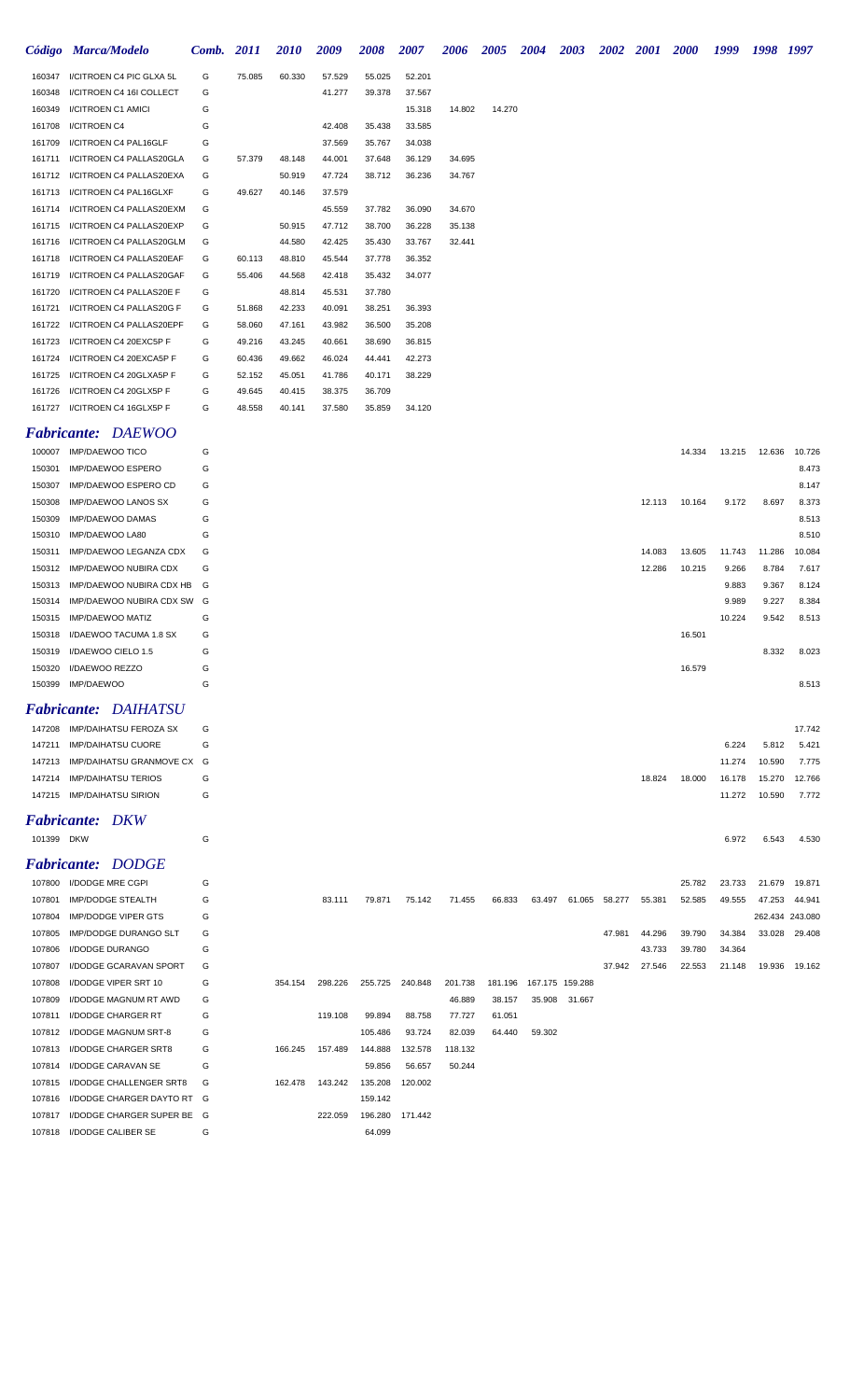|        | Código Marca/Modelo           | Comb. 2011 |        | 2010   | 2009   | 2008   | 2007   | 2006   | 2005   | 2004 | 2003 | <b>2002</b> | <b>2001</b> | <b>2000</b> | 1999   | 1998 1997 |        |
|--------|-------------------------------|------------|--------|--------|--------|--------|--------|--------|--------|------|------|-------------|-------------|-------------|--------|-----------|--------|
| 160347 | I/CITROEN C4 PIC GLXA 5L      | G          | 75.085 | 60.330 | 57.529 | 55.025 | 52.201 |        |        |      |      |             |             |             |        |           |        |
| 160348 | I/CITROEN C4 16I COLLECT      | G          |        |        | 41.277 | 39.378 | 37.567 |        |        |      |      |             |             |             |        |           |        |
| 160349 | I/CITROEN C1 AMICI            | G          |        |        |        |        | 15.318 | 14.802 | 14.270 |      |      |             |             |             |        |           |        |
| 161708 | I/CITROEN C4                  | G          |        |        | 42.408 | 35.438 | 33.585 |        |        |      |      |             |             |             |        |           |        |
| 161709 | I/CITROEN C4 PAL16GLF         | G          |        |        | 37.569 | 35.767 | 34.038 |        |        |      |      |             |             |             |        |           |        |
| 161711 | I/CITROEN C4 PALLAS20GLA      | G          | 57.379 | 48.148 | 44.001 | 37.648 | 36.129 | 34.695 |        |      |      |             |             |             |        |           |        |
| 161712 | I/CITROEN C4 PALLAS20EXA      | G          |        | 50.919 | 47.724 | 38.712 | 36.236 | 34.767 |        |      |      |             |             |             |        |           |        |
| 161713 | I/CITROEN C4 PAL16GLXF        | G          | 49.627 | 40.146 | 37.579 |        |        |        |        |      |      |             |             |             |        |           |        |
| 161714 | I/CITROEN C4 PALLAS20EXM      | G          |        |        | 45.559 | 37.782 | 36.090 | 34.670 |        |      |      |             |             |             |        |           |        |
| 161715 | I/CITROEN C4 PALLAS20EXP      | G          |        | 50.915 | 47.712 | 38.700 | 36.228 | 35.138 |        |      |      |             |             |             |        |           |        |
| 161716 | I/CITROEN C4 PALLAS20GLM      | G          |        | 44.580 | 42.425 | 35.430 | 33.767 | 32.441 |        |      |      |             |             |             |        |           |        |
| 161718 | I/CITROEN C4 PALLAS20EAF      | G          | 60.113 | 48.810 | 45.544 | 37.778 | 36.352 |        |        |      |      |             |             |             |        |           |        |
| 161719 | I/CITROEN C4 PALLAS20GAF      | G          | 55.406 | 44.568 | 42.418 | 35.432 | 34.077 |        |        |      |      |             |             |             |        |           |        |
| 161720 | I/CITROEN C4 PALLAS20E F      | G          |        | 48.814 | 45.531 | 37.780 |        |        |        |      |      |             |             |             |        |           |        |
| 161721 | I/CITROEN C4 PALLAS20G F      | G          | 51.868 | 42.233 | 40.091 | 38.251 | 36.393 |        |        |      |      |             |             |             |        |           |        |
| 161722 | I/CITROEN C4 PALLAS20EPF      | G          | 58.060 | 47.161 | 43.982 | 36.500 | 35.208 |        |        |      |      |             |             |             |        |           |        |
| 161723 | I/CITROEN C4 20EXC5P F        | G          | 49.216 | 43.245 | 40.661 | 38.690 | 36.815 |        |        |      |      |             |             |             |        |           |        |
| 161724 | I/CITROEN C4 20EXCA5P F       | G          | 60.436 | 49.662 | 46.024 | 44.441 | 42.273 |        |        |      |      |             |             |             |        |           |        |
| 161725 | I/CITROEN C4 20GLXA5P F       | G          | 52.152 | 45.051 | 41.786 | 40.171 | 38.229 |        |        |      |      |             |             |             |        |           |        |
| 161726 | I/CITROEN C4 20GLX5P F        | G          | 49.645 | 40.415 | 38.375 | 36.709 |        |        |        |      |      |             |             |             |        |           |        |
|        | 161727 I/CITROEN C4 16GLX5P F | G          | 48.558 | 40.141 | 37.580 | 35.859 | 34.120 |        |        |      |      |             |             |             |        |           |        |
|        | <b>Fabricante: DAEWOO</b>     |            |        |        |        |        |        |        |        |      |      |             |             |             |        |           |        |
| 100007 | <b>IMP/DAEWOO TICO</b>        | G          |        |        |        |        |        |        |        |      |      |             |             | 14.334      | 13.215 | 12.636    | 10.726 |
| 150301 | <b>IMP/DAEWOO ESPERO</b>      | G          |        |        |        |        |        |        |        |      |      |             |             |             |        |           | 8.473  |
| 150307 | IMP/DAEWOO ESPERO CD          | G          |        |        |        |        |        |        |        |      |      |             |             |             |        |           | 8.147  |
| 150308 | <b>IMP/DAEWOO LANOS SX</b>    | G          |        |        |        |        |        |        |        |      |      |             | 12.113      | 10.164      | 9.172  | 8.697     | 8.373  |
|        | 150300 IMP/DAEWOO DAMAS       | $\epsilon$ |        |        |        |        |        |        |        |      |      |             |             |             |        |           | 9.512  |

|        | 150308 IMP/DAEWOO LANOS SX        | G | 12.113 | 10.164 | 9.172  | 8.697  |
|--------|-----------------------------------|---|--------|--------|--------|--------|
| 150309 | <b>IMP/DAEWOO DAMAS</b>           | G |        |        |        |        |
| 150310 | IMP/DAEWOO LA80                   | G |        |        |        |        |
| 150311 | IMP/DAEWOO LEGANZA CDX            | G | 14.083 | 13.605 | 11.743 | 11.286 |
|        | 150312 IMP/DAEWOO NUBIRA CDX      | G | 12.286 | 10.215 | 9.266  | 8.784  |
|        | 150313 IMP/DAEWOO NUBIRA CDX HB G |   |        |        | 9.883  | 9.367  |
| 150314 | IMP/DAEWOO NUBIRA CDX SW G        |   |        |        | 9.989  | 9.227  |
|        | 150315 IMP/DAEWOO MATIZ           | G |        |        | 10.224 | 9.542  |
|        | 150318 I/DAEWOO TACUMA 1.8 SX     | G |        | 16.501 |        |        |
| 150319 | I/DAEWOO CIELO 1.5                | G |        |        |        | 8.332  |
| 150320 | <b>I/DAEWOO REZZO</b>             | G |        | 16.579 |        |        |
|        | 150399 IMP/DAEWOO                 | G |        |        |        |        |

# *Fabricante: DAIHATSU*

|            | <b>Fabricante:</b> DAIHATSU       |             |        |        |        |        |
|------------|-----------------------------------|-------------|--------|--------|--------|--------|
|            | 147208 IMP/DAIHATSU FEROZA SX     | G           |        |        |        | 17.742 |
| 147211     | IMP/DAIHATSU CUORE                | G           |        | 6.224  | 5.812  | 5.421  |
|            | 147213 IMP/DAIHATSU GRANMOVE CX G |             |        | 11.274 | 10.590 | 7.775  |
|            | 147214 IMP/DAIHATSU TERIOS        | G<br>18.824 | 18.000 | 16.178 | 15.270 | 12.766 |
|            | 147215 IMP/DAIHATSU SIRION        | G           |        | 11.272 | 10.590 | 7.772  |
|            | <b>Fabricante: DKW</b>            |             |        |        |        |        |
| 101399 DKW |                                   | G           |        | 6.972  | 6.543  | 4.530  |
|            | <b>Fabricante: DODGE</b>          |             |        |        |        |        |

| 107800 | <b>I/DODGE MRE CGPI</b>        | G |         |         |                 |         |         |         |                 |        |        |        | 25.782 | 23.733 | 21.679          | 19.871 |
|--------|--------------------------------|---|---------|---------|-----------------|---------|---------|---------|-----------------|--------|--------|--------|--------|--------|-----------------|--------|
| 107801 | <b>IMP/DODGE STEALTH</b>       | G |         | 83.111  | 79.871          | 75.142  | 71.455  | 66.833  | 63.497          | 61.065 | 58.277 | 55.381 | 52.585 | 49.555 | 47.253          | 44.941 |
| 107804 | <b>IMP/DODGE VIPER GTS</b>     | G |         |         |                 |         |         |         |                 |        |        |        |        |        | 262.434 243.080 |        |
| 107805 | <b>IMP/DODGE DURANGO SLT</b>   | G |         |         |                 |         |         |         |                 |        | 47.981 | 44.296 | 39.790 | 34.384 | 33.028          | 29.408 |
| 107806 | <b>I/DODGE DURANGO</b>         | G |         |         |                 |         |         |         |                 |        |        | 43.733 | 39.780 | 34.364 |                 |        |
| 107807 | <b>I/DODGE GCARAVAN SPORT</b>  | G |         |         |                 |         |         |         |                 |        | 37.942 | 27.546 | 22.553 | 21.148 | 19.936          | 19.162 |
| 107808 | I/DODGE VIPER SRT 10           | G | 354.154 | 298.226 | 255.725         | 240.848 | 201.738 | 181.196 | 167.175 159.288 |        |        |        |        |        |                 |        |
| 107809 | <b>I/DODGE MAGNUM RT AWD</b>   | G |         |         |                 |         | 46.889  | 38.157  | 35.908          | 31.667 |        |        |        |        |                 |        |
| 107811 | <b>I/DODGE CHARGER RT</b>      | G |         | 119.108 | 99.894          | 88.758  | 77.727  | 61.051  |                 |        |        |        |        |        |                 |        |
| 107812 | I/DODGE MAGNUM SRT-8           | G |         |         | 105.486         | 93.724  | 82.039  | 64.440  | 59.302          |        |        |        |        |        |                 |        |
| 107813 | I/DODGE CHARGER SRT8           | G | 166.245 | 157.489 | 144.888         | 132.578 | 118.132 |         |                 |        |        |        |        |        |                 |        |
| 107814 | <b>I/DODGE CARAVAN SE</b>      | G |         |         | 59.856          | 56.657  | 50.244  |         |                 |        |        |        |        |        |                 |        |
| 107815 | <b>I/DODGE CHALLENGER SRT8</b> | G | 162.478 | 143.242 | 135.208         | 120.002 |         |         |                 |        |        |        |        |        |                 |        |
| 107816 | I/DODGE CHARGER DAYTO RT G     |   |         |         | 159.142         |         |         |         |                 |        |        |        |        |        |                 |        |
| 107817 | I/DODGE CHARGER SUPER BE G     |   |         | 222.059 | 196.280 171.442 |         |         |         |                 |        |        |        |        |        |                 |        |
| 107818 | <b>I/DODGE CALIBER SE</b>      | G |         |         | 64.099          |         |         |         |                 |        |        |        |        |        |                 |        |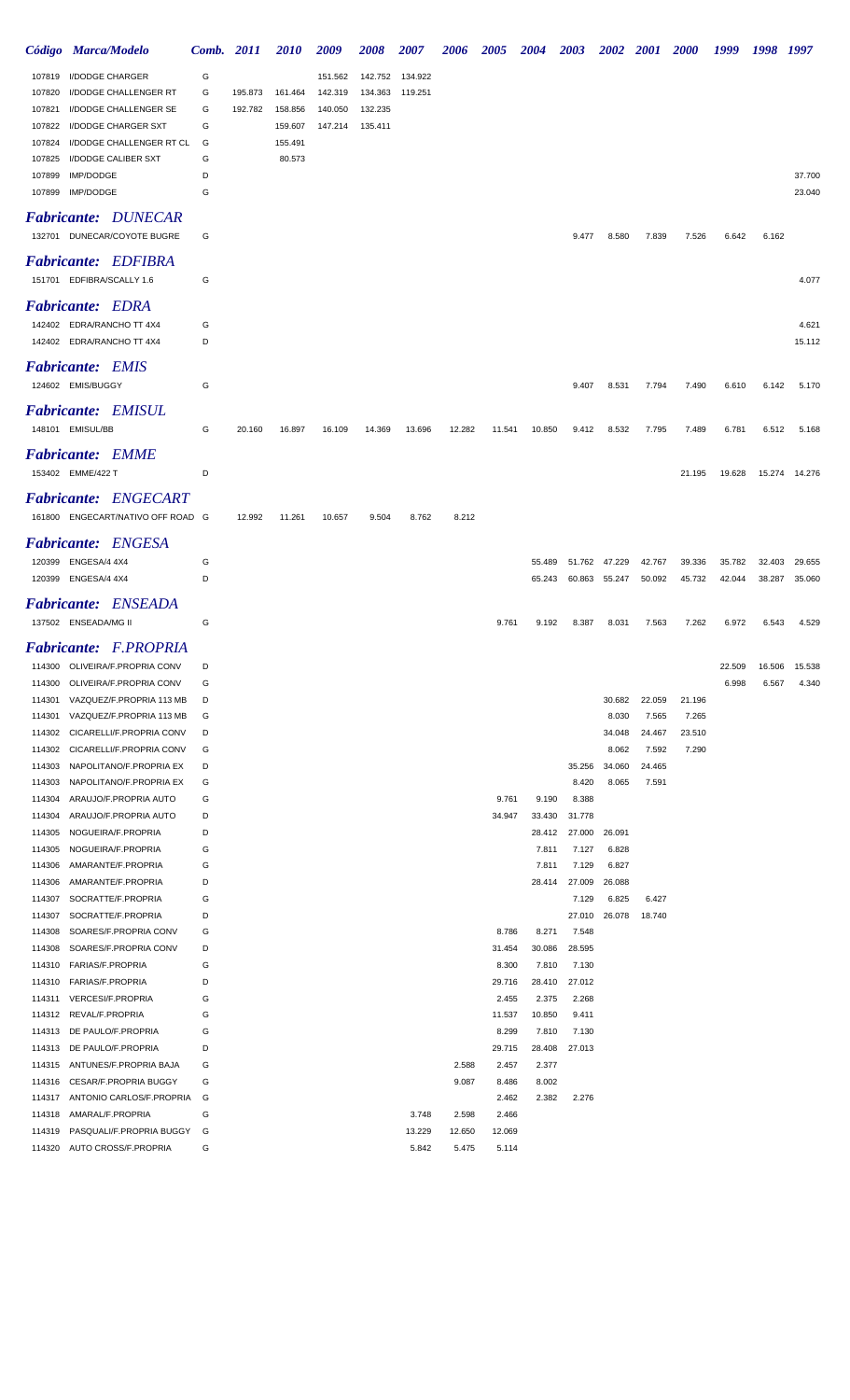|                  | Código Marca/Modelo                                              | Comb. 2011 |         | <b>2010</b>       | 2009    | <b>2008</b> | <b>2007</b> | <b>2006</b> | <b>2005</b>     | 2004             | <b>2003</b>     |                                | 2002 2001 2000   |                  | 1999 1998 1997   |                  |                  |
|------------------|------------------------------------------------------------------|------------|---------|-------------------|---------|-------------|-------------|-------------|-----------------|------------------|-----------------|--------------------------------|------------------|------------------|------------------|------------------|------------------|
| 107819           | I/DODGE CHARGER                                                  | G          |         |                   | 151.562 | 142.752     | 134.922     |             |                 |                  |                 |                                |                  |                  |                  |                  |                  |
| 107820           | I/DODGE CHALLENGER RT                                            | G          | 195.873 | 161.464           | 142.319 | 134.363     | 119.251     |             |                 |                  |                 |                                |                  |                  |                  |                  |                  |
| 107821           | I/DODGE CHALLENGER SE                                            | G          | 192.782 | 158.856           | 140.050 | 132.235     |             |             |                 |                  |                 |                                |                  |                  |                  |                  |                  |
| 107822           | I/DODGE CHARGER SXT                                              | G          |         | 159.607           | 147.214 | 135.411     |             |             |                 |                  |                 |                                |                  |                  |                  |                  |                  |
| 107824<br>107825 | I/DODGE CHALLENGER RT CL<br>I/DODGE CALIBER SXT                  | G<br>G     |         | 155.491<br>80.573 |         |             |             |             |                 |                  |                 |                                |                  |                  |                  |                  |                  |
| 107899           | IMP/DODGE                                                        | D          |         |                   |         |             |             |             |                 |                  |                 |                                |                  |                  |                  |                  | 37.700           |
| 107899           | <b>IMP/DODGE</b>                                                 | G          |         |                   |         |             |             |             |                 |                  |                 |                                |                  |                  |                  |                  | 23.040           |
|                  | <b>Fabricante: DUNECAR</b>                                       |            |         |                   |         |             |             |             |                 |                  |                 |                                |                  |                  |                  |                  |                  |
|                  | 132701 DUNECAR/COYOTE BUGRE                                      | G          |         |                   |         |             |             |             |                 |                  | 9.477           | 8.580                          | 7.839            | 7.526            | 6.642            | 6.162            |                  |
|                  | <b>Fabricante: EDFIBRA</b>                                       |            |         |                   |         |             |             |             |                 |                  |                 |                                |                  |                  |                  |                  |                  |
|                  | 151701 EDFIBRA/SCALLY 1.6                                        | G          |         |                   |         |             |             |             |                 |                  |                 |                                |                  |                  |                  |                  | 4.077            |
|                  | <b>Fabricante: EDRA</b>                                          |            |         |                   |         |             |             |             |                 |                  |                 |                                |                  |                  |                  |                  |                  |
|                  | 142402 EDRA/RANCHO TT 4X4                                        | G          |         |                   |         |             |             |             |                 |                  |                 |                                |                  |                  |                  |                  | 4.621            |
|                  | 142402 EDRA/RANCHO TT 4X4                                        | D          |         |                   |         |             |             |             |                 |                  |                 |                                |                  |                  |                  |                  | 15.112           |
|                  | <b>Fabricante: EMIS</b>                                          |            |         |                   |         |             |             |             |                 |                  |                 |                                |                  |                  |                  |                  |                  |
|                  | 124602 EMIS/BUGGY                                                | G          |         |                   |         |             |             |             |                 |                  | 9.407           | 8.531                          | 7.794            | 7.490            | 6.610            | 6.142            | 5.170            |
|                  |                                                                  |            |         |                   |         |             |             |             |                 |                  |                 |                                |                  |                  |                  |                  |                  |
|                  | <b>Fabricante: EMISUL</b><br>148101 EMISUL/BB                    | G          | 20.160  | 16.897            | 16.109  | 14.369      | 13.696      | 12.282      | 11.541          | 10.850           | 9.412           | 8.532                          | 7.795            | 7.489            | 6.781            | 6.512            | 5.168            |
|                  |                                                                  |            |         |                   |         |             |             |             |                 |                  |                 |                                |                  |                  |                  |                  |                  |
|                  | <b>Fabricante: EMME</b><br>153402 EMME/422 T                     | D          |         |                   |         |             |             |             |                 |                  |                 |                                |                  | 21.195           | 19.628           |                  | 15.274 14.276    |
|                  |                                                                  |            |         |                   |         |             |             |             |                 |                  |                 |                                |                  |                  |                  |                  |                  |
|                  | <b>Fabricante: ENGECART</b><br>161800 ENGECART/NATIVO OFF ROAD G |            | 12.992  |                   | 10.657  | 9.504       |             |             |                 |                  |                 |                                |                  |                  |                  |                  |                  |
|                  |                                                                  |            |         | 11.261            |         |             | 8.762       | 8.212       |                 |                  |                 |                                |                  |                  |                  |                  |                  |
|                  | <b>Fabricante: ENGESA</b>                                        |            |         |                   |         |             |             |             |                 |                  |                 |                                |                  |                  |                  |                  |                  |
|                  | 120399 ENGESA/4 4X4<br>120399 ENGESA/4 4X4                       | G<br>D     |         |                   |         |             |             |             |                 | 55.489<br>65.243 |                 | 51.762 47.229<br>60.863 55.247 | 42.767<br>50.092 | 39.336<br>45.732 | 35.782<br>42.044 | 32.403<br>38.287 | 29.655<br>35.060 |
|                  |                                                                  |            |         |                   |         |             |             |             |                 |                  |                 |                                |                  |                  |                  |                  |                  |
|                  | <b>Fabricante: ENSEADA</b>                                       |            |         |                   |         |             |             |             |                 |                  |                 |                                |                  |                  |                  |                  |                  |
|                  | 137502 ENSEADA/MG II                                             | G          |         |                   |         |             |             |             | 9.761           | 9.192            | 8.387           | 8.031                          | 7.563            | 7.262            | 6.972            | 6.543            | 4.529            |
|                  | Fabricante: F.PROPRIA                                            |            |         |                   |         |             |             |             |                 |                  |                 |                                |                  |                  |                  |                  |                  |
|                  | 114300 OLIVEIRA/F.PROPRIA CONV                                   | D          |         |                   |         |             |             |             |                 |                  |                 |                                |                  |                  | 22.509           | 16.506 15.538    |                  |
|                  | 114300 OLIVEIRA/F.PROPRIA CONV                                   | G          |         |                   |         |             |             |             |                 |                  |                 |                                |                  |                  | 6.998            | 6.567            | 4.340            |
| 114301           | VAZQUEZ/F.PROPRIA 113 MB<br>114301 VAZQUEZ/F.PROPRIA 113 MB      | D<br>G     |         |                   |         |             |             |             |                 |                  |                 | 30.682<br>8.030                | 22.059<br>7.565  | 21.196<br>7.265  |                  |                  |                  |
| 114302           | CICARELLI/F.PROPRIA CONV                                         | D          |         |                   |         |             |             |             |                 |                  |                 | 34.048                         | 24.467           | 23.510           |                  |                  |                  |
| 114302           | CICARELLI/F.PROPRIA CONV                                         | G          |         |                   |         |             |             |             |                 |                  |                 | 8.062                          | 7.592            | 7.290            |                  |                  |                  |
| 114303           | NAPOLITANO/F.PROPRIA EX                                          | D          |         |                   |         |             |             |             |                 |                  | 35.256          | 34.060                         | 24.465           |                  |                  |                  |                  |
| 114303           | NAPOLITANO/F.PROPRIA EX                                          | G          |         |                   |         |             |             |             |                 |                  | 8.420           | 8.065                          | 7.591            |                  |                  |                  |                  |
| 114304           | ARAUJO/F.PROPRIA AUTO                                            | G          |         |                   |         |             |             |             | 9.761           | 9.190            | 8.388           |                                |                  |                  |                  |                  |                  |
| 114304           | ARAUJO/F.PROPRIA AUTO                                            | D          |         |                   |         |             |             |             | 34.947          | 33.430           | 31.778          |                                |                  |                  |                  |                  |                  |
| 114305<br>114305 | NOGUEIRA/F.PROPRIA<br>NOGUEIRA/F.PROPRIA                         | D<br>G     |         |                   |         |             |             |             |                 | 28.412<br>7.811  | 7.127           | 27.000 26.091<br>6.828         |                  |                  |                  |                  |                  |
| 114306           | AMARANTE/F.PROPRIA                                               | G          |         |                   |         |             |             |             |                 | 7.811            | 7.129           | 6.827                          |                  |                  |                  |                  |                  |
| 114306           | AMARANTE/F.PROPRIA                                               | D          |         |                   |         |             |             |             |                 | 28.414           | 27.009          | 26.088                         |                  |                  |                  |                  |                  |
|                  | 114307 SOCRATTE/F.PROPRIA                                        | G          |         |                   |         |             |             |             |                 |                  | 7.129           | 6.825                          | 6.427            |                  |                  |                  |                  |
|                  | 114307 SOCRATTE/F.PROPRIA                                        | D          |         |                   |         |             |             |             |                 |                  | 27.010          | 26.078                         | 18.740           |                  |                  |                  |                  |
| 114308           | SOARES/F.PROPRIA CONV                                            | G          |         |                   |         |             |             |             | 8.786           | 8.271            | 7.548           |                                |                  |                  |                  |                  |                  |
| 114308           | SOARES/F.PROPRIA CONV                                            | D          |         |                   |         |             |             |             | 31.454          | 30.086           | 28.595          |                                |                  |                  |                  |                  |                  |
| 114310<br>114310 | FARIAS/F.PROPRIA<br>FARIAS/F.PROPRIA                             | G<br>D     |         |                   |         |             |             |             | 8.300<br>29.716 | 7.810<br>28.410  | 7.130<br>27.012 |                                |                  |                  |                  |                  |                  |
|                  | 114311 VERCESI/F.PROPRIA                                         | G          |         |                   |         |             |             |             | 2.455           | 2.375            | 2.268           |                                |                  |                  |                  |                  |                  |
|                  | 114312 REVAL/F.PROPRIA                                           | G          |         |                   |         |             |             |             | 11.537          | 10.850           | 9.411           |                                |                  |                  |                  |                  |                  |
|                  | 114313 DE PAULO/F.PROPRIA                                        | G          |         |                   |         |             |             |             | 8.299           | 7.810            | 7.130           |                                |                  |                  |                  |                  |                  |
|                  | 114313 DE PAULO/F.PROPRIA                                        | D          |         |                   |         |             |             |             | 29.715          | 28.408           | 27.013          |                                |                  |                  |                  |                  |                  |
| 114315           | ANTUNES/F.PROPRIA BAJA                                           | G          |         |                   |         |             |             | 2.588       | 2.457           | 2.377            |                 |                                |                  |                  |                  |                  |                  |
| 114316           | CESAR/F.PROPRIA BUGGY                                            | G<br>G     |         |                   |         |             |             | 9.087       | 8.486<br>2.462  | 8.002<br>2.382   | 2.276           |                                |                  |                  |                  |                  |                  |
|                  | 114317 ANTONIO CARLOS/F.PROPRIA<br>114318 AMARAL/F.PROPRIA       | G          |         |                   |         |             | 3.748       | 2.598       | 2.466           |                  |                 |                                |                  |                  |                  |                  |                  |
| 114319           | PASQUALI/F.PROPRIA BUGGY                                         | G          |         |                   |         |             | 13.229      | 12.650      | 12.069          |                  |                 |                                |                  |                  |                  |                  |                  |
|                  | 114320 AUTO CROSS/F.PROPRIA                                      | G          |         |                   |         |             | 5.842       | 5.475       | 5.114           |                  |                 |                                |                  |                  |                  |                  |                  |
|                  |                                                                  |            |         |                   |         |             |             |             |                 |                  |                 |                                |                  |                  |                  |                  |                  |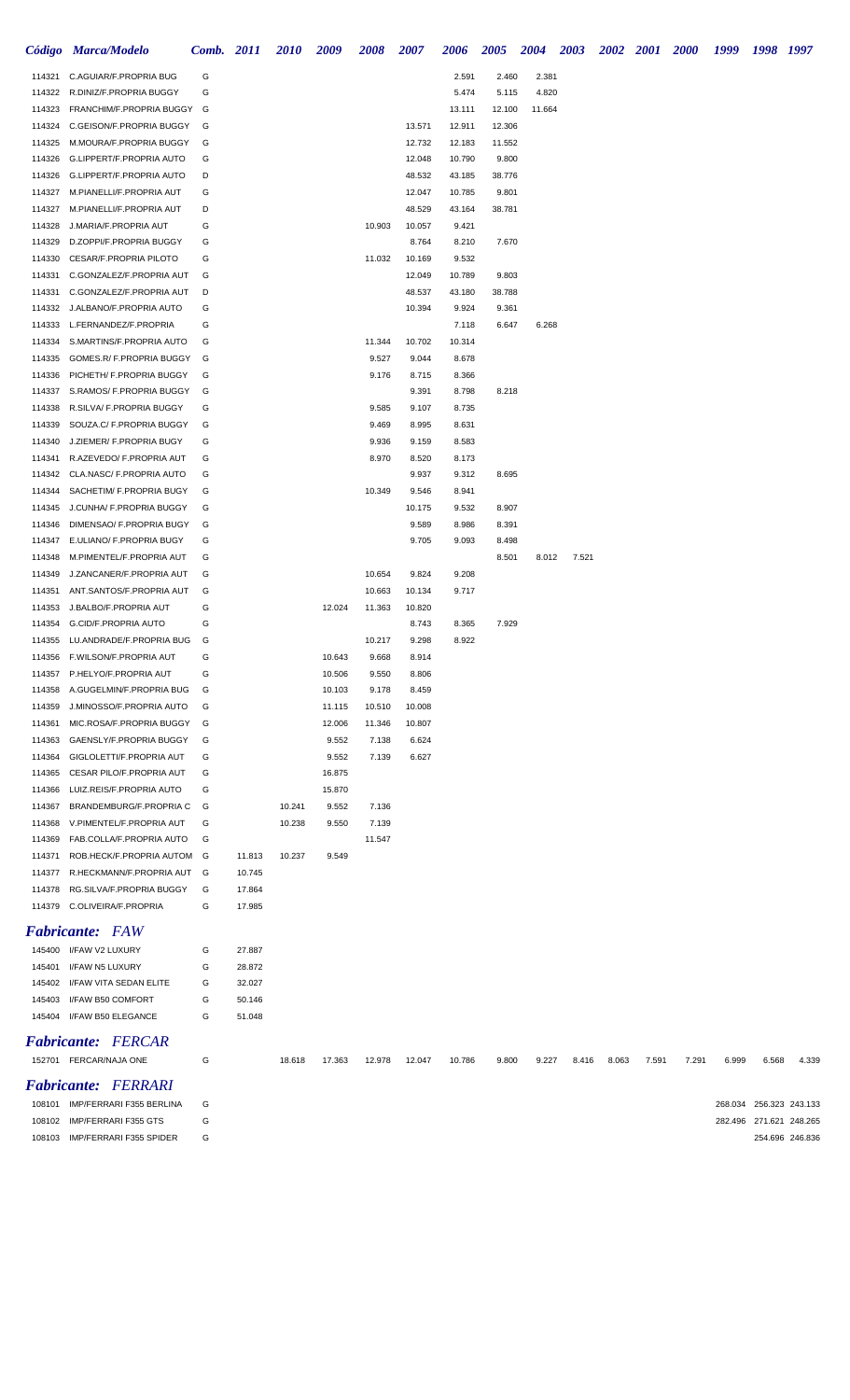|                  | Código Marca/Modelo                                       | <b>Comb.</b> 2011 |        | <i><b>2010</b></i> | 2009             | 2008           | 2007             | 2006             | 2005            | 2004   | 2003  | <i>2002</i> | <b>2001</b> | <b>2000</b> | 1999    | 1998  | 1997            |
|------------------|-----------------------------------------------------------|-------------------|--------|--------------------|------------------|----------------|------------------|------------------|-----------------|--------|-------|-------------|-------------|-------------|---------|-------|-----------------|
| 114321           | C.AGUIAR/F.PROPRIA BUG                                    | G                 |        |                    |                  |                |                  | 2.591            | 2.460           | 2.381  |       |             |             |             |         |       |                 |
|                  | 114322 R.DINIZ/F.PROPRIA BUGGY                            | G                 |        |                    |                  |                |                  | 5.474            | 5.115           | 4.820  |       |             |             |             |         |       |                 |
| 114323           | FRANCHIM/F.PROPRIA BUGGY G                                |                   |        |                    |                  |                |                  | 13.111           | 12.100          | 11.664 |       |             |             |             |         |       |                 |
| 114324           | C.GEISON/F.PROPRIA BUGGY                                  | G                 |        |                    |                  |                | 13.571           | 12.911           | 12.306          |        |       |             |             |             |         |       |                 |
| 114325           | M.MOURA/F.PROPRIA BUGGY                                   | G                 |        |                    |                  |                | 12.732           | 12.183           | 11.552          |        |       |             |             |             |         |       |                 |
| 114326           | G.LIPPERT/F.PROPRIA AUTO                                  | G                 |        |                    |                  |                | 12.048           | 10.790           | 9.800           |        |       |             |             |             |         |       |                 |
| 114326           | G.LIPPERT/F.PROPRIA AUTO                                  | D                 |        |                    |                  |                | 48.532           | 43.185           | 38.776          |        |       |             |             |             |         |       |                 |
| 114327           | M.PIANELLI/F.PROPRIA AUT                                  | G                 |        |                    |                  |                | 12.047           | 10.785           | 9.801           |        |       |             |             |             |         |       |                 |
| 114327           | M.PIANELLI/F.PROPRIA AUT                                  | D                 |        |                    |                  |                | 48.529           | 43.164           | 38.781          |        |       |             |             |             |         |       |                 |
| 114328           | J.MARIA/F.PROPRIA AUT                                     | G                 |        |                    |                  | 10.903         | 10.057           | 9.421            |                 |        |       |             |             |             |         |       |                 |
| 114329           | D.ZOPPI/F.PROPRIA BUGGY                                   | G<br>G            |        |                    |                  |                | 8.764            | 8.210            | 7.670           |        |       |             |             |             |         |       |                 |
| 114330<br>114331 | <b>CESAR/F.PROPRIA PILOTO</b><br>C.GONZALEZ/F.PROPRIA AUT | G                 |        |                    |                  | 11.032         | 10.169<br>12.049 | 9.532            |                 |        |       |             |             |             |         |       |                 |
| 114331           | C.GONZALEZ/F.PROPRIA AUT                                  | D                 |        |                    |                  |                | 48.537           | 10.789<br>43.180 | 9.803<br>38.788 |        |       |             |             |             |         |       |                 |
| 114332           | J.ALBANO/F.PROPRIA AUTO                                   | G                 |        |                    |                  |                | 10.394           | 9.924            | 9.361           |        |       |             |             |             |         |       |                 |
| 114333           | L.FERNANDEZ/F.PROPRIA                                     | G                 |        |                    |                  |                |                  | 7.118            | 6.647           | 6.268  |       |             |             |             |         |       |                 |
| 114334           | S.MARTINS/F.PROPRIA AUTO                                  | G                 |        |                    |                  | 11.344         | 10.702           | 10.314           |                 |        |       |             |             |             |         |       |                 |
| 114335           | GOMES.R/ F.PROPRIA BUGGY                                  | G                 |        |                    |                  | 9.527          | 9.044            | 8.678            |                 |        |       |             |             |             |         |       |                 |
| 114336           | PICHETH/ F.PROPRIA BUGGY                                  | G                 |        |                    |                  | 9.176          | 8.715            | 8.366            |                 |        |       |             |             |             |         |       |                 |
| 114337           | S.RAMOS/ F.PROPRIA BUGGY                                  | G                 |        |                    |                  |                | 9.391            | 8.798            | 8.218           |        |       |             |             |             |         |       |                 |
| 114338           | R.SILVA/ F.PROPRIA BUGGY                                  | G                 |        |                    |                  | 9.585          | 9.107            | 8.735            |                 |        |       |             |             |             |         |       |                 |
| 114339           | SOUZA.C/ F.PROPRIA BUGGY                                  | G                 |        |                    |                  | 9.469          | 8.995            | 8.631            |                 |        |       |             |             |             |         |       |                 |
| 114340           | J.ZIEMER/ F.PROPRIA BUGY                                  | G                 |        |                    |                  | 9.936          | 9.159            | 8.583            |                 |        |       |             |             |             |         |       |                 |
| 114341           | R.AZEVEDO/ F.PROPRIA AUT                                  | G                 |        |                    |                  | 8.970          | 8.520            | 8.173            |                 |        |       |             |             |             |         |       |                 |
| 114342           | CLA.NASC/ F.PROPRIA AUTO                                  | G                 |        |                    |                  |                | 9.937            | 9.312            | 8.695           |        |       |             |             |             |         |       |                 |
| 114344           | SACHETIM/ F.PROPRIA BUGY                                  | G                 |        |                    |                  | 10.349         | 9.546            | 8.941            |                 |        |       |             |             |             |         |       |                 |
| 114345           | J.CUNHA/ F.PROPRIA BUGGY                                  | G                 |        |                    |                  |                | 10.175           | 9.532            | 8.907           |        |       |             |             |             |         |       |                 |
| 114346           | DIMENSAO/ F.PROPRIA BUGY                                  | G                 |        |                    |                  |                | 9.589            | 8.986            | 8.391           |        |       |             |             |             |         |       |                 |
| 114347           | E.ULIANO/ F.PROPRIA BUGY                                  | G                 |        |                    |                  |                | 9.705            | 9.093            | 8.498           |        |       |             |             |             |         |       |                 |
| 114348           | M.PIMENTEL/F.PROPRIA AUT                                  | G                 |        |                    |                  |                |                  |                  | 8.501           | 8.012  | 7.521 |             |             |             |         |       |                 |
| 114349           | J.ZANCANER/F.PROPRIA AUT                                  | G                 |        |                    |                  | 10.654         | 9.824            | 9.208            |                 |        |       |             |             |             |         |       |                 |
| 114351           | ANT.SANTOS/F.PROPRIA AUT                                  | G                 |        |                    |                  | 10.663         | 10.134           | 9.717            |                 |        |       |             |             |             |         |       |                 |
| 114353           | J.BALBO/F.PROPRIA AUT                                     | G                 |        |                    | 12.024           | 11.363         | 10.820           |                  |                 |        |       |             |             |             |         |       |                 |
| 114354           | G.CID/F.PROPRIA AUTO                                      | G                 |        |                    |                  |                | 8.743            | 8.365            | 7.929           |        |       |             |             |             |         |       |                 |
|                  | 114355 LU.ANDRADE/F.PROPRIA BUG                           | G                 |        |                    |                  | 10.217         | 9.298            | 8.922            |                 |        |       |             |             |             |         |       |                 |
|                  | 114356 F.WILSON/F.PROPRIA AUT                             | G                 |        |                    | 10.643           | 9.668          | 8.914            |                  |                 |        |       |             |             |             |         |       |                 |
| 114358           | 114357 P.HELYO/F.PROPRIA AUT<br>A.GUGELMIN/F.PROPRIA BUG  | G<br>G            |        |                    | 10.506<br>10.103 | 9.550<br>9.178 | 8.806<br>8.459   |                  |                 |        |       |             |             |             |         |       |                 |
| 114359           | J.MINOSSO/F.PROPRIA AUTO                                  | G                 |        |                    | 11.115           | 10.510         | 10.008           |                  |                 |        |       |             |             |             |         |       |                 |
| 114361           | MIC.ROSA/F.PROPRIA BUGGY                                  | G                 |        |                    | 12.006           | 11.346         | 10.807           |                  |                 |        |       |             |             |             |         |       |                 |
| 114363           | GAENSLY/F.PROPRIA BUGGY                                   | G                 |        |                    | 9.552            | 7.138          | 6.624            |                  |                 |        |       |             |             |             |         |       |                 |
| 114364           | GIGLOLETTI/F.PROPRIA AUT                                  | G                 |        |                    | 9.552            | 7.139          | 6.627            |                  |                 |        |       |             |             |             |         |       |                 |
| 114365           | CESAR PILO/F.PROPRIA AUT                                  | G                 |        |                    | 16.875           |                |                  |                  |                 |        |       |             |             |             |         |       |                 |
| 114366           | LUIZ.REIS/F.PROPRIA AUTO                                  | G                 |        |                    | 15.870           |                |                  |                  |                 |        |       |             |             |             |         |       |                 |
| 114367           | BRANDEMBURG/F.PROPRIA C                                   | G                 |        | 10.241             | 9.552            | 7.136          |                  |                  |                 |        |       |             |             |             |         |       |                 |
| 114368           | V.PIMENTEL/F.PROPRIA AUT                                  | G                 |        | 10.238             | 9.550            | 7.139          |                  |                  |                 |        |       |             |             |             |         |       |                 |
| 114369           | FAB.COLLA/F.PROPRIA AUTO                                  | G                 |        |                    |                  | 11.547         |                  |                  |                 |        |       |             |             |             |         |       |                 |
| 114371           | ROB.HECK/F.PROPRIA AUTOM G                                |                   | 11.813 | 10.237             | 9.549            |                |                  |                  |                 |        |       |             |             |             |         |       |                 |
|                  | 114377 R.HECKMANN/F.PROPRIA AUT                           | G                 | 10.745 |                    |                  |                |                  |                  |                 |        |       |             |             |             |         |       |                 |
|                  | 114378 RG.SILVA/F.PROPRIA BUGGY                           | G                 | 17.864 |                    |                  |                |                  |                  |                 |        |       |             |             |             |         |       |                 |
|                  | 114379 C.OLIVEIRA/F.PROPRIA                               | G                 | 17.985 |                    |                  |                |                  |                  |                 |        |       |             |             |             |         |       |                 |
|                  | <b>Fabricante:</b> FAW                                    |                   |        |                    |                  |                |                  |                  |                 |        |       |             |             |             |         |       |                 |
|                  | 145400 I/FAW V2 LUXURY                                    | G                 | 27.887 |                    |                  |                |                  |                  |                 |        |       |             |             |             |         |       |                 |
| 145401           | I/FAW N5 LUXURY                                           | G                 | 28.872 |                    |                  |                |                  |                  |                 |        |       |             |             |             |         |       |                 |
| 145402           | I/FAW VITA SEDAN ELITE                                    | G                 | 32.027 |                    |                  |                |                  |                  |                 |        |       |             |             |             |         |       |                 |
| 145403           | I/FAW B50 COMFORT                                         | G                 | 50.146 |                    |                  |                |                  |                  |                 |        |       |             |             |             |         |       |                 |
|                  | 145404 I/FAW B50 ELEGANCE                                 | G                 | 51.048 |                    |                  |                |                  |                  |                 |        |       |             |             |             |         |       |                 |
|                  |                                                           |                   |        |                    |                  |                |                  |                  |                 |        |       |             |             |             |         |       |                 |
|                  | <b>Fabricante: FERCAR</b>                                 |                   |        |                    |                  |                |                  |                  |                 |        |       |             |             |             |         |       |                 |
|                  | 152701 FERCAR/NAJA ONE                                    | G                 |        | 18.618             | 17.363           | 12.978         | 12.047           | 10.786           | 9.800           | 9.227  | 8.416 | 8.063       | 7.591       | 7.291       | 6.999   | 6.568 | 4.339           |
|                  | <b>Fabricante: FERRARI</b>                                |                   |        |                    |                  |                |                  |                  |                 |        |       |             |             |             |         |       |                 |
| 108101           | IMP/FERRARI F355 BERLINA                                  | G                 |        |                    |                  |                |                  |                  |                 |        |       |             |             |             | 268.034 |       | 256.323 243.133 |
|                  | 108102 IMP/FERRARI F355 GTS                               | G                 |        |                    |                  |                |                  |                  |                 |        |       |             |             |             | 282.496 |       | 271.621 248.265 |
|                  | 108103 IMP/FERRARI F355 SPIDER                            | G                 |        |                    |                  |                |                  |                  |                 |        |       |             |             |             |         |       | 254.696 246.836 |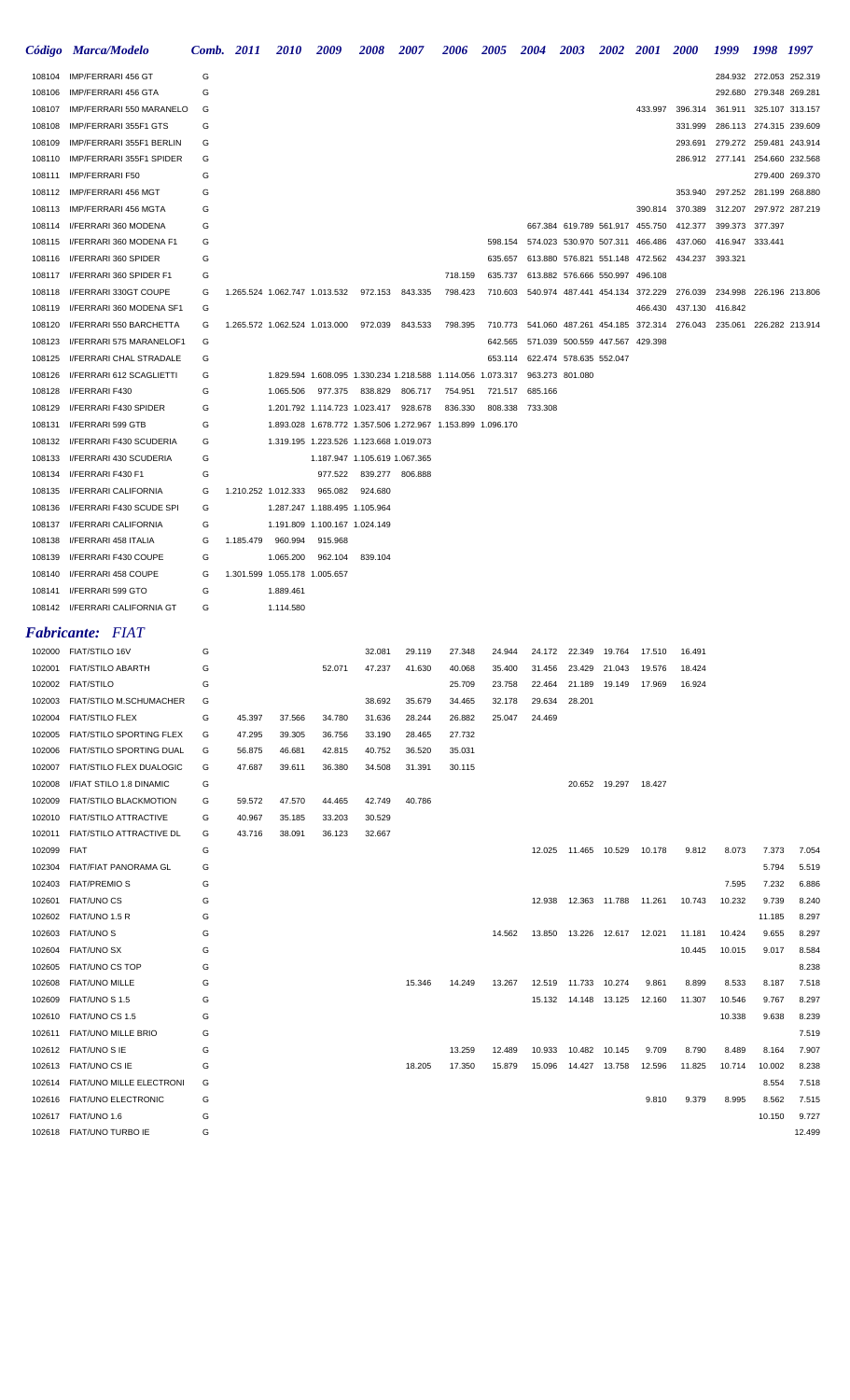|             | Código Marca/Modelo             |   | Comb. 2011 | 2010                          | 2009                          | 2008                                                                        | 2007            | 2006    | <b>2005</b> | 2004                                    | <b>2003</b>            |                                | 2002 2001 2000                  |                                                                         | 1999                            | 1998 1997               |        |
|-------------|---------------------------------|---|------------|-------------------------------|-------------------------------|-----------------------------------------------------------------------------|-----------------|---------|-------------|-----------------------------------------|------------------------|--------------------------------|---------------------------------|-------------------------------------------------------------------------|---------------------------------|-------------------------|--------|
| 108104      | IMP/FERRARI 456 GT              | G |            |                               |                               |                                                                             |                 |         |             |                                         |                        |                                |                                 |                                                                         |                                 | 284.932 272.053 252.319 |        |
| 108106      | IMP/FERRARI 456 GTA             | G |            |                               |                               |                                                                             |                 |         |             |                                         |                        |                                |                                 |                                                                         |                                 | 292.680 279.348 269.281 |        |
| 108107      | IMP/FERRARI 550 MARANELO        | G |            |                               |                               |                                                                             |                 |         |             |                                         |                        |                                |                                 | 433.997 396.314 361.911 325.107 313.157                                 |                                 |                         |        |
| 108108      | IMP/FERRARI 355F1 GTS           | G |            |                               |                               |                                                                             |                 |         |             |                                         |                        |                                |                                 | 331.999                                                                 |                                 | 286.113 274.315 239.609 |        |
| 108109      | IMP/FERRARI 355F1 BERLIN        | G |            |                               |                               |                                                                             |                 |         |             |                                         |                        |                                |                                 | 293.691                                                                 | 279.272 259.481 243.914         |                         |        |
| 108110      | IMP/FERRARI 355F1 SPIDER        | G |            |                               |                               |                                                                             |                 |         |             |                                         |                        |                                |                                 |                                                                         | 286.912 277.141 254.660 232.568 |                         |        |
| 108111      | IMP/FERRARI F50                 | G |            |                               |                               |                                                                             |                 |         |             |                                         |                        |                                |                                 |                                                                         |                                 | 279.400 269.370         |        |
| 108112      | IMP/FERRARI 456 MGT             | G |            |                               |                               |                                                                             |                 |         |             |                                         |                        |                                |                                 | 353.940                                                                 |                                 | 297.252 281.199 268.880 |        |
| 108113      | IMP/FERRARI 456 MGTA            | G |            |                               |                               |                                                                             |                 |         |             |                                         |                        |                                | 390.814                         | 370.389                                                                 | 312.207 297.972 287.219         |                         |        |
| 108114      | I/FERRARI 360 MODENA            | G |            |                               |                               |                                                                             |                 |         |             |                                         |                        |                                | 667.384 619.789 561.917 455.750 | 412.377                                                                 | 399.373 377.397                 |                         |        |
| 108115      | I/FERRARI 360 MODENA F1         | G |            |                               |                               |                                                                             |                 |         |             | 598.154 574.023 530.970 507.311 466.486 |                        |                                |                                 | 437.060                                                                 | 416.947 333.441                 |                         |        |
| 108116      | I/FERRARI 360 SPIDER            | G |            |                               |                               |                                                                             |                 |         | 635.657     |                                         |                        |                                |                                 | 613.880 576.821 551.148 472.562 434.237 393.321                         |                                 |                         |        |
| 108117      | I/FERRARI 360 SPIDER F1         | G |            |                               |                               |                                                                             |                 | 718.159 | 635.737     | 613.882 576.666 550.997 496.108         |                        |                                |                                 |                                                                         |                                 |                         |        |
| 108118      | I/FERRARI 330GT COUPE           | G |            |                               |                               | 1.265.524 1.062.747 1.013.532 972.153 843.335                               |                 | 798.423 |             |                                         |                        |                                |                                 | 710.603 540.974 487.441 454.134 372.229 276.039 234.998 226.196 213.806 |                                 |                         |        |
| 108119      | I/FERRARI 360 MODENA SF1        | G |            |                               |                               |                                                                             |                 |         |             |                                         |                        |                                | 466.430                         | 437.130                                                                 | 416.842                         |                         |        |
| 108120      | I/FERRARI 550 BARCHETTA         | G |            | 1.265.572 1.062.524 1.013.000 |                               | 972.039 843.533                                                             |                 | 798.395 |             |                                         |                        |                                |                                 | 710.773 541.060 487.261 454.185 372.314 276.043 235.061 226.282 213.914 |                                 |                         |        |
| 108123      | I/FERRARI 575 MARANELOF1        | G |            |                               |                               |                                                                             |                 |         |             | 642.565 571.039 500.559 447.567 429.398 |                        |                                |                                 |                                                                         |                                 |                         |        |
| 108125      | I/FERRARI CHAL STRADALE         | G |            |                               |                               |                                                                             |                 |         |             | 653.114 622.474 578.635 552.047         |                        |                                |                                 |                                                                         |                                 |                         |        |
| 108126      | I/FERRARI 612 SCAGLIETTI        | G |            |                               |                               | 1.829.594 1.608.095 1.330.234 1.218.588 1.114.056 1.073.317 963.273 801.080 |                 |         |             |                                         |                        |                                |                                 |                                                                         |                                 |                         |        |
| 108128      | <b>I/FERRARI F430</b>           | G |            | 1.065.506                     | 977.375                       | 838.829 806.717                                                             |                 | 754.951 |             | 721.517 685.166                         |                        |                                |                                 |                                                                         |                                 |                         |        |
| 108129      | <b>I/FERRARI F430 SPIDER</b>    | G |            |                               |                               | 1.201.792 1.114.723 1.023.417 928.678                                       |                 | 836.330 |             | 808.338 733.308                         |                        |                                |                                 |                                                                         |                                 |                         |        |
| 108131      | <b>I/FERRARI 599 GTB</b>        | G |            |                               |                               | 1.893.028 1.678.772 1.357.506 1.272.967 1.153.899 1.096.170                 |                 |         |             |                                         |                        |                                |                                 |                                                                         |                                 |                         |        |
| 108132      | I/FERRARI F430 SCUDERIA         | G |            |                               |                               | 1.319.195 1.223.526 1.123.668 1.019.073                                     |                 |         |             |                                         |                        |                                |                                 |                                                                         |                                 |                         |        |
| 108133      | I/FERRARI 430 SCUDERIA          | G |            |                               |                               | 1.187.947 1.105.619 1.067.365                                               |                 |         |             |                                         |                        |                                |                                 |                                                                         |                                 |                         |        |
| 108134      | I/FERRARI F430 F1               | G |            |                               | 977.522                       |                                                                             | 839.277 806.888 |         |             |                                         |                        |                                |                                 |                                                                         |                                 |                         |        |
| 108135      | I/FERRARI CALIFORNIA            | G |            | 1.210.252 1.012.333           | 965.082                       | 924.680                                                                     |                 |         |             |                                         |                        |                                |                                 |                                                                         |                                 |                         |        |
| 108136      | I/FERRARI F430 SCUDE SPI        | G |            |                               | 1.287.247 1.188.495 1.105.964 |                                                                             |                 |         |             |                                         |                        |                                |                                 |                                                                         |                                 |                         |        |
|             |                                 |   |            |                               |                               |                                                                             |                 |         |             |                                         |                        |                                |                                 |                                                                         |                                 |                         |        |
| 108137      | I/FERRARI CALIFORNIA            | G |            |                               | 1.191.809 1.100.167 1.024.149 |                                                                             |                 |         |             |                                         |                        |                                |                                 |                                                                         |                                 |                         |        |
| 108138      | I/FERRARI 458 ITALIA            | G | 1.185.479  | 960.994                       | 915.968                       |                                                                             |                 |         |             |                                         |                        |                                |                                 |                                                                         |                                 |                         |        |
| 108139      | I/FERRARI F430 COUPE            | G |            | 1.065.200                     | 962.104                       | 839.104                                                                     |                 |         |             |                                         |                        |                                |                                 |                                                                         |                                 |                         |        |
| 108140      | I/FERRARI 458 COUPE             | G |            | 1.301.599 1.055.178 1.005.657 |                               |                                                                             |                 |         |             |                                         |                        |                                |                                 |                                                                         |                                 |                         |        |
| 108141      | I/FERRARI 599 GTO               | G |            | 1.889.461                     |                               |                                                                             |                 |         |             |                                         |                        |                                |                                 |                                                                         |                                 |                         |        |
|             | 108142 I/FERRARI CALIFORNIA GT  | G |            | 1.114.580                     |                               |                                                                             |                 |         |             |                                         |                        |                                |                                 |                                                                         |                                 |                         |        |
|             | <b>Fabricante: FIAT</b>         |   |            |                               |                               |                                                                             |                 |         |             |                                         |                        |                                |                                 |                                                                         |                                 |                         |        |
|             | 102000 FIAT/STILO 16V           |   |            |                               |                               | 32.081                                                                      | 29.119          | 27.348  | 24.944      |                                         |                        |                                |                                 | 24.172 22.349 19.764 17.510 16.491                                      |                                 |                         |        |
|             | 102001 FIAT/STILO ABARTH        | G |            |                               | 52.071                        | 47.237                                                                      | 41.630          | 40.068  | 35.400      |                                         |                        | 31.456 23.429 21.043           | 19.576                          | 18.424                                                                  |                                 |                         |        |
|             | 102002 FIAT/STILO               | G |            |                               |                               |                                                                             |                 | 25.709  | 23.758      | 22.464                                  | 21.189                 | 19.149                         | 17.969                          | 16.924                                                                  |                                 |                         |        |
|             | 102003 FIAT/STILO M.SCHUMACHER  | G |            |                               |                               | 38.692                                                                      | 35.679          | 34.465  | 32.178      | 29.634                                  | 28.201                 |                                |                                 |                                                                         |                                 |                         |        |
| 102004      | <b>FIAT/STILO FLEX</b>          | G | 45.397     | 37.566                        | 34.780                        | 31.636                                                                      | 28.244          | 26.882  | 25.047      | 24.469                                  |                        |                                |                                 |                                                                         |                                 |                         |        |
| 102005      | FIAT/STILO SPORTING FLEX        | G | 47.295     | 39.305                        | 36.756                        | 33.190                                                                      | 28.465          | 27.732  |             |                                         |                        |                                |                                 |                                                                         |                                 |                         |        |
| 102006      | FIAT/STILO SPORTING DUAL        | G | 56.875     | 46.681                        | 42.815                        | 40.752                                                                      | 36.520          | 35.031  |             |                                         |                        |                                |                                 |                                                                         |                                 |                         |        |
|             | 102007 FIAT/STILO FLEX DUALOGIC | G | 47.687     | 39.611                        | 36.380                        | 34.508                                                                      | 31.391          | 30.115  |             |                                         |                        |                                |                                 |                                                                         |                                 |                         |        |
| 102008      | I/FIAT STILO 1.8 DINAMIC        | G |            |                               |                               |                                                                             |                 |         |             |                                         |                        | 20.652 19.297 18.427           |                                 |                                                                         |                                 |                         |        |
| 102009      | FIAT/STILO BLACKMOTION          | G | 59.572     | 47.570                        | 44.465                        | 42.749                                                                      | 40.786          |         |             |                                         |                        |                                |                                 |                                                                         |                                 |                         |        |
|             | 102010 FIAT/STILO ATTRACTIVE    | G | 40.967     | 35.185                        | 33.203                        | 30.529                                                                      |                 |         |             |                                         |                        |                                |                                 |                                                                         |                                 |                         |        |
|             | 102011 FIAT/STILO ATTRACTIVE DL | G | 43.716     | 38.091                        | 36.123                        | 32.667                                                                      |                 |         |             |                                         |                        |                                |                                 |                                                                         |                                 |                         |        |
| 102099 FIAT |                                 | G |            |                               |                               |                                                                             |                 |         |             |                                         |                        |                                | 12.025  11.465  10.529  10.178  | 9.812                                                                   | 8.073                           | 7.373                   | 7.054  |
|             | 102304 FIAT/FIAT PANORAMA GL    | G |            |                               |                               |                                                                             |                 |         |             |                                         |                        |                                |                                 |                                                                         |                                 | 5.794                   | 5.519  |
|             | 102403 FIAT/PREMIOS             | G |            |                               |                               |                                                                             |                 |         |             |                                         |                        |                                |                                 |                                                                         | 7.595                           | 7.232                   | 6.886  |
|             | 102601 FIAT/UNO CS              | G |            |                               |                               |                                                                             |                 |         |             |                                         |                        | 12.938  12.363  11.788  11.261 |                                 | 10.743                                                                  | 10.232                          | 9.739                   | 8.240  |
|             | 102602 FIAT/UNO 1.5 R           | G |            |                               |                               |                                                                             |                 |         |             |                                         |                        |                                |                                 |                                                                         |                                 | 11.185                  | 8.297  |
|             | 102603 FIAT/UNO S               | G |            |                               |                               |                                                                             |                 |         | 14.562      |                                         |                        | 13.850  13.226  12.617  12.021 |                                 | 11.181                                                                  | 10.424                          | 9.655                   | 8.297  |
|             | 102604 FIAT/UNO SX              | G |            |                               |                               |                                                                             |                 |         |             |                                         |                        |                                |                                 | 10.445                                                                  | 10.015                          | 9.017                   | 8.584  |
|             | 102605 FIAT/UNO CS TOP          | G |            |                               |                               |                                                                             |                 |         |             |                                         |                        |                                |                                 |                                                                         |                                 |                         |        |
|             |                                 |   |            |                               |                               |                                                                             |                 |         |             |                                         |                        |                                |                                 |                                                                         |                                 |                         | 8.238  |
|             | 102608 FIAT/UNO MILLE           | G |            |                               |                               |                                                                             | 15.346          | 14.249  | 13.267      |                                         | 12.519  11.733  10.274 |                                | 9.861                           | 8.899                                                                   | 8.533                           | 8.187                   | 7.518  |
|             | 102609 FIAT/UNO S 1.5           | G |            |                               |                               |                                                                             |                 |         |             |                                         |                        |                                | 15.132  14.148  13.125  12.160  | 11.307                                                                  | 10.546                          | 9.767                   | 8.297  |
|             | 102610 FIAT/UNO CS 1.5          | G |            |                               |                               |                                                                             |                 |         |             |                                         |                        |                                |                                 |                                                                         | 10.338                          | 9.638                   | 8.239  |
|             | 102611 FIAT/UNO MILLE BRIO      | G |            |                               |                               |                                                                             |                 |         |             |                                         |                        |                                |                                 |                                                                         |                                 |                         | 7.519  |
| 102612      | FIAT/UNO S IE                   | G |            |                               |                               |                                                                             |                 | 13.259  | 12.489      |                                         | 10.933  10.482  10.145 |                                | 9.709                           | 8.790                                                                   | 8.489                           | 8.164                   | 7.907  |
|             | 102613 FIAT/UNO CS IE           | G |            |                               |                               |                                                                             | 18.205          | 17.350  | 15.879      |                                         |                        | 15.096  14.427  13.758         | 12.596                          | 11.825                                                                  | 10.714                          | 10.002                  | 8.238  |
| 102614      | FIAT/UNO MILLE ELECTRONI        | G |            |                               |                               |                                                                             |                 |         |             |                                         |                        |                                |                                 |                                                                         |                                 | 8.554                   | 7.518  |
|             | 102616 FIAT/UNO ELECTRONIC      | G |            |                               |                               |                                                                             |                 |         |             |                                         |                        |                                | 9.810                           | 9.379                                                                   | 8.995                           | 8.562                   | 7.515  |
|             | 102617 FIAT/UNO 1.6             | G |            |                               |                               |                                                                             |                 |         |             |                                         |                        |                                |                                 |                                                                         |                                 | 10.150                  | 9.727  |
|             | 102618 FIAT/UNO TURBO IE        | G |            |                               |                               |                                                                             |                 |         |             |                                         |                        |                                |                                 |                                                                         |                                 |                         | 12.499 |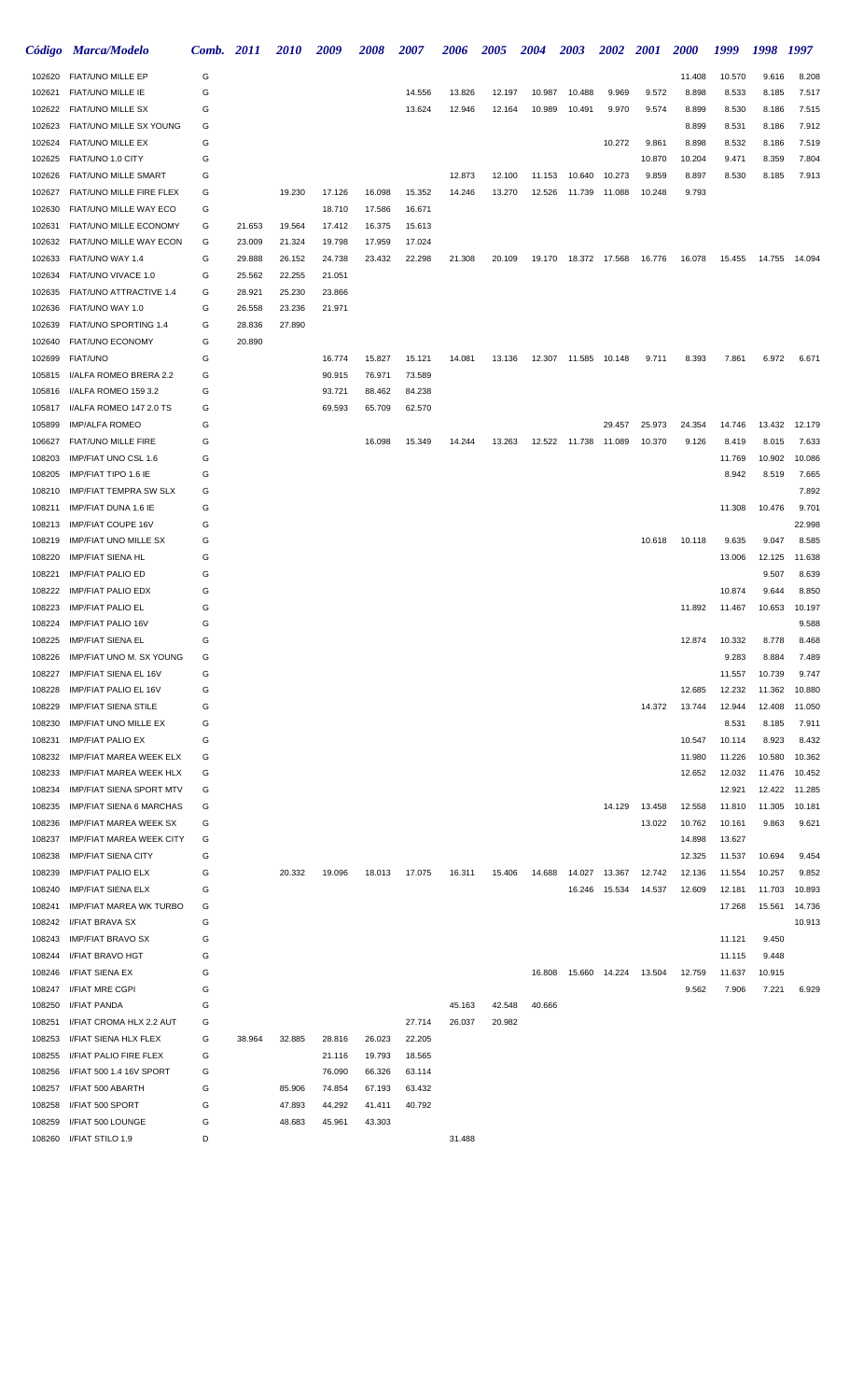|                  | Código Marca/Modelo                                                | <b>Comb.</b> 2011 |        | <b>2010</b>      | 2009             | <b>2008</b>      | 2007             | <b>2006</b> | <b>2005</b> | <b>2004</b> | 2003                   | <b>2002</b>   | <b>2001</b>      | <b>2000</b>      | 1999             | 1998            | 1997            |
|------------------|--------------------------------------------------------------------|-------------------|--------|------------------|------------------|------------------|------------------|-------------|-------------|-------------|------------------------|---------------|------------------|------------------|------------------|-----------------|-----------------|
| 102620           | <b>FIAT/UNO MILLE EP</b>                                           | G                 |        |                  |                  |                  |                  |             |             |             |                        |               |                  | 11.408           | 10.570           | 9.616           | 8.208           |
| 102621           | FIAT/UNO MILLE IE                                                  | G                 |        |                  |                  |                  | 14.556           | 13.826      | 12.197      | 10.987      | 10.488                 | 9.969         | 9.572            | 8.898            | 8.533            | 8.185           | 7.517           |
| 102622           | <b>FIAT/UNO MILLE SX</b>                                           | G                 |        |                  |                  |                  | 13.624           | 12.946      | 12.164      | 10.989      | 10.491                 | 9.970         | 9.574            | 8.899            | 8.530            | 8.186           | 7.515           |
| 102623           | FIAT/UNO MILLE SX YOUNG                                            | G                 |        |                  |                  |                  |                  |             |             |             |                        |               |                  | 8.899            | 8.531            | 8.186           | 7.912           |
| 102624           | FIAT/UNO MILLE EX                                                  | G                 |        |                  |                  |                  |                  |             |             |             |                        | 10.272        | 9.861            | 8.898            | 8.532            | 8.186           | 7.519           |
| 102625           | FIAT/UNO 1.0 CITY                                                  | G                 |        |                  |                  |                  |                  |             |             |             |                        |               | 10.870           | 10.204           | 9.471            | 8.359           | 7.804           |
| 102626           | FIAT/UNO MILLE SMART                                               | G                 |        |                  |                  |                  |                  | 12.873      | 12.100      | 11.153      | 10.640                 | 10.273        | 9.859            | 8.897            | 8.530            | 8.185           | 7.913           |
| 102627           | FIAT/UNO MILLE FIRE FLEX                                           | G                 |        | 19.230           | 17.126           | 16.098           | 15.352           | 14.246      | 13.270      | 12.526      | 11.739                 | 11.088        | 10.248           | 9.793            |                  |                 |                 |
| 102630           | FIAT/UNO MILLE WAY ECO<br>FIAT/UNO MILLE ECONOMY                   | G<br>G            | 21.653 | 19.564           | 18.710<br>17.412 | 17.586           | 16.671           |             |             |             |                        |               |                  |                  |                  |                 |                 |
| 102631<br>102632 | FIAT/UNO MILLE WAY ECON                                            | G                 | 23.009 | 21.324           | 19.798           | 16.375<br>17.959 | 15.613<br>17.024 |             |             |             |                        |               |                  |                  |                  |                 |                 |
| 102633           | FIAT/UNO WAY 1.4                                                   | G                 | 29.888 | 26.152           | 24.738           | 23.432           | 22.298           | 21.308      | 20.109      | 19.170      |                        | 18.372 17.568 | 16.776           | 16.078           | 15.455           |                 | 14.755 14.094   |
| 102634           | FIAT/UNO VIVACE 1.0                                                | G                 | 25.562 | 22.255           | 21.051           |                  |                  |             |             |             |                        |               |                  |                  |                  |                 |                 |
| 102635           | FIAT/UNO ATTRACTIVE 1.4                                            | G                 | 28.921 | 25.230           | 23.866           |                  |                  |             |             |             |                        |               |                  |                  |                  |                 |                 |
| 102636           | FIAT/UNO WAY 1.0                                                   | G                 | 26.558 | 23.236           | 21.971           |                  |                  |             |             |             |                        |               |                  |                  |                  |                 |                 |
| 102639           | FIAT/UNO SPORTING 1.4                                              | G                 | 28.836 | 27.890           |                  |                  |                  |             |             |             |                        |               |                  |                  |                  |                 |                 |
| 102640           | <b>FIAT/UNO ECONOMY</b>                                            | G                 | 20.890 |                  |                  |                  |                  |             |             |             |                        |               |                  |                  |                  |                 |                 |
| 102699           | <b>FIAT/UNO</b>                                                    | G                 |        |                  | 16.774           | 15.827           | 15.121           | 14.081      | 13.136      |             | 12.307  11.585  10.148 |               | 9.711            | 8.393            | 7.861            | 6.972           | 6.671           |
| 105815           | I/ALFA ROMEO BRERA 2.2                                             | G                 |        |                  | 90.915           | 76.971           | 73.589           |             |             |             |                        |               |                  |                  |                  |                 |                 |
| 105816           | I/ALFA ROMEO 159 3.2                                               | G                 |        |                  | 93.721           | 88.462           | 84.238           |             |             |             |                        |               |                  |                  |                  |                 |                 |
| 105817           | I/ALFA ROMEO 147 2.0 TS                                            | G                 |        |                  | 69.593           | 65.709           | 62.570           |             |             |             |                        |               |                  |                  |                  |                 |                 |
| 105899           | <b>IMP/ALFA ROMEO</b>                                              | G                 |        |                  |                  |                  |                  |             |             |             |                        | 29.457        | 25.973           | 24.354           | 14.746           | 13.432          | 12.179          |
| 106627           | FIAT/UNO MILLE FIRE                                                | G                 |        |                  |                  | 16.098           | 15.349           | 14.244      | 13.263      |             | 12.522  11.738  11.089 |               | 10.370           | 9.126            | 8.419            | 8.015           | 7.633           |
| 108203           | IMP/FIAT UNO CSL 1.6                                               | G                 |        |                  |                  |                  |                  |             |             |             |                        |               |                  |                  | 11.769           | 10.902          | 10.086          |
| 108205           | IMP/FIAT TIPO 1.6 IE                                               | G                 |        |                  |                  |                  |                  |             |             |             |                        |               |                  |                  | 8.942            | 8.519           | 7.665           |
| 108210           | <b>IMP/FIAT TEMPRA SW SLX</b>                                      | G                 |        |                  |                  |                  |                  |             |             |             |                        |               |                  |                  |                  |                 | 7.892           |
| 108211           | IMP/FIAT DUNA 1.6 IE                                               | G                 |        |                  |                  |                  |                  |             |             |             |                        |               |                  |                  | 11.308           | 10.476          | 9.701           |
| 108213<br>108219 | <b>IMP/FIAT COUPE 16V</b><br><b>IMP/FIAT UNO MILLE SX</b>          | G<br>G            |        |                  |                  |                  |                  |             |             |             |                        |               | 10.618           | 10.118           | 9.635            | 9.047           | 22.998<br>8.585 |
| 108220           | <b>IMP/FIAT SIENA HL</b>                                           | G                 |        |                  |                  |                  |                  |             |             |             |                        |               |                  |                  | 13.006           | 12.125          | 11.638          |
| 108221           | <b>IMP/FIAT PALIO ED</b>                                           | G                 |        |                  |                  |                  |                  |             |             |             |                        |               |                  |                  |                  | 9.507           | 8.639           |
| 108222           | <b>IMP/FIAT PALIO EDX</b>                                          | G                 |        |                  |                  |                  |                  |             |             |             |                        |               |                  |                  | 10.874           | 9.644           | 8.850           |
| 108223           | <b>IMP/FIAT PALIO EL</b>                                           | G                 |        |                  |                  |                  |                  |             |             |             |                        |               |                  | 11.892           | 11.467           | 10.653          | 10.197          |
| 108224           | <b>IMP/FIAT PALIO 16V</b>                                          | G                 |        |                  |                  |                  |                  |             |             |             |                        |               |                  |                  |                  |                 | 9.588           |
| 108225           | <b>IMP/FIAT SIENA EL</b>                                           | G                 |        |                  |                  |                  |                  |             |             |             |                        |               |                  | 12.874           | 10.332           | 8.778           | 8.468           |
| 108226           | IMP/FIAT UNO M. SX YOUNG                                           | G                 |        |                  |                  |                  |                  |             |             |             |                        |               |                  |                  | 9.283            | 8.884           | 7.489           |
| 108227           | <b>IMP/FIAT SIENA EL 16V</b>                                       | G                 |        |                  |                  |                  |                  |             |             |             |                        |               |                  |                  | 11.557           | 10.739          | 9.747           |
| 108228           | IMP/FIAT PALIO EL 16V                                              | G                 |        |                  |                  |                  |                  |             |             |             |                        |               |                  | 12.685           | 12.232           | 11.362          | 10.880          |
| 108229           | <b>IMP/FIAT SIENA STILE</b>                                        | G                 |        |                  |                  |                  |                  |             |             |             |                        |               | 14.372           | 13.744           | 12.944           | 12.408          | 11.050          |
| 108230           | IMP/FIAT UNO MILLE EX                                              | G                 |        |                  |                  |                  |                  |             |             |             |                        |               |                  |                  | 8.531            | 8.185           | 7.911           |
| 108231           | <b>IMP/FIAT PALIO EX</b>                                           | G                 |        |                  |                  |                  |                  |             |             |             |                        |               |                  | 10.547           | 10.114           | 8.923           | 8.432           |
| 108232           | IMP/FIAT MAREA WEEK ELX                                            | G                 |        |                  |                  |                  |                  |             |             |             |                        |               |                  | 11.980           | 11.226           | 10.580          | 10.362          |
| 108233           | IMP/FIAT MAREA WEEK HLX                                            | G                 |        |                  |                  |                  |                  |             |             |             |                        |               |                  | 12.652           | 12.032           | 11.476          | 10.452          |
| 108234           | <b>IMP/FIAT SIENA SPORT MTV</b><br><b>IMP/FIAT SIENA 6 MARCHAS</b> | G                 |        |                  |                  |                  |                  |             |             |             |                        |               |                  |                  | 12.921           | 12.422          | 11.285          |
| 108235<br>108236 | <b>IMP/FIAT MAREA WEEK SX</b>                                      | G<br>G            |        |                  |                  |                  |                  |             |             |             |                        | 14.129        | 13.458<br>13.022 | 12.558<br>10.762 | 11.810<br>10.161 | 11.305<br>9.863 | 10.181<br>9.621 |
| 108237           | <b>IMP/FIAT MAREA WEEK CITY</b>                                    | G                 |        |                  |                  |                  |                  |             |             |             |                        |               |                  | 14.898           | 13.627           |                 |                 |
| 108238           | <b>IMP/FIAT SIENA CITY</b>                                         | G                 |        |                  |                  |                  |                  |             |             |             |                        |               |                  | 12.325           | 11.537           | 10.694          | 9.454           |
| 108239           | <b>IMP/FIAT PALIO ELX</b>                                          | G                 |        | 20.332           | 19.096           | 18.013           | 17.075           | 16.311      | 15.406      | 14.688      | 14.027                 | 13.367        | 12.742           | 12.136           | 11.554           | 10.257          | 9.852           |
| 108240           | <b>IMP/FIAT SIENA ELX</b>                                          | G                 |        |                  |                  |                  |                  |             |             |             | 16.246                 | 15.534        | 14.537           | 12.609           | 12.181           | 11.703          | 10.893          |
| 108241           | <b>IMP/FIAT MAREA WK TURBO</b>                                     | G                 |        |                  |                  |                  |                  |             |             |             |                        |               |                  |                  | 17.268           | 15.561          | 14.736          |
| 108242           | I/FIAT BRAVA SX                                                    | G                 |        |                  |                  |                  |                  |             |             |             |                        |               |                  |                  |                  |                 | 10.913          |
| 108243           | <b>IMP/FIAT BRAVO SX</b>                                           | G                 |        |                  |                  |                  |                  |             |             |             |                        |               |                  |                  | 11.121           | 9.450           |                 |
| 108244           | <b>I/FIAT BRAVO HGT</b>                                            | G                 |        |                  |                  |                  |                  |             |             |             |                        |               |                  |                  | 11.115           | 9.448           |                 |
| 108246           | I/FIAT SIENA EX                                                    | G                 |        |                  |                  |                  |                  |             |             | 16.808      |                        | 15.660 14.224 | 13.504           | 12.759           | 11.637           | 10.915          |                 |
| 108247           | I/FIAT MRE CGPI                                                    | G                 |        |                  |                  |                  |                  |             |             |             |                        |               |                  | 9.562            | 7.906            | 7.221           | 6.929           |
| 108250           | I/FIAT PANDA                                                       | G                 |        |                  |                  |                  |                  | 45.163      | 42.548      | 40.666      |                        |               |                  |                  |                  |                 |                 |
| 108251           | I/FIAT CROMA HLX 2.2 AUT                                           | G                 |        |                  |                  |                  | 27.714           | 26.037      | 20.982      |             |                        |               |                  |                  |                  |                 |                 |
| 108253           | I/FIAT SIENA HLX FLEX                                              | G                 | 38.964 | 32.885           | 28.816           | 26.023           | 22.205           |             |             |             |                        |               |                  |                  |                  |                 |                 |
| 108255           | <b>I/FIAT PALIO FIRE FLEX</b>                                      | G                 |        |                  | 21.116           | 19.793           | 18.565           |             |             |             |                        |               |                  |                  |                  |                 |                 |
| 108256           | I/FIAT 500 1.4 16V SPORT                                           | G                 |        |                  | 76.090           | 66.326           | 63.114           |             |             |             |                        |               |                  |                  |                  |                 |                 |
| 108257<br>108258 | I/FIAT 500 ABARTH<br>I/FIAT 500 SPORT                              | G<br>G            |        | 85.906<br>47.893 | 74.854<br>44.292 | 67.193<br>41.411 | 63.432<br>40.792 |             |             |             |                        |               |                  |                  |                  |                 |                 |
| 108259           | I/FIAT 500 LOUNGE                                                  | G                 |        | 48.683           | 45.961           | 43.303           |                  |             |             |             |                        |               |                  |                  |                  |                 |                 |
| 108260           | I/FIAT STILO 1.9                                                   | D                 |        |                  |                  |                  |                  | 31.488      |             |             |                        |               |                  |                  |                  |                 |                 |
|                  |                                                                    |                   |        |                  |                  |                  |                  |             |             |             |                        |               |                  |                  |                  |                 |                 |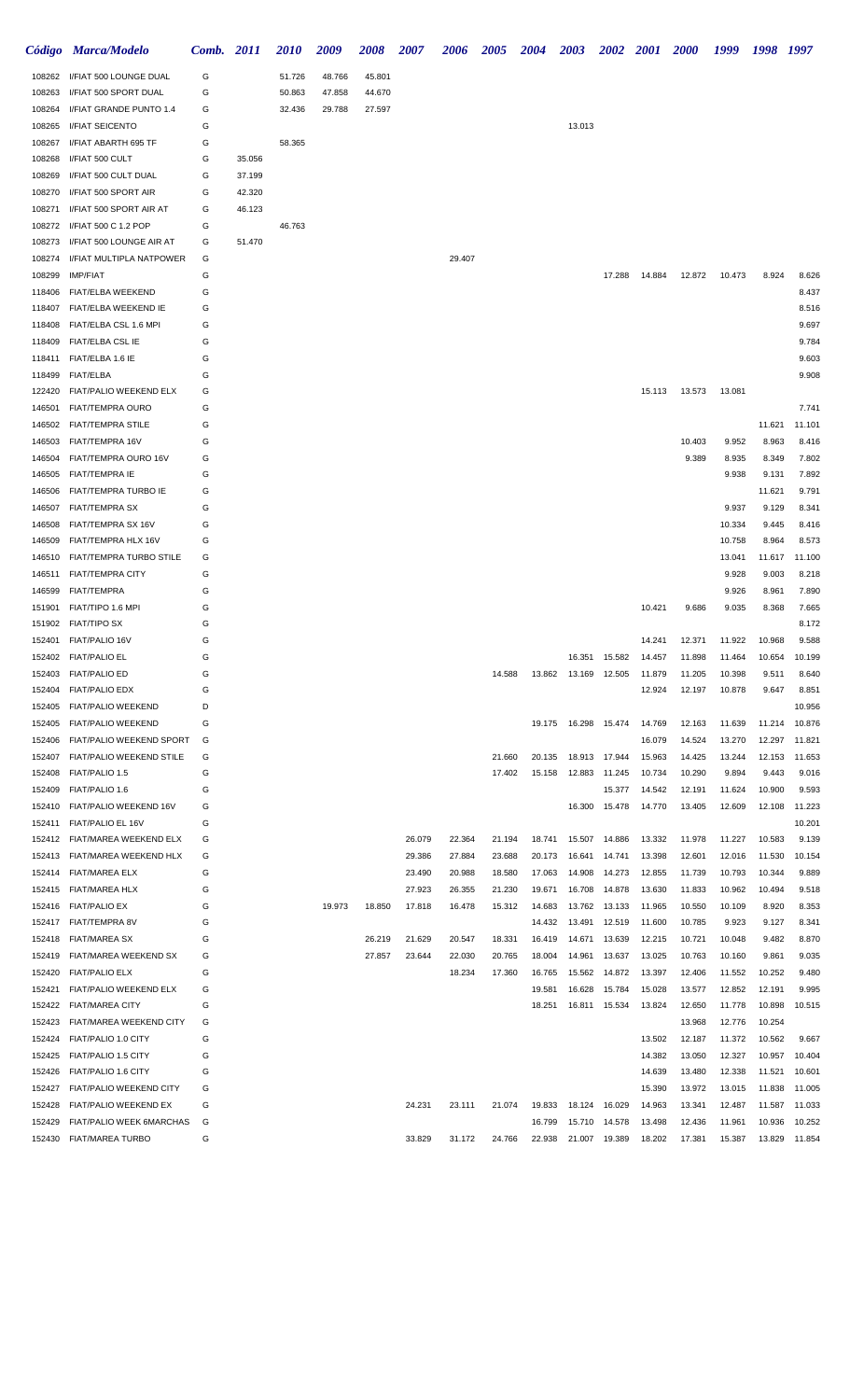|                  | Código Marca/Modelo                                   | Comb. 2011 |                  | <i>2010</i> | 2009   | 2008   | 2007   | 2006   | <i><b>2005</b></i> | 2004             | <b>2003</b>      |                  | <b>2002</b> 2001 | <b>2000</b>      | 1999             | 1998 1997        |                  |
|------------------|-------------------------------------------------------|------------|------------------|-------------|--------|--------|--------|--------|--------------------|------------------|------------------|------------------|------------------|------------------|------------------|------------------|------------------|
| 108262           | I/FIAT 500 LOUNGE DUAL                                | G          |                  | 51.726      | 48.766 | 45.801 |        |        |                    |                  |                  |                  |                  |                  |                  |                  |                  |
| 108263           | I/FIAT 500 SPORT DUAL                                 | G          |                  | 50.863      | 47.858 | 44.670 |        |        |                    |                  |                  |                  |                  |                  |                  |                  |                  |
| 108264           | I/FIAT GRANDE PUNTO 1.4                               | G          |                  | 32.436      | 29.788 | 27.597 |        |        |                    |                  |                  |                  |                  |                  |                  |                  |                  |
| 108265           | <b>I/FIAT SEICENTO</b>                                | G          |                  |             |        |        |        |        |                    |                  | 13.013           |                  |                  |                  |                  |                  |                  |
| 108267           | I/FIAT ABARTH 695 TF                                  | G          |                  | 58.365      |        |        |        |        |                    |                  |                  |                  |                  |                  |                  |                  |                  |
| 108268           | I/FIAT 500 CULT                                       | G          | 35.056           |             |        |        |        |        |                    |                  |                  |                  |                  |                  |                  |                  |                  |
| 108269<br>108270 | I/FIAT 500 CULT DUAL                                  | G<br>G     | 37.199<br>42.320 |             |        |        |        |        |                    |                  |                  |                  |                  |                  |                  |                  |                  |
| 108271           | I/FIAT 500 SPORT AIR<br>I/FIAT 500 SPORT AIR AT       | G          | 46.123           |             |        |        |        |        |                    |                  |                  |                  |                  |                  |                  |                  |                  |
| 108272           | I/FIAT 500 C 1.2 POP                                  | G          |                  | 46.763      |        |        |        |        |                    |                  |                  |                  |                  |                  |                  |                  |                  |
| 108273           | I/FIAT 500 LOUNGE AIR AT                              | G          | 51.470           |             |        |        |        |        |                    |                  |                  |                  |                  |                  |                  |                  |                  |
| 108274           | I/FIAT MULTIPLA NATPOWER                              | G          |                  |             |        |        |        | 29.407 |                    |                  |                  |                  |                  |                  |                  |                  |                  |
| 108299           | <b>IMP/FIAT</b>                                       | G          |                  |             |        |        |        |        |                    |                  |                  | 17.288           | 14.884           | 12.872           | 10.473           | 8.924            | 8.626            |
| 118406           | FIAT/ELBA WEEKEND                                     | G          |                  |             |        |        |        |        |                    |                  |                  |                  |                  |                  |                  |                  | 8.437            |
| 118407           | FIAT/ELBA WEEKEND IE                                  | G          |                  |             |        |        |        |        |                    |                  |                  |                  |                  |                  |                  |                  | 8.516            |
| 118408           | FIAT/ELBA CSL 1.6 MPI                                 | G          |                  |             |        |        |        |        |                    |                  |                  |                  |                  |                  |                  |                  | 9.697            |
| 118409           | FIAT/ELBA CSL IE<br>118411 FIAT/ELBA 1.6 IE           | G<br>G     |                  |             |        |        |        |        |                    |                  |                  |                  |                  |                  |                  |                  | 9.784<br>9.603   |
| 118499           | FIAT/ELBA                                             | G          |                  |             |        |        |        |        |                    |                  |                  |                  |                  |                  |                  |                  | 9.908            |
| 122420           | FIAT/PALIO WEEKEND ELX                                | G          |                  |             |        |        |        |        |                    |                  |                  |                  | 15.113           | 13.573           | 13.081           |                  |                  |
| 146501           | <b>FIAT/TEMPRA OURO</b>                               | G          |                  |             |        |        |        |        |                    |                  |                  |                  |                  |                  |                  |                  | 7.741            |
| 146502           | <b>FIAT/TEMPRA STILE</b>                              | G          |                  |             |        |        |        |        |                    |                  |                  |                  |                  |                  |                  | 11.621           | 11.101           |
| 146503           | FIAT/TEMPRA 16V                                       | G          |                  |             |        |        |        |        |                    |                  |                  |                  |                  | 10.403           | 9.952            | 8.963            | 8.416            |
| 146504           | FIAT/TEMPRA OURO 16V                                  | G          |                  |             |        |        |        |        |                    |                  |                  |                  |                  | 9.389            | 8.935            | 8.349            | 7.802            |
| 146505           | <b>FIAT/TEMPRA IE</b>                                 | G          |                  |             |        |        |        |        |                    |                  |                  |                  |                  |                  | 9.938            | 9.131            | 7.892            |
| 146506           | FIAT/TEMPRA TURBO IE                                  | G          |                  |             |        |        |        |        |                    |                  |                  |                  |                  |                  |                  | 11.621           | 9.791            |
| 146507           | <b>FIAT/TEMPRA SX</b>                                 | G          |                  |             |        |        |        |        |                    |                  |                  |                  |                  |                  | 9.937            | 9.129            | 8.341            |
| 146508<br>146509 | FIAT/TEMPRA SX 16V<br>FIAT/TEMPRA HLX 16V             | G<br>G     |                  |             |        |        |        |        |                    |                  |                  |                  |                  |                  | 10.334<br>10.758 | 9.445<br>8.964   | 8.416<br>8.573   |
| 146510           | FIAT/TEMPRA TURBO STILE                               | G          |                  |             |        |        |        |        |                    |                  |                  |                  |                  |                  | 13.041           | 11.617           | 11.100           |
| 146511           | <b>FIAT/TEMPRA CITY</b>                               | G          |                  |             |        |        |        |        |                    |                  |                  |                  |                  |                  | 9.928            | 9.003            | 8.218            |
| 146599           | FIAT/TEMPRA                                           | G          |                  |             |        |        |        |        |                    |                  |                  |                  |                  |                  | 9.926            | 8.961            | 7.890            |
| 151901           | FIAT/TIPO 1.6 MPI                                     | G          |                  |             |        |        |        |        |                    |                  |                  |                  | 10.421           | 9.686            | 9.035            | 8.368            | 7.665            |
| 151902           | <b>FIAT/TIPO SX</b>                                   | G          |                  |             |        |        |        |        |                    |                  |                  |                  |                  |                  |                  |                  | 8.172            |
| 152401           | FIAT/PALIO 16V                                        | G          |                  |             |        |        |        |        |                    |                  |                  |                  | 14.241           | 12.371           | 11.922           | 10.968           | 9.588            |
| 152402           | <b>FIAT/PALIO EL</b>                                  | G          |                  |             |        |        |        |        |                    |                  | 16.351           | 15.582           | 14.457           | 11.898           | 11.464           | 10.654           | 10.199           |
| 152403           | <b>FIAT/PALIO ED</b>                                  | G          |                  |             |        |        |        |        | 14.588             | 13.862           | 13.169           | 12.505           | 11.879           | 11.205           | 10.398           | 9.511            | 8.640            |
| 152404           | <b>FIAT/PALIO EDX</b>                                 | G          |                  |             |        |        |        |        |                    |                  |                  |                  | 12.924           | 12.197           | 10.878           | 9.647            | 8.851            |
| 152405           | <b>FIAT/PALIO WEEKEND</b>                             | D          |                  |             |        |        |        |        |                    |                  |                  |                  |                  |                  |                  |                  | 10.956           |
| 152405           | <b>FIAT/PALIO WEEKEND</b><br>FIAT/PALIO WEEKEND SPORT | G<br>G     |                  |             |        |        |        |        |                    |                  | 19.175 16.298    | 15.474           | 14.769<br>16.079 | 12.163<br>14.524 | 11.639<br>13.270 | 11.214<br>12.297 | 10.876<br>11.821 |
| 152406<br>152407 | FIAT/PALIO WEEKEND STILE                              | G          |                  |             |        |        |        |        | 21.660             | 20.135           | 18.913           | 17.944           | 15.963           | 14.425           | 13.244           | 12.153           | 11.653           |
| 152408           | FIAT/PALIO 1.5                                        | G          |                  |             |        |        |        |        | 17.402             | 15.158           | 12.883           | 11.245           | 10.734           | 10.290           | 9.894            | 9.443            | 9.016            |
| 152409           | FIAT/PALIO 1.6                                        | G          |                  |             |        |        |        |        |                    |                  |                  | 15.377           | 14.542           | 12.191           | 11.624           | 10.900           | 9.593            |
| 152410           | FIAT/PALIO WEEKEND 16V                                | G          |                  |             |        |        |        |        |                    |                  | 16.300           | 15.478           | 14.770           | 13.405           | 12.609           | 12.108           | 11.223           |
| 152411           | FIAT/PALIO EL 16V                                     | G          |                  |             |        |        |        |        |                    |                  |                  |                  |                  |                  |                  |                  | 10.201           |
|                  | 152412 FIAT/MAREA WEEKEND ELX                         | G          |                  |             |        |        | 26.079 | 22.364 | 21.194             | 18.741           | 15.507           | 14.886           | 13.332           | 11.978           | 11.227           | 10.583           | 9.139            |
|                  | 152413 FIAT/MAREA WEEKEND HLX                         | G          |                  |             |        |        | 29.386 | 27.884 | 23.688             | 20.173           | 16.641           | 14.741           | 13.398           | 12.601           | 12.016           | 11.530           | 10.154           |
| 152414           | <b>FIAT/MAREA ELX</b>                                 | G          |                  |             |        |        | 23.490 | 20.988 | 18.580             | 17.063           | 14.908           | 14.273           | 12.855           | 11.739           | 10.793           | 10.344           | 9.889            |
|                  | 152415 FIAT/MAREA HLX                                 | G          |                  |             |        |        | 27.923 | 26.355 | 21.230             | 19.671           | 16.708           | 14.878           | 13.630           | 11.833           | 10.962           | 10.494           | 9.518            |
|                  | 152416 FIAT/PALIO EX                                  | G<br>G     |                  |             | 19.973 | 18.850 | 17.818 | 16.478 | 15.312             | 14.683           | 13.762           | 13.133           | 11.965           | 10.550           | 10.109           | 8.920            | 8.353            |
| 152417<br>152418 | FIAT/TEMPRA 8V<br>FIAT/MAREA SX                       | G          |                  |             |        | 26.219 | 21.629 | 20.547 | 18.331             | 14.432<br>16.419 | 13.491<br>14.671 | 12.519<br>13.639 | 11.600<br>12.215 | 10.785<br>10.721 | 9.923<br>10.048  | 9.127<br>9.482   | 8.341<br>8.870   |
| 152419           | FIAT/MAREA WEEKEND SX                                 | G          |                  |             |        | 27.857 | 23.644 | 22.030 | 20.765             | 18.004           | 14.961           | 13.637           | 13.025           | 10.763           | 10.160           | 9.861            | 9.035            |
| 152420           | <b>FIAT/PALIO ELX</b>                                 | G          |                  |             |        |        |        | 18.234 | 17.360             | 16.765           | 15.562           | 14.872           | 13.397           | 12.406           | 11.552           | 10.252           | 9.480            |
| 152421           | FIAT/PALIO WEEKEND ELX                                | G          |                  |             |        |        |        |        |                    | 19.581           | 16.628           | 15.784           | 15.028           | 13.577           | 12.852           | 12.191           | 9.995            |
| 152422           | <b>FIAT/MAREA CITY</b>                                | G          |                  |             |        |        |        |        |                    | 18.251           | 16.811           | 15.534           | 13.824           | 12.650           | 11.778           | 10.898           | 10.515           |
| 152423           | FIAT/MAREA WEEKEND CITY                               | G          |                  |             |        |        |        |        |                    |                  |                  |                  |                  | 13.968           | 12.776           | 10.254           |                  |
| 152424           | FIAT/PALIO 1.0 CITY                                   | G          |                  |             |        |        |        |        |                    |                  |                  |                  | 13.502           | 12.187           | 11.372           | 10.562           | 9.667            |
| 152425           | FIAT/PALIO 1.5 CITY                                   | G          |                  |             |        |        |        |        |                    |                  |                  |                  | 14.382           | 13.050           | 12.327           | 10.957           | 10.404           |
| 152426           | FIAT/PALIO 1.6 CITY                                   | G          |                  |             |        |        |        |        |                    |                  |                  |                  | 14.639           | 13.480           | 12.338           | 11.521           | 10.601           |
| 152427           | FIAT/PALIO WEEKEND CITY                               | G          |                  |             |        |        |        |        |                    |                  |                  |                  | 15.390           | 13.972           | 13.015           | 11.838           | 11.005           |
| 152428<br>152429 | FIAT/PALIO WEEKEND EX                                 | G<br>G     |                  |             |        |        | 24.231 | 23.111 | 21.074             | 19.833           | 18.124           | 16.029           | 14.963           | 13.341           | 12.487           | 11.587<br>10.936 | 11.033<br>10.252 |
| 152430           | FIAT/PALIO WEEK 6MARCHAS<br><b>FIAT/MAREA TURBO</b>   | G          |                  |             |        |        | 33.829 | 31.172 | 24.766             | 16.799<br>22.938 | 15.710<br>21.007 | 14.578<br>19.389 | 13.498<br>18.202 | 12.436<br>17.381 | 11.961<br>15.387 | 13.829           | 11.854           |
|                  |                                                       |            |                  |             |        |        |        |        |                    |                  |                  |                  |                  |                  |                  |                  |                  |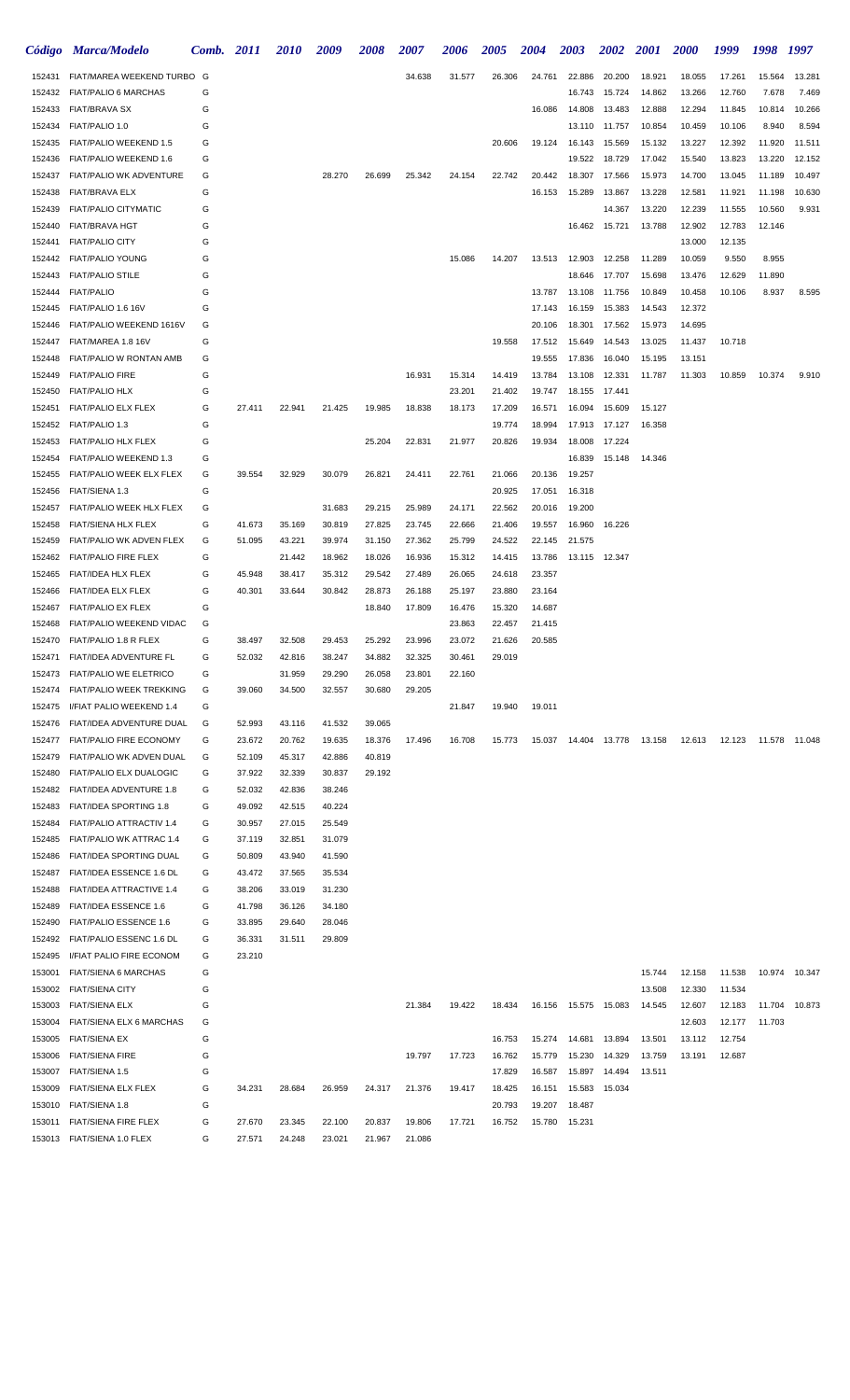|                  | Código Marca/Modelo                                | Comb. 2011 |                  | <i>2010</i>      | 2009             | 2008             | 2007             | 2006             | <i><b>2005</b></i> | 2004   | 2003                           | <b>2002</b>      | <i>2001</i>      | <b>2000</b>      | 1999             | 1998            | 1997   |
|------------------|----------------------------------------------------|------------|------------------|------------------|------------------|------------------|------------------|------------------|--------------------|--------|--------------------------------|------------------|------------------|------------------|------------------|-----------------|--------|
| 152431           | FIAT/MAREA WEEKEND TURBO G                         |            |                  |                  |                  |                  | 34.638           | 31.577           | 26.306             | 24.761 | 22.886                         | 20.200           | 18.921           | 18.055           | 17.261           | 15.564          | 13.281 |
| 152432           | FIAT/PALIO 6 MARCHAS                               | G          |                  |                  |                  |                  |                  |                  |                    |        | 16.743                         | 15.724           | 14.862           | 13.266           | 12.760           | 7.678           | 7.469  |
| 152433           | <b>FIAT/BRAVA SX</b>                               | G          |                  |                  |                  |                  |                  |                  |                    | 16.086 | 14.808                         | 13.483           | 12.888           | 12.294           | 11.845           | 10.814          | 10.266 |
| 152434           | FIAT/PALIO 1.0                                     | G          |                  |                  |                  |                  |                  |                  |                    |        | 13.110                         | 11.757           | 10.854           | 10.459           | 10.106           | 8.940           | 8.594  |
| 152435           | FIAT/PALIO WEEKEND 1.5                             | G          |                  |                  |                  |                  |                  |                  | 20.606             | 19.124 | 16.143                         | 15.569           | 15.132           | 13.227           | 12.392           | 11.920          | 11.511 |
| 152436           | FIAT/PALIO WEEKEND 1.6                             | G          |                  |                  |                  |                  |                  |                  |                    |        | 19.522                         | 18.729           | 17.042           | 15.540           | 13.823           | 13.220          | 12.152 |
| 152437           | FIAT/PALIO WK ADVENTURE                            | G          |                  |                  | 28.270           | 26.699           | 25.342           | 24.154           | 22.742             | 20.442 | 18.307                         | 17.566           | 15.973           | 14.700           | 13.045           | 11.189          | 10.497 |
| 152438           | <b>FIAT/BRAVA ELX</b>                              | G          |                  |                  |                  |                  |                  |                  |                    | 16.153 | 15.289                         | 13.867           | 13.228           | 12.581           | 11.921           | 11.198          | 10.630 |
| 152439           | <b>FIAT/PALIO CITYMATIC</b>                        | G          |                  |                  |                  |                  |                  |                  |                    |        |                                | 14.367           | 13.220           | 12.239           | 11.555           | 10.560          | 9.931  |
| 152440           | <b>FIAT/BRAVA HGT</b>                              | G          |                  |                  |                  |                  |                  |                  |                    |        | 16.462                         | 15.721           | 13.788           | 12.902           | 12.783           | 12.146          |        |
| 152441           | <b>FIAT/PALIO CITY</b>                             | G          |                  |                  |                  |                  |                  |                  |                    |        |                                |                  |                  | 13.000           | 12.135           |                 |        |
| 152442           | <b>FIAT/PALIO YOUNG</b><br><b>FIAT/PALIO STILE</b> | G<br>G     |                  |                  |                  |                  |                  | 15.086           | 14.207             | 13.513 | 12.903<br>18.646               | 12.258<br>17.707 | 11.289           | 10.059           | 9.550            | 8.955<br>11.890 |        |
| 152443<br>152444 | <b>FIAT/PALIO</b>                                  | G          |                  |                  |                  |                  |                  |                  |                    | 13.787 | 13.108                         | 11.756           | 15.698<br>10.849 | 13.476<br>10.458 | 12.629<br>10.106 | 8.937           | 8.595  |
| 152445           | FIAT/PALIO 1.6 16V                                 | G          |                  |                  |                  |                  |                  |                  |                    | 17.143 | 16.159                         | 15.383           | 14.543           | 12.372           |                  |                 |        |
| 152446           | FIAT/PALIO WEEKEND 1616V                           | G          |                  |                  |                  |                  |                  |                  |                    | 20.106 | 18.301                         | 17.562           | 15.973           | 14.695           |                  |                 |        |
| 152447           | FIAT/MAREA 1.8 16V                                 | G          |                  |                  |                  |                  |                  |                  | 19.558             | 17.512 | 15.649                         | 14.543           | 13.025           | 11.437           | 10.718           |                 |        |
| 152448           | FIAT/PALIO W RONTAN AMB                            | G          |                  |                  |                  |                  |                  |                  |                    | 19.555 | 17.836                         | 16.040           | 15.195           | 13.151           |                  |                 |        |
| 152449           | <b>FIAT/PALIO FIRE</b>                             | G          |                  |                  |                  |                  | 16.931           | 15.314           | 14.419             | 13.784 | 13.108                         | 12.331           | 11.787           | 11.303           | 10.859           | 10.374          | 9.910  |
| 152450           | <b>FIAT/PALIO HLX</b>                              | G          |                  |                  |                  |                  |                  | 23.201           | 21.402             | 19.747 | 18.155                         | 17.441           |                  |                  |                  |                 |        |
| 152451           | FIAT/PALIO ELX FLEX                                | G          | 27.411           | 22.941           | 21.425           | 19.985           | 18.838           | 18.173           | 17.209             | 16.571 | 16.094                         | 15.609           | 15.127           |                  |                  |                 |        |
| 152452           | FIAT/PALIO 1.3                                     | G          |                  |                  |                  |                  |                  |                  | 19.774             | 18.994 | 17.913                         | 17.127           | 16.358           |                  |                  |                 |        |
| 152453           | FIAT/PALIO HLX FLEX                                | G          |                  |                  |                  | 25.204           | 22.831           | 21.977           | 20.826             | 19.934 | 18.008                         | 17.224           |                  |                  |                  |                 |        |
| 152454           | FIAT/PALIO WEEKEND 1.3                             | G          |                  |                  |                  |                  |                  |                  |                    |        | 16.839                         | 15.148           | 14.346           |                  |                  |                 |        |
| 152455           | FIAT/PALIO WEEK ELX FLEX                           | G          | 39.554           | 32.929           | 30.079           | 26.821           | 24.411           | 22.761           | 21.066             | 20.136 | 19.257                         |                  |                  |                  |                  |                 |        |
| 152456           | FIAT/SIENA 1.3                                     | G          |                  |                  |                  |                  |                  |                  | 20.925             | 17.051 | 16.318                         |                  |                  |                  |                  |                 |        |
| 152457           | FIAT/PALIO WEEK HLX FLEX                           | G          |                  |                  | 31.683           | 29.215           | 25.989           | 24.171           | 22.562             | 20.016 | 19.200                         |                  |                  |                  |                  |                 |        |
| 152458           | FIAT/SIENA HLX FLEX                                | G          | 41.673           | 35.169           | 30.819           | 27.825           | 23.745           | 22.666           | 21.406             | 19.557 | 16.960                         | 16.226           |                  |                  |                  |                 |        |
| 152459           | FIAT/PALIO WK ADVEN FLEX                           | G          | 51.095           | 43.221           | 39.974           | 31.150           | 27.362           | 25.799           | 24.522             | 22.145 | 21.575                         |                  |                  |                  |                  |                 |        |
| 152462           | <b>FIAT/PALIO FIRE FLEX</b>                        | G          |                  | 21.442           | 18.962           | 18.026           | 16.936           | 15.312           | 14.415             | 13.786 | 13.115                         | 12.347           |                  |                  |                  |                 |        |
| 152465           | FIAT/IDEA HLX FLEX                                 | G          | 45.948           | 38.417           | 35.312           | 29.542           | 27.489           | 26.065           | 24.618             | 23.357 |                                |                  |                  |                  |                  |                 |        |
| 152466           | FIAT/IDEA ELX FLEX                                 | G          | 40.301           | 33.644           | 30.842           | 28.873           | 26.188           | 25.197           | 23.880             | 23.164 |                                |                  |                  |                  |                  |                 |        |
| 152467           | <b>FIAT/PALIO EX FLEX</b>                          | G          |                  |                  |                  | 18.840           | 17.809           | 16.476           | 15.320             | 14.687 |                                |                  |                  |                  |                  |                 |        |
| 152468           | FIAT/PALIO WEEKEND VIDAC                           | G<br>G     |                  |                  |                  |                  |                  | 23.863           | 22.457             | 21.415 |                                |                  |                  |                  |                  |                 |        |
| 152470           | FIAT/PALIO 1.8 R FLEX<br>FIAT/IDEA ADVENTURE FL    | G          | 38.497<br>52.032 | 32.508           | 29.453           | 25.292           | 23.996           | 23.072           | 21.626<br>29.019   | 20.585 |                                |                  |                  |                  |                  |                 |        |
| 152471<br>152473 | <b>FIAT/PALIO WE ELETRICO</b>                      | G          |                  | 42.816<br>31.959 | 38.247<br>29.290 | 34.882<br>26.058 | 32.325<br>23.801 | 30.461<br>22.160 |                    |        |                                |                  |                  |                  |                  |                 |        |
| 152474           | FIAT/PALIO WEEK TREKKING                           | G          | 39.060           | 34.500           | 32.557           | 30.680           | 29.205           |                  |                    |        |                                |                  |                  |                  |                  |                 |        |
| 152475           | I/FIAT PALIO WEEKEND 1.4                           | G          |                  |                  |                  |                  |                  | 21.847           | 19.940             | 19.011 |                                |                  |                  |                  |                  |                 |        |
| 152476           | FIAT/IDEA ADVENTURE DUAL                           | G          | 52.993           | 43.116           | 41.532           | 39.065           |                  |                  |                    |        |                                |                  |                  |                  |                  |                 |        |
| 152477           | FIAT/PALIO FIRE ECONOMY                            | G          | 23.672           | 20.762           | 19.635           | 18.376           | 17.496           | 16.708           | 15.773             |        | 15.037  14.404  13.778  13.158 |                  |                  | 12.613           | 12.123           |                 |        |
| 152479           | FIAT/PALIO WK ADVEN DUAL                           | G          | 52.109           | 45.317           | 42.886           | 40.819           |                  |                  |                    |        |                                |                  |                  |                  |                  |                 |        |
| 152480           | FIAT/PALIO ELX DUALOGIC                            | G          | 37.922           | 32.339           | 30.837           | 29.192           |                  |                  |                    |        |                                |                  |                  |                  |                  |                 |        |
| 152482           | FIAT/IDEA ADVENTURE 1.8                            | G          | 52.032           | 42.836           | 38.246           |                  |                  |                  |                    |        |                                |                  |                  |                  |                  |                 |        |
| 152483           | FIAT/IDEA SPORTING 1.8                             | G          | 49.092           | 42.515           | 40.224           |                  |                  |                  |                    |        |                                |                  |                  |                  |                  |                 |        |
| 152484           | FIAT/PALIO ATTRACTIV 1.4                           | G          | 30.957           | 27.015           | 25.549           |                  |                  |                  |                    |        |                                |                  |                  |                  |                  |                 |        |
| 152485           | FIAT/PALIO WK ATTRAC 1.4                           | G          | 37.119           | 32.851           | 31.079           |                  |                  |                  |                    |        |                                |                  |                  |                  |                  |                 |        |
| 152486           | FIAT/IDEA SPORTING DUAL                            | G          | 50.809           | 43.940           | 41.590           |                  |                  |                  |                    |        |                                |                  |                  |                  |                  |                 |        |
| 152487           | FIAT/IDEA ESSENCE 1.6 DL                           | G          | 43.472           | 37.565           | 35.534           |                  |                  |                  |                    |        |                                |                  |                  |                  |                  |                 |        |
| 152488           | FIAT/IDEA ATTRACTIVE 1.4                           | G          | 38.206           | 33.019           | 31.230           |                  |                  |                  |                    |        |                                |                  |                  |                  |                  |                 |        |
| 152489           | FIAT/IDEA ESSENCE 1.6                              | G          | 41.798           | 36.126           | 34.180           |                  |                  |                  |                    |        |                                |                  |                  |                  |                  |                 |        |
| 152490           | <b>FIAT/PALIO ESSENCE 1.6</b>                      | G          | 33.895           | 29.640           | 28.046           |                  |                  |                  |                    |        |                                |                  |                  |                  |                  |                 |        |
| 152492           | FIAT/PALIO ESSENC 1.6 DL                           | G          | 36.331           | 31.511           | 29.809           |                  |                  |                  |                    |        |                                |                  |                  |                  |                  |                 |        |
| 152495           | <b>I/FIAT PALIO FIRE ECONOM</b>                    | G          | 23.210           |                  |                  |                  |                  |                  |                    |        |                                |                  |                  |                  |                  |                 |        |
| 153001           | FIAT/SIENA 6 MARCHAS                               | G          |                  |                  |                  |                  |                  |                  |                    |        |                                |                  | 15.744           | 12.158           | 11.538           | 10.974          | 10.347 |
| 153002<br>153003 | <b>FIAT/SIENA CITY</b><br><b>FIAT/SIENA ELX</b>    | G<br>G     |                  |                  |                  |                  | 21.384           | 19.422           | 18.434             | 16.156 | 15.575                         | 15.083           | 13.508<br>14.545 | 12.330<br>12.607 | 11.534<br>12.183 | 11.704          | 10.873 |
| 153004           | FIAT/SIENA ELX 6 MARCHAS                           | G          |                  |                  |                  |                  |                  |                  |                    |        |                                |                  |                  | 12.603           | 12.177           | 11.703          |        |
| 153005           | FIAT/SIENA EX                                      | G          |                  |                  |                  |                  |                  |                  | 16.753             | 15.274 | 14.681                         | 13.894           | 13.501           | 13.112           | 12.754           |                 |        |
| 153006           | <b>FIAT/SIENA FIRE</b>                             | G          |                  |                  |                  |                  | 19.797           | 17.723           | 16.762             | 15.779 | 15.230                         | 14.329           | 13.759           | 13.191           | 12.687           |                 |        |
| 153007           | FIAT/SIENA 1.5                                     | G          |                  |                  |                  |                  |                  |                  | 17.829             | 16.587 | 15.897                         | 14.494           | 13.511           |                  |                  |                 |        |
| 153009           | FIAT/SIENA ELX FLEX                                | G          | 34.231           | 28.684           | 26.959           | 24.317           | 21.376           | 19.417           | 18.425             | 16.151 | 15.583                         | 15.034           |                  |                  |                  |                 |        |
| 153010           | FIAT/SIENA 1.8                                     | G          |                  |                  |                  |                  |                  |                  | 20.793             | 19.207 | 18.487                         |                  |                  |                  |                  |                 |        |
| 153011           | <b>FIAT/SIENA FIRE FLEX</b>                        | G          | 27.670           | 23.345           | 22.100           | 20.837           | 19.806           | 17.721           | 16.752             | 15.780 | 15.231                         |                  |                  |                  |                  |                 |        |
|                  | 153013 FIAT/SIENA 1.0 FLEX                         | G          | 27.571           | 24.248           | 23.021           | 21.967           | 21.086           |                  |                    |        |                                |                  |                  |                  |                  |                 |        |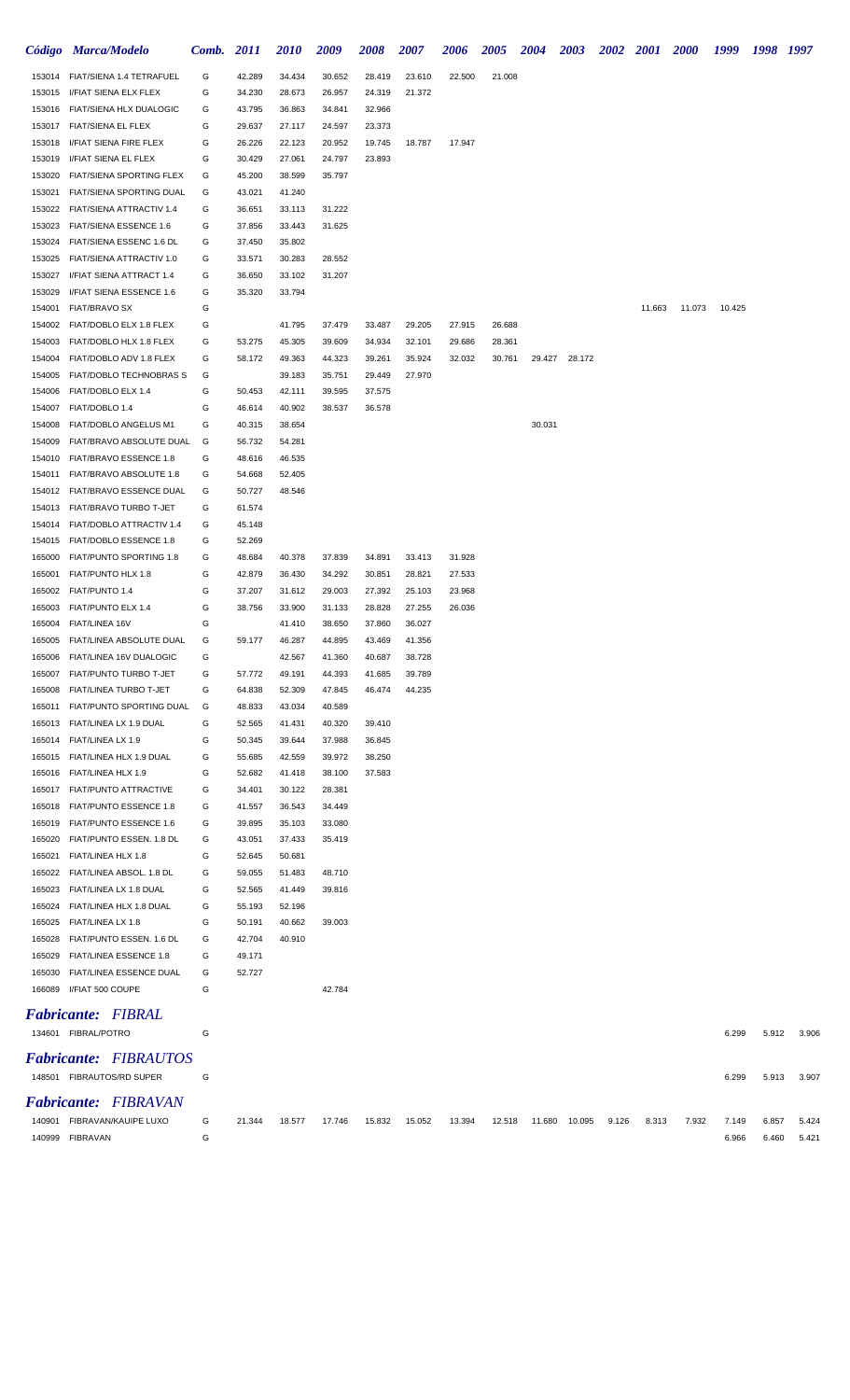|                  | Código Marca/Modelo                                  | Comb.  | <i>2011</i>      | <i>2010</i>      | 2009             | 2008             | 2007   | <b>2006</b> | <b>2005</b> | <b>2004</b> | <b>2003</b> | <b>2002</b> |        | <b>2001</b> 2000 | 1999   | 1998 1997 |       |
|------------------|------------------------------------------------------|--------|------------------|------------------|------------------|------------------|--------|-------------|-------------|-------------|-------------|-------------|--------|------------------|--------|-----------|-------|
|                  | 153014 FIAT/SIENA 1.4 TETRAFUEL                      | G      | 42.289           | 34.434           | 30.652           | 28.419           | 23.610 | 22.500      | 21.008      |             |             |             |        |                  |        |           |       |
| 153015           | I/FIAT SIENA ELX FLEX                                | G      | 34.230           | 28.673           | 26.957           | 24.319           | 21.372 |             |             |             |             |             |        |                  |        |           |       |
| 153016           | FIAT/SIENA HLX DUALOGIC                              | G      | 43.795           | 36.863           | 34.841           | 32.966           |        |             |             |             |             |             |        |                  |        |           |       |
| 153017           | <b>FIAT/SIENA EL FLEX</b>                            | G      | 29.637           | 27.117           | 24.597           | 23.373           |        |             |             |             |             |             |        |                  |        |           |       |
| 153018           | I/FIAT SIENA FIRE FLEX                               | G      | 26.226           | 22.123           | 20.952           | 19.745           | 18.787 | 17.947      |             |             |             |             |        |                  |        |           |       |
| 153019           | I/FIAT SIENA EL FLEX                                 | G      | 30.429           | 27.061           | 24.797           | 23.893           |        |             |             |             |             |             |        |                  |        |           |       |
| 153020           | FIAT/SIENA SPORTING FLEX                             | G      | 45.200           | 38.599           | 35.797           |                  |        |             |             |             |             |             |        |                  |        |           |       |
| 153021           | FIAT/SIENA SPORTING DUAL<br>FIAT/SIENA ATTRACTIV 1.4 | G      | 43.021<br>36.651 | 41.240           | 31.222           |                  |        |             |             |             |             |             |        |                  |        |           |       |
| 153022<br>153023 | FIAT/SIENA ESSENCE 1.6                               | G<br>G | 37.856           | 33.113<br>33.443 | 31.625           |                  |        |             |             |             |             |             |        |                  |        |           |       |
| 153024           | FIAT/SIENA ESSENC 1.6 DL                             | G      | 37.450           | 35.802           |                  |                  |        |             |             |             |             |             |        |                  |        |           |       |
| 153025           | FIAT/SIENA ATTRACTIV 1.0                             | G      | 33.571           | 30.283           | 28.552           |                  |        |             |             |             |             |             |        |                  |        |           |       |
| 153027           | I/FIAT SIENA ATTRACT 1.4                             | G      | 36.650           | 33.102           | 31.207           |                  |        |             |             |             |             |             |        |                  |        |           |       |
| 153029           | I/FIAT SIENA ESSENCE 1.6                             | G      | 35.320           | 33.794           |                  |                  |        |             |             |             |             |             |        |                  |        |           |       |
| 154001           | FIAT/BRAVO SX                                        | G      |                  |                  |                  |                  |        |             |             |             |             |             | 11.663 | 11.073           | 10.425 |           |       |
| 154002           | FIAT/DOBLO ELX 1.8 FLEX                              | G      |                  | 41.795           | 37.479           | 33.487           | 29.205 | 27.915      | 26.688      |             |             |             |        |                  |        |           |       |
| 154003           | FIAT/DOBLO HLX 1.8 FLEX                              | G      | 53.275           | 45.305           | 39.609           | 34.934           | 32.101 | 29.686      | 28.361      |             |             |             |        |                  |        |           |       |
| 154004           | FIAT/DOBLO ADV 1.8 FLEX                              | G      | 58.172           | 49.363           | 44.323           | 39.261           | 35.924 | 32.032      | 30.761      | 29.427      | 28.172      |             |        |                  |        |           |       |
| 154005           | FIAT/DOBLO TECHNOBRAS S                              | G      |                  | 39.183           | 35.751           | 29.449           | 27.970 |             |             |             |             |             |        |                  |        |           |       |
| 154006           | FIAT/DOBLO ELX 1.4                                   | G      | 50.453           | 42.111           | 39.595           | 37.575           |        |             |             |             |             |             |        |                  |        |           |       |
| 154007           | FIAT/DOBLO 1.4                                       | G      | 46.614           | 40.902           | 38.537           | 36.578           |        |             |             |             |             |             |        |                  |        |           |       |
| 154008           | FIAT/DOBLO ANGELUS M1                                | G      | 40.315           | 38.654           |                  |                  |        |             |             | 30.031      |             |             |        |                  |        |           |       |
| 154009           | FIAT/BRAVO ABSOLUTE DUAL                             | G      | 56.732           | 54.281           |                  |                  |        |             |             |             |             |             |        |                  |        |           |       |
| 154010           | FIAT/BRAVO ESSENCE 1.8<br>FIAT/BRAVO ABSOLUTE 1.8    | G      | 48.616           | 46.535           |                  |                  |        |             |             |             |             |             |        |                  |        |           |       |
| 154011<br>154012 | FIAT/BRAVO ESSENCE DUAL                              | G<br>G | 54.668<br>50.727 | 52.405<br>48.546 |                  |                  |        |             |             |             |             |             |        |                  |        |           |       |
| 154013           | FIAT/BRAVO TURBO T-JET                               | G      | 61.574           |                  |                  |                  |        |             |             |             |             |             |        |                  |        |           |       |
| 154014           | FIAT/DOBLO ATTRACTIV 1.4                             | G      | 45.148           |                  |                  |                  |        |             |             |             |             |             |        |                  |        |           |       |
| 154015           | FIAT/DOBLO ESSENCE 1.8                               | G      | 52.269           |                  |                  |                  |        |             |             |             |             |             |        |                  |        |           |       |
| 165000           | FIAT/PUNTO SPORTING 1.8                              | G      | 48.684           | 40.378           | 37.839           | 34.891           | 33.413 | 31.928      |             |             |             |             |        |                  |        |           |       |
| 165001           | FIAT/PUNTO HLX 1.8                                   | G      | 42.879           | 36.430           | 34.292           | 30.851           | 28.821 | 27.533      |             |             |             |             |        |                  |        |           |       |
| 165002           | FIAT/PUNTO 1.4                                       | G      | 37.207           | 31.612           | 29.003           | 27.392           | 25.103 | 23.968      |             |             |             |             |        |                  |        |           |       |
| 165003           | FIAT/PUNTO ELX 1.4                                   | G      | 38.756           | 33.900           | 31.133           | 28.828           | 27.255 | 26.036      |             |             |             |             |        |                  |        |           |       |
| 165004           | FIAT/LINEA 16V                                       | G      |                  | 41.410           | 38.650           | 37.860           | 36.027 |             |             |             |             |             |        |                  |        |           |       |
| 165005           | FIAT/LINEA ABSOLUTE DUAL                             | G      | 59.177           | 46.287           | 44.895           | 43.469           | 41.356 |             |             |             |             |             |        |                  |        |           |       |
| 165006           | FIAT/LINEA 16V DUALOGIC                              | G      |                  | 42.567           | 41.360           | 40.687           | 38.728 |             |             |             |             |             |        |                  |        |           |       |
|                  | 165007 FIAT/PUNTO TURBO T-JET                        | G      | 57.772           | 49.191           | 44.393           | 41.685           | 39.789 |             |             |             |             |             |        |                  |        |           |       |
| 165008           | FIAT/LINEA TURBO T-JET                               | G      | 64.838           | 52.309           | 47.845           | 46.474           | 44.235 |             |             |             |             |             |        |                  |        |           |       |
| 165011           | FIAT/PUNTO SPORTING DUAL                             | G      | 48.833           | 43.034           | 40.589           |                  |        |             |             |             |             |             |        |                  |        |           |       |
| 165013           | FIAT/LINEA LX 1.9 DUAL<br>FIAT/LINEA LX 1.9          | G      | 52.565           | 41.431           | 40.320           | 39.410           |        |             |             |             |             |             |        |                  |        |           |       |
| 165014<br>165015 | FIAT/LINEA HLX 1.9 DUAL                              | G<br>G | 50.345<br>55.685 | 39.644<br>42.559 | 37.988<br>39.972 | 36.845<br>38.250 |        |             |             |             |             |             |        |                  |        |           |       |
| 165016           | FIAT/LINEA HLX 1.9                                   | G      | 52.682           | 41.418           | 38.100           | 37.583           |        |             |             |             |             |             |        |                  |        |           |       |
| 165017           | FIAT/PUNTO ATTRACTIVE                                | G      | 34.401           | 30.122           | 28.381           |                  |        |             |             |             |             |             |        |                  |        |           |       |
| 165018           | FIAT/PUNTO ESSENCE 1.8                               | G      | 41.557           | 36.543           | 34.449           |                  |        |             |             |             |             |             |        |                  |        |           |       |
| 165019           | FIAT/PUNTO ESSENCE 1.6                               | G      | 39.895           | 35.103           | 33.080           |                  |        |             |             |             |             |             |        |                  |        |           |       |
| 165020           | FIAT/PUNTO ESSEN. 1.8 DL                             | G      | 43.051           | 37.433           | 35.419           |                  |        |             |             |             |             |             |        |                  |        |           |       |
| 165021           | FIAT/LINEA HLX 1.8                                   | G      | 52.645           | 50.681           |                  |                  |        |             |             |             |             |             |        |                  |        |           |       |
| 165022           | FIAT/LINEA ABSOL. 1.8 DL                             | G      | 59.055           | 51.483           | 48.710           |                  |        |             |             |             |             |             |        |                  |        |           |       |
| 165023           | FIAT/LINEA LX 1.8 DUAL                               | G      | 52.565           | 41.449           | 39.816           |                  |        |             |             |             |             |             |        |                  |        |           |       |
| 165024           | FIAT/LINEA HLX 1.8 DUAL                              | G      | 55.193           | 52.196           |                  |                  |        |             |             |             |             |             |        |                  |        |           |       |
| 165025           | FIAT/LINEA LX 1.8                                    | G      | 50.191           | 40.662           | 39.003           |                  |        |             |             |             |             |             |        |                  |        |           |       |
| 165028           | FIAT/PUNTO ESSEN. 1.6 DL                             | G      | 42.704           | 40.910           |                  |                  |        |             |             |             |             |             |        |                  |        |           |       |
| 165029           | FIAT/LINEA ESSENCE 1.8                               | G      | 49.171           |                  |                  |                  |        |             |             |             |             |             |        |                  |        |           |       |
| 165030           | FIAT/LINEA ESSENCE DUAL                              | G      | 52.727           |                  |                  |                  |        |             |             |             |             |             |        |                  |        |           |       |
| 166089           | I/FIAT 500 COUPE                                     | G      |                  |                  | 42.784           |                  |        |             |             |             |             |             |        |                  |        |           |       |
|                  | <b>Fabricante: FIBRAL</b>                            |        |                  |                  |                  |                  |        |             |             |             |             |             |        |                  |        |           |       |
|                  | 134601 FIBRAL/POTRO                                  | G      |                  |                  |                  |                  |        |             |             |             |             |             |        |                  | 6.299  | 5.912     | 3.906 |
|                  | <b>Fabricante: FIBRAUTOS</b>                         |        |                  |                  |                  |                  |        |             |             |             |             |             |        |                  |        |           |       |
|                  | 148501 FIBRAUTOS/RD SUPER                            | G      |                  |                  |                  |                  |        |             |             |             |             |             |        |                  |        |           |       |
|                  |                                                      |        |                  |                  |                  |                  |        |             |             |             |             |             |        |                  | 6.299  | 5.913     | 3.907 |
|                  | <b>Fabricante:</b> FIBRAVAN                          |        |                  |                  |                  |                  |        |             |             |             |             |             |        |                  |        |           |       |
|                  | 140901 FIBRAVAN/KAUIPE LUXO                          | G      | 21.344           | 18.577           | 17.746           | 15.832           | 15.052 | 13.394      | 12.518      | 11.680      | 10.095      | 9.126       | 8.313  | 7.932            | 7.149  | 6.857     | 5.424 |
|                  | 140999 FIBRAVAN                                      | G      |                  |                  |                  |                  |        |             |             |             |             |             |        |                  | 6.966  | 6.460     | 5.421 |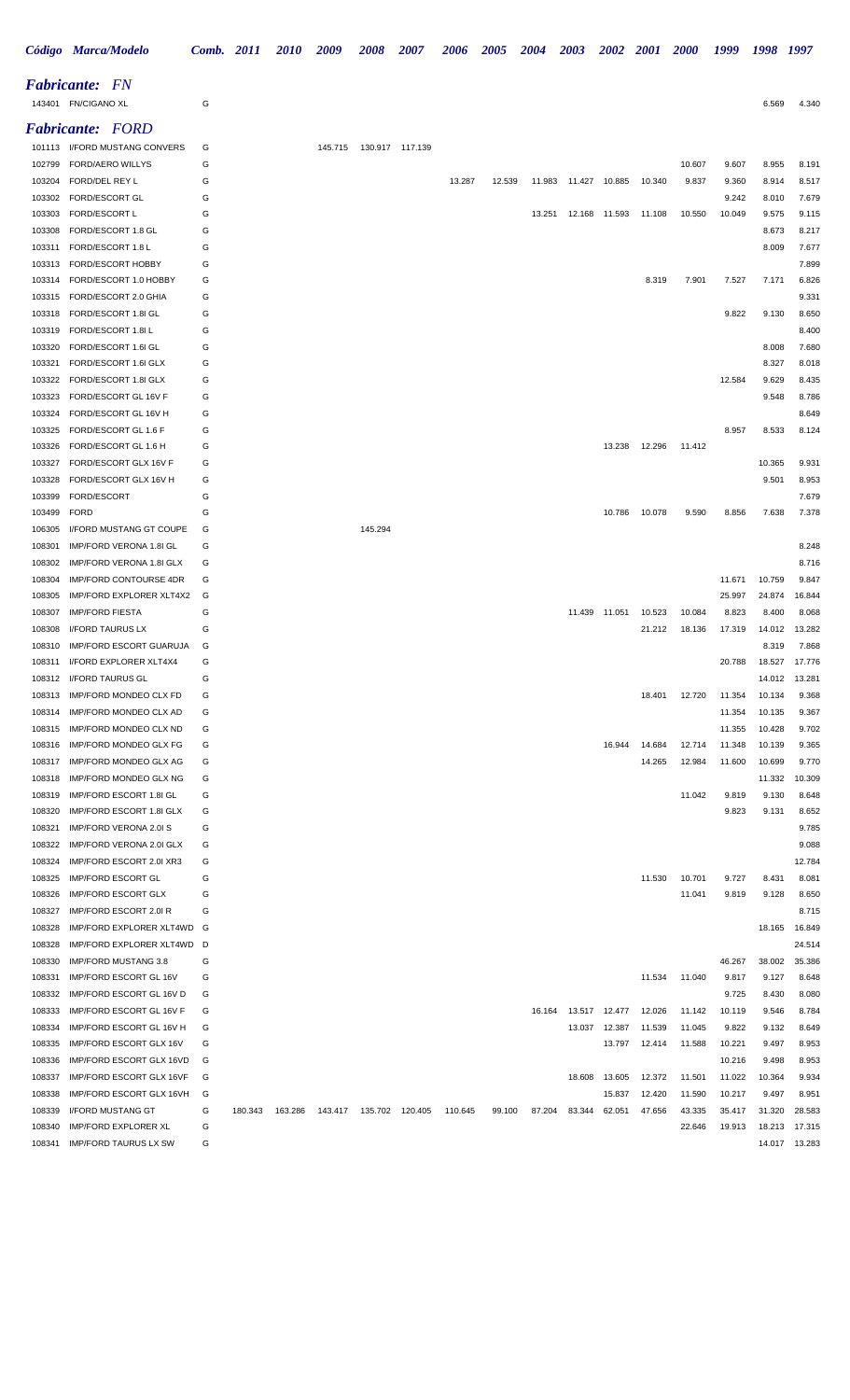|                  | Código Marca/Modelo                                 |        | Comb. 2011 | <b>2010</b> | 2009    | 2008    | <i><b>2007</b></i> | 2006    | 2005   | 2004   | 2003                   | 2002          | <b>2001</b> | <i>2000</i>      | 1999             | 1998             | 1997           |
|------------------|-----------------------------------------------------|--------|------------|-------------|---------|---------|--------------------|---------|--------|--------|------------------------|---------------|-------------|------------------|------------------|------------------|----------------|
|                  | <b>Fabricante:</b> FN                               |        |            |             |         |         |                    |         |        |        |                        |               |             |                  |                  |                  |                |
|                  | 143401 FN/CIGANO XL                                 | G      |            |             |         |         |                    |         |        |        |                        |               |             |                  |                  | 6.569            | 4.340          |
|                  | <b>Fabricante:</b> FORD                             |        |            |             |         |         |                    |         |        |        |                        |               |             |                  |                  |                  |                |
|                  | 101113 I/FORD MUSTANG CONVERS                       | G      |            |             | 145.715 |         | 130.917 117.139    |         |        |        |                        |               |             |                  |                  |                  |                |
| 102799           | <b>FORD/AERO WILLYS</b>                             | G      |            |             |         |         |                    |         |        |        |                        |               |             | 10.607           | 9.607            | 8.955            | 8.191          |
| 103204           | FORD/DEL REY L                                      | G      |            |             |         |         |                    | 13.287  | 12.539 | 11.983 | 11.427                 | 10.885        | 10.340      | 9.837            | 9.360            | 8.914            | 8.517          |
|                  | 103302 FORD/ESCORT GL                               | G      |            |             |         |         |                    |         |        |        |                        |               |             |                  | 9.242            | 8.010            | 7.679          |
| 103303           | FORD/ESCORT L                                       | G      |            |             |         |         |                    |         |        | 13.251 | 12.168                 | 11.593        | 11.108      | 10.550           | 10.049           | 9.575            | 9.115          |
| 103308<br>103311 | FORD/ESCORT 1.8 GL<br>FORD/ESCORT 1.8 L             | G<br>G |            |             |         |         |                    |         |        |        |                        |               |             |                  |                  | 8.673<br>8.009   | 8.217<br>7.677 |
| 103313           | FORD/ESCORT HOBBY                                   | G      |            |             |         |         |                    |         |        |        |                        |               |             |                  |                  |                  | 7.899          |
| 103314           | FORD/ESCORT 1.0 HOBBY                               | G      |            |             |         |         |                    |         |        |        |                        |               | 8.319       | 7.901            | 7.527            | 7.171            | 6.826          |
| 103315           | FORD/ESCORT 2.0 GHIA                                | G      |            |             |         |         |                    |         |        |        |                        |               |             |                  |                  |                  | 9.331          |
| 103318           | FORD/ESCORT 1.8I GL                                 | G      |            |             |         |         |                    |         |        |        |                        |               |             |                  | 9.822            | 9.130            | 8.650          |
| 103319           | FORD/ESCORT 1.8IL                                   | G      |            |             |         |         |                    |         |        |        |                        |               |             |                  |                  |                  | 8.400          |
| 103320           | FORD/ESCORT 1.6I GL                                 | G      |            |             |         |         |                    |         |        |        |                        |               |             |                  |                  | 8.008            | 7.680          |
| 103321           | FORD/ESCORT 1.6I GLX                                | G      |            |             |         |         |                    |         |        |        |                        |               |             |                  |                  | 8.327            | 8.018          |
| 103322           | FORD/ESCORT 1.8I GLX                                | G      |            |             |         |         |                    |         |        |        |                        |               |             |                  | 12.584           | 9.629            | 8.435          |
| 103323<br>103324 | FORD/ESCORT GL 16V F<br>FORD/ESCORT GL 16V H        | G<br>G |            |             |         |         |                    |         |        |        |                        |               |             |                  |                  | 9.548            | 8.786<br>8.649 |
| 103325           | FORD/ESCORT GL 1.6 F                                | G      |            |             |         |         |                    |         |        |        |                        |               |             |                  | 8.957            | 8.533            | 8.124          |
| 103326           | FORD/ESCORT GL 1.6 H                                | G      |            |             |         |         |                    |         |        |        |                        | 13.238        | 12.296      | 11.412           |                  |                  |                |
| 103327           | FORD/ESCORT GLX 16V F                               | G      |            |             |         |         |                    |         |        |        |                        |               |             |                  |                  | 10.365           | 9.931          |
| 103328           | FORD/ESCORT GLX 16V H                               | G      |            |             |         |         |                    |         |        |        |                        |               |             |                  |                  | 9.501            | 8.953          |
| 103399           | FORD/ESCORT                                         | G      |            |             |         |         |                    |         |        |        |                        |               |             |                  |                  |                  | 7.679          |
| 103499           | <b>FORD</b>                                         | G      |            |             |         |         |                    |         |        |        |                        | 10.786        | 10.078      | 9.590            | 8.856            | 7.638            | 7.378          |
| 106305           | I/FORD MUSTANG GT COUPE                             | G      |            |             |         | 145.294 |                    |         |        |        |                        |               |             |                  |                  |                  |                |
| 108301<br>108302 | IMP/FORD VERONA 1.8I GL<br>IMP/FORD VERONA 1.8I GLX | G<br>G |            |             |         |         |                    |         |        |        |                        |               |             |                  |                  |                  | 8.248<br>8.716 |
| 108304           | IMP/FORD CONTOURSE 4DR                              | G      |            |             |         |         |                    |         |        |        |                        |               |             |                  | 11.671           | 10.759           | 9.847          |
| 108305           | IMP/FORD EXPLORER XLT4X2                            | G      |            |             |         |         |                    |         |        |        |                        |               |             |                  | 25.997           | 24.874           | 16.844         |
| 108307           | <b>IMP/FORD FIESTA</b>                              | G      |            |             |         |         |                    |         |        |        |                        | 11.439 11.051 | 10.523      | 10.084           | 8.823            | 8.400            | 8.068          |
| 108308           | I/FORD TAURUS LX                                    | G      |            |             |         |         |                    |         |        |        |                        |               | 21.212      | 18.136           | 17.319           | 14.012           | 13.282         |
| 108310           | <b>IMP/FORD ESCORT GUARUJA</b>                      | G      |            |             |         |         |                    |         |        |        |                        |               |             |                  |                  | 8.319            | 7.868          |
| 108311           | I/FORD EXPLORER XLT4X4                              | G      |            |             |         |         |                    |         |        |        |                        |               |             |                  | 20.788           | 18.527           | 17.776         |
|                  | 108312 I/FORD TAURUS GL                             | G      |            |             |         |         |                    |         |        |        |                        |               |             |                  |                  | 14.012           | 13.281         |
| 108313           | IMP/FORD MONDEO CLX FD                              | G      |            |             |         |         |                    |         |        |        |                        |               | 18.401      | 12.720           | 11.354           | 10.134           | 9.368          |
| 108314           | IMP/FORD MONDEO CLX AD                              | G<br>G |            |             |         |         |                    |         |        |        |                        |               |             |                  | 11.354           | 10.135           | 9.367<br>9.702 |
| 108315<br>108316 | IMP/FORD MONDEO CLX ND<br>IMP/FORD MONDEO GLX FG    | G      |            |             |         |         |                    |         |        |        |                        | 16.944        | 14.684      | 12.714           | 11.355<br>11.348 | 10.428<br>10.139 | 9.365          |
| 108317           | IMP/FORD MONDEO GLX AG                              | G      |            |             |         |         |                    |         |        |        |                        |               | 14.265      | 12.984           | 11.600           | 10.699           | 9.770          |
| 108318           | IMP/FORD MONDEO GLX NG                              | G      |            |             |         |         |                    |         |        |        |                        |               |             |                  |                  | 11.332           | 10.309         |
| 108319           | IMP/FORD ESCORT 1.8I GL                             | G      |            |             |         |         |                    |         |        |        |                        |               |             | 11.042           | 9.819            | 9.130            | 8.648          |
| 108320           | IMP/FORD ESCORT 1.8I GLX                            | G      |            |             |         |         |                    |         |        |        |                        |               |             |                  | 9.823            | 9.131            | 8.652          |
| 108321           | IMP/FORD VERONA 2.0I S                              | G      |            |             |         |         |                    |         |        |        |                        |               |             |                  |                  |                  | 9.785          |
| 108322           | IMP/FORD VERONA 2.0I GLX                            | G      |            |             |         |         |                    |         |        |        |                        |               |             |                  |                  |                  | 9.088          |
| 108324           | IMP/FORD ESCORT 2.0I XR3                            | G      |            |             |         |         |                    |         |        |        |                        |               |             |                  |                  |                  | 12.784         |
| 108325<br>108326 | <b>IMP/FORD ESCORT GL</b><br>IMP/FORD ESCORT GLX    | G<br>G |            |             |         |         |                    |         |        |        |                        |               | 11.530      | 10.701<br>11.041 | 9.727<br>9.819   | 8.431<br>9.128   | 8.081<br>8.650 |
| 108327           | IMP/FORD ESCORT 2.0I R                              | G      |            |             |         |         |                    |         |        |        |                        |               |             |                  |                  |                  | 8.715          |
| 108328           | IMP/FORD EXPLORER XLT4WD                            | G      |            |             |         |         |                    |         |        |        |                        |               |             |                  |                  | 18.165           | 16.849         |
| 108328           | IMP/FORD EXPLORER XLT4WD D                          |        |            |             |         |         |                    |         |        |        |                        |               |             |                  |                  |                  | 24.514         |
| 108330           | IMP/FORD MUSTANG 3.8                                | G      |            |             |         |         |                    |         |        |        |                        |               |             |                  | 46.267           | 38.002           | 35.386         |
| 108331           | IMP/FORD ESCORT GL 16V                              | G      |            |             |         |         |                    |         |        |        |                        |               | 11.534      | 11.040           | 9.817            | 9.127            | 8.648          |
| 108332           | IMP/FORD ESCORT GL 16V D                            | G      |            |             |         |         |                    |         |        |        |                        |               |             |                  | 9.725            | 8.430            | 8.080          |
| 108333           | IMP/FORD ESCORT GL 16V F                            | G      |            |             |         |         |                    |         |        |        | 16.164  13.517  12.477 |               | 12.026      | 11.142           | 10.119           | 9.546            | 8.784          |
| 108334           | IMP/FORD ESCORT GL 16V H                            | G      |            |             |         |         |                    |         |        |        |                        | 13.037 12.387 | 11.539      | 11.045           | 9.822            | 9.132            | 8.649          |
| 108335<br>108336 | IMP/FORD ESCORT GLX 16V<br>IMP/FORD ESCORT GLX 16VD | G<br>G |            |             |         |         |                    |         |        |        |                        | 13.797        | 12.414      | 11.588           | 10.221<br>10.216 | 9.497<br>9.498   | 8.953<br>8.953 |
| 108337           | IMP/FORD ESCORT GLX 16VF                            | G      |            |             |         |         |                    |         |        |        |                        | 18.608 13.605 | 12.372      | 11.501           | 11.022           | 10.364           | 9.934          |
| 108338           | IMP/FORD ESCORT GLX 16VH                            | G      |            |             |         |         |                    |         |        |        |                        | 15.837        | 12.420      | 11.590           | 10.217           | 9.497            | 8.951          |
| 108339           | I/FORD MUSTANG GT                                   | G      | 180.343    | 163.286     |         |         |                    | 110.645 | 99.100 | 87.204 | 83.344                 | 62.051        | 47.656      | 43.335           | 35.417           | 31.320           | 28.583         |
| 108340           | IMP/FORD EXPLORER XL                                | G      |            |             |         |         |                    |         |        |        |                        |               |             | 22.646           | 19.913           | 18.213           | 17.315         |
|                  | 108341 IMP/FORD TAURUS LX SW                        | G      |            |             |         |         |                    |         |        |        |                        |               |             |                  |                  |                  | 14.017 13.283  |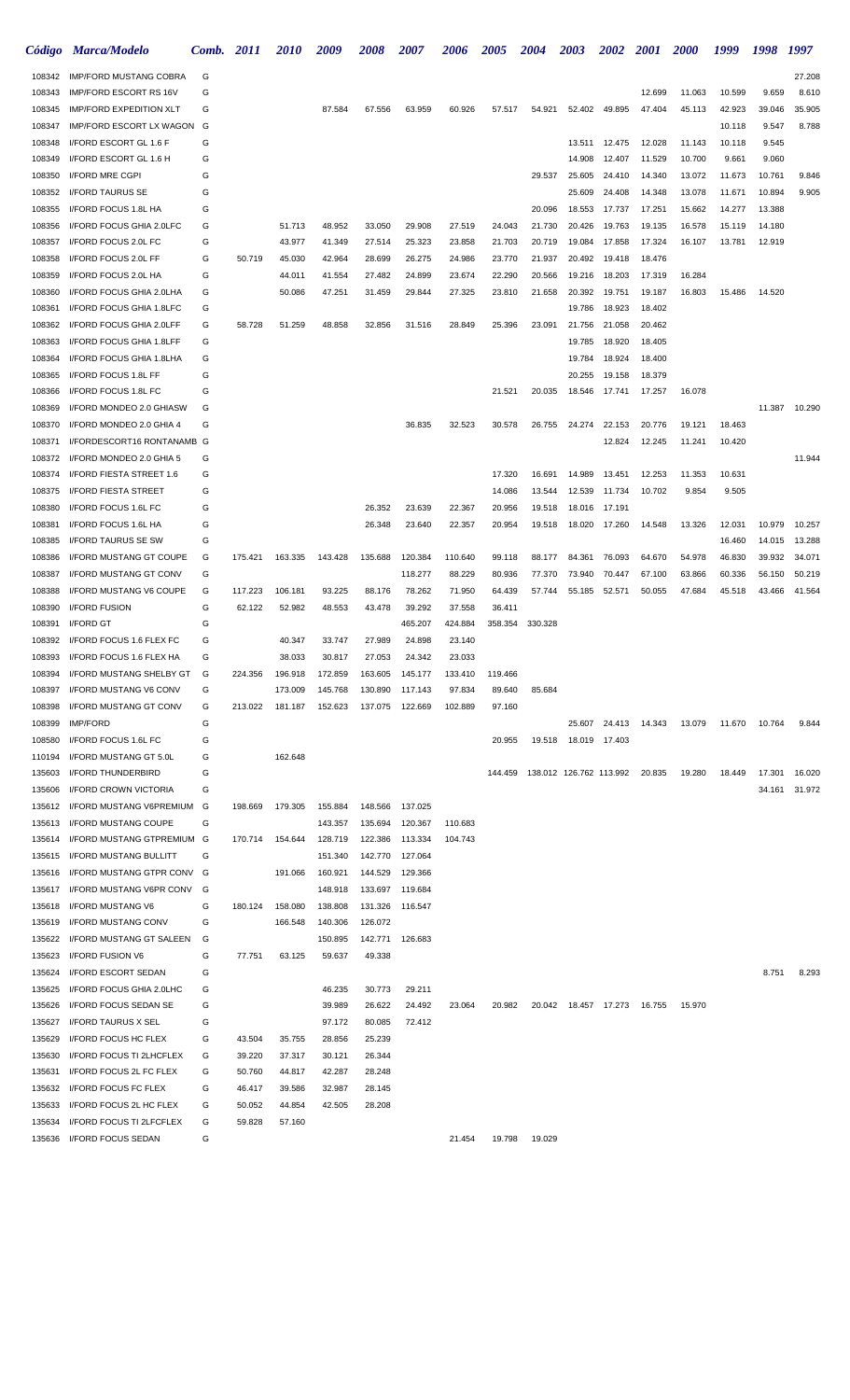|                  | Código Marca/Modelo                                  | Comb.  | <i>2011</i>      | <i>2010</i>        | 2009               | 2008               | <i><b>2007</b></i> | <i><b>2006</b></i> | 2005    | 2004                                       | <b>2003</b>                 | <b>2002</b>      | <b>2001</b>          | <b>2000</b>      | 1999             | 1998             | 1997           |
|------------------|------------------------------------------------------|--------|------------------|--------------------|--------------------|--------------------|--------------------|--------------------|---------|--------------------------------------------|-----------------------------|------------------|----------------------|------------------|------------------|------------------|----------------|
| 108342           | <b>IMP/FORD MUSTANG COBRA</b>                        | G      |                  |                    |                    |                    |                    |                    |         |                                            |                             |                  |                      |                  |                  |                  | 27.208         |
| 108343           | <b>IMP/FORD ESCORT RS 16V</b>                        | G      |                  |                    |                    |                    |                    |                    |         |                                            |                             |                  | 12.699               | 11.063           | 10.599           | 9.659            | 8.610          |
| 108345           | <b>IMP/FORD EXPEDITION XLT</b>                       | G      |                  |                    | 87.584             | 67.556             | 63.959             | 60.926             | 57.517  | 54.921                                     | 52.402                      | 49.895           | 47.404               | 45.113           | 42.923           | 39.046           | 35.905         |
| 108347           | IMP/FORD ESCORT LX WAGON                             | G      |                  |                    |                    |                    |                    |                    |         |                                            |                             |                  |                      |                  | 10.118           | 9.547            | 8.788          |
| 108348           | I/FORD ESCORT GL 1.6 F                               | G      |                  |                    |                    |                    |                    |                    |         |                                            | 13.511                      | 12.475           | 12.028               | 11.143           | 10.118           | 9.545            |                |
| 108349           | I/FORD ESCORT GL 1.6 H                               | G      |                  |                    |                    |                    |                    |                    |         |                                            | 14.908                      | 12.407           | 11.529               | 10.700           | 9.661            | 9.060            |                |
| 108350           | <b>I/FORD MRE CGPI</b>                               | G<br>G |                  |                    |                    |                    |                    |                    |         | 29.537                                     | 25.605<br>25.609            | 24.410           | 14.340               | 13.072           | 11.673<br>11.671 | 10.761           | 9.846<br>9.905 |
| 108352<br>108355 | I/FORD TAURUS SE<br>I/FORD FOCUS 1.8L HA             | G      |                  |                    |                    |                    |                    |                    |         | 20.096                                     | 18.553                      | 24.408<br>17.737 | 14.348<br>17.251     | 13.078<br>15.662 | 14.277           | 10.894<br>13.388 |                |
| 108356           | I/FORD FOCUS GHIA 2.0LFC                             | G      |                  | 51.713             | 48.952             | 33.050             | 29.908             | 27.519             | 24.043  | 21.730                                     | 20.426                      | 19.763           | 19.135               | 16.578           | 15.119           | 14.180           |                |
| 108357           | I/FORD FOCUS 2.0L FC                                 | G      |                  | 43.977             | 41.349             | 27.514             | 25.323             | 23.858             | 21.703  | 20.719                                     | 19.084                      | 17.858           | 17.324               | 16.107           | 13.781           | 12.919           |                |
| 108358           | I/FORD FOCUS 2.0L FF                                 | G      | 50.719           | 45.030             | 42.964             | 28.699             | 26.275             | 24.986             | 23.770  | 21.937                                     | 20.492                      | 19.418           | 18.476               |                  |                  |                  |                |
| 108359           | I/FORD FOCUS 2.0L HA                                 | G      |                  | 44.011             | 41.554             | 27.482             | 24.899             | 23.674             | 22.290  | 20.566                                     | 19.216                      | 18.203           | 17.319               | 16.284           |                  |                  |                |
| 108360           | I/FORD FOCUS GHIA 2.0LHA                             | G      |                  | 50.086             | 47.251             | 31.459             | 29.844             | 27.325             | 23.810  | 21.658                                     | 20.392                      | 19.751           | 19.187               | 16.803           | 15.486           | 14.520           |                |
| 108361           | I/FORD FOCUS GHIA 1.8LFC                             | G      |                  |                    |                    |                    |                    |                    |         |                                            | 19.786                      | 18.923           | 18.402               |                  |                  |                  |                |
| 108362           | I/FORD FOCUS GHIA 2.0LFF                             | G      | 58.728           | 51.259             | 48.858             | 32.856             | 31.516             | 28.849             | 25.396  | 23.091                                     | 21.756                      | 21.058           | 20.462               |                  |                  |                  |                |
| 108363           | I/FORD FOCUS GHIA 1.8LFF                             | G      |                  |                    |                    |                    |                    |                    |         |                                            | 19.785                      | 18.920           | 18.405               |                  |                  |                  |                |
| 108364           | I/FORD FOCUS GHIA 1.8LHA                             | G      |                  |                    |                    |                    |                    |                    |         |                                            | 19.784                      | 18.924           | 18.400               |                  |                  |                  |                |
| 108365           | I/FORD FOCUS 1.8L FF                                 | G      |                  |                    |                    |                    |                    |                    |         |                                            | 20.255                      | 19.158           | 18.379               |                  |                  |                  |                |
| 108366           | I/FORD FOCUS 1.8L FC                                 | G      |                  |                    |                    |                    |                    |                    | 21.521  | 20.035                                     | 18.546                      | 17.741           | 17.257               | 16.078           |                  |                  |                |
| 108369           | I/FORD MONDEO 2.0 GHIASW<br>I/FORD MONDEO 2.0 GHIA 4 | G<br>G |                  |                    |                    |                    | 36.835             |                    |         | 26.755                                     | 24.274                      |                  |                      |                  |                  | 11.387           | 10.290         |
| 108370<br>108371 | I/FORDESCORT16 RONTANAMB G                           |        |                  |                    |                    |                    |                    | 32.523             | 30.578  |                                            |                             | 22.153<br>12.824 | 20.776<br>12.245     | 19.121<br>11.241 | 18.463<br>10.420 |                  |                |
| 108372           | I/FORD MONDEO 2.0 GHIA 5                             | G      |                  |                    |                    |                    |                    |                    |         |                                            |                             |                  |                      |                  |                  |                  | 11.944         |
| 108374           | I/FORD FIESTA STREET 1.6                             | G      |                  |                    |                    |                    |                    |                    | 17.320  | 16.691                                     | 14.989                      | 13.451           | 12.253               | 11.353           | 10.631           |                  |                |
| 108375           | <b>I/FORD FIESTA STREET</b>                          | G      |                  |                    |                    |                    |                    |                    | 14.086  | 13.544                                     | 12.539                      | 11.734           | 10.702               | 9.854            | 9.505            |                  |                |
| 108380           | I/FORD FOCUS 1.6L FC                                 | G      |                  |                    |                    | 26.352             | 23.639             | 22.367             | 20.956  | 19.518                                     | 18.016                      | 17.191           |                      |                  |                  |                  |                |
| 108381           | I/FORD FOCUS 1.6L HA                                 | G      |                  |                    |                    | 26.348             | 23.640             | 22.357             | 20.954  | 19.518                                     | 18.020                      | 17.260           | 14.548               | 13.326           | 12.031           | 10.979           | 10.257         |
| 108385           | <b>I/FORD TAURUS SE SW</b>                           | G      |                  |                    |                    |                    |                    |                    |         |                                            |                             |                  |                      |                  | 16.460           | 14.015           | 13.288         |
| 108386           | I/FORD MUSTANG GT COUPE                              | G      | 175.421          | 163.335            | 143.428            | 135.688            | 120.384            | 110.640            | 99.118  | 88.177                                     | 84.361                      | 76.093           | 64.670               | 54.978           | 46.830           | 39.932           | 34.071         |
| 108387           | I/FORD MUSTANG GT CONV                               | G      |                  |                    |                    |                    | 118.277            | 88.229             | 80.936  | 77.370                                     | 73.940                      | 70.447           | 67.100               | 63.866           | 60.336           | 56.150           | 50.219         |
| 108388           | I/FORD MUSTANG V6 COUPE                              | G      | 117.223          | 106.181            | 93.225             | 88.176             | 78.262             | 71.950             | 64.439  | 57.744                                     | 55.185                      | 52.571           | 50.055               | 47.684           | 45.518           | 43.466           | 41.564         |
| 108390           | <b>I/FORD FUSION</b>                                 | G      | 62.122           | 52.982             | 48.553             | 43.478             | 39.292             | 37.558             | 36.411  |                                            |                             |                  |                      |                  |                  |                  |                |
| 108391           | <b>I/FORD GT</b>                                     | G      |                  |                    |                    |                    | 465.207            | 424.884            | 358.354 | 330.328                                    |                             |                  |                      |                  |                  |                  |                |
| 108392           | I/FORD FOCUS 1.6 FLEX FC                             | G      |                  | 40.347             | 33.747             | 27.989             | 24.898             | 23.140             |         |                                            |                             |                  |                      |                  |                  |                  |                |
| 108393<br>108394 | I/FORD FOCUS 1.6 FLEX HA<br>I/FORD MUSTANG SHELBY GT | G<br>G | 224.356          | 38.033             | 30.817<br>172.859  | 27.053             | 24.342             | 23.033<br>133.410  | 119.466 |                                            |                             |                  |                      |                  |                  |                  |                |
| 108397           | I/FORD MUSTANG V6 CONV                               | G      |                  | 196.918<br>173.009 | 145.768            | 163.605<br>130.890 | 145.177<br>117.143 | 97.834             | 89.640  | 85.684                                     |                             |                  |                      |                  |                  |                  |                |
| 108398           | I/FORD MUSTANG GT CONV                               | G      | 213.022          | 181.187            | 152.623            | 137.075 122.669    |                    | 102.889            | 97.160  |                                            |                             |                  |                      |                  |                  |                  |                |
| 108399           | <b>IMP/FORD</b>                                      | G      |                  |                    |                    |                    |                    |                    |         |                                            |                             |                  | 25.607 24.413 14.343 | 13.079           | 11.670           | 10.764           | 9.844          |
| 108580           | I/FORD FOCUS 1.6L FC                                 | G      |                  |                    |                    |                    |                    |                    | 20.955  | 19.518                                     |                             | 18.019 17.403    |                      |                  |                  |                  |                |
| 110194           | I/FORD MUSTANG GT 5.0L                               | G      |                  | 162.648            |                    |                    |                    |                    |         |                                            |                             |                  |                      |                  |                  |                  |                |
| 135603           | I/FORD THUNDERBIRD                                   | G      |                  |                    |                    |                    |                    |                    |         | 144.459  138.012  126.762  113.992  20.835 |                             |                  |                      | 19.280           | 18.449           | 17.301           | 16.020         |
| 135606           | I/FORD CROWN VICTORIA                                | G      |                  |                    |                    |                    |                    |                    |         |                                            |                             |                  |                      |                  |                  | 34.161           | 31.972         |
| 135612           | I/FORD MUSTANG V6PREMIUM G                           |        | 198.669          | 179.305            | 155.884            | 148.566            | 137.025            |                    |         |                                            |                             |                  |                      |                  |                  |                  |                |
| 135613           | I/FORD MUSTANG COUPE                                 | G      |                  |                    | 143.357            | 135.694            | 120.367            | 110.683            |         |                                            |                             |                  |                      |                  |                  |                  |                |
| 135614           | I/FORD MUSTANG GTPREMIUM G                           |        | 170.714          | 154.644            | 128.719            | 122.386            | 113.334            | 104.743            |         |                                            |                             |                  |                      |                  |                  |                  |                |
| 135615<br>135616 | I/FORD MUSTANG BULLITT<br>I/FORD MUSTANG GTPR CONV G | G      |                  | 191.066            | 151.340<br>160.921 | 142.770<br>144.529 | 127.064<br>129.366 |                    |         |                                            |                             |                  |                      |                  |                  |                  |                |
| 135617           | I/FORD MUSTANG V6PR CONV                             | G      |                  |                    | 148.918            | 133.697            | 119.684            |                    |         |                                            |                             |                  |                      |                  |                  |                  |                |
| 135618           | I/FORD MUSTANG V6                                    | G      | 180.124          | 158.080            | 138.808            | 131.326            | 116.547            |                    |         |                                            |                             |                  |                      |                  |                  |                  |                |
| 135619           | I/FORD MUSTANG CONV                                  | G      |                  | 166.548            | 140.306            | 126.072            |                    |                    |         |                                            |                             |                  |                      |                  |                  |                  |                |
| 135622           | I/FORD MUSTANG GT SALEEN                             | G      |                  |                    | 150.895            | 142.771            | 126.683            |                    |         |                                            |                             |                  |                      |                  |                  |                  |                |
| 135623           | I/FORD FUSION V6                                     | G      | 77.751           | 63.125             | 59.637             | 49.338             |                    |                    |         |                                            |                             |                  |                      |                  |                  |                  |                |
| 135624           | I/FORD ESCORT SEDAN                                  | G      |                  |                    |                    |                    |                    |                    |         |                                            |                             |                  |                      |                  |                  | 8.751            | 8.293          |
| 135625           | I/FORD FOCUS GHIA 2.0LHC                             | G      |                  |                    | 46.235             | 30.773             | 29.211             |                    |         |                                            |                             |                  |                      |                  |                  |                  |                |
| 135626           | I/FORD FOCUS SEDAN SE                                | G      |                  |                    | 39.989             | 26.622             | 24.492             | 23.064             | 20.982  |                                            | 20.042 18.457 17.273 16.755 |                  |                      | 15.970           |                  |                  |                |
| 135627           | I/FORD TAURUS X SEL                                  | G      |                  |                    | 97.172             | 80.085             | 72.412             |                    |         |                                            |                             |                  |                      |                  |                  |                  |                |
| 135629           | <b>I/FORD FOCUS HC FLEX</b>                          | G      | 43.504           | 35.755             | 28.856             | 25.239             |                    |                    |         |                                            |                             |                  |                      |                  |                  |                  |                |
| 135630<br>135631 | I/FORD FOCUS TI 2LHCFLEX<br>I/FORD FOCUS 2L FC FLEX  | G<br>G | 39.220<br>50.760 | 37.317<br>44.817   | 30.121<br>42.287   | 26.344<br>28.248   |                    |                    |         |                                            |                             |                  |                      |                  |                  |                  |                |
| 135632           | <b>I/FORD FOCUS FC FLEX</b>                          | G      | 46.417           | 39.586             | 32.987             | 28.145             |                    |                    |         |                                            |                             |                  |                      |                  |                  |                  |                |
| 135633           | I/FORD FOCUS 2L HC FLEX                              | G      | 50.052           | 44.854             | 42.505             | 28.208             |                    |                    |         |                                            |                             |                  |                      |                  |                  |                  |                |
| 135634           | I/FORD FOCUS TI 2LFCFLEX                             | G      | 59.828           | 57.160             |                    |                    |                    |                    |         |                                            |                             |                  |                      |                  |                  |                  |                |
| 135636           | I/FORD FOCUS SEDAN                                   | G      |                  |                    |                    |                    |                    | 21.454             | 19.798  | 19.029                                     |                             |                  |                      |                  |                  |                  |                |
|                  |                                                      |        |                  |                    |                    |                    |                    |                    |         |                                            |                             |                  |                      |                  |                  |                  |                |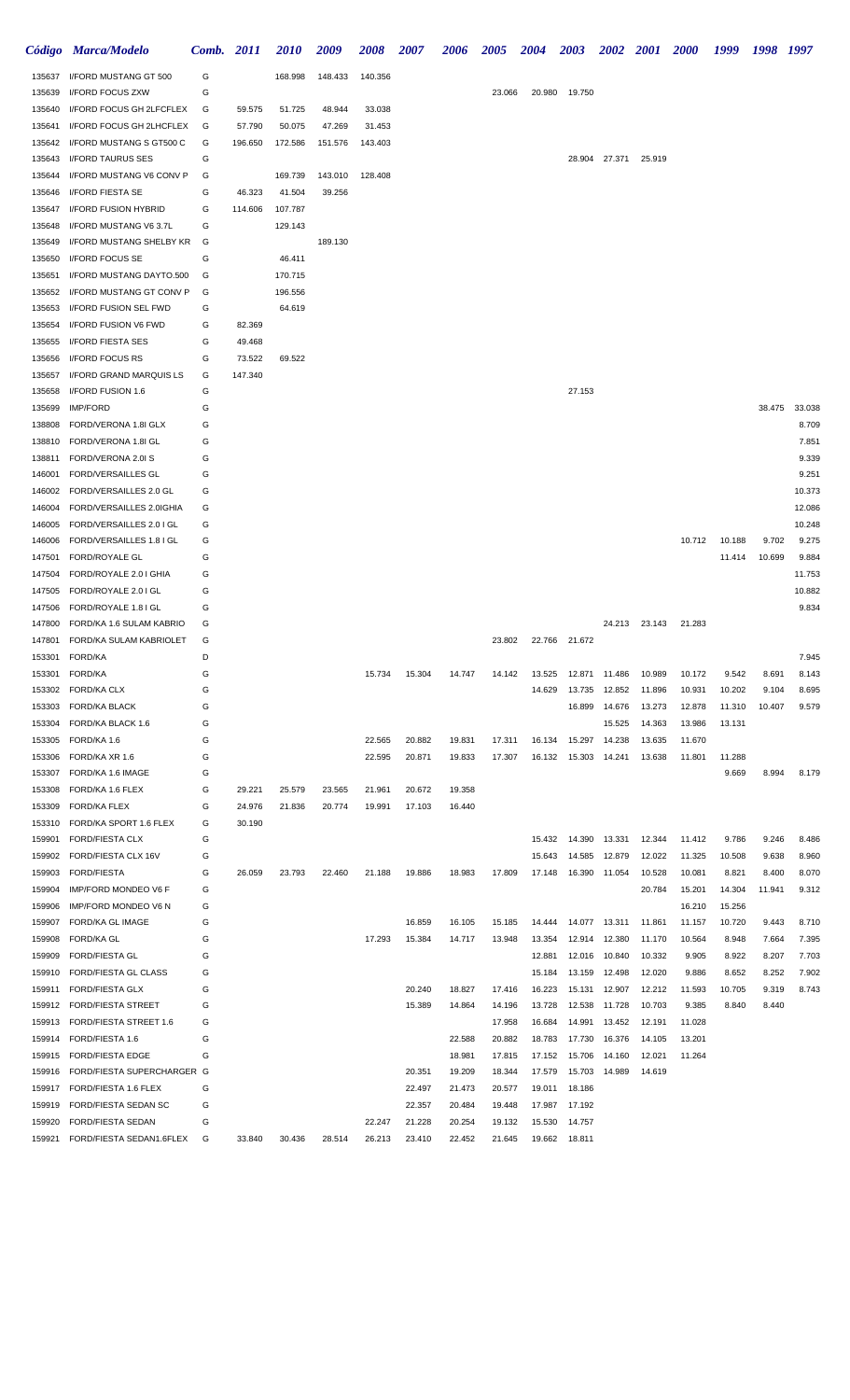|                  | Código Marca/Modelo                                   | Comb. 2011 |         | <i>2010</i> | 2009    | 2008    | <b>2007</b>      | 2006   | <b>2005</b> | <b>2004</b>      | <b>2003</b>      | <b>2002</b>      | <b>2001</b>      | <b>2000</b>      | 1999             | 1998 1997      |                |
|------------------|-------------------------------------------------------|------------|---------|-------------|---------|---------|------------------|--------|-------------|------------------|------------------|------------------|------------------|------------------|------------------|----------------|----------------|
| 135637           | I/FORD MUSTANG GT 500                                 | G          |         | 168.998     | 148.433 | 140.356 |                  |        |             |                  |                  |                  |                  |                  |                  |                |                |
| 135639           | I/FORD FOCUS ZXW                                      | G          |         |             |         |         |                  |        | 23.066      | 20.980           | 19.750           |                  |                  |                  |                  |                |                |
| 135640           | I/FORD FOCUS GH 2LFCFLEX                              | G          | 59.575  | 51.725      | 48.944  | 33.038  |                  |        |             |                  |                  |                  |                  |                  |                  |                |                |
| 135641           | I/FORD FOCUS GH 2LHCFLEX                              | G          | 57.790  | 50.075      | 47.269  | 31.453  |                  |        |             |                  |                  |                  |                  |                  |                  |                |                |
| 135642           | I/FORD MUSTANG S GT500 C                              | G          | 196.650 | 172.586     | 151.576 | 143.403 |                  |        |             |                  |                  |                  |                  |                  |                  |                |                |
| 135643<br>135644 | <b>I/FORD TAURUS SES</b><br>I/FORD MUSTANG V6 CONV P  | G<br>G     |         | 169.739     | 143.010 | 128.408 |                  |        |             |                  |                  | 28.904 27.371    | 25.919           |                  |                  |                |                |
| 135646           | <b>I/FORD FIESTA SE</b>                               | G          | 46.323  | 41.504      | 39.256  |         |                  |        |             |                  |                  |                  |                  |                  |                  |                |                |
| 135647           | I/FORD FUSION HYBRID                                  | G          | 114.606 | 107.787     |         |         |                  |        |             |                  |                  |                  |                  |                  |                  |                |                |
| 135648           | I/FORD MUSTANG V6 3.7L                                | G          |         | 129.143     |         |         |                  |        |             |                  |                  |                  |                  |                  |                  |                |                |
| 135649           | I/FORD MUSTANG SHELBY KR                              | G          |         |             | 189.130 |         |                  |        |             |                  |                  |                  |                  |                  |                  |                |                |
| 135650           | I/FORD FOCUS SE                                       | G          |         | 46.411      |         |         |                  |        |             |                  |                  |                  |                  |                  |                  |                |                |
| 135651           | I/FORD MUSTANG DAYTO.500                              | G          |         | 170.715     |         |         |                  |        |             |                  |                  |                  |                  |                  |                  |                |                |
| 135652           | I/FORD MUSTANG GT CONV P                              | G          |         | 196.556     |         |         |                  |        |             |                  |                  |                  |                  |                  |                  |                |                |
| 135653           | I/FORD FUSION SEL FWD                                 | G          |         | 64.619      |         |         |                  |        |             |                  |                  |                  |                  |                  |                  |                |                |
| 135654           | I/FORD FUSION V6 FWD                                  | G          | 82.369  |             |         |         |                  |        |             |                  |                  |                  |                  |                  |                  |                |                |
| 135655           | I/FORD FIESTA SES                                     | G          | 49.468  |             |         |         |                  |        |             |                  |                  |                  |                  |                  |                  |                |                |
| 135656           | <b>I/FORD FOCUS RS</b>                                | G          | 73.522  | 69.522      |         |         |                  |        |             |                  |                  |                  |                  |                  |                  |                |                |
| 135657           | I/FORD GRAND MARQUIS LS                               | G          | 147.340 |             |         |         |                  |        |             |                  |                  |                  |                  |                  |                  |                |                |
| 135658           | I/FORD FUSION 1.6                                     | G          |         |             |         |         |                  |        |             |                  | 27.153           |                  |                  |                  |                  |                |                |
| 135699           | <b>IMP/FORD</b>                                       | G          |         |             |         |         |                  |        |             |                  |                  |                  |                  |                  |                  | 38.475         | 33.038         |
| 138808           | FORD/VERONA 1.8I GLX                                  | G          |         |             |         |         |                  |        |             |                  |                  |                  |                  |                  |                  |                | 8.709          |
| 138810<br>138811 | FORD/VERONA 1.8I GL<br>FORD/VERONA 2.0I S             | G<br>G     |         |             |         |         |                  |        |             |                  |                  |                  |                  |                  |                  |                | 7.851<br>9.339 |
| 146001           | FORD/VERSAILLES GL                                    | G          |         |             |         |         |                  |        |             |                  |                  |                  |                  |                  |                  |                | 9.251          |
| 146002           | FORD/VERSAILLES 2.0 GL                                | G          |         |             |         |         |                  |        |             |                  |                  |                  |                  |                  |                  |                | 10.373         |
| 146004           | FORD/VERSAILLES 2.0IGHIA                              | G          |         |             |         |         |                  |        |             |                  |                  |                  |                  |                  |                  |                | 12.086         |
| 146005           | FORD/VERSAILLES 2.0 I GL                              | G          |         |             |         |         |                  |        |             |                  |                  |                  |                  |                  |                  |                | 10.248         |
| 146006           | FORD/VERSAILLES 1.8 I GL                              | G          |         |             |         |         |                  |        |             |                  |                  |                  |                  | 10.712           | 10.188           | 9.702          | 9.275          |
| 147501           | FORD/ROYALE GL                                        | G          |         |             |         |         |                  |        |             |                  |                  |                  |                  |                  | 11.414           | 10.699         | 9.884          |
| 147504           | FORD/ROYALE 2.0 I GHIA                                | G          |         |             |         |         |                  |        |             |                  |                  |                  |                  |                  |                  |                | 11.753         |
| 147505           | FORD/ROYALE 2.0 I GL                                  | G          |         |             |         |         |                  |        |             |                  |                  |                  |                  |                  |                  |                | 10.882         |
| 147506           | FORD/ROYALE 1.8 I GL                                  | G          |         |             |         |         |                  |        |             |                  |                  |                  |                  |                  |                  |                | 9.834          |
| 147800           | FORD/KA 1.6 SULAM KABRIO                              | G          |         |             |         |         |                  |        |             |                  |                  |                  | 24.213 23.143    | 21.283           |                  |                |                |
| 147801           | FORD/KA SULAM KABRIOLET                               | G          |         |             |         |         |                  |        | 23.802      |                  | 22.766 21.672    |                  |                  |                  |                  |                |                |
| 153301           | <b>FORD/KA</b>                                        | D          |         |             |         |         |                  |        |             |                  |                  |                  |                  |                  |                  |                | 7.945          |
| 153301           | <b>FORD/KA</b>                                        | G          |         |             |         | 15.734  | 15.304           | 14.747 | 14.142      | 13.525           | 12.871           | 11.486           | 10.989           | 10.172           | 9.542            | 8.691          | 8.143          |
| 153302           | FORD/KA CLX                                           | G          |         |             |         |         |                  |        |             | 14.629           | 13.735           | 12.852           | 11.896           | 10.931           | 10.202           | 9.104          | 8.695          |
| 153303<br>153304 | FORD/KA BLACK<br>FORD/KA BLACK 1.6                    | G<br>G     |         |             |         |         |                  |        |             |                  | 16.899           | 14.676<br>15.525 | 13.273<br>14.363 | 12.878<br>13.986 | 11.310<br>13.131 | 10.407         | 9.579          |
| 153305           | FORD/KA 1.6                                           | G          |         |             |         | 22.565  | 20.882           | 19.831 | 17.311      | 16.134           | 15.297           | 14.238           | 13.635           | 11.670           |                  |                |                |
| 153306           | FORD/KA XR 1.6                                        | G          |         |             |         | 22.595  | 20.871           | 19.833 | 17.307      | 16.132           | 15.303           | 14.241           | 13.638           | 11.801           | 11.288           |                |                |
| 153307           | FORD/KA 1.6 IMAGE                                     | G          |         |             |         |         |                  |        |             |                  |                  |                  |                  |                  | 9.669            | 8.994          | 8.179          |
| 153308           | FORD/KA 1.6 FLEX                                      | G          | 29.221  | 25.579      | 23.565  | 21.961  | 20.672           | 19.358 |             |                  |                  |                  |                  |                  |                  |                |                |
| 153309           | FORD/KA FLEX                                          | G          | 24.976  | 21.836      | 20.774  | 19.991  | 17.103           | 16.440 |             |                  |                  |                  |                  |                  |                  |                |                |
| 153310           | FORD/KA SPORT 1.6 FLEX                                | G          | 30.190  |             |         |         |                  |        |             |                  |                  |                  |                  |                  |                  |                |                |
| 159901           | <b>FORD/FIESTA CLX</b>                                | G          |         |             |         |         |                  |        |             | 15.432           | 14.390           | 13.331           | 12.344           | 11.412           | 9.786            | 9.246          | 8.486          |
| 159902           | FORD/FIESTA CLX 16V                                   | G          |         |             |         |         |                  |        |             | 15.643           | 14.585           | 12.879           | 12.022           | 11.325           | 10.508           | 9.638          | 8.960          |
| 159903           | <b>FORD/FIESTA</b>                                    | G          | 26.059  | 23.793      | 22.460  | 21.188  | 19.886           | 18.983 | 17.809      | 17.148           | 16.390           | 11.054           | 10.528           | 10.081           | 8.821            | 8.400          | 8.070          |
| 159904           | IMP/FORD MONDEO V6 F                                  | G          |         |             |         |         |                  |        |             |                  |                  |                  | 20.784           | 15.201           | 14.304           | 11.941         | 9.312          |
| 159906           | IMP/FORD MONDEO V6 N                                  | G          |         |             |         |         |                  |        |             |                  |                  |                  |                  | 16.210           | 15.256           |                |                |
| 159907           | FORD/KA GL IMAGE                                      | G          |         |             |         |         | 16.859           | 16.105 | 15.185      | 14.444           | 14.077           | 13.311           | 11.861           | 11.157           | 10.720           | 9.443          | 8.710          |
| 159908           | FORD/KA GL                                            | G          |         |             |         | 17.293  | 15.384           | 14.717 | 13.948      | 13.354           | 12.914           | 12.380           | 11.170           | 10.564           | 8.948            | 7.664          | 7.395          |
| 159909           | <b>FORD/FIESTA GL</b>                                 | G          |         |             |         |         |                  |        |             | 12.881           | 12.016           | 10.840           | 10.332           | 9.905            | 8.922            | 8.207          | 7.703          |
| 159910<br>159911 | <b>FORD/FIESTA GL CLASS</b><br><b>FORD/FIESTA GLX</b> | G<br>G     |         |             |         |         |                  | 18.827 | 17.416      | 15.184           | 13.159<br>15.131 | 12.498           | 12.020           | 9.886<br>11.593  | 8.652<br>10.705  | 8.252          | 7.902<br>8.743 |
| 159912           | <b>FORD/FIESTA STREET</b>                             | G          |         |             |         |         | 20.240<br>15.389 | 14.864 | 14.196      | 16.223<br>13.728 | 12.538           | 12.907<br>11.728 | 12.212<br>10.703 | 9.385            | 8.840            | 9.319<br>8.440 |                |
| 159913           | FORD/FIESTA STREET 1.6                                | G          |         |             |         |         |                  |        | 17.958      | 16.684           | 14.991           | 13.452           | 12.191           | 11.028           |                  |                |                |
| 159914           | FORD/FIESTA 1.6                                       | G          |         |             |         |         |                  | 22.588 | 20.882      | 18.783           | 17.730           | 16.376           | 14.105           | 13.201           |                  |                |                |
| 159915           | <b>FORD/FIESTA EDGE</b>                               | G          |         |             |         |         |                  | 18.981 | 17.815      | 17.152           | 15.706           | 14.160           | 12.021           | 11.264           |                  |                |                |
| 159916           | FORD/FIESTA SUPERCHARGER G                            |            |         |             |         |         | 20.351           | 19.209 | 18.344      | 17.579           | 15.703           | 14.989           | 14.619           |                  |                  |                |                |
| 159917           | FORD/FIESTA 1.6 FLEX                                  | G          |         |             |         |         | 22.497           | 21.473 | 20.577      | 19.011           | 18.186           |                  |                  |                  |                  |                |                |
| 159919           | FORD/FIESTA SEDAN SC                                  | G          |         |             |         |         | 22.357           | 20.484 | 19.448      | 17.987           | 17.192           |                  |                  |                  |                  |                |                |
| 159920           | FORD/FIESTA SEDAN                                     | G          |         |             |         | 22.247  | 21.228           | 20.254 | 19.132      | 15.530           | 14.757           |                  |                  |                  |                  |                |                |
| 159921           | FORD/FIESTA SEDAN1.6FLEX                              | G          | 33.840  | 30.436      | 28.514  | 26.213  | 23.410           | 22.452 | 21.645      | 19.662           | 18.811           |                  |                  |                  |                  |                |                |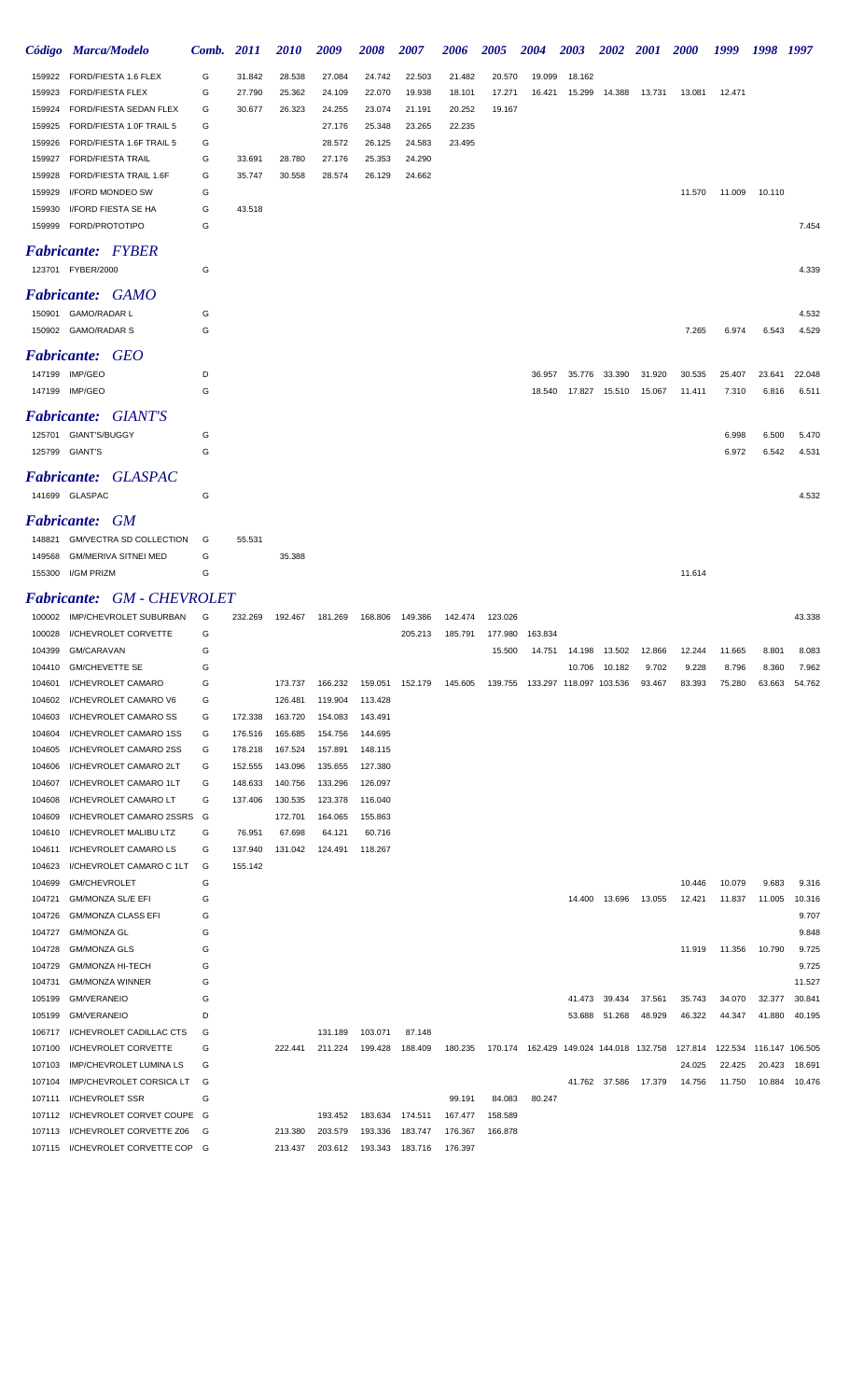|                  | Código Marca/Modelo                      | Comb.  | <i>2011</i> | <i>2010</i> | 2009    | 2008            | <b>2007</b> | 2006    | <b>2005</b> | <b>2004</b> | 2003   | <b>2002</b>             | <b>2001</b>      | <b>2000</b>                                                   | 1999             | 1998             | 1997             |
|------------------|------------------------------------------|--------|-------------|-------------|---------|-----------------|-------------|---------|-------------|-------------|--------|-------------------------|------------------|---------------------------------------------------------------|------------------|------------------|------------------|
| 159922           | FORD/FIESTA 1.6 FLEX                     | G      | 31.842      | 28.538      | 27.084  | 24.742          | 22.503      | 21.482  | 20.570      | 19.099      | 18.162 |                         |                  |                                                               |                  |                  |                  |
| 159923           | <b>FORD/FIESTA FLEX</b>                  | G      | 27.790      | 25.362      | 24.109  | 22.070          | 19.938      | 18.101  | 17.271      | 16.421      | 15.299 | 14.388                  | 13.731           | 13.081                                                        | 12.471           |                  |                  |
| 159924           | FORD/FIESTA SEDAN FLEX                   | G      | 30.677      | 26.323      | 24.255  | 23.074          | 21.191      | 20.252  | 19.167      |             |        |                         |                  |                                                               |                  |                  |                  |
| 159925           | FORD/FIESTA 1.0F TRAIL 5                 | G      |             |             | 27.176  | 25.348          | 23.265      | 22.235  |             |             |        |                         |                  |                                                               |                  |                  |                  |
| 159926           | FORD/FIESTA 1.6F TRAIL 5                 | G      |             |             | 28.572  | 26.125          | 24.583      | 23.495  |             |             |        |                         |                  |                                                               |                  |                  |                  |
| 159927           | <b>FORD/FIESTA TRAIL</b>                 | G      | 33.691      | 28.780      | 27.176  | 25.353          | 24.290      |         |             |             |        |                         |                  |                                                               |                  |                  |                  |
| 159928           | FORD/FIESTA TRAIL 1.6F                   | G      | 35.747      | 30.558      | 28.574  | 26.129          | 24.662      |         |             |             |        |                         |                  |                                                               |                  |                  |                  |
| 159929           | I/FORD MONDEO SW                         | G      |             |             |         |                 |             |         |             |             |        |                         |                  | 11.570                                                        | 11.009           | 10.110           |                  |
| 159930           | I/FORD FIESTA SE HA                      | G      | 43.518      |             |         |                 |             |         |             |             |        |                         |                  |                                                               |                  |                  |                  |
| 159999           | FORD/PROTOTIPO                           | G      |             |             |         |                 |             |         |             |             |        |                         |                  |                                                               |                  |                  | 7.454            |
|                  | <b>Fabricante: FYBER</b>                 |        |             |             |         |                 |             |         |             |             |        |                         |                  |                                                               |                  |                  |                  |
|                  | 123701 FYBER/2000                        | G      |             |             |         |                 |             |         |             |             |        |                         |                  |                                                               |                  |                  | 4.339            |
|                  |                                          |        |             |             |         |                 |             |         |             |             |        |                         |                  |                                                               |                  |                  |                  |
|                  | <b>Fabricante: GAMO</b>                  |        |             |             |         |                 |             |         |             |             |        |                         |                  |                                                               |                  |                  |                  |
|                  | 150901 GAMO/RADAR L                      | G      |             |             |         |                 |             |         |             |             |        |                         |                  |                                                               |                  |                  | 4.532            |
|                  | 150902 GAMO/RADAR S                      | G      |             |             |         |                 |             |         |             |             |        |                         |                  | 7.265                                                         | 6.974            | 6.543            | 4.529            |
|                  | <b>Fabricante: GEO</b>                   |        |             |             |         |                 |             |         |             |             |        |                         |                  |                                                               |                  |                  |                  |
|                  | 147199 IMP/GEO                           | D      |             |             |         |                 |             |         |             | 36.957      | 35.776 | 33.390                  | 31.920           | 30.535                                                        | 25.407           | 23.641           | 22.048           |
|                  | 147199 IMP/GEO                           | G      |             |             |         |                 |             |         |             | 18.540      |        | 17.827  15.510          | 15.067           | 11.411                                                        | 7.310            | 6.816            | 6.511            |
|                  |                                          |        |             |             |         |                 |             |         |             |             |        |                         |                  |                                                               |                  |                  |                  |
|                  | <b>Fabricante: GIANT'S</b>               |        |             |             |         |                 |             |         |             |             |        |                         |                  |                                                               |                  |                  |                  |
|                  | 125701 GIANT'S/BUGGY                     | G      |             |             |         |                 |             |         |             |             |        |                         |                  |                                                               | 6.998            | 6.500            | 5.470            |
|                  | 125799 GIANT'S                           | G      |             |             |         |                 |             |         |             |             |        |                         |                  |                                                               | 6.972            | 6.542            | 4.531            |
|                  | <b>Fabricante: GLASPAC</b>               |        |             |             |         |                 |             |         |             |             |        |                         |                  |                                                               |                  |                  |                  |
|                  | 141699 GLASPAC                           | G      |             |             |         |                 |             |         |             |             |        |                         |                  |                                                               |                  |                  | 4.532            |
|                  |                                          |        |             |             |         |                 |             |         |             |             |        |                         |                  |                                                               |                  |                  |                  |
|                  | <b>Fabricante: GM</b>                    |        |             |             |         |                 |             |         |             |             |        |                         |                  |                                                               |                  |                  |                  |
| 148821           | GM/VECTRA SD COLLECTION                  | G      | 55.531      |             |         |                 |             |         |             |             |        |                         |                  |                                                               |                  |                  |                  |
| 149568           | <b>GM/MERIVA SITNEI MED</b>              | G      |             | 35.388      |         |                 |             |         |             |             |        |                         |                  |                                                               |                  |                  |                  |
| 155300           | I/GM PRIZM                               | G      |             |             |         |                 |             |         |             |             |        |                         |                  | 11.614                                                        |                  |                  |                  |
|                  | <b>Fabricante:</b> GM - CHEVROLET        |        |             |             |         |                 |             |         |             |             |        |                         |                  |                                                               |                  |                  |                  |
|                  | 100002 IMP/CHEVROLET SUBURBAN            | G      | 232.269     | 192.467     | 181.269 | 168.806         | 149.386     | 142.474 | 123.026     |             |        |                         |                  |                                                               |                  |                  | 43.338           |
| 100028           | I/CHEVROLET CORVETTE                     | G      |             |             |         |                 | 205.213     | 185.791 | 177.980     | 163.834     |        |                         |                  |                                                               |                  |                  |                  |
| 104399           | GM/CARAVAN                               | G      |             |             |         |                 |             |         | 15.500      | 14.751      |        | 14.198 13.502           | 12.866           | 12.244                                                        | 11.665           | 8.801            | 8.083            |
|                  | 104410 GM/CHEVETTE SE                    | G      |             |             |         |                 |             |         |             |             |        | 10.706 10.182           | 9.702            | 9.228                                                         | 8.796            | 8.360            | 7.962            |
| 104601           | I/CHEVROLET CAMARO                       | G      |             | 173.737     | 166.232 | 159.051         | 152.179     | 145.605 |             |             |        |                         | 93.467           | 83.393                                                        | 75.280           | 63.663           | 54.762           |
| 104602           | I/CHEVROLET CAMARO V6                    | G      |             | 126.481     | 119.904 | 113.428         |             |         |             |             |        |                         |                  |                                                               |                  |                  |                  |
| 104603           | I/CHEVROLET CAMARO SS                    | G      | 172.338     | 163.720     | 154.083 | 143.491         |             |         |             |             |        |                         |                  |                                                               |                  |                  |                  |
| 104604           | I/CHEVROLET CAMARO 1SS                   | G      | 176.516     | 165.685     | 154.756 | 144.695         |             |         |             |             |        |                         |                  |                                                               |                  |                  |                  |
| 104605           | I/CHEVROLET CAMARO 2SS                   | G      | 178.218     | 167.524     | 157.891 | 148.115         |             |         |             |             |        |                         |                  |                                                               |                  |                  |                  |
| 104606           | I/CHEVROLET CAMARO 2LT                   | G      | 152.555     | 143.096     | 135.655 | 127.380         |             |         |             |             |        |                         |                  |                                                               |                  |                  |                  |
| 104607           | I/CHEVROLET CAMARO 1LT                   | G      | 148.633     | 140.756     | 133.296 | 126.097         |             |         |             |             |        |                         |                  |                                                               |                  |                  |                  |
| 104608           | I/CHEVROLET CAMARO LT                    | G      | 137.406     | 130.535     | 123.378 | 116.040         |             |         |             |             |        |                         |                  |                                                               |                  |                  |                  |
| 104609           | I/CHEVROLET CAMARO 2SSRS                 | G      |             | 172.701     | 164.065 | 155.863         |             |         |             |             |        |                         |                  |                                                               |                  |                  |                  |
| 104610           | I/CHEVROLET MALIBU LTZ                   | G      | 76.951      | 67.698      | 64.121  | 60.716          |             |         |             |             |        |                         |                  |                                                               |                  |                  |                  |
| 104611           | I/CHEVROLET CAMARO LS                    | G      | 137.940     | 131.042     | 124.491 | 118.267         |             |         |             |             |        |                         |                  |                                                               |                  |                  |                  |
| 104623           | I/CHEVROLET CAMARO C 1LT                 | G      | 155.142     |             |         |                 |             |         |             |             |        |                         |                  |                                                               |                  |                  |                  |
| 104699           | <b>GM/CHEVROLET</b>                      | G      |             |             |         |                 |             |         |             |             |        |                         |                  | 10.446                                                        | 10.079           | 9.683            | 9.316            |
| 104721           | <b>GM/MONZA SL/E EFI</b>                 | G      |             |             |         |                 |             |         |             |             |        | 14.400 13.696           | 13.055           | 12.421                                                        | 11.837           | 11.005           | 10.316           |
| 104726           | <b>GM/MONZA CLASS EFI</b>                | G      |             |             |         |                 |             |         |             |             |        |                         |                  |                                                               |                  |                  | 9.707            |
| 104727           | GM/MONZA GL                              | G      |             |             |         |                 |             |         |             |             |        |                         |                  |                                                               |                  |                  | 9.848            |
| 104728           | <b>GM/MONZA GLS</b>                      | G      |             |             |         |                 |             |         |             |             |        |                         |                  | 11.919                                                        | 11.356           | 10.790           | 9.725            |
| 104729           | GM/MONZA HI-TECH                         | G      |             |             |         |                 |             |         |             |             |        |                         |                  |                                                               |                  |                  | 9.725            |
| 104731           | <b>GM/MONZA WINNER</b>                   | G      |             |             |         |                 |             |         |             |             |        |                         |                  |                                                               |                  |                  | 11.527           |
| 105199<br>105199 | <b>GM/VERANEIO</b><br><b>GM/VERANEIO</b> | G<br>D |             |             |         |                 |             |         |             |             | 41.473 | 39.434<br>53.688 51.268 | 37.561<br>48.929 | 35.743<br>46.322                                              | 34.070<br>44.347 | 32.377<br>41.880 | 30.841<br>40.195 |
| 106717           | I/CHEVROLET CADILLAC CTS                 | G      |             |             | 131.189 | 103.071         | 87.148      |         |             |             |        |                         |                  |                                                               |                  |                  |                  |
| 107100           | I/CHEVROLET CORVETTE                     | G      |             | 222.441     | 211.224 | 199.428         | 188.409     |         |             |             |        |                         |                  | 180.235  170.174  162.429  149.024  144.018  132.758  127.814 | 122.534          |                  | 116.147 106.505  |
| 107103           | <b>IMP/CHEVROLET LUMINA LS</b>           | G      |             |             |         |                 |             |         |             |             |        |                         |                  | 24.025                                                        | 22.425           | 20.423           | 18.691           |
| 107104           | IMP/CHEVROLET CORSICA LT                 | G      |             |             |         |                 |             |         |             |             |        | 41.762 37.586           | 17.379           | 14.756                                                        | 11.750           | 10.884           | 10.476           |
| 107111           | I/CHEVROLET SSR                          | G      |             |             |         |                 |             | 99.191  | 84.083      | 80.247      |        |                         |                  |                                                               |                  |                  |                  |
| 107112           | I/CHEVROLET CORVET COUPE G               |        |             |             | 193.452 | 183.634 174.511 |             | 167.477 | 158.589     |             |        |                         |                  |                                                               |                  |                  |                  |
| 107113           | I/CHEVROLET CORVETTE Z06                 | G      |             | 213.380     | 203.579 | 193.336         | 183.747     | 176.367 | 166.878     |             |        |                         |                  |                                                               |                  |                  |                  |
|                  | 107115 I/CHEVROLET CORVETTE COP G        |        |             | 213.437     | 203.612 | 193.343 183.716 |             | 176.397 |             |             |        |                         |                  |                                                               |                  |                  |                  |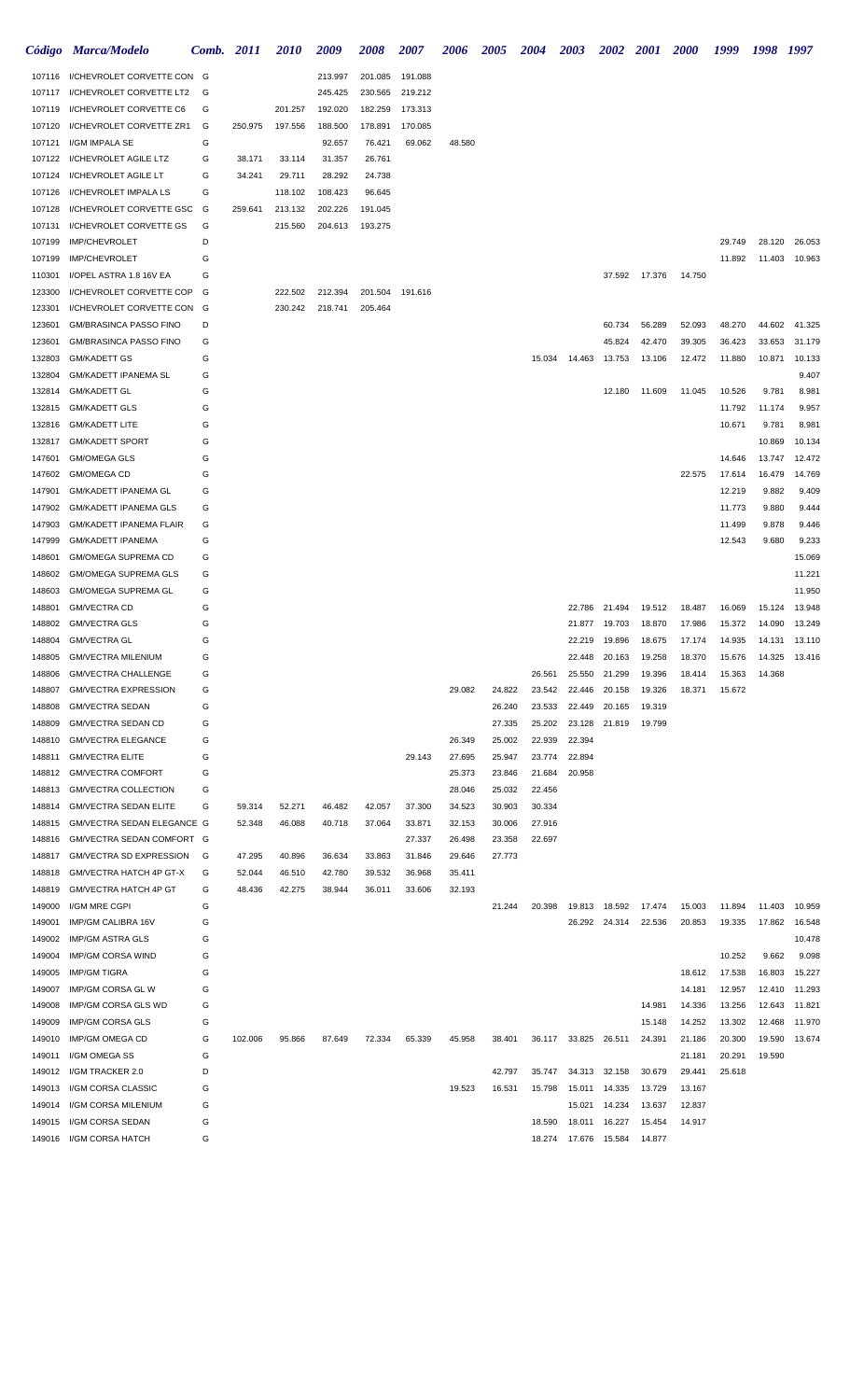|                  | Código Marca/Modelo                                        |        | <b>Comb.</b> 2011 | <b>2010</b>       | 2009              | <b>2008</b>      | <b>2007</b>      | <b>2006</b>      | <b>2005</b>      | 2004 2003        |                  |                  | 2002 2001 2000   |                  | 1999             | 1998 1997        |                  |
|------------------|------------------------------------------------------------|--------|-------------------|-------------------|-------------------|------------------|------------------|------------------|------------------|------------------|------------------|------------------|------------------|------------------|------------------|------------------|------------------|
|                  | 107116 I/CHEVROLET CORVETTE CON G                          |        |                   |                   | 213.997           | 201.085          | 191.088          |                  |                  |                  |                  |                  |                  |                  |                  |                  |                  |
|                  | 107117 I/CHEVROLET CORVETTE LT2                            | G      |                   |                   | 245.425           | 230.565          | 219.212          |                  |                  |                  |                  |                  |                  |                  |                  |                  |                  |
| 107119           | I/CHEVROLET CORVETTE C6                                    | G      |                   | 201.257           | 192.020           | 182.259          | 173.313          |                  |                  |                  |                  |                  |                  |                  |                  |                  |                  |
| 107120           | I/CHEVROLET CORVETTE ZR1                                   | G      | 250.975           | 197.556           | 188.500           | 178.891          | 170.085          |                  |                  |                  |                  |                  |                  |                  |                  |                  |                  |
| 107121           | I/GM IMPALA SE                                             | G      |                   |                   | 92.657            | 76.421           | 69.062           | 48.580           |                  |                  |                  |                  |                  |                  |                  |                  |                  |
| 107122           | I/CHEVROLET AGILE LTZ                                      | G      | 38.171            | 33.114            | 31.357            | 26.761           |                  |                  |                  |                  |                  |                  |                  |                  |                  |                  |                  |
| 107124<br>107126 | I/CHEVROLET AGILE LT<br>I/CHEVROLET IMPALA LS              | G<br>G | 34.241            | 29.711<br>118.102 | 28.292<br>108.423 | 24.738<br>96.645 |                  |                  |                  |                  |                  |                  |                  |                  |                  |                  |                  |
| 107128           | I/CHEVROLET CORVETTE GSC G                                 |        | 259.641           | 213.132           | 202.226           | 191.045          |                  |                  |                  |                  |                  |                  |                  |                  |                  |                  |                  |
| 107131           | I/CHEVROLET CORVETTE GS                                    | G      |                   | 215.560           | 204.613           | 193.275          |                  |                  |                  |                  |                  |                  |                  |                  |                  |                  |                  |
| 107199           | <b>IMP/CHEVROLET</b>                                       | D      |                   |                   |                   |                  |                  |                  |                  |                  |                  |                  |                  |                  | 29.749           |                  | 28.120 26.053    |
| 107199           | <b>IMP/CHEVROLET</b>                                       | G      |                   |                   |                   |                  |                  |                  |                  |                  |                  |                  |                  |                  | 11.892           |                  | 11.403 10.963    |
| 110301           | I/OPEL ASTRA 1.8 16V EA                                    | G      |                   |                   |                   |                  |                  |                  |                  |                  |                  |                  | 37.592 17.376    | 14.750           |                  |                  |                  |
| 123300           | I/CHEVROLET CORVETTE COP G                                 |        |                   | 222.502           | 212.394           | 201.504 191.616  |                  |                  |                  |                  |                  |                  |                  |                  |                  |                  |                  |
| 123301           | I/CHEVROLET CORVETTE CON G                                 |        |                   | 230.242           | 218.741           | 205.464          |                  |                  |                  |                  |                  |                  |                  |                  |                  |                  |                  |
| 123601           | <b>GM/BRASINCA PASSO FINO</b>                              | D      |                   |                   |                   |                  |                  |                  |                  |                  |                  | 60.734           | 56.289           | 52.093           | 48.270           | 44.602           | 41.325           |
| 123601           | <b>GM/BRASINCA PASSO FINO</b>                              | G      |                   |                   |                   |                  |                  |                  |                  |                  |                  | 45.824           | 42.470           | 39.305           | 36.423           | 33.653           | 31.179           |
| 132803<br>132804 | <b>GM/KADETT GS</b><br><b>GM/KADETT IPANEMA SL</b>         | G<br>G |                   |                   |                   |                  |                  |                  |                  |                  | 15.034 14.463    | 13.753           | 13.106           | 12.472           | 11.880           | 10.871           | 10.133<br>9.407  |
| 132814           | <b>GM/KADETT GL</b>                                        | G      |                   |                   |                   |                  |                  |                  |                  |                  |                  | 12.180           | 11.609           | 11.045           | 10.526           | 9.781            | 8.981            |
| 132815           | <b>GM/KADETT GLS</b>                                       | G      |                   |                   |                   |                  |                  |                  |                  |                  |                  |                  |                  |                  | 11.792           | 11.174           | 9.957            |
| 132816           | <b>GM/KADETT LITE</b>                                      | G      |                   |                   |                   |                  |                  |                  |                  |                  |                  |                  |                  |                  | 10.671           | 9.781            | 8.981            |
| 132817           | <b>GM/KADETT SPORT</b>                                     | G      |                   |                   |                   |                  |                  |                  |                  |                  |                  |                  |                  |                  |                  | 10.869           | 10.134           |
| 147601           | <b>GM/OMEGA GLS</b>                                        | G      |                   |                   |                   |                  |                  |                  |                  |                  |                  |                  |                  |                  | 14.646           | 13.747           | 12.472           |
| 147602           | GM/OMEGA CD                                                | G      |                   |                   |                   |                  |                  |                  |                  |                  |                  |                  |                  | 22.575           | 17.614           | 16.479           | 14.769           |
| 147901           | <b>GM/KADETT IPANEMA GL</b>                                | G      |                   |                   |                   |                  |                  |                  |                  |                  |                  |                  |                  |                  | 12.219           | 9.882            | 9.409            |
| 147902           | GM/KADETT IPANEMA GLS                                      | G      |                   |                   |                   |                  |                  |                  |                  |                  |                  |                  |                  |                  | 11.773           | 9.880            | 9.444            |
| 147903<br>147999 | <b>GM/KADETT IPANEMA FLAIR</b><br><b>GM/KADETT IPANEMA</b> | G<br>G |                   |                   |                   |                  |                  |                  |                  |                  |                  |                  |                  |                  | 11.499<br>12.543 | 9.878<br>9.680   | 9.446<br>9.233   |
| 148601           | <b>GM/OMEGA SUPREMA CD</b>                                 | G      |                   |                   |                   |                  |                  |                  |                  |                  |                  |                  |                  |                  |                  |                  | 15.069           |
| 148602           | <b>GM/OMEGA SUPREMA GLS</b>                                | G      |                   |                   |                   |                  |                  |                  |                  |                  |                  |                  |                  |                  |                  |                  | 11.221           |
| 148603           | <b>GM/OMEGA SUPREMA GL</b>                                 | G      |                   |                   |                   |                  |                  |                  |                  |                  |                  |                  |                  |                  |                  |                  | 11.950           |
| 148801           | <b>GM/VECTRA CD</b>                                        | G      |                   |                   |                   |                  |                  |                  |                  |                  | 22.786           | 21.494           | 19.512           | 18.487           | 16.069           | 15.124           | 13.948           |
| 148802           | <b>GM/VECTRA GLS</b>                                       | G      |                   |                   |                   |                  |                  |                  |                  |                  | 21.877           | 19.703           | 18.870           | 17.986           | 15.372           | 14.090           | 13.249           |
| 148804           | <b>GM/VECTRA GL</b>                                        | G      |                   |                   |                   |                  |                  |                  |                  |                  | 22.219           | 19.896           | 18.675           | 17.174           | 14.935           | 14.131           | 13.110           |
| 148805           | GM/VECTRA MILENIUM                                         | G      |                   |                   |                   |                  |                  |                  |                  |                  |                  | 22.448 20.163    | 19.258           | 18.370           | 15.676           | 14.325           | 13.416           |
| 148806           | <b>GM/VECTRA CHALLENGE</b>                                 | G      |                   |                   |                   |                  |                  |                  |                  | 26.561           | 25.550           | 21.299           | 19.396           | 18.414           | 15.363           | 14.368           |                  |
| 148807<br>148808 | <b>GM/VECTRA EXPRESSION</b><br><b>GM/VECTRA SEDAN</b>      | G<br>G |                   |                   |                   |                  |                  | 29.082           | 24.822<br>26.240 | 23.542<br>23.533 | 22.446<br>22.449 | 20.158<br>20.165 | 19.326<br>19.319 | 18.371           | 15.672           |                  |                  |
| 148809           | <b>GM/VECTRA SEDAN CD</b>                                  | G      |                   |                   |                   |                  |                  |                  | 27.335           | 25.202           | 23.128           | 21.819           | 19.799           |                  |                  |                  |                  |
| 148810           | <b>GM/VECTRA ELEGANCE</b>                                  | G      |                   |                   |                   |                  |                  | 26.349           | 25.002           | 22.939           | 22.394           |                  |                  |                  |                  |                  |                  |
| 148811           | <b>GM/VECTRA ELITE</b>                                     | G      |                   |                   |                   |                  | 29.143           | 27.695           | 25.947           | 23.774           | 22.894           |                  |                  |                  |                  |                  |                  |
| 148812           | <b>GM/VECTRA COMFORT</b>                                   | G      |                   |                   |                   |                  |                  | 25.373           | 23.846           | 21.684           | 20.958           |                  |                  |                  |                  |                  |                  |
| 148813           | GM/VECTRA COLLECTION                                       | G      |                   |                   |                   |                  |                  | 28.046           | 25.032           | 22.456           |                  |                  |                  |                  |                  |                  |                  |
| 148814           | <b>GM/VECTRA SEDAN ELITE</b>                               | G      | 59.314            | 52.271            | 46.482            | 42.057           | 37.300           | 34.523           | 30.903           | 30.334           |                  |                  |                  |                  |                  |                  |                  |
| 148815           | GM/VECTRA SEDAN ELEGANCE G                                 |        | 52.348            | 46.088            | 40.718            | 37.064           | 33.871           | 32.153           | 30.006           | 27.916           |                  |                  |                  |                  |                  |                  |                  |
| 148816           | GM/VECTRA SEDAN COMFORT G                                  |        |                   |                   |                   |                  | 27.337           | 26.498           | 23.358           | 22.697           |                  |                  |                  |                  |                  |                  |                  |
| 148817<br>148818 | GM/VECTRA SD EXPRESSION<br>GM/VECTRA HATCH 4P GT-X         | G<br>G | 47.295<br>52.044  | 40.896<br>46.510  | 36.634<br>42.780  | 33.863<br>39.532 | 31.846<br>36.968 | 29.646<br>35.411 | 27.773           |                  |                  |                  |                  |                  |                  |                  |                  |
| 148819           | GM/VECTRA HATCH 4P GT                                      | G      | 48.436            | 42.275            | 38.944            | 36.011           | 33.606           | 32.193           |                  |                  |                  |                  |                  |                  |                  |                  |                  |
| 149000           | I/GM MRE CGPI                                              | G      |                   |                   |                   |                  |                  |                  | 21.244           | 20.398           | 19.813           | 18.592           | 17.474           | 15.003           | 11.894           | 11.403           | 10.959           |
| 149001           | <b>IMP/GM CALIBRA 16V</b>                                  | G      |                   |                   |                   |                  |                  |                  |                  |                  | 26.292           | 24.314           | 22.536           | 20.853           | 19.335           | 17.862           | 16.548           |
| 149002           | <b>IMP/GM ASTRA GLS</b>                                    | G      |                   |                   |                   |                  |                  |                  |                  |                  |                  |                  |                  |                  |                  |                  | 10.478           |
| 149004           | <b>IMP/GM CORSA WIND</b>                                   | G      |                   |                   |                   |                  |                  |                  |                  |                  |                  |                  |                  |                  | 10.252           | 9.662            | 9.098            |
| 149005           | <b>IMP/GM TIGRA</b>                                        | G      |                   |                   |                   |                  |                  |                  |                  |                  |                  |                  |                  | 18.612           | 17.538           | 16.803           | 15.227           |
| 149007           | IMP/GM CORSA GL W                                          | G      |                   |                   |                   |                  |                  |                  |                  |                  |                  |                  |                  | 14.181           | 12.957           | 12.410           | 11.293           |
| 149008           | IMP/GM CORSA GLS WD                                        | G      |                   |                   |                   |                  |                  |                  |                  |                  |                  |                  | 14.981           | 14.336           | 13.256           | 12.643           | 11.821           |
| 149009<br>149010 | <b>IMP/GM CORSA GLS</b><br><b>IMP/GM OMEGA CD</b>          | G<br>G | 102.006           | 95.866            | 87.649            | 72.334           | 65.339           | 45.958           | 38.401           | 36.117           | 33.825           | 26.511           | 15.148<br>24.391 | 14.252<br>21.186 | 13.302<br>20.300 | 12.468<br>19.590 | 11.970<br>13.674 |
| 149011           | I/GM OMEGA SS                                              | G      |                   |                   |                   |                  |                  |                  |                  |                  |                  |                  |                  | 21.181           | 20.291           | 19.590           |                  |
| 149012           | I/GM TRACKER 2.0                                           | D      |                   |                   |                   |                  |                  |                  | 42.797           | 35.747           | 34.313           | 32.158           | 30.679           | 29.441           | 25.618           |                  |                  |
| 149013           | I/GM CORSA CLASSIC                                         | G      |                   |                   |                   |                  |                  | 19.523           | 16.531           | 15.798           | 15.011           | 14.335           | 13.729           | 13.167           |                  |                  |                  |
| 149014           | I/GM CORSA MILENIUM                                        | G      |                   |                   |                   |                  |                  |                  |                  |                  | 15.021           | 14.234           | 13.637           | 12.837           |                  |                  |                  |
| 149015           | I/GM CORSA SEDAN                                           | G      |                   |                   |                   |                  |                  |                  |                  | 18.590           | 18.011           | 16.227           | 15.454           | 14.917           |                  |                  |                  |
| 149016           | I/GM CORSA HATCH                                           | G      |                   |                   |                   |                  |                  |                  |                  | 18.274           | 17.676           | 15.584           | 14.877           |                  |                  |                  |                  |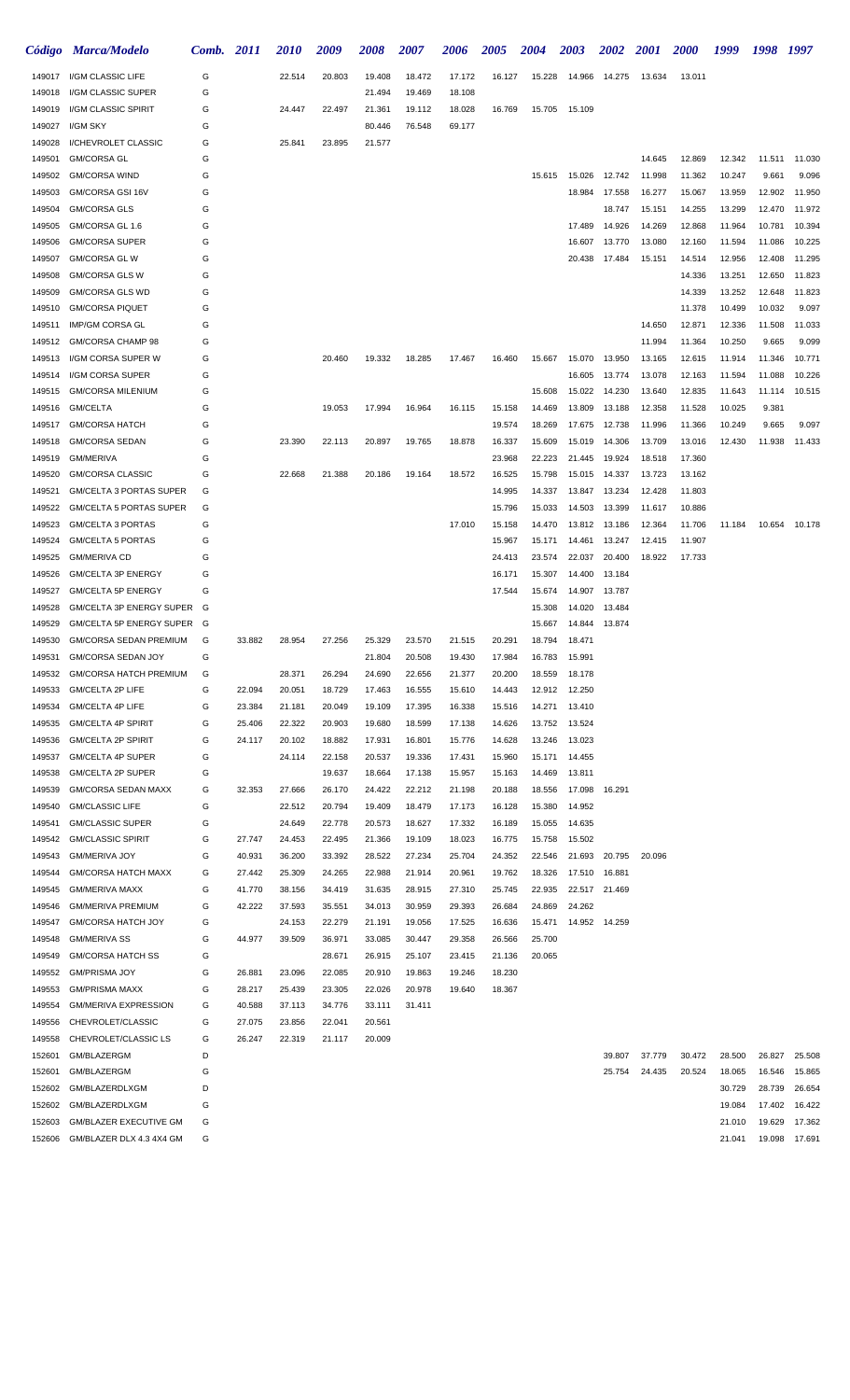|                  | Código Marca/Modelo                           | Comb.  | <b>2011</b> | <i>2010</i>      | 2009             | 2008             | 2007             | 2006             | <i><b>2005</b></i> | 2004             | 2003             | <i><b>2002</b></i> | <i>2001</i> | <i><b>2000</b></i> | 1999   | 1998   | 1997   |
|------------------|-----------------------------------------------|--------|-------------|------------------|------------------|------------------|------------------|------------------|--------------------|------------------|------------------|--------------------|-------------|--------------------|--------|--------|--------|
| 149017           | I/GM CLASSIC LIFE                             | G      |             | 22.514           | 20.803           | 19.408           | 18.472           | 17.172           | 16.127             | 15.228           | 14.966           | 14.275             | 13.634      | 13.011             |        |        |        |
| 149018           | I/GM CLASSIC SUPER                            | G      |             |                  |                  | 21.494           | 19.469           | 18.108           |                    |                  |                  |                    |             |                    |        |        |        |
| 149019           | I/GM CLASSIC SPIRIT                           | G      |             | 24.447           | 22.497           | 21.361           | 19.112           | 18.028           | 16.769             | 15.705           | 15.109           |                    |             |                    |        |        |        |
| 149027           | I/GM SKY                                      | G      |             |                  |                  | 80.446           | 76.548           | 69.177           |                    |                  |                  |                    |             |                    |        |        |        |
| 149028           | I/CHEVROLET CLASSIC                           | G      |             | 25.841           | 23.895           | 21.577           |                  |                  |                    |                  |                  |                    |             |                    |        |        |        |
| 149501           | <b>GM/CORSA GL</b>                            | G      |             |                  |                  |                  |                  |                  |                    |                  |                  |                    | 14.645      | 12.869             | 12.342 | 11.511 | 11.030 |
| 149502           | <b>GM/CORSA WIND</b>                          | G      |             |                  |                  |                  |                  |                  |                    | 15.615           | 15.026           | 12.742             | 11.998      | 11.362             | 10.247 | 9.661  | 9.096  |
| 149503           | GM/CORSA GSI 16V                              | G      |             |                  |                  |                  |                  |                  |                    |                  | 18.984           | 17.558             | 16.277      | 15.067             | 13.959 | 12.902 | 11.950 |
| 149504           | <b>GM/CORSA GLS</b>                           | G      |             |                  |                  |                  |                  |                  |                    |                  |                  | 18.747             | 15.151      | 14.255             | 13.299 | 12.470 | 11.972 |
| 149505           | GM/CORSA GL 1.6                               | G      |             |                  |                  |                  |                  |                  |                    |                  | 17.489           | 14.926             | 14.269      | 12.868             | 11.964 | 10.781 | 10.394 |
| 149506           | <b>GM/CORSA SUPER</b>                         | G      |             |                  |                  |                  |                  |                  |                    |                  | 16.607           | 13.770             | 13.080      | 12.160             | 11.594 | 11.086 | 10.225 |
| 149507           | GM/CORSA GL W                                 | G      |             |                  |                  |                  |                  |                  |                    |                  | 20.438           | 17.484             | 15.151      | 14.514             | 12.956 | 12.408 | 11.295 |
| 149508           | <b>GM/CORSA GLS W</b>                         | G      |             |                  |                  |                  |                  |                  |                    |                  |                  |                    |             | 14.336             | 13.251 | 12.650 | 11.823 |
| 149509           | GM/CORSA GLS WD                               | G      |             |                  |                  |                  |                  |                  |                    |                  |                  |                    |             | 14.339             | 13.252 | 12.648 | 11.823 |
| 149510           | <b>GM/CORSA PIQUET</b>                        | G      |             |                  |                  |                  |                  |                  |                    |                  |                  |                    |             | 11.378             | 10.499 | 10.032 | 9.097  |
| 149511           | <b>IMP/GM CORSA GL</b>                        | G      |             |                  |                  |                  |                  |                  |                    |                  |                  |                    | 14.650      | 12.871             | 12.336 | 11.508 | 11.033 |
| 149512           | GM/CORSA CHAMP 98                             | G      |             |                  |                  |                  |                  |                  |                    |                  |                  |                    | 11.994      | 11.364             | 10.250 | 9.665  | 9.099  |
| 149513           | I/GM CORSA SUPER W                            | G      |             |                  | 20.460           | 19.332           | 18.285           | 17.467           | 16.460             | 15.667           | 15.070           | 13.950             | 13.165      | 12.615             | 11.914 | 11.346 | 10.771 |
| 149514           | I/GM CORSA SUPER                              | G      |             |                  |                  |                  |                  |                  |                    |                  | 16.605           | 13.774             | 13.078      | 12.163             | 11.594 | 11.088 | 10.226 |
| 149515           | <b>GM/CORSA MILENIUM</b>                      | G      |             |                  |                  |                  |                  |                  |                    | 15.608           | 15.022           | 14.230             | 13.640      | 12.835             | 11.643 | 11.114 | 10.515 |
| 149516           | <b>GM/CELTA</b>                               | G      |             |                  | 19.053           | 17.994           | 16.964           | 16.115           | 15.158             | 14.469           | 13.809           | 13.188             | 12.358      | 11.528             | 10.025 | 9.381  |        |
| 149517           | <b>GM/CORSA HATCH</b>                         | G      |             |                  |                  |                  |                  |                  | 19.574             | 18.269           | 17.675           | 12.738             | 11.996      | 11.366             | 10.249 | 9.665  | 9.097  |
| 149518           | <b>GM/CORSA SEDAN</b>                         | G      |             | 23.390           | 22.113           | 20.897           | 19.765           | 18.878           | 16.337             | 15.609           | 15.019           | 14.306             | 13.709      | 13.016             | 12.430 | 11.938 | 11.433 |
| 149519           | <b>GM/MERIVA</b>                              | G      |             |                  |                  |                  |                  |                  | 23.968             | 22.223           | 21.445           | 19.924             | 18.518      | 17.360             |        |        |        |
| 149520           | <b>GM/CORSA CLASSIC</b>                       | G      |             | 22.668           | 21.388           | 20.186           | 19.164           | 18.572           | 16.525             | 15.798           | 15.015           | 14.337             | 13.723      | 13.162             |        |        |        |
| 149521           | <b>GM/CELTA 3 PORTAS SUPER</b>                | G      |             |                  |                  |                  |                  |                  | 14.995             | 14.337           | 13.847           | 13.234             | 12.428      | 11.803             |        |        |        |
| 149522           | <b>GM/CELTA 5 PORTAS SUPER</b>                | G      |             |                  |                  |                  |                  |                  | 15.796             | 15.033           | 14.503           | 13.399             | 11.617      | 10.886             |        |        |        |
| 149523           | <b>GM/CELTA 3 PORTAS</b>                      | G      |             |                  |                  |                  |                  | 17.010           | 15.158             | 14.470           | 13.812           | 13.186             | 12.364      | 11.706             | 11.184 | 10.654 | 10.178 |
| 149524           | <b>GM/CELTA 5 PORTAS</b>                      | G      |             |                  |                  |                  |                  |                  | 15.967             | 15.171           | 14.461           | 13.247             | 12.415      | 11.907             |        |        |        |
| 149525           | <b>GM/MERIVA CD</b>                           | G      |             |                  |                  |                  |                  |                  | 24.413             | 23.574           | 22.037           | 20.400             | 18.922      | 17.733             |        |        |        |
| 149526           | <b>GM/CELTA 3P ENERGY</b>                     | G      |             |                  |                  |                  |                  |                  | 16.171             | 15.307           | 14.400           | 13.184             |             |                    |        |        |        |
| 149527           | <b>GM/CELTA 5P ENERGY</b>                     | G      |             |                  |                  |                  |                  |                  | 17.544             | 15.674           | 14.907           | 13.787             |             |                    |        |        |        |
| 149528           | GM/CELTA 3P ENERGY SUPER                      | G      |             |                  |                  |                  |                  |                  |                    | 15.308           | 14.020           | 13.484             |             |                    |        |        |        |
| 149529           | GM/CELTA 5P ENERGY SUPER                      | G      |             |                  |                  |                  |                  |                  |                    | 15.667           | 14.844           | 13.874             |             |                    |        |        |        |
| 149530           | GM/CORSA SEDAN PREMIUM                        | G      | 33.882      | 28.954           | 27.256           | 25.329           | 23.570           | 21.515           | 20.291             | 18.794           | 18.471           |                    |             |                    |        |        |        |
| 149531           | GM/CORSA SEDAN JOY                            | G      |             |                  |                  | 21.804           | 20.508           | 19.430           | 17.984             | 16.783           | 15.991           |                    |             |                    |        |        |        |
| 149532           | <b>GM/CORSA HATCH PREMIUM</b>                 | G      |             | 28.371           | 26.294           | 24.690           | 22.656           | 21.377           | 20.200             | 18.559           | 18.178           |                    |             |                    |        |        |        |
| 149533           | GM/CELTA 2P LIFE                              | G      | 22.094      | 20.051           | 18.729           | 17.463           | 16.555           | 15.610           | 14.443             | 12.912           | 12.250           |                    |             |                    |        |        |        |
| 149534           | <b>GM/CELTA 4P LIFE</b>                       | G      | 23.384      | 21.181           | 20.049           | 19.109           | 17.395           | 16.338           | 15.516             | 14.271           | 13.410           |                    |             |                    |        |        |        |
| 149535           | <b>GM/CELTA 4P SPIRIT</b>                     | G      | 25.406      | 22.322           | 20.903           | 19.680           | 18.599           | 17.138           | 14.626             | 13.752           | 13.524           |                    |             |                    |        |        |        |
| 149536           | <b>GM/CELTA 2P SPIRIT</b>                     | G      | 24.117      | 20.102           | 18.882           | 17.931           | 16.801           | 15.776           | 14.628             | 13.246           | 13.023           |                    |             |                    |        |        |        |
| 149537           | GM/CELTA 4P SUPER                             | G      |             | 24.114           | 22.158           | 20.537           | 19.336           | 17.431           | 15.960             | 15.171           | 14.455           |                    |             |                    |        |        |        |
| 149538           | GM/CELTA 2P SUPER                             | G      |             |                  | 19.637           | 18.664           | 17.138           | 15.957           | 15.163             | 14.469           | 13.811           |                    |             |                    |        |        |        |
| 149539           | GM/CORSA SEDAN MAXX<br><b>GM/CLASSIC LIFE</b> | G<br>G | 32.353      | 27.666<br>22.512 | 26.170<br>20.794 | 24.422<br>19.409 | 22.212<br>18.479 | 21.198<br>17.173 | 20.188<br>16.128   | 18.556<br>15.380 | 17.098<br>14.952 | 16.291             |             |                    |        |        |        |
| 149540<br>149541 | <b>GM/CLASSIC SUPER</b>                       | G      |             | 24.649           | 22.778           | 20.573           | 18.627           | 17.332           | 16.189             | 15.055           | 14.635           |                    |             |                    |        |        |        |
| 149542           | <b>GM/CLASSIC SPIRIT</b>                      | G      | 27.747      | 24.453           | 22.495           | 21.366           | 19.109           | 18.023           | 16.775             | 15.758           | 15.502           |                    |             |                    |        |        |        |
| 149543           | <b>GM/MERIVA JOY</b>                          | G      | 40.931      | 36.200           | 33.392           | 28.522           | 27.234           | 25.704           | 24.352             | 22.546           | 21.693           | 20.795             | 20.096      |                    |        |        |        |
| 149544           | <b>GM/CORSA HATCH MAXX</b>                    | G      | 27.442      | 25.309           | 24.265           | 22.988           | 21.914           | 20.961           | 19.762             | 18.326           | 17.510           | 16.881             |             |                    |        |        |        |
| 149545           | <b>GM/MERIVA MAXX</b>                         | G      | 41.770      | 38.156           | 34.419           | 31.635           | 28.915           | 27.310           | 25.745             | 22.935           | 22.517           | 21.469             |             |                    |        |        |        |
| 149546           | <b>GM/MERIVA PREMIUM</b>                      | G      | 42.222      | 37.593           | 35.551           | 34.013           | 30.959           | 29.393           | 26.684             | 24.869           | 24.262           |                    |             |                    |        |        |        |
| 149547           | GM/CORSA HATCH JOY                            | G      |             | 24.153           | 22.279           | 21.191           | 19.056           | 17.525           | 16.636             | 15.471           |                  | 14.952 14.259      |             |                    |        |        |        |
| 149548           | <b>GM/MERIVA SS</b>                           | G      | 44.977      | 39.509           | 36.971           | 33.085           | 30.447           | 29.358           | 26.566             | 25.700           |                  |                    |             |                    |        |        |        |
| 149549           | <b>GM/CORSA HATCH SS</b>                      | G      |             |                  | 28.671           | 26.915           | 25.107           | 23.415           | 21.136             | 20.065           |                  |                    |             |                    |        |        |        |
| 149552           | <b>GM/PRISMA JOY</b>                          | G      | 26.881      | 23.096           | 22.085           | 20.910           | 19.863           | 19.246           | 18.230             |                  |                  |                    |             |                    |        |        |        |
| 149553           | <b>GM/PRISMA MAXX</b>                         | G      | 28.217      | 25.439           | 23.305           | 22.026           | 20.978           | 19.640           | 18.367             |                  |                  |                    |             |                    |        |        |        |
| 149554           | <b>GM/MERIVA EXPRESSION</b>                   | G      | 40.588      | 37.113           | 34.776           | 33.111           | 31.411           |                  |                    |                  |                  |                    |             |                    |        |        |        |
| 149556           | CHEVROLET/CLASSIC                             | G      | 27.075      | 23.856           | 22.041           | 20.561           |                  |                  |                    |                  |                  |                    |             |                    |        |        |        |
| 149558           | CHEVROLET/CLASSIC LS                          | G      | 26.247      | 22.319           | 21.117           | 20.009           |                  |                  |                    |                  |                  |                    |             |                    |        |        |        |
| 152601           | GM/BLAZERGM                                   | D      |             |                  |                  |                  |                  |                  |                    |                  |                  | 39.807             | 37.779      | 30.472             | 28.500 | 26.827 | 25.508 |
| 152601           | GM/BLAZERGM                                   | G      |             |                  |                  |                  |                  |                  |                    |                  |                  | 25.754             | 24.435      | 20.524             | 18.065 | 16.546 | 15.865 |
| 152602           | GM/BLAZERDLXGM                                | D      |             |                  |                  |                  |                  |                  |                    |                  |                  |                    |             |                    | 30.729 | 28.739 | 26.654 |
| 152602           | GM/BLAZERDLXGM                                | G      |             |                  |                  |                  |                  |                  |                    |                  |                  |                    |             |                    | 19.084 | 17.402 | 16.422 |
| 152603           | <b>GM/BLAZER EXECUTIVE GM</b>                 | G      |             |                  |                  |                  |                  |                  |                    |                  |                  |                    |             |                    | 21.010 | 19.629 | 17.362 |
| 152606           | GM/BLAZER DLX 4.3 4X4 GM                      | G      |             |                  |                  |                  |                  |                  |                    |                  |                  |                    |             |                    | 21.041 | 19.098 | 17.691 |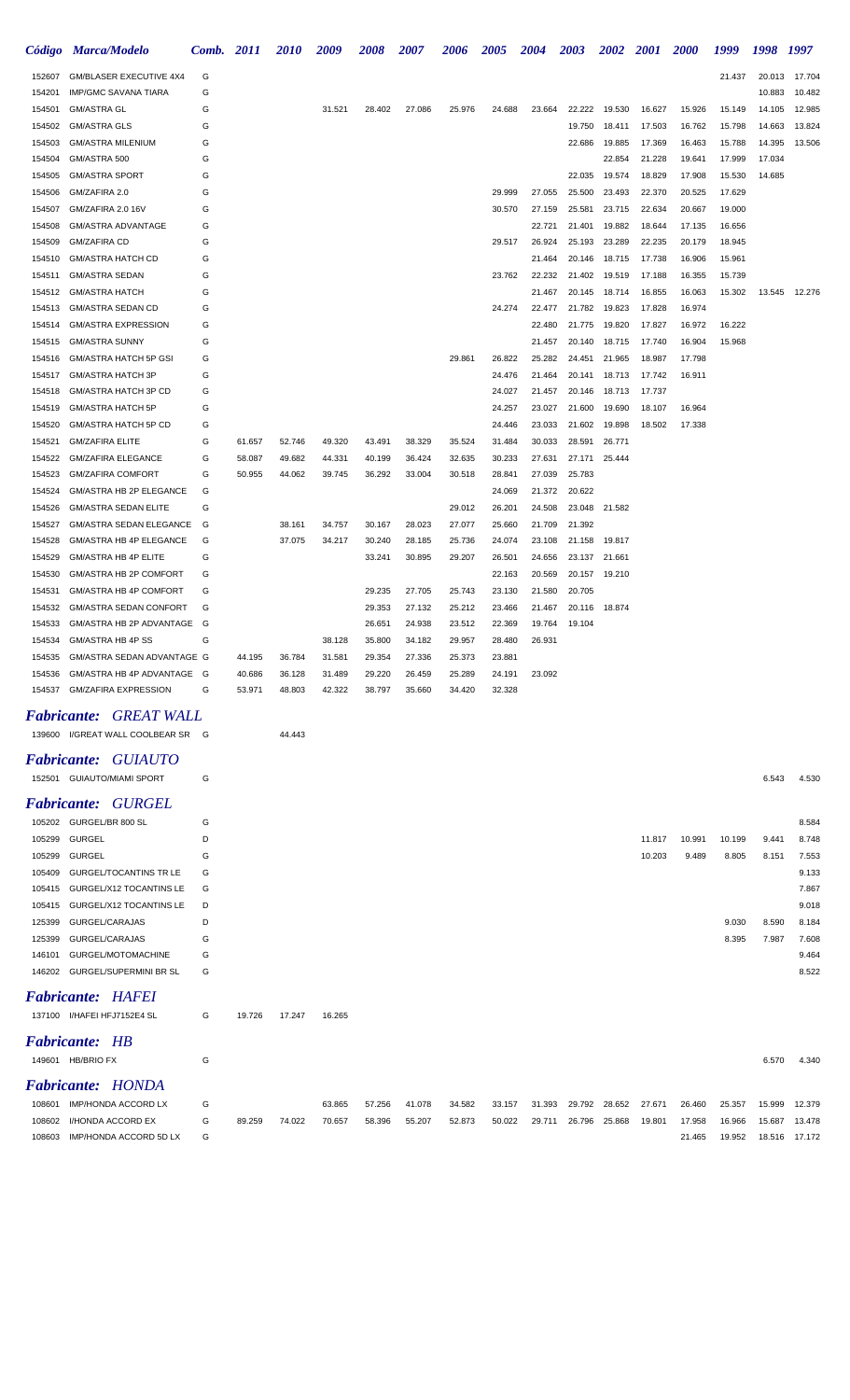|                  | Código Marca/Modelo                                                | Comb. 2011 |        | <i><b>2010</b></i> | 2009             | 2008             | <i><b>2007</b></i> | <i><b>2006</b></i> | <i><b>2005</b></i> | 2004             | 2003             | 2002             | <b>2001</b>      | <i>2000</i>      | 1999   | 1998   | 1997   |
|------------------|--------------------------------------------------------------------|------------|--------|--------------------|------------------|------------------|--------------------|--------------------|--------------------|------------------|------------------|------------------|------------------|------------------|--------|--------|--------|
| 152607           | GM/BLASER EXECUTIVE 4X4                                            | G          |        |                    |                  |                  |                    |                    |                    |                  |                  |                  |                  |                  | 21.437 | 20.013 | 17.704 |
| 154201           | <b>IMP/GMC SAVANA TIARA</b>                                        | G          |        |                    |                  |                  |                    |                    |                    |                  |                  |                  |                  |                  |        | 10.883 | 10.482 |
| 154501           | <b>GM/ASTRA GL</b>                                                 | G          |        |                    | 31.521           | 28.402           | 27.086             | 25.976             | 24.688             | 23.664           | 22.222           | 19.530           | 16.627           | 15.926           | 15.149 | 14.105 | 12.985 |
| 154502           | <b>GM/ASTRA GLS</b>                                                | G          |        |                    |                  |                  |                    |                    |                    |                  | 19.750           | 18.411           | 17.503           | 16.762           | 15.798 | 14.663 | 13.824 |
| 154503           | <b>GM/ASTRA MILENIUM</b>                                           | G          |        |                    |                  |                  |                    |                    |                    |                  | 22.686           | 19.885           | 17.369           | 16.463           | 15.788 | 14.395 | 13.506 |
| 154504           | GM/ASTRA 500                                                       | G          |        |                    |                  |                  |                    |                    |                    |                  |                  | 22.854           | 21.228           | 19.641           | 17.999 | 17.034 |        |
| 154505           | <b>GM/ASTRA SPORT</b>                                              | G          |        |                    |                  |                  |                    |                    |                    |                  | 22.035           | 19.574           | 18.829           | 17.908           | 15.530 | 14.685 |        |
| 154506           | GM/ZAFIRA 2.0                                                      | G          |        |                    |                  |                  |                    |                    | 29.999             | 27.055           | 25.500           | 23.493           | 22.370           | 20.525           | 17.629 |        |        |
| 154507           | GM/ZAFIRA 2.0 16V                                                  | G          |        |                    |                  |                  |                    |                    | 30.570             | 27.159           | 25.581           | 23.715           | 22.634           | 20.667           | 19.000 |        |        |
| 154508           | <b>GM/ASTRA ADVANTAGE</b>                                          | G          |        |                    |                  |                  |                    |                    |                    | 22.721           | 21.401           | 19.882           | 18.644           | 17.135           | 16.656 |        |        |
| 154509           | <b>GM/ZAFIRA CD</b>                                                | G          |        |                    |                  |                  |                    |                    | 29.517             | 26.924           | 25.193           | 23.289           | 22.235           | 20.179           | 18.945 |        |        |
| 154510           | <b>GM/ASTRA HATCH CD</b>                                           | G          |        |                    |                  |                  |                    |                    |                    | 21.464           | 20.146           | 18.715           | 17.738           | 16.906           | 15.961 |        |        |
| 154511           | <b>GM/ASTRA SEDAN</b>                                              | G          |        |                    |                  |                  |                    |                    | 23.762             | 22.232           | 21.402           | 19.519           | 17.188           | 16.355           | 15.739 |        |        |
| 154512<br>154513 | <b>GM/ASTRA HATCH</b><br>GM/ASTRA SEDAN CD                         | G<br>G     |        |                    |                  |                  |                    |                    | 24.274             | 21.467<br>22.477 | 20.145<br>21.782 | 18.714<br>19.823 | 16.855<br>17.828 | 16.063<br>16.974 | 15.302 | 13.545 | 12.276 |
| 154514           | <b>GM/ASTRA EXPRESSION</b>                                         | G          |        |                    |                  |                  |                    |                    |                    | 22.480           | 21.775           | 19.820           | 17.827           | 16.972           | 16.222 |        |        |
| 154515           | <b>GM/ASTRA SUNNY</b>                                              | G          |        |                    |                  |                  |                    |                    |                    | 21.457           | 20.140           | 18.715           | 17.740           | 16.904           | 15.968 |        |        |
| 154516           | <b>GM/ASTRA HATCH 5P GSI</b>                                       | G          |        |                    |                  |                  |                    | 29.861             | 26.822             | 25.282           | 24.451           | 21.965           | 18.987           | 17.798           |        |        |        |
| 154517           | GM/ASTRA HATCH 3P                                                  | G          |        |                    |                  |                  |                    |                    | 24.476             | 21.464           | 20.141           | 18.713           | 17.742           | 16.911           |        |        |        |
| 154518           | GM/ASTRA HATCH 3P CD                                               | G          |        |                    |                  |                  |                    |                    | 24.027             | 21.457           | 20.146           | 18.713           | 17.737           |                  |        |        |        |
| 154519           | GM/ASTRA HATCH 5P                                                  | G          |        |                    |                  |                  |                    |                    | 24.257             | 23.027           | 21.600           | 19.690           | 18.107           | 16.964           |        |        |        |
| 154520           | <b>GM/ASTRA HATCH 5P CD</b>                                        | G          |        |                    |                  |                  |                    |                    | 24.446             | 23.033           | 21.602           | 19.898           | 18.502           | 17.338           |        |        |        |
| 154521           | <b>GM/ZAFIRA ELITE</b>                                             | G          | 61.657 | 52.746             | 49.320           | 43.491           | 38.329             | 35.524             | 31.484             | 30.033           | 28.591           | 26.771           |                  |                  |        |        |        |
| 154522           | <b>GM/ZAFIRA ELEGANCE</b>                                          | G          | 58.087 | 49.682             | 44.331           | 40.199           | 36.424             | 32.635             | 30.233             | 27.631           | 27.171           | 25.444           |                  |                  |        |        |        |
| 154523           | <b>GM/ZAFIRA COMFORT</b>                                           | G          | 50.955 | 44.062             | 39.745           | 36.292           | 33.004             | 30.518             | 28.841             | 27.039           | 25.783           |                  |                  |                  |        |        |        |
| 154524           | GM/ASTRA HB 2P ELEGANCE                                            | G          |        |                    |                  |                  |                    |                    | 24.069             | 21.372           | 20.622           |                  |                  |                  |        |        |        |
| 154526           | <b>GM/ASTRA SEDAN ELITE</b>                                        | G          |        |                    |                  |                  |                    | 29.012             | 26.201             | 24.508           | 23.048           | 21.582           |                  |                  |        |        |        |
| 154527           | GM/ASTRA SEDAN ELEGANCE                                            | G          |        | 38.161             | 34.757           | 30.167           | 28.023             | 27.077             | 25.660             | 21.709           | 21.392           |                  |                  |                  |        |        |        |
| 154528           | GM/ASTRA HB 4P ELEGANCE                                            | G          |        | 37.075             | 34.217           | 30.240           | 28.185             | 25.736             | 24.074             | 23.108           | 21.158           | 19.817           |                  |                  |        |        |        |
| 154529           | GM/ASTRA HB 4P ELITE                                               | G          |        |                    |                  | 33.241           | 30.895             | 29.207             | 26.501             | 24.656           | 23.137           | 21.661           |                  |                  |        |        |        |
| 154530           | GM/ASTRA HB 2P COMFORT                                             | G          |        |                    |                  |                  |                    |                    | 22.163             | 20.569           | 20.157           | 19.210           |                  |                  |        |        |        |
| 154531           | GM/ASTRA HB 4P COMFORT                                             | G          |        |                    |                  | 29.235           | 27.705             | 25.743             | 23.130             | 21.580           | 20.705           |                  |                  |                  |        |        |        |
| 154532           | <b>GM/ASTRA SEDAN CONFORT</b>                                      | G          |        |                    |                  | 29.353           | 27.132             | 25.212             | 23.466             | 21.467           | 20.116           | 18.874           |                  |                  |        |        |        |
| 154533           | GM/ASTRA HB 2P ADVANTAGE                                           | G          |        |                    |                  | 26.651           | 24.938             | 23.512             | 22.369             | 19.764           | 19.104           |                  |                  |                  |        |        |        |
| 154534<br>154535 | GM/ASTRA HB 4P SS<br>GM/ASTRA SEDAN ADVANTAGE G                    | G          | 44.195 | 36.784             | 38.128<br>31.581 | 35.800<br>29.354 | 34.182<br>27.336   | 29.957<br>25.373   | 28.480<br>23.881   | 26.931           |                  |                  |                  |                  |        |        |        |
|                  | 154536 GM/ASTRA HB 4P ADVANTAGE G                                  |            | 40.686 | 36.128             | 31.489           | 29.220           | 26.459             | 25.289             | 24.191             | 23.092           |                  |                  |                  |                  |        |        |        |
|                  | 154537 GM/ZAFIRA EXPRESSION                                        | G          | 53.971 | 48.803             | 42.322           | 38.797           | 35.660             | 34.420             | 32.328             |                  |                  |                  |                  |                  |        |        |        |
|                  |                                                                    |            |        |                    |                  |                  |                    |                    |                    |                  |                  |                  |                  |                  |        |        |        |
|                  | <b>Fabricante: GREAT WALL</b><br>139600 I/GREAT WALL COOLBEAR SR G |            |        | 44.443             |                  |                  |                    |                    |                    |                  |                  |                  |                  |                  |        |        |        |
|                  |                                                                    |            |        |                    |                  |                  |                    |                    |                    |                  |                  |                  |                  |                  |        |        |        |
|                  | <b>Fabricante: GUIAUTO</b>                                         |            |        |                    |                  |                  |                    |                    |                    |                  |                  |                  |                  |                  |        |        |        |
|                  | 152501 GUIAUTO/MIAMI SPORT                                         | G          |        |                    |                  |                  |                    |                    |                    |                  |                  |                  |                  |                  |        | 6.543  | 4.530  |
|                  | <b>Fabricante: GURGEL</b>                                          |            |        |                    |                  |                  |                    |                    |                    |                  |                  |                  |                  |                  |        |        |        |
|                  | 105202 GURGEL/BR 800 SL                                            | G          |        |                    |                  |                  |                    |                    |                    |                  |                  |                  |                  |                  |        |        | 8.584  |
| 105299           | GURGEL                                                             | D          |        |                    |                  |                  |                    |                    |                    |                  |                  |                  | 11.817           | 10.991           | 10.199 | 9.441  | 8.748  |
| 105299           | GURGEL                                                             | G          |        |                    |                  |                  |                    |                    |                    |                  |                  |                  | 10.203           | 9.489            | 8.805  | 8.151  | 7.553  |
| 105409           | <b>GURGEL/TOCANTINS TR LE</b>                                      | G          |        |                    |                  |                  |                    |                    |                    |                  |                  |                  |                  |                  |        |        | 9.133  |
| 105415           | GURGEL/X12 TOCANTINS LE                                            | G          |        |                    |                  |                  |                    |                    |                    |                  |                  |                  |                  |                  |        |        | 7.867  |
| 105415           | GURGEL/X12 TOCANTINS LE                                            | D          |        |                    |                  |                  |                    |                    |                    |                  |                  |                  |                  |                  |        |        | 9.018  |
| 125399           | GURGEL/CARAJAS                                                     | D          |        |                    |                  |                  |                    |                    |                    |                  |                  |                  |                  |                  | 9.030  | 8.590  | 8.184  |
| 125399           | GURGEL/CARAJAS                                                     | G          |        |                    |                  |                  |                    |                    |                    |                  |                  |                  |                  |                  | 8.395  | 7.987  | 7.608  |
| 146101           | GURGEL/MOTOMACHINE                                                 | G          |        |                    |                  |                  |                    |                    |                    |                  |                  |                  |                  |                  |        |        | 9.464  |
|                  | 146202 GURGEL/SUPERMINI BR SL                                      | G          |        |                    |                  |                  |                    |                    |                    |                  |                  |                  |                  |                  |        |        | 8.522  |
|                  | <b>Fabricante: HAFEI</b>                                           |            |        |                    |                  |                  |                    |                    |                    |                  |                  |                  |                  |                  |        |        |        |
|                  | 137100 I/HAFEI HFJ7152E4 SL                                        | G          | 19.726 | 17.247             | 16.265           |                  |                    |                    |                    |                  |                  |                  |                  |                  |        |        |        |
|                  |                                                                    |            |        |                    |                  |                  |                    |                    |                    |                  |                  |                  |                  |                  |        |        |        |
|                  | <b>Fabricante: HB</b>                                              |            |        |                    |                  |                  |                    |                    |                    |                  |                  |                  |                  |                  |        |        |        |
|                  | 149601 HB/BRIO FX                                                  | G          |        |                    |                  |                  |                    |                    |                    |                  |                  |                  |                  |                  |        | 6.570  | 4.340  |
|                  | $L_4$ <sub>a</sub> $l_4$ <sub>a</sub> $l_5$ $l_6$ $l_7$            |            |        |                    |                  |                  |                    |                    |                    |                  |                  |                  |                  |                  |        |        |        |

|        | <b>Fabricante: HONDA</b>        |   |        |        |        |        |        |        |                             |  |        |        |        |               |  |
|--------|---------------------------------|---|--------|--------|--------|--------|--------|--------|-----------------------------|--|--------|--------|--------|---------------|--|
| 108601 | IMP/HONDA ACCORD LX             |   |        |        | 63.865 | 57.256 | 41.078 | 34.582 | 33.157 31.393 29.792 28.652 |  | 27.671 | 26.460 | 25.357 | 15.999 12.379 |  |
|        | 108602 I/HONDA ACCORD EX        | G | 89.259 | 74.022 | 70.657 | 58.396 | 55.207 | 52.873 | 50.022 29.711 26.796 25.868 |  | 19.801 | 17.958 | 16.966 | 15.687 13.478 |  |
|        | 108603 IMP/HONDA ACCORD 5D LX G |   |        |        |        |        |        |        |                             |  |        | 21.465 | 19.952 | 18.516 17.172 |  |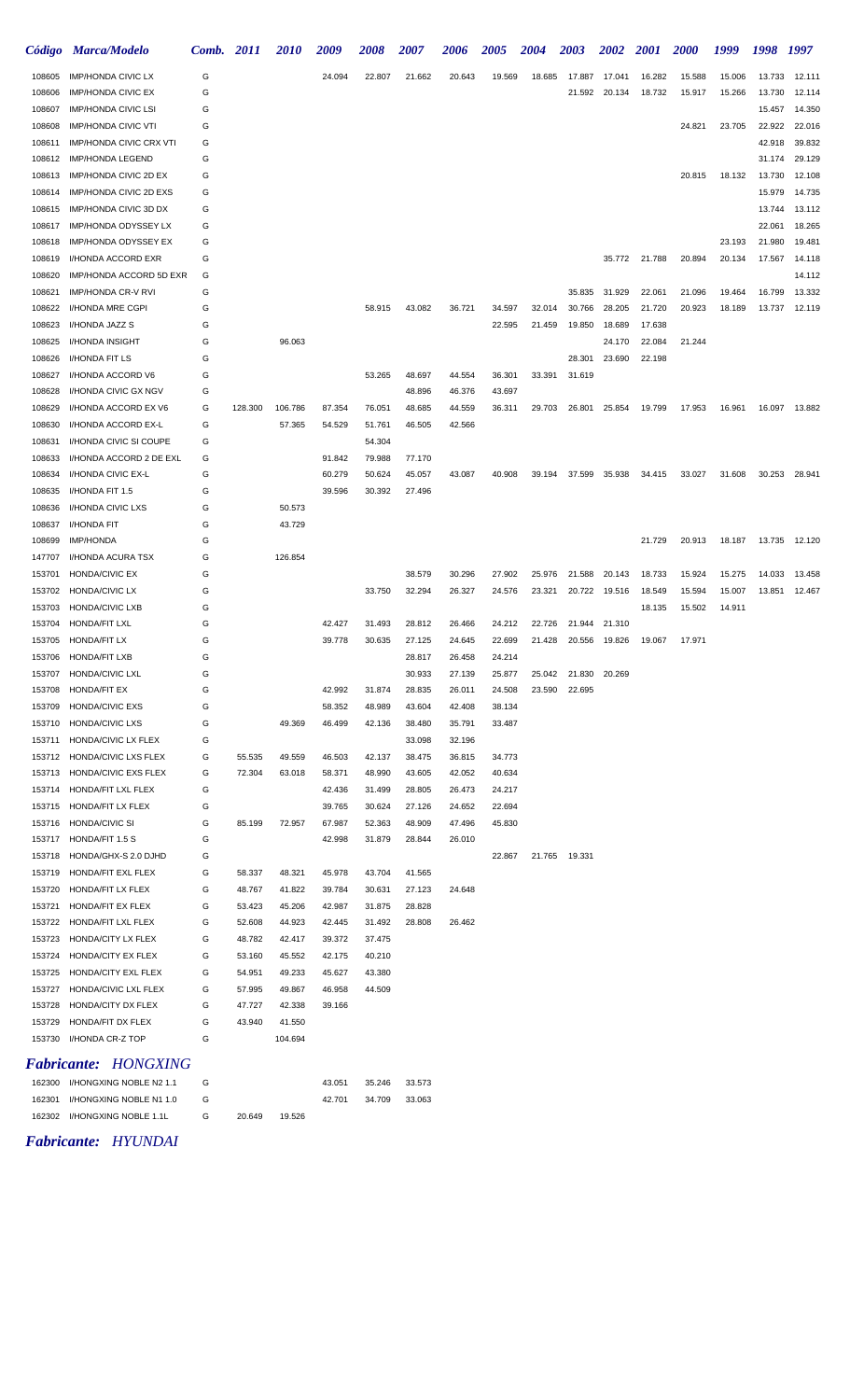|                  | Código Marca/Modelo                     | Comb.  | <b>2011</b>      | <i>2010</i>      | 2009             | <i><b>2008</b></i> | 2007             | <b>2006</b> | 2005   | <b>2004</b> | 2003             | <b>2002</b>      | <b>2001</b>      | <b>2000</b>      | 1999             | 1998             | 1997             |
|------------------|-----------------------------------------|--------|------------------|------------------|------------------|--------------------|------------------|-------------|--------|-------------|------------------|------------------|------------------|------------------|------------------|------------------|------------------|
| 108605           | <b>IMP/HONDA CIVIC LX</b>               | G      |                  |                  | 24.094           | 22.807             | 21.662           | 20.643      | 19.569 | 18.685      | 17.887           | 17.041           | 16.282           | 15.588           | 15.006           | 13.733           | 12.111           |
| 108606           | <b>IMP/HONDA CIVIC EX</b>               | G      |                  |                  |                  |                    |                  |             |        |             | 21.592           | 20.134           | 18.732           | 15.917           | 15.266           | 13.730           | 12.114           |
| 108607           | <b>IMP/HONDA CIVIC LSI</b>              | G      |                  |                  |                  |                    |                  |             |        |             |                  |                  |                  |                  |                  | 15.457           | 14.350           |
| 108608           | <b>IMP/HONDA CIVIC VTI</b>              | G      |                  |                  |                  |                    |                  |             |        |             |                  |                  |                  | 24.821           | 23.705           | 22.922           | 22.016           |
| 108611           | <b>IMP/HONDA CIVIC CRX VTI</b>          | G      |                  |                  |                  |                    |                  |             |        |             |                  |                  |                  |                  |                  | 42.918           | 39.832           |
| 108612           | <b>IMP/HONDA LEGEND</b>                 | G      |                  |                  |                  |                    |                  |             |        |             |                  |                  |                  |                  |                  | 31.174           | 29.129           |
| 108613           | IMP/HONDA CIVIC 2D EX                   | G      |                  |                  |                  |                    |                  |             |        |             |                  |                  |                  | 20.815           | 18.132           | 13.730           | 12.108           |
| 108614           | IMP/HONDA CIVIC 2D EXS                  | G      |                  |                  |                  |                    |                  |             |        |             |                  |                  |                  |                  |                  | 15.979           | 14.735           |
| 108615           | IMP/HONDA CIVIC 3D DX                   | G      |                  |                  |                  |                    |                  |             |        |             |                  |                  |                  |                  |                  | 13.744           | 13.112           |
| 108617           | IMP/HONDA ODYSSEY LX                    | G      |                  |                  |                  |                    |                  |             |        |             |                  |                  |                  |                  |                  | 22.061           | 18.265           |
| 108618           | IMP/HONDA ODYSSEY EX                    | G      |                  |                  |                  |                    |                  |             |        |             |                  |                  |                  |                  | 23.193           | 21.980           | 19.481           |
| 108619           | I/HONDA ACCORD EXR                      | G      |                  |                  |                  |                    |                  |             |        |             |                  |                  | 35.772 21.788    | 20.894           | 20.134           | 17.567           | 14.118           |
| 108620           | IMP/HONDA ACCORD 5D EXR                 | G      |                  |                  |                  |                    |                  |             |        |             |                  |                  |                  |                  |                  |                  | 14.112           |
| 108621<br>108622 | IMP/HONDA CR-V RVI<br>I/HONDA MRE CGPI  | G<br>G |                  |                  |                  | 58.915             | 43.082           | 36.721      | 34.597 | 32.014      | 35.835<br>30.766 | 31.929<br>28.205 | 22.061<br>21.720 | 21.096<br>20.923 | 19.464<br>18.189 | 16.799<br>13.737 | 13.332<br>12.119 |
| 108623           | I/HONDA JAZZ S                          | G      |                  |                  |                  |                    |                  |             | 22.595 | 21.459      | 19.850           | 18.689           | 17.638           |                  |                  |                  |                  |
| 108625           | I/HONDA INSIGHT                         | G      |                  | 96.063           |                  |                    |                  |             |        |             |                  | 24.170           | 22.084           | 21.244           |                  |                  |                  |
| 108626           | I/HONDA FIT LS                          | G      |                  |                  |                  |                    |                  |             |        |             | 28.301           | 23.690           | 22.198           |                  |                  |                  |                  |
| 108627           | I/HONDA ACCORD V6                       | G      |                  |                  |                  | 53.265             | 48.697           | 44.554      | 36.301 | 33.391      | 31.619           |                  |                  |                  |                  |                  |                  |
| 108628           | I/HONDA CIVIC GX NGV                    | G      |                  |                  |                  |                    | 48.896           | 46.376      | 43.697 |             |                  |                  |                  |                  |                  |                  |                  |
| 108629           | I/HONDA ACCORD EX V6                    | G      | 128.300          | 106.786          | 87.354           | 76.051             | 48.685           | 44.559      | 36.311 | 29.703      | 26.801           | 25.854           | 19.799           | 17.953           | 16.961           | 16.097           | 13.882           |
| 108630           | I/HONDA ACCORD EX-L                     | G      |                  | 57.365           | 54.529           | 51.761             | 46.505           | 42.566      |        |             |                  |                  |                  |                  |                  |                  |                  |
| 108631           | I/HONDA CIVIC SI COUPE                  | G      |                  |                  |                  | 54.304             |                  |             |        |             |                  |                  |                  |                  |                  |                  |                  |
| 108633           | I/HONDA ACCORD 2 DE EXL                 | G      |                  |                  | 91.842           | 79.988             | 77.170           |             |        |             |                  |                  |                  |                  |                  |                  |                  |
| 108634           | I/HONDA CIVIC EX-L                      | G      |                  |                  | 60.279           | 50.624             | 45.057           | 43.087      | 40.908 |             | 39.194 37.599    | 35.938           | 34.415           | 33.027           | 31.608           | 30.253           | 28.941           |
| 108635           | I/HONDA FIT 1.5                         | G      |                  |                  | 39.596           | 30.392             | 27.496           |             |        |             |                  |                  |                  |                  |                  |                  |                  |
| 108636           | I/HONDA CIVIC LXS                       | G      |                  | 50.573           |                  |                    |                  |             |        |             |                  |                  |                  |                  |                  |                  |                  |
| 108637           | I/HONDA FIT                             | G      |                  | 43.729           |                  |                    |                  |             |        |             |                  |                  |                  |                  |                  |                  |                  |
| 108699           | <b>IMP/HONDA</b>                        | G      |                  |                  |                  |                    |                  |             |        |             |                  |                  | 21.729           | 20.913           | 18.187           | 13.735           | 12.120           |
| 147707           | I/HONDA ACURA TSX                       | G      |                  | 126.854          |                  |                    |                  |             |        |             |                  |                  |                  |                  |                  |                  |                  |
| 153701           | HONDA/CIVIC EX                          | G      |                  |                  |                  |                    | 38.579           | 30.296      | 27.902 | 25.976      | 21.588           | 20.143           | 18.733           | 15.924           | 15.275           | 14.033           | 13.458           |
| 153702           | HONDA/CIVIC LX                          | G      |                  |                  |                  | 33.750             | 32.294           | 26.327      | 24.576 | 23.321      | 20.722           | 19.516           | 18.549           | 15.594           | 15.007           | 13.851           | 12.467           |
| 153703           | HONDA/CIVIC LXB                         | G      |                  |                  |                  |                    |                  |             |        |             |                  |                  | 18.135           | 15.502           | 14.911           |                  |                  |
| 153704           | HONDA/FIT LXL                           | G      |                  |                  | 42.427           | 31.493             | 28.812           | 26.466      | 24.212 | 22.726      | 21.944           | 21.310           |                  |                  |                  |                  |                  |
| 153705           | <b>HONDA/FIT LX</b>                     | G      |                  |                  | 39.778           | 30.635             | 27.125           | 24.645      | 22.699 | 21.428      | 20.556           | 19.826           | 19.067           | 17.971           |                  |                  |                  |
| 153706           | <b>HONDA/FIT LXB</b>                    | G      |                  |                  |                  |                    | 28.817           | 26.458      | 24.214 |             |                  |                  |                  |                  |                  |                  |                  |
|                  | 153707 HONDA/CIVIC LXL                  | G      |                  |                  |                  |                    | 30.933           | 27.139      | 25.877 | 25.042      |                  | 21.830 20.269    |                  |                  |                  |                  |                  |
| 153708           | <b>HONDA/FIT EX</b>                     | G      |                  |                  | 42.992           | 31.874             | 28.835           | 26.011      | 24.508 | 23.590      | 22.695           |                  |                  |                  |                  |                  |                  |
| 153709           | <b>HONDA/CIVIC EXS</b>                  | G      |                  |                  | 58.352           | 48.989             | 43.604           | 42.408      | 38.134 |             |                  |                  |                  |                  |                  |                  |                  |
| 153710           | <b>HONDA/CIVIC LXS</b>                  | G      |                  | 49.369           | 46.499           | 42.136             | 38.480           | 35.791      | 33.487 |             |                  |                  |                  |                  |                  |                  |                  |
| 153711           | HONDA/CIVIC LX FLEX                     | G      |                  |                  |                  |                    | 33.098           | 32.196      |        |             |                  |                  |                  |                  |                  |                  |                  |
| 153712           | HONDA/CIVIC LXS FLEX                    | G      | 55.535           | 49.559           | 46.503           | 42.137             | 38.475           | 36.815      | 34.773 |             |                  |                  |                  |                  |                  |                  |                  |
| 153713           | HONDA/CIVIC EXS FLEX                    | G      | 72.304           | 63.018           | 58.371           | 48.990             | 43.605           | 42.052      | 40.634 |             |                  |                  |                  |                  |                  |                  |                  |
| 153714           | HONDA/FIT LXL FLEX                      | G      |                  |                  | 42.436           | 31.499             | 28.805           | 26.473      | 24.217 |             |                  |                  |                  |                  |                  |                  |                  |
| 153715           | HONDA/FIT LX FLEX                       | G      |                  |                  | 39.765           | 30.624             | 27.126           | 24.652      | 22.694 |             |                  |                  |                  |                  |                  |                  |                  |
| 153716           | <b>HONDA/CIVIC SI</b>                   | G      | 85.199           | 72.957           | 67.987           | 52.363             | 48.909           | 47.496      | 45.830 |             |                  |                  |                  |                  |                  |                  |                  |
| 153717           | HONDA/FIT 1.5 S                         | G      |                  |                  | 42.998           | 31.879             | 28.844           | 26.010      |        |             |                  |                  |                  |                  |                  |                  |                  |
| 153718           | HONDA/GHX-S 2.0 DJHD                    | G      |                  |                  |                  |                    |                  |             | 22.867 |             | 21.765 19.331    |                  |                  |                  |                  |                  |                  |
| 153719           | HONDA/FIT EXL FLEX                      | G      | 58.337           | 48.321           | 45.978           | 43.704             | 41.565           |             |        |             |                  |                  |                  |                  |                  |                  |                  |
| 153720           | HONDA/FIT LX FLEX                       | G      | 48.767           | 41.822           | 39.784           | 30.631             | 27.123           | 24.648      |        |             |                  |                  |                  |                  |                  |                  |                  |
| 153721<br>153722 | HONDA/FIT EX FLEX<br>HONDA/FIT LXL FLEX | G<br>G | 53.423<br>52.608 | 45.206<br>44.923 | 42.987<br>42.445 | 31.875<br>31.492   | 28.828<br>28.808 | 26.462      |        |             |                  |                  |                  |                  |                  |                  |                  |
| 153723           | HONDA/CITY LX FLEX                      | G      | 48.782           | 42.417           | 39.372           | 37.475             |                  |             |        |             |                  |                  |                  |                  |                  |                  |                  |
| 153724           | HONDA/CITY EX FLEX                      | G      | 53.160           | 45.552           | 42.175           | 40.210             |                  |             |        |             |                  |                  |                  |                  |                  |                  |                  |
| 153725           | HONDA/CITY EXL FLEX                     | G      | 54.951           | 49.233           | 45.627           | 43.380             |                  |             |        |             |                  |                  |                  |                  |                  |                  |                  |
| 153727           | HONDA/CIVIC LXL FLEX                    | G      | 57.995           | 49.867           | 46.958           | 44.509             |                  |             |        |             |                  |                  |                  |                  |                  |                  |                  |
| 153728           | HONDA/CITY DX FLEX                      | G      | 47.727           | 42.338           | 39.166           |                    |                  |             |        |             |                  |                  |                  |                  |                  |                  |                  |
| 153729           | HONDA/FIT DX FLEX                       | G      | 43.940           | 41.550           |                  |                    |                  |             |        |             |                  |                  |                  |                  |                  |                  |                  |
| 153730           | I/HONDA CR-Z TOP                        | G      |                  | 104.694          |                  |                    |                  |             |        |             |                  |                  |                  |                  |                  |                  |                  |
|                  |                                         |        |                  |                  |                  |                    |                  |             |        |             |                  |                  |                  |                  |                  |                  |                  |
|                  | <b>Fabricante: HONGXING</b>             |        |                  |                  |                  |                    |                  |             |        |             |                  |                  |                  |                  |                  |                  |                  |
|                  | 162300 I/HONGXING NOBLE N2 1.1          | G      |                  |                  | 43.051           | 35.246             | 33.573           |             |        |             |                  |                  |                  |                  |                  |                  |                  |
|                  | 162301 I/HONGXING NOBLE N1 1.0          | G      |                  |                  | 42.701           | 34.709             | 33.063           |             |        |             |                  |                  |                  |                  |                  |                  |                  |

*Fabricante: HYUNDAI*

I/HONGXING NOBLE 1.1L G 20.649 19.526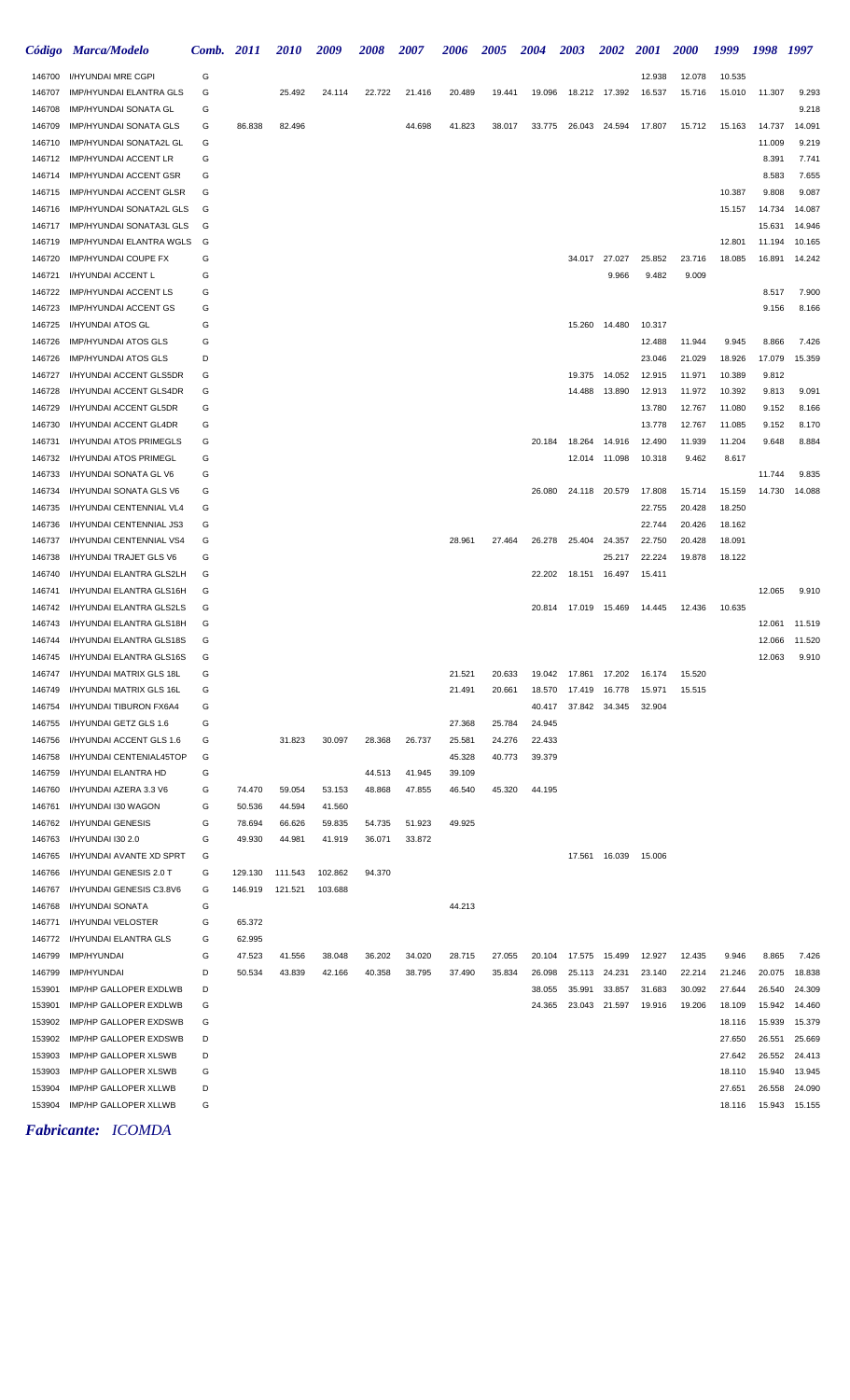|                  | Código Marca/Modelo                              | Comb. 2011 |                  | <i>2010</i> | 2009    | 2008   | <b>2007</b> | <b>2006</b> | <b>2005</b> | <b>2004</b>      | <b>2003</b>          | <b>2002</b>      | <b>2001</b>      | <b>2000</b>      | 1999             | 1998             | 1997             |
|------------------|--------------------------------------------------|------------|------------------|-------------|---------|--------|-------------|-------------|-------------|------------------|----------------------|------------------|------------------|------------------|------------------|------------------|------------------|
| 146700           | I/HYUNDAI MRE CGPI                               | G          |                  |             |         |        |             |             |             |                  |                      |                  | 12.938           | 12.078           | 10.535           |                  |                  |
| 146707           | IMP/HYUNDAI ELANTRA GLS                          | G          |                  | 25.492      | 24.114  | 22.722 | 21.416      | 20.489      | 19.441      | 19.096           | 18.212               | 17.392           | 16.537           | 15.716           | 15.010           | 11.307           | 9.293            |
| 146708           | IMP/HYUNDAI SONATA GL                            | G          |                  |             |         |        |             |             |             |                  |                      |                  |                  |                  |                  |                  | 9.218            |
| 146709           | IMP/HYUNDAI SONATA GLS                           | G          | 86.838           | 82.496      |         |        | 44.698      | 41.823      | 38.017      | 33.775           | 26.043               | 24.594           | 17.807           | 15.712           | 15.163           | 14.737           | 14.091           |
| 146710           | IMP/HYUNDAI SONATA2L GL                          | G          |                  |             |         |        |             |             |             |                  |                      |                  |                  |                  |                  | 11.009           | 9.219            |
| 146712           | <b>IMP/HYUNDAI ACCENT LR</b>                     | G          |                  |             |         |        |             |             |             |                  |                      |                  |                  |                  |                  | 8.391            | 7.741            |
| 146714           | <b>IMP/HYUNDAI ACCENT GSR</b>                    | G          |                  |             |         |        |             |             |             |                  |                      |                  |                  |                  |                  | 8.583            | 7.655            |
| 146715           | <b>IMP/HYUNDAI ACCENT GLSR</b>                   | G          |                  |             |         |        |             |             |             |                  |                      |                  |                  |                  | 10.387           | 9.808            | 9.087            |
| 146716           | IMP/HYUNDAI SONATA2L GLS                         | G          |                  |             |         |        |             |             |             |                  |                      |                  |                  |                  | 15.157           | 14.734           | 14.087           |
| 146717           | IMP/HYUNDAI SONATA3L GLS                         | G          |                  |             |         |        |             |             |             |                  |                      |                  |                  |                  |                  | 15.631           | 14.946           |
| 146719           | IMP/HYUNDAI ELANTRA WGLS                         | G          |                  |             |         |        |             |             |             |                  |                      |                  |                  |                  | 12.801           | 11.194           | 10.165           |
| 146720           | IMP/HYUNDAI COUPE FX                             | G          |                  |             |         |        |             |             |             |                  | 34.017               | 27.027           | 25.852           | 23.716           | 18.085           | 16.891           | 14.242           |
| 146721           | I/HYUNDAI ACCENT L                               | G          |                  |             |         |        |             |             |             |                  |                      | 9.966            | 9.482            | 9.009            |                  |                  |                  |
| 146722           | <b>IMP/HYUNDAI ACCENT LS</b>                     | G          |                  |             |         |        |             |             |             |                  |                      |                  |                  |                  |                  | 8.517            | 7.900            |
| 146723           | <b>IMP/HYUNDAI ACCENT GS</b>                     | G          |                  |             |         |        |             |             |             |                  |                      |                  |                  |                  |                  | 9.156            | 8.166            |
| 146725           | I/HYUNDAI ATOS GL                                | G          |                  |             |         |        |             |             |             |                  | 15.260               | 14.480           | 10.317           |                  |                  |                  |                  |
| 146726           | <b>IMP/HYUNDAI ATOS GLS</b>                      | G          |                  |             |         |        |             |             |             |                  |                      |                  | 12.488           | 11.944           | 9.945            | 8.866            | 7.426            |
| 146726           | <b>IMP/HYUNDAI ATOS GLS</b>                      | D          |                  |             |         |        |             |             |             |                  |                      |                  | 23.046           | 21.029           | 18.926           | 17.079           | 15.359           |
| 146727           | I/HYUNDAI ACCENT GLS5DR                          | G          |                  |             |         |        |             |             |             |                  | 19.375               | 14.052           | 12.915           | 11.971           | 10.389           | 9.812            |                  |
| 146728           | I/HYUNDAI ACCENT GLS4DR                          | G          |                  |             |         |        |             |             |             |                  | 14.488               | 13.890           | 12.913           | 11.972           | 10.392           | 9.813            | 9.091            |
| 146729           | I/HYUNDAI ACCENT GL5DR                           | G          |                  |             |         |        |             |             |             |                  |                      |                  | 13.780           | 12.767           | 11.080           | 9.152            | 8.166            |
| 146730           | I/HYUNDAI ACCENT GL4DR                           | G          |                  |             |         |        |             |             |             |                  |                      |                  | 13.778           | 12.767           | 11.085           | 9.152            | 8.170            |
| 146731           | I/HYUNDAI ATOS PRIMEGLS                          | G          |                  |             |         |        |             |             |             | 20.184           | 18.264               | 14.916           | 12.490           | 11.939           | 11.204           | 9.648            | 8.884            |
| 146732           | I/HYUNDAI ATOS PRIMEGL                           | G          |                  |             |         |        |             |             |             |                  |                      | 12.014 11.098    | 10.318           | 9.462            | 8.617            |                  |                  |
| 146733           | I/HYUNDAI SONATA GL V6                           | G          |                  |             |         |        |             |             |             |                  |                      |                  |                  |                  |                  | 11.744           | 9.835            |
| 146734           | I/HYUNDAI SONATA GLS V6                          | G          |                  |             |         |        |             |             |             | 26.080           | 24.118               | 20.579           | 17.808           | 15.714           | 15.159           | 14.730           | 14.088           |
| 146735           | I/HYUNDAI CENTENNIAL VL4                         | G          |                  |             |         |        |             |             |             |                  |                      |                  | 22.755           | 20.428           | 18.250           |                  |                  |
| 146736           | I/HYUNDAI CENTENNIAL JS3                         | G          |                  |             |         |        |             |             |             |                  |                      |                  | 22.744           | 20.426           | 18.162           |                  |                  |
| 146737           | I/HYUNDAI CENTENNIAL VS4                         | G          |                  |             |         |        |             | 28.961      | 27.464      | 26.278           | 25.404               | 24.357           | 22.750           | 20.428           | 18.091           |                  |                  |
| 146738           | I/HYUNDAI TRAJET GLS V6                          | G          |                  |             |         |        |             |             |             |                  |                      | 25.217           | 22.224           | 19.878           | 18.122           |                  |                  |
| 146740           | I/HYUNDAI ELANTRA GLS2LH                         | G          |                  |             |         |        |             |             |             | 22.202           | 18.151               | 16.497           | 15.411           |                  |                  |                  |                  |
| 146741           | I/HYUNDAI ELANTRA GLS16H                         | G          |                  |             |         |        |             |             |             |                  |                      |                  |                  |                  |                  | 12.065           | 9.910            |
| 146742           | I/HYUNDAI ELANTRA GLS2LS                         | G          |                  |             |         |        |             |             |             |                  | 20.814 17.019 15.469 |                  | 14.445           | 12.436           | 10.635           |                  |                  |
| 146743           | I/HYUNDAI ELANTRA GLS18H                         | G          |                  |             |         |        |             |             |             |                  |                      |                  |                  |                  |                  | 12.061           | 11.519           |
| 146744           | I/HYUNDAI ELANTRA GLS18S                         | G          |                  |             |         |        |             |             |             |                  |                      |                  |                  |                  |                  | 12.066           | 11.520           |
| 146745           | I/HYUNDAI ELANTRA GLS16S                         | G          |                  |             |         |        |             |             |             |                  |                      |                  |                  |                  |                  | 12.063           | 9.910            |
| 146747           | I/HYUNDAI MATRIX GLS 18L                         | G          |                  |             |         |        |             | 21.521      | 20.633      | 19.042           |                      | 17.861 17.202    | 16.174           | 15.520           |                  |                  |                  |
| 146749           | I/HYUNDAI MATRIX GLS 16L                         | G          |                  |             |         |        |             | 21.491      | 20.661      | 18.570           | 17.419               | 16.778           | 15.971           | 15.515           |                  |                  |                  |
| 146754           | I/HYUNDAI TIBURON FX6A4                          | G          |                  |             |         |        |             |             |             | 40.417           | 37.842               | 34.345           | 32.904           |                  |                  |                  |                  |
| 146755           | I/HYUNDAI GETZ GLS 1.6                           | G          |                  |             |         |        |             | 27.368      | 25.784      | 24.945           |                      |                  |                  |                  |                  |                  |                  |
| 146756           | I/HYUNDAI ACCENT GLS 1.6                         | G          |                  | 31.823      | 30.097  | 28.368 | 26.737      | 25.581      | 24.276      | 22.433           |                      |                  |                  |                  |                  |                  |                  |
| 146758           | I/HYUNDAI CENTENIAL45TOP                         | G          |                  |             |         |        |             | 45.328      | 40.773      | 39.379           |                      |                  |                  |                  |                  |                  |                  |
| 146759           | I/HYUNDAI ELANTRA HD                             | G          |                  |             |         | 44.513 | 41.945      | 39.109      |             |                  |                      |                  |                  |                  |                  |                  |                  |
| 146760           | I/HYUNDAI AZERA 3.3 V6                           | G          | 74.470           | 59.054      | 53.153  | 48.868 | 47.855      | 46.540      | 45.320      | 44.195           |                      |                  |                  |                  |                  |                  |                  |
| 146761           | I/HYUNDAI I30 WAGON                              | G          | 50.536           | 44.594      | 41.560  |        |             |             |             |                  |                      |                  |                  |                  |                  |                  |                  |
| 146762           | I/HYUNDAI GENESIS                                | G          | 78.694           | 66.626      | 59.835  | 54.735 | 51.923      | 49.925      |             |                  |                      |                  |                  |                  |                  |                  |                  |
| 146763           | I/HYUNDAI I30 2.0                                | G          | 49.930           | 44.981      | 41.919  | 36.071 | 33.872      |             |             |                  |                      |                  |                  |                  |                  |                  |                  |
| 146765           | I/HYUNDAI AVANTE XD SPRT                         | G          |                  |             |         |        |             |             |             |                  | 17.561               | 16.039           | 15.006           |                  |                  |                  |                  |
| 146766           | I/HYUNDAI GENESIS 2.0 T                          | G          | 129.130          | 111.543     | 102.862 | 94.370 |             |             |             |                  |                      |                  |                  |                  |                  |                  |                  |
| 146767           | I/HYUNDAI GENESIS C3.8V6                         | G          | 146.919          | 121.521     | 103.688 |        |             |             |             |                  |                      |                  |                  |                  |                  |                  |                  |
| 146768           | I/HYUNDAI SONATA                                 | G          |                  |             |         |        |             | 44.213      |             |                  |                      |                  |                  |                  |                  |                  |                  |
| 146771<br>146772 | I/HYUNDAI VELOSTER<br>I/HYUNDAI ELANTRA GLS      | G<br>G     | 65.372<br>62.995 |             |         |        |             |             |             |                  |                      |                  |                  |                  |                  |                  |                  |
| 146799           | <b>IMP/HYUNDAI</b>                               | G          |                  |             |         | 36.202 |             | 28.715      | 27.055      | 20.104           |                      | 15.499           | 12.927           | 12.435           | 9.946            | 8.865            | 7.426            |
|                  | <b>IMP/HYUNDAI</b>                               | D          | 47.523           | 41.556      | 38.048  |        | 34.020      |             |             |                  | 17.575               | 24.231           |                  |                  |                  |                  | 18.838           |
| 146799           |                                                  |            | 50.534           | 43.839      | 42.166  | 40.358 | 38.795      | 37.490      | 35.834      | 26.098           | 25.113               |                  | 23.140           | 22.214           | 21.246           | 20.075           |                  |
| 153901<br>153901 | IMP/HP GALLOPER EXDLWB<br>IMP/HP GALLOPER EXDLWB | D<br>G     |                  |             |         |        |             |             |             | 38.055<br>24.365 | 35.991<br>23.043     | 33.857<br>21.597 | 31.683<br>19.916 | 30.092<br>19.206 | 27.644<br>18.109 | 26.540<br>15.942 | 24.309<br>14.460 |
| 153902           | IMP/HP GALLOPER EXDSWB                           | G          |                  |             |         |        |             |             |             |                  |                      |                  |                  |                  | 18.116           | 15.939           | 15.379           |
| 153902           | IMP/HP GALLOPER EXDSWB                           | D          |                  |             |         |        |             |             |             |                  |                      |                  |                  |                  | 27.650           | 26.551           | 25.669           |
| 153903           | <b>IMP/HP GALLOPER XLSWB</b>                     | D          |                  |             |         |        |             |             |             |                  |                      |                  |                  |                  | 27.642           | 26.552           | 24.413           |
| 153903           | IMP/HP GALLOPER XLSWB                            | G          |                  |             |         |        |             |             |             |                  |                      |                  |                  |                  | 18.110           | 15.940           | 13.945           |
| 153904           | IMP/HP GALLOPER XLLWB                            | D          |                  |             |         |        |             |             |             |                  |                      |                  |                  |                  | 27.651           | 26.558           | 24.090           |
| 153904           | IMP/HP GALLOPER XLLWB                            | G          |                  |             |         |        |             |             |             |                  |                      |                  |                  |                  | 18.116           | 15.943           | 15.155           |
|                  |                                                  |            |                  |             |         |        |             |             |             |                  |                      |                  |                  |                  |                  |                  |                  |

*Fabricante: ICOMDA*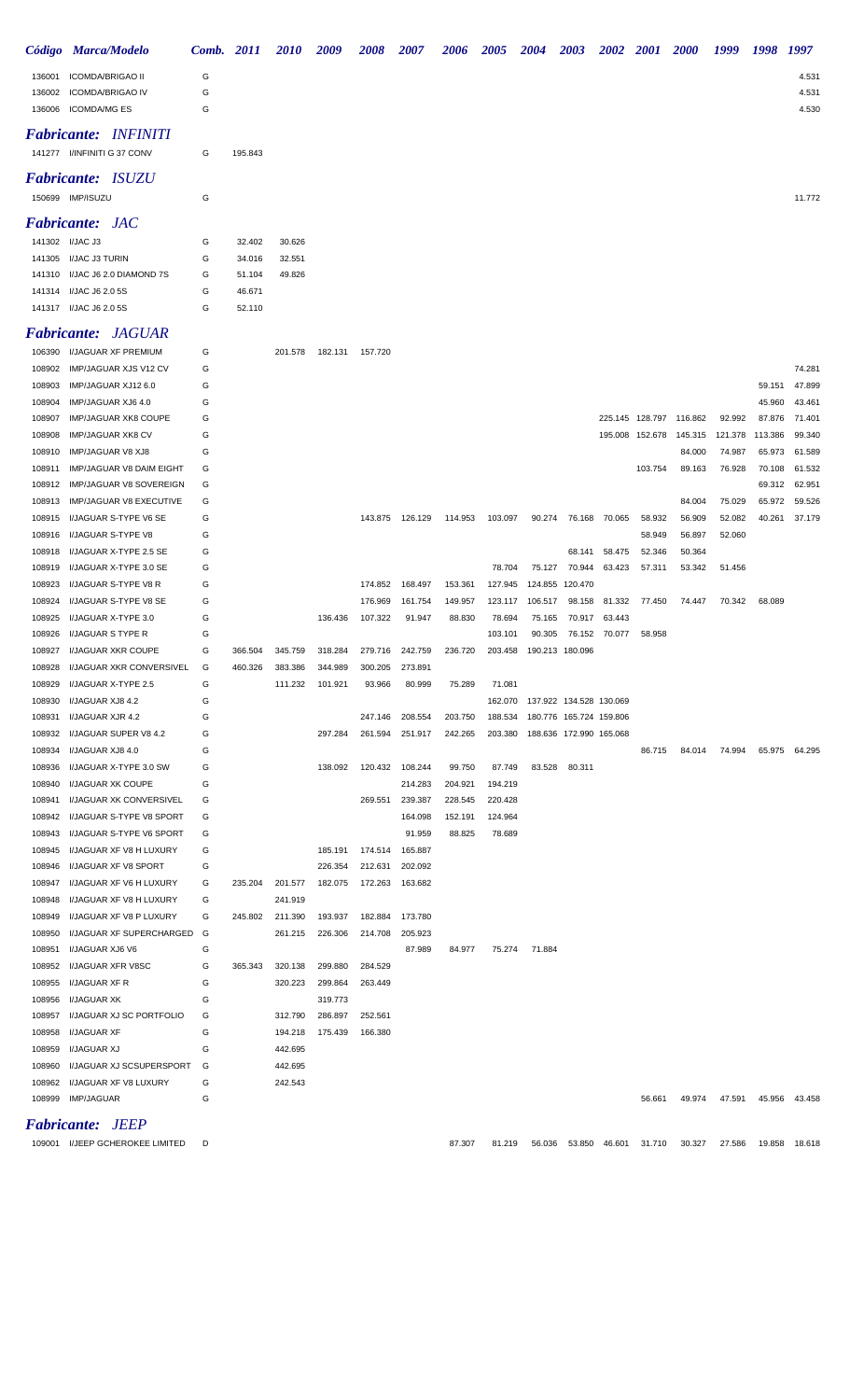|                  | Código Marca/Modelo                  | Comb. 2011 |         | <i>2010</i>        | 2009    | <b>2008</b> | 2007            | 2006    | <b>2005</b>        | <b>2004</b> | <b>2003</b>                                        | <b>2002</b> | <b>2001</b>     | <b>2000</b> | 1999    | 1998    | 1997          |
|------------------|--------------------------------------|------------|---------|--------------------|---------|-------------|-----------------|---------|--------------------|-------------|----------------------------------------------------|-------------|-----------------|-------------|---------|---------|---------------|
| 136001           | <b>ICOMDA/BRIGAO II</b>              | G          |         |                    |         |             |                 |         |                    |             |                                                    |             |                 |             |         |         | 4.531         |
| 136002           | <b>ICOMDA/BRIGAO IV</b>              | G          |         |                    |         |             |                 |         |                    |             |                                                    |             |                 |             |         |         | 4.531         |
| 136006           | <b>ICOMDA/MG ES</b>                  | G          |         |                    |         |             |                 |         |                    |             |                                                    |             |                 |             |         |         | 4.530         |
|                  | <b>Fabricante: INFINITI</b>          |            |         |                    |         |             |                 |         |                    |             |                                                    |             |                 |             |         |         |               |
|                  | 141277 I/INFINITI G 37 CONV          | G          | 195.843 |                    |         |             |                 |         |                    |             |                                                    |             |                 |             |         |         |               |
|                  |                                      |            |         |                    |         |             |                 |         |                    |             |                                                    |             |                 |             |         |         |               |
|                  | <b>Fabricante: ISUZU</b>             |            |         |                    |         |             |                 |         |                    |             |                                                    |             |                 |             |         |         |               |
|                  | 150699 IMP/ISUZU                     | G          |         |                    |         |             |                 |         |                    |             |                                                    |             |                 |             |         |         | 11.772        |
|                  | <b>Fabricante: JAC</b>               |            |         |                    |         |             |                 |         |                    |             |                                                    |             |                 |             |         |         |               |
|                  | 141302 I/JAC J3                      | G          | 32.402  | 30.626             |         |             |                 |         |                    |             |                                                    |             |                 |             |         |         |               |
|                  | 141305 I/JAC J3 TURIN                | G          | 34.016  | 32.551             |         |             |                 |         |                    |             |                                                    |             |                 |             |         |         |               |
| 141310           | I/JAC J6 2.0 DIAMOND 7S              | G          | 51.104  | 49.826             |         |             |                 |         |                    |             |                                                    |             |                 |             |         |         |               |
| 141314           | I/JAC J6 2.0 5S                      | G          | 46.671  |                    |         |             |                 |         |                    |             |                                                    |             |                 |             |         |         |               |
|                  | 141317 I/JAC J6 2.0 5S               | G          | 52.110  |                    |         |             |                 |         |                    |             |                                                    |             |                 |             |         |         |               |
|                  | <b>Fabricante: JAGUAR</b>            |            |         |                    |         |             |                 |         |                    |             |                                                    |             |                 |             |         |         |               |
|                  | I/JAGUAR XF PREMIUM                  |            |         |                    |         |             |                 |         |                    |             |                                                    |             |                 |             |         |         |               |
| 106390<br>108902 | IMP/JAGUAR XJS V12 CV                | G<br>G     |         | 201.578            | 182.131 | 157.720     |                 |         |                    |             |                                                    |             |                 |             |         |         | 74.281        |
| 108903           | IMP/JAGUAR XJ12 6.0                  | G          |         |                    |         |             |                 |         |                    |             |                                                    |             |                 |             |         | 59.151  | 47.899        |
| 108904           | IMP/JAGUAR XJ6 4.0                   | G          |         |                    |         |             |                 |         |                    |             |                                                    |             |                 |             |         | 45.960  | 43.461        |
| 108907           | <b>IMP/JAGUAR XK8 COUPE</b>          | G          |         |                    |         |             |                 |         |                    |             |                                                    |             | 225.145 128.797 | 116.862     | 92.992  | 87.876  | 71.401        |
| 108908           | <b>IMP/JAGUAR XK8 CV</b>             | G          |         |                    |         |             |                 |         |                    |             |                                                    |             | 195.008 152.678 | 145.315     | 121.378 | 113.386 | 99.340        |
| 108910           | <b>IMP/JAGUAR V8 XJ8</b>             | G          |         |                    |         |             |                 |         |                    |             |                                                    |             |                 | 84.000      | 74.987  | 65.973  | 61.589        |
| 108911           | IMP/JAGUAR V8 DAIM EIGHT             | G          |         |                    |         |             |                 |         |                    |             |                                                    |             | 103.754         | 89.163      | 76.928  | 70.108  | 61.532        |
| 108912           | IMP/JAGUAR V8 SOVEREIGN              | G          |         |                    |         |             |                 |         |                    |             |                                                    |             |                 |             |         | 69.312  | 62.951        |
| 108913           | <b>IMP/JAGUAR V8 EXECUTIVE</b>       | G          |         |                    |         |             |                 |         |                    |             |                                                    |             |                 | 84.004      | 75.029  | 65.972  | 59.526        |
| 108915           | I/JAGUAR S-TYPE V6 SE                | G          |         |                    |         |             | 143.875 126.129 | 114.953 | 103.097            | 90.274      | 76.168                                             | 70.065      | 58.932          | 56.909      | 52.082  | 40.261  | 37.179        |
| 108916           | I/JAGUAR S-TYPE V8                   | G          |         |                    |         |             |                 |         |                    |             |                                                    |             | 58.949          | 56.897      | 52.060  |         |               |
| 108918           | I/JAGUAR X-TYPE 2.5 SE               | G          |         |                    |         |             |                 |         |                    |             | 68.141                                             | 58.475      | 52.346          | 50.364      |         |         |               |
| 108919           | I/JAGUAR X-TYPE 3.0 SE               | G          |         |                    |         |             |                 |         | 78.704             | 75.127      | 70.944                                             | 63.423      | 57.311          | 53.342      | 51.456  |         |               |
| 108923           | I/JAGUAR S-TYPE V8 R                 | G          |         |                    |         | 174.852     | 168.497         | 153.361 | 127.945            | 124.855     | 120.470                                            |             |                 |             |         |         |               |
| 108924           | I/JAGUAR S-TYPE V8 SE                | G          |         |                    |         | 176.969     | 161.754         | 149.957 | 123.117            | 106.517     | 98.158                                             | 81.332      | 77.450          | 74.447      | 70.342  | 68.089  |               |
| 108925           | I/JAGUAR X-TYPE 3.0                  | G          |         |                    | 136.436 | 107.322     | 91.947          | 88.830  | 78.694             | 75.165      | 70.917                                             | 63.443      |                 |             |         |         |               |
| 108926           | I/JAGUAR S TYPE R                    | G          |         |                    |         |             |                 |         | 103.101            | 90.305      | 76.152                                             | 70.077      | 58.958          |             |         |         |               |
| 108927           | I/JAGUAR XKR COUPE                   | G          | 366.504 | 345.759            | 318.284 | 279.716     | 242.759         | 236.720 | 203.458            |             | 190.213 180.096                                    |             |                 |             |         |         |               |
|                  | 108928 I/JAGUAR XKR CONVERSIVEL      | G          | 460.326 | 383.386            | 344.989 |             | 300.205 273.891 |         |                    |             |                                                    |             |                 |             |         |         |               |
| 108929           | I/JAGUAR X-TYPE 2.5                  | G          |         | 111.232            | 101.921 | 93.966      | 80.999          | 75.289  | 71.081             |             |                                                    |             |                 |             |         |         |               |
| 108930<br>108931 | I/JAGUAR XJ8 4.2<br>I/JAGUAR XJR 4.2 | G<br>G     |         |                    |         | 247.146     | 208.554         | 203.750 | 162.070<br>188.534 |             | 137.922 134.528 130.069<br>180.776 165.724 159.806 |             |                 |             |         |         |               |
| 108932           | I/JAGUAR SUPER V8 4.2                | G          |         |                    | 297.284 | 261.594     | 251.917         | 242.265 | 203.380            |             | 188.636 172.990 165.068                            |             |                 |             |         |         |               |
| 108934           | I/JAGUAR XJ8 4.0                     | G          |         |                    |         |             |                 |         |                    |             |                                                    |             | 86.715          | 84.014      | 74.994  |         | 65.975 64.295 |
| 108936           | I/JAGUAR X-TYPE 3.0 SW               | G          |         |                    | 138.092 |             | 120.432 108.244 | 99.750  | 87.749             | 83.528      | 80.311                                             |             |                 |             |         |         |               |
| 108940           | I/JAGUAR XK COUPE                    | G          |         |                    |         |             | 214.283         | 204.921 | 194.219            |             |                                                    |             |                 |             |         |         |               |
| 108941           | I/JAGUAR XK CONVERSIVEL              | G          |         |                    |         | 269.551     | 239.387         | 228.545 | 220.428            |             |                                                    |             |                 |             |         |         |               |
| 108942           | I/JAGUAR S-TYPE V8 SPORT             | G          |         |                    |         |             | 164.098         | 152.191 | 124.964            |             |                                                    |             |                 |             |         |         |               |
| 108943           | I/JAGUAR S-TYPE V6 SPORT             | G          |         |                    |         |             | 91.959          | 88.825  | 78.689             |             |                                                    |             |                 |             |         |         |               |
| 108945           | I/JAGUAR XF V8 H LUXURY              | G          |         |                    | 185.191 | 174.514     | 165.887         |         |                    |             |                                                    |             |                 |             |         |         |               |
| 108946           | I/JAGUAR XF V8 SPORT                 | G          |         |                    | 226.354 | 212.631     | 202.092         |         |                    |             |                                                    |             |                 |             |         |         |               |
| 108947           | I/JAGUAR XF V6 H LUXURY              | G          | 235.204 | 201.577            | 182.075 | 172.263     | 163.682         |         |                    |             |                                                    |             |                 |             |         |         |               |
| 108948           | I/JAGUAR XF V8 H LUXURY              | G          |         | 241.919            |         |             |                 |         |                    |             |                                                    |             |                 |             |         |         |               |
| 108949           | I/JAGUAR XF V8 P LUXURY              | G          | 245.802 | 211.390            | 193.937 | 182.884     | 173.780         |         |                    |             |                                                    |             |                 |             |         |         |               |
| 108950           | I/JAGUAR XF SUPERCHARGED             | G          |         | 261.215            | 226.306 | 214.708     | 205.923         |         |                    |             |                                                    |             |                 |             |         |         |               |
| 108951           | I/JAGUAR XJ6 V6                      | G          |         |                    |         |             | 87.989          | 84.977  | 75.274             | 71.884      |                                                    |             |                 |             |         |         |               |
| 108952           | I/JAGUAR XFR V8SC                    | G          | 365.343 | 320.138            | 299.880 | 284.529     |                 |         |                    |             |                                                    |             |                 |             |         |         |               |
| 108955           | I/JAGUAR XF R                        | G          |         | 320.223            | 299.864 | 263.449     |                 |         |                    |             |                                                    |             |                 |             |         |         |               |
| 108956           | I/JAGUAR XK                          | G          |         |                    | 319.773 |             |                 |         |                    |             |                                                    |             |                 |             |         |         |               |
| 108957           | I/JAGUAR XJ SC PORTFOLIO             | G          |         | 312.790            | 286.897 | 252.561     |                 |         |                    |             |                                                    |             |                 |             |         |         |               |
| 108958<br>108959 | I/JAGUAR XF<br>I/JAGUAR XJ           | G<br>G     |         | 194.218<br>442.695 | 175.439 | 166.380     |                 |         |                    |             |                                                    |             |                 |             |         |         |               |
| 108960           | I/JAGUAR XJ SCSUPERSPORT             | G          |         | 442.695            |         |             |                 |         |                    |             |                                                    |             |                 |             |         |         |               |
| 108962           | I/JAGUAR XF V8 LUXURY                | G          |         | 242.543            |         |             |                 |         |                    |             |                                                    |             |                 |             |         |         |               |
| 108999           | IMP/JAGUAR                           | G          |         |                    |         |             |                 |         |                    |             |                                                    |             | 56.661          | 49.974      | 47.591  |         | 45.956 43.458 |
|                  |                                      |            |         |                    |         |             |                 |         |                    |             |                                                    |             |                 |             |         |         |               |
|                  | <b>Fabricante: JEEP</b>              |            |         |                    |         |             |                 |         |                    |             |                                                    |             |                 |             |         |         |               |

I/JEEP GCHEROKEE LIMITED D 87.307 81.219 56.036 53.850 46.601 31.710 30.327 27.586 19.858 18.618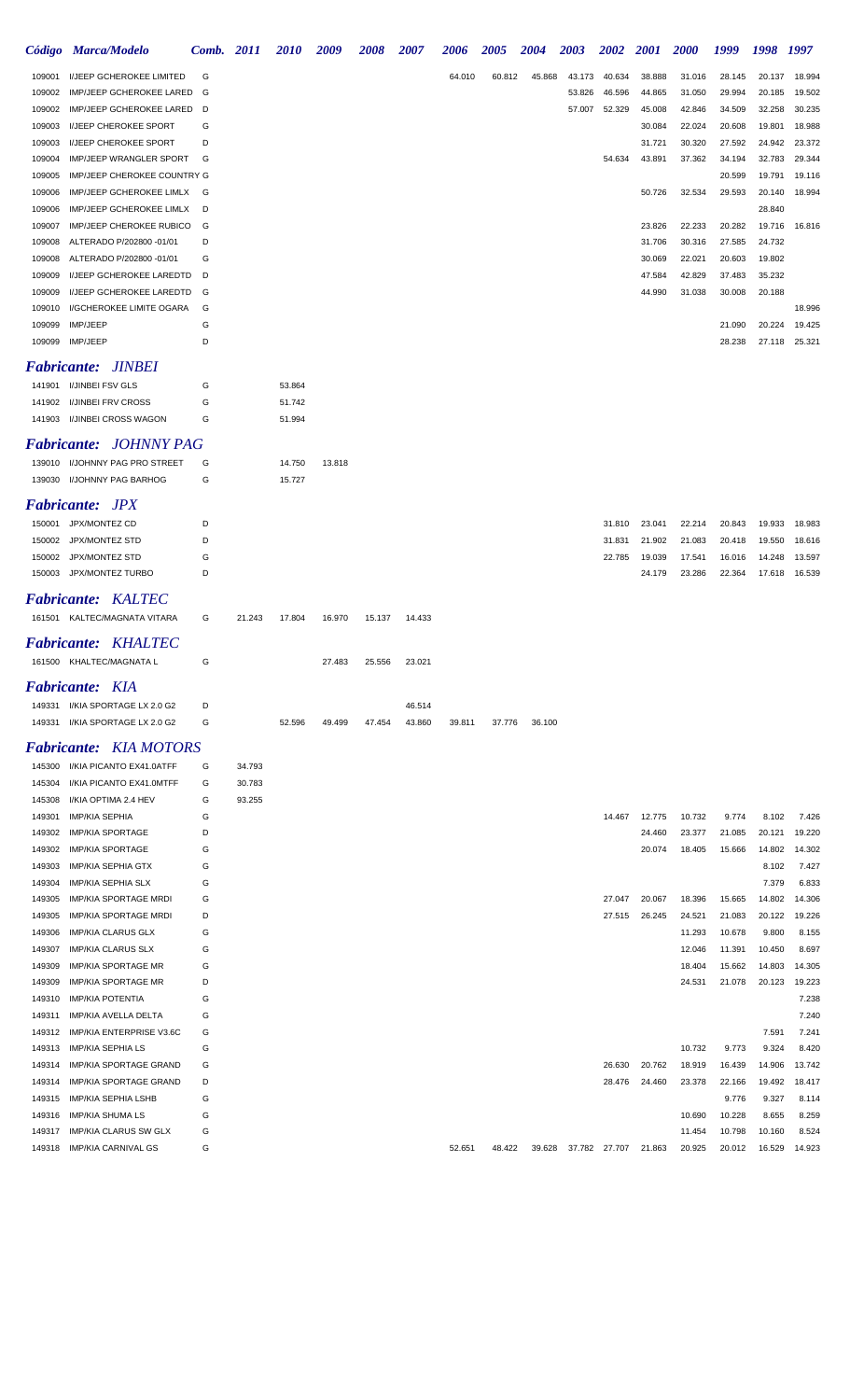|                           | Código Marca/Modelo                                    | <b>Comb.</b> 2011 |        | <b>2010</b> | 2009   | 2008   | 2007             | 2006   | <b>2005</b> | <b>2004</b> | <b>2003</b> | <b>2002</b>   | <b>2001</b>      | <b>2000</b>      | 1999             | 1998 1997        |                  |
|---------------------------|--------------------------------------------------------|-------------------|--------|-------------|--------|--------|------------------|--------|-------------|-------------|-------------|---------------|------------------|------------------|------------------|------------------|------------------|
| 109001                    | I/JEEP GCHEROKEE LIMITED                               | G                 |        |             |        |        |                  | 64.010 | 60.812      | 45.868      | 43.173      | 40.634        | 38.888           | 31.016           | 28.145           | 20.137           | 18.994           |
| 109002                    | IMP/JEEP GCHEROKEE LARED                               | G                 |        |             |        |        |                  |        |             |             | 53.826      | 46.596        | 44.865           | 31.050           | 29.994           | 20.185           | 19.502           |
| 109002                    | IMP/JEEP GCHEROKEE LARED D                             |                   |        |             |        |        |                  |        |             |             | 57.007      | 52.329        | 45.008           | 42.846           | 34.509           | 32.258           | 30.235           |
| 109003                    | <b>I/JEEP CHEROKEE SPORT</b>                           | G                 |        |             |        |        |                  |        |             |             |             |               | 30.084           | 22.024           | 20.608           | 19.801           | 18.988           |
| 109003                    | I/JEEP CHEROKEE SPORT                                  | D                 |        |             |        |        |                  |        |             |             |             |               | 31.721           | 30.320           | 27.592           | 24.942           | 23.372           |
| 109004<br>109005          | IMP/JEEP WRANGLER SPORT<br>IMP/JEEP CHEROKEE COUNTRY G | G                 |        |             |        |        |                  |        |             |             |             | 54.634        | 43.891           | 37.362           | 34.194<br>20.599 | 32.783<br>19.791 | 29.344<br>19.116 |
| 109006                    | IMP/JEEP GCHEROKEE LIMLX                               | G                 |        |             |        |        |                  |        |             |             |             |               | 50.726           | 32.534           | 29.593           | 20.140           | 18.994           |
| 109006                    | IMP/JEEP GCHEROKEE LIMLX                               | D                 |        |             |        |        |                  |        |             |             |             |               |                  |                  |                  | 28.840           |                  |
| 109007                    | IMP/JEEP CHEROKEE RUBICO                               | G                 |        |             |        |        |                  |        |             |             |             |               | 23.826           | 22.233           | 20.282           | 19.716           | 16.816           |
| 109008                    | ALTERADO P/202800 -01/01                               | D                 |        |             |        |        |                  |        |             |             |             |               | 31.706           | 30.316           | 27.585           | 24.732           |                  |
| 109008                    | ALTERADO P/202800 -01/01                               | G                 |        |             |        |        |                  |        |             |             |             |               | 30.069           | 22.021           | 20.603           | 19.802           |                  |
| 109009                    | I/JEEP GCHEROKEE LAREDTD                               | D                 |        |             |        |        |                  |        |             |             |             |               | 47.584           | 42.829           | 37.483           | 35.232           |                  |
| 109009                    | I/JEEP GCHEROKEE LAREDTD                               | G                 |        |             |        |        |                  |        |             |             |             |               | 44.990           | 31.038           | 30.008           | 20.188           |                  |
| 109010                    | I/GCHEROKEE LIMITE OGARA                               | G                 |        |             |        |        |                  |        |             |             |             |               |                  |                  |                  |                  | 18.996           |
| 109099                    | IMP/JEEP                                               | G                 |        |             |        |        |                  |        |             |             |             |               |                  |                  | 21.090           | 20.224           | 19.425           |
| 109099                    | IMP/JEEP                                               | D                 |        |             |        |        |                  |        |             |             |             |               |                  |                  | 28.238           | 27.118           | 25.321           |
|                           | <i><b>Fabricante: JINBEI</b></i>                       |                   |        |             |        |        |                  |        |             |             |             |               |                  |                  |                  |                  |                  |
|                           | 141901 I/JINBEI FSV GLS                                | G                 |        | 53.864      |        |        |                  |        |             |             |             |               |                  |                  |                  |                  |                  |
| 141902                    | I/JINBEI FRV CROSS                                     | G                 |        | 51.742      |        |        |                  |        |             |             |             |               |                  |                  |                  |                  |                  |
|                           | 141903 I/JINBEI CROSS WAGON                            | G                 |        | 51.994      |        |        |                  |        |             |             |             |               |                  |                  |                  |                  |                  |
|                           | <b>Fabricante:</b> JOHNNY PAG                          |                   |        |             |        |        |                  |        |             |             |             |               |                  |                  |                  |                  |                  |
| 139010                    | I/JOHNNY PAG PRO STREET                                | G                 |        | 14.750      | 13.818 |        |                  |        |             |             |             |               |                  |                  |                  |                  |                  |
|                           | 139030 I/JOHNNY PAG BARHOG                             | G                 |        | 15.727      |        |        |                  |        |             |             |             |               |                  |                  |                  |                  |                  |
|                           |                                                        |                   |        |             |        |        |                  |        |             |             |             |               |                  |                  |                  |                  |                  |
|                           | <b>Fabricante: JPX</b>                                 |                   |        |             |        |        |                  |        |             |             |             |               |                  |                  |                  |                  |                  |
|                           | 150001 JPX/MONTEZ CD                                   | D                 |        |             |        |        |                  |        |             |             |             | 31.810        | 23.041           | 22.214           | 20.843           | 19.933           | 18.983           |
|                           | 150002 JPX/MONTEZ STD                                  | D                 |        |             |        |        |                  |        |             |             |             | 31.831        | 21.902           | 21.083           | 20.418           | 19.550           | 18.616           |
|                           | 150002 JPX/MONTEZ STD<br>150003 JPX/MONTEZ TURBO       | G<br>D            |        |             |        |        |                  |        |             |             |             | 22.785        | 19.039<br>24.179 | 17.541<br>23.286 | 16.016<br>22.364 | 14.248<br>17.618 | 13.597<br>16.539 |
|                           |                                                        |                   |        |             |        |        |                  |        |             |             |             |               |                  |                  |                  |                  |                  |
|                           | <b>Fabricante: KALTEC</b>                              |                   |        |             |        |        |                  |        |             |             |             |               |                  |                  |                  |                  |                  |
|                           | 161501 KALTEC/MAGNATA VITARA                           | G                 | 21.243 | 17.804      | 16.970 | 15.137 | 14.433           |        |             |             |             |               |                  |                  |                  |                  |                  |
| <i><b>Fabricante:</b></i> | <i>KHALTEC</i>                                         |                   |        |             |        |        |                  |        |             |             |             |               |                  |                  |                  |                  |                  |
|                           | 161500 KHALTEC/MAGNATA L                               | G                 |        |             | 27.483 | 25.556 | 23.021           |        |             |             |             |               |                  |                  |                  |                  |                  |
|                           |                                                        |                   |        |             |        |        |                  |        |             |             |             |               |                  |                  |                  |                  |                  |
|                           | <b>Fabricante: KIA</b>                                 |                   |        |             |        |        |                  |        |             |             |             |               |                  |                  |                  |                  |                  |
| 149331<br>149331          | I/KIA SPORTAGE LX 2.0 G2<br>I/KIA SPORTAGE LX 2.0 G2   | D<br>G            |        | 52.596      | 49.499 | 47.454 | 46.514<br>43.860 | 39.811 | 37.776      | 36.100      |             |               |                  |                  |                  |                  |                  |
|                           |                                                        |                   |        |             |        |        |                  |        |             |             |             |               |                  |                  |                  |                  |                  |
|                           | <b>Fabricante:</b> KIA MOTORS                          |                   |        |             |        |        |                  |        |             |             |             |               |                  |                  |                  |                  |                  |
|                           | 145300 I/KIA PICANTO EX41.0ATFF                        | G                 | 34.793 |             |        |        |                  |        |             |             |             |               |                  |                  |                  |                  |                  |
| 145304                    | I/KIA PICANTO EX41.0MTFF                               | G                 | 30.783 |             |        |        |                  |        |             |             |             |               |                  |                  |                  |                  |                  |
| 145308                    | I/KIA OPTIMA 2.4 HEV                                   | G                 | 93.255 |             |        |        |                  |        |             |             |             |               |                  |                  |                  |                  |                  |
| 149301<br>149302          | <b>IMP/KIA SEPHIA</b><br><b>IMP/KIA SPORTAGE</b>       | G<br>D            |        |             |        |        |                  |        |             |             |             | 14.467        | 12.775<br>24.460 | 10.732<br>23.377 | 9.774<br>21.085  | 8.102<br>20.121  | 7.426<br>19.220  |
| 149302                    | <b>IMP/KIA SPORTAGE</b>                                | G                 |        |             |        |        |                  |        |             |             |             |               | 20.074           | 18.405           | 15.666           | 14.802           | 14.302           |
| 149303                    | <b>IMP/KIA SEPHIA GTX</b>                              | G                 |        |             |        |        |                  |        |             |             |             |               |                  |                  |                  | 8.102            | 7.427            |
| 149304                    | <b>IMP/KIA SEPHIA SLX</b>                              | G                 |        |             |        |        |                  |        |             |             |             |               |                  |                  |                  | 7.379            | 6.833            |
| 149305                    | <b>IMP/KIA SPORTAGE MRDI</b>                           | G                 |        |             |        |        |                  |        |             |             |             | 27.047        | 20.067           | 18.396           | 15.665           | 14.802           | 14.306           |
| 149305                    | <b>IMP/KIA SPORTAGE MRDI</b>                           | D                 |        |             |        |        |                  |        |             |             |             | 27.515        | 26.245           | 24.521           | 21.083           | 20.122           | 19.226           |
| 149306                    | <b>IMP/KIA CLARUS GLX</b>                              | G                 |        |             |        |        |                  |        |             |             |             |               |                  | 11.293           | 10.678           | 9.800            | 8.155            |
| 149307                    | <b>IMP/KIA CLARUS SLX</b>                              | G                 |        |             |        |        |                  |        |             |             |             |               |                  | 12.046           | 11.391           | 10.450           | 8.697            |
| 149309                    | <b>IMP/KIA SPORTAGE MR</b>                             | G                 |        |             |        |        |                  |        |             |             |             |               |                  | 18.404           | 15.662           | 14.803           | 14.305           |
| 149309                    | <b>IMP/KIA SPORTAGE MR</b>                             | D                 |        |             |        |        |                  |        |             |             |             |               |                  | 24.531           | 21.078           | 20.123           | 19.223           |
| 149310                    | <b>IMP/KIA POTENTIA</b>                                | G                 |        |             |        |        |                  |        |             |             |             |               |                  |                  |                  |                  | 7.238            |
| 149311                    | IMP/KIA AVELLA DELTA                                   | G<br>G            |        |             |        |        |                  |        |             |             |             |               |                  |                  |                  | 7.591            | 7.240<br>7.241   |
| 149312<br>149313          | IMP/KIA ENTERPRISE V3.6C<br><b>IMP/KIA SEPHIA LS</b>   | G                 |        |             |        |        |                  |        |             |             |             |               |                  | 10.732           | 9.773            | 9.324            | 8.420            |
| 149314                    | <b>IMP/KIA SPORTAGE GRAND</b>                          | G                 |        |             |        |        |                  |        |             |             |             | 26.630        | 20.762           | 18.919           | 16.439           | 14.906           | 13.742           |
| 149314                    | <b>IMP/KIA SPORTAGE GRAND</b>                          | D                 |        |             |        |        |                  |        |             |             |             | 28.476        | 24.460           | 23.378           | 22.166           | 19.492           | 18.417           |
| 149315                    | <b>IMP/KIA SEPHIA LSHB</b>                             | G                 |        |             |        |        |                  |        |             |             |             |               |                  |                  | 9.776            | 9.327            | 8.114            |
| 149316                    | <b>IMP/KIA SHUMA LS</b>                                | G                 |        |             |        |        |                  |        |             |             |             |               |                  | 10.690           | 10.228           | 8.655            | 8.259            |
| 149317                    | <b>IMP/KIA CLARUS SW GLX</b>                           | G                 |        |             |        |        |                  |        |             |             |             |               |                  | 11.454           | 10.798           | 10.160           | 8.524            |
|                           | 149318 IMP/KIA CARNIVAL GS                             | G                 |        |             |        |        |                  | 52.651 | 48.422      | 39.628      |             | 37.782 27.707 | 21.863           | 20.925           | 20.012           | 16.529           | 14.923           |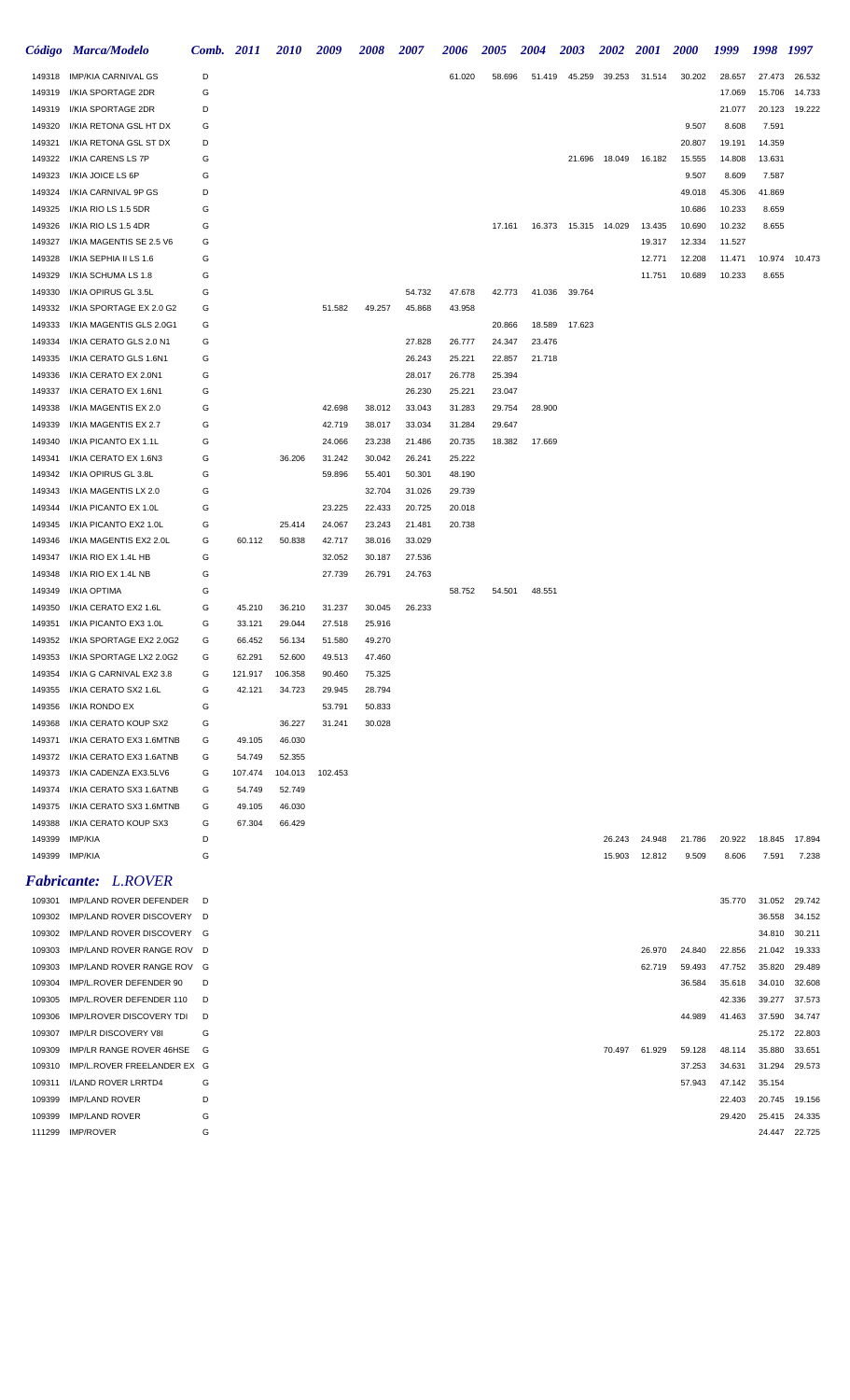|                  | Código Marca/Modelo                                            | Comb. 2011 |                   | <i>2010</i>       | 2009    | 2008   | 2007             | 2006             | <b>2005</b> | <b>2004</b> | <b>2003</b> | <b>2002</b>   | <b>2001</b> | <b>2000</b> | 1999   | 1998 1997        |                  |
|------------------|----------------------------------------------------------------|------------|-------------------|-------------------|---------|--------|------------------|------------------|-------------|-------------|-------------|---------------|-------------|-------------|--------|------------------|------------------|
| 149318           | IMP/KIA CARNIVAL GS                                            | D          |                   |                   |         |        |                  | 61.020           | 58.696      | 51.419      | 45.259      | 39.253        | 31.514      | 30.202      | 28.657 | 27.473           | 26.532           |
| 149319           | I/KIA SPORTAGE 2DR                                             | G          |                   |                   |         |        |                  |                  |             |             |             |               |             |             | 17.069 | 15.706           | 14.733           |
| 149319           | I/KIA SPORTAGE 2DR                                             | D          |                   |                   |         |        |                  |                  |             |             |             |               |             |             | 21.077 | 20.123           | 19.222           |
| 149320           | I/KIA RETONA GSL HT DX                                         | G          |                   |                   |         |        |                  |                  |             |             |             |               |             | 9.507       | 8.608  | 7.591            |                  |
| 149321           | I/KIA RETONA GSL ST DX                                         | D          |                   |                   |         |        |                  |                  |             |             |             |               |             | 20.807      | 19.191 | 14.359           |                  |
| 149322           | I/KIA CARENS LS 7P                                             | G          |                   |                   |         |        |                  |                  |             |             | 21.696      | 18.049        | 16.182      | 15.555      | 14.808 | 13.631           |                  |
| 149323           | I/KIA JOICE LS 6P                                              | G          |                   |                   |         |        |                  |                  |             |             |             |               |             | 9.507       | 8.609  | 7.587            |                  |
| 149324           | I/KIA CARNIVAL 9P GS                                           | D          |                   |                   |         |        |                  |                  |             |             |             |               |             | 49.018      | 45.306 | 41.869           |                  |
| 149325           | I/KIA RIO LS 1.5 5DR                                           | G          |                   |                   |         |        |                  |                  |             |             |             |               |             | 10.686      | 10.233 | 8.659            |                  |
| 149326           | I/KIA RIO LS 1.5 4DR                                           | G          |                   |                   |         |        |                  |                  | 17.161      | 16.373      |             | 15.315 14.029 | 13.435      | 10.690      | 10.232 | 8.655            |                  |
| 149327           | I/KIA MAGENTIS SE 2.5 V6                                       | G          |                   |                   |         |        |                  |                  |             |             |             |               | 19.317      | 12.334      | 11.527 |                  |                  |
| 149328           | I/KIA SEPHIA II LS 1.6                                         | G          |                   |                   |         |        |                  |                  |             |             |             |               | 12.771      | 12.208      | 11.471 | 10.974           | 10.473           |
| 149329           | I/KIA SCHUMA LS 1.8                                            | G          |                   |                   |         |        |                  |                  |             |             |             |               | 11.751      | 10.689      | 10.233 | 8.655            |                  |
| 149330           | I/KIA OPIRUS GL 3.5L<br>I/KIA SPORTAGE EX 2.0 G2               | G<br>G     |                   |                   | 51.582  | 49.257 | 54.732<br>45.868 | 47.678<br>43.958 | 42.773      | 41.036      | 39.764      |               |             |             |        |                  |                  |
| 149332<br>149333 | I/KIA MAGENTIS GLS 2.0G1                                       | G          |                   |                   |         |        |                  |                  | 20.866      | 18.589      | 17.623      |               |             |             |        |                  |                  |
| 149334           | I/KIA CERATO GLS 2.0 N1                                        | G          |                   |                   |         |        | 27.828           | 26.777           | 24.347      | 23.476      |             |               |             |             |        |                  |                  |
| 149335           | I/KIA CERATO GLS 1.6N1                                         | G          |                   |                   |         |        | 26.243           | 25.221           | 22.857      | 21.718      |             |               |             |             |        |                  |                  |
| 149336           | I/KIA CERATO EX 2.0N1                                          | G          |                   |                   |         |        | 28.017           | 26.778           | 25.394      |             |             |               |             |             |        |                  |                  |
| 149337           | I/KIA CERATO EX 1.6N1                                          | G          |                   |                   |         |        | 26.230           | 25.221           | 23.047      |             |             |               |             |             |        |                  |                  |
| 149338           | I/KIA MAGENTIS EX 2.0                                          | G          |                   |                   | 42.698  | 38.012 | 33.043           | 31.283           | 29.754      | 28.900      |             |               |             |             |        |                  |                  |
| 149339           | I/KIA MAGENTIS EX 2.7                                          | G          |                   |                   | 42.719  | 38.017 | 33.034           | 31.284           | 29.647      |             |             |               |             |             |        |                  |                  |
| 149340           | I/KIA PICANTO EX 1.1L                                          | G          |                   |                   | 24.066  | 23.238 | 21.486           | 20.735           | 18.382      | 17.669      |             |               |             |             |        |                  |                  |
| 149341           | I/KIA CERATO EX 1.6N3                                          | G          |                   | 36.206            | 31.242  | 30.042 | 26.241           | 25.222           |             |             |             |               |             |             |        |                  |                  |
| 149342           | I/KIA OPIRUS GL 3.8L                                           | G          |                   |                   | 59.896  | 55.401 | 50.301           | 48.190           |             |             |             |               |             |             |        |                  |                  |
| 149343           | I/KIA MAGENTIS LX 2.0                                          | G          |                   |                   |         | 32.704 | 31.026           | 29.739           |             |             |             |               |             |             |        |                  |                  |
| 149344           | I/KIA PICANTO EX 1.0L                                          | G          |                   |                   | 23.225  | 22.433 | 20.725           | 20.018           |             |             |             |               |             |             |        |                  |                  |
| 149345           | I/KIA PICANTO EX2 1.0L                                         | G          |                   | 25.414            | 24.067  | 23.243 | 21.481           | 20.738           |             |             |             |               |             |             |        |                  |                  |
| 149346           | I/KIA MAGENTIS EX2 2.0L                                        | G          | 60.112            | 50.838            | 42.717  | 38.016 | 33.029           |                  |             |             |             |               |             |             |        |                  |                  |
| 149347           | I/KIA RIO EX 1.4L HB                                           | G          |                   |                   | 32.052  | 30.187 | 27.536           |                  |             |             |             |               |             |             |        |                  |                  |
| 149348           | I/KIA RIO EX 1.4L NB                                           | G          |                   |                   | 27.739  | 26.791 | 24.763           |                  |             |             |             |               |             |             |        |                  |                  |
| 149349           | I/KIA OPTIMA                                                   | G          |                   |                   |         |        |                  | 58.752           | 54.501      | 48.551      |             |               |             |             |        |                  |                  |
| 149350           | I/KIA CERATO EX2 1.6L                                          | G          | 45.210            | 36.210            | 31.237  | 30.045 | 26.233           |                  |             |             |             |               |             |             |        |                  |                  |
| 149351           | I/KIA PICANTO EX3 1.0L                                         | G          | 33.121            | 29.044            | 27.518  | 25.916 |                  |                  |             |             |             |               |             |             |        |                  |                  |
| 149352           | I/KIA SPORTAGE EX2 2.0G2                                       | G          | 66.452            | 56.134            | 51.580  | 49.270 |                  |                  |             |             |             |               |             |             |        |                  |                  |
|                  | 149353 I/KIA SPORTAGE LX2 2.0G2                                | G          | 62.291            | 52.600            | 49.513  | 47.460 |                  |                  |             |             |             |               |             |             |        |                  |                  |
| 149354           | I/KIA G CARNIVAL EX2 3.8                                       | G          | 121.917           | 106.358           | 90.460  | 75.325 |                  |                  |             |             |             |               |             |             |        |                  |                  |
| 149355           | I/KIA CERATO SX2 1.6L                                          | G          | 42.121            | 34.723            | 29.945  | 28.794 |                  |                  |             |             |             |               |             |             |        |                  |                  |
| 149356           | I/KIA RONDO EX                                                 | G          |                   |                   | 53.791  | 50.833 |                  |                  |             |             |             |               |             |             |        |                  |                  |
| 149368           | I/KIA CERATO KOUP SX2                                          | G          |                   | 36.227            | 31.241  | 30.028 |                  |                  |             |             |             |               |             |             |        |                  |                  |
| 149371<br>149372 | I/KIA CERATO EX3 1.6MTNB<br>I/KIA CERATO EX3 1.6ATNB           | G          | 49.105            | 46.030            |         |        |                  |                  |             |             |             |               |             |             |        |                  |                  |
| 149373           | I/KIA CADENZA EX3.5LV6                                         | G<br>G     | 54.749<br>107.474 | 52.355<br>104.013 | 102.453 |        |                  |                  |             |             |             |               |             |             |        |                  |                  |
| 149374           | I/KIA CERATO SX3 1.6ATNB                                       | G          | 54.749            | 52.749            |         |        |                  |                  |             |             |             |               |             |             |        |                  |                  |
| 149375           | I/KIA CERATO SX3 1.6MTNB                                       | G          | 49.105            | 46.030            |         |        |                  |                  |             |             |             |               |             |             |        |                  |                  |
| 149388           | I/KIA CERATO KOUP SX3                                          | G          | 67.304            | 66.429            |         |        |                  |                  |             |             |             |               |             |             |        |                  |                  |
| 149399           | IMP/KIA                                                        | D          |                   |                   |         |        |                  |                  |             |             |             | 26.243        | 24.948      | 21.786      | 20.922 | 18.845           | 17.894           |
| 149399           | IMP/KIA                                                        | G          |                   |                   |         |        |                  |                  |             |             |             | 15.903        | 12.812      | 9.509       | 8.606  | 7.591            | 7.238            |
|                  |                                                                |            |                   |                   |         |        |                  |                  |             |             |             |               |             |             |        |                  |                  |
|                  | <b>Fabricante: L.ROVER</b>                                     |            |                   |                   |         |        |                  |                  |             |             |             |               |             |             |        |                  |                  |
|                  | 109301 IMP/LAND ROVER DEFENDER                                 | D          |                   |                   |         |        |                  |                  |             |             |             |               |             |             | 35.770 | 31.052           | 29.742           |
| 109302           | IMP/LAND ROVER DISCOVERY D                                     |            |                   |                   |         |        |                  |                  |             |             |             |               |             |             |        | 36.558           | 34.152           |
| 109302           | IMP/LAND ROVER DISCOVERY G                                     |            |                   |                   |         |        |                  |                  |             |             |             |               |             |             |        | 34.810           | 30.211           |
| 109303           | IMP/LAND ROVER RANGE ROV D                                     |            |                   |                   |         |        |                  |                  |             |             |             |               | 26.970      | 24.840      | 22.856 | 21.042           | 19.333           |
| 109303           | IMP/LAND ROVER RANGE ROV G                                     |            |                   |                   |         |        |                  |                  |             |             |             |               | 62.719      | 59.493      | 47.752 | 35.820           | 29.489           |
| 109304           | IMP/L.ROVER DEFENDER 90                                        | D          |                   |                   |         |        |                  |                  |             |             |             |               |             | 36.584      | 35.618 | 34.010           | 32.608           |
| 109305           | IMP/L.ROVER DEFENDER 110                                       | D          |                   |                   |         |        |                  |                  |             |             |             |               |             |             | 42.336 | 39.277           | 37.573           |
| 109306           | <b>IMP/LROVER DISCOVERY TDI</b><br><b>IMP/LR DISCOVERY V8I</b> | D<br>G     |                   |                   |         |        |                  |                  |             |             |             |               |             | 44.989      | 41.463 | 37.590<br>25.172 | 34.747<br>22.803 |
| 109307<br>109309 | IMP/LR RANGE ROVER 46HSE                                       | G          |                   |                   |         |        |                  |                  |             |             |             | 70.497        | 61.929      | 59.128      | 48.114 | 35.880           | 33.651           |
| 109310           | IMP/L.ROVER FREELANDER EX G                                    |            |                   |                   |         |        |                  |                  |             |             |             |               |             | 37.253      | 34.631 | 31.294           | 29.573           |
| 109311           | I/LAND ROVER LRRTD4                                            | G          |                   |                   |         |        |                  |                  |             |             |             |               |             | 57.943      | 47.142 | 35.154           |                  |
| 109399           | <b>IMP/LAND ROVER</b>                                          | D          |                   |                   |         |        |                  |                  |             |             |             |               |             |             | 22.403 |                  | 20.745 19.156    |
| 109399           | <b>IMP/LAND ROVER</b>                                          | G          |                   |                   |         |        |                  |                  |             |             |             |               |             |             | 29.420 |                  | 25.415 24.335    |
|                  | 111299 IMP/ROVER                                               | G          |                   |                   |         |        |                  |                  |             |             |             |               |             |             |        |                  | 24.447 22.725    |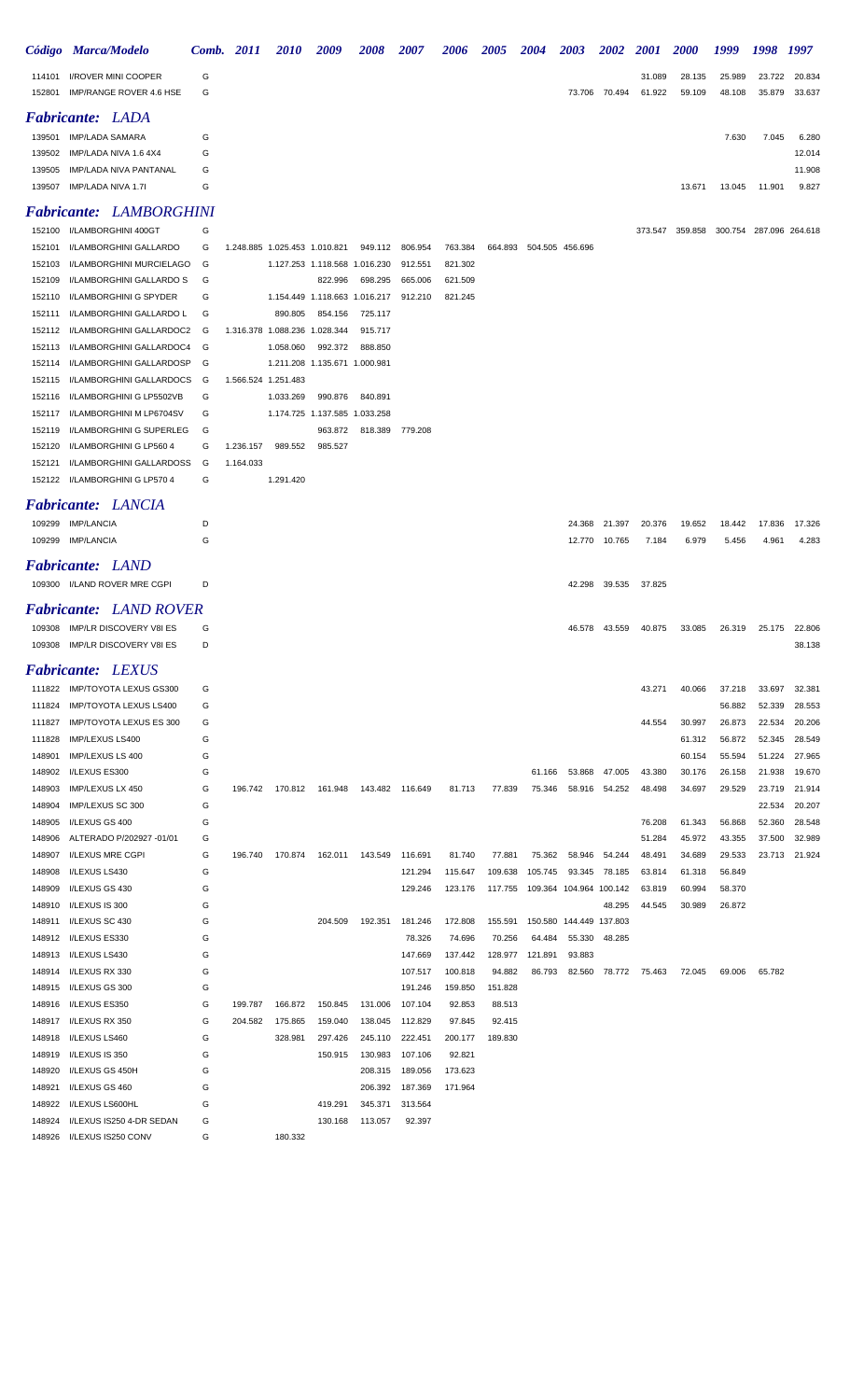|        | Código Marca/Modelo        | Comb. 2011 | <b>2010</b> | 2009 | 2008 | 2007 | 2006 | 2005 | 2004 | 2003   | <b>2002</b> | <b>2001</b> | <b>2000</b> | 1999   | 1998   | 1997   |
|--------|----------------------------|------------|-------------|------|------|------|------|------|------|--------|-------------|-------------|-------------|--------|--------|--------|
| 114101 | <b>I/ROVER MINI COOPER</b> | G          |             |      |      |      |      |      |      |        |             | 31.089      | 28.135      | 25.989 | 23.722 | 20.834 |
| 152801 | IMP/RANGE ROVER 4.6 HSE    | G          |             |      |      |      |      |      |      | 73.706 | 70.494      | 61.922      | 59.109      | 48.108 | 35.879 | 33.637 |
|        | <b>Fabricante: LADA</b>    |            |             |      |      |      |      |      |      |        |             |             |             |        |        |        |
| 139501 | <b>IMP/LADA SAMARA</b>     | G          |             |      |      |      |      |      |      |        |             |             |             | 7.630  | 7.045  | 6.280  |
| 139502 | IMP/LADA NIVA 1.6 4X4      | G          |             |      |      |      |      |      |      |        |             |             |             |        |        | 12.014 |
| 139505 | IMP/LADA NIVA PANTANAL     | G          |             |      |      |      |      |      |      |        |             |             |             |        |        | 11.908 |
| 139507 | IMP/LADA NIVA 1.7I         | G          |             |      |      |      |      |      |      |        |             |             | 13.671      | 13.045 | 11.901 | 9.827  |
|        |                            |            |             |      |      |      |      |      |      |        |             |             |             |        |        |        |

# *Fabricante: LAMBORGHINI*

 I/LAMBORGHINI 400GT G 373.547 359.858 300.754 287.096 264.618 I/LAMBORGHINI GALLARDO G 1.248.885 1.025.453 1.010.821 949.112 806.954 763.384 664.893 504.505 456.696 I/LAMBORGHINI MURCIELAGO G 1.127.253 1.118.568 1.016.230 912.551 821.302 I/LAMBORGHINI GALLARDO S G 822.996 698.295 665.006 621.509 I/LAMBORGHINI G SPYDER G 1.154.449 1.118.663 1.016.217 912.210 821.245 I/LAMBORGHINI GALLARDO L G 890.805 854.156 725.117 I/LAMBORGHINI GALLARDOC2 G 1.316.378 1.088.236 1.028.344 915.717 I/LAMBORGHINI GALLARDOC4 G 1.058.060 992.372 888.850 I/LAMBORGHINI GALLARDOSP G 1.211.208 1.135.671 1.000.981 I/LAMBORGHINI GALLARDOCS G 1.566.524 1.251.483 I/LAMBORGHINI G LP5502VB G 1.033.269 990.876 840.891 152117 I/LAMBORGHINI M LP6704SV G 1.174.725 1.137.585 1.033.258 I/LAMBORGHINI G SUPERLEG G 963.872 818.389 779.208 I/LAMBORGHINI G LP560 4 G 1.236.157 989.552 985.527 I/LAMBORGHINI GALLARDOSS G 1.164.033 152122 I/LAMBORGHINI G LP570 4 G 1.291.420

#### *Fabricante: LANCIA*

| 109299 IMP/LANCIA            |    |        | 24.368 21.397 | 20.376 | 19.652 | 18.442 | 17.836 17.326 |       |
|------------------------------|----|--------|---------------|--------|--------|--------|---------------|-------|
| 109299 IMP/LANCIA            |    | 12.770 | 10.765        | 7.184  | 6.979  | 5.456  | 4.961         | 4.283 |
| <b>Fabricante: LAND</b>      |    |        |               |        |        |        |               |       |
| 109300 I/LAND ROVER MRE CGPI | D. |        | 42.298 39.535 | 37.825 |        |        |               |       |

*Fabricante: LAND ROVER* IMP/LR DISCOVERY V8I ES G 46.578 43.559 40.875 33.085 26.319 25.175 22.806 IMP/LR DISCOVERY V8I ES D 38.138

### *Fabricante: LEXUS*

| r avricanie: | <b>LEAUS</b>                   |   |         |         |         |                 |         |         |         |                                 |                 |        |        |        |        |        |        |
|--------------|--------------------------------|---|---------|---------|---------|-----------------|---------|---------|---------|---------------------------------|-----------------|--------|--------|--------|--------|--------|--------|
| 111822       | <b>IMP/TOYOTA LEXUS GS300</b>  | G |         |         |         |                 |         |         |         |                                 |                 |        | 43.271 | 40.066 | 37.218 | 33.697 | 32.381 |
| 111824       | <b>IMP/TOYOTA LEXUS LS400</b>  | G |         |         |         |                 |         |         |         |                                 |                 |        |        |        | 56.882 | 52.339 | 28.553 |
| 111827       | <b>IMP/TOYOTA LEXUS ES 300</b> | G |         |         |         |                 |         |         |         |                                 |                 |        | 44.554 | 30.997 | 26.873 | 22.534 | 20.206 |
| 111828       | IMP/LEXUS LS400                | G |         |         |         |                 |         |         |         |                                 |                 |        |        | 61.312 | 56.872 | 52.345 | 28.549 |
| 148901       | IMP/LEXUS LS 400               | G |         |         |         |                 |         |         |         |                                 |                 |        |        | 60.154 | 55.594 | 51.224 | 27.965 |
| 148902       | I/LEXUS ES300                  | G |         |         |         |                 |         |         |         | 61.166                          | 53.868          | 47.005 | 43.380 | 30.176 | 26.158 | 21.938 | 19.670 |
| 148903       | IMP/LEXUS LX 450               | G | 196.742 | 170.812 | 161.948 | 143.482 116.649 |         | 81.713  | 77.839  | 75.346                          | 58.916          | 54.252 | 48.498 | 34.697 | 29.529 | 23.719 | 21.914 |
| 148904       | IMP/LEXUS SC 300               | G |         |         |         |                 |         |         |         |                                 |                 |        |        |        |        | 22.534 | 20.207 |
| 148905       | I/LEXUS GS 400                 | G |         |         |         |                 |         |         |         |                                 |                 |        | 76.208 | 61.343 | 56.868 | 52.360 | 28.548 |
| 148906       | ALTERADO P/202927 -01/01       | G |         |         |         |                 |         |         |         |                                 |                 |        | 51.284 | 45.972 | 43.355 | 37.500 | 32.989 |
| 148907       | I/LEXUS MRE CGPI               | G | 196.740 | 170.874 | 162.011 | 143.549         | 116.691 | 81.740  | 77.881  | 75.362                          | 58.946          | 54.244 | 48.491 | 34.689 | 29.533 | 23.713 | 21.924 |
| 148908       | I/LEXUS LS430                  | G |         |         |         |                 | 121.294 | 115.647 | 109.638 | 105.745                         | 93.345          | 78.185 | 63.814 | 61.318 | 56.849 |        |        |
| 148909       | I/LEXUS GS 430                 | G |         |         |         |                 | 129.246 | 123.176 |         | 117.755 109.364 104.964 100.142 |                 |        | 63.819 | 60.994 | 58.370 |        |        |
| 148910       | I/LEXUS IS 300                 | G |         |         |         |                 |         |         |         |                                 |                 | 48.295 | 44.545 | 30.989 | 26.872 |        |        |
| 148911       | I/LEXUS SC 430                 | G |         |         | 204.509 | 192.351         | 181.246 | 172.808 | 155.591 | 150.580                         | 144.449 137.803 |        |        |        |        |        |        |
| 148912       | I/LEXUS ES330                  | G |         |         |         |                 | 78.326  | 74.696  | 70.256  | 64.484                          | 55.330          | 48.285 |        |        |        |        |        |
| 148913       | I/LEXUS LS430                  | G |         |         |         |                 | 147.669 | 137.442 | 128.977 | 121.891                         | 93.883          |        |        |        |        |        |        |
| 148914       | I/LEXUS RX 330                 | G |         |         |         |                 | 107.517 | 100.818 | 94.882  | 86.793                          | 82.560          | 78.772 | 75.463 | 72.045 | 69.006 | 65.782 |        |
| 148915       | I/LEXUS GS 300                 | G |         |         |         |                 | 191.246 | 159.850 | 151.828 |                                 |                 |        |        |        |        |        |        |
| 148916       | I/LEXUS ES350                  | G | 199.787 | 166.872 | 150.845 | 131.006         | 107.104 | 92.853  | 88.513  |                                 |                 |        |        |        |        |        |        |
| 148917       | I/LEXUS RX 350                 | G | 204.582 | 175.865 | 159.040 | 138.045         | 112.829 | 97.845  | 92.415  |                                 |                 |        |        |        |        |        |        |
| 148918       | I/LEXUS LS460                  | G |         | 328.981 | 297.426 | 245.110         | 222.451 | 200.177 | 189.830 |                                 |                 |        |        |        |        |        |        |
| 148919       | I/LEXUS IS 350                 | G |         |         | 150.915 | 130.983         | 107.106 | 92.821  |         |                                 |                 |        |        |        |        |        |        |
| 148920       | I/LEXUS GS 450H                | G |         |         |         | 208.315         | 189.056 | 173.623 |         |                                 |                 |        |        |        |        |        |        |
| 148921       | I/LEXUS GS 460                 | G |         |         |         | 206.392         | 187.369 | 171.964 |         |                                 |                 |        |        |        |        |        |        |
| 148922       | I/LEXUS LS600HL                | G |         |         | 419.291 | 345.371         | 313.564 |         |         |                                 |                 |        |        |        |        |        |        |
| 148924       | I/LEXUS IS250 4-DR SEDAN       | G |         |         | 130.168 | 113.057         | 92.397  |         |         |                                 |                 |        |        |        |        |        |        |
| 148926       | I/LEXUS IS250 CONV             | G |         | 180.332 |         |                 |         |         |         |                                 |                 |        |        |        |        |        |        |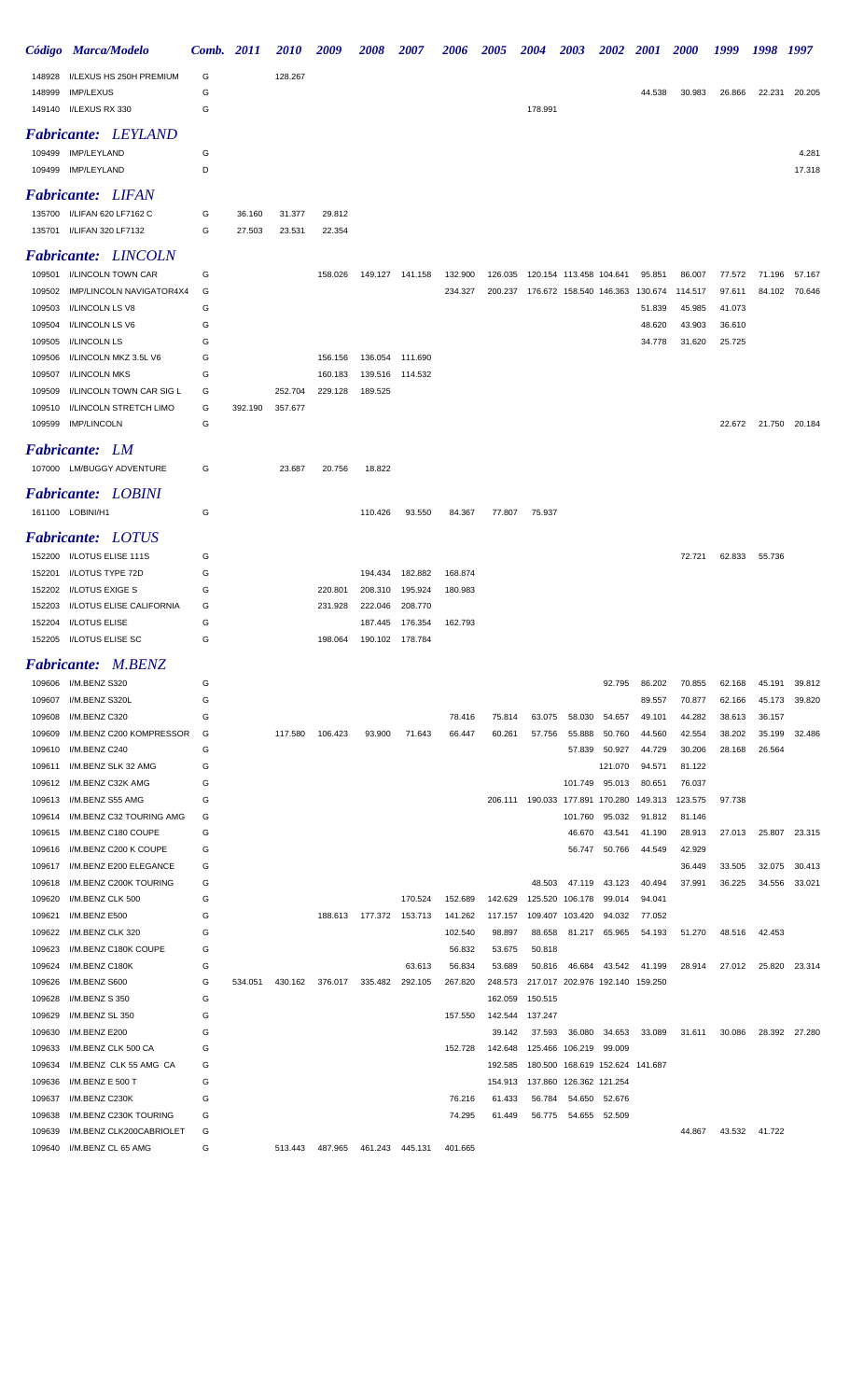|                  | Código Marca/Modelo                           | Comb.  | 2011    | <i>2010</i> | 2009    | 2008            | <i><b>2007</b></i> | 2006    | <b>2005</b>        | 2004                                    | 2003                                               | 2002             | <i>2001</i>      | <i><b>2000</b></i> | 1999   | 1998   | 1997          |
|------------------|-----------------------------------------------|--------|---------|-------------|---------|-----------------|--------------------|---------|--------------------|-----------------------------------------|----------------------------------------------------|------------------|------------------|--------------------|--------|--------|---------------|
| 148928           | I/LEXUS HS 250H PREMIUM                       | G      |         | 128.267     |         |                 |                    |         |                    |                                         |                                                    |                  |                  |                    |        |        |               |
| 148999           | <b>IMP/LEXUS</b>                              | G      |         |             |         |                 |                    |         |                    |                                         |                                                    |                  | 44.538           | 30.983             | 26.866 | 22.231 | 20.205        |
|                  | 149140 I/LEXUS RX 330                         | G      |         |             |         |                 |                    |         |                    | 178.991                                 |                                                    |                  |                  |                    |        |        |               |
|                  | <b>Fabricante: LEYLAND</b>                    |        |         |             |         |                 |                    |         |                    |                                         |                                                    |                  |                  |                    |        |        |               |
|                  | 109499 IMP/LEYLAND                            | G      |         |             |         |                 |                    |         |                    |                                         |                                                    |                  |                  |                    |        |        | 4.281         |
|                  | 109499 IMP/LEYLAND                            | D      |         |             |         |                 |                    |         |                    |                                         |                                                    |                  |                  |                    |        |        | 17.318        |
|                  | <b>Fabricante: LIFAN</b>                      |        |         |             |         |                 |                    |         |                    |                                         |                                                    |                  |                  |                    |        |        |               |
|                  | 135700 I/LIFAN 620 LF7162 C                   | G      | 36.160  | 31.377      | 29.812  |                 |                    |         |                    |                                         |                                                    |                  |                  |                    |        |        |               |
|                  | 135701 I/LIFAN 320 LF7132                     | G      | 27.503  | 23.531      | 22.354  |                 |                    |         |                    |                                         |                                                    |                  |                  |                    |        |        |               |
|                  | <b>Fabricante: LINCOLN</b>                    |        |         |             |         |                 |                    |         |                    |                                         |                                                    |                  |                  |                    |        |        |               |
| 109501           | I/LINCOLN TOWN CAR                            | G      |         |             | 158.026 |                 | 149.127 141.158    | 132.900 |                    | 126.035  120.154  113.458  104.641      |                                                    |                  | 95.851           | 86.007             | 77.572 | 71.196 | 57.167        |
| 109502           | IMP/LINCOLN NAVIGATOR4X4                      | G      |         |             |         |                 |                    | 234.327 |                    | 200.237 176.672 158.540 146.363 130.674 |                                                    |                  |                  | 114.517            | 97.611 |        | 84.102 70.646 |
| 109503           | I/LINCOLN LS V8                               | G      |         |             |         |                 |                    |         |                    |                                         |                                                    |                  | 51.839           | 45.985             | 41.073 |        |               |
| 109504           | I/LINCOLN LS V6                               | G      |         |             |         |                 |                    |         |                    |                                         |                                                    |                  | 48.620           | 43.903             | 36.610 |        |               |
| 109505           | <b>I/LINCOLN LS</b>                           | G      |         |             |         |                 |                    |         |                    |                                         |                                                    |                  | 34.778           | 31.620             | 25.725 |        |               |
| 109506           | I/LINCOLN MKZ 3.5L V6                         | G      |         |             | 156.156 | 136.054         | 111.690            |         |                    |                                         |                                                    |                  |                  |                    |        |        |               |
| 109507           | <b>I/LINCOLN MKS</b>                          | G      |         |             | 160.183 | 139.516         | 114.532            |         |                    |                                         |                                                    |                  |                  |                    |        |        |               |
| 109509           | I/LINCOLN TOWN CAR SIG L                      | G      |         | 252.704     | 229.128 | 189.525         |                    |         |                    |                                         |                                                    |                  |                  |                    |        |        |               |
| 109510           | I/LINCOLN STRETCH LIMO                        | G      | 392.190 | 357.677     |         |                 |                    |         |                    |                                         |                                                    |                  |                  |                    |        |        |               |
| 109599           | <b>IMP/LINCOLN</b>                            | G      |         |             |         |                 |                    |         |                    |                                         |                                                    |                  |                  |                    | 22.672 |        | 21.750 20.184 |
|                  | <b>Fabricante:</b> LM                         |        |         |             |         |                 |                    |         |                    |                                         |                                                    |                  |                  |                    |        |        |               |
|                  | 107000 LM/BUGGY ADVENTURE                     | G      |         | 23.687      | 20.756  | 18.822          |                    |         |                    |                                         |                                                    |                  |                  |                    |        |        |               |
|                  | <b>Fabricante: LOBINI</b>                     |        |         |             |         |                 |                    |         |                    |                                         |                                                    |                  |                  |                    |        |        |               |
|                  | 161100 LOBINI/H1                              | G      |         |             |         | 110.426         | 93.550             | 84.367  | 77.807             | 75.937                                  |                                                    |                  |                  |                    |        |        |               |
|                  | <b>Fabricante: LOTUS</b>                      |        |         |             |         |                 |                    |         |                    |                                         |                                                    |                  |                  |                    |        |        |               |
|                  |                                               |        |         |             |         |                 |                    |         |                    |                                         |                                                    |                  |                  |                    |        |        |               |
| 152201           | 152200 I/LOTUS ELISE 111S<br>I/LOTUS TYPE 72D | G<br>G |         |             |         | 194.434         | 182.882            | 168.874 |                    |                                         |                                                    |                  |                  | 72.721             | 62.833 | 55.736 |               |
|                  | 152202 I/LOTUS EXIGE S                        | G      |         |             | 220.801 | 208.310         | 195.924            | 180.983 |                    |                                         |                                                    |                  |                  |                    |        |        |               |
| 152203           | I/LOTUS ELISE CALIFORNIA                      | G      |         |             | 231.928 | 222.046         | 208.770            |         |                    |                                         |                                                    |                  |                  |                    |        |        |               |
| 152204           | <b>I/LOTUS ELISE</b>                          | G      |         |             |         | 187.445         | 176.354            | 162.793 |                    |                                         |                                                    |                  |                  |                    |        |        |               |
|                  | 152205 I/LOTUS ELISE SC                       | G      |         |             | 198.064 | 190.102         | 178.784            |         |                    |                                         |                                                    |                  |                  |                    |        |        |               |
|                  | Fabricante: M.BENZ                            |        |         |             |         |                 |                    |         |                    |                                         |                                                    |                  |                  |                    |        |        |               |
|                  | 109606 I/M.BENZ S320                          | G      |         |             |         |                 |                    |         |                    |                                         |                                                    | 92.795           | 86.202           | 70.855             | 62.168 | 45.191 | 39.812        |
| 109607           | I/M.BENZ S320L                                | G      |         |             |         |                 |                    |         |                    |                                         |                                                    |                  | 89.557           | 70.877             | 62.166 | 45.173 | 39.820        |
| 109608           | I/M.BENZ C320                                 | G      |         |             |         |                 |                    | 78.416  | 75.814             | 63.075                                  | 58.030                                             | 54.657           | 49.101           | 44.282             | 38.613 | 36.157 |               |
| 109609           | I/M.BENZ C200 KOMPRESSOR                      | G      |         | 117.580     | 106.423 | 93.900          | 71.643             | 66.447  | 60.261             | 57.756                                  | 55.888                                             | 50.760           | 44.560           | 42.554             | 38.202 | 35.199 | 32.486        |
|                  | 109610 I/M.BENZ C240                          | G      |         |             |         |                 |                    |         |                    |                                         | 57.839                                             | 50.927           | 44.729           | 30.206             | 28.168 | 26.564 |               |
| 109611           | I/M.BENZ SLK 32 AMG                           | G      |         |             |         |                 |                    |         |                    |                                         |                                                    | 121.070          | 94.571           | 81.122             |        |        |               |
|                  | 109612 I/M.BENZ C32K AMG                      | G      |         |             |         |                 |                    |         |                    |                                         | 101.749                                            | 95.013           | 80.651           | 76.037             |        |        |               |
|                  | 109613 I/M.BENZ S55 AMG                       | G      |         |             |         |                 |                    |         |                    | 206.111 190.033 177.891 170.280 149.313 |                                                    |                  |                  | 123.575            | 97.738 |        |               |
| 109614           | I/M.BENZ C32 TOURING AMG                      | G      |         |             |         |                 |                    |         |                    |                                         | 101.760                                            | 95.032           | 91.812           | 81.146             |        |        |               |
| 109615<br>109616 | I/M.BENZ C180 COUPE<br>I/M.BENZ C200 K COUPE  | G<br>G |         |             |         |                 |                    |         |                    |                                         | 46.670<br>56.747                                   | 43.541<br>50.766 | 41.190<br>44.549 | 28.913             | 27.013 | 25.807 | 23.315        |
| 109617           | I/M.BENZ E200 ELEGANCE                        | G      |         |             |         |                 |                    |         |                    |                                         |                                                    |                  |                  | 42.929<br>36.449   | 33.505 | 32.075 | 30.413        |
| 109618           | I/M.BENZ C200K TOURING                        | G      |         |             |         |                 |                    |         |                    | 48.503                                  | 47.119                                             | 43.123           | 40.494           | 37.991             | 36.225 | 34.556 | 33.021        |
| 109620           | I/M.BENZ CLK 500                              | G      |         |             |         |                 | 170.524            | 152.689 | 142.629            |                                         | 125.520 106.178                                    | 99.014           | 94.041           |                    |        |        |               |
| 109621           | I/M.BENZ E500                                 | G      |         |             | 188.613 | 177.372 153.713 |                    | 141.262 | 117.157            |                                         | 109.407 103.420                                    | 94.032           | 77.052           |                    |        |        |               |
|                  | 109622 I/M.BENZ CLK 320                       | G      |         |             |         |                 |                    | 102.540 | 98.897             | 88.658                                  | 81.217                                             | 65.965           | 54.193           | 51.270             | 48.516 | 42.453 |               |
| 109623           | I/M.BENZ C180K COUPE                          | G      |         |             |         |                 |                    | 56.832  | 53.675             | 50.818                                  |                                                    |                  |                  |                    |        |        |               |
| 109624           | I/M.BENZ C180K                                | G      |         |             |         |                 | 63.613             | 56.834  | 53.689             | 50.816                                  | 46.684                                             | 43.542           | 41.199           | 28.914             | 27.012 | 25.820 | 23.314        |
| 109626           | I/M.BENZ S600                                 | G      | 534.051 | 430.162     | 376.017 | 335.482         | 292.105            | 267.820 | 248.573            | 217.017 202.976 192.140 159.250         |                                                    |                  |                  |                    |        |        |               |
| 109628           | I/M.BENZ S 350                                | G      |         |             |         |                 |                    |         | 162.059            | 150.515                                 |                                                    |                  |                  |                    |        |        |               |
| 109629           | I/M.BENZ SL 350                               | G      |         |             |         |                 |                    | 157.550 | 142.544            | 137.247                                 |                                                    |                  |                  |                    |        |        |               |
| 109630           | I/M.BENZ E200                                 | G      |         |             |         |                 |                    |         | 39.142             | 37.593                                  |                                                    | 36.080 34.653    | 33.089           | 31.611             | 30.086 |        | 28.392 27.280 |
| 109633<br>109634 | I/M.BENZ CLK 500 CA<br>I/M.BENZ CLK 55 AMG CA | G<br>G |         |             |         |                 |                    | 152.728 | 142.648<br>192.585 |                                         | 125.466 106.219<br>180.500 168.619 152.624 141.687 | 99.009           |                  |                    |        |        |               |
| 109636           | I/M.BENZ E 500 T                              | G      |         |             |         |                 |                    |         | 154.913            |                                         | 137.860 126.362 121.254                            |                  |                  |                    |        |        |               |
| 109637           | I/M.BENZ C230K                                | G      |         |             |         |                 |                    | 76.216  | 61.433             | 56.784                                  | 54.650                                             | 52.676           |                  |                    |        |        |               |
| 109638           | I/M.BENZ C230K TOURING                        | G      |         |             |         |                 |                    | 74.295  | 61.449             | 56.775                                  | 54.655                                             | 52.509           |                  |                    |        |        |               |
| 109639           | I/M.BENZ CLK200CABRIOLET                      | G      |         |             |         |                 |                    |         |                    |                                         |                                                    |                  |                  | 44.867             | 43.532 | 41.722 |               |
|                  | 109640 I/M.BENZ CL 65 AMG                     | G      |         | 513.443     | 487.965 | 461.243 445.131 |                    | 401.665 |                    |                                         |                                                    |                  |                  |                    |        |        |               |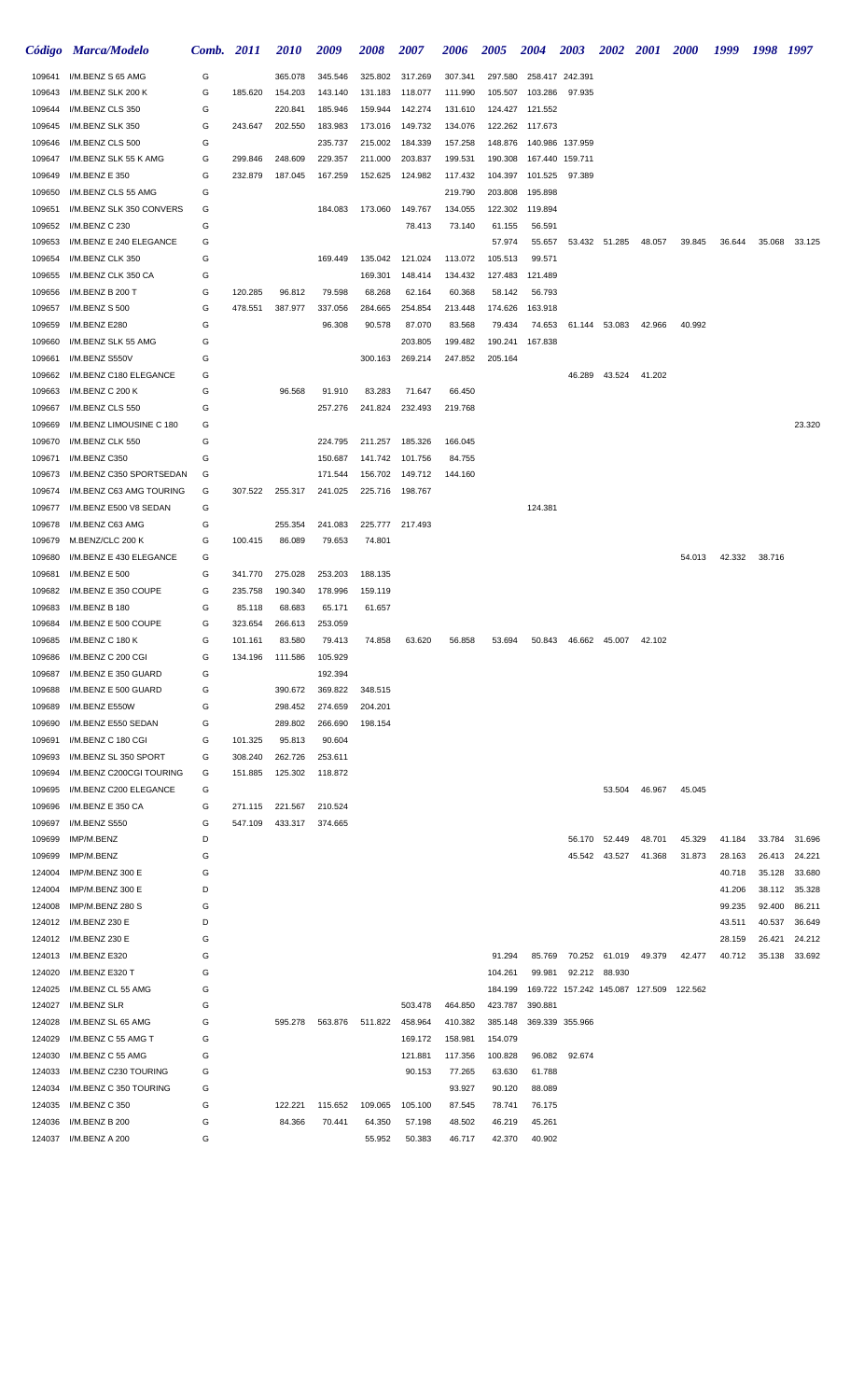|                  | Código Marca/Modelo                             | Comb.  | <b>2011</b> | <i>2010</i> | 2009               | <b>2008</b>        | 2007               | <b>2006</b>      | <b>2005</b>      | <b>2004</b>      | <b>2003</b>     | <b>2002</b>   | <b>2001</b> | <b>2000</b>                             | 1999             | 1998             | 1997             |
|------------------|-------------------------------------------------|--------|-------------|-------------|--------------------|--------------------|--------------------|------------------|------------------|------------------|-----------------|---------------|-------------|-----------------------------------------|------------------|------------------|------------------|
| 109641           | I/M.BENZ S 65 AMG                               | G      |             | 365.078     | 345.546            | 325.802            | 317.269            | 307.341          | 297.580          |                  | 258.417 242.391 |               |             |                                         |                  |                  |                  |
| 109643           | I/M.BENZ SLK 200 K                              | G      | 185.620     | 154.203     | 143.140            | 131.183            | 118.077            | 111.990          | 105.507          | 103.286          | 97.935          |               |             |                                         |                  |                  |                  |
| 109644           | I/M.BENZ CLS 350                                | G      |             | 220.841     | 185.946            | 159.944            | 142.274            | 131.610          | 124.427          | 121.552          |                 |               |             |                                         |                  |                  |                  |
| 109645           | I/M.BENZ SLK 350                                | G      | 243.647     | 202.550     | 183.983            | 173.016            | 149.732            | 134.076          | 122.262          | 117.673          |                 |               |             |                                         |                  |                  |                  |
| 109646           | I/M.BENZ CLS 500                                | G      |             |             | 235.737            | 215.002            | 184.339            | 157.258          | 148.876          | 140.986          | 137.959         |               |             |                                         |                  |                  |                  |
| 109647           | I/M.BENZ SLK 55 K AMG                           | G      | 299.846     | 248.609     | 229.357            | 211.000            | 203.837            | 199.531          | 190.308          | 167.440          | 159.711         |               |             |                                         |                  |                  |                  |
| 109649           | I/M.BENZ E 350                                  | G      | 232.879     | 187.045     | 167.259            | 152.625            | 124.982            | 117.432          | 104.397          | 101.525          | 97.389          |               |             |                                         |                  |                  |                  |
| 109650           | I/M.BENZ CLS 55 AMG                             | G      |             |             |                    |                    |                    | 219.790          | 203.808          | 195.898          |                 |               |             |                                         |                  |                  |                  |
| 109651           | I/M.BENZ SLK 350 CONVERS<br>I/M.BENZ C 230      | G      |             |             | 184.083            | 173.060            | 149.767<br>78.413  | 134.055          | 122.302          | 119.894          |                 |               |             |                                         |                  |                  |                  |
| 109652<br>109653 | I/M.BENZ E 240 ELEGANCE                         | G<br>G |             |             |                    |                    |                    | 73.140           | 61.155<br>57.974 | 56.591<br>55.657 |                 | 53.432 51.285 | 48.057      | 39.845                                  | 36.644           | 35.068           | 33.125           |
| 109654           | I/M.BENZ CLK 350                                | G      |             |             | 169.449            | 135.042            | 121.024            | 113.072          | 105.513          | 99.571           |                 |               |             |                                         |                  |                  |                  |
| 109655           | I/M.BENZ CLK 350 CA                             | G      |             |             |                    | 169.301            | 148.414            | 134.432          | 127.483          | 121.489          |                 |               |             |                                         |                  |                  |                  |
| 109656           | I/M.BENZ B 200 T                                | G      | 120.285     | 96.812      | 79.598             | 68.268             | 62.164             | 60.368           | 58.142           | 56.793           |                 |               |             |                                         |                  |                  |                  |
| 109657           | I/M.BENZ S 500                                  | G      | 478.551     | 387.977     | 337.056            | 284.665            | 254.854            | 213.448          | 174.626          | 163.918          |                 |               |             |                                         |                  |                  |                  |
| 109659           | I/M.BENZ E280                                   | G      |             |             | 96.308             | 90.578             | 87.070             | 83.568           | 79.434           | 74.653           | 61.144          | 53.083        | 42.966      | 40.992                                  |                  |                  |                  |
| 109660           | I/M.BENZ SLK 55 AMG                             | G      |             |             |                    |                    | 203.805            | 199.482          | 190.241          | 167.838          |                 |               |             |                                         |                  |                  |                  |
| 109661           | I/M.BENZ S550V                                  | G      |             |             |                    | 300.163            | 269.214            | 247.852          | 205.164          |                  |                 |               |             |                                         |                  |                  |                  |
| 109662           | I/M.BENZ C180 ELEGANCE                          | G      |             |             |                    |                    |                    |                  |                  |                  | 46.289          | 43.524        | 41.202      |                                         |                  |                  |                  |
| 109663           | I/M.BENZ C 200 K                                | G      |             | 96.568      | 91.910             | 83.283             | 71.647             | 66.450           |                  |                  |                 |               |             |                                         |                  |                  |                  |
| 109667           | I/M.BENZ CLS 550                                | G      |             |             | 257.276            | 241.824            | 232.493            | 219.768          |                  |                  |                 |               |             |                                         |                  |                  |                  |
| 109669           | I/M.BENZ LIMOUSINE C 180                        | G<br>G |             |             |                    |                    |                    | 166.045          |                  |                  |                 |               |             |                                         |                  |                  | 23.320           |
| 109670<br>109671 | I/M.BENZ CLK 550<br>I/M.BENZ C350               | G      |             |             | 224.795<br>150.687 | 211.257<br>141.742 | 185.326<br>101.756 | 84.755           |                  |                  |                 |               |             |                                         |                  |                  |                  |
| 109673           | I/M.BENZ C350 SPORTSEDAN                        | G      |             |             | 171.544            | 156.702            | 149.712            | 144.160          |                  |                  |                 |               |             |                                         |                  |                  |                  |
| 109674           | I/M.BENZ C63 AMG TOURING                        | G      | 307.522     | 255.317     | 241.025            | 225.716            | 198.767            |                  |                  |                  |                 |               |             |                                         |                  |                  |                  |
| 109677           | I/M.BENZ E500 V8 SEDAN                          | G      |             |             |                    |                    |                    |                  |                  | 124.381          |                 |               |             |                                         |                  |                  |                  |
| 109678           | I/M.BENZ C63 AMG                                | G      |             | 255.354     | 241.083            | 225.777 217.493    |                    |                  |                  |                  |                 |               |             |                                         |                  |                  |                  |
| 109679           | M.BENZ/CLC 200 K                                | G      | 100.415     | 86.089      | 79.653             | 74.801             |                    |                  |                  |                  |                 |               |             |                                         |                  |                  |                  |
| 109680           | I/M.BENZ E 430 ELEGANCE                         | G      |             |             |                    |                    |                    |                  |                  |                  |                 |               |             | 54.013                                  | 42.332           | 38.716           |                  |
| 109681           | I/M.BENZ E 500                                  | G      | 341.770     | 275.028     | 253.203            | 188.135            |                    |                  |                  |                  |                 |               |             |                                         |                  |                  |                  |
| 109682           | I/M.BENZ E 350 COUPE                            | G      | 235.758     | 190.340     | 178.996            | 159.119            |                    |                  |                  |                  |                 |               |             |                                         |                  |                  |                  |
| 109683           | I/M.BENZ B 180                                  | G      | 85.118      | 68.683      | 65.171             | 61.657             |                    |                  |                  |                  |                 |               |             |                                         |                  |                  |                  |
| 109684           | I/M.BENZ E 500 COUPE                            | G      | 323.654     | 266.613     | 253.059            |                    |                    |                  |                  |                  |                 |               |             |                                         |                  |                  |                  |
| 109685           | I/M.BENZ C 180 K                                | G      | 101.161     | 83.580      | 79.413             | 74.858             | 63.620             | 56.858           | 53.694           | 50.843           |                 | 46.662 45.007 | 42.102      |                                         |                  |                  |                  |
| 109686           | I/M.BENZ C 200 CGI                              | G<br>G | 134.196     | 111.586     | 105.929            |                    |                    |                  |                  |                  |                 |               |             |                                         |                  |                  |                  |
| 109687<br>109688 | I/M.BENZ E 350 GUARD<br>I/M.BENZ E 500 GUARD    | G      |             | 390.672     | 192.394<br>369.822 | 348.515            |                    |                  |                  |                  |                 |               |             |                                         |                  |                  |                  |
| 109689           | I/M.BENZ E550W                                  | G      |             | 298.452     | 274.659            | 204.201            |                    |                  |                  |                  |                 |               |             |                                         |                  |                  |                  |
| 109690           | I/M.BENZ E550 SEDAN                             | G      |             | 289.802     | 266.690            | 198.154            |                    |                  |                  |                  |                 |               |             |                                         |                  |                  |                  |
| 109691           | I/M.BENZ C 180 CGI                              | G      | 101.325     | 95.813      | 90.604             |                    |                    |                  |                  |                  |                 |               |             |                                         |                  |                  |                  |
| 109693           | I/M.BENZ SL 350 SPORT                           | G      | 308.240     | 262.726     | 253.611            |                    |                    |                  |                  |                  |                 |               |             |                                         |                  |                  |                  |
| 109694           | I/M.BENZ C200CGI TOURING                        | G      | 151.885     | 125.302     | 118.872            |                    |                    |                  |                  |                  |                 |               |             |                                         |                  |                  |                  |
| 109695           | I/M.BENZ C200 ELEGANCE                          | G      |             |             |                    |                    |                    |                  |                  |                  |                 | 53.504        | 46.967      | 45.045                                  |                  |                  |                  |
| 109696           | I/M.BENZ E 350 CA                               | G      | 271.115     | 221.567     | 210.524            |                    |                    |                  |                  |                  |                 |               |             |                                         |                  |                  |                  |
| 109697           | I/M.BENZ S550                                   | G      | 547.109     | 433.317     | 374.665            |                    |                    |                  |                  |                  |                 |               |             |                                         |                  |                  |                  |
| 109699           | IMP/M.BENZ                                      | D      |             |             |                    |                    |                    |                  |                  |                  | 56.170          | 52.449        | 48.701      | 45.329                                  | 41.184           | 33.784           | 31.696           |
| 109699           | IMP/M.BENZ<br>IMP/M.BENZ 300 E                  | G<br>G |             |             |                    |                    |                    |                  |                  |                  | 45.542          | 43.527        | 41.368      | 31.873                                  | 28.163<br>40.718 | 26.413           | 24.221<br>33.680 |
| 124004<br>124004 | IMP/M.BENZ 300 E                                | D      |             |             |                    |                    |                    |                  |                  |                  |                 |               |             |                                         | 41.206           | 35.128<br>38.112 | 35.328           |
| 124008           | IMP/M.BENZ 280 S                                | G      |             |             |                    |                    |                    |                  |                  |                  |                 |               |             |                                         | 99.235           | 92.400           | 86.211           |
|                  | 124012 I/M.BENZ 230 E                           | D      |             |             |                    |                    |                    |                  |                  |                  |                 |               |             |                                         | 43.511           | 40.537           | 36.649           |
|                  | 124012 I/M.BENZ 230 E                           | G      |             |             |                    |                    |                    |                  |                  |                  |                 |               |             |                                         | 28.159           | 26.421           | 24.212           |
|                  | 124013 I/M.BENZ E320                            | G      |             |             |                    |                    |                    |                  | 91.294           | 85.769           |                 | 70.252 61.019 | 49.379      | 42.477                                  | 40.712           | 35.138           | 33.692           |
| 124020           | I/M.BENZ E320 T                                 | G      |             |             |                    |                    |                    |                  | 104.261          | 99.981           |                 | 92.212 88.930 |             |                                         |                  |                  |                  |
| 124025           | I/M.BENZ CL 55 AMG                              | G      |             |             |                    |                    |                    |                  | 184.199          |                  |                 |               |             | 169.722 157.242 145.087 127.509 122.562 |                  |                  |                  |
| 124027           | I/M.BENZ SLR                                    | G      |             |             |                    |                    | 503.478            | 464.850          | 423.787          | 390.881          |                 |               |             |                                         |                  |                  |                  |
| 124028           | I/M.BENZ SL 65 AMG                              | G      |             | 595.278     | 563.876            | 511.822            | 458.964            | 410.382          | 385.148          |                  | 369.339 355.966 |               |             |                                         |                  |                  |                  |
| 124029           | I/M.BENZ C 55 AMG T                             | G      |             |             |                    |                    | 169.172            | 158.981          | 154.079          |                  |                 |               |             |                                         |                  |                  |                  |
| 124030           | I/M.BENZ C 55 AMG                               | G      |             |             |                    |                    | 121.881            | 117.356          | 100.828          | 96.082           | 92.674          |               |             |                                         |                  |                  |                  |
| 124033<br>124034 | I/M.BENZ C230 TOURING<br>I/M.BENZ C 350 TOURING | G<br>G |             |             |                    |                    | 90.153             | 77.265<br>93.927 | 63.630<br>90.120 | 61.788<br>88.089 |                 |               |             |                                         |                  |                  |                  |
| 124035           | I/M.BENZ C 350                                  | G      |             | 122.221     | 115.652            | 109.065            | 105.100            | 87.545           | 78.741           | 76.175           |                 |               |             |                                         |                  |                  |                  |
| 124036           | I/M.BENZ B 200                                  | G      |             | 84.366      | 70.441             | 64.350             | 57.198             | 48.502           | 46.219           | 45.261           |                 |               |             |                                         |                  |                  |                  |
| 124037           | I/M.BENZ A 200                                  | G      |             |             |                    | 55.952             | 50.383             | 46.717           | 42.370           | 40.902           |                 |               |             |                                         |                  |                  |                  |
|                  |                                                 |        |             |             |                    |                    |                    |                  |                  |                  |                 |               |             |                                         |                  |                  |                  |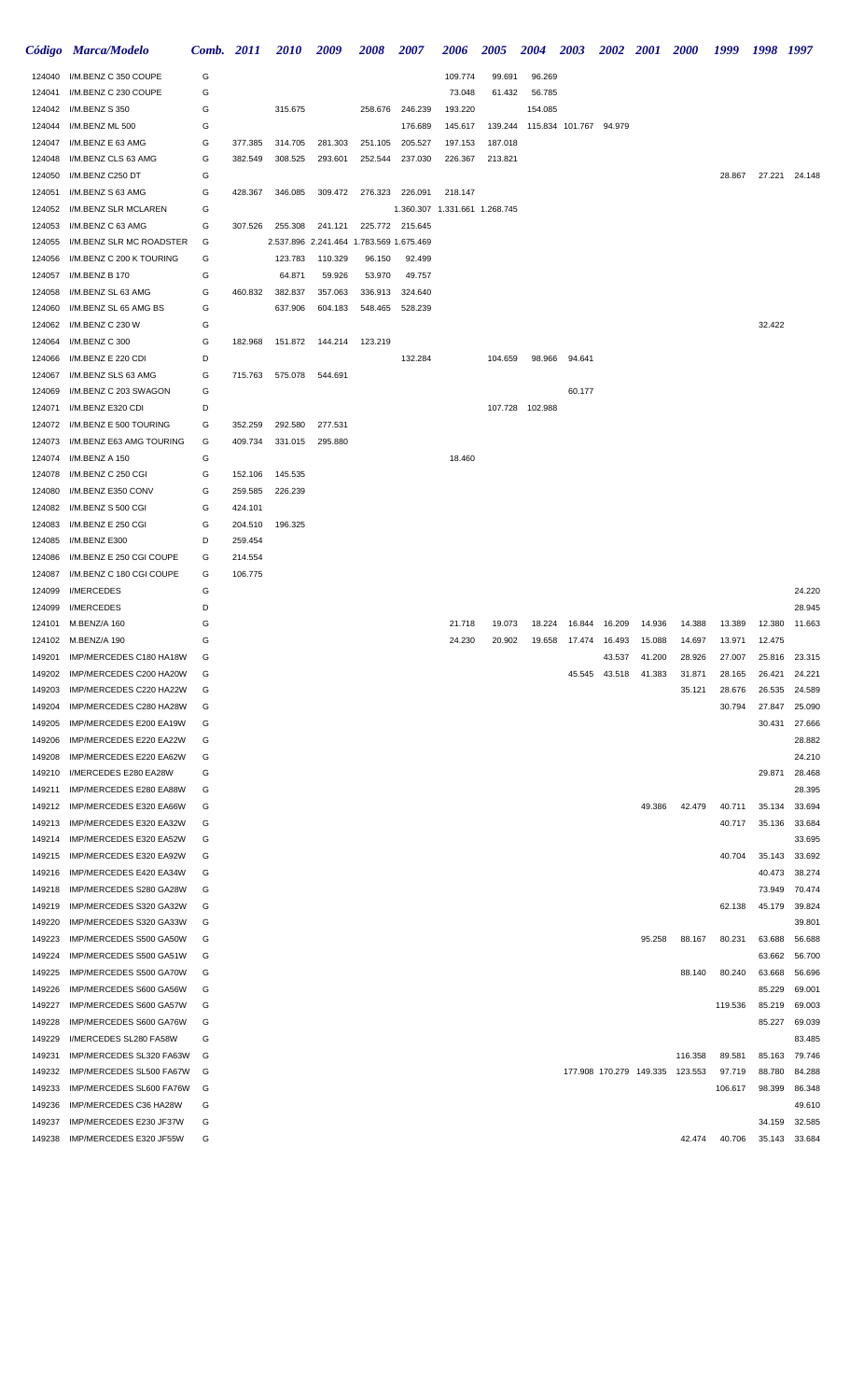|                  | Código Marca/Modelo                                | Comb. 2011 |                    | <b>2010</b> | 2009    | <b>2008</b>                             | <b>2007</b>     | <b>2006</b>                   | <b>2005</b> | <b>2004</b>     | 2003                   |        | <b>2002</b> 2001     | <b>2000</b>                     | 1999    | 1998 1997        |                  |
|------------------|----------------------------------------------------|------------|--------------------|-------------|---------|-----------------------------------------|-----------------|-------------------------------|-------------|-----------------|------------------------|--------|----------------------|---------------------------------|---------|------------------|------------------|
| 124040           | I/M.BENZ C 350 COUPE                               | G          |                    |             |         |                                         |                 | 109.774                       | 99.691      | 96.269          |                        |        |                      |                                 |         |                  |                  |
| 124041           | I/M.BENZ C 230 COUPE                               | G          |                    |             |         |                                         |                 | 73.048                        | 61.432      | 56.785          |                        |        |                      |                                 |         |                  |                  |
| 124042           | I/M.BENZ S 350                                     | G          |                    | 315.675     |         |                                         | 258.676 246.239 | 193.220                       |             | 154.085         |                        |        |                      |                                 |         |                  |                  |
| 124044           | I/M.BENZ ML 500                                    | G          |                    |             |         |                                         | 176.689         | 145.617                       | 139.244     |                 | 115.834 101.767 94.979 |        |                      |                                 |         |                  |                  |
| 124047           | I/M.BENZ E 63 AMG                                  | G          | 377.385            | 314.705     | 281.303 | 251.105                                 | 205.527         | 197.153                       | 187.018     |                 |                        |        |                      |                                 |         |                  |                  |
| 124048           | I/M.BENZ CLS 63 AMG                                | G          | 382.549            | 308.525     | 293.601 | 252.544                                 | 237.030         | 226.367                       | 213.821     |                 |                        |        |                      |                                 |         |                  |                  |
| 124050           | I/M.BENZ C250 DT                                   | G          |                    |             |         |                                         |                 |                               |             |                 |                        |        |                      |                                 | 28.867  |                  | 27.221 24.148    |
| 124051           | I/M.BENZ S 63 AMG                                  | G          | 428.367            | 346.085     | 309.472 | 276.323                                 | 226.091         | 218.147                       |             |                 |                        |        |                      |                                 |         |                  |                  |
| 124052<br>124053 | I/M.BENZ SLR MCLAREN<br>I/M.BENZ C 63 AMG          | G<br>G     |                    | 255.308     | 241.121 |                                         | 225.772 215.645 | 1.360.307 1.331.661 1.268.745 |             |                 |                        |        |                      |                                 |         |                  |                  |
| 124055           | I/M.BENZ SLR MC ROADSTER                           | G          | 307.526            |             |         | 2.537.896 2.241.464 1.783.569 1.675.469 |                 |                               |             |                 |                        |        |                      |                                 |         |                  |                  |
| 124056           | I/M.BENZ C 200 K TOURING                           | G          |                    | 123.783     | 110.329 | 96.150                                  | 92.499          |                               |             |                 |                        |        |                      |                                 |         |                  |                  |
| 124057           | I/M.BENZ B 170                                     | G          |                    | 64.871      | 59.926  | 53.970                                  | 49.757          |                               |             |                 |                        |        |                      |                                 |         |                  |                  |
| 124058           | I/M.BENZ SL 63 AMG                                 | G          | 460.832            | 382.837     | 357.063 | 336.913                                 | 324.640         |                               |             |                 |                        |        |                      |                                 |         |                  |                  |
| 124060           | I/M.BENZ SL 65 AMG BS                              | G          |                    | 637.906     | 604.183 | 548.465                                 | 528.239         |                               |             |                 |                        |        |                      |                                 |         |                  |                  |
| 124062           | I/M.BENZ C 230 W                                   | G          |                    |             |         |                                         |                 |                               |             |                 |                        |        |                      |                                 |         | 32.422           |                  |
| 124064           | I/M.BENZ C 300                                     | G          | 182.968            | 151.872     | 144.214 | 123.219                                 |                 |                               |             |                 |                        |        |                      |                                 |         |                  |                  |
| 124066           | I/M.BENZ E 220 CDI                                 | D          |                    |             |         |                                         | 132.284         |                               | 104.659     | 98.966          | 94.641                 |        |                      |                                 |         |                  |                  |
| 124067           | I/M.BENZ SLS 63 AMG                                | G          | 715.763            | 575.078     | 544.691 |                                         |                 |                               |             |                 |                        |        |                      |                                 |         |                  |                  |
| 124069           | I/M.BENZ C 203 SWAGON                              | G          |                    |             |         |                                         |                 |                               |             |                 | 60.177                 |        |                      |                                 |         |                  |                  |
| 124071           | I/M.BENZ E320 CDI                                  | D          |                    |             |         |                                         |                 |                               |             | 107.728 102.988 |                        |        |                      |                                 |         |                  |                  |
| 124072           | I/M.BENZ E 500 TOURING                             | G          | 352.259            | 292.580     | 277.531 |                                         |                 |                               |             |                 |                        |        |                      |                                 |         |                  |                  |
| 124073           | I/M.BENZ E63 AMG TOURING                           | G          | 409.734            | 331.015     | 295.880 |                                         |                 |                               |             |                 |                        |        |                      |                                 |         |                  |                  |
| 124074           | I/M.BENZ A 150                                     | G          |                    |             |         |                                         |                 | 18.460                        |             |                 |                        |        |                      |                                 |         |                  |                  |
| 124078           | I/M.BENZ C 250 CGI                                 | G          | 152.106            | 145.535     |         |                                         |                 |                               |             |                 |                        |        |                      |                                 |         |                  |                  |
| 124080<br>124082 | I/M.BENZ E350 CONV<br>I/M.BENZ S 500 CGI           | G<br>G     | 259.585<br>424.101 | 226.239     |         |                                         |                 |                               |             |                 |                        |        |                      |                                 |         |                  |                  |
| 124083           | I/M.BENZ E 250 CGI                                 | G          | 204.510            | 196.325     |         |                                         |                 |                               |             |                 |                        |        |                      |                                 |         |                  |                  |
| 124085           | I/M.BENZ E300                                      | D          | 259.454            |             |         |                                         |                 |                               |             |                 |                        |        |                      |                                 |         |                  |                  |
| 124086           | I/M.BENZ E 250 CGI COUPE                           | G          | 214.554            |             |         |                                         |                 |                               |             |                 |                        |        |                      |                                 |         |                  |                  |
| 124087           | I/M.BENZ C 180 CGI COUPE                           | G          | 106.775            |             |         |                                         |                 |                               |             |                 |                        |        |                      |                                 |         |                  |                  |
| 124099           | I/MERCEDES                                         | G          |                    |             |         |                                         |                 |                               |             |                 |                        |        |                      |                                 |         |                  | 24.220           |
| 124099           | <b>I/MERCEDES</b>                                  | D          |                    |             |         |                                         |                 |                               |             |                 |                        |        |                      |                                 |         |                  | 28.945           |
| 124101           | M.BENZ/A 160                                       | G          |                    |             |         |                                         |                 | 21.718                        | 19.073      | 18.224          | 16.844                 | 16.209 | 14.936               | 14.388                          | 13.389  | 12.380           | 11.663           |
| 124102           | M.BENZ/A 190                                       | G          |                    |             |         |                                         |                 | 24.230                        | 20.902      | 19.658          | 17.474                 | 16.493 | 15.088               | 14.697                          | 13.971  | 12.475           |                  |
| 149201           | IMP/MERCEDES C180 HA18W                            | G          |                    |             |         |                                         |                 |                               |             |                 |                        | 43.537 | 41.200               | 28.926                          | 27.007  |                  | 25.816 23.315    |
| 149202           | IMP/MERCEDES C200 HA20W                            | G          |                    |             |         |                                         |                 |                               |             |                 |                        |        | 45.545 43.518 41.383 | 31.871                          | 28.165  | 26.421           | 24.221           |
| 149203           | IMP/MERCEDES C220 HA22W                            | G          |                    |             |         |                                         |                 |                               |             |                 |                        |        |                      | 35.121                          | 28.676  | 26.535           | 24.589           |
| 149204           | IMP/MERCEDES C280 HA28W                            | G          |                    |             |         |                                         |                 |                               |             |                 |                        |        |                      |                                 | 30.794  | 27.847           | 25.090           |
| 149205           | IMP/MERCEDES E200 EA19W                            | G          |                    |             |         |                                         |                 |                               |             |                 |                        |        |                      |                                 |         | 30.431           | 27.666           |
| 149206<br>149208 | IMP/MERCEDES E220 EA22W<br>IMP/MERCEDES E220 EA62W | G<br>G     |                    |             |         |                                         |                 |                               |             |                 |                        |        |                      |                                 |         |                  | 28.882<br>24.210 |
| 149210           | I/MERCEDES E280 EA28W                              | G          |                    |             |         |                                         |                 |                               |             |                 |                        |        |                      |                                 |         | 29.871           | 28.468           |
| 149211           | IMP/MERCEDES E280 EA88W                            | G          |                    |             |         |                                         |                 |                               |             |                 |                        |        |                      |                                 |         |                  | 28.395           |
| 149212           | IMP/MERCEDES E320 EA66W                            | G          |                    |             |         |                                         |                 |                               |             |                 |                        |        | 49.386               | 42.479                          | 40.711  | 35.134           | 33.694           |
| 149213           | IMP/MERCEDES E320 EA32W                            | G          |                    |             |         |                                         |                 |                               |             |                 |                        |        |                      |                                 | 40.717  | 35.136           | 33.684           |
| 149214           | IMP/MERCEDES E320 EA52W                            | G          |                    |             |         |                                         |                 |                               |             |                 |                        |        |                      |                                 |         |                  | 33.695           |
| 149215           | IMP/MERCEDES E320 EA92W                            | G          |                    |             |         |                                         |                 |                               |             |                 |                        |        |                      |                                 | 40.704  | 35.143           | 33.692           |
| 149216           | IMP/MERCEDES E420 EA34W                            | G          |                    |             |         |                                         |                 |                               |             |                 |                        |        |                      |                                 |         | 40.473           | 38.274           |
| 149218           | IMP/MERCEDES S280 GA28W                            | G          |                    |             |         |                                         |                 |                               |             |                 |                        |        |                      |                                 |         | 73.949           | 70.474           |
| 149219           | IMP/MERCEDES S320 GA32W                            | G          |                    |             |         |                                         |                 |                               |             |                 |                        |        |                      |                                 | 62.138  | 45.179           | 39.824           |
| 149220           | IMP/MERCEDES S320 GA33W                            | G          |                    |             |         |                                         |                 |                               |             |                 |                        |        |                      |                                 |         |                  | 39.801           |
| 149223           | IMP/MERCEDES S500 GA50W                            | G          |                    |             |         |                                         |                 |                               |             |                 |                        |        | 95.258               | 88.167                          | 80.231  | 63.688           | 56.688           |
| 149224           | IMP/MERCEDES S500 GA51W                            | G          |                    |             |         |                                         |                 |                               |             |                 |                        |        |                      |                                 |         | 63.662           | 56.700           |
| 149225           | IMP/MERCEDES S500 GA70W                            | G          |                    |             |         |                                         |                 |                               |             |                 |                        |        |                      | 88.140                          | 80.240  | 63.668           | 56.696           |
| 149226<br>149227 | IMP/MERCEDES S600 GA56W<br>IMP/MERCEDES S600 GA57W | G<br>G     |                    |             |         |                                         |                 |                               |             |                 |                        |        |                      |                                 | 119.536 | 85.229<br>85.219 | 69.001<br>69.003 |
| 149228           | IMP/MERCEDES S600 GA76W                            | G          |                    |             |         |                                         |                 |                               |             |                 |                        |        |                      |                                 |         | 85.227           | 69.039           |
| 149229           | I/MERCEDES SL280 FA58W                             | G          |                    |             |         |                                         |                 |                               |             |                 |                        |        |                      |                                 |         |                  | 83.485           |
| 149231           | IMP/MERCEDES SL320 FA63W                           | G          |                    |             |         |                                         |                 |                               |             |                 |                        |        |                      | 116.358                         | 89.581  | 85.163           | 79.746           |
| 149232           | IMP/MERCEDES SL500 FA67W                           | G          |                    |             |         |                                         |                 |                               |             |                 |                        |        |                      | 177.908 170.279 149.335 123.553 | 97.719  | 88.780           | 84.288           |
| 149233           | IMP/MERCEDES SL600 FA76W                           | G          |                    |             |         |                                         |                 |                               |             |                 |                        |        |                      |                                 | 106.617 | 98.399           | 86.348           |
| 149236           | IMP/MERCEDES C36 HA28W                             | G          |                    |             |         |                                         |                 |                               |             |                 |                        |        |                      |                                 |         |                  | 49.610           |
| 149237           | IMP/MERCEDES E230 JF37W                            | G          |                    |             |         |                                         |                 |                               |             |                 |                        |        |                      |                                 |         | 34.159           | 32.585           |
| 149238           | IMP/MERCEDES E320 JF55W                            | G          |                    |             |         |                                         |                 |                               |             |                 |                        |        |                      | 42.474                          | 40.706  | 35.143           | 33.684           |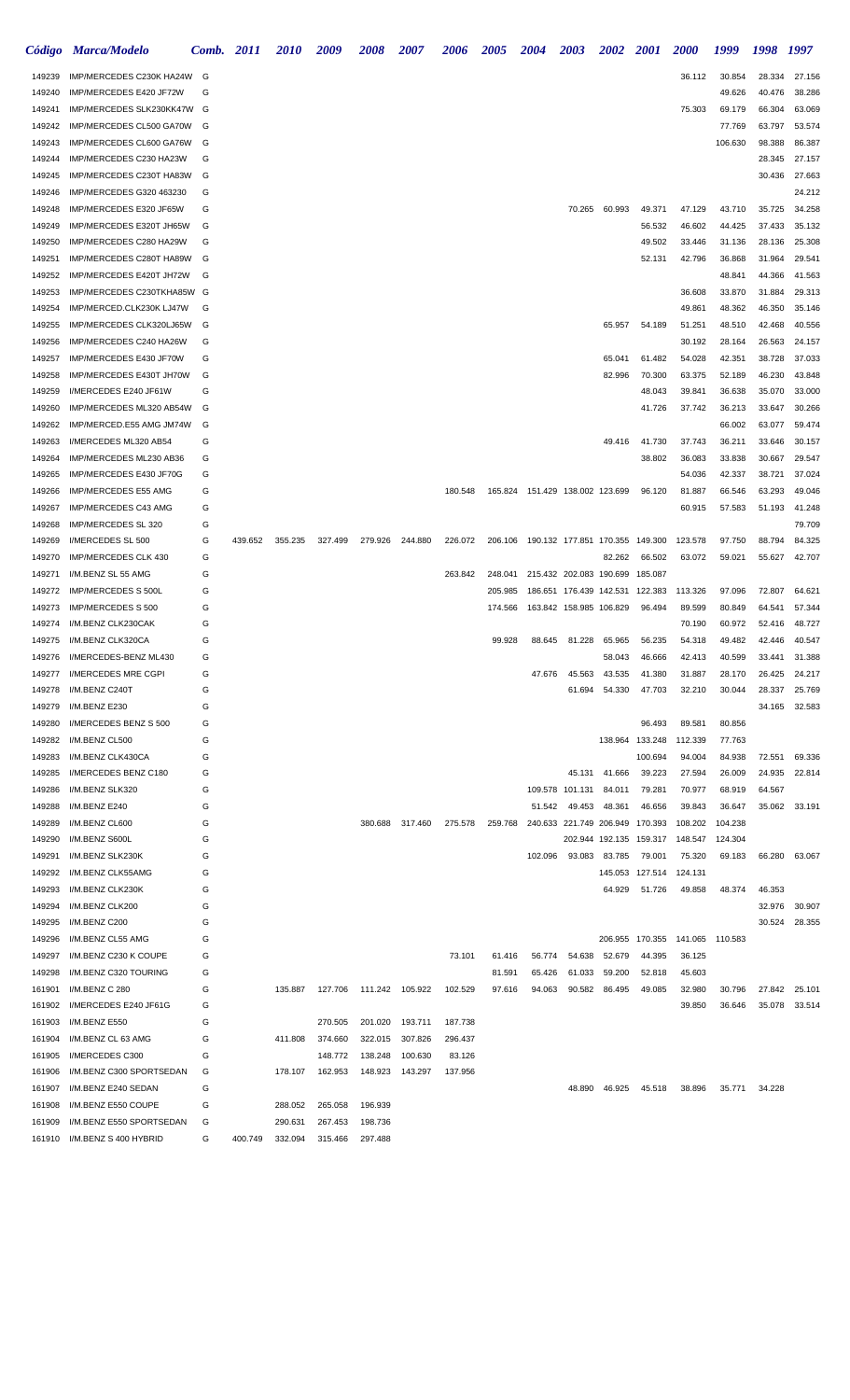|                  | Código Marca/Modelo                                 | Comb. 2011 |         | <i>2010</i> | 2009    | 2008    | 2007    | 2006    | 2005             | 2004                                    | 2003                            | <i><b>2002</b></i> | <b>2001</b>                     | <b>2000</b>      | 1999             | 1998             | 1997             |
|------------------|-----------------------------------------------------|------------|---------|-------------|---------|---------|---------|---------|------------------|-----------------------------------------|---------------------------------|--------------------|---------------------------------|------------------|------------------|------------------|------------------|
| 149239           | IMP/MERCEDES C230K HA24W                            | G          |         |             |         |         |         |         |                  |                                         |                                 |                    |                                 | 36.112           | 30.854           | 28.334           | 27.156           |
| 149240           | IMP/MERCEDES E420 JF72W                             | G          |         |             |         |         |         |         |                  |                                         |                                 |                    |                                 |                  | 49.626           | 40.476           | 38.286           |
| 149241           | IMP/MERCEDES SLK230KK47W G                          |            |         |             |         |         |         |         |                  |                                         |                                 |                    |                                 | 75.303           | 69.179           | 66.304           | 63.069           |
| 149242           | IMP/MERCEDES CL500 GA70W                            | G          |         |             |         |         |         |         |                  |                                         |                                 |                    |                                 |                  | 77.769           | 63.797           | 53.574           |
| 149243           | IMP/MERCEDES CL600 GA76W                            | G          |         |             |         |         |         |         |                  |                                         |                                 |                    |                                 |                  | 106.630          | 98.388           | 86.387           |
| 149244           | IMP/MERCEDES C230 HA23W                             | G          |         |             |         |         |         |         |                  |                                         |                                 |                    |                                 |                  |                  | 28.345           | 27.157           |
| 149245           | IMP/MERCEDES C230T HA83W                            | G          |         |             |         |         |         |         |                  |                                         |                                 |                    |                                 |                  |                  | 30.436           | 27.663           |
| 149246<br>149248 | IMP/MERCEDES G320 463230                            | G<br>G     |         |             |         |         |         |         |                  |                                         | 70.265                          |                    | 49.371                          | 47.129           | 43.710           |                  | 24.212<br>34.258 |
| 149249           | IMP/MERCEDES E320 JF65W<br>IMP/MERCEDES E320T JH65W | G          |         |             |         |         |         |         |                  |                                         |                                 | 60.993             | 56.532                          | 46.602           | 44.425           | 35.725<br>37.433 | 35.132           |
| 149250           | IMP/MERCEDES C280 HA29W                             | G          |         |             |         |         |         |         |                  |                                         |                                 |                    | 49.502                          | 33.446           | 31.136           | 28.136           | 25.308           |
| 149251           | IMP/MERCEDES C280T HA89W                            | G          |         |             |         |         |         |         |                  |                                         |                                 |                    | 52.131                          | 42.796           | 36.868           | 31.964           | 29.541           |
| 149252           | IMP/MERCEDES E420T JH72W                            | G          |         |             |         |         |         |         |                  |                                         |                                 |                    |                                 |                  | 48.841           | 44.366           | 41.563           |
| 149253           | IMP/MERCEDES C230TKHA85W G                          |            |         |             |         |         |         |         |                  |                                         |                                 |                    |                                 | 36.608           | 33.870           | 31.884           | 29.313           |
| 149254           | IMP/MERCED.CLK230K LJ47W                            | G          |         |             |         |         |         |         |                  |                                         |                                 |                    |                                 | 49.861           | 48.362           | 46.350           | 35.146           |
| 149255           | IMP/MERCEDES CLK320LJ65W                            | G          |         |             |         |         |         |         |                  |                                         |                                 | 65.957             | 54.189                          | 51.251           | 48.510           | 42.468           | 40.556           |
| 149256           | IMP/MERCEDES C240 HA26W                             | G          |         |             |         |         |         |         |                  |                                         |                                 |                    |                                 | 30.192           | 28.164           | 26.563           | 24.157           |
| 149257           | IMP/MERCEDES E430 JF70W                             | G          |         |             |         |         |         |         |                  |                                         |                                 | 65.041             | 61.482                          | 54.028           | 42.351           | 38.728           | 37.033           |
| 149258           | IMP/MERCEDES E430T JH70W                            | G          |         |             |         |         |         |         |                  |                                         |                                 | 82.996             | 70.300                          | 63.375           | 52.189           | 46.230           | 43.848           |
| 149259           | I/MERCEDES E240 JF61W                               | G          |         |             |         |         |         |         |                  |                                         |                                 |                    | 48.043                          | 39.841           | 36.638           | 35.070           | 33.000           |
| 149260           | IMP/MERCEDES ML320 AB54W                            | G          |         |             |         |         |         |         |                  |                                         |                                 |                    | 41.726                          | 37.742           | 36.213           | 33.647           | 30.266           |
| 149262           | IMP/MERCED.E55 AMG JM74W                            | G          |         |             |         |         |         |         |                  |                                         |                                 |                    |                                 |                  | 66.002           | 63.077           | 59.474           |
| 149263           | I/MERCEDES ML320 AB54                               | G          |         |             |         |         |         |         |                  |                                         |                                 | 49.416             | 41.730                          | 37.743           | 36.211           | 33.646           | 30.157           |
| 149264<br>149265 | IMP/MERCEDES ML230 AB36<br>IMP/MERCEDES E430 JF70G  | G<br>G     |         |             |         |         |         |         |                  |                                         |                                 |                    | 38.802                          | 36.083<br>54.036 | 33.838<br>42.337 | 30.667<br>38.721 | 29.547<br>37.024 |
| 149266           | IMP/MERCEDES E55 AMG                                | G          |         |             |         |         |         | 180.548 |                  | 165.824  151.429  138.002  123.699      |                                 |                    | 96.120                          | 81.887           | 66.546           | 63.293           | 49.046           |
| 149267           | IMP/MERCEDES C43 AMG                                | G          |         |             |         |         |         |         |                  |                                         |                                 |                    |                                 | 60.915           | 57.583           | 51.193           | 41.248           |
| 149268           | IMP/MERCEDES SL 320                                 | G          |         |             |         |         |         |         |                  |                                         |                                 |                    |                                 |                  |                  |                  | 79.709           |
| 149269           | I/MERCEDES SL 500                                   | G          | 439.652 | 355.235     | 327.499 | 279.926 | 244.880 | 226.072 |                  | 206.106 190.132 177.851 170.355 149.300 |                                 |                    |                                 | 123.578          | 97.750           | 88.794           | 84.325           |
| 149270           | IMP/MERCEDES CLK 430                                | G          |         |             |         |         |         |         |                  |                                         |                                 | 82.262             | 66.502                          | 63.072           | 59.021           | 55.627           | 42.707           |
| 149271           | I/M.BENZ SL 55 AMG                                  | G          |         |             |         |         |         | 263.842 | 248.041          |                                         | 215.432 202.083 190.699 185.087 |                    |                                 |                  |                  |                  |                  |
| 149272           | IMP/MERCEDES S 500L                                 | G          |         |             |         |         |         |         | 205.985          |                                         | 186.651 176.439 142.531 122.383 |                    |                                 | 113.326          | 97.096           | 72.807           | 64.621           |
| 149273           | IMP/MERCEDES S 500                                  | G          |         |             |         |         |         |         | 174.566          |                                         | 163.842 158.985 106.829         |                    | 96.494                          | 89.599           | 80.849           | 64.541           | 57.344           |
| 149274           | I/M.BENZ CLK230CAK                                  | G          |         |             |         |         |         |         |                  |                                         |                                 |                    |                                 | 70.190           | 60.972           | 52.416           | 48.727           |
| 149275           | I/M.BENZ CLK320CA                                   | G          |         |             |         |         |         |         | 99.928           | 88.645                                  | 81.228                          | 65.965             | 56.235                          | 54.318           | 49.482           | 42.446           | 40.547           |
| 149276           | I/MERCEDES-BENZ ML430                               | G          |         |             |         |         |         |         |                  |                                         |                                 | 58.043             | 46.666                          | 42.413           | 40.599           | 33.441           | 31.388           |
| 149277           | I/MERCEDES MRE CGPI                                 | G          |         |             |         |         |         |         |                  | 47.676                                  | 45.563                          | 43.535             | 41.380                          | 31.887           | 28.170           | 26.425           | 24.217           |
| 149278           | I/M.BENZ C240T                                      | G          |         |             |         |         |         |         |                  |                                         | 61.694                          | 54.330             | 47.703                          | 32.210           | 30.044           | 28.337           | 25.769           |
| 149279<br>149280 | I/M.BENZ E230<br>I/MERCEDES BENZ S 500              | G<br>G     |         |             |         |         |         |         |                  |                                         |                                 |                    | 96.493                          | 89.581           | 80.856           | 34.165           | 32.583           |
| 149282           | I/M.BENZ CL500                                      | G          |         |             |         |         |         |         |                  |                                         |                                 |                    | 138.964 133.248                 | 112.339          | 77.763           |                  |                  |
| 149283           | I/M.BENZ CLK430CA                                   | G          |         |             |         |         |         |         |                  |                                         |                                 |                    | 100.694                         | 94.004           | 84.938           | 72.551           | 69.336           |
| 149285           | I/MERCEDES BENZ C180                                | G          |         |             |         |         |         |         |                  |                                         | 45.131                          | 41.666             | 39.223                          | 27.594           | 26.009           | 24.935           | 22.814           |
| 149286           | I/M.BENZ SLK320                                     | G          |         |             |         |         |         |         |                  |                                         | 109.578 101.131                 | 84.011             | 79.281                          | 70.977           | 68.919           | 64.567           |                  |
| 149288           | I/M.BENZ E240                                       | G          |         |             |         |         |         |         |                  |                                         | 51.542 49.453                   | 48.361             | 46.656                          | 39.843           | 36.647           | 35.062           | 33.191           |
| 149289           | I/M.BENZ CL600                                      | G          |         |             |         | 380.688 | 317.460 | 275.578 | 259.768          |                                         |                                 |                    | 240.633 221.749 206.949 170.393 | 108.202          | 104.238          |                  |                  |
| 149290           | I/M.BENZ S600L                                      | G          |         |             |         |         |         |         |                  |                                         |                                 |                    | 202.944 192.135 159.317         | 148.547          | 124.304          |                  |                  |
| 149291           | I/M.BENZ SLK230K                                    | G          |         |             |         |         |         |         |                  | 102.096                                 | 93.083                          | 83.785             | 79.001                          | 75.320           | 69.183           | 66.280           | 63.067           |
| 149292           | I/M.BENZ CLK55AMG                                   | G          |         |             |         |         |         |         |                  |                                         |                                 |                    | 145.053 127.514                 | 124.131          |                  |                  |                  |
| 149293           | I/M.BENZ CLK230K                                    | G          |         |             |         |         |         |         |                  |                                         |                                 | 64.929             | 51.726                          | 49.858           | 48.374           | 46.353           |                  |
| 149294           | I/M.BENZ CLK200                                     | G          |         |             |         |         |         |         |                  |                                         |                                 |                    |                                 |                  |                  | 32.976           | 30.907           |
| 149295           | I/M.BENZ C200                                       | G          |         |             |         |         |         |         |                  |                                         |                                 |                    |                                 |                  |                  | 30.524           | 28.355           |
| 149296           | I/M.BENZ CL55 AMG                                   | G          |         |             |         |         |         |         |                  |                                         |                                 |                    | 206.955 170.355                 | 141.065 110.583  |                  |                  |                  |
| 149297<br>149298 | I/M.BENZ C230 K COUPE<br>I/M.BENZ C320 TOURING      | G<br>G     |         |             |         |         |         | 73.101  | 61.416<br>81.591 | 56.774<br>65.426                        | 54.638<br>61.033                | 52.679<br>59.200   | 44.395<br>52.818                | 36.125<br>45.603 |                  |                  |                  |
| 161901           | I/M.BENZ C 280                                      | G          |         | 135.887     | 127.706 | 111.242 | 105.922 | 102.529 | 97.616           | 94.063                                  | 90.582                          | 86.495             | 49.085                          | 32.980           | 30.796           | 27.842           | 25.101           |
| 161902           | I/MERCEDES E240 JF61G                               | G          |         |             |         |         |         |         |                  |                                         |                                 |                    |                                 | 39.850           | 36.646           | 35.078           | 33.514           |
| 161903           | I/M.BENZ E550                                       | G          |         |             | 270.505 | 201.020 | 193.711 | 187.738 |                  |                                         |                                 |                    |                                 |                  |                  |                  |                  |
| 161904           | I/M.BENZ CL 63 AMG                                  | G          |         | 411.808     | 374.660 | 322.015 | 307.826 | 296.437 |                  |                                         |                                 |                    |                                 |                  |                  |                  |                  |
| 161905           | I/MERCEDES C300                                     | G          |         |             | 148.772 | 138.248 | 100.630 | 83.126  |                  |                                         |                                 |                    |                                 |                  |                  |                  |                  |
| 161906           | I/M.BENZ C300 SPORTSEDAN                            | G          |         | 178.107     | 162.953 | 148.923 | 143.297 | 137.956 |                  |                                         |                                 |                    |                                 |                  |                  |                  |                  |
| 161907           | I/M.BENZ E240 SEDAN                                 | G          |         |             |         |         |         |         |                  |                                         | 48.890                          | 46.925             | 45.518                          | 38.896           | 35.771           | 34.228           |                  |
| 161908           | I/M.BENZ E550 COUPE                                 | G          |         | 288.052     | 265.058 | 196.939 |         |         |                  |                                         |                                 |                    |                                 |                  |                  |                  |                  |
| 161909           | I/M.BENZ E550 SPORTSEDAN                            | G          |         | 290.631     | 267.453 | 198.736 |         |         |                  |                                         |                                 |                    |                                 |                  |                  |                  |                  |
|                  | 161910 I/M.BENZ S 400 HYBRID                        | G          | 400.749 | 332.094     | 315.466 | 297.488 |         |         |                  |                                         |                                 |                    |                                 |                  |                  |                  |                  |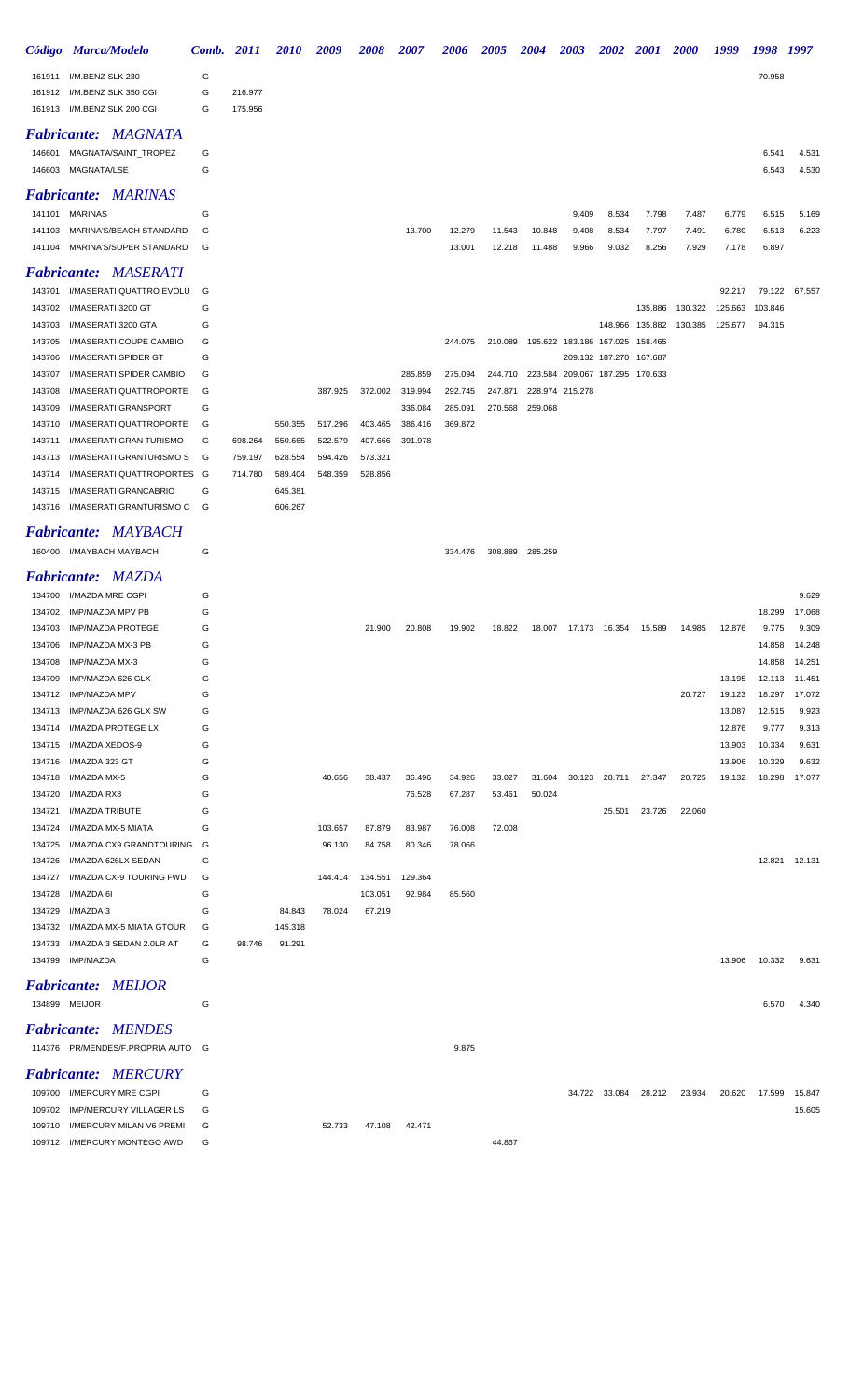|                  | Código Marca/Modelo                             | Comb. 2011 |         | 2010    | 2009    | 2008               | 2007               | 2006               | 2005    | <b>2004</b>                     | 2003                            | <b>2002</b>     | <b>2001</b> | <b>2000</b> | 1999             | 1998 1997        |                 |
|------------------|-------------------------------------------------|------------|---------|---------|---------|--------------------|--------------------|--------------------|---------|---------------------------------|---------------------------------|-----------------|-------------|-------------|------------------|------------------|-----------------|
|                  | 161911 I/M.BENZ SLK 230                         | G          |         |         |         |                    |                    |                    |         |                                 |                                 |                 |             |             |                  | 70.958           |                 |
|                  | 161912 I/M.BENZ SLK 350 CGI                     | G          | 216.977 |         |         |                    |                    |                    |         |                                 |                                 |                 |             |             |                  |                  |                 |
|                  | 161913 I/M.BENZ SLK 200 CGI                     | G          | 175.956 |         |         |                    |                    |                    |         |                                 |                                 |                 |             |             |                  |                  |                 |
|                  | <b>Fabricante: MAGNATA</b>                      |            |         |         |         |                    |                    |                    |         |                                 |                                 |                 |             |             |                  |                  |                 |
| 146601           | MAGNATA/SAINT_TROPEZ                            | G          |         |         |         |                    |                    |                    |         |                                 |                                 |                 |             |             |                  | 6.541            | 4.531           |
| 146603           | MAGNATA/LSE                                     | G          |         |         |         |                    |                    |                    |         |                                 |                                 |                 |             |             |                  | 6.543            | 4.530           |
|                  | <b>Fabricante: MARINAS</b>                      |            |         |         |         |                    |                    |                    |         |                                 |                                 |                 |             |             |                  |                  |                 |
|                  | 141101 MARINAS                                  | G          |         |         |         |                    |                    |                    |         |                                 | 9.409                           | 8.534           | 7.798       | 7.487       | 6.779            | 6.515            | 5.169           |
| 141103           | MARINA'S/BEACH STANDARD                         | G          |         |         |         |                    | 13.700             | 12.279             | 11.543  | 10.848                          | 9.408                           | 8.534           | 7.797       | 7.491       | 6.780            | 6.513            | 6.223           |
| 141104           | MARINA'S/SUPER STANDARD                         | G          |         |         |         |                    |                    | 13.001             | 12.218  | 11.488                          | 9.966                           | 9.032           | 8.256       | 7.929       | 7.178            | 6.897            |                 |
|                  | <b>Fabricante: MASERATI</b>                     |            |         |         |         |                    |                    |                    |         |                                 |                                 |                 |             |             |                  |                  |                 |
| 143701           | I/MASERATI QUATTRO EVOLU                        | G          |         |         |         |                    |                    |                    |         |                                 |                                 |                 |             |             | 92.217           |                  | 79.122 67.557   |
| 143702           | I/MASERATI 3200 GT                              | G          |         |         |         |                    |                    |                    |         |                                 |                                 |                 | 135.886     | 130.322     | 125.663          | 103.846          |                 |
| 143703           | I/MASERATI 3200 GTA                             | G          |         |         |         |                    |                    |                    |         |                                 |                                 | 148.966         | 135.882     | 130.385     | 125.677          | 94.315           |                 |
| 143705           | I/MASERATI COUPE CAMBIO                         | G          |         |         |         |                    |                    | 244.075            |         | 210.089 195.622 183.186 167.025 |                                 |                 | 158.465     |             |                  |                  |                 |
| 143706           | I/MASERATI SPIDER GT                            | G          |         |         |         |                    |                    |                    |         |                                 |                                 | 209.132 187.270 | 167.687     |             |                  |                  |                 |
| 143707           | I/MASERATI SPIDER CAMBIO                        | G          |         |         |         |                    | 285.859            | 275.094            | 244.710 |                                 | 223.584 209.067 187.295 170.633 |                 |             |             |                  |                  |                 |
| 143708           | I/MASERATI QUATTROPORTE                         | G          |         |         | 387.925 | 372.002            | 319.994            | 292.745            | 247.871 |                                 | 228.974 215.278                 |                 |             |             |                  |                  |                 |
| 143709<br>143710 | I/MASERATI GRANSPORT<br>I/MASERATI QUATTROPORTE | G<br>G     |         | 550.355 | 517.296 | 403.465            | 336.084<br>386.416 | 285.091<br>369.872 | 270.568 | 259.068                         |                                 |                 |             |             |                  |                  |                 |
| 143711           | I/MASERATI GRAN TURISMO                         | G          | 698.264 | 550.665 | 522.579 | 407.666            | 391.978            |                    |         |                                 |                                 |                 |             |             |                  |                  |                 |
| 143713           | I/MASERATI GRANTURISMO S                        | G          | 759.197 | 628.554 | 594.426 | 573.321            |                    |                    |         |                                 |                                 |                 |             |             |                  |                  |                 |
| 143714           | I/MASERATI QUATTROPORTES G                      |            | 714.780 | 589.404 | 548.359 | 528.856            |                    |                    |         |                                 |                                 |                 |             |             |                  |                  |                 |
| 143715           | I/MASERATI GRANCABRIO                           | G          |         | 645.381 |         |                    |                    |                    |         |                                 |                                 |                 |             |             |                  |                  |                 |
| 143716           | I/MASERATI GRANTURISMO C                        | G          |         | 606.267 |         |                    |                    |                    |         |                                 |                                 |                 |             |             |                  |                  |                 |
|                  | <b>Fabricante: MAYBACH</b>                      |            |         |         |         |                    |                    |                    |         |                                 |                                 |                 |             |             |                  |                  |                 |
|                  | 160400 I/MAYBACH MAYBACH                        | G          |         |         |         |                    |                    | 334.476            |         | 308.889 285.259                 |                                 |                 |             |             |                  |                  |                 |
|                  |                                                 |            |         |         |         |                    |                    |                    |         |                                 |                                 |                 |             |             |                  |                  |                 |
|                  | <b>Fabricante: MAZDA</b>                        |            |         |         |         |                    |                    |                    |         |                                 |                                 |                 |             |             |                  |                  |                 |
| 134700<br>134702 | I/MAZDA MRE CGPI<br>IMP/MAZDA MPV PB            | G<br>G     |         |         |         |                    |                    |                    |         |                                 |                                 |                 |             |             |                  | 18.299           | 9.629<br>17.068 |
| 134703           | <b>IMP/MAZDA PROTEGE</b>                        | G          |         |         |         | 21.900             | 20.808             | 19.902             | 18.822  | 18.007                          | 17.173                          | 16.354          | 15.589      | 14.985      | 12.876           | 9.775            | 9.309           |
| 134706           | IMP/MAZDA MX-3 PB                               | G          |         |         |         |                    |                    |                    |         |                                 |                                 |                 |             |             |                  | 14.858           | 14.248          |
| 134708           | IMP/MAZDA MX-3                                  | G          |         |         |         |                    |                    |                    |         |                                 |                                 |                 |             |             |                  | 14.858           | 14.251          |
| 134709           | IMP/MAZDA 626 GLX                               | G          |         |         |         |                    |                    |                    |         |                                 |                                 |                 |             |             | 13.195           | 12.113           | 11.451          |
| 134712           | IMP/MAZDA MPV                                   | G          |         |         |         |                    |                    |                    |         |                                 |                                 |                 |             | 20.727      | 19.123           | 18.297           | 17.072          |
| 134713           | IMP/MAZDA 626 GLX SW                            | G          |         |         |         |                    |                    |                    |         |                                 |                                 |                 |             |             | 13.087           | 12.515           | 9.923           |
| 134714           | I/MAZDA PROTEGE LX                              | G          |         |         |         |                    |                    |                    |         |                                 |                                 |                 |             |             | 12.876           | 9.777            | 9.313           |
| 134715<br>134716 | I/MAZDA XEDOS-9<br>I/MAZDA 323 GT               | G<br>G     |         |         |         |                    |                    |                    |         |                                 |                                 |                 |             |             | 13.903<br>13.906 | 10.334<br>10.329 | 9.631<br>9.632  |
| 134718           | I/MAZDA MX-5                                    | G          |         |         | 40.656  | 38.437             | 36.496             | 34.926             | 33.027  | 31.604                          | 30.123                          | 28.711          | 27.347      | 20.725      | 19.132           | 18.298           | 17.077          |
| 134720           | I/MAZDA RX8                                     | G          |         |         |         |                    | 76.528             | 67.287             | 53.461  | 50.024                          |                                 |                 |             |             |                  |                  |                 |
| 134721           | I/MAZDA TRIBUTE                                 | G          |         |         |         |                    |                    |                    |         |                                 |                                 | 25.501          | 23.726      | 22.060      |                  |                  |                 |
| 134724           | I/MAZDA MX-5 MIATA                              | G          |         |         | 103.657 | 87.879             | 83.987             | 76.008             | 72.008  |                                 |                                 |                 |             |             |                  |                  |                 |
| 134725           | I/MAZDA CX9 GRANDTOURING                        | G          |         |         | 96.130  | 84.758             | 80.346             | 78.066             |         |                                 |                                 |                 |             |             |                  |                  |                 |
| 134726           | I/MAZDA 626LX SEDAN                             | G          |         |         |         |                    |                    |                    |         |                                 |                                 |                 |             |             |                  |                  | 12.821 12.131   |
| 134727<br>134728 | I/MAZDA CX-9 TOURING FWD<br>I/MAZDA 6I          | G<br>G     |         |         | 144.414 | 134.551<br>103.051 | 129.364<br>92.984  | 85.560             |         |                                 |                                 |                 |             |             |                  |                  |                 |
| 134729           | I/MAZDA 3                                       | G          |         | 84.843  | 78.024  | 67.219             |                    |                    |         |                                 |                                 |                 |             |             |                  |                  |                 |
| 134732           | I/MAZDA MX-5 MIATA GTOUR                        | G          |         | 145.318 |         |                    |                    |                    |         |                                 |                                 |                 |             |             |                  |                  |                 |
| 134733           | I/MAZDA 3 SEDAN 2.0LR AT                        | G          | 98.746  | 91.291  |         |                    |                    |                    |         |                                 |                                 |                 |             |             |                  |                  |                 |
| 134799           | IMP/MAZDA                                       | G          |         |         |         |                    |                    |                    |         |                                 |                                 |                 |             |             | 13.906           | 10.332           | 9.631           |
|                  | <b>Fabricante: MEIJOR</b>                       |            |         |         |         |                    |                    |                    |         |                                 |                                 |                 |             |             |                  |                  |                 |
|                  | 134899 MEIJOR                                   | G          |         |         |         |                    |                    |                    |         |                                 |                                 |                 |             |             |                  | 6.570            | 4.340           |
|                  |                                                 |            |         |         |         |                    |                    |                    |         |                                 |                                 |                 |             |             |                  |                  |                 |
|                  | <b>Fabricante: MENDES</b>                       |            |         |         |         |                    |                    |                    |         |                                 |                                 |                 |             |             |                  |                  |                 |
|                  | 114376 PR/MENDES/F.PROPRIA AUTO G               |            |         |         |         |                    |                    | 9.875              |         |                                 |                                 |                 |             |             |                  |                  |                 |
|                  | <b>Fabricante: MERCURY</b>                      |            |         |         |         |                    |                    |                    |         |                                 |                                 |                 |             |             |                  |                  |                 |
|                  | 109700 I/MERCURY MRE CGPI                       | G          |         |         |         |                    |                    |                    |         |                                 |                                 | 34.722 33.084   | 28.212      | 23.934      | 20.620           | 17.599           | 15.847          |
| 109702           | IMP/MERCURY VILLAGER LS                         | G          |         |         |         |                    |                    |                    |         |                                 |                                 |                 |             |             |                  |                  | 15.605          |
| 109710           | I/MERCURY MILAN V6 PREMI                        | G          |         |         | 52.733  | 47.108             | 42.471             |                    |         |                                 |                                 |                 |             |             |                  |                  |                 |
|                  | 109712 I/MERCURY MONTEGO AWD                    | G          |         |         |         |                    |                    |                    | 44.867  |                                 |                                 |                 |             |             |                  |                  |                 |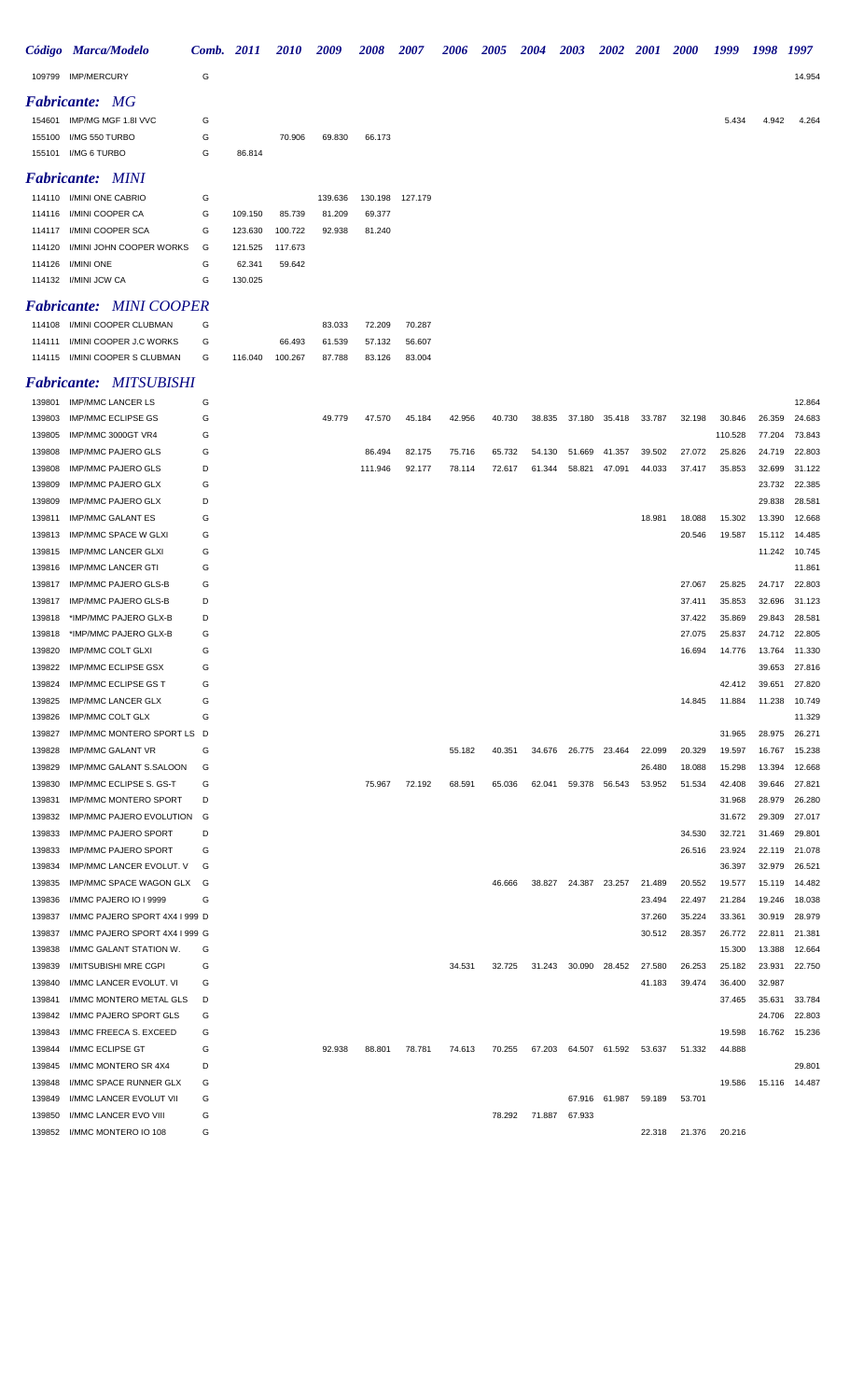|                  | Código Marca/Modelo                                       | Comb. 2011 |         | <b>2010</b> | 2009    | 2008    | <i><b>2007</b></i> | 2006   | 2005   | 2004   | 2003   | <b>2002</b>   | <b>2001</b>      | <b>2000</b>      | 1999             | 1998             | 1997             |
|------------------|-----------------------------------------------------------|------------|---------|-------------|---------|---------|--------------------|--------|--------|--------|--------|---------------|------------------|------------------|------------------|------------------|------------------|
|                  | 109799 IMP/MERCURY                                        | G          |         |             |         |         |                    |        |        |        |        |               |                  |                  |                  |                  | 14.954           |
|                  | <b>Fabricante: MG</b>                                     |            |         |             |         |         |                    |        |        |        |        |               |                  |                  |                  |                  |                  |
|                  | 154601 IMP/MG MGF 1.8I VVC                                | G          |         |             |         |         |                    |        |        |        |        |               |                  |                  | 5.434            | 4.942            | 4.264            |
|                  | 155100 I/MG 550 TURBO                                     | G          |         | 70.906      | 69.830  | 66.173  |                    |        |        |        |        |               |                  |                  |                  |                  |                  |
|                  | 155101 I/MG 6 TURBO                                       | G          | 86.814  |             |         |         |                    |        |        |        |        |               |                  |                  |                  |                  |                  |
|                  | <b>Fabricante: MINI</b>                                   |            |         |             |         |         |                    |        |        |        |        |               |                  |                  |                  |                  |                  |
|                  | 114110 I/MINI ONE CABRIO                                  | G          |         |             | 139.636 | 130.198 | 127.179            |        |        |        |        |               |                  |                  |                  |                  |                  |
|                  | 114116 I/MINI COOPER CA                                   | G          | 109.150 | 85.739      | 81.209  | 69.377  |                    |        |        |        |        |               |                  |                  |                  |                  |                  |
| 114117           | I/MINI COOPER SCA                                         | G          | 123.630 | 100.722     | 92.938  | 81.240  |                    |        |        |        |        |               |                  |                  |                  |                  |                  |
| 114120           | I/MINI JOHN COOPER WORKS                                  | G          | 121.525 | 117.673     |         |         |                    |        |        |        |        |               |                  |                  |                  |                  |                  |
|                  | 114126 I/MINI ONE                                         | G          | 62.341  | 59.642      |         |         |                    |        |        |        |        |               |                  |                  |                  |                  |                  |
|                  | 114132 I/MINI JCW CA                                      | G          | 130.025 |             |         |         |                    |        |        |        |        |               |                  |                  |                  |                  |                  |
|                  | <b>Fabricante: MINI COOPER</b>                            |            |         |             |         |         |                    |        |        |        |        |               |                  |                  |                  |                  |                  |
|                  | 114108 I/MINI COOPER CLUBMAN                              | G          |         |             | 83.033  | 72.209  | 70.287             |        |        |        |        |               |                  |                  |                  |                  |                  |
| 114111           | I/MINI COOPER J.C WORKS                                   | G          |         | 66.493      | 61.539  | 57.132  | 56.607             |        |        |        |        |               |                  |                  |                  |                  |                  |
|                  | 114115 I/MINI COOPER S CLUBMAN                            | G          | 116.040 | 100.267     | 87.788  | 83.126  | 83.004             |        |        |        |        |               |                  |                  |                  |                  |                  |
|                  | <b>Fabricante: MITSUBISHI</b>                             |            |         |             |         |         |                    |        |        |        |        |               |                  |                  |                  |                  |                  |
| 139801           | <b>IMP/MMC LANCER LS</b>                                  | G          |         |             |         |         |                    |        |        |        |        |               |                  |                  |                  |                  | 12.864           |
| 139803           | <b>IMP/MMC ECLIPSE GS</b>                                 | G          |         |             | 49.779  | 47.570  | 45.184             | 42.956 | 40.730 | 38.835 | 37.180 | 35.418        | 33.787           | 32.198           | 30.846           | 26.359           | 24.683           |
| 139805           | IMP/MMC 3000GT VR4                                        | G          |         |             |         |         |                    |        |        |        |        |               |                  |                  | 110.528          | 77.204           | 73.843           |
| 139808           | <b>IMP/MMC PAJERO GLS</b>                                 | G          |         |             |         | 86.494  | 82.175             | 75.716 | 65.732 | 54.130 | 51.669 | 41.357        | 39.502           | 27.072           | 25.826           | 24.719           | 22.803           |
| 139808           | <b>IMP/MMC PAJERO GLS</b>                                 | D          |         |             |         | 111.946 | 92.177             | 78.114 | 72.617 | 61.344 | 58.821 | 47.091        | 44.033           | 37.417           | 35.853           | 32.699           | 31.122           |
| 139809           | <b>IMP/MMC PAJERO GLX</b>                                 | G          |         |             |         |         |                    |        |        |        |        |               |                  |                  |                  | 23.732           | 22.385           |
| 139809           | <b>IMP/MMC PAJERO GLX</b>                                 | D          |         |             |         |         |                    |        |        |        |        |               |                  |                  |                  | 29.838           | 28.581           |
| 139811           | <b>IMP/MMC GALANT ES</b>                                  | G<br>G     |         |             |         |         |                    |        |        |        |        |               | 18.981           | 18.088           | 15.302           | 13.390           | 12.668           |
| 139813<br>139815 | <b>IMP/MMC SPACE W GLXI</b><br><b>IMP/MMC LANCER GLXI</b> | G          |         |             |         |         |                    |        |        |        |        |               |                  | 20.546           | 19.587           | 15.112<br>11.242 | 14.485<br>10.745 |
| 139816           | <b>IMP/MMC LANCER GTI</b>                                 | G          |         |             |         |         |                    |        |        |        |        |               |                  |                  |                  |                  | 11.861           |
| 139817           | IMP/MMC PAJERO GLS-B                                      | G          |         |             |         |         |                    |        |        |        |        |               |                  | 27.067           | 25.825           | 24.717           | 22.803           |
| 139817           | <b>IMP/MMC PAJERO GLS-B</b>                               | D          |         |             |         |         |                    |        |        |        |        |               |                  | 37.411           | 35.853           | 32.696           | 31.123           |
| 139818           | *IMP/MMC PAJERO GLX-B                                     | D          |         |             |         |         |                    |        |        |        |        |               |                  | 37.422           | 35.869           | 29.843           | 28.581           |
| 139818           | *IMP/MMC PAJERO GLX-B                                     | G          |         |             |         |         |                    |        |        |        |        |               |                  | 27.075           | 25.837           | 24.712           | 22.805           |
|                  | 139820 IMP/MMC COLT GLXI                                  | G          |         |             |         |         |                    |        |        |        |        |               |                  | 16.694           | 14.776           |                  | 13.764 11.330    |
| 139822           | IMP/MMC ECLIPSE GSX                                       | G          |         |             |         |         |                    |        |        |        |        |               |                  |                  |                  | 39.653           | 27.816           |
| 139824           | <b>IMP/MMC ECLIPSE GS T</b>                               | G          |         |             |         |         |                    |        |        |        |        |               |                  |                  | 42.412           | 39.651           | 27.820           |
| 139825           | <b>IMP/MMC LANCER GLX</b>                                 | G          |         |             |         |         |                    |        |        |        |        |               |                  | 14.845           | 11.884           | 11.238           | 10.749           |
| 139826           | <b>IMP/MMC COLT GLX</b>                                   | G          |         |             |         |         |                    |        |        |        |        |               |                  |                  |                  |                  | 11.329           |
| 139827           | IMP/MMC MONTERO SPORT LS D                                |            |         |             |         |         |                    |        |        |        |        |               |                  |                  | 31.965           | 28.975           | 26.271           |
| 139828           | <b>IMP/MMC GALANT VR</b>                                  | G          |         |             |         |         |                    | 55.182 | 40.351 | 34.676 |        | 26.775 23.464 | 22.099           | 20.329           | 19.597           | 16.767           | 15.238           |
| 139829<br>139830 | IMP/MMC GALANT S.SALOON<br>IMP/MMC ECLIPSE S. GS-T        | G<br>G     |         |             |         | 75.967  | 72.192             | 68.591 | 65.036 | 62.041 | 59.378 | 56.543        | 26.480<br>53.952 | 18.088<br>51.534 | 15.298<br>42.408 | 13.394<br>39.646 | 12.668<br>27.821 |
| 139831           | <b>IMP/MMC MONTERO SPORT</b>                              | D          |         |             |         |         |                    |        |        |        |        |               |                  |                  | 31.968           | 28.979           | 26.280           |
| 139832           | IMP/MMC PAJERO EVOLUTION                                  | G          |         |             |         |         |                    |        |        |        |        |               |                  |                  | 31.672           | 29.309           | 27.017           |
| 139833           | <b>IMP/MMC PAJERO SPORT</b>                               | D          |         |             |         |         |                    |        |        |        |        |               |                  | 34.530           | 32.721           | 31.469           | 29.801           |
| 139833           | <b>IMP/MMC PAJERO SPORT</b>                               | G          |         |             |         |         |                    |        |        |        |        |               |                  | 26.516           | 23.924           | 22.119           | 21.078           |
| 139834           | IMP/MMC LANCER EVOLUT. V                                  | G          |         |             |         |         |                    |        |        |        |        |               |                  |                  | 36.397           | 32.979           | 26.521           |
| 139835           | IMP/MMC SPACE WAGON GLX                                   | G          |         |             |         |         |                    |        | 46.666 | 38.827 |        | 24.387 23.257 | 21.489           | 20.552           | 19.577           | 15.119           | 14.482           |
| 139836           | I/MMC PAJERO IO I 9999                                    | G          |         |             |         |         |                    |        |        |        |        |               | 23.494           | 22.497           | 21.284           | 19.246           | 18.038           |
| 139837           | I/MMC PAJERO SPORT 4X4 I 999 D                            |            |         |             |         |         |                    |        |        |        |        |               | 37.260           | 35.224           | 33.361           | 30.919           | 28.979           |
| 139837           | I/MMC PAJERO SPORT 4X4 I 999 G                            |            |         |             |         |         |                    |        |        |        |        |               | 30.512           | 28.357           | 26.772           | 22.811           | 21.381           |
| 139838           | I/MMC GALANT STATION W.                                   | G          |         |             |         |         |                    |        |        |        |        |               |                  |                  | 15.300           | 13.388           | 12.664           |
| 139839           | I/MITSUBISHI MRE CGPI                                     | G          |         |             |         |         |                    | 34.531 | 32.725 | 31.243 | 30.090 | 28.452        | 27.580           | 26.253           | 25.182           | 23.931           | 22.750           |
| 139840           | I/MMC LANCER EVOLUT. VI                                   | G          |         |             |         |         |                    |        |        |        |        |               | 41.183           | 39.474           | 36.400           | 32.987           |                  |
| 139841           | I/MMC MONTERO METAL GLS                                   | D          |         |             |         |         |                    |        |        |        |        |               |                  |                  | 37.465           | 35.631           | 33.784           |
| 139842           | I/MMC PAJERO SPORT GLS<br>I/MMC FREECA S. EXCEED          | G<br>G     |         |             |         |         |                    |        |        |        |        |               |                  |                  | 19.598           | 24.706           | 22.803<br>15.236 |
| 139843<br>139844 | I/MMC ECLIPSE GT                                          | G          |         |             | 92.938  | 88.801  | 78.781             | 74.613 | 70.255 | 67.203 |        | 64.507 61.592 | 53.637           | 51.332           | 44.888           | 16.762           |                  |
| 139845           | I/MMC MONTERO SR 4X4                                      | D          |         |             |         |         |                    |        |        |        |        |               |                  |                  |                  |                  | 29.801           |
| 139848           | I/MMC SPACE RUNNER GLX                                    | G          |         |             |         |         |                    |        |        |        |        |               |                  |                  | 19.586           |                  | 15.116 14.487    |
| 139849           | I/MMC LANCER EVOLUT VII                                   | G          |         |             |         |         |                    |        |        |        | 67.916 | 61.987        | 59.189           | 53.701           |                  |                  |                  |
| 139850           | I/MMC LANCER EVO VIII                                     | G          |         |             |         |         |                    |        | 78.292 | 71.887 | 67.933 |               |                  |                  |                  |                  |                  |
|                  | 139852 I/MMC MONTERO IO 108                               | G          |         |             |         |         |                    |        |        |        |        |               | 22.318           | 21.376           | 20.216           |                  |                  |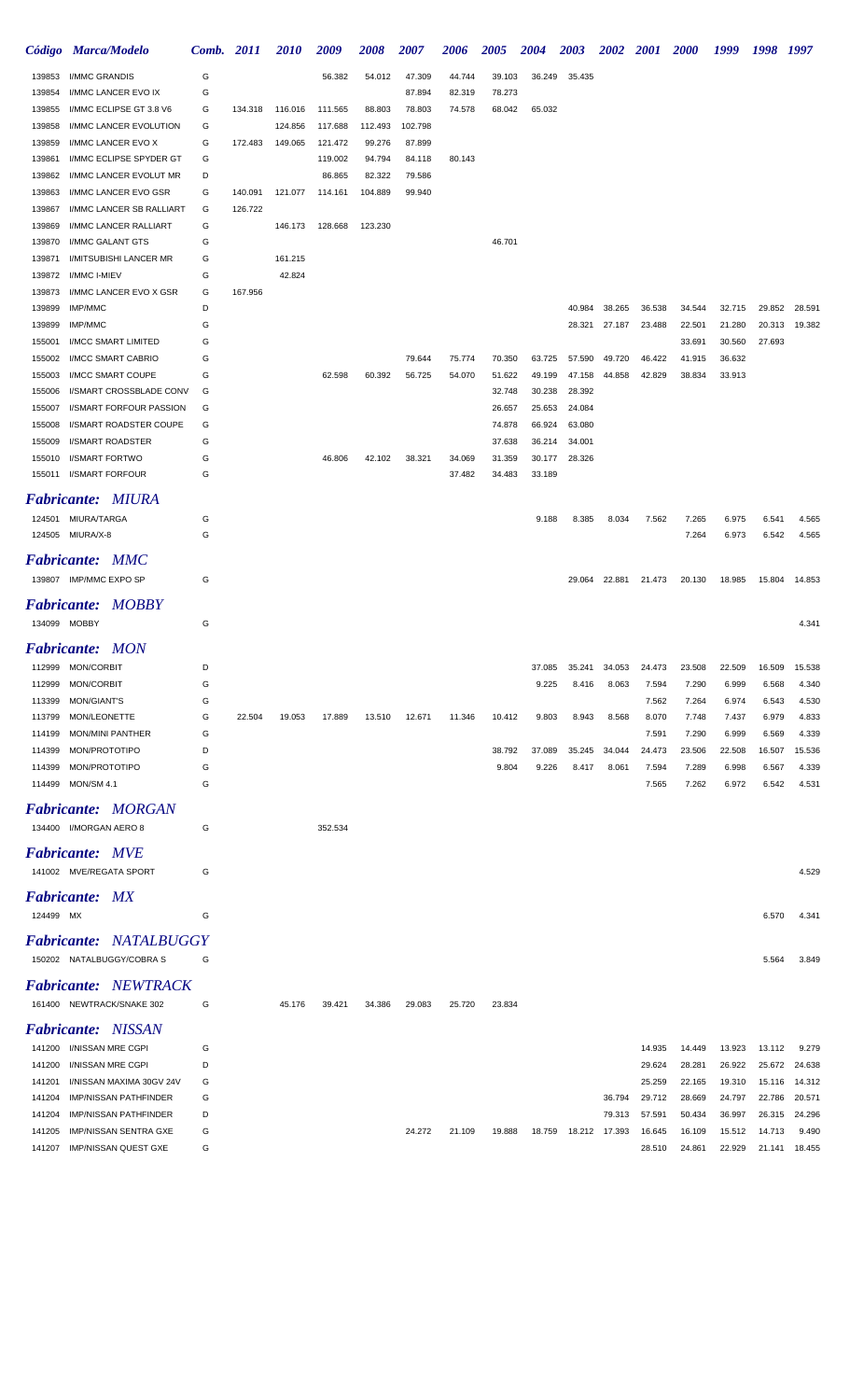|                           | Código Marca/Modelo                                          | Comb.  | <i>2011</i> | <b>2010</b> | 2009              | <b>2008</b>      | <b>2007</b>      | <b>2006</b>      | <b>2005</b>      | <b>2004</b>      | <b>2003</b>                 | <b>2002 2001</b> |                  | <b>2000</b>      | 1999                        | 1998 1997        |                  |
|---------------------------|--------------------------------------------------------------|--------|-------------|-------------|-------------------|------------------|------------------|------------------|------------------|------------------|-----------------------------|------------------|------------------|------------------|-----------------------------|------------------|------------------|
| 139853                    | I/MMC GRANDIS                                                | G      |             |             | 56.382            | 54.012           | 47.309           | 44.744           | 39.103           | 36.249           | 35.435                      |                  |                  |                  |                             |                  |                  |
| 139854                    | I/MMC LANCER EVO IX                                          | G      |             |             |                   |                  | 87.894           | 82.319           | 78.273           |                  |                             |                  |                  |                  |                             |                  |                  |
| 139855                    | I/MMC ECLIPSE GT 3.8 V6                                      | G      | 134.318     | 116.016     | 111.565           | 88.803           | 78.803           | 74.578           | 68.042           | 65.032           |                             |                  |                  |                  |                             |                  |                  |
| 139858                    | I/MMC LANCER EVOLUTION                                       | G      |             | 124.856     | 117.688           | 112.493          | 102.798          |                  |                  |                  |                             |                  |                  |                  |                             |                  |                  |
| 139859                    | I/MMC LANCER EVO X                                           | G      | 172.483     | 149.065     | 121.472           | 99.276           | 87.899           |                  |                  |                  |                             |                  |                  |                  |                             |                  |                  |
| 139861<br>139862          | I/MMC ECLIPSE SPYDER GT<br>I/MMC LANCER EVOLUT MR            | G<br>D |             |             | 119.002<br>86.865 | 94.794<br>82.322 | 84.118<br>79.586 | 80.143           |                  |                  |                             |                  |                  |                  |                             |                  |                  |
| 139863                    | I/MMC LANCER EVO GSR                                         | G      | 140.091     | 121.077     | 114.161           | 104.889          | 99.940           |                  |                  |                  |                             |                  |                  |                  |                             |                  |                  |
| 139867                    | I/MMC LANCER SB RALLIART                                     | G      | 126.722     |             |                   |                  |                  |                  |                  |                  |                             |                  |                  |                  |                             |                  |                  |
| 139869                    | I/MMC LANCER RALLIART                                        | G      |             | 146.173     | 128.668           | 123.230          |                  |                  |                  |                  |                             |                  |                  |                  |                             |                  |                  |
| 139870                    | I/MMC GALANT GTS                                             | G      |             |             |                   |                  |                  |                  | 46.701           |                  |                             |                  |                  |                  |                             |                  |                  |
| 139871                    | I/MITSUBISHI LANCER MR                                       | G      |             | 161.215     |                   |                  |                  |                  |                  |                  |                             |                  |                  |                  |                             |                  |                  |
| 139872                    | I/MMC I-MIEV                                                 | G      |             | 42.824      |                   |                  |                  |                  |                  |                  |                             |                  |                  |                  |                             |                  |                  |
| 139873                    | I/MMC LANCER EVO X GSR                                       | G      | 167.956     |             |                   |                  |                  |                  |                  |                  |                             |                  |                  |                  |                             |                  |                  |
| 139899                    | IMP/MMC                                                      | D      |             |             |                   |                  |                  |                  |                  |                  | 40.984                      | 38.265           | 36.538           | 34.544           | 32.715                      | 29.852           | 28.591           |
| 139899                    | IMP/MMC                                                      | G      |             |             |                   |                  |                  |                  |                  |                  | 28.321                      | 27.187           | 23.488           | 22.501           | 21.280                      | 20.313           | 19.382           |
| 155001                    | I/MCC SMART LIMITED                                          | G      |             |             |                   |                  |                  |                  |                  |                  |                             |                  |                  | 33.691           | 30.560                      | 27.693           |                  |
| 155002<br>155003          | I/MCC SMART CABRIO<br>I/MCC SMART COUPE                      | G<br>G |             |             | 62.598            | 60.392           | 79.644<br>56.725 | 75.774<br>54.070 | 70.350<br>51.622 | 63.725<br>49.199 | 57.590<br>47.158            | 49.720<br>44.858 | 46.422<br>42.829 | 41.915<br>38.834 | 36.632<br>33.913            |                  |                  |
| 155006                    | I/SMART CROSSBLADE CONV                                      | G      |             |             |                   |                  |                  |                  | 32.748           | 30.238           | 28.392                      |                  |                  |                  |                             |                  |                  |
| 155007                    | I/SMART FORFOUR PASSION                                      | G      |             |             |                   |                  |                  |                  | 26.657           | 25.653           | 24.084                      |                  |                  |                  |                             |                  |                  |
| 155008                    | I/SMART ROADSTER COUPE                                       | G      |             |             |                   |                  |                  |                  | 74.878           | 66.924           | 63.080                      |                  |                  |                  |                             |                  |                  |
| 155009                    | I/SMART ROADSTER                                             | G      |             |             |                   |                  |                  |                  | 37.638           | 36.214           | 34.001                      |                  |                  |                  |                             |                  |                  |
| 155010                    | I/SMART FORTWO                                               | G      |             |             | 46.806            | 42.102           | 38.321           | 34.069           | 31.359           | 30.177           | 28.326                      |                  |                  |                  |                             |                  |                  |
| 155011                    | I/SMART FORFOUR                                              | G      |             |             |                   |                  |                  | 37.482           | 34.483           | 33.189           |                             |                  |                  |                  |                             |                  |                  |
|                           | <b>Fabricante: MIURA</b>                                     |        |             |             |                   |                  |                  |                  |                  |                  |                             |                  |                  |                  |                             |                  |                  |
|                           | 124501 MIURA/TARGA                                           | G      |             |             |                   |                  |                  |                  |                  | 9.188            | 8.385                       | 8.034            | 7.562            | 7.265            | 6.975                       | 6.541            | 4.565            |
|                           | 124505 MIURA/X-8                                             | G      |             |             |                   |                  |                  |                  |                  |                  |                             |                  |                  | 7.264            | 6.973                       | 6.542            | 4.565            |
|                           |                                                              |        |             |             |                   |                  |                  |                  |                  |                  |                             |                  |                  |                  |                             |                  |                  |
|                           | <b>Fabricante: MMC</b>                                       |        |             |             |                   |                  |                  |                  |                  |                  |                             |                  |                  |                  |                             |                  |                  |
|                           | 139807 IMP/MMC EXPO SP                                       | G      |             |             |                   |                  |                  |                  |                  |                  |                             | 29.064 22.881    | 21.473           | 20.130           | 18.985                      | 15.804           | 14.853           |
| <i><b>Fabricante:</b></i> | <i>MOBBY</i>                                                 |        |             |             |                   |                  |                  |                  |                  |                  |                             |                  |                  |                  |                             |                  |                  |
| 134099 MOBBY              |                                                              | G      |             |             |                   |                  |                  |                  |                  |                  |                             |                  |                  |                  |                             |                  | 4.341            |
|                           | <b>Fabricante: MON</b>                                       |        |             |             |                   |                  |                  |                  |                  |                  |                             |                  |                  |                  |                             |                  |                  |
|                           | 112999 MON/CORBIT                                            | D      |             |             |                   |                  |                  |                  |                  |                  | 37.085 35.241 34.053 24.473 |                  |                  |                  | 23.508 22.509 16.509 15.538 |                  |                  |
| 112999                    | MON/CORBIT                                                   | G      |             |             |                   |                  |                  |                  |                  | 9.225            | 8.416                       | 8.063            | 7.594            | 7.290            | 6.999                       | 6.568            | 4.340            |
| 113399                    | MON/GIANT'S                                                  | G      |             |             |                   |                  |                  |                  |                  |                  |                             |                  | 7.562            | 7.264            | 6.974                       | 6.543            | 4.530            |
| 113799                    | MON/LEONETTE                                                 | G      | 22.504      | 19.053      | 17.889            | 13.510           | 12.671           | 11.346           | 10.412           | 9.803            | 8.943                       | 8.568            | 8.070            | 7.748            | 7.437                       | 6.979            | 4.833            |
| 114199                    | <b>MON/MINI PANTHER</b>                                      | G      |             |             |                   |                  |                  |                  |                  |                  |                             |                  | 7.591            | 7.290            | 6.999                       | 6.569            | 4.339            |
| 114399                    | MON/PROTOTIPO                                                | D      |             |             |                   |                  |                  |                  | 38.792           | 37.089           | 35.245                      | 34.044           | 24.473           | 23.506           | 22.508                      | 16.507           | 15.536           |
| 114399                    | MON/PROTOTIPO                                                | G      |             |             |                   |                  |                  |                  | 9.804            | 9.226            | 8.417                       | 8.061            | 7.594            | 7.289            | 6.998                       | 6.567            | 4.339            |
|                           | 114499 MON/SM 4.1                                            | G      |             |             |                   |                  |                  |                  |                  |                  |                             |                  | 7.565            | 7.262            | 6.972                       | 6.542            | 4.531            |
|                           | <b>Fabricante: MORGAN</b>                                    |        |             |             |                   |                  |                  |                  |                  |                  |                             |                  |                  |                  |                             |                  |                  |
|                           | 134400 I/MORGAN AERO 8                                       | G      |             |             | 352.534           |                  |                  |                  |                  |                  |                             |                  |                  |                  |                             |                  |                  |
|                           | <b>Fabricante: MVE</b>                                       |        |             |             |                   |                  |                  |                  |                  |                  |                             |                  |                  |                  |                             |                  |                  |
|                           | 141002 MVE/REGATA SPORT                                      | G      |             |             |                   |                  |                  |                  |                  |                  |                             |                  |                  |                  |                             |                  | 4.529            |
|                           |                                                              |        |             |             |                   |                  |                  |                  |                  |                  |                             |                  |                  |                  |                             |                  |                  |
| <i><b>Fabricante:</b></i> | MX                                                           |        |             |             |                   |                  |                  |                  |                  |                  |                             |                  |                  |                  |                             |                  |                  |
| 124499 MX                 |                                                              | G      |             |             |                   |                  |                  |                  |                  |                  |                             |                  |                  |                  |                             | 6.570            | 4.341            |
|                           | <b>Fabricante: NATALBUGGY</b>                                |        |             |             |                   |                  |                  |                  |                  |                  |                             |                  |                  |                  |                             |                  |                  |
|                           | 150202 NATALBUGGY/COBRA S                                    | G      |             |             |                   |                  |                  |                  |                  |                  |                             |                  |                  |                  |                             | 5.564            | 3.849            |
|                           | <b>Fabricante: NEWTRACK</b>                                  |        |             |             |                   |                  |                  |                  |                  |                  |                             |                  |                  |                  |                             |                  |                  |
|                           | 161400 NEWTRACK/SNAKE 302                                    | G      |             | 45.176      | 39.421            | 34.386           | 29.083           | 25.720           | 23.834           |                  |                             |                  |                  |                  |                             |                  |                  |
|                           |                                                              |        |             |             |                   |                  |                  |                  |                  |                  |                             |                  |                  |                  |                             |                  |                  |
|                           | <b>Fabricante: NISSAN</b>                                    |        |             |             |                   |                  |                  |                  |                  |                  |                             |                  |                  |                  |                             |                  |                  |
|                           | 141200 I/NISSAN MRE CGPI                                     | G      |             |             |                   |                  |                  |                  |                  |                  |                             |                  | 14.935           | 14.449           | 13.923                      | 13.112           | 9.279            |
| 141200                    | I/NISSAN MRE CGPI                                            | D      |             |             |                   |                  |                  |                  |                  |                  |                             |                  | 29.624           | 28.281           | 26.922                      | 25.672           | 24.638           |
| 141201                    | I/NISSAN MAXIMA 30GV 24V                                     | G      |             |             |                   |                  |                  |                  |                  |                  |                             |                  | 25.259           | 22.165           | 19.310                      | 15.116           | 14.312           |
| 141204<br>141204          | <b>IMP/NISSAN PATHFINDER</b><br><b>IMP/NISSAN PATHFINDER</b> | G<br>D |             |             |                   |                  |                  |                  |                  |                  |                             | 36.794<br>79.313 | 29.712<br>57.591 | 28.669<br>50.434 | 24.797<br>36.997            | 22.786<br>26.315 | 20.571<br>24.296 |
| 141205                    | IMP/NISSAN SENTRA GXE                                        | G      |             |             |                   |                  | 24.272           | 21.109           | 19.888           | 18.759           |                             | 18.212 17.393    | 16.645           | 16.109           | 15.512                      | 14.713           | 9.490            |
|                           | 141207 IMP/NISSAN QUEST GXE                                  | G      |             |             |                   |                  |                  |                  |                  |                  |                             |                  | 28.510           | 24.861           | 22.929                      |                  | 21.141 18.455    |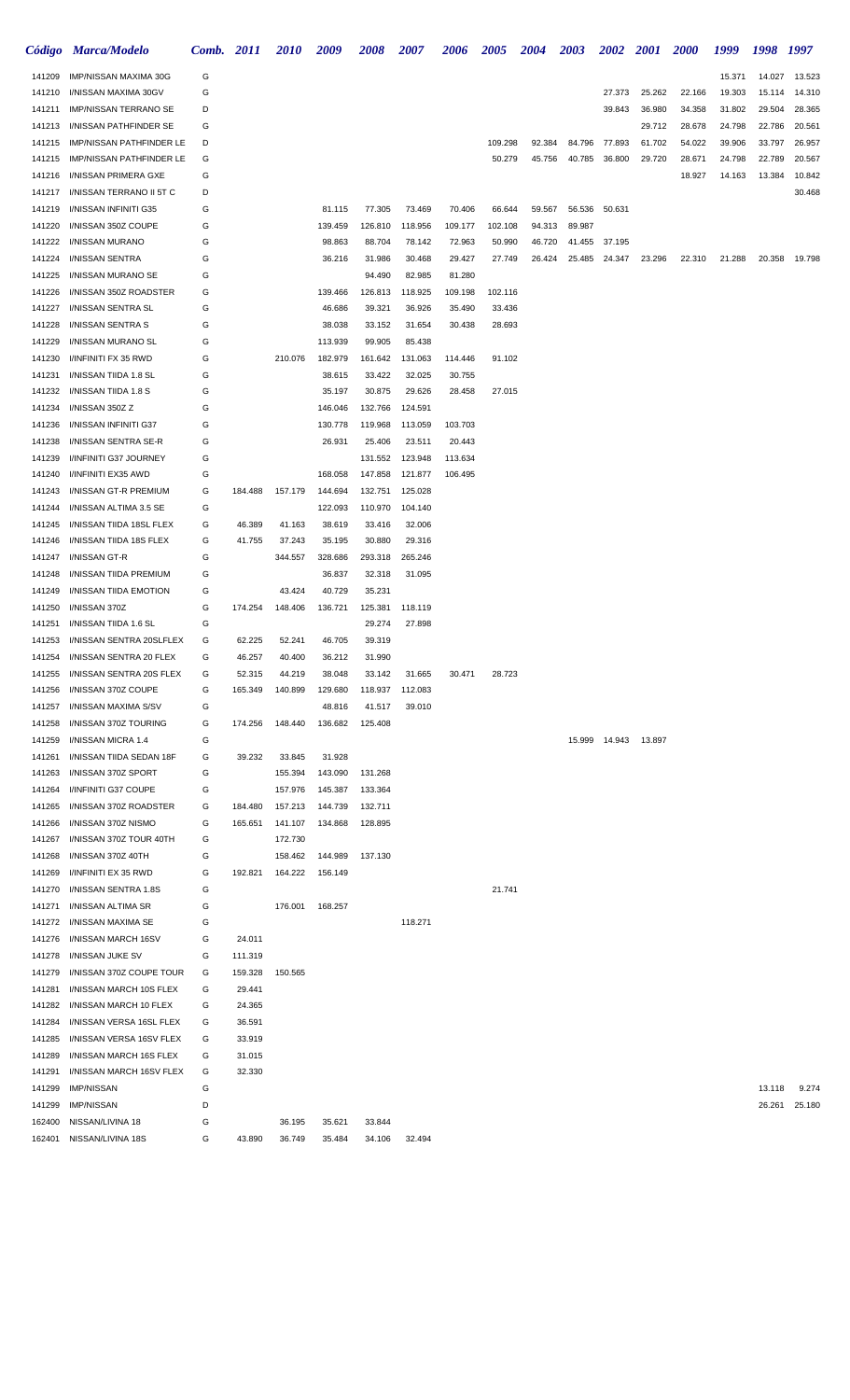|                  | Código Marca/Modelo                            | Comb. 2011 |         | <i>2010</i> | 2009              | <b>2008</b>       | 2007              | <b>2006</b>       | <b>2005</b>       | <b>2004</b>      | <b>2003</b>      | 2002 2001              |        | <b>2000</b> | 1999   | 1998 1997 |        |
|------------------|------------------------------------------------|------------|---------|-------------|-------------------|-------------------|-------------------|-------------------|-------------------|------------------|------------------|------------------------|--------|-------------|--------|-----------|--------|
| 141209           | IMP/NISSAN MAXIMA 30G                          | G          |         |             |                   |                   |                   |                   |                   |                  |                  |                        |        |             | 15.371 | 14.027    | 13.523 |
| 141210           | I/NISSAN MAXIMA 30GV                           | G          |         |             |                   |                   |                   |                   |                   |                  |                  | 27.373                 | 25.262 | 22.166      | 19.303 | 15.114    | 14.310 |
| 141211           | <b>IMP/NISSAN TERRANO SE</b>                   | D          |         |             |                   |                   |                   |                   |                   |                  |                  | 39.843                 | 36.980 | 34.358      | 31.802 | 29.504    | 28.365 |
| 141213           | I/NISSAN PATHFINDER SE                         | G          |         |             |                   |                   |                   |                   |                   |                  |                  |                        | 29.712 | 28.678      | 24.798 | 22.786    | 20.561 |
| 141215           | IMP/NISSAN PATHFINDER LE                       | D          |         |             |                   |                   |                   |                   | 109.298           | 92.384           | 84.796           | 77.893                 | 61.702 | 54.022      | 39.906 | 33.797    | 26.957 |
| 141215           | IMP/NISSAN PATHFINDER LE                       | G          |         |             |                   |                   |                   |                   | 50.279            | 45.756           | 40.785           | 36.800                 | 29.720 | 28.671      | 24.798 | 22.789    | 20.567 |
| 141216           | I/NISSAN PRIMERA GXE                           | G          |         |             |                   |                   |                   |                   |                   |                  |                  |                        |        | 18.927      | 14.163 | 13.384    | 10.842 |
| 141217           | I/NISSAN TERRANO II 5T C                       | D          |         |             |                   |                   |                   |                   |                   |                  |                  |                        |        |             |        |           | 30.468 |
| 141219<br>141220 | I/NISSAN INFINITI G35<br>I/NISSAN 350Z COUPE   | G<br>G     |         |             | 81.115<br>139.459 | 77.305<br>126.810 | 73.469<br>118.956 | 70.406<br>109.177 | 66.644<br>102.108 | 59.567<br>94.313 | 56.536<br>89.987 | 50.631                 |        |             |        |           |        |
| 141222           | I/NISSAN MURANO                                | G          |         |             | 98.863            | 88.704            | 78.142            | 72.963            | 50.990            | 46.720           | 41.455           | 37.195                 |        |             |        |           |        |
| 141224           | I/NISSAN SENTRA                                | G          |         |             | 36.216            | 31.986            | 30.468            | 29.427            | 27.749            | 26.424           | 25.485           | 24.347                 | 23.296 | 22.310      | 21.288 | 20.358    | 19.798 |
| 141225           | I/NISSAN MURANO SE                             | G          |         |             |                   | 94.490            | 82.985            | 81.280            |                   |                  |                  |                        |        |             |        |           |        |
| 141226           | I/NISSAN 350Z ROADSTER                         | G          |         |             | 139.466           | 126.813           | 118.925           | 109.198           | 102.116           |                  |                  |                        |        |             |        |           |        |
| 141227           | I/NISSAN SENTRA SL                             | G          |         |             | 46.686            | 39.321            | 36.926            | 35.490            | 33.436            |                  |                  |                        |        |             |        |           |        |
| 141228           | I/NISSAN SENTRA S                              | G          |         |             | 38.038            | 33.152            | 31.654            | 30.438            | 28.693            |                  |                  |                        |        |             |        |           |        |
| 141229           | I/NISSAN MURANO SL                             | G          |         |             | 113.939           | 99.905            | 85.438            |                   |                   |                  |                  |                        |        |             |        |           |        |
| 141230           | I/INFINITI FX 35 RWD                           | G          |         | 210.076     | 182.979           | 161.642           | 131.063           | 114.446           | 91.102            |                  |                  |                        |        |             |        |           |        |
| 141231           | I/NISSAN TIIDA 1.8 SL                          | G          |         |             | 38.615            | 33.422            | 32.025            | 30.755            |                   |                  |                  |                        |        |             |        |           |        |
| 141232           | I/NISSAN TIIDA 1.8 S                           | G          |         |             | 35.197            | 30.875            | 29.626            | 28.458            | 27.015            |                  |                  |                        |        |             |        |           |        |
| 141234           | I/NISSAN 350Z Z                                | G          |         |             | 146.046           | 132.766           | 124.591           |                   |                   |                  |                  |                        |        |             |        |           |        |
| 141236           | I/NISSAN INFINITI G37                          | G          |         |             | 130.778           | 119.968           | 113.059           | 103.703           |                   |                  |                  |                        |        |             |        |           |        |
| 141238<br>141239 | I/NISSAN SENTRA SE-R<br>I/INFINITI G37 JOURNEY | G<br>G     |         |             | 26.931            | 25.406<br>131.552 | 23.511<br>123.948 | 20.443<br>113.634 |                   |                  |                  |                        |        |             |        |           |        |
| 141240           | I/INFINITI EX35 AWD                            | G          |         |             | 168.058           | 147.858           | 121.877           | 106.495           |                   |                  |                  |                        |        |             |        |           |        |
| 141243           | I/NISSAN GT-R PREMIUM                          | G          | 184.488 | 157.179     | 144.694           | 132.751           | 125.028           |                   |                   |                  |                  |                        |        |             |        |           |        |
| 141244           | I/NISSAN ALTIMA 3.5 SE                         | G          |         |             | 122.093           | 110.970           | 104.140           |                   |                   |                  |                  |                        |        |             |        |           |        |
| 141245           | I/NISSAN TIIDA 18SL FLEX                       | G          | 46.389  | 41.163      | 38.619            | 33.416            | 32.006            |                   |                   |                  |                  |                        |        |             |        |           |        |
| 141246           | I/NISSAN TIIDA 18S FLEX                        | G          | 41.755  | 37.243      | 35.195            | 30.880            | 29.316            |                   |                   |                  |                  |                        |        |             |        |           |        |
| 141247           | I/NISSAN GT-R                                  | G          |         | 344.557     | 328.686           | 293.318           | 265.246           |                   |                   |                  |                  |                        |        |             |        |           |        |
| 141248           | I/NISSAN TIIDA PREMIUM                         | G          |         |             | 36.837            | 32.318            | 31.095            |                   |                   |                  |                  |                        |        |             |        |           |        |
| 141249           | I/NISSAN TIIDA EMOTION                         | G          |         | 43.424      | 40.729            | 35.231            |                   |                   |                   |                  |                  |                        |        |             |        |           |        |
| 141250           | I/NISSAN 370Z                                  | G          | 174.254 | 148.406     | 136.721           | 125.381           | 118.119           |                   |                   |                  |                  |                        |        |             |        |           |        |
| 141251           | I/NISSAN TIIDA 1.6 SL                          | G          |         |             |                   | 29.274            | 27.898            |                   |                   |                  |                  |                        |        |             |        |           |        |
| 141253           | I/NISSAN SENTRA 20SLFLEX                       | G          | 62.225  | 52.241      | 46.705            | 39.319            |                   |                   |                   |                  |                  |                        |        |             |        |           |        |
| 141254           | I/NISSAN SENTRA 20 FLEX                        | G          | 46.257  | 40.400      | 36.212            | 31.990            |                   |                   |                   |                  |                  |                        |        |             |        |           |        |
| 141255           | I/NISSAN SENTRA 20S FLEX                       | G          | 52.315  | 44.219      | 38.048            | 33.142            | 31.665            | 30.471            | 28.723            |                  |                  |                        |        |             |        |           |        |
| 141256           | I/NISSAN 370Z COUPE<br>I/NISSAN MAXIMA S/SV    | G<br>G     | 165.349 | 140.899     | 129.680           | 118.937           | 112.083           |                   |                   |                  |                  |                        |        |             |        |           |        |
| 141257<br>141258 | I/NISSAN 370Z TOURING                          | G          | 174.256 | 148.440     | 48.816<br>136.682 | 41.517<br>125.408 | 39.010            |                   |                   |                  |                  |                        |        |             |        |           |        |
| 141259           | I/NISSAN MICRA 1.4                             | G          |         |             |                   |                   |                   |                   |                   |                  |                  | 15.999  14.943  13.897 |        |             |        |           |        |
| 141261           | I/NISSAN TIIDA SEDAN 18F                       | G          | 39.232  | 33.845      | 31.928            |                   |                   |                   |                   |                  |                  |                        |        |             |        |           |        |
| 141263           | I/NISSAN 370Z SPORT                            | G          |         | 155.394     | 143.090           | 131.268           |                   |                   |                   |                  |                  |                        |        |             |        |           |        |
| 141264           | I/INFINITI G37 COUPE                           | G          |         | 157.976     | 145.387           | 133.364           |                   |                   |                   |                  |                  |                        |        |             |        |           |        |
| 141265           | I/NISSAN 370Z ROADSTER                         | G          | 184.480 | 157.213     | 144.739           | 132.711           |                   |                   |                   |                  |                  |                        |        |             |        |           |        |
| 141266           | I/NISSAN 370Z NISMO                            | G          | 165.651 | 141.107     | 134.868           | 128.895           |                   |                   |                   |                  |                  |                        |        |             |        |           |        |
| 141267           | I/NISSAN 370Z TOUR 40TH                        | G          |         | 172.730     |                   |                   |                   |                   |                   |                  |                  |                        |        |             |        |           |        |
| 141268           | I/NISSAN 370Z 40TH                             | G          |         | 158.462     | 144.989           | 137.130           |                   |                   |                   |                  |                  |                        |        |             |        |           |        |
| 141269           | I/INFINITI EX 35 RWD                           | G          | 192.821 | 164.222     | 156.149           |                   |                   |                   |                   |                  |                  |                        |        |             |        |           |        |
| 141270           | I/NISSAN SENTRA 1.8S                           | G          |         |             |                   |                   |                   |                   | 21.741            |                  |                  |                        |        |             |        |           |        |
| 141271           | I/NISSAN ALTIMA SR                             | G          |         | 176.001     | 168.257           |                   |                   |                   |                   |                  |                  |                        |        |             |        |           |        |
| 141272<br>141276 | I/NISSAN MAXIMA SE<br>I/NISSAN MARCH 16SV      | G<br>G     | 24.011  |             |                   |                   | 118.271           |                   |                   |                  |                  |                        |        |             |        |           |        |
| 141278           | I/NISSAN JUKE SV                               | G          | 111.319 |             |                   |                   |                   |                   |                   |                  |                  |                        |        |             |        |           |        |
| 141279           | I/NISSAN 370Z COUPE TOUR                       | G          | 159.328 | 150.565     |                   |                   |                   |                   |                   |                  |                  |                        |        |             |        |           |        |
| 141281           | I/NISSAN MARCH 10S FLEX                        | G          | 29.441  |             |                   |                   |                   |                   |                   |                  |                  |                        |        |             |        |           |        |
| 141282           | I/NISSAN MARCH 10 FLEX                         | G          | 24.365  |             |                   |                   |                   |                   |                   |                  |                  |                        |        |             |        |           |        |
| 141284           | I/NISSAN VERSA 16SL FLEX                       | G          | 36.591  |             |                   |                   |                   |                   |                   |                  |                  |                        |        |             |        |           |        |
| 141285           | I/NISSAN VERSA 16SV FLEX                       | G          | 33.919  |             |                   |                   |                   |                   |                   |                  |                  |                        |        |             |        |           |        |
| 141289           | I/NISSAN MARCH 16S FLEX                        | G          | 31.015  |             |                   |                   |                   |                   |                   |                  |                  |                        |        |             |        |           |        |
| 141291           | I/NISSAN MARCH 16SV FLEX                       | G          | 32.330  |             |                   |                   |                   |                   |                   |                  |                  |                        |        |             |        |           |        |
| 141299           | <b>IMP/NISSAN</b>                              | G          |         |             |                   |                   |                   |                   |                   |                  |                  |                        |        |             |        | 13.118    | 9.274  |
| 141299           | <b>IMP/NISSAN</b>                              | D          |         |             |                   |                   |                   |                   |                   |                  |                  |                        |        |             |        | 26.261    | 25.180 |
| 162400           | NISSAN/LIVINA 18                               | G          |         | 36.195      | 35.621            | 33.844            |                   |                   |                   |                  |                  |                        |        |             |        |           |        |
| 162401           | NISSAN/LIVINA 18S                              | G          | 43.890  | 36.749      | 35.484            | 34.106            | 32.494            |                   |                   |                  |                  |                        |        |             |        |           |        |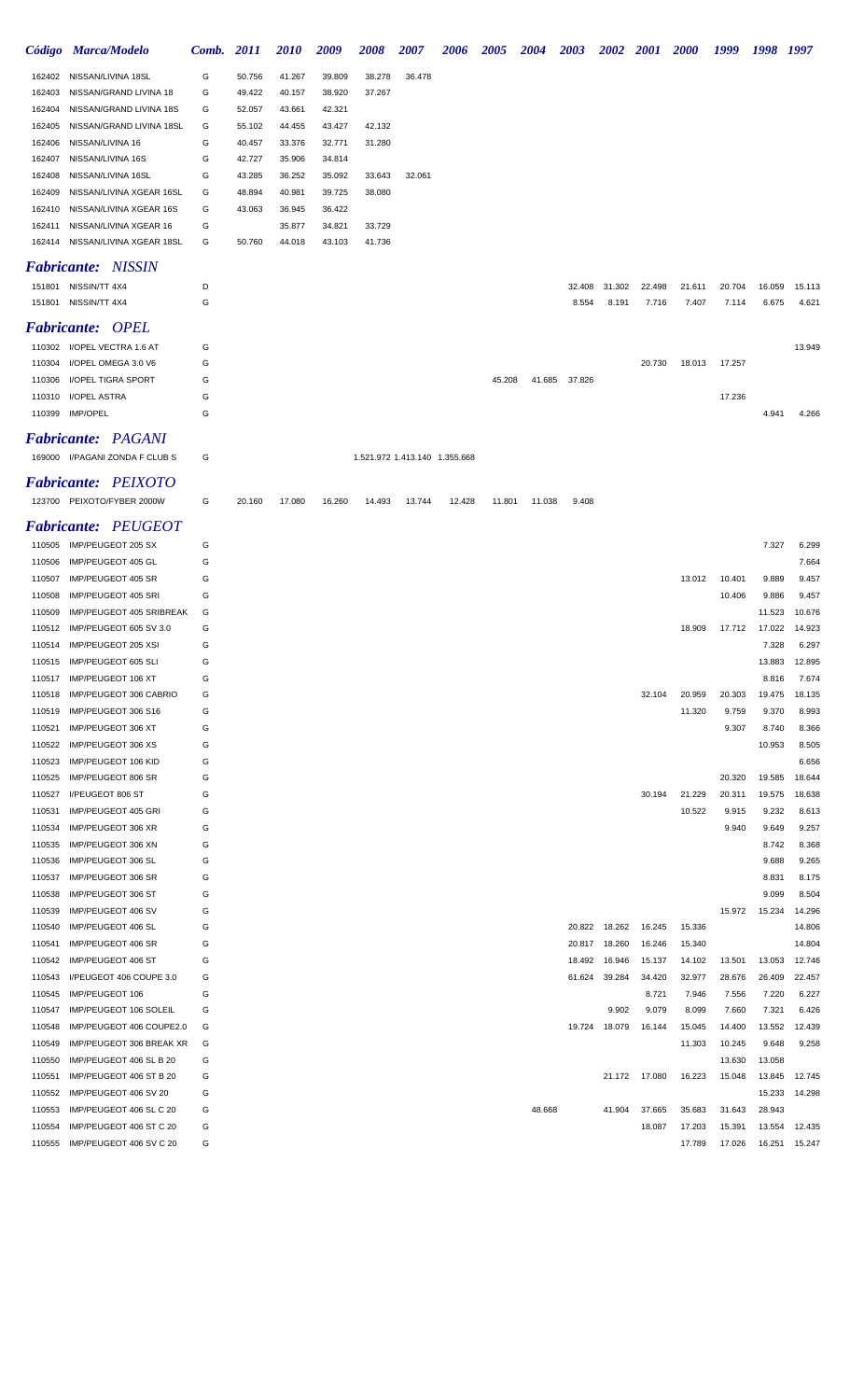|                  | Código Marca/Modelo                                 | Comb.  | 2011             | 2010             | 2009             | 2008   | 2007                          | 2006   | <i><b>2005</b></i> | 2004   | <b>2003</b> | 2002          | <i>2001</i>   | <i><b>2000</b></i> | 1999             | 1998             | 1997           |
|------------------|-----------------------------------------------------|--------|------------------|------------------|------------------|--------|-------------------------------|--------|--------------------|--------|-------------|---------------|---------------|--------------------|------------------|------------------|----------------|
| 162402           | NISSAN/LIVINA 18SL                                  | G      | 50.756           | 41.267           | 39.809           | 38.278 | 36.478                        |        |                    |        |             |               |               |                    |                  |                  |                |
| 162403           | NISSAN/GRAND LIVINA 18                              | G      | 49.422           | 40.157           | 38.920           | 37.267 |                               |        |                    |        |             |               |               |                    |                  |                  |                |
| 162404           | NISSAN/GRAND LIVINA 18S                             | G      | 52.057           | 43.661           | 42.321           |        |                               |        |                    |        |             |               |               |                    |                  |                  |                |
| 162405           | NISSAN/GRAND LIVINA 18SL                            | G      | 55.102           | 44.455           | 43.427           | 42.132 |                               |        |                    |        |             |               |               |                    |                  |                  |                |
| 162406           | NISSAN/LIVINA 16                                    | G      | 40.457           | 33.376           | 32.771           | 31.280 |                               |        |                    |        |             |               |               |                    |                  |                  |                |
| 162407           | NISSAN/LIVINA 16S                                   | G      | 42.727           | 35.906           | 34.814           |        |                               |        |                    |        |             |               |               |                    |                  |                  |                |
| 162408           | NISSAN/LIVINA 16SL                                  | G<br>G | 43.285           | 36.252           | 35.092           | 33.643 | 32.061                        |        |                    |        |             |               |               |                    |                  |                  |                |
| 162409<br>162410 | NISSAN/LIVINA XGEAR 16SL<br>NISSAN/LIVINA XGEAR 16S | G      | 48.894<br>43.063 | 40.981<br>36.945 | 39.725<br>36.422 | 38.080 |                               |        |                    |        |             |               |               |                    |                  |                  |                |
| 162411           | NISSAN/LIVINA XGEAR 16                              | G      |                  | 35.877           | 34.821           | 33.729 |                               |        |                    |        |             |               |               |                    |                  |                  |                |
| 162414           | NISSAN/LIVINA XGEAR 18SL                            | G      | 50.760           | 44.018           | 43.103           | 41.736 |                               |        |                    |        |             |               |               |                    |                  |                  |                |
|                  |                                                     |        |                  |                  |                  |        |                               |        |                    |        |             |               |               |                    |                  |                  |                |
|                  | <b>Fabricante: NISSIN</b>                           |        |                  |                  |                  |        |                               |        |                    |        |             |               |               |                    |                  |                  |                |
|                  | 151801 NISSIN/TT 4X4                                | D      |                  |                  |                  |        |                               |        |                    |        | 32.408      | 31.302        | 22.498        | 21.611             | 20.704           | 16.059           | 15.113         |
|                  | 151801 NISSIN/TT 4X4                                | G      |                  |                  |                  |        |                               |        |                    |        | 8.554       | 8.191         | 7.716         | 7.407              | 7.114            | 6.675            | 4.621          |
|                  | <b>Fabricante: OPEL</b>                             |        |                  |                  |                  |        |                               |        |                    |        |             |               |               |                    |                  |                  |                |
| 110302           | I/OPEL VECTRA 1.6 AT                                | G      |                  |                  |                  |        |                               |        |                    |        |             |               |               |                    |                  |                  | 13.949         |
| 110304           | I/OPEL OMEGA 3.0 V6                                 | G      |                  |                  |                  |        |                               |        |                    |        |             |               | 20.730        | 18.013             | 17.257           |                  |                |
| 110306           | I/OPEL TIGRA SPORT                                  | G      |                  |                  |                  |        |                               |        | 45.208             | 41.685 | 37.826      |               |               |                    |                  |                  |                |
| 110310           | I/OPEL ASTRA                                        | G      |                  |                  |                  |        |                               |        |                    |        |             |               |               |                    | 17.236           |                  |                |
| 110399           | IMP/OPEL                                            | G      |                  |                  |                  |        |                               |        |                    |        |             |               |               |                    |                  | 4.941            | 4.266          |
|                  | <b>Fabricante: PAGANI</b>                           |        |                  |                  |                  |        |                               |        |                    |        |             |               |               |                    |                  |                  |                |
|                  | 169000 I/PAGANI ZONDA F CLUB S                      | G      |                  |                  |                  |        | 1.521.972 1.413.140 1.355.668 |        |                    |        |             |               |               |                    |                  |                  |                |
|                  | <b>Fabricante: PEIXOTO</b>                          |        |                  |                  |                  |        |                               |        |                    |        |             |               |               |                    |                  |                  |                |
|                  | 123700 PEIXOTO/FYBER 2000W                          | G      | 20.160           | 17.080           | 16.260           | 14.493 | 13.744                        | 12.428 | 11.801             | 11.038 | 9.408       |               |               |                    |                  |                  |                |
|                  |                                                     |        |                  |                  |                  |        |                               |        |                    |        |             |               |               |                    |                  |                  |                |
|                  | <b>Fabricante: PEUGEOT</b>                          |        |                  |                  |                  |        |                               |        |                    |        |             |               |               |                    |                  |                  |                |
| 110505           | IMP/PEUGEOT 205 SX                                  | G      |                  |                  |                  |        |                               |        |                    |        |             |               |               |                    |                  | 7.327            | 6.299          |
| 110506           | IMP/PEUGEOT 405 GL<br>IMP/PEUGEOT 405 SR            | G<br>G |                  |                  |                  |        |                               |        |                    |        |             |               |               | 13.012             |                  |                  | 7.664<br>9.457 |
| 110507<br>110508 | IMP/PEUGEOT 405 SRI                                 | G      |                  |                  |                  |        |                               |        |                    |        |             |               |               |                    | 10.401<br>10.406 | 9.889<br>9.886   | 9.457          |
| 110509           | IMP/PEUGEOT 405 SRIBREAK                            | G      |                  |                  |                  |        |                               |        |                    |        |             |               |               |                    |                  | 11.523           | 10.676         |
| 110512           | IMP/PEUGEOT 605 SV 3.0                              | G      |                  |                  |                  |        |                               |        |                    |        |             |               |               | 18.909             | 17.712           | 17.022           | 14.923         |
| 110514           | IMP/PEUGEOT 205 XSI                                 | G      |                  |                  |                  |        |                               |        |                    |        |             |               |               |                    |                  | 7.328            | 6.297          |
| 110515           | IMP/PEUGEOT 605 SLI                                 | G      |                  |                  |                  |        |                               |        |                    |        |             |               |               |                    |                  | 13.883           | 12.895         |
| 110517           | IMP/PEUGEOT 106 XT                                  | G      |                  |                  |                  |        |                               |        |                    |        |             |               |               |                    |                  | 8.816            | 7.674          |
| 110518           | IMP/PEUGEOT 306 CABRIO                              | G      |                  |                  |                  |        |                               |        |                    |        |             |               | 32.104        | 20.959             | 20.303           | 19.475           | 18.135         |
| 110519           | IMP/PEUGEOT 306 S16                                 | G      |                  |                  |                  |        |                               |        |                    |        |             |               |               | 11.320             | 9.759            | 9.370            | 8.993          |
| 110521           | IMP/PEUGEOT 306 XT                                  | G      |                  |                  |                  |        |                               |        |                    |        |             |               |               |                    | 9.307            | 8.740            | 8.366          |
| 110522           | IMP/PEUGEOT 306 XS                                  | G      |                  |                  |                  |        |                               |        |                    |        |             |               |               |                    |                  | 10.953           | 8.505          |
| 110523           | IMP/PEUGEOT 106 KID                                 | G      |                  |                  |                  |        |                               |        |                    |        |             |               |               |                    |                  |                  | 6.656          |
| 110525           | IMP/PEUGEOT 806 SR                                  | G      |                  |                  |                  |        |                               |        |                    |        |             |               |               |                    | 20.320           | 19.585           | 18.644         |
| 110527           | I/PEUGEOT 806 ST                                    | G      |                  |                  |                  |        |                               |        |                    |        |             |               | 30.194        | 21.229             | 20.311           | 19.575           | 18.638         |
| 110531<br>110534 | IMP/PEUGEOT 405 GRI<br>IMP/PEUGEOT 306 XR           | G<br>G |                  |                  |                  |        |                               |        |                    |        |             |               |               | 10.522             | 9.915<br>9.940   | 9.232<br>9.649   | 8.613<br>9.257 |
| 110535           | IMP/PEUGEOT 306 XN                                  | G      |                  |                  |                  |        |                               |        |                    |        |             |               |               |                    |                  | 8.742            | 8.368          |
| 110536           | IMP/PEUGEOT 306 SL                                  | G      |                  |                  |                  |        |                               |        |                    |        |             |               |               |                    |                  | 9.688            | 9.265          |
| 110537           | IMP/PEUGEOT 306 SR                                  | G      |                  |                  |                  |        |                               |        |                    |        |             |               |               |                    |                  | 8.831            | 8.175          |
| 110538           | IMP/PEUGEOT 306 ST                                  | G      |                  |                  |                  |        |                               |        |                    |        |             |               |               |                    |                  | 9.099            | 8.504          |
| 110539           | IMP/PEUGEOT 406 SV                                  | G      |                  |                  |                  |        |                               |        |                    |        |             |               |               |                    | 15.972           | 15.234           | 14.296         |
| 110540           | IMP/PEUGEOT 406 SL                                  | G      |                  |                  |                  |        |                               |        |                    |        |             | 20.822 18.262 | 16.245        | 15.336             |                  |                  | 14.806         |
| 110541           | IMP/PEUGEOT 406 SR                                  | G      |                  |                  |                  |        |                               |        |                    |        | 20.817      | 18.260        | 16.246        | 15.340             |                  |                  | 14.804         |
| 110542           | IMP/PEUGEOT 406 ST                                  | G      |                  |                  |                  |        |                               |        |                    |        | 18.492      | 16.946        | 15.137        | 14.102             | 13.501           | 13.053           | 12.746         |
| 110543           | I/PEUGEOT 406 COUPE 3.0                             | G      |                  |                  |                  |        |                               |        |                    |        | 61.624      | 39.284        | 34.420        | 32.977             | 28.676           | 26.409           | 22.457         |
| 110545           | IMP/PEUGEOT 106                                     | G      |                  |                  |                  |        |                               |        |                    |        |             |               | 8.721         | 7.946              | 7.556            | 7.220            | 6.227          |
| 110547           | IMP/PEUGEOT 106 SOLEIL                              | G      |                  |                  |                  |        |                               |        |                    |        |             | 9.902         | 9.079         | 8.099              | 7.660            | 7.321            | 6.426          |
| 110548           | IMP/PEUGEOT 406 COUPE2.0                            | G      |                  |                  |                  |        |                               |        |                    |        | 19.724      | 18.079        | 16.144        | 15.045             | 14.400           | 13.552           | 12.439         |
| 110549           | IMP/PEUGEOT 306 BREAK XR                            | G      |                  |                  |                  |        |                               |        |                    |        |             |               |               | 11.303             | 10.245           | 9.648            | 9.258          |
| 110550<br>110551 | IMP/PEUGEOT 406 SL B 20<br>IMP/PEUGEOT 406 ST B 20  | G<br>G |                  |                  |                  |        |                               |        |                    |        |             |               | 21.172 17.080 | 16.223             | 13.630<br>15.048 | 13.058<br>13.845 | 12.745         |
| 110552           | IMP/PEUGEOT 406 SV 20                               | G      |                  |                  |                  |        |                               |        |                    |        |             |               |               |                    |                  | 15.233           | 14.298         |
| 110553           | IMP/PEUGEOT 406 SL C 20                             | G      |                  |                  |                  |        |                               |        |                    | 48.668 |             | 41.904        | 37.665        | 35.683             | 31.643           | 28.943           |                |
| 110554           | IMP/PEUGEOT 406 ST C 20                             | G      |                  |                  |                  |        |                               |        |                    |        |             |               | 18.087        | 17.203             | 15.391           | 13.554           | 12.435         |
|                  | 110555 IMP/PEUGEOT 406 SV C 20                      | G      |                  |                  |                  |        |                               |        |                    |        |             |               |               | 17.789             | 17.026           | 16.251           | 15.247         |
|                  |                                                     |        |                  |                  |                  |        |                               |        |                    |        |             |               |               |                    |                  |                  |                |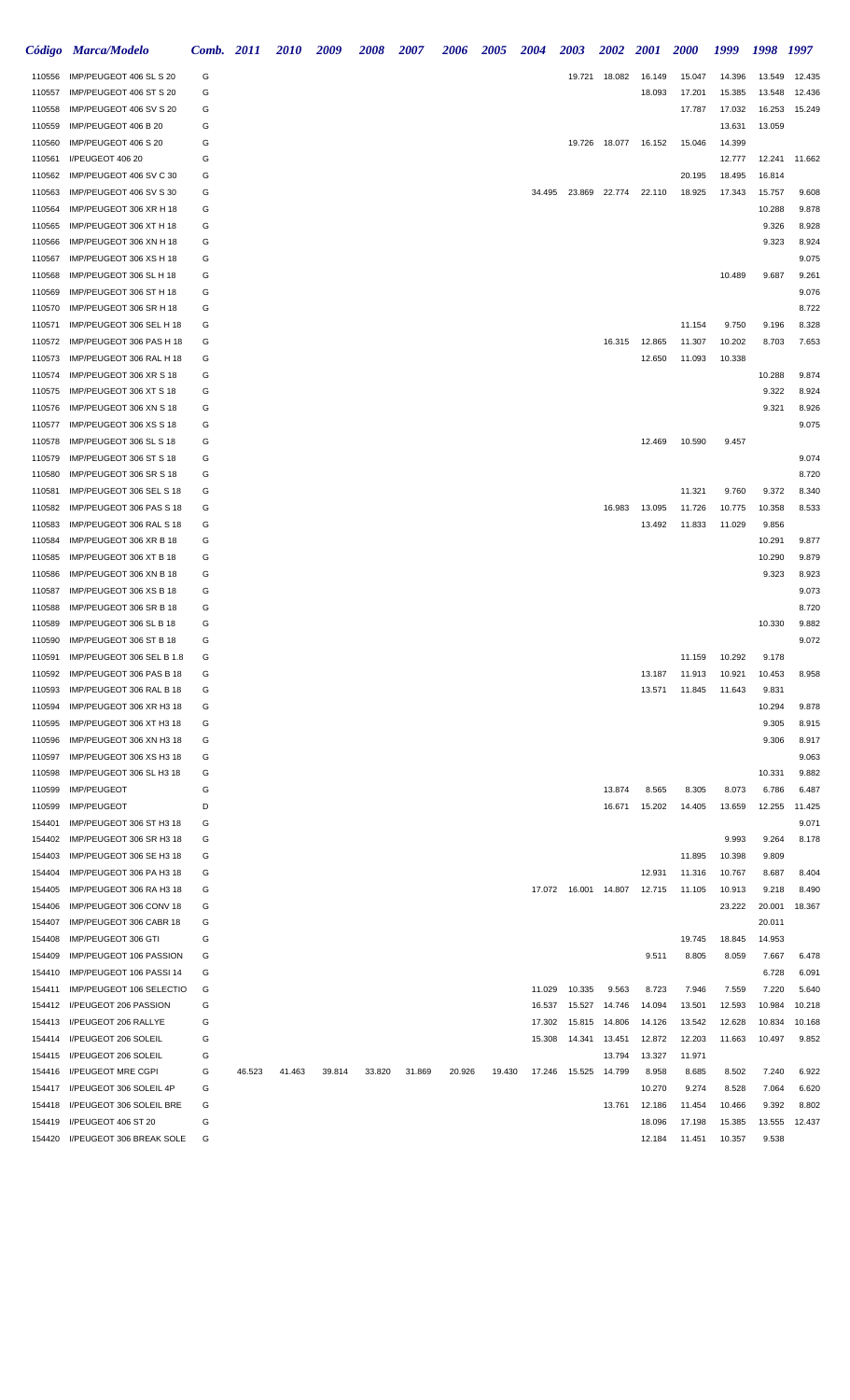|                  | Código Marca/Modelo                                | <b>Comb.</b> 2011 |        | <b>2010</b> | 2009   | <b>2008</b> | 2007   | <b>2006</b> | <b>2005</b> | <b>2004</b> | 2003                   | <b>2002</b>      | <b>2001</b>     | <b>2000</b>     | 1999            | 1998 1997       |                 |
|------------------|----------------------------------------------------|-------------------|--------|-------------|--------|-------------|--------|-------------|-------------|-------------|------------------------|------------------|-----------------|-----------------|-----------------|-----------------|-----------------|
| 110556           | IMP/PEUGEOT 406 SL S 20                            | G                 |        |             |        |             |        |             |             |             | 19.721                 | 18.082           | 16.149          | 15.047          | 14.396          | 13.549          | 12.435          |
| 110557           | IMP/PEUGEOT 406 ST S 20                            | G                 |        |             |        |             |        |             |             |             |                        |                  | 18.093          | 17.201          | 15.385          | 13.548          | 12.436          |
| 110558           | IMP/PEUGEOT 406 SV S 20                            | G                 |        |             |        |             |        |             |             |             |                        |                  |                 | 17.787          | 17.032          | 16.253          | 15.249          |
| 110559           | IMP/PEUGEOT 406 B 20                               | G                 |        |             |        |             |        |             |             |             |                        |                  |                 |                 | 13.631          | 13.059          |                 |
| 110560           | IMP/PEUGEOT 406 S 20                               | G                 |        |             |        |             |        |             |             |             |                        | 19.726 18.077    | 16.152          | 15.046          | 14.399          |                 |                 |
| 110561           | I/PEUGEOT 406 20                                   | G                 |        |             |        |             |        |             |             |             |                        |                  |                 |                 | 12.777          | 12.241          | 11.662          |
| 110562           | IMP/PEUGEOT 406 SV C 30                            | G                 |        |             |        |             |        |             |             |             |                        |                  |                 | 20.195          | 18.495          | 16.814          |                 |
| 110563           | IMP/PEUGEOT 406 SV S 30                            | G                 |        |             |        |             |        |             |             | 34.495      | 23.869                 | 22.774           | 22.110          | 18.925          | 17.343          | 15.757          | 9.608           |
| 110564           | IMP/PEUGEOT 306 XR H 18                            | G                 |        |             |        |             |        |             |             |             |                        |                  |                 |                 |                 | 10.288          | 9.878           |
| 110565           | IMP/PEUGEOT 306 XT H 18                            | G                 |        |             |        |             |        |             |             |             |                        |                  |                 |                 |                 | 9.326           | 8.928           |
| 110566           | IMP/PEUGEOT 306 XN H 18                            | G                 |        |             |        |             |        |             |             |             |                        |                  |                 |                 |                 | 9.323           | 8.924           |
| 110567           | IMP/PEUGEOT 306 XS H 18                            | G                 |        |             |        |             |        |             |             |             |                        |                  |                 |                 |                 |                 | 9.075           |
| 110568           | IMP/PEUGEOT 306 SL H 18                            | G                 |        |             |        |             |        |             |             |             |                        |                  |                 |                 | 10.489          | 9.687           | 9.261           |
| 110569<br>110570 | IMP/PEUGEOT 306 ST H 18<br>IMP/PEUGEOT 306 SR H 18 | G<br>G            |        |             |        |             |        |             |             |             |                        |                  |                 |                 |                 |                 | 9.076<br>8.722  |
| 110571           | IMP/PEUGEOT 306 SEL H 18                           | G                 |        |             |        |             |        |             |             |             |                        |                  |                 | 11.154          | 9.750           | 9.196           | 8.328           |
| 110572           | IMP/PEUGEOT 306 PAS H 18                           | G                 |        |             |        |             |        |             |             |             |                        | 16.315           | 12.865          | 11.307          | 10.202          | 8.703           | 7.653           |
| 110573           | IMP/PEUGEOT 306 RAL H 18                           | G                 |        |             |        |             |        |             |             |             |                        |                  | 12.650          | 11.093          | 10.338          |                 |                 |
| 110574           | IMP/PEUGEOT 306 XR S 18                            | G                 |        |             |        |             |        |             |             |             |                        |                  |                 |                 |                 | 10.288          | 9.874           |
| 110575           | IMP/PEUGEOT 306 XT S 18                            | G                 |        |             |        |             |        |             |             |             |                        |                  |                 |                 |                 | 9.322           | 8.924           |
| 110576           | IMP/PEUGEOT 306 XN S 18                            | G                 |        |             |        |             |        |             |             |             |                        |                  |                 |                 |                 | 9.321           | 8.926           |
| 110577           | IMP/PEUGEOT 306 XS S 18                            | G                 |        |             |        |             |        |             |             |             |                        |                  |                 |                 |                 |                 | 9.075           |
| 110578           | IMP/PEUGEOT 306 SL S 18                            | G                 |        |             |        |             |        |             |             |             |                        |                  | 12.469          | 10.590          | 9.457           |                 |                 |
| 110579           | IMP/PEUGEOT 306 ST S 18                            | G                 |        |             |        |             |        |             |             |             |                        |                  |                 |                 |                 |                 | 9.074           |
| 110580           | IMP/PEUGEOT 306 SR S 18                            | G                 |        |             |        |             |        |             |             |             |                        |                  |                 |                 |                 |                 | 8.720           |
| 110581           | IMP/PEUGEOT 306 SEL S 18                           | G                 |        |             |        |             |        |             |             |             |                        |                  |                 | 11.321          | 9.760           | 9.372           | 8.340           |
| 110582           | IMP/PEUGEOT 306 PAS S 18                           | G                 |        |             |        |             |        |             |             |             |                        | 16.983           | 13.095          | 11.726          | 10.775          | 10.358          | 8.533           |
| 110583           | IMP/PEUGEOT 306 RAL S 18                           | G                 |        |             |        |             |        |             |             |             |                        |                  | 13.492          | 11.833          | 11.029          | 9.856           |                 |
| 110584           | IMP/PEUGEOT 306 XR B 18                            | G                 |        |             |        |             |        |             |             |             |                        |                  |                 |                 |                 | 10.291          | 9.877           |
| 110585           | IMP/PEUGEOT 306 XT B 18                            | G                 |        |             |        |             |        |             |             |             |                        |                  |                 |                 |                 | 10.290          | 9.879           |
| 110586           | IMP/PEUGEOT 306 XN B 18                            | G                 |        |             |        |             |        |             |             |             |                        |                  |                 |                 |                 | 9.323           | 8.923           |
| 110587           | IMP/PEUGEOT 306 XS B 18                            | G                 |        |             |        |             |        |             |             |             |                        |                  |                 |                 |                 |                 | 9.073           |
| 110588           | IMP/PEUGEOT 306 SR B 18                            | G                 |        |             |        |             |        |             |             |             |                        |                  |                 |                 |                 |                 | 8.720           |
| 110589           | IMP/PEUGEOT 306 SL B 18                            | G                 |        |             |        |             |        |             |             |             |                        |                  |                 |                 |                 | 10.330          | 9.882           |
| 110590           | IMP/PEUGEOT 306 ST B 18                            | G                 |        |             |        |             |        |             |             |             |                        |                  |                 |                 |                 |                 | 9.072           |
| 110591           | IMP/PEUGEOT 306 SEL B 1.8                          | G                 |        |             |        |             |        |             |             |             |                        |                  |                 | 11.159          | 10.292          | 9.178           |                 |
| 110592           | IMP/PEUGEOT 306 PAS B 18                           | G                 |        |             |        |             |        |             |             |             |                        |                  | 13.187          | 11.913          | 10.921          | 10.453          | 8.958           |
| 110593           | IMP/PEUGEOT 306 RAL B 18                           | G                 |        |             |        |             |        |             |             |             |                        |                  | 13.571          | 11.845          | 11.643          | 9.831           |                 |
| 110594           | IMP/PEUGEOT 306 XR H3 18                           | G                 |        |             |        |             |        |             |             |             |                        |                  |                 |                 |                 | 10.294          | 9.878           |
| 110595           | IMP/PEUGEOT 306 XT H3 18                           | G                 |        |             |        |             |        |             |             |             |                        |                  |                 |                 |                 | 9.305           | 8.915           |
| 110596           | IMP/PEUGEOT 306 XN H3 18                           | G                 |        |             |        |             |        |             |             |             |                        |                  |                 |                 |                 | 9.306           | 8.917           |
| 110597           | IMP/PEUGEOT 306 XS H3 18                           | G                 |        |             |        |             |        |             |             |             |                        |                  |                 |                 |                 |                 | 9.063           |
| 110598           | IMP/PEUGEOT 306 SL H3 18                           | G<br>G            |        |             |        |             |        |             |             |             |                        |                  |                 |                 |                 | 10.331          | 9.882           |
| 110599<br>110599 | <b>IMP/PEUGEOT</b><br><b>IMP/PEUGEOT</b>           | D                 |        |             |        |             |        |             |             |             |                        | 13.874<br>16.671 | 8.565<br>15.202 | 8.305<br>14.405 | 8.073<br>13.659 | 6.786<br>12.255 | 6.487<br>11.425 |
| 154401           | IMP/PEUGEOT 306 ST H3 18                           | G                 |        |             |        |             |        |             |             |             |                        |                  |                 |                 |                 |                 | 9.071           |
| 154402           | IMP/PEUGEOT 306 SR H3 18                           | G                 |        |             |        |             |        |             |             |             |                        |                  |                 |                 | 9.993           | 9.264           | 8.178           |
| 154403           | IMP/PEUGEOT 306 SE H3 18                           | G                 |        |             |        |             |        |             |             |             |                        |                  |                 | 11.895          | 10.398          | 9.809           |                 |
| 154404           | IMP/PEUGEOT 306 PA H3 18                           | G                 |        |             |        |             |        |             |             |             |                        |                  | 12.931          | 11.316          | 10.767          | 8.687           | 8.404           |
| 154405           | IMP/PEUGEOT 306 RA H3 18                           | G                 |        |             |        |             |        |             |             |             | 17.072  16.001  14.807 |                  | 12.715          | 11.105          | 10.913          | 9.218           | 8.490           |
| 154406           | IMP/PEUGEOT 306 CONV 18                            | G                 |        |             |        |             |        |             |             |             |                        |                  |                 |                 | 23.222          | 20.001          | 18.367          |
| 154407           | IMP/PEUGEOT 306 CABR 18                            | G                 |        |             |        |             |        |             |             |             |                        |                  |                 |                 |                 | 20.011          |                 |
| 154408           | IMP/PEUGEOT 306 GTI                                | G                 |        |             |        |             |        |             |             |             |                        |                  |                 | 19.745          | 18.845          | 14.953          |                 |
| 154409           | IMP/PEUGEOT 106 PASSION                            | G                 |        |             |        |             |        |             |             |             |                        |                  | 9.511           | 8.805           | 8.059           | 7.667           | 6.478           |
| 154410           | IMP/PEUGEOT 106 PASSI 14                           | G                 |        |             |        |             |        |             |             |             |                        |                  |                 |                 |                 | 6.728           | 6.091           |
| 154411           | IMP/PEUGEOT 106 SELECTIO                           | G                 |        |             |        |             |        |             |             | 11.029      | 10.335                 | 9.563            | 8.723           | 7.946           | 7.559           | 7.220           | 5.640           |
| 154412           | I/PEUGEOT 206 PASSION                              | G                 |        |             |        |             |        |             |             | 16.537      | 15.527                 | 14.746           | 14.094          | 13.501          | 12.593          | 10.984          | 10.218          |
| 154413           | I/PEUGEOT 206 RALLYE                               | G                 |        |             |        |             |        |             |             | 17.302      | 15.815                 | 14.806           | 14.126          | 13.542          | 12.628          | 10.834          | 10.168          |
| 154414           | I/PEUGEOT 206 SOLEIL                               | G                 |        |             |        |             |        |             |             | 15.308      | 14.341                 | 13.451           | 12.872          | 12.203          | 11.663          | 10.497          | 9.852           |
| 154415           | I/PEUGEOT 206 SOLEIL                               | G                 |        |             |        |             |        |             |             |             |                        | 13.794           | 13.327          | 11.971          |                 |                 |                 |
| 154416           | I/PEUGEOT MRE CGPI                                 | G                 | 46.523 | 41.463      | 39.814 | 33.820      | 31.869 | 20.926      | 19.430      | 17.246      | 15.525                 | 14.799           | 8.958           | 8.685           | 8.502           | 7.240           | 6.922           |
| 154417           | I/PEUGEOT 306 SOLEIL 4P                            | G                 |        |             |        |             |        |             |             |             |                        |                  | 10.270          | 9.274           | 8.528           | 7.064           | 6.620           |
| 154418           | I/PEUGEOT 306 SOLEIL BRE                           | G                 |        |             |        |             |        |             |             |             |                        | 13.761           | 12.186          | 11.454          | 10.466          | 9.392           | 8.802           |
| 154419           | I/PEUGEOT 406 ST 20                                | G                 |        |             |        |             |        |             |             |             |                        |                  | 18.096          | 17.198          | 15.385          | 13.555          | 12.437          |
| 154420           | I/PEUGEOT 306 BREAK SOLE                           | G                 |        |             |        |             |        |             |             |             |                        |                  | 12.184          | 11.451          | 10.357          | 9.538           |                 |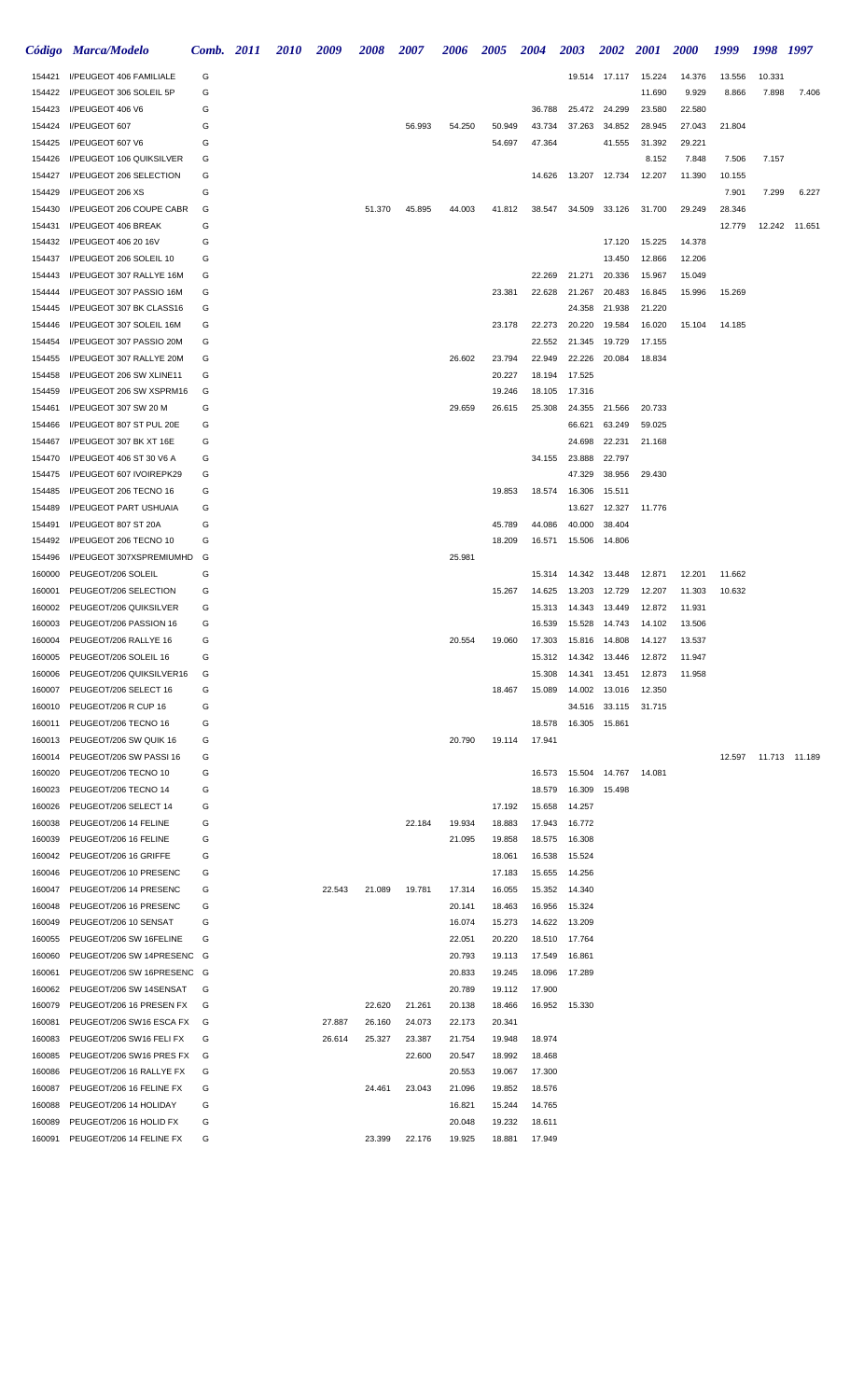|                  | Código Marca/Modelo                                 | Comb.  | <b>2011</b> | <i>2010</i> | 2009   | <b>2008</b> | 2007   | <b>2006</b>      | <b>2005</b>      | <b>2004</b>      | <b>2003</b>      | <b>2002</b>             | <b>2001</b>      | <b>2000</b> | 1999             | 1998   | 1997          |
|------------------|-----------------------------------------------------|--------|-------------|-------------|--------|-------------|--------|------------------|------------------|------------------|------------------|-------------------------|------------------|-------------|------------------|--------|---------------|
| 154421           | I/PEUGEOT 406 FAMILIALE                             | G      |             |             |        |             |        |                  |                  |                  |                  | 19.514 17.117           | 15.224           | 14.376      | 13.556           | 10.331 |               |
| 154422           | I/PEUGEOT 306 SOLEIL 5P                             | G      |             |             |        |             |        |                  |                  |                  |                  |                         | 11.690           | 9.929       | 8.866            | 7.898  | 7.406         |
| 154423           | I/PEUGEOT 406 V6                                    | G      |             |             |        |             |        |                  |                  | 36.788           | 25.472           | 24.299                  | 23.580           | 22.580      |                  |        |               |
| 154424           | I/PEUGEOT 607                                       | G      |             |             |        |             | 56.993 | 54.250           | 50.949           | 43.734           | 37.263           | 34.852                  | 28.945           | 27.043      | 21.804           |        |               |
| 154425           | I/PEUGEOT 607 V6                                    | G      |             |             |        |             |        |                  | 54.697           | 47.364           |                  | 41.555                  | 31.392           | 29.221      |                  |        |               |
| 154426           | I/PEUGEOT 106 QUIKSILVER                            | G      |             |             |        |             |        |                  |                  |                  |                  |                         | 8.152            | 7.848       | 7.506            | 7.157  |               |
| 154427           | I/PEUGEOT 206 SELECTION                             | G      |             |             |        |             |        |                  |                  | 14.626           | 13.207           | 12.734                  | 12.207           | 11.390      | 10.155           |        |               |
| 154429           | I/PEUGEOT 206 XS                                    | G      |             |             |        |             |        |                  |                  |                  |                  |                         |                  |             | 7.901            | 7.299  | 6.227         |
| 154430<br>154431 | I/PEUGEOT 206 COUPE CABR<br>I/PEUGEOT 406 BREAK     | G<br>G |             |             |        | 51.370      | 45.895 | 44.003           | 41.812           | 38.547           | 34.509           | 33.126                  | 31.700           | 29.249      | 28.346<br>12.779 |        | 12.242 11.651 |
| 154432           | I/PEUGEOT 406 20 16V                                | G      |             |             |        |             |        |                  |                  |                  |                  | 17.120                  | 15.225           | 14.378      |                  |        |               |
| 154437           | I/PEUGEOT 206 SOLEIL 10                             | G      |             |             |        |             |        |                  |                  |                  |                  | 13.450                  | 12.866           | 12.206      |                  |        |               |
| 154443           | I/PEUGEOT 307 RALLYE 16M                            | G      |             |             |        |             |        |                  |                  | 22.269           | 21.271           | 20.336                  | 15.967           | 15.049      |                  |        |               |
| 154444           | I/PEUGEOT 307 PASSIO 16M                            | G      |             |             |        |             |        |                  | 23.381           | 22.628           | 21.267           | 20.483                  | 16.845           | 15.996      | 15.269           |        |               |
| 154445           | I/PEUGEOT 307 BK CLASS16                            | G      |             |             |        |             |        |                  |                  |                  | 24.358           | 21.938                  | 21.220           |             |                  |        |               |
| 154446           | I/PEUGEOT 307 SOLEIL 16M                            | G      |             |             |        |             |        |                  | 23.178           | 22.273           | 20.220           | 19.584                  | 16.020           | 15.104      | 14.185           |        |               |
| 154454           | I/PEUGEOT 307 PASSIO 20M                            | G      |             |             |        |             |        |                  |                  | 22.552           | 21.345           | 19.729                  | 17.155           |             |                  |        |               |
| 154455           | I/PEUGEOT 307 RALLYE 20M                            | G      |             |             |        |             |        | 26.602           | 23.794           | 22.949           | 22.226           | 20.084                  | 18.834           |             |                  |        |               |
| 154458           | I/PEUGEOT 206 SW XLINE11                            | G      |             |             |        |             |        |                  | 20.227           | 18.194           | 17.525           |                         |                  |             |                  |        |               |
| 154459           | I/PEUGEOT 206 SW XSPRM16                            | G      |             |             |        |             |        |                  | 19.246           | 18.105           | 17.316           |                         |                  |             |                  |        |               |
| 154461           | I/PEUGEOT 307 SW 20 M                               | G      |             |             |        |             |        | 29.659           | 26.615           | 25.308           |                  | 24.355 21.566           | 20.733           |             |                  |        |               |
| 154466           | I/PEUGEOT 807 ST PUL 20E                            | G      |             |             |        |             |        |                  |                  |                  | 66.621           | 63.249                  | 59.025           |             |                  |        |               |
| 154467<br>154470 | I/PEUGEOT 307 BK XT 16E<br>I/PEUGEOT 406 ST 30 V6 A | G<br>G |             |             |        |             |        |                  |                  | 34.155           | 24.698<br>23.888 | 22.231<br>22.797        | 21.168           |             |                  |        |               |
| 154475           | I/PEUGEOT 607 IVOIREPK29                            | G      |             |             |        |             |        |                  |                  |                  | 47.329           | 38.956                  | 29.430           |             |                  |        |               |
| 154485           | I/PEUGEOT 206 TECNO 16                              | G      |             |             |        |             |        |                  | 19.853           | 18.574           | 16.306           | 15.511                  |                  |             |                  |        |               |
| 154489           | <b>I/PEUGEOT PART USHUAIA</b>                       | G      |             |             |        |             |        |                  |                  |                  | 13.627           | 12.327                  | 11.776           |             |                  |        |               |
| 154491           | I/PEUGEOT 807 ST 20A                                | G      |             |             |        |             |        |                  | 45.789           | 44.086           | 40.000           | 38.404                  |                  |             |                  |        |               |
| 154492           | I/PEUGEOT 206 TECNO 10                              | G      |             |             |        |             |        |                  | 18.209           | 16.571           |                  | 15.506 14.806           |                  |             |                  |        |               |
| 154496           | I/PEUGEOT 307XSPREMIUMHD                            | G      |             |             |        |             |        | 25.981           |                  |                  |                  |                         |                  |             |                  |        |               |
| 160000           | PEUGEOT/206 SOLEIL                                  | G      |             |             |        |             |        |                  |                  | 15.314           | 14.342           | 13.448                  | 12.871           | 12.201      | 11.662           |        |               |
| 160001           | PEUGEOT/206 SELECTION                               | G      |             |             |        |             |        |                  | 15.267           | 14.625           | 13.203           | 12.729                  | 12.207           | 11.303      | 10.632           |        |               |
| 160002           | PEUGEOT/206 QUIKSILVER                              | G      |             |             |        |             |        |                  |                  | 15.313           | 14.343           | 13.449                  | 12.872           | 11.931      |                  |        |               |
| 160003           | PEUGEOT/206 PASSION 16                              | G      |             |             |        |             |        |                  |                  | 16.539           | 15.528           | 14.743                  | 14.102           | 13.506      |                  |        |               |
| 160004           | PEUGEOT/206 RALLYE 16                               | G      |             |             |        |             |        | 20.554           | 19.060           | 17.303           | 15.816           | 14.808                  | 14.127           | 13.537      |                  |        |               |
| 160005           | PEUGEOT/206 SOLEIL 16                               | G      |             |             |        |             |        |                  |                  | 15.312           | 14.342           | 13.446                  | 12.872           | 11.947      |                  |        |               |
| 160006<br>160007 | PEUGEOT/206 QUIKSILVER16<br>PEUGEOT/206 SELECT 16   | G<br>G |             |             |        |             |        |                  | 18.467           | 15.308<br>15.089 | 14.341           | 13.451<br>14.002 13.016 | 12.873<br>12.350 | 11.958      |                  |        |               |
| 160010           | PEUGEOT/206 R CUP 16                                | G      |             |             |        |             |        |                  |                  |                  | 34.516           | 33.115                  | 31.715           |             |                  |        |               |
| 160011           | PEUGEOT/206 TECNO 16                                | G      |             |             |        |             |        |                  |                  | 18.578           |                  | 16.305 15.861           |                  |             |                  |        |               |
| 160013           | PEUGEOT/206 SW QUIK 16                              | G      |             |             |        |             |        | 20.790           | 19.114           | 17.941           |                  |                         |                  |             |                  |        |               |
| 160014           | PEUGEOT/206 SW PASSI 16                             | G      |             |             |        |             |        |                  |                  |                  |                  |                         |                  |             | 12.597           |        | 11.713 11.189 |
| 160020           | PEUGEOT/206 TECNO 10                                | G      |             |             |        |             |        |                  |                  | 16.573           |                  | 15.504 14.767           | 14.081           |             |                  |        |               |
| 160023           | PEUGEOT/206 TECNO 14                                | G      |             |             |        |             |        |                  |                  | 18.579           |                  | 16.309 15.498           |                  |             |                  |        |               |
| 160026           | PEUGEOT/206 SELECT 14                               | G      |             |             |        |             |        |                  | 17.192           | 15.658           | 14.257           |                         |                  |             |                  |        |               |
| 160038           | PEUGEOT/206 14 FELINE                               | G      |             |             |        |             | 22.184 | 19.934           | 18.883           | 17.943           | 16.772           |                         |                  |             |                  |        |               |
| 160039           | PEUGEOT/206 16 FELINE                               | G      |             |             |        |             |        | 21.095           | 19.858           | 18.575           | 16.308           |                         |                  |             |                  |        |               |
| 160042           | PEUGEOT/206 16 GRIFFE                               | G      |             |             |        |             |        |                  | 18.061           | 16.538           | 15.524           |                         |                  |             |                  |        |               |
| 160046           | PEUGEOT/206 10 PRESENC                              | G      |             |             |        |             |        |                  | 17.183           | 15.655           | 14.256           |                         |                  |             |                  |        |               |
| 160047<br>160048 | PEUGEOT/206 14 PRESENC<br>PEUGEOT/206 16 PRESENC    | G<br>G |             |             | 22.543 | 21.089      | 19.781 | 17.314<br>20.141 | 16.055<br>18.463 | 15.352<br>16.956 | 14.340<br>15.324 |                         |                  |             |                  |        |               |
| 160049           | PEUGEOT/206 10 SENSAT                               | G      |             |             |        |             |        | 16.074           | 15.273           | 14.622           | 13.209           |                         |                  |             |                  |        |               |
| 160055           | PEUGEOT/206 SW 16FELINE                             | G      |             |             |        |             |        | 22.051           | 20.220           | 18.510           | 17.764           |                         |                  |             |                  |        |               |
| 160060           | PEUGEOT/206 SW 14PRESENC G                          |        |             |             |        |             |        | 20.793           | 19.113           | 17.549           | 16.861           |                         |                  |             |                  |        |               |
| 160061           | PEUGEOT/206 SW 16PRESENC G                          |        |             |             |        |             |        | 20.833           | 19.245           | 18.096           | 17.289           |                         |                  |             |                  |        |               |
| 160062           | PEUGEOT/206 SW 14SENSAT                             | G      |             |             |        |             |        | 20.789           | 19.112           | 17.900           |                  |                         |                  |             |                  |        |               |
| 160079           | PEUGEOT/206 16 PRESEN FX                            | G      |             |             |        | 22.620      | 21.261 | 20.138           | 18.466           | 16.952           | 15.330           |                         |                  |             |                  |        |               |
| 160081           | PEUGEOT/206 SW16 ESCA FX                            | G      |             |             | 27.887 | 26.160      | 24.073 | 22.173           | 20.341           |                  |                  |                         |                  |             |                  |        |               |
| 160083           | PEUGEOT/206 SW16 FELI FX                            | G      |             |             | 26.614 | 25.327      | 23.387 | 21.754           | 19.948           | 18.974           |                  |                         |                  |             |                  |        |               |
| 160085           | PEUGEOT/206 SW16 PRES FX                            | G      |             |             |        |             | 22.600 | 20.547           | 18.992           | 18.468           |                  |                         |                  |             |                  |        |               |
| 160086           | PEUGEOT/206 16 RALLYE FX                            | G      |             |             |        |             |        | 20.553           | 19.067           | 17.300           |                  |                         |                  |             |                  |        |               |
| 160087           | PEUGEOT/206 16 FELINE FX                            | G      |             |             |        | 24.461      | 23.043 | 21.096           | 19.852           | 18.576           |                  |                         |                  |             |                  |        |               |
| 160088           | PEUGEOT/206 14 HOLIDAY                              | G      |             |             |        |             |        | 16.821           | 15.244           | 14.765           |                  |                         |                  |             |                  |        |               |
| 160089           | PEUGEOT/206 16 HOLID FX                             | G<br>G |             |             |        |             |        | 20.048           | 19.232           | 18.611           |                  |                         |                  |             |                  |        |               |
| 160091           | PEUGEOT/206 14 FELINE FX                            |        |             |             |        | 23.399      | 22.176 | 19.925           | 18.881           | 17.949           |                  |                         |                  |             |                  |        |               |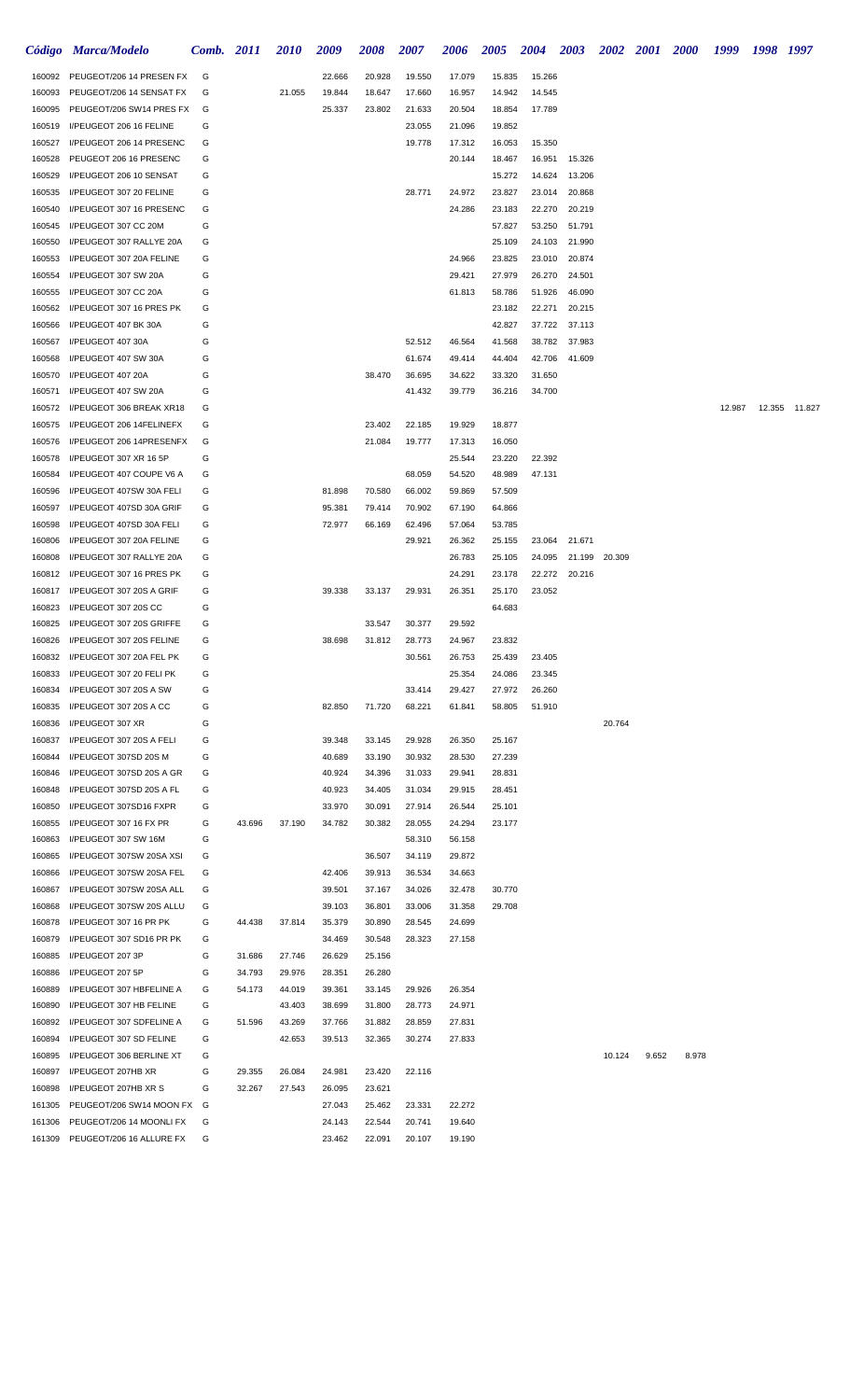|                  | Código Marca/Modelo                                | Comb. 2011 |        | <i>2010</i> | 2009             | 2008             | <b>2007</b> | <b>2006</b> | <b>2005</b>      | <b>2004</b>      | <b>2003</b>      | <b>2002</b> | <b>2001</b> | <b>2000</b> | 1999   | 1998 1997 |               |
|------------------|----------------------------------------------------|------------|--------|-------------|------------------|------------------|-------------|-------------|------------------|------------------|------------------|-------------|-------------|-------------|--------|-----------|---------------|
| 160092           | PEUGEOT/206 14 PRESEN FX                           | G          |        |             | 22.666           | 20.928           | 19.550      | 17.079      | 15.835           | 15.266           |                  |             |             |             |        |           |               |
| 160093           | PEUGEOT/206 14 SENSAT FX                           | G          |        | 21.055      | 19.844           | 18.647           | 17.660      | 16.957      | 14.942           | 14.545           |                  |             |             |             |        |           |               |
| 160095           | PEUGEOT/206 SW14 PRES FX                           | G          |        |             | 25.337           | 23.802           | 21.633      | 20.504      | 18.854           | 17.789           |                  |             |             |             |        |           |               |
| 160519           | I/PEUGEOT 206 16 FELINE                            | G          |        |             |                  |                  | 23.055      | 21.096      | 19.852           |                  |                  |             |             |             |        |           |               |
| 160527           | I/PEUGEOT 206 14 PRESENC                           | G          |        |             |                  |                  | 19.778      | 17.312      | 16.053           | 15.350           |                  |             |             |             |        |           |               |
| 160528           | PEUGEOT 206 16 PRESENC                             | G          |        |             |                  |                  |             | 20.144      | 18.467           | 16.951           | 15.326           |             |             |             |        |           |               |
| 160529           | I/PEUGEOT 206 10 SENSAT                            | G          |        |             |                  |                  |             |             | 15.272           | 14.624           | 13.206           |             |             |             |        |           |               |
| 160535           | I/PEUGEOT 307 20 FELINE                            | G          |        |             |                  |                  | 28.771      | 24.972      | 23.827           | 23.014           | 20.868           |             |             |             |        |           |               |
| 160540           | I/PEUGEOT 307 16 PRESENC                           | G          |        |             |                  |                  |             | 24.286      | 23.183           | 22.270           | 20.219           |             |             |             |        |           |               |
| 160545           | I/PEUGEOT 307 CC 20M                               | G          |        |             |                  |                  |             |             | 57.827           | 53.250           | 51.791           |             |             |             |        |           |               |
| 160550           | I/PEUGEOT 307 RALLYE 20A                           | G<br>G     |        |             |                  |                  |             | 24.966      | 25.109<br>23.825 | 24.103<br>23.010 | 21.990<br>20.874 |             |             |             |        |           |               |
| 160553<br>160554 | I/PEUGEOT 307 20A FELINE<br>I/PEUGEOT 307 SW 20A   | G          |        |             |                  |                  |             | 29.421      | 27.979           | 26.270           | 24.501           |             |             |             |        |           |               |
| 160555           | I/PEUGEOT 307 CC 20A                               | G          |        |             |                  |                  |             | 61.813      | 58.786           | 51.926           | 46.090           |             |             |             |        |           |               |
| 160562           | I/PEUGEOT 307 16 PRES PK                           | G          |        |             |                  |                  |             |             | 23.182           | 22.271           | 20.215           |             |             |             |        |           |               |
| 160566           | I/PEUGEOT 407 BK 30A                               | G          |        |             |                  |                  |             |             | 42.827           | 37.722           | 37.113           |             |             |             |        |           |               |
| 160567           | I/PEUGEOT 407 30A                                  | G          |        |             |                  |                  | 52.512      | 46.564      | 41.568           | 38.782           | 37.983           |             |             |             |        |           |               |
| 160568           | I/PEUGEOT 407 SW 30A                               | G          |        |             |                  |                  | 61.674      | 49.414      | 44.404           | 42.706           | 41.609           |             |             |             |        |           |               |
| 160570           | I/PEUGEOT 407 20A                                  | G          |        |             |                  | 38.470           | 36.695      | 34.622      | 33.320           | 31.650           |                  |             |             |             |        |           |               |
| 160571           | I/PEUGEOT 407 SW 20A                               | G          |        |             |                  |                  | 41.432      | 39.779      | 36.216           | 34.700           |                  |             |             |             |        |           |               |
| 160572           | I/PEUGEOT 306 BREAK XR18                           | G          |        |             |                  |                  |             |             |                  |                  |                  |             |             |             | 12.987 |           | 12.355 11.827 |
| 160575           | I/PEUGEOT 206 14FELINEFX                           | G          |        |             |                  | 23.402           | 22.185      | 19.929      | 18.877           |                  |                  |             |             |             |        |           |               |
| 160576           | I/PEUGEOT 206 14PRESENFX                           | G          |        |             |                  | 21.084           | 19.777      | 17.313      | 16.050           |                  |                  |             |             |             |        |           |               |
| 160578           | I/PEUGEOT 307 XR 16 5P                             | G          |        |             |                  |                  |             | 25.544      | 23.220           | 22.392           |                  |             |             |             |        |           |               |
| 160584           | I/PEUGEOT 407 COUPE V6 A                           | G          |        |             |                  |                  | 68.059      | 54.520      | 48.989           | 47.131           |                  |             |             |             |        |           |               |
| 160596           | I/PEUGEOT 407SW 30A FELI                           | G          |        |             | 81.898           | 70.580           | 66.002      | 59.869      | 57.509           |                  |                  |             |             |             |        |           |               |
| 160597           | I/PEUGEOT 407SD 30A GRIF                           | G          |        |             | 95.381           | 79.414           | 70.902      | 67.190      | 64.866           |                  |                  |             |             |             |        |           |               |
| 160598           | I/PEUGEOT 407SD 30A FELI                           | G          |        |             | 72.977           | 66.169           | 62.496      | 57.064      | 53.785           |                  |                  |             |             |             |        |           |               |
| 160806           | I/PEUGEOT 307 20A FELINE                           | G          |        |             |                  |                  | 29.921      | 26.362      | 25.155           | 23.064           | 21.671           |             |             |             |        |           |               |
| 160808           | I/PEUGEOT 307 RALLYE 20A                           | G          |        |             |                  |                  |             | 26.783      | 25.105           | 24.095           | 21.199           | 20.309      |             |             |        |           |               |
| 160812           | I/PEUGEOT 307 16 PRES PK                           | G          |        |             |                  |                  |             | 24.291      | 23.178           | 22.272           | 20.216           |             |             |             |        |           |               |
| 160817<br>160823 | I/PEUGEOT 307 20S A GRIF<br>I/PEUGEOT 307 20S CC   | G<br>G     |        |             | 39.338           | 33.137           | 29.931      | 26.351      | 25.170<br>64.683 | 23.052           |                  |             |             |             |        |           |               |
| 160825           | I/PEUGEOT 307 20S GRIFFE                           | G          |        |             |                  | 33.547           | 30.377      | 29.592      |                  |                  |                  |             |             |             |        |           |               |
| 160826           | I/PEUGEOT 307 20S FELINE                           | G          |        |             | 38.698           | 31.812           | 28.773      | 24.967      | 23.832           |                  |                  |             |             |             |        |           |               |
|                  | 160832 I/PEUGEOT 307 20A FEL PK                    | G          |        |             |                  |                  | 30.561      | 26.753      | 25.439           | 23.405           |                  |             |             |             |        |           |               |
| 160833           | I/PEUGEOT 307 20 FELI PK                           | G          |        |             |                  |                  |             | 25.354      | 24.086           | 23.345           |                  |             |             |             |        |           |               |
| 160834           | I/PEUGEOT 307 20S A SW                             | G          |        |             |                  |                  | 33.414      | 29.427      | 27.972           | 26.260           |                  |             |             |             |        |           |               |
| 160835           | I/PEUGEOT 307 20S A CC                             | G          |        |             | 82.850           | 71.720           | 68.221      | 61.841      | 58.805           | 51.910           |                  |             |             |             |        |           |               |
| 160836           | I/PEUGEOT 307 XR                                   | G          |        |             |                  |                  |             |             |                  |                  |                  | 20.764      |             |             |        |           |               |
| 160837           | I/PEUGEOT 307 20S A FELI                           | G          |        |             | 39.348           | 33.145           | 29.928      | 26.350      | 25.167           |                  |                  |             |             |             |        |           |               |
| 160844           | I/PEUGEOT 307SD 20S M                              | G          |        |             | 40.689           | 33.190           | 30.932      | 28.530      | 27.239           |                  |                  |             |             |             |        |           |               |
| 160846           | I/PEUGEOT 307SD 20S A GR                           | G          |        |             | 40.924           | 34.396           | 31.033      | 29.941      | 28.831           |                  |                  |             |             |             |        |           |               |
| 160848           | I/PEUGEOT 307SD 20S A FL                           | G          |        |             | 40.923           | 34.405           | 31.034      | 29.915      | 28.451           |                  |                  |             |             |             |        |           |               |
| 160850           | I/PEUGEOT 307SD16 FXPR                             | G          |        |             | 33.970           | 30.091           | 27.914      | 26.544      | 25.101           |                  |                  |             |             |             |        |           |               |
| 160855           | I/PEUGEOT 307 16 FX PR                             | G          | 43.696 | 37.190      | 34.782           | 30.382           | 28.055      | 24.294      | 23.177           |                  |                  |             |             |             |        |           |               |
| 160863           | I/PEUGEOT 307 SW 16M                               | G          |        |             |                  |                  | 58.310      | 56.158      |                  |                  |                  |             |             |             |        |           |               |
| 160865           | I/PEUGEOT 307SW 20SA XSI                           | G          |        |             |                  | 36.507           | 34.119      | 29.872      |                  |                  |                  |             |             |             |        |           |               |
| 160866           | I/PEUGEOT 307SW 20SA FEL                           | G          |        |             | 42.406           | 39.913           | 36.534      | 34.663      |                  |                  |                  |             |             |             |        |           |               |
| 160867           | I/PEUGEOT 307SW 20SA ALL                           | G          |        |             | 39.501           | 37.167           | 34.026      | 32.478      | 30.770           |                  |                  |             |             |             |        |           |               |
| 160868           | I/PEUGEOT 307SW 20S ALLU                           | G          |        |             | 39.103           | 36.801           | 33.006      | 31.358      | 29.708           |                  |                  |             |             |             |        |           |               |
| 160878           | I/PEUGEOT 307 16 PR PK<br>I/PEUGEOT 307 SD16 PR PK | G<br>G     | 44.438 | 37.814      | 35.379<br>34.469 | 30.890           | 28.545      | 24.699      |                  |                  |                  |             |             |             |        |           |               |
| 160879<br>160885 | I/PEUGEOT 207 3P                                   | G          | 31.686 | 27.746      | 26.629           | 30.548<br>25.156 | 28.323      | 27.158      |                  |                  |                  |             |             |             |        |           |               |
| 160886           | I/PEUGEOT 207 5P                                   | G          | 34.793 | 29.976      | 28.351           | 26.280           |             |             |                  |                  |                  |             |             |             |        |           |               |
| 160889           | I/PEUGEOT 307 HBFELINE A                           | G          | 54.173 | 44.019      | 39.361           | 33.145           | 29.926      | 26.354      |                  |                  |                  |             |             |             |        |           |               |
| 160890           | I/PEUGEOT 307 HB FELINE                            | G          |        | 43.403      | 38.699           | 31.800           | 28.773      | 24.971      |                  |                  |                  |             |             |             |        |           |               |
| 160892           | I/PEUGEOT 307 SDFELINE A                           | G          | 51.596 | 43.269      | 37.766           | 31.882           | 28.859      | 27.831      |                  |                  |                  |             |             |             |        |           |               |
| 160894           | I/PEUGEOT 307 SD FELINE                            | G          |        | 42.653      | 39.513           | 32.365           | 30.274      | 27.833      |                  |                  |                  |             |             |             |        |           |               |
| 160895           | I/PEUGEOT 306 BERLINE XT                           | G          |        |             |                  |                  |             |             |                  |                  |                  | 10.124      | 9.652       | 8.978       |        |           |               |
| 160897           | I/PEUGEOT 207HB XR                                 | G          | 29.355 | 26.084      | 24.981           | 23.420           | 22.116      |             |                  |                  |                  |             |             |             |        |           |               |
| 160898           | I/PEUGEOT 207HB XR S                               | G          | 32.267 | 27.543      | 26.095           | 23.621           |             |             |                  |                  |                  |             |             |             |        |           |               |
| 161305           | PEUGEOT/206 SW14 MOON FX                           | G          |        |             | 27.043           | 25.462           | 23.331      | 22.272      |                  |                  |                  |             |             |             |        |           |               |
| 161306           | PEUGEOT/206 14 MOONLI FX                           | G          |        |             | 24.143           | 22.544           | 20.741      | 19.640      |                  |                  |                  |             |             |             |        |           |               |
| 161309           | PEUGEOT/206 16 ALLURE FX                           | G          |        |             | 23.462           | 22.091           | 20.107      | 19.190      |                  |                  |                  |             |             |             |        |           |               |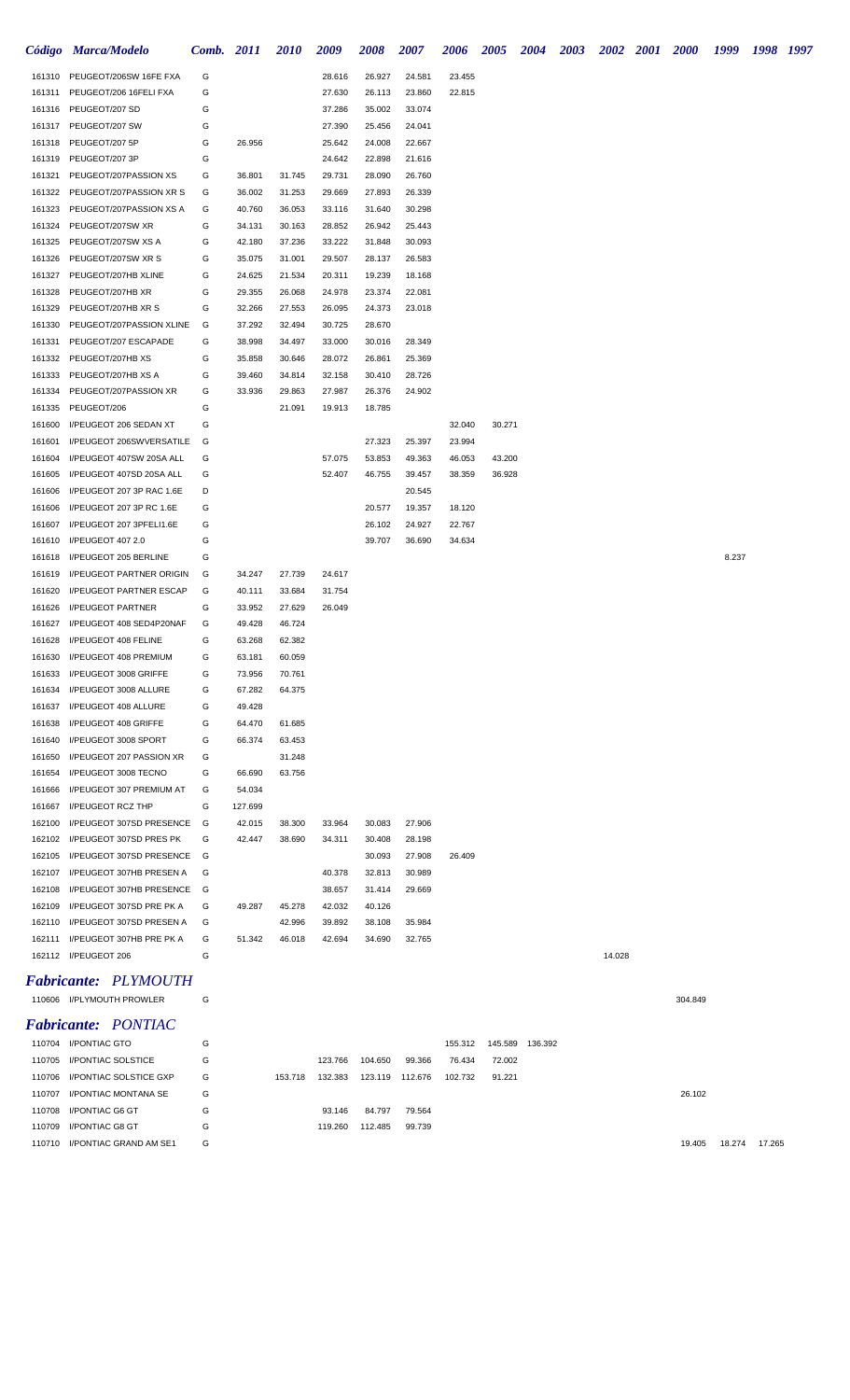|                  | Código Marca/Modelo                                | Comb. 2011 |                   | 2010             | 2009             | 2008             | 2007             | 2006    | 2005   | 2004            | <b>2003</b> |        | 2002 2001 | <b>2000</b> | 1999   | 1998 1997 |  |
|------------------|----------------------------------------------------|------------|-------------------|------------------|------------------|------------------|------------------|---------|--------|-----------------|-------------|--------|-----------|-------------|--------|-----------|--|
| 161310           | PEUGEOT/206SW 16FE FXA                             | G          |                   |                  | 28.616           | 26.927           | 24.581           | 23.455  |        |                 |             |        |           |             |        |           |  |
| 161311           | PEUGEOT/206 16FELI FXA                             | G          |                   |                  | 27.630           | 26.113           | 23.860           | 22.815  |        |                 |             |        |           |             |        |           |  |
| 161316           | PEUGEOT/207 SD                                     | G          |                   |                  | 37.286           | 35.002           | 33.074           |         |        |                 |             |        |           |             |        |           |  |
| 161317           | PEUGEOT/207 SW                                     | G          |                   |                  | 27.390           | 25.456           | 24.041           |         |        |                 |             |        |           |             |        |           |  |
| 161318           | PEUGEOT/207 5P                                     | G          | 26.956            |                  | 25.642           | 24.008           | 22.667           |         |        |                 |             |        |           |             |        |           |  |
| 161319           | PEUGEOT/207 3P                                     | G          |                   |                  | 24.642           | 22.898           | 21.616           |         |        |                 |             |        |           |             |        |           |  |
| 161321           | PEUGEOT/207PASSION XS                              | G          | 36.801            | 31.745           | 29.731           | 28.090           | 26.760           |         |        |                 |             |        |           |             |        |           |  |
| 161322<br>161323 | PEUGEOT/207PASSION XR S<br>PEUGEOT/207PASSION XS A | G<br>G     | 36.002<br>40.760  | 31.253<br>36.053 | 29.669<br>33.116 | 27.893<br>31.640 | 26.339<br>30.298 |         |        |                 |             |        |           |             |        |           |  |
| 161324           | PEUGEOT/207SW XR                                   | G          | 34.131            | 30.163           | 28.852           | 26.942           | 25.443           |         |        |                 |             |        |           |             |        |           |  |
| 161325           | PEUGEOT/207SW XS A                                 | G          | 42.180            | 37.236           | 33.222           | 31.848           | 30.093           |         |        |                 |             |        |           |             |        |           |  |
| 161326           | PEUGEOT/207SW XR S                                 | G          | 35.075            | 31.001           | 29.507           | 28.137           | 26.583           |         |        |                 |             |        |           |             |        |           |  |
| 161327           | PEUGEOT/207HB XLINE                                | G          | 24.625            | 21.534           | 20.311           | 19.239           | 18.168           |         |        |                 |             |        |           |             |        |           |  |
| 161328           | PEUGEOT/207HB XR                                   | G          | 29.355            | 26.068           | 24.978           | 23.374           | 22.081           |         |        |                 |             |        |           |             |        |           |  |
| 161329           | PEUGEOT/207HB XR S                                 | G          | 32.266            | 27.553           | 26.095           | 24.373           | 23.018           |         |        |                 |             |        |           |             |        |           |  |
| 161330           | PEUGEOT/207PASSION XLINE                           | G          | 37.292            | 32.494           | 30.725           | 28.670           |                  |         |        |                 |             |        |           |             |        |           |  |
| 161331           | PEUGEOT/207 ESCAPADE                               | G          | 38.998            | 34.497           | 33.000           | 30.016           | 28.349           |         |        |                 |             |        |           |             |        |           |  |
| 161332           | PEUGEOT/207HB XS                                   | G          | 35.858            | 30.646           | 28.072           | 26.861           | 25.369           |         |        |                 |             |        |           |             |        |           |  |
| 161333           | PEUGEOT/207HB XS A                                 | G          | 39.460            | 34.814           | 32.158           | 30.410           | 28.726           |         |        |                 |             |        |           |             |        |           |  |
| 161334<br>161335 | PEUGEOT/207PASSION XR<br>PEUGEOT/206               | G<br>G     | 33.936            | 29.863           | 27.987<br>19.913 | 26.376<br>18.785 | 24.902           |         |        |                 |             |        |           |             |        |           |  |
| 161600           | I/PEUGEOT 206 SEDAN XT                             | G          |                   | 21.091           |                  |                  |                  | 32.040  | 30.271 |                 |             |        |           |             |        |           |  |
| 161601           | I/PEUGEOT 206SWVERSATILE                           | G          |                   |                  |                  | 27.323           | 25.397           | 23.994  |        |                 |             |        |           |             |        |           |  |
| 161604           | I/PEUGEOT 407SW 20SA ALL                           | G          |                   |                  | 57.075           | 53.853           | 49.363           | 46.053  | 43.200 |                 |             |        |           |             |        |           |  |
| 161605           | I/PEUGEOT 407SD 20SA ALL                           | G          |                   |                  | 52.407           | 46.755           | 39.457           | 38.359  | 36.928 |                 |             |        |           |             |        |           |  |
| 161606           | I/PEUGEOT 207 3P RAC 1.6E                          | D          |                   |                  |                  |                  | 20.545           |         |        |                 |             |        |           |             |        |           |  |
| 161606           | I/PEUGEOT 207 3P RC 1.6E                           | G          |                   |                  |                  | 20.577           | 19.357           | 18.120  |        |                 |             |        |           |             |        |           |  |
| 161607           | I/PEUGEOT 207 3PFELI1.6E                           | G          |                   |                  |                  | 26.102           | 24.927           | 22.767  |        |                 |             |        |           |             |        |           |  |
| 161610           | I/PEUGEOT 407 2.0                                  | G          |                   |                  |                  | 39.707           | 36.690           | 34.634  |        |                 |             |        |           |             |        |           |  |
| 161618           | I/PEUGEOT 205 BERLINE                              | G          |                   |                  |                  |                  |                  |         |        |                 |             |        |           |             | 8.237  |           |  |
| 161619           | I/PEUGEOT PARTNER ORIGIN                           | G          | 34.247            | 27.739           | 24.617           |                  |                  |         |        |                 |             |        |           |             |        |           |  |
| 161620           | <b>I/PEUGEOT PARTNER ESCAP</b>                     | G          | 40.111            | 33.684           | 31.754           |                  |                  |         |        |                 |             |        |           |             |        |           |  |
| 161626<br>161627 | I/PEUGEOT PARTNER<br>I/PEUGEOT 408 SED4P20NAF      | G<br>G     | 33.952<br>49.428  | 27.629           | 26.049           |                  |                  |         |        |                 |             |        |           |             |        |           |  |
| 161628           | I/PEUGEOT 408 FELINE                               | G          | 63.268            | 46.724<br>62.382 |                  |                  |                  |         |        |                 |             |        |           |             |        |           |  |
|                  | 161630 I/PEUGEOT 408 PREMIUM                       | G          | 63.181            | 60.059           |                  |                  |                  |         |        |                 |             |        |           |             |        |           |  |
| 161633           | I/PEUGEOT 3008 GRIFFE                              | G          | 73.956            | 70.761           |                  |                  |                  |         |        |                 |             |        |           |             |        |           |  |
| 161634           | I/PEUGEOT 3008 ALLURE                              | G          | 67.282            | 64.375           |                  |                  |                  |         |        |                 |             |        |           |             |        |           |  |
| 161637           | I/PEUGEOT 408 ALLURE                               | G          | 49.428            |                  |                  |                  |                  |         |        |                 |             |        |           |             |        |           |  |
| 161638           | I/PEUGEOT 408 GRIFFE                               | G          | 64.470            | 61.685           |                  |                  |                  |         |        |                 |             |        |           |             |        |           |  |
| 161640           | I/PEUGEOT 3008 SPORT                               | G          | 66.374            | 63.453           |                  |                  |                  |         |        |                 |             |        |           |             |        |           |  |
| 161650           | I/PEUGEOT 207 PASSION XR                           | G          |                   | 31.248           |                  |                  |                  |         |        |                 |             |        |           |             |        |           |  |
| 161654           | I/PEUGEOT 3008 TECNO                               | G          | 66.690            | 63.756           |                  |                  |                  |         |        |                 |             |        |           |             |        |           |  |
| 161666           | I/PEUGEOT 307 PREMIUM AT                           | G          | 54.034            |                  |                  |                  |                  |         |        |                 |             |        |           |             |        |           |  |
| 161667<br>162100 | I/PEUGEOT RCZ THP<br>I/PEUGEOT 307SD PRESENCE      | G<br>G     | 127.699<br>42.015 |                  |                  |                  | 27.906           |         |        |                 |             |        |           |             |        |           |  |
| 162102           | I/PEUGEOT 307SD PRES PK                            | G          | 42.447            | 38.300<br>38.690 | 33.964<br>34.311 | 30.083<br>30.408 | 28.198           |         |        |                 |             |        |           |             |        |           |  |
| 162105           | I/PEUGEOT 307SD PRESENCE                           | G          |                   |                  |                  | 30.093           | 27.908           | 26.409  |        |                 |             |        |           |             |        |           |  |
| 162107           | I/PEUGEOT 307HB PRESEN A                           | G          |                   |                  | 40.378           | 32.813           | 30.989           |         |        |                 |             |        |           |             |        |           |  |
| 162108           | I/PEUGEOT 307HB PRESENCE                           | G          |                   |                  | 38.657           | 31.414           | 29.669           |         |        |                 |             |        |           |             |        |           |  |
| 162109           | I/PEUGEOT 307SD PRE PK A                           | G          | 49.287            | 45.278           | 42.032           | 40.126           |                  |         |        |                 |             |        |           |             |        |           |  |
| 162110           | I/PEUGEOT 307SD PRESEN A                           | G          |                   | 42.996           | 39.892           | 38.108           | 35.984           |         |        |                 |             |        |           |             |        |           |  |
| 162111           | I/PEUGEOT 307HB PRE PK A                           | G          | 51.342            | 46.018           | 42.694           | 34.690           | 32.765           |         |        |                 |             |        |           |             |        |           |  |
|                  | 162112 I/PEUGEOT 206                               | G          |                   |                  |                  |                  |                  |         |        |                 |             | 14.028 |           |             |        |           |  |
|                  | <b>Fabricante: PLYMOUTH</b>                        |            |                   |                  |                  |                  |                  |         |        |                 |             |        |           |             |        |           |  |
|                  | 110606 I/PLYMOUTH PROWLER                          | G          |                   |                  |                  |                  |                  |         |        |                 |             |        |           | 304.849     |        |           |  |
|                  | <b>Fabricante: PONTIAC</b>                         |            |                   |                  |                  |                  |                  |         |        |                 |             |        |           |             |        |           |  |
|                  | 110704 I/PONTIAC GTO                               | G          |                   |                  |                  |                  |                  | 155.312 |        | 145.589 136.392 |             |        |           |             |        |           |  |
| 110705           | I/PONTIAC SOLSTICE                                 | G          |                   |                  | 123.766          | 104.650          | 99.366           | 76.434  | 72.002 |                 |             |        |           |             |        |           |  |
| 110706           | I/PONTIAC SOLSTICE GXP                             | G          |                   | 153.718          | 132.383          | 123.119          | 112.676          | 102.732 | 91.221 |                 |             |        |           |             |        |           |  |
| 110707           | I/PONTIAC MONTANA SE                               | G          |                   |                  |                  |                  |                  |         |        |                 |             |        |           | 26.102      |        |           |  |
| 110708           | I/PONTIAC G6 GT                                    | G          |                   |                  | 93.146           | 84.797           | 79.564           |         |        |                 |             |        |           |             |        |           |  |
| 110709           | I/PONTIAC G8 GT                                    | G          |                   |                  | 119.260          | 112.485          | 99.739           |         |        |                 |             |        |           |             |        |           |  |
|                  | 110710 I/PONTIAC GRAND AM SE1                      | G          |                   |                  |                  |                  |                  |         |        |                 |             |        |           | 19.405      | 18.274 | 17.265    |  |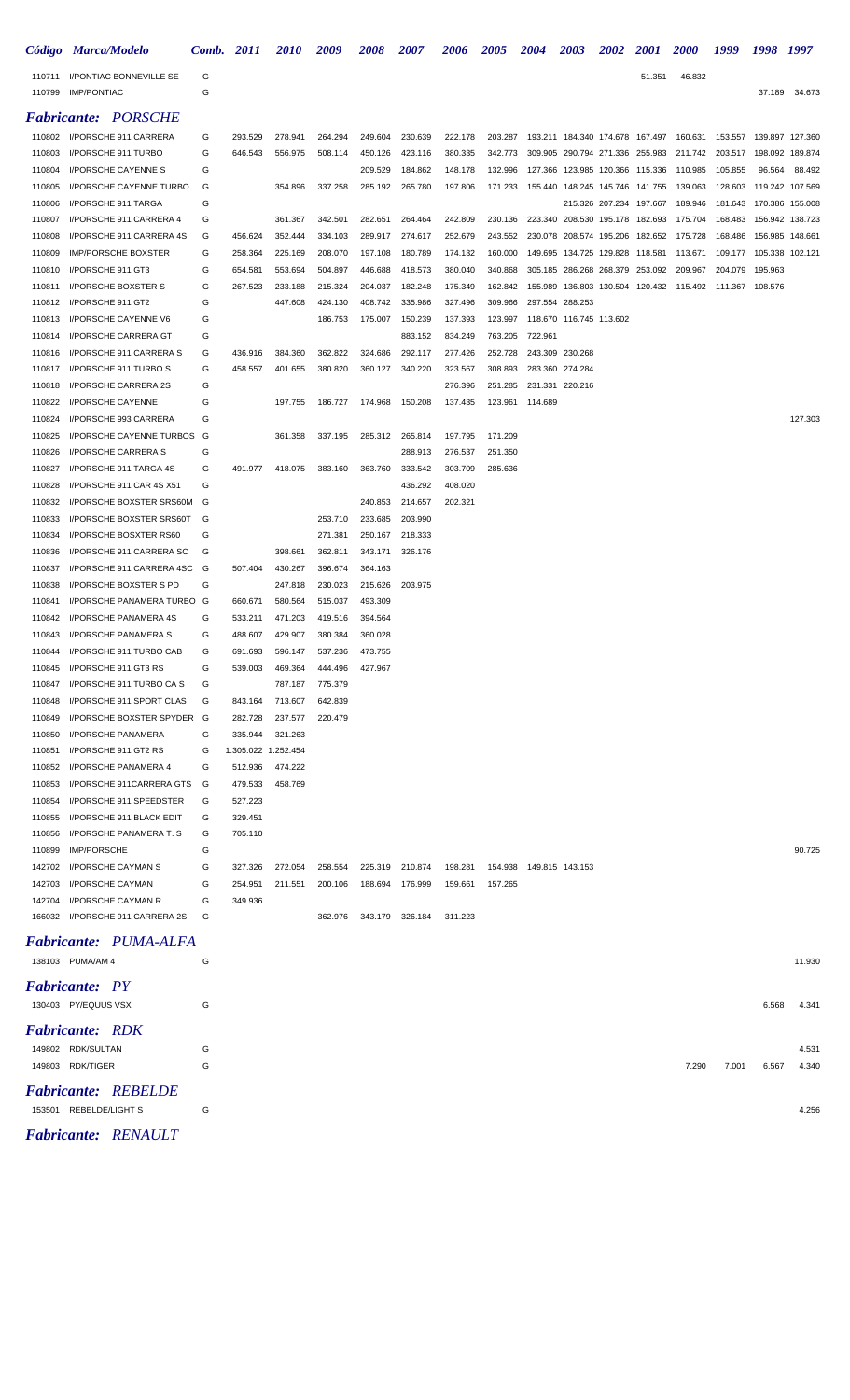|                  | Código Marca/Modelo                                    |        | Comb. 2011          | <i>2010</i>        | 2009               | 2008               | 2007               | 2006               | 2005               | 2004                            | 2003                                                               | <i><b>2002</b></i>                                 | <i>2001</i> | <b>2000</b>                                     | 1999               | 1998            | 1997                      |
|------------------|--------------------------------------------------------|--------|---------------------|--------------------|--------------------|--------------------|--------------------|--------------------|--------------------|---------------------------------|--------------------------------------------------------------------|----------------------------------------------------|-------------|-------------------------------------------------|--------------------|-----------------|---------------------------|
| 110711           | I/PONTIAC BONNEVILLE SE                                | G      |                     |                    |                    |                    |                    |                    |                    |                                 |                                                                    |                                                    | 51.351      | 46.832                                          |                    |                 |                           |
| 110799           | <b>IMP/PONTIAC</b>                                     | G      |                     |                    |                    |                    |                    |                    |                    |                                 |                                                                    |                                                    |             |                                                 |                    |                 | 37.189 34.673             |
|                  | <b>Fabricante: PORSCHE</b>                             |        |                     |                    |                    |                    |                    |                    |                    |                                 |                                                                    |                                                    |             |                                                 |                    |                 |                           |
| 110802           | I/PORSCHE 911 CARRERA                                  | G      | 293.529             | 278.941            | 264.294            | 249.604            | 230.639            | 222.178            | 203.287            | 193.211 184.340 174.678 167.497 |                                                                    |                                                    |             | 160.631                                         | 153.557            | 139.897 127.360 |                           |
| 110803<br>110804 | I/PORSCHE 911 TURBO<br>I/PORSCHE CAYENNE S             | G<br>G | 646.543             | 556.975            | 508.114            | 450.126<br>209.529 | 423.116<br>184.862 | 380.335<br>148.178 | 342.773<br>132.996 | 309.905<br>127.366              |                                                                    | 290.794 271.336 255.983<br>123.985 120.366 115.336 |             | 211.742<br>110.985                              | 203.517<br>105.855 | 96.564          | 198.092 189.874<br>88.492 |
| 110805           | I/PORSCHE CAYENNE TURBO                                | G      |                     | 354.896            | 337.258            | 285.192            | 265.780            | 197.806            | 171.233            |                                 | 155.440 148.245 145.746 141.755                                    |                                                    |             | 139.063                                         | 128.603            | 119.242 107.569 |                           |
| 110806           | I/PORSCHE 911 TARGA                                    | G      |                     |                    |                    |                    |                    |                    |                    |                                 |                                                                    | 215.326 207.234 197.667                            |             | 189.946                                         | 181.643            | 170.386 155.008 |                           |
| 110807           | I/PORSCHE 911 CARRERA 4                                | G      |                     | 361.367            | 342.501            | 282.651            | 264.464            | 242.809            | 230.136            |                                 | 223.340 208.530 195.178 182.693                                    |                                                    |             | 175.704                                         | 168.483            |                 | 156.942 138.723           |
| 110808           | I/PORSCHE 911 CARRERA 4S                               | G      | 456.624             | 352.444            | 334.103            | 289.917            | 274.617            | 252.679            | 243.552            |                                 | 230.078 208.574 195.206 182.652                                    |                                                    |             | 175.728                                         | 168.486            |                 | 156.985 148.661           |
| 110809<br>110810 | <b>IMP/PORSCHE BOXSTER</b><br>I/PORSCHE 911 GT3        | G<br>G | 258.364<br>654.581  | 225.169<br>553.694 | 208.070<br>504.897 | 197.108<br>446.688 | 180.789<br>418.573 | 174.132<br>380.040 | 160.000<br>340.868 |                                 | 149.695 134.725 129.828 118.581<br>305.185 286.268 268.379 253.092 |                                                    |             | 113.671<br>209.967                              | 109.177<br>204.079 | 195.963         | 105.338 102.121           |
| 110811           | <b>I/PORSCHE BOXSTER S</b>                             | G      | 267.523             | 233.188            | 215.324            | 204.037            | 182.248            | 175.349            | 162.842            |                                 |                                                                    |                                                    |             | 155.989 136.803 130.504 120.432 115.492 111.367 |                    | 108.576         |                           |
| 110812           | I/PORSCHE 911 GT2                                      | G      |                     | 447.608            | 424.130            | 408.742            | 335.986            | 327.496            | 309.966            |                                 | 297.554 288.253                                                    |                                                    |             |                                                 |                    |                 |                           |
| 110813           | I/PORSCHE CAYENNE V6                                   | G      |                     |                    | 186.753            | 175.007            | 150.239            | 137.393            | 123.997            |                                 | 118.670 116.745 113.602                                            |                                                    |             |                                                 |                    |                 |                           |
| 110814           | I/PORSCHE CARRERA GT                                   | G      |                     |                    |                    |                    | 883.152            | 834.249            | 763.205            | 722.961                         |                                                                    |                                                    |             |                                                 |                    |                 |                           |
| 110816           | I/PORSCHE 911 CARRERA S                                | G      | 436.916             | 384.360            | 362.822            | 324.686<br>360.127 | 292.117            | 277.426            | 252.728            |                                 | 243.309 230.268<br>283.360 274.284                                 |                                                    |             |                                                 |                    |                 |                           |
| 110817<br>110818 | I/PORSCHE 911 TURBO S<br>I/PORSCHE CARRERA 2S          | G<br>G | 458.557             | 401.655            | 380.820            |                    | 340.220            | 323.567<br>276.396 | 308.893<br>251.285 |                                 | 231.331 220.216                                                    |                                                    |             |                                                 |                    |                 |                           |
| 110822           | I/PORSCHE CAYENNE                                      | G      |                     | 197.755            | 186.727            | 174.968            | 150.208            | 137.435            | 123.961            | 114.689                         |                                                                    |                                                    |             |                                                 |                    |                 |                           |
| 110824           | I/PORSCHE 993 CARRERA                                  | G      |                     |                    |                    |                    |                    |                    |                    |                                 |                                                                    |                                                    |             |                                                 |                    |                 | 127.303                   |
| 110825           | I/PORSCHE CAYENNE TURBOS                               | G      |                     | 361.358            | 337.195            | 285.312            | 265.814            | 197.795            | 171.209            |                                 |                                                                    |                                                    |             |                                                 |                    |                 |                           |
| 110826           | I/PORSCHE CARRERA S                                    | G      |                     |                    |                    |                    | 288.913            | 276.537            | 251.350            |                                 |                                                                    |                                                    |             |                                                 |                    |                 |                           |
| 110827           | I/PORSCHE 911 TARGA 4S                                 | G      | 491.977             | 418.075            | 383.160            | 363.760            | 333.542            | 303.709            | 285.636            |                                 |                                                                    |                                                    |             |                                                 |                    |                 |                           |
| 110828<br>110832 | I/PORSCHE 911 CAR 4S X51<br>I/PORSCHE BOXSTER SRS60M   | G<br>G |                     |                    |                    | 240.853            | 436.292<br>214.657 | 408.020<br>202.321 |                    |                                 |                                                                    |                                                    |             |                                                 |                    |                 |                           |
| 110833           | I/PORSCHE BOXSTER SRS60T                               | G      |                     |                    | 253.710            | 233.685            | 203.990            |                    |                    |                                 |                                                                    |                                                    |             |                                                 |                    |                 |                           |
| 110834           | I/PORSCHE BOSXTER RS60                                 | G      |                     |                    | 271.381            | 250.167            | 218.333            |                    |                    |                                 |                                                                    |                                                    |             |                                                 |                    |                 |                           |
| 110836           | I/PORSCHE 911 CARRERA SC                               | G      |                     | 398.661            | 362.811            | 343.171            | 326.176            |                    |                    |                                 |                                                                    |                                                    |             |                                                 |                    |                 |                           |
| 110837           | I/PORSCHE 911 CARRERA 4SC                              | G      | 507.404             | 430.267            | 396.674            | 364.163            |                    |                    |                    |                                 |                                                                    |                                                    |             |                                                 |                    |                 |                           |
| 110838<br>110841 | I/PORSCHE BOXSTER S PD                                 | G      |                     | 247.818            | 230.023            | 215.626            | 203.975            |                    |                    |                                 |                                                                    |                                                    |             |                                                 |                    |                 |                           |
| 110842           | I/PORSCHE PANAMERA TURBO<br>I/PORSCHE PANAMERA 4S      | G<br>G | 660.671<br>533.211  | 580.564<br>471.203 | 515.037<br>419.516 | 493.309<br>394.564 |                    |                    |                    |                                 |                                                                    |                                                    |             |                                                 |                    |                 |                           |
| 110843           | I/PORSCHE PANAMERA S                                   | G      | 488.607             | 429.907            | 380.384            | 360.028            |                    |                    |                    |                                 |                                                                    |                                                    |             |                                                 |                    |                 |                           |
| 110844           | I/PORSCHE 911 TURBO CAB                                | G      | 691.693             | 596.147            | 537.236            | 473.755            |                    |                    |                    |                                 |                                                                    |                                                    |             |                                                 |                    |                 |                           |
| 110845           | I/PORSCHE 911 GT3 RS                                   | G      | 539.003             | 469.364            | 444.496            | 427.967            |                    |                    |                    |                                 |                                                                    |                                                    |             |                                                 |                    |                 |                           |
| 110847           | I/PORSCHE 911 TURBO CA S                               | G      |                     | 787.187            | 775.379            |                    |                    |                    |                    |                                 |                                                                    |                                                    |             |                                                 |                    |                 |                           |
| 110848<br>110849 | I/PORSCHE 911 SPORT CLAS<br>I/PORSCHE BOXSTER SPYDER G | G      | 843.164<br>282.728  | 713.607<br>237.577 | 642.839<br>220.479 |                    |                    |                    |                    |                                 |                                                                    |                                                    |             |                                                 |                    |                 |                           |
| 110850           | I/PORSCHE PANAMERA                                     | G      | 335.944             | 321.263            |                    |                    |                    |                    |                    |                                 |                                                                    |                                                    |             |                                                 |                    |                 |                           |
| 110851           | I/PORSCHE 911 GT2 RS                                   | G      | 1.305.022 1.252.454 |                    |                    |                    |                    |                    |                    |                                 |                                                                    |                                                    |             |                                                 |                    |                 |                           |
| 110852           | I/PORSCHE PANAMERA 4                                   | G      | 512.936             | 474.222            |                    |                    |                    |                    |                    |                                 |                                                                    |                                                    |             |                                                 |                    |                 |                           |
| 110853           | I/PORSCHE 911CARRERA GTS                               | G      | 479.533             | 458.769            |                    |                    |                    |                    |                    |                                 |                                                                    |                                                    |             |                                                 |                    |                 |                           |
| 110854           | I/PORSCHE 911 SPEEDSTER                                | G      | 527.223             |                    |                    |                    |                    |                    |                    |                                 |                                                                    |                                                    |             |                                                 |                    |                 |                           |
| 110855<br>110856 | I/PORSCHE 911 BLACK EDIT<br>I/PORSCHE PANAMERA T. S    | G<br>G | 329.451<br>705.110  |                    |                    |                    |                    |                    |                    |                                 |                                                                    |                                                    |             |                                                 |                    |                 |                           |
| 110899           | <b>IMP/PORSCHE</b>                                     | G      |                     |                    |                    |                    |                    |                    |                    |                                 |                                                                    |                                                    |             |                                                 |                    |                 | 90.725                    |
| 142702           | I/PORSCHE CAYMAN S                                     | G      | 327.326             | 272.054            | 258.554            | 225.319            | 210.874            | 198.281            |                    | 154.938  149.815  143.153       |                                                                    |                                                    |             |                                                 |                    |                 |                           |
| 142703           | I/PORSCHE CAYMAN                                       | G      | 254.951             | 211.551            | 200.106            |                    | 188.694 176.999    | 159.661            | 157.265            |                                 |                                                                    |                                                    |             |                                                 |                    |                 |                           |
| 142704           | I/PORSCHE CAYMAN R                                     | G      | 349.936             |                    |                    |                    |                    |                    |                    |                                 |                                                                    |                                                    |             |                                                 |                    |                 |                           |
| 166032           | I/PORSCHE 911 CARRERA 2S                               | G      |                     |                    | 362.976            | 343.179            | 326.184            | 311.223            |                    |                                 |                                                                    |                                                    |             |                                                 |                    |                 |                           |
|                  | <b>Fabricante: PUMA-ALFA</b>                           |        |                     |                    |                    |                    |                    |                    |                    |                                 |                                                                    |                                                    |             |                                                 |                    |                 |                           |
|                  | 138103 PUMA/AM 4                                       | G      |                     |                    |                    |                    |                    |                    |                    |                                 |                                                                    |                                                    |             |                                                 |                    |                 | 11.930                    |
|                  | <b>Fabricante: PY</b>                                  |        |                     |                    |                    |                    |                    |                    |                    |                                 |                                                                    |                                                    |             |                                                 |                    |                 |                           |
|                  | 130403 PY/EQUUS VSX                                    | G      |                     |                    |                    |                    |                    |                    |                    |                                 |                                                                    |                                                    |             |                                                 |                    | 6.568           | 4.341                     |
|                  | <b>Fabricante: RDK</b>                                 |        |                     |                    |                    |                    |                    |                    |                    |                                 |                                                                    |                                                    |             |                                                 |                    |                 |                           |
|                  | 149802 RDK/SULTAN                                      | G      |                     |                    |                    |                    |                    |                    |                    |                                 |                                                                    |                                                    |             |                                                 |                    |                 | 4.531                     |
|                  | 149803 RDK/TIGER                                       | G      |                     |                    |                    |                    |                    |                    |                    |                                 |                                                                    |                                                    |             | 7.290                                           | 7.001              | 6.567           | 4.340                     |
|                  |                                                        |        |                     |                    |                    |                    |                    |                    |                    |                                 |                                                                    |                                                    |             |                                                 |                    |                 |                           |
|                  | <b>Fabricante: REBELDE</b>                             |        |                     |                    |                    |                    |                    |                    |                    |                                 |                                                                    |                                                    |             |                                                 |                    |                 |                           |
|                  | 153501 REBELDE/LIGHT S                                 | G      |                     |                    |                    |                    |                    |                    |                    |                                 |                                                                    |                                                    |             |                                                 |                    |                 | 4.256                     |
|                  | <b>Fabricante: RENAULT</b>                             |        |                     |                    |                    |                    |                    |                    |                    |                                 |                                                                    |                                                    |             |                                                 |                    |                 |                           |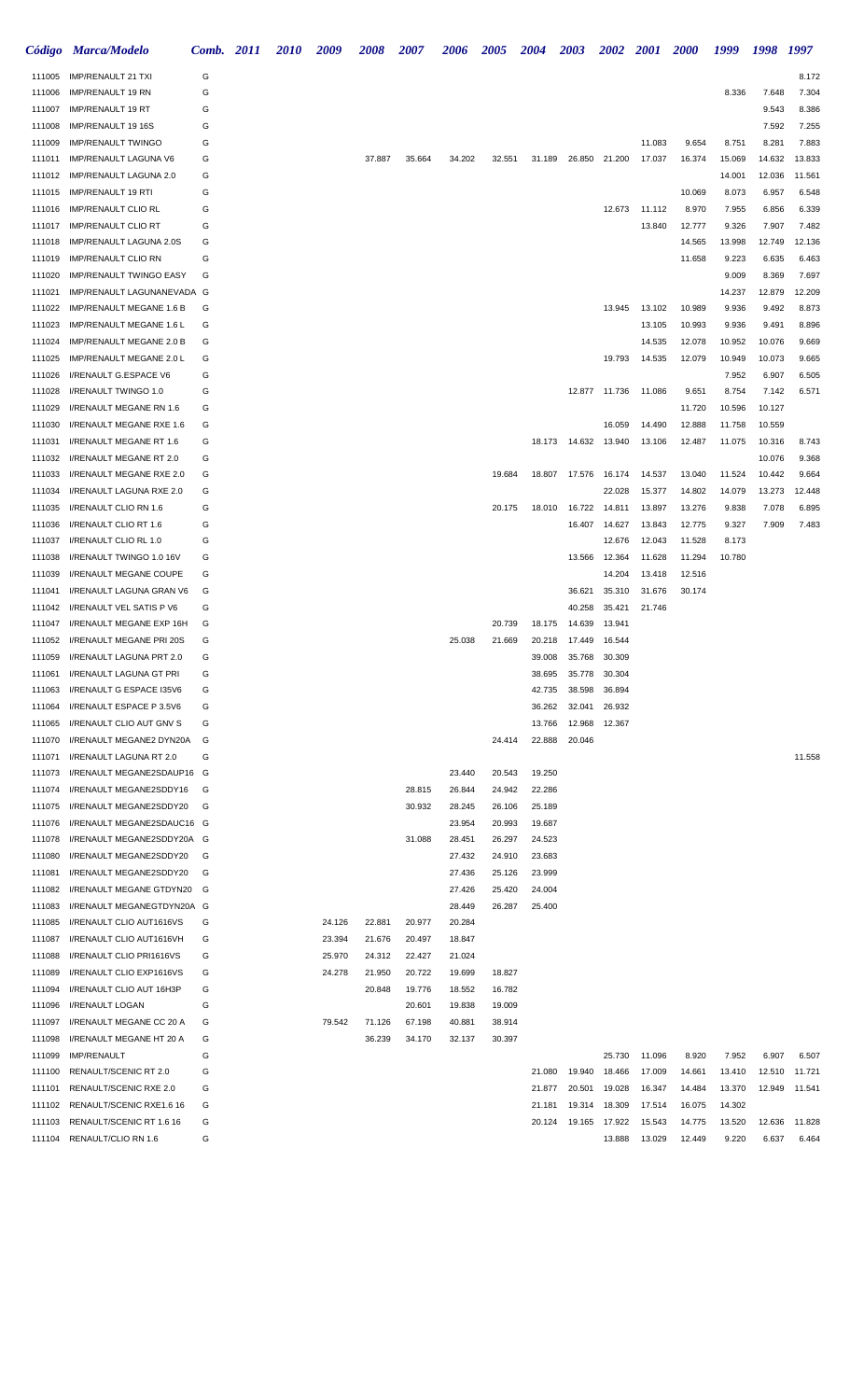| Código           | <b>Marca/Modelo</b>                                      | Comb. 2011 | <b>2010</b> | 2009   | 2008   | <i><b>2007</b></i> | 2006             | <i><b>2005</b></i> | <b>2004</b> | <b>2003</b> | <b>2002</b>      | <b>2001</b>      | <b>2000</b>      | 1999             | 1998             | 1997            |
|------------------|----------------------------------------------------------|------------|-------------|--------|--------|--------------------|------------------|--------------------|-------------|-------------|------------------|------------------|------------------|------------------|------------------|-----------------|
| 111005           | IMP/RENAULT 21 TXI                                       | G          |             |        |        |                    |                  |                    |             |             |                  |                  |                  |                  |                  | 8.172           |
| 111006           | IMP/RENAULT 19 RN                                        | G          |             |        |        |                    |                  |                    |             |             |                  |                  |                  | 8.336            | 7.648            | 7.304           |
| 111007           | IMP/RENAULT 19 RT                                        | G          |             |        |        |                    |                  |                    |             |             |                  |                  |                  |                  | 9.543            | 8.386           |
| 111008           | IMP/RENAULT 19 16S                                       | G          |             |        |        |                    |                  |                    |             |             |                  |                  |                  |                  | 7.592            | 7.255           |
| 111009           | <b>IMP/RENAULT TWINGO</b>                                | G          |             |        |        |                    |                  |                    |             |             |                  | 11.083           | 9.654            | 8.751            | 8.281            | 7.883           |
| 111011           | <b>IMP/RENAULT LAGUNA V6</b>                             | G          |             |        | 37.887 | 35.664             | 34.202           | 32.551             | 31.189      | 26.850      | 21.200           | 17.037           | 16.374           | 15.069           | 14.632           | 13.833          |
| 111012           | IMP/RENAULT LAGUNA 2.0                                   | G          |             |        |        |                    |                  |                    |             |             |                  |                  |                  | 14.001           | 12.036           | 11.561          |
| 111015           | IMP/RENAULT 19 RTI                                       | G          |             |        |        |                    |                  |                    |             |             |                  |                  | 10.069           | 8.073            | 6.957            | 6.548           |
| 111016<br>111017 | <b>IMP/RENAULT CLIO RL</b><br><b>IMP/RENAULT CLIO RT</b> | G<br>G     |             |        |        |                    |                  |                    |             |             | 12.673           | 11.112<br>13.840 | 8.970<br>12.777  | 7.955<br>9.326   | 6.856<br>7.907   | 6.339<br>7.482  |
| 111018           | IMP/RENAULT LAGUNA 2.0S                                  | G          |             |        |        |                    |                  |                    |             |             |                  |                  | 14.565           | 13.998           | 12.749           | 12.136          |
| 111019           | <b>IMP/RENAULT CLIO RN</b>                               | G          |             |        |        |                    |                  |                    |             |             |                  |                  | 11.658           | 9.223            | 6.635            | 6.463           |
| 111020           | <b>IMP/RENAULT TWINGO EASY</b>                           | G          |             |        |        |                    |                  |                    |             |             |                  |                  |                  | 9.009            | 8.369            | 7.697           |
| 111021           | IMP/RENAULT LAGUNANEVADA G                               |            |             |        |        |                    |                  |                    |             |             |                  |                  |                  | 14.237           | 12.879           | 12.209          |
| 111022           | IMP/RENAULT MEGANE 1.6 B                                 | G          |             |        |        |                    |                  |                    |             |             | 13.945           | 13.102           | 10.989           | 9.936            | 9.492            | 8.873           |
| 111023           | IMP/RENAULT MEGANE 1.6 L                                 | G          |             |        |        |                    |                  |                    |             |             |                  | 13.105           | 10.993           | 9.936            | 9.491            | 8.896           |
| 111024           | IMP/RENAULT MEGANE 2.0 B                                 | G          |             |        |        |                    |                  |                    |             |             |                  | 14.535           | 12.078           | 10.952           | 10.076           | 9.669           |
| 111025           | IMP/RENAULT MEGANE 2.0 L                                 | G          |             |        |        |                    |                  |                    |             |             | 19.793           | 14.535           | 12.079           | 10.949           | 10.073           | 9.665           |
| 111026           | I/RENAULT G.ESPACE V6                                    | G          |             |        |        |                    |                  |                    |             |             |                  |                  |                  | 7.952            | 6.907            | 6.505           |
| 111028           | I/RENAULT TWINGO 1.0                                     | G          |             |        |        |                    |                  |                    |             |             | 12.877 11.736    | 11.086           | 9.651            | 8.754            | 7.142            | 6.571           |
| 111029           | I/RENAULT MEGANE RN 1.6                                  | G          |             |        |        |                    |                  |                    |             |             |                  |                  | 11.720           | 10.596           | 10.127           |                 |
| 111030           | I/RENAULT MEGANE RXE 1.6                                 | G          |             |        |        |                    |                  |                    |             |             | 16.059           | 14.490           | 12.888           | 11.758           | 10.559           |                 |
| 111031           | I/RENAULT MEGANE RT 1.6                                  | G          |             |        |        |                    |                  |                    | 18.173      | 14.632      | 13.940           | 13.106           | 12.487           | 11.075           | 10.316           | 8.743           |
| 111032           | I/RENAULT MEGANE RT 2.0                                  | G          |             |        |        |                    |                  |                    |             |             |                  |                  |                  |                  | 10.076           | 9.368           |
| 111033<br>111034 | I/RENAULT MEGANE RXE 2.0                                 | G<br>G     |             |        |        |                    |                  | 19.684             | 18.807      | 17.576      | 16.174<br>22.028 | 14.537<br>15.377 | 13.040<br>14.802 | 11.524<br>14.079 | 10.442<br>13.273 | 9.664<br>12.448 |
| 111035           | I/RENAULT LAGUNA RXE 2.0<br>I/RENAULT CLIO RN 1.6        | G          |             |        |        |                    |                  | 20.175             | 18.010      | 16.722      | 14.811           | 13.897           | 13.276           | 9.838            | 7.078            | 6.895           |
| 111036           | I/RENAULT CLIO RT 1.6                                    | G          |             |        |        |                    |                  |                    |             | 16.407      | 14.627           | 13.843           | 12.775           | 9.327            | 7.909            | 7.483           |
| 111037           | I/RENAULT CLIO RL 1.0                                    | G          |             |        |        |                    |                  |                    |             |             | 12.676           | 12.043           | 11.528           | 8.173            |                  |                 |
| 111038           | I/RENAULT TWINGO 1.0 16V                                 | G          |             |        |        |                    |                  |                    |             | 13.566      | 12.364           | 11.628           | 11.294           | 10.780           |                  |                 |
| 111039           | I/RENAULT MEGANE COUPE                                   | G          |             |        |        |                    |                  |                    |             |             | 14.204           | 13.418           | 12.516           |                  |                  |                 |
| 111041           | I/RENAULT LAGUNA GRAN V6                                 | G          |             |        |        |                    |                  |                    |             | 36.621      | 35.310           | 31.676           | 30.174           |                  |                  |                 |
| 111042           | I/RENAULT VEL SATIS P V6                                 | G          |             |        |        |                    |                  |                    |             | 40.258      | 35.421           | 21.746           |                  |                  |                  |                 |
| 111047           | I/RENAULT MEGANE EXP 16H                                 | G          |             |        |        |                    |                  | 20.739             | 18.175      | 14.639      | 13.941           |                  |                  |                  |                  |                 |
| 111052           | I/RENAULT MEGANE PRI 20S                                 | G          |             |        |        |                    | 25.038           | 21.669             | 20.218      | 17.449      | 16.544           |                  |                  |                  |                  |                 |
| 111059           | I/RENAULT LAGUNA PRT 2.0                                 | G          |             |        |        |                    |                  |                    | 39.008      | 35.768      | 30.309           |                  |                  |                  |                  |                 |
| 111061           | I/RENAULT LAGUNA GT PRI                                  | G          |             |        |        |                    |                  |                    | 38.695      | 35.778      | 30.304           |                  |                  |                  |                  |                 |
| 111063           | I/RENAULT G ESPACE I35V6                                 | G          |             |        |        |                    |                  |                    | 42.735      | 38.598      | 36.894           |                  |                  |                  |                  |                 |
| 111064           | I/RENAULT ESPACE P 3.5V6                                 | G          |             |        |        |                    |                  |                    | 36.262      | 32.041      | 26.932           |                  |                  |                  |                  |                 |
| 111065           | I/RENAULT CLIO AUT GNV S                                 | G          |             |        |        |                    |                  |                    | 13.766      | 12.968      | 12.367           |                  |                  |                  |                  |                 |
| 111070<br>111071 | I/RENAULT MEGANE2 DYN20A<br>I/RENAULT LAGUNA RT 2.0      | G<br>G     |             |        |        |                    |                  | 24.414             | 22.888      | 20.046      |                  |                  |                  |                  |                  | 11.558          |
| 111073           | I/RENAULT MEGANE2SDAUP16 G                               |            |             |        |        |                    | 23.440           | 20.543             | 19.250      |             |                  |                  |                  |                  |                  |                 |
| 111074           | I/RENAULT MEGANE2SDDY16                                  | G          |             |        |        | 28.815             | 26.844           | 24.942             | 22.286      |             |                  |                  |                  |                  |                  |                 |
| 111075           | I/RENAULT MEGANE2SDDY20                                  | G          |             |        |        | 30.932             | 28.245           | 26.106             | 25.189      |             |                  |                  |                  |                  |                  |                 |
| 111076           | I/RENAULT MEGANE2SDAUC16 G                               |            |             |        |        |                    | 23.954           | 20.993             | 19.687      |             |                  |                  |                  |                  |                  |                 |
| 111078           | I/RENAULT MEGANE2SDDY20A G                               |            |             |        |        | 31.088             | 28.451           | 26.297             | 24.523      |             |                  |                  |                  |                  |                  |                 |
| 111080           | I/RENAULT MEGANE2SDDY20                                  | G          |             |        |        |                    | 27.432           | 24.910             | 23.683      |             |                  |                  |                  |                  |                  |                 |
| 111081           | I/RENAULT MEGANE2SDDY20                                  | G          |             |        |        |                    | 27.436           | 25.126             | 23.999      |             |                  |                  |                  |                  |                  |                 |
| 111082           | I/RENAULT MEGANE GTDYN20                                 | G          |             |        |        |                    | 27.426           | 25.420             | 24.004      |             |                  |                  |                  |                  |                  |                 |
| 111083           | I/RENAULT MEGANEGTDYN20A G                               |            |             |        |        |                    | 28.449           | 26.287             | 25.400      |             |                  |                  |                  |                  |                  |                 |
| 111085           | I/RENAULT CLIO AUT1616VS                                 | G          |             | 24.126 | 22.881 | 20.977             | 20.284           |                    |             |             |                  |                  |                  |                  |                  |                 |
| 111087           | I/RENAULT CLIO AUT1616VH                                 | G          |             | 23.394 | 21.676 | 20.497             | 18.847           |                    |             |             |                  |                  |                  |                  |                  |                 |
| 111088           | I/RENAULT CLIO PRI1616VS                                 | G          |             | 25.970 | 24.312 | 22.427             | 21.024           |                    |             |             |                  |                  |                  |                  |                  |                 |
| 111089           | I/RENAULT CLIO EXP1616VS                                 | G          |             | 24.278 | 21.950 | 20.722             | 19.699           | 18.827             |             |             |                  |                  |                  |                  |                  |                 |
| 111094<br>111096 | I/RENAULT CLIO AUT 16H3P<br><b>I/RENAULT LOGAN</b>       | G<br>G     |             |        | 20.848 | 19.776<br>20.601   | 18.552<br>19.838 | 16.782<br>19.009   |             |             |                  |                  |                  |                  |                  |                 |
| 111097           | I/RENAULT MEGANE CC 20 A                                 | G          |             | 79.542 | 71.126 | 67.198             | 40.881           | 38.914             |             |             |                  |                  |                  |                  |                  |                 |
| 111098           | I/RENAULT MEGANE HT 20 A                                 | G          |             |        | 36.239 | 34.170             | 32.137           | 30.397             |             |             |                  |                  |                  |                  |                  |                 |
| 111099           | <b>IMP/RENAULT</b>                                       | G          |             |        |        |                    |                  |                    |             |             | 25.730           | 11.096           | 8.920            | 7.952            | 6.907            | 6.507           |
| 111100           | RENAULT/SCENIC RT 2.0                                    | G          |             |        |        |                    |                  |                    | 21.080      | 19.940      | 18.466           | 17.009           | 14.661           | 13.410           | 12.510           | 11.721          |
| 111101           | RENAULT/SCENIC RXE 2.0                                   | G          |             |        |        |                    |                  |                    | 21.877      | 20.501      | 19.028           | 16.347           | 14.484           | 13.370           | 12.949           | 11.541          |
| 111102           | RENAULT/SCENIC RXE1.6 16                                 | G          |             |        |        |                    |                  |                    | 21.181      | 19.314      | 18.309           | 17.514           | 16.075           | 14.302           |                  |                 |
| 111103           | RENAULT/SCENIC RT 1.6 16                                 | G          |             |        |        |                    |                  |                    | 20.124      | 19.165      | 17.922           | 15.543           | 14.775           | 13.520           | 12.636           | 11.828          |
| 111104           | RENAULT/CLIO RN 1.6                                      | G          |             |        |        |                    |                  |                    |             |             | 13.888           | 13.029           | 12.449           | 9.220            | 6.637            | 6.464           |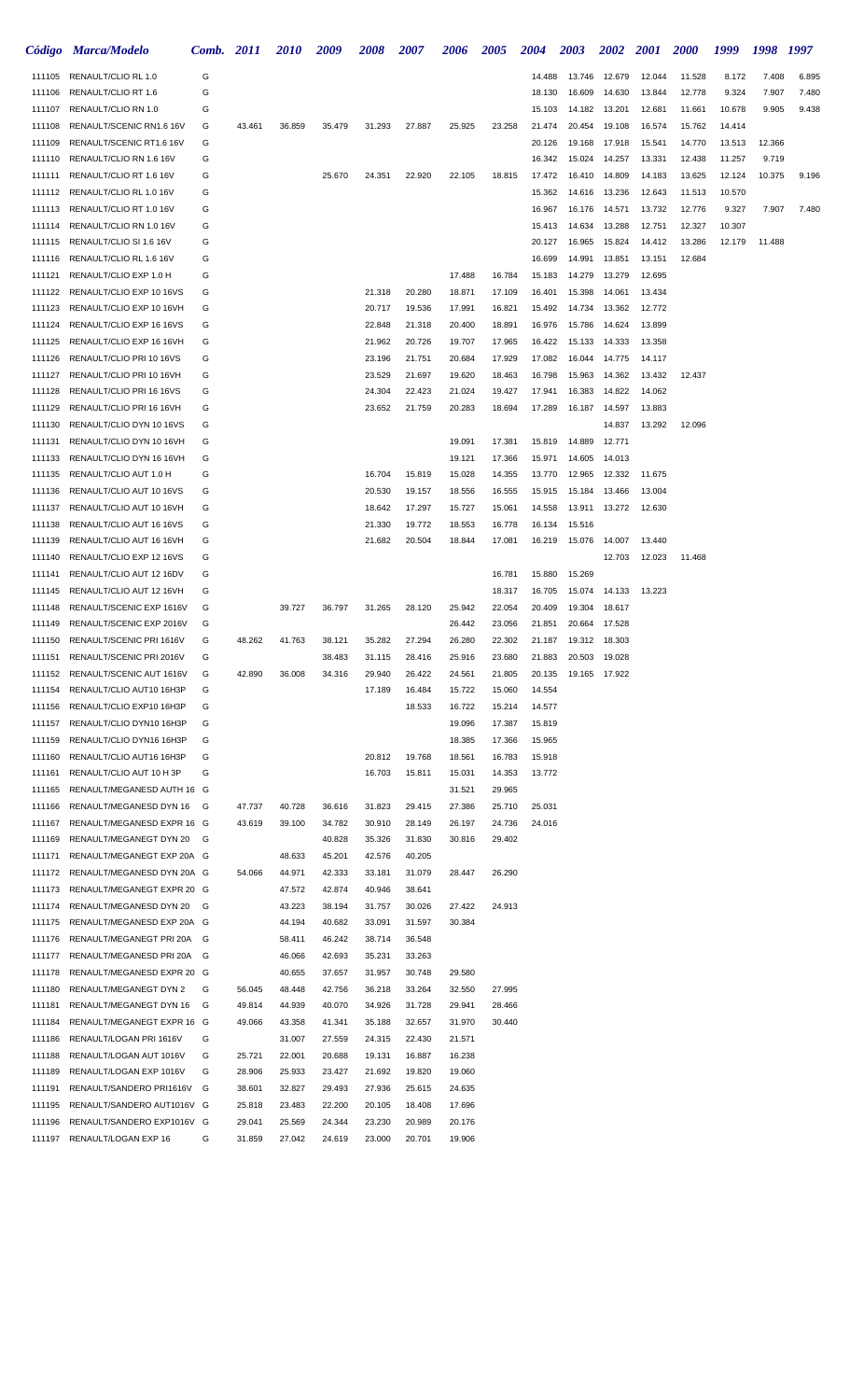| <b>Código</b>    | <b>Marca/Modelo</b>                                      | Comb.  | 2011   | <i><b>2010</b></i> | 2009             | 2008             | 2007             | 2006             | 2005             | 2004             | 2003             | <i><b>2002</b></i> | <b>2001</b>      | <i><b>2000</b></i> | 1999            | 1998   | 1997  |
|------------------|----------------------------------------------------------|--------|--------|--------------------|------------------|------------------|------------------|------------------|------------------|------------------|------------------|--------------------|------------------|--------------------|-----------------|--------|-------|
| 111105           | RENAULT/CLIO RL 1.0                                      | G      |        |                    |                  |                  |                  |                  |                  | 14.488           | 13.746           | 12.679             | 12.044           | 11.528             | 8.172           | 7.408  | 6.895 |
| 111106           | RENAULT/CLIO RT 1.6                                      | G      |        |                    |                  |                  |                  |                  |                  | 18.130           | 16.609           | 14.630             | 13.844           | 12.778             | 9.324           | 7.907  | 7.480 |
| 111107           | RENAULT/CLIO RN 1.0                                      | G      |        |                    |                  |                  |                  |                  |                  | 15.103           | 14.182           | 13.201             | 12.681           | 11.661             | 10.678          | 9.905  | 9.438 |
| 111108           | RENAULT/SCENIC RN1.6 16V                                 | G      | 43.461 | 36.859             | 35.479           | 31.293           | 27.887           | 25.925           | 23.258           | 21.474           | 20.454           | 19.108             | 16.574           | 15.762             | 14.414          |        |       |
| 111109           | RENAULT/SCENIC RT1.6 16V                                 | G      |        |                    |                  |                  |                  |                  |                  | 20.126           | 19.168           | 17.918             | 15.541           | 14.770             | 13.513          | 12.366 |       |
| 111110           | RENAULT/CLIO RN 1.6 16V                                  | G      |        |                    |                  |                  |                  |                  |                  | 16.342           | 15.024           | 14.257             | 13.331           | 12.438             | 11.257          | 9.719  |       |
| 111111           | RENAULT/CLIO RT 1.6 16V                                  | G      |        |                    | 25.670           | 24.351           | 22.920           | 22.105           | 18.815           | 17.472           | 16.410           | 14.809             | 14.183           | 13.625             | 12.124          | 10.375 | 9.196 |
| 111112<br>111113 | RENAULT/CLIO RL 1.0 16V<br>RENAULT/CLIO RT 1.0 16V       | G<br>G |        |                    |                  |                  |                  |                  |                  | 15.362<br>16.967 | 14.616<br>16.176 | 13.236<br>14.571   | 12.643<br>13.732 | 11.513<br>12.776   | 10.570<br>9.327 | 7.907  | 7.480 |
| 111114           | RENAULT/CLIO RN 1.0 16V                                  | G      |        |                    |                  |                  |                  |                  |                  | 15.413           | 14.634           | 13.288             | 12.751           | 12.327             | 10.307          |        |       |
| 111115           | RENAULT/CLIO SI 1.6 16V                                  | G      |        |                    |                  |                  |                  |                  |                  | 20.127           | 16.965           | 15.824             | 14.412           | 13.286             | 12.179          | 11.488 |       |
| 111116           | RENAULT/CLIO RL 1.6 16V                                  | G      |        |                    |                  |                  |                  |                  |                  | 16.699           | 14.991           | 13.851             | 13.151           | 12.684             |                 |        |       |
| 111121           | RENAULT/CLIO EXP 1.0 H                                   | G      |        |                    |                  |                  |                  | 17.488           | 16.784           | 15.183           | 14.279           | 13.279             | 12.695           |                    |                 |        |       |
| 111122           | RENAULT/CLIO EXP 10 16VS                                 | G      |        |                    |                  | 21.318           | 20.280           | 18.871           | 17.109           | 16.401           | 15.398           | 14.061             | 13.434           |                    |                 |        |       |
| 111123           | RENAULT/CLIO EXP 10 16VH                                 | G      |        |                    |                  | 20.717           | 19.536           | 17.991           | 16.821           | 15.492           | 14.734           | 13.362             | 12.772           |                    |                 |        |       |
| 111124           | RENAULT/CLIO EXP 16 16VS                                 | G      |        |                    |                  | 22.848           | 21.318           | 20.400           | 18.891           | 16.976           | 15.786           | 14.624             | 13.899           |                    |                 |        |       |
| 111125           | RENAULT/CLIO EXP 16 16VH                                 | G      |        |                    |                  | 21.962           | 20.726           | 19.707           | 17.965           | 16.422           | 15.133           | 14.333             | 13.358           |                    |                 |        |       |
| 111126           | RENAULT/CLIO PRI 10 16VS                                 | G      |        |                    |                  | 23.196           | 21.751           | 20.684           | 17.929           | 17.082           | 16.044           | 14.775             | 14.117           |                    |                 |        |       |
| 111127           | RENAULT/CLIO PRI 10 16VH                                 | G      |        |                    |                  | 23.529           | 21.697           | 19.620           | 18.463           | 16.798           | 15.963           | 14.362             | 13.432           | 12.437             |                 |        |       |
| 111128           | RENAULT/CLIO PRI 16 16VS                                 | G      |        |                    |                  | 24.304           | 22.423           | 21.024           | 19.427           | 17.941           | 16.383           | 14.822             | 14.062           |                    |                 |        |       |
| 111129           | RENAULT/CLIO PRI 16 16VH                                 | G      |        |                    |                  | 23.652           | 21.759           | 20.283           | 18.694           | 17.289           | 16.187           | 14.597             | 13.883           |                    |                 |        |       |
| 111130           | RENAULT/CLIO DYN 10 16VS                                 | G      |        |                    |                  |                  |                  |                  |                  |                  |                  | 14.837             | 13.292           | 12.096             |                 |        |       |
| 111131           | RENAULT/CLIO DYN 10 16VH                                 | G      |        |                    |                  |                  |                  | 19.091           | 17.381           | 15.819           | 14.889           | 12.771             |                  |                    |                 |        |       |
| 111133           | RENAULT/CLIO DYN 16 16VH                                 | G      |        |                    |                  |                  |                  | 19.121           | 17.366           | 15.971           | 14.605           | 14.013             |                  |                    |                 |        |       |
| 111135<br>111136 | RENAULT/CLIO AUT 1.0 H<br>RENAULT/CLIO AUT 10 16VS       | G<br>G |        |                    |                  | 16.704<br>20.530 | 15.819<br>19.157 | 15.028<br>18.556 | 14.355<br>16.555 | 13.770<br>15.915 | 12.965<br>15.184 | 12.332<br>13.466   | 11.675<br>13.004 |                    |                 |        |       |
| 111137           | RENAULT/CLIO AUT 10 16VH                                 | G      |        |                    |                  | 18.642           | 17.297           | 15.727           | 15.061           | 14.558           | 13.911           | 13.272             | 12.630           |                    |                 |        |       |
| 111138           | RENAULT/CLIO AUT 16 16VS                                 | G      |        |                    |                  | 21.330           | 19.772           | 18.553           | 16.778           | 16.134           | 15.516           |                    |                  |                    |                 |        |       |
| 111139           | RENAULT/CLIO AUT 16 16VH                                 | G      |        |                    |                  | 21.682           | 20.504           | 18.844           | 17.081           | 16.219           | 15.076           | 14.007             | 13.440           |                    |                 |        |       |
| 111140           | RENAULT/CLIO EXP 12 16VS                                 | G      |        |                    |                  |                  |                  |                  |                  |                  |                  | 12.703             | 12.023           | 11.468             |                 |        |       |
| 111141           | RENAULT/CLIO AUT 12 16DV                                 | G      |        |                    |                  |                  |                  |                  | 16.781           | 15.880           | 15.269           |                    |                  |                    |                 |        |       |
| 111145           | RENAULT/CLIO AUT 12 16VH                                 | G      |        |                    |                  |                  |                  |                  | 18.317           | 16.705           | 15.074           | 14.133             | 13.223           |                    |                 |        |       |
| 111148           | RENAULT/SCENIC EXP 1616V                                 | G      |        | 39.727             | 36.797           | 31.265           | 28.120           | 25.942           | 22.054           | 20.409           | 19.304           | 18.617             |                  |                    |                 |        |       |
| 111149           | RENAULT/SCENIC EXP 2016V                                 | G      |        |                    |                  |                  |                  | 26.442           | 23.056           | 21.851           | 20.664           | 17.528             |                  |                    |                 |        |       |
| 111150           | RENAULT/SCENIC PRI 1616V                                 | G      | 48.262 | 41.763             | 38.121           | 35.282           | 27.294           | 26.280           | 22.302           | 21.187           | 19.312           | 18.303             |                  |                    |                 |        |       |
| 111151           | RENAULT/SCENIC PRI 2016V                                 | G      |        |                    | 38.483           | 31.115           | 28.416           | 25.916           | 23.680           | 21.883           | 20.503           | 19.028             |                  |                    |                 |        |       |
| 111152           | RENAULT/SCENIC AUT 1616V                                 | G      | 42.890 | 36.008             | 34.316           | 29.940           | 26.422           | 24.561           | 21.805           | 20.135           |                  | 19.165 17.922      |                  |                    |                 |        |       |
| 111154           | RENAULT/CLIO AUT10 16H3P                                 | G      |        |                    |                  | 17.189           | 16.484           | 15.722           | 15.060           | 14.554           |                  |                    |                  |                    |                 |        |       |
| 111156           | RENAULT/CLIO EXP10 16H3P                                 | G<br>G |        |                    |                  |                  | 18.533           | 16.722           | 15.214           | 14.577           |                  |                    |                  |                    |                 |        |       |
| 111157<br>111159 | RENAULT/CLIO DYN10 16H3P<br>RENAULT/CLIO DYN16 16H3P     | G      |        |                    |                  |                  |                  | 19.096<br>18.385 | 17.387<br>17.366 | 15.819<br>15.965 |                  |                    |                  |                    |                 |        |       |
| 111160           | RENAULT/CLIO AUT16 16H3P                                 | G      |        |                    |                  | 20.812           | 19.768           | 18.561           | 16.783           | 15.918           |                  |                    |                  |                    |                 |        |       |
| 111161           | RENAULT/CLIO AUT 10 H 3P                                 | G      |        |                    |                  | 16.703           | 15.811           | 15.031           | 14.353           | 13.772           |                  |                    |                  |                    |                 |        |       |
| 111165           | RENAULT/MEGANESD AUTH 16 G                               |        |        |                    |                  |                  |                  | 31.521           | 29.965           |                  |                  |                    |                  |                    |                 |        |       |
| 111166           | RENAULT/MEGANESD DYN 16                                  | G      | 47.737 | 40.728             | 36.616           | 31.823           | 29.415           | 27.386           | 25.710           | 25.031           |                  |                    |                  |                    |                 |        |       |
| 111167           | RENAULT/MEGANESD EXPR 16 G                               |        | 43.619 | 39.100             | 34.782           | 30.910           | 28.149           | 26.197           | 24.736           | 24.016           |                  |                    |                  |                    |                 |        |       |
| 111169           | RENAULT/MEGANEGT DYN 20                                  | G      |        |                    | 40.828           | 35.326           | 31.830           | 30.816           | 29.402           |                  |                  |                    |                  |                    |                 |        |       |
| 111171           | RENAULT/MEGANEGT EXP 20A G                               |        |        | 48.633             | 45.201           | 42.576           | 40.205           |                  |                  |                  |                  |                    |                  |                    |                 |        |       |
| 111172           | RENAULT/MEGANESD DYN 20A G                               |        | 54.066 | 44.971             | 42.333           | 33.181           | 31.079           | 28.447           | 26.290           |                  |                  |                    |                  |                    |                 |        |       |
| 111173           | RENAULT/MEGANEGT EXPR 20 G                               |        |        | 47.572             | 42.874           | 40.946           | 38.641           |                  |                  |                  |                  |                    |                  |                    |                 |        |       |
| 111174           | RENAULT/MEGANESD DYN 20                                  | G      |        | 43.223             | 38.194           | 31.757           | 30.026           | 27.422           | 24.913           |                  |                  |                    |                  |                    |                 |        |       |
| 111175           | RENAULT/MEGANESD EXP 20A G                               |        |        | 44.194             | 40.682           | 33.091           | 31.597           | 30.384           |                  |                  |                  |                    |                  |                    |                 |        |       |
| 111176           | RENAULT/MEGANEGT PRI 20A G                               |        |        | 58.411             | 46.242           | 38.714           | 36.548           |                  |                  |                  |                  |                    |                  |                    |                 |        |       |
| 111177<br>111178 | RENAULT/MEGANESD PRI 20A G<br>RENAULT/MEGANESD EXPR 20 G |        |        | 46.066<br>40.655   | 42.693<br>37.657 | 35.231<br>31.957 | 33.263<br>30.748 | 29.580           |                  |                  |                  |                    |                  |                    |                 |        |       |
| 111180           | RENAULT/MEGANEGT DYN 2                                   | G      | 56.045 | 48.448             | 42.756           | 36.218           | 33.264           | 32.550           | 27.995           |                  |                  |                    |                  |                    |                 |        |       |
| 111181           | RENAULT/MEGANEGT DYN 16                                  | G      | 49.814 | 44.939             | 40.070           | 34.926           | 31.728           | 29.941           | 28.466           |                  |                  |                    |                  |                    |                 |        |       |
| 111184           | RENAULT/MEGANEGT EXPR 16 G                               |        | 49.066 | 43.358             | 41.341           | 35.188           | 32.657           | 31.970           | 30.440           |                  |                  |                    |                  |                    |                 |        |       |
| 111186           | RENAULT/LOGAN PRI 1616V                                  | G      |        | 31.007             | 27.559           | 24.315           | 22.430           | 21.571           |                  |                  |                  |                    |                  |                    |                 |        |       |
| 111188           | RENAULT/LOGAN AUT 1016V                                  | G      | 25.721 | 22.001             | 20.688           | 19.131           | 16.887           | 16.238           |                  |                  |                  |                    |                  |                    |                 |        |       |
| 111189           | RENAULT/LOGAN EXP 1016V                                  | G      | 28.906 | 25.933             | 23.427           | 21.692           | 19.820           | 19.060           |                  |                  |                  |                    |                  |                    |                 |        |       |
| 111191           | RENAULT/SANDERO PRI1616V                                 | G      | 38.601 | 32.827             | 29.493           | 27.936           | 25.615           | 24.635           |                  |                  |                  |                    |                  |                    |                 |        |       |
| 111195           | RENAULT/SANDERO AUT1016V G                               |        | 25.818 | 23.483             | 22.200           | 20.105           | 18.408           | 17.696           |                  |                  |                  |                    |                  |                    |                 |        |       |
| 111196           | RENAULT/SANDERO EXP1016V G                               |        | 29.041 | 25.569             | 24.344           | 23.230           | 20.989           | 20.176           |                  |                  |                  |                    |                  |                    |                 |        |       |
|                  | 111197 RENAULT/LOGAN EXP 16                              | G      | 31.859 | 27.042             | 24.619           | 23.000           | 20.701           | 19.906           |                  |                  |                  |                    |                  |                    |                 |        |       |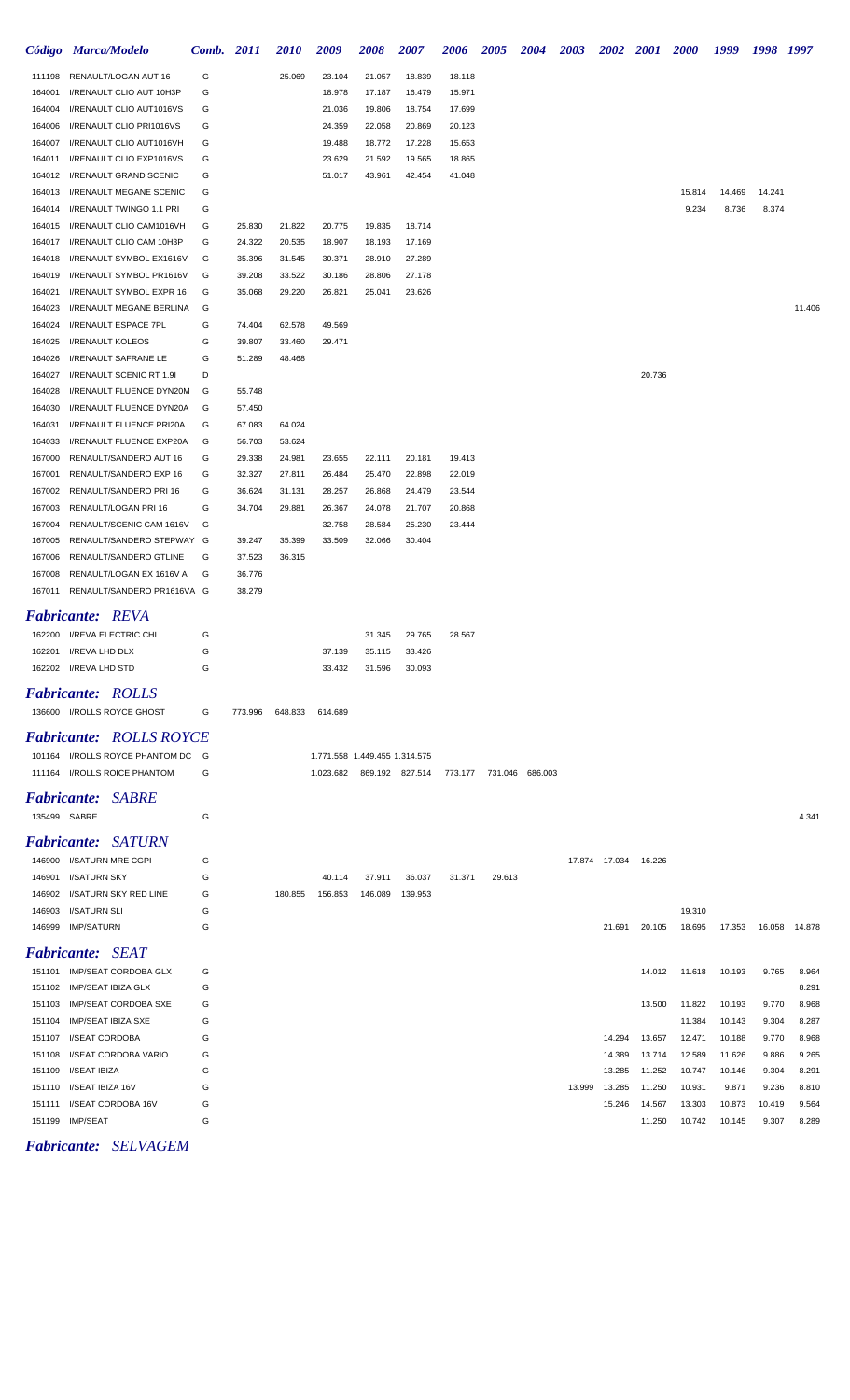|                           | Código Marca/Modelo                                      | Comb. 2011 |                  | <i>2010</i>      | 2009                                              | <b>2008</b>      | <b>2007</b>      | 2006   | <b>2005</b> | <b>2004</b> | 2003   |        | 2002 2001 2000         |        | 1999   | 1998 1997 |                |
|---------------------------|----------------------------------------------------------|------------|------------------|------------------|---------------------------------------------------|------------------|------------------|--------|-------------|-------------|--------|--------|------------------------|--------|--------|-----------|----------------|
| 111198                    | RENAULT/LOGAN AUT 16                                     | G          |                  | 25.069           | 23.104                                            | 21.057           | 18.839           | 18.118 |             |             |        |        |                        |        |        |           |                |
| 164001                    | I/RENAULT CLIO AUT 10H3P                                 | G          |                  |                  | 18.978                                            | 17.187           | 16.479           | 15.971 |             |             |        |        |                        |        |        |           |                |
| 164004                    | I/RENAULT CLIO AUT1016VS                                 | G          |                  |                  | 21.036                                            | 19.806           | 18.754           | 17.699 |             |             |        |        |                        |        |        |           |                |
| 164006                    | I/RENAULT CLIO PRI1016VS                                 | G          |                  |                  | 24.359                                            | 22.058           | 20.869           | 20.123 |             |             |        |        |                        |        |        |           |                |
| 164007                    | I/RENAULT CLIO AUT1016VH                                 | G          |                  |                  | 19.488                                            | 18.772           | 17.228           | 15.653 |             |             |        |        |                        |        |        |           |                |
| 164011                    | I/RENAULT CLIO EXP1016VS                                 | G          |                  |                  | 23.629                                            | 21.592           | 19.565           | 18.865 |             |             |        |        |                        |        |        |           |                |
| 164012                    | I/RENAULT GRAND SCENIC                                   | G          |                  |                  | 51.017                                            | 43.961           | 42.454           | 41.048 |             |             |        |        |                        |        |        |           |                |
| 164013                    | I/RENAULT MEGANE SCENIC                                  | G          |                  |                  |                                                   |                  |                  |        |             |             |        |        |                        | 15.814 | 14.469 | 14.241    |                |
| 164014                    | I/RENAULT TWINGO 1.1 PRI                                 | G          |                  |                  |                                                   |                  |                  |        |             |             |        |        |                        | 9.234  | 8.736  | 8.374     |                |
| 164015<br>164017          | I/RENAULT CLIO CAM1016VH<br>I/RENAULT CLIO CAM 10H3P     | G<br>G     | 25.830<br>24.322 | 21.822<br>20.535 | 20.775<br>18.907                                  | 19.835<br>18.193 | 18.714<br>17.169 |        |             |             |        |        |                        |        |        |           |                |
| 164018                    | I/RENAULT SYMBOL EX1616V                                 | G          | 35.396           | 31.545           | 30.371                                            | 28.910           | 27.289           |        |             |             |        |        |                        |        |        |           |                |
| 164019                    | I/RENAULT SYMBOL PR1616V                                 | G          | 39.208           | 33.522           | 30.186                                            | 28.806           | 27.178           |        |             |             |        |        |                        |        |        |           |                |
| 164021                    | I/RENAULT SYMBOL EXPR 16                                 | G          | 35.068           | 29.220           | 26.821                                            | 25.041           | 23.626           |        |             |             |        |        |                        |        |        |           |                |
| 164023                    | I/RENAULT MEGANE BERLINA                                 | G          |                  |                  |                                                   |                  |                  |        |             |             |        |        |                        |        |        |           | 11.406         |
| 164024                    | I/RENAULT ESPACE 7PL                                     | G          | 74.404           | 62.578           | 49.569                                            |                  |                  |        |             |             |        |        |                        |        |        |           |                |
| 164025                    | I/RENAULT KOLEOS                                         | G          | 39.807           | 33.460           | 29.471                                            |                  |                  |        |             |             |        |        |                        |        |        |           |                |
| 164026                    | I/RENAULT SAFRANE LE                                     | G          | 51.289           | 48.468           |                                                   |                  |                  |        |             |             |        |        |                        |        |        |           |                |
| 164027                    | I/RENAULT SCENIC RT 1.9I                                 | D          |                  |                  |                                                   |                  |                  |        |             |             |        |        | 20.736                 |        |        |           |                |
| 164028                    | I/RENAULT FLUENCE DYN20M                                 | G          | 55.748           |                  |                                                   |                  |                  |        |             |             |        |        |                        |        |        |           |                |
| 164030                    | I/RENAULT FLUENCE DYN20A                                 | G          | 57.450           |                  |                                                   |                  |                  |        |             |             |        |        |                        |        |        |           |                |
| 164031                    | I/RENAULT FLUENCE PRI20A                                 | G          | 67.083           | 64.024           |                                                   |                  |                  |        |             |             |        |        |                        |        |        |           |                |
| 164033                    | I/RENAULT FLUENCE EXP20A                                 | G          | 56.703           | 53.624           |                                                   |                  |                  |        |             |             |        |        |                        |        |        |           |                |
| 167000                    | RENAULT/SANDERO AUT 16                                   | G          | 29.338           | 24.981           | 23.655                                            | 22.111           | 20.181           | 19.413 |             |             |        |        |                        |        |        |           |                |
| 167001                    | RENAULT/SANDERO EXP 16                                   | G          | 32.327           | 27.811           | 26.484                                            | 25.470           | 22.898           | 22.019 |             |             |        |        |                        |        |        |           |                |
| 167002                    | RENAULT/SANDERO PRI 16                                   | G          | 36.624           | 31.131           | 28.257                                            | 26.868           | 24.479           | 23.544 |             |             |        |        |                        |        |        |           |                |
| 167003                    | RENAULT/LOGAN PRI 16                                     | G          | 34.704           | 29.881           | 26.367                                            | 24.078           | 21.707           | 20.868 |             |             |        |        |                        |        |        |           |                |
| 167004<br>167005          | RENAULT/SCENIC CAM 1616V<br>RENAULT/SANDERO STEPWAY G    | G          | 39.247           | 35.399           | 32.758<br>33.509                                  | 28.584<br>32.066 | 25.230<br>30.404 | 23.444 |             |             |        |        |                        |        |        |           |                |
| 167006                    | RENAULT/SANDERO GTLINE                                   | G          | 37.523           | 36.315           |                                                   |                  |                  |        |             |             |        |        |                        |        |        |           |                |
| 167008                    | RENAULT/LOGAN EX 1616V A                                 | G          | 36.776           |                  |                                                   |                  |                  |        |             |             |        |        |                        |        |        |           |                |
| 167011                    | RENAULT/SANDERO PR1616VA G                               |            | 38.279           |                  |                                                   |                  |                  |        |             |             |        |        |                        |        |        |           |                |
|                           |                                                          |            |                  |                  |                                                   |                  |                  |        |             |             |        |        |                        |        |        |           |                |
|                           | <b>Fabricante: REVA</b>                                  |            |                  |                  |                                                   |                  |                  |        |             |             |        |        |                        |        |        |           |                |
|                           | 162200 I/REVA ELECTRIC CHI                               | G          |                  |                  |                                                   | 31.345           | 29.765           | 28.567 |             |             |        |        |                        |        |        |           |                |
|                           | 162201 I/REVA LHD DLX                                    | G          |                  |                  | 37.139                                            | 35.115           | 33.426           |        |             |             |        |        |                        |        |        |           |                |
|                           | 162202 I/REVA LHD STD                                    | G          |                  |                  | 33.432                                            | 31.596           | 30.093           |        |             |             |        |        |                        |        |        |           |                |
|                           | <b>Fabricante: ROLLS</b>                                 |            |                  |                  |                                                   |                  |                  |        |             |             |        |        |                        |        |        |           |                |
|                           | 136600 I/ROLLS ROYCE GHOST                               | G          | 773.996          | 648.833          | 614.689                                           |                  |                  |        |             |             |        |        |                        |        |        |           |                |
|                           | <b>Fabricante: ROLLS ROYCE</b>                           |            |                  |                  |                                                   |                  |                  |        |             |             |        |        |                        |        |        |           |                |
|                           | 101164 I/ROLLS ROYCE PHANTOM DC G                        |            |                  |                  | 1.771.558 1.449.455 1.314.575                     |                  |                  |        |             |             |        |        |                        |        |        |           |                |
|                           | 111164 I/ROLLS ROICE PHANTOM                             | G          |                  |                  | 1.023.682 869.192 827.514 773.177 731.046 686.003 |                  |                  |        |             |             |        |        |                        |        |        |           |                |
|                           |                                                          |            |                  |                  |                                                   |                  |                  |        |             |             |        |        |                        |        |        |           |                |
| <i><b>Fabricante:</b></i> | <b>SABRE</b>                                             |            |                  |                  |                                                   |                  |                  |        |             |             |        |        |                        |        |        |           |                |
| 135499 SABRE              |                                                          | G          |                  |                  |                                                   |                  |                  |        |             |             |        |        |                        |        |        |           | 4.341          |
|                           | <b>Fabricante:</b> SATURN                                |            |                  |                  |                                                   |                  |                  |        |             |             |        |        |                        |        |        |           |                |
|                           | 146900 I/SATURN MRE CGPI                                 | G          |                  |                  |                                                   |                  |                  |        |             |             |        |        | 17.874  17.034  16.226 |        |        |           |                |
|                           | 146901 I/SATURN SKY                                      | G          |                  |                  | 40.114                                            | 37.911           | 36.037           | 31.371 | 29.613      |             |        |        |                        |        |        |           |                |
|                           | 146902 I/SATURN SKY RED LINE                             | G          |                  | 180.855          | 156.853                                           | 146.089          | 139.953          |        |             |             |        |        |                        |        |        |           |                |
| 146903                    | I/SATURN SLI                                             | G          |                  |                  |                                                   |                  |                  |        |             |             |        |        |                        | 19.310 |        |           |                |
|                           | 146999 IMP/SATURN                                        | G          |                  |                  |                                                   |                  |                  |        |             |             |        | 21.691 | 20.105                 | 18.695 | 17.353 |           | 16.058 14.878  |
|                           | <b>Fabricante: SEAT</b>                                  |            |                  |                  |                                                   |                  |                  |        |             |             |        |        |                        |        |        |           |                |
|                           |                                                          |            |                  |                  |                                                   |                  |                  |        |             |             |        |        |                        |        |        |           |                |
|                           | 151101 IMP/SEAT CORDOBA GLX                              | G<br>G     |                  |                  |                                                   |                  |                  |        |             |             |        |        | 14.012                 | 11.618 | 10.193 | 9.765     | 8.964          |
|                           | 151102 IMP/SEAT IBIZA GLX<br>151103 IMP/SEAT CORDOBA SXE | G          |                  |                  |                                                   |                  |                  |        |             |             |        |        | 13.500                 | 11.822 | 10.193 | 9.770     | 8.291<br>8.968 |
|                           | 151104 IMP/SEAT IBIZA SXE                                | G          |                  |                  |                                                   |                  |                  |        |             |             |        |        |                        | 11.384 | 10.143 | 9.304     | 8.287          |
|                           | 151107 I/SEAT CORDOBA                                    | G          |                  |                  |                                                   |                  |                  |        |             |             |        | 14.294 | 13.657                 | 12.471 | 10.188 | 9.770     | 8.968          |
|                           | 151108 I/SEAT CORDOBA VARIO                              | G          |                  |                  |                                                   |                  |                  |        |             |             |        | 14.389 | 13.714                 | 12.589 | 11.626 | 9.886     | 9.265          |
|                           | 151109 I/SEAT IBIZA                                      | G          |                  |                  |                                                   |                  |                  |        |             |             |        | 13.285 | 11.252                 | 10.747 | 10.146 | 9.304     | 8.291          |
|                           | 151110 I/SEAT IBIZA 16V                                  | G          |                  |                  |                                                   |                  |                  |        |             |             | 13.999 | 13.285 | 11.250                 | 10.931 | 9.871  | 9.236     | 8.810          |
|                           | 151111 I/SEAT CORDOBA 16V                                | G          |                  |                  |                                                   |                  |                  |        |             |             |        | 15.246 | 14.567                 | 13.303 | 10.873 | 10.419    | 9.564          |
|                           | 151199 IMP/SEAT                                          | G          |                  |                  |                                                   |                  |                  |        |             |             |        |        | 11.250                 | 10.742 | 10.145 | 9.307     | 8.289          |

*Fabricante: SELVAGEM*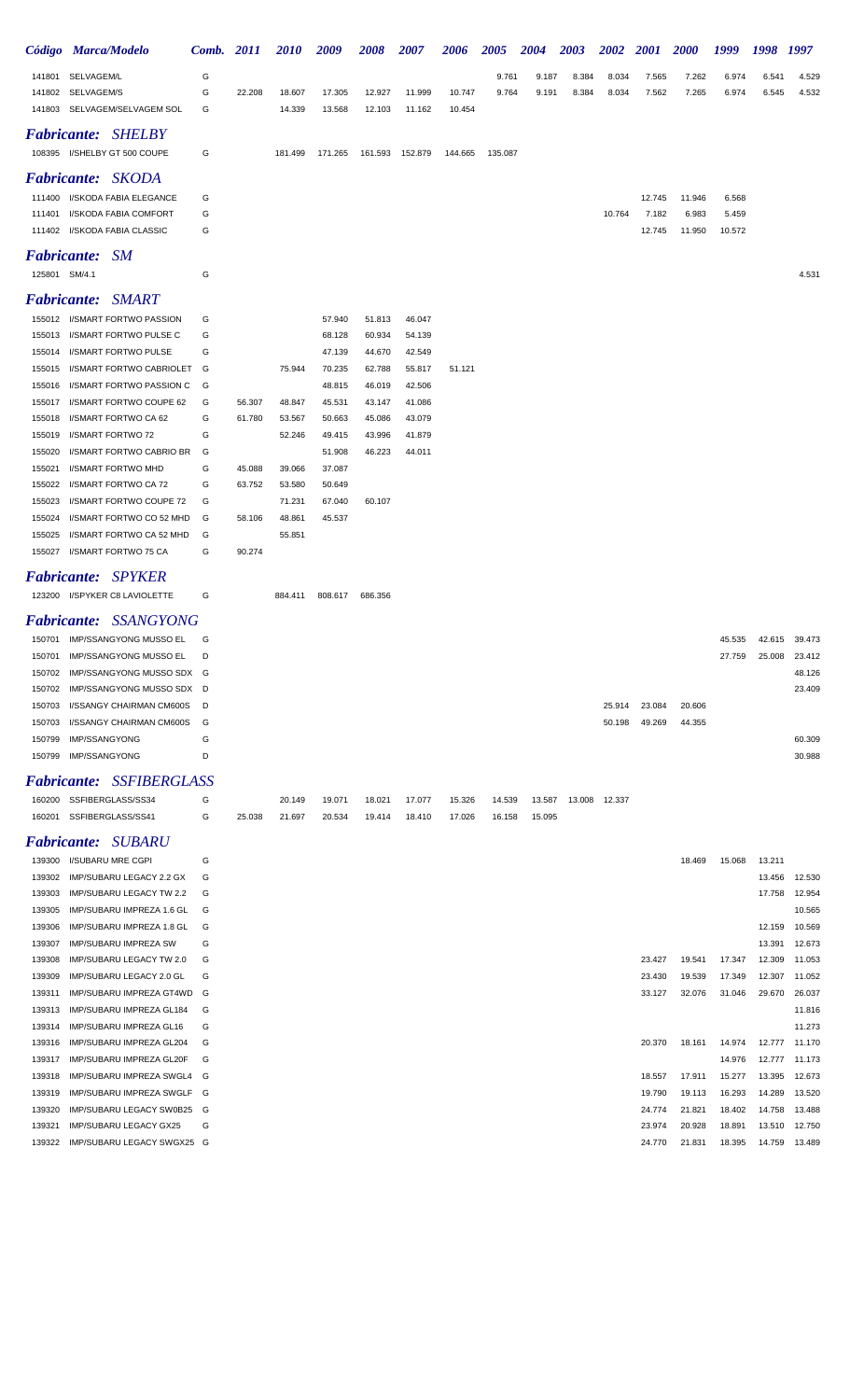|                    | Código Marca/Modelo                                    | Comb. 2011 |        | 2010    | 2009             | 2008             | 2007             | 2006    | <b>2005</b> | 2004   | <b>2003</b> | <b>2002</b>   | <b>2001</b>      | <b>2000</b>      | 1999             | 1998             | 1997             |
|--------------------|--------------------------------------------------------|------------|--------|---------|------------------|------------------|------------------|---------|-------------|--------|-------------|---------------|------------------|------------------|------------------|------------------|------------------|
| 141801             | SELVAGEM/L                                             | G          |        |         |                  |                  |                  |         | 9.761       | 9.187  | 8.384       | 8.034         | 7.565            | 7.262            | 6.974            | 6.541            | 4.529            |
| 141802             | SELVAGEM/S                                             | G          | 22.208 | 18.607  | 17.305           | 12.927           | 11.999           | 10.747  | 9.764       | 9.191  | 8.384       | 8.034         | 7.562            | 7.265            | 6.974            | 6.545            | 4.532            |
| 141803             | SELVAGEM/SELVAGEM SOL                                  | G          |        | 14.339  | 13.568           | 12.103           | 11.162           | 10.454  |             |        |             |               |                  |                  |                  |                  |                  |
|                    | <b>Fabricante: SHELBY</b>                              |            |        |         |                  |                  |                  |         |             |        |             |               |                  |                  |                  |                  |                  |
|                    | 108395 I/SHELBY GT 500 COUPE                           | G          |        | 181.499 | 171.265          | 161.593 152.879  |                  | 144.665 | 135.087     |        |             |               |                  |                  |                  |                  |                  |
|                    |                                                        |            |        |         |                  |                  |                  |         |             |        |             |               |                  |                  |                  |                  |                  |
|                    | <b>Fabricante: SKODA</b>                               |            |        |         |                  |                  |                  |         |             |        |             |               |                  |                  |                  |                  |                  |
| 111400<br>111401   | I/SKODA FABIA ELEGANCE<br>I/SKODA FABIA COMFORT        | G<br>G     |        |         |                  |                  |                  |         |             |        |             | 10.764        | 12.745<br>7.182  | 11.946<br>6.983  | 6.568<br>5.459   |                  |                  |
|                    | 111402 I/SKODA FABIA CLASSIC                           | G          |        |         |                  |                  |                  |         |             |        |             |               | 12.745           | 11.950           | 10.572           |                  |                  |
|                    |                                                        |            |        |         |                  |                  |                  |         |             |        |             |               |                  |                  |                  |                  |                  |
| <i>Fabricante:</i> | <b>SM</b>                                              |            |        |         |                  |                  |                  |         |             |        |             |               |                  |                  |                  |                  |                  |
| 125801 SM/4.1      |                                                        | G          |        |         |                  |                  |                  |         |             |        |             |               |                  |                  |                  |                  | 4.531            |
|                    | <i><b>Fabricante:</b></i><br><i><b>SMART</b></i>       |            |        |         |                  |                  |                  |         |             |        |             |               |                  |                  |                  |                  |                  |
|                    | 155012 I/SMART FORTWO PASSION                          | G          |        |         | 57.940           | 51.813           | 46.047           |         |             |        |             |               |                  |                  |                  |                  |                  |
| 155013             | I/SMART FORTWO PULSE C                                 | G          |        |         | 68.128           | 60.934           | 54.139           |         |             |        |             |               |                  |                  |                  |                  |                  |
| 155014             | I/SMART FORTWO PULSE                                   | G          |        |         | 47.139           | 44.670           | 42.549           |         |             |        |             |               |                  |                  |                  |                  |                  |
| 155015             | I/SMART FORTWO CABRIOLET<br>I/SMART FORTWO PASSION C   | G          |        | 75.944  | 70.235           | 62.788           | 55.817           | 51.121  |             |        |             |               |                  |                  |                  |                  |                  |
| 155016<br>155017   | I/SMART FORTWO COUPE 62                                | G<br>G     | 56.307 | 48.847  | 48.815<br>45.531 | 46.019<br>43.147 | 42.506<br>41.086 |         |             |        |             |               |                  |                  |                  |                  |                  |
| 155018             | I/SMART FORTWO CA 62                                   | G          | 61.780 | 53.567  | 50.663           | 45.086           | 43.079           |         |             |        |             |               |                  |                  |                  |                  |                  |
| 155019             | I/SMART FORTWO 72                                      | G          |        | 52.246  | 49.415           | 43.996           | 41.879           |         |             |        |             |               |                  |                  |                  |                  |                  |
| 155020             | I/SMART FORTWO CABRIO BR                               | G          |        |         | 51.908           | 46.223           | 44.011           |         |             |        |             |               |                  |                  |                  |                  |                  |
| 155021             | I/SMART FORTWO MHD                                     | G          | 45.088 | 39.066  | 37.087           |                  |                  |         |             |        |             |               |                  |                  |                  |                  |                  |
| 155022             | I/SMART FORTWO CA 72                                   | G          | 63.752 | 53.580  | 50.649           |                  |                  |         |             |        |             |               |                  |                  |                  |                  |                  |
| 155023             | I/SMART FORTWO COUPE 72                                | G          |        | 71.231  | 67.040           | 60.107           |                  |         |             |        |             |               |                  |                  |                  |                  |                  |
| 155024             | I/SMART FORTWO CO 52 MHD                               | G          | 58.106 | 48.861  | 45.537           |                  |                  |         |             |        |             |               |                  |                  |                  |                  |                  |
| 155025<br>155027   | I/SMART FORTWO CA 52 MHD<br>I/SMART FORTWO 75 CA       | G<br>G     | 90.274 | 55.851  |                  |                  |                  |         |             |        |             |               |                  |                  |                  |                  |                  |
|                    |                                                        |            |        |         |                  |                  |                  |         |             |        |             |               |                  |                  |                  |                  |                  |
|                    | <b>Fabricante:</b><br><b>SPYKER</b>                    |            |        |         |                  |                  |                  |         |             |        |             |               |                  |                  |                  |                  |                  |
|                    | 123200 I/SPYKER C8 LAVIOLETTE                          | G          |        | 884.411 | 808.617          | 686.356          |                  |         |             |        |             |               |                  |                  |                  |                  |                  |
|                    | <b>Fabricante: SSANGYONG</b>                           |            |        |         |                  |                  |                  |         |             |        |             |               |                  |                  |                  |                  |                  |
| 150701             | IMP/SSANGYONG MUSSO EL                                 | G          |        |         |                  |                  |                  |         |             |        |             |               |                  |                  | 45.535           | 42.615           | 39.473           |
|                    | 150701 IMP/SSANGYONG MUSSO EL                          | D          |        |         |                  |                  |                  |         |             |        |             |               |                  |                  | 27.759           | 25.008           | 23.412           |
| 150702             | IMP/SSANGYONG MUSSO SDX G                              |            |        |         |                  |                  |                  |         |             |        |             |               |                  |                  |                  |                  | 48.126           |
| 150702             | IMP/SSANGYONG MUSSO SDX D                              |            |        |         |                  |                  |                  |         |             |        |             |               |                  |                  |                  |                  | 23.409           |
| 150703             | I/SSANGY CHAIRMAN CM600S                               | D          |        |         |                  |                  |                  |         |             |        |             | 25.914        | 23.084           | 20.606           |                  |                  |                  |
| 150703<br>150799   | I/SSANGY CHAIRMAN CM600S<br>IMP/SSANGYONG              | G<br>G     |        |         |                  |                  |                  |         |             |        |             | 50.198        | 49.269           | 44.355           |                  |                  | 60.309           |
| 150799             | <b>IMP/SSANGYONG</b>                                   | D          |        |         |                  |                  |                  |         |             |        |             |               |                  |                  |                  |                  | 30.988           |
|                    |                                                        |            |        |         |                  |                  |                  |         |             |        |             |               |                  |                  |                  |                  |                  |
|                    | Fabricante: SSFIBERGLASS                               |            |        |         |                  |                  |                  |         |             |        |             |               |                  |                  |                  |                  |                  |
|                    | 160200 SSFIBERGLASS/SS34                               | G          |        | 20.149  | 19.071           | 18.021           | 17.077           | 15.326  | 14.539      | 13.587 |             | 13.008 12.337 |                  |                  |                  |                  |                  |
|                    | 160201 SSFIBERGLASS/SS41                               | G          | 25.038 | 21.697  | 20.534           | 19.414           | 18.410           | 17.026  | 16.158      | 15.095 |             |               |                  |                  |                  |                  |                  |
|                    | <b>Fabricante: SUBARU</b>                              |            |        |         |                  |                  |                  |         |             |        |             |               |                  |                  |                  |                  |                  |
| 139300             | I/SUBARU MRE CGPI                                      | G          |        |         |                  |                  |                  |         |             |        |             |               |                  | 18.469           | 15.068           | 13.211           |                  |
| 139302             | IMP/SUBARU LEGACY 2.2 GX                               | G          |        |         |                  |                  |                  |         |             |        |             |               |                  |                  |                  | 13.456           | 12.530           |
| 139303             | IMP/SUBARU LEGACY TW 2.2                               | G          |        |         |                  |                  |                  |         |             |        |             |               |                  |                  |                  | 17.758           | 12.954           |
| 139305             | IMP/SUBARU IMPREZA 1.6 GL                              | G          |        |         |                  |                  |                  |         |             |        |             |               |                  |                  |                  |                  | 10.565           |
| 139306<br>139307   | IMP/SUBARU IMPREZA 1.8 GL<br>IMP/SUBARU IMPREZA SW     | G<br>G     |        |         |                  |                  |                  |         |             |        |             |               |                  |                  |                  | 12.159<br>13.391 | 10.569<br>12.673 |
| 139308             | IMP/SUBARU LEGACY TW 2.0                               | G          |        |         |                  |                  |                  |         |             |        |             |               | 23.427           | 19.541           | 17.347           | 12.309           | 11.053           |
| 139309             | IMP/SUBARU LEGACY 2.0 GL                               | G          |        |         |                  |                  |                  |         |             |        |             |               | 23.430           | 19.539           | 17.349           | 12.307           | 11.052           |
| 139311             | IMP/SUBARU IMPREZA GT4WD                               | G          |        |         |                  |                  |                  |         |             |        |             |               | 33.127           | 32.076           | 31.046           | 29.670           | 26.037           |
| 139313             | IMP/SUBARU IMPREZA GL184                               | G          |        |         |                  |                  |                  |         |             |        |             |               |                  |                  |                  |                  | 11.816           |
| 139314             | IMP/SUBARU IMPREZA GL16                                | G          |        |         |                  |                  |                  |         |             |        |             |               |                  |                  |                  |                  | 11.273           |
| 139316             | IMP/SUBARU IMPREZA GL204                               | G          |        |         |                  |                  |                  |         |             |        |             |               | 20.370           | 18.161           | 14.974           |                  | 12.777 11.170    |
| 139317             | IMP/SUBARU IMPREZA GL20F                               | G          |        |         |                  |                  |                  |         |             |        |             |               |                  |                  | 14.976           | 12.777           | 11.173           |
| 139318             | IMP/SUBARU IMPREZA SWGL4                               | G          |        |         |                  |                  |                  |         |             |        |             |               | 18.557           | 17.911           | 15.277           | 13.395           | 12.673           |
| 139319<br>139320   | IMP/SUBARU IMPREZA SWGLF G<br>IMP/SUBARU LEGACY SW0B25 | G          |        |         |                  |                  |                  |         |             |        |             |               | 19.790<br>24.774 | 19.113<br>21.821 | 16.293<br>18.402 | 14.289<br>14.758 | 13.520<br>13.488 |
| 139321             | IMP/SUBARU LEGACY GX25                                 | G          |        |         |                  |                  |                  |         |             |        |             |               | 23.974           | 20.928           | 18.891           | 13.510           | 12.750           |
| 139322             | IMP/SUBARU LEGACY SWGX25 G                             |            |        |         |                  |                  |                  |         |             |        |             |               | 24.770           | 21.831           | 18.395           |                  | 14.759 13.489    |
|                    |                                                        |            |        |         |                  |                  |                  |         |             |        |             |               |                  |                  |                  |                  |                  |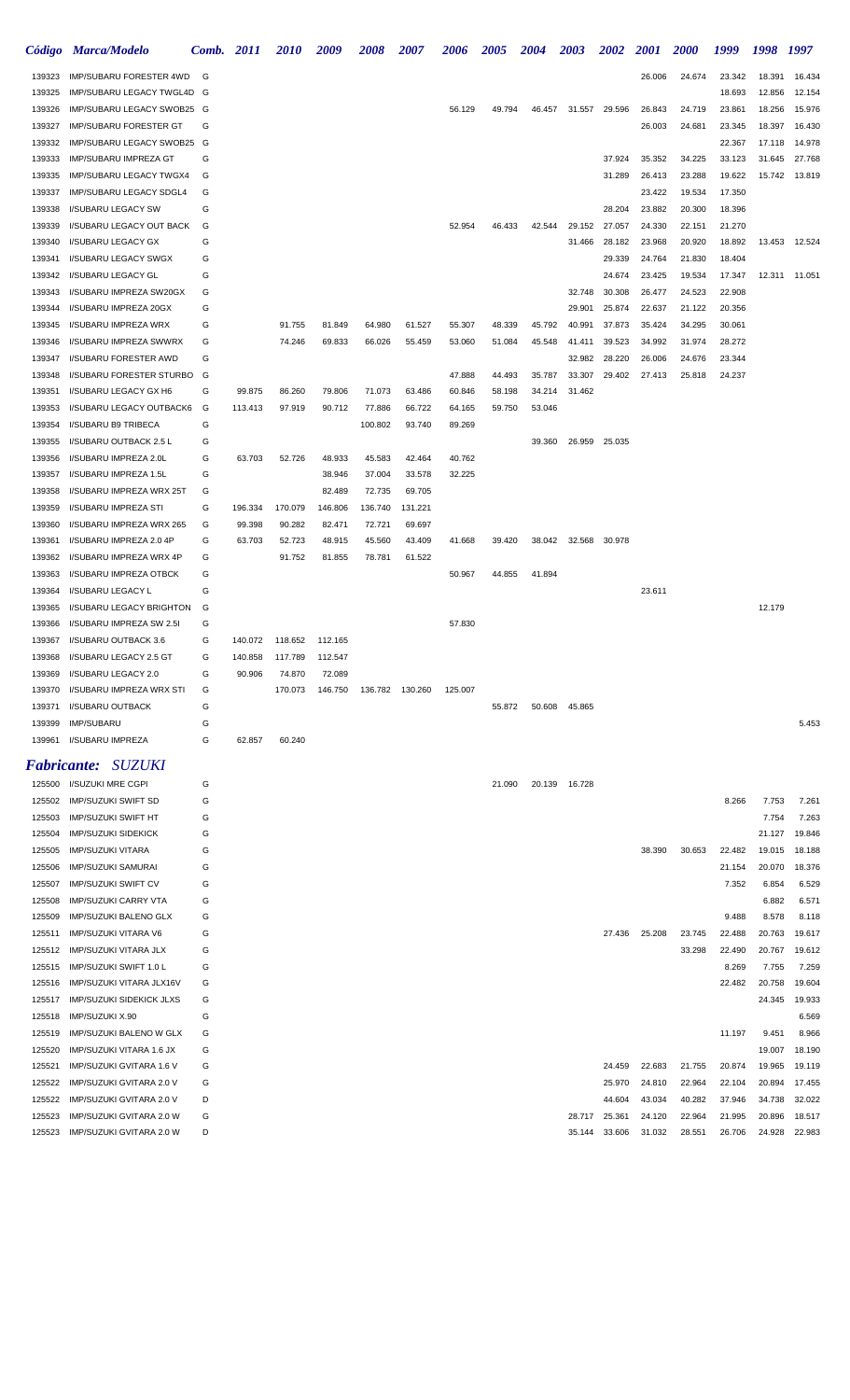|                  | Código Marca/Modelo                                |        | Comb. 2011 | 2010             | 2009             | 2008             | 2007             | 2006    | <i><b>2005</b></i> | 2004   | 2003             | <b>2002</b>      | <b>2001</b>      | <b>2000</b>      | 1999             | 1998            | 1997            |
|------------------|----------------------------------------------------|--------|------------|------------------|------------------|------------------|------------------|---------|--------------------|--------|------------------|------------------|------------------|------------------|------------------|-----------------|-----------------|
| 139323           | IMP/SUBARU FORESTER 4WD                            | G      |            |                  |                  |                  |                  |         |                    |        |                  |                  | 26.006           | 24.674           | 23.342           | 18.391          | 16.434          |
| 139325           | IMP/SUBARU LEGACY TWGL4D G                         |        |            |                  |                  |                  |                  |         |                    |        |                  |                  |                  |                  | 18.693           | 12.856          | 12.154          |
| 139326           | IMP/SUBARU LEGACY SWOB25 G                         |        |            |                  |                  |                  |                  | 56.129  | 49.794             | 46.457 | 31.557           | 29.596           | 26.843           | 24.719           | 23.861           | 18.256          | 15.976          |
| 139327           | <b>IMP/SUBARU FORESTER GT</b>                      | G      |            |                  |                  |                  |                  |         |                    |        |                  |                  | 26.003           | 24.681           | 23.345           | 18.397          | 16.430          |
| 139332           | IMP/SUBARU LEGACY SWOB25 G                         |        |            |                  |                  |                  |                  |         |                    |        |                  |                  |                  |                  | 22.367           | 17.118          | 14.978          |
| 139333           | <b>IMP/SUBARU IMPREZA GT</b>                       | G      |            |                  |                  |                  |                  |         |                    |        |                  | 37.924           | 35.352           | 34.225           | 33.123           | 31.645          | 27.768          |
| 139335           | IMP/SUBARU LEGACY TWGX4                            | G      |            |                  |                  |                  |                  |         |                    |        |                  | 31.289           | 26.413           | 23.288           | 19.622           | 15.742          | 13.819          |
| 139337           | IMP/SUBARU LEGACY SDGL4                            | G      |            |                  |                  |                  |                  |         |                    |        |                  |                  | 23.422           | 19.534           | 17.350           |                 |                 |
| 139338           | I/SUBARU LEGACY SW                                 | G      |            |                  |                  |                  |                  |         |                    |        |                  | 28.204           | 23.882           | 20.300           | 18.396           |                 |                 |
| 139339<br>139340 | I/SUBARU LEGACY OUT BACK<br>I/SUBARU LEGACY GX     | G<br>G |            |                  |                  |                  |                  | 52.954  | 46.433             | 42.544 | 29.152<br>31.466 | 27.057<br>28.182 | 24.330<br>23.968 | 22.151<br>20.920 | 21.270<br>18.892 |                 | 13.453 12.524   |
| 139341           | I/SUBARU LEGACY SWGX                               | G      |            |                  |                  |                  |                  |         |                    |        |                  | 29.339           | 24.764           | 21.830           | 18.404           |                 |                 |
| 139342           | I/SUBARU LEGACY GL                                 | G      |            |                  |                  |                  |                  |         |                    |        |                  | 24.674           | 23.425           | 19.534           | 17.347           |                 | 12.311 11.051   |
| 139343           | I/SUBARU IMPREZA SW20GX                            | G      |            |                  |                  |                  |                  |         |                    |        | 32.748           | 30.308           | 26.477           | 24.523           | 22.908           |                 |                 |
| 139344           | I/SUBARU IMPREZA 20GX                              | G      |            |                  |                  |                  |                  |         |                    |        | 29.901           | 25.874           | 22.637           | 21.122           | 20.356           |                 |                 |
| 139345           | I/SUBARU IMPREZA WRX                               | G      |            | 91.755           | 81.849           | 64.980           | 61.527           | 55.307  | 48.339             | 45.792 | 40.991           | 37.873           | 35.424           | 34.295           | 30.061           |                 |                 |
| 139346           | I/SUBARU IMPREZA SWWRX                             | G      |            | 74.246           | 69.833           | 66.026           | 55.459           | 53.060  | 51.084             | 45.548 | 41.411           | 39.523           | 34.992           | 31.974           | 28.272           |                 |                 |
| 139347           | I/SUBARU FORESTER AWD                              | G      |            |                  |                  |                  |                  |         |                    |        | 32.982           | 28.220           | 26.006           | 24.676           | 23.344           |                 |                 |
| 139348           | I/SUBARU FORESTER STURBO                           | G      |            |                  |                  |                  |                  | 47.888  | 44.493             | 35.787 | 33.307           | 29.402           | 27.413           | 25.818           | 24.237           |                 |                 |
| 139351           | I/SUBARU LEGACY GX H6                              | G      | 99.875     | 86.260           | 79.806           | 71.073           | 63.486           | 60.846  | 58.198             | 34.214 | 31.462           |                  |                  |                  |                  |                 |                 |
| 139353           | I/SUBARU LEGACY OUTBACK6                           | G      | 113.413    | 97.919           | 90.712           | 77.886           | 66.722           | 64.165  | 59.750             | 53.046 |                  |                  |                  |                  |                  |                 |                 |
| 139354           | I/SUBARU B9 TRIBECA                                | G      |            |                  |                  | 100.802          | 93.740           | 89.269  |                    |        |                  |                  |                  |                  |                  |                 |                 |
| 139355           | I/SUBARU OUTBACK 2.5 L                             | G      |            |                  |                  |                  |                  |         |                    | 39.360 | 26.959           | 25.035           |                  |                  |                  |                 |                 |
| 139356           | I/SUBARU IMPREZA 2.0L                              | G      | 63.703     | 52.726           | 48.933           | 45.583           | 42.464           | 40.762  |                    |        |                  |                  |                  |                  |                  |                 |                 |
| 139357           | I/SUBARU IMPREZA 1.5L                              | G      |            |                  | 38.946           | 37.004           | 33.578           | 32.225  |                    |        |                  |                  |                  |                  |                  |                 |                 |
| 139358           | I/SUBARU IMPREZA WRX 25T                           | G      |            |                  | 82.489           | 72.735           | 69.705           |         |                    |        |                  |                  |                  |                  |                  |                 |                 |
| 139359           | I/SUBARU IMPREZA STI                               | G      | 196.334    | 170.079          | 146.806          | 136.740          | 131.221          |         |                    |        |                  |                  |                  |                  |                  |                 |                 |
| 139360           | I/SUBARU IMPREZA WRX 265                           | G<br>G | 99.398     | 90.282           | 82.471           | 72.721<br>45.560 | 69.697<br>43.409 |         |                    |        |                  |                  |                  |                  |                  |                 |                 |
| 139361<br>139362 | I/SUBARU IMPREZA 2.0 4P<br>I/SUBARU IMPREZA WRX 4P | G      | 63.703     | 52.723<br>91.752 | 48.915<br>81.855 | 78.781           | 61.522           | 41.668  | 39.420             | 38.042 | 32.568           | 30.978           |                  |                  |                  |                 |                 |
| 139363           | I/SUBARU IMPREZA OTBCK                             | G      |            |                  |                  |                  |                  | 50.967  | 44.855             | 41.894 |                  |                  |                  |                  |                  |                 |                 |
| 139364           | I/SUBARU LEGACY L                                  | G      |            |                  |                  |                  |                  |         |                    |        |                  |                  | 23.611           |                  |                  |                 |                 |
| 139365           | I/SUBARU LEGACY BRIGHTON                           | G      |            |                  |                  |                  |                  |         |                    |        |                  |                  |                  |                  |                  | 12.179          |                 |
| 139366           | I/SUBARU IMPREZA SW 2.5I                           | G      |            |                  |                  |                  |                  | 57.830  |                    |        |                  |                  |                  |                  |                  |                 |                 |
| 139367           | I/SUBARU OUTBACK 3.6                               | G      | 140.072    | 118.652          | 112.165          |                  |                  |         |                    |        |                  |                  |                  |                  |                  |                 |                 |
| 139368           | I/SUBARU LEGACY 2.5 GT                             | G      | 140.858    | 117.789          | 112.547          |                  |                  |         |                    |        |                  |                  |                  |                  |                  |                 |                 |
| 139369           | I/SUBARU LEGACY 2.0                                | G      | 90.906     | 74.870           | 72.089           |                  |                  |         |                    |        |                  |                  |                  |                  |                  |                 |                 |
| 139370           | I/SUBARU IMPREZA WRX STI                           | G      |            | 170.073          | 146.750          |                  | 136.782 130.260  | 125.007 |                    |        |                  |                  |                  |                  |                  |                 |                 |
| 139371           | I/SUBARU OUTBACK                                   | G      |            |                  |                  |                  |                  |         | 55.872             | 50.608 | 45.865           |                  |                  |                  |                  |                 |                 |
| 139399           | <b>IMP/SUBARU</b>                                  | G      |            |                  |                  |                  |                  |         |                    |        |                  |                  |                  |                  |                  |                 | 5.453           |
| 139961           | I/SUBARU IMPREZA                                   | G      | 62.857     | 60.240           |                  |                  |                  |         |                    |        |                  |                  |                  |                  |                  |                 |                 |
|                  | <b>Fabricante: SUZUKI</b>                          |        |            |                  |                  |                  |                  |         |                    |        |                  |                  |                  |                  |                  |                 |                 |
|                  | 125500 I/SUZUKI MRE CGPI                           | G      |            |                  |                  |                  |                  |         | 21.090             |        | 20.139 16.728    |                  |                  |                  |                  |                 |                 |
| 125502           | <b>IMP/SUZUKI SWIFT SD</b>                         | G      |            |                  |                  |                  |                  |         |                    |        |                  |                  |                  |                  | 8.266            | 7.753           | 7.261           |
| 125503           | <b>IMP/SUZUKI SWIFT HT</b>                         | G      |            |                  |                  |                  |                  |         |                    |        |                  |                  |                  |                  |                  | 7.754           | 7.263           |
| 125504           | <b>IMP/SUZUKI SIDEKICK</b>                         | G      |            |                  |                  |                  |                  |         |                    |        |                  |                  |                  |                  |                  | 21.127          | 19.846          |
| 125505           | <b>IMP/SUZUKI VITARA</b>                           | G      |            |                  |                  |                  |                  |         |                    |        |                  |                  | 38.390           | 30.653           | 22.482           | 19.015          | 18.188          |
| 125506           | <b>IMP/SUZUKI SAMURAI</b>                          | G      |            |                  |                  |                  |                  |         |                    |        |                  |                  |                  |                  | 21.154           | 20.070          | 18.376          |
| 125507           | IMP/SUZUKI SWIFT CV                                | G      |            |                  |                  |                  |                  |         |                    |        |                  |                  |                  |                  | 7.352            | 6.854           | 6.529           |
| 125508           | <b>IMP/SUZUKI CARRY VTA</b>                        | G      |            |                  |                  |                  |                  |         |                    |        |                  |                  |                  |                  |                  | 6.882           | 6.571           |
| 125509           | IMP/SUZUKI BALENO GLX                              | G      |            |                  |                  |                  |                  |         |                    |        |                  |                  |                  |                  | 9.488            | 8.578           | 8.118           |
| 125511           | <b>IMP/SUZUKI VITARA V6</b>                        | G      |            |                  |                  |                  |                  |         |                    |        |                  | 27.436           | 25.208           | 23.745           | 22.488           | 20.763          | 19.617          |
| 125512           | IMP/SUZUKI VITARA JLX                              | G      |            |                  |                  |                  |                  |         |                    |        |                  |                  |                  | 33.298           | 22.490           | 20.767          | 19.612          |
| 125515<br>125516 | IMP/SUZUKI SWIFT 1.0 L<br>IMP/SUZUKI VITARA JLX16V | G<br>G |            |                  |                  |                  |                  |         |                    |        |                  |                  |                  |                  | 8.269<br>22.482  | 7.755<br>20.758 | 7.259<br>19.604 |
| 125517           | IMP/SUZUKI SIDEKICK JLXS                           | G      |            |                  |                  |                  |                  |         |                    |        |                  |                  |                  |                  |                  | 24.345          | 19.933          |
| 125518           | IMP/SUZUKI X.90                                    | G      |            |                  |                  |                  |                  |         |                    |        |                  |                  |                  |                  |                  |                 | 6.569           |
| 125519           | IMP/SUZUKI BALENO W GLX                            | G      |            |                  |                  |                  |                  |         |                    |        |                  |                  |                  |                  | 11.197           | 9.451           | 8.966           |
| 125520           | IMP/SUZUKI VITARA 1.6 JX                           | G      |            |                  |                  |                  |                  |         |                    |        |                  |                  |                  |                  |                  | 19.007          | 18.190          |
| 125521           | <b>IMP/SUZUKI GVITARA 1.6 V</b>                    | G      |            |                  |                  |                  |                  |         |                    |        |                  | 24.459           | 22.683           | 21.755           | 20.874           | 19.965          | 19.119          |
| 125522           | IMP/SUZUKI GVITARA 2.0 V                           | G      |            |                  |                  |                  |                  |         |                    |        |                  | 25.970           | 24.810           | 22.964           | 22.104           | 20.894          | 17.455          |
| 125522           | IMP/SUZUKI GVITARA 2.0 V                           | D      |            |                  |                  |                  |                  |         |                    |        |                  | 44.604           | 43.034           | 40.282           | 37.946           | 34.738          | 32.022          |

 IMP/SUZUKI GVITARA 2.0 W G 28.717 25.361 24.120 22.964 21.995 20.896 18.517 IMP/SUZUKI GVITARA 2.0 W D 35.144 33.606 31.032 28.551 26.706 24.928 22.983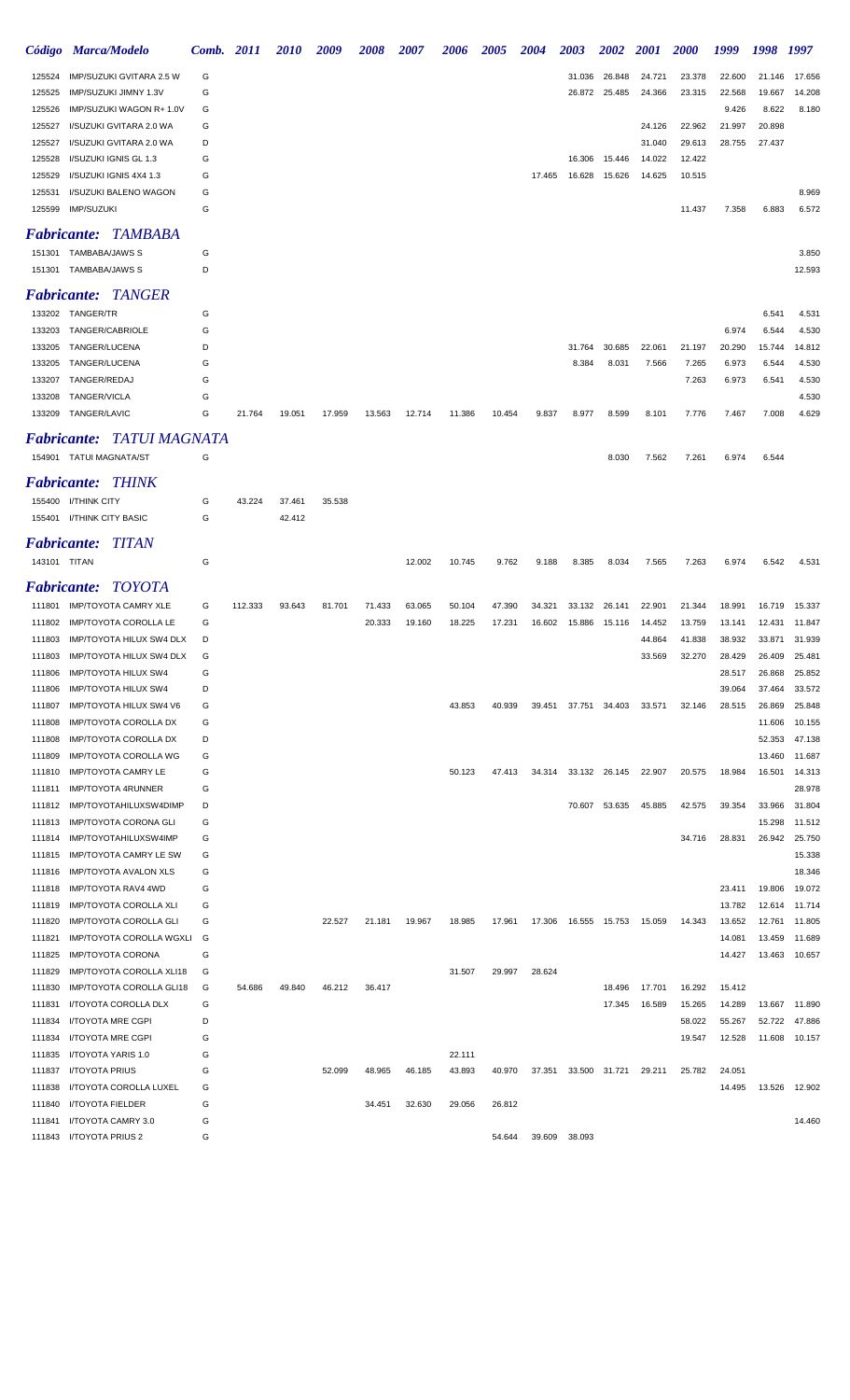|                    | Código Marca/Modelo                                            | Comb.  | 2011    | <i>2010</i> | 2009   | 2008   | <i><b>2007</b></i> | 2006   | <i><b>2005</b></i> | 2004   | 2003   | 2002          | <b>2001</b> | <i><b>2000</b></i> | 1999             | 1998             | 1997             |
|--------------------|----------------------------------------------------------------|--------|---------|-------------|--------|--------|--------------------|--------|--------------------|--------|--------|---------------|-------------|--------------------|------------------|------------------|------------------|
| 125524             | IMP/SUZUKI GVITARA 2.5 W                                       | G      |         |             |        |        |                    |        |                    |        | 31.036 | 26.848        | 24.721      | 23.378             | 22.600           | 21.146           | 17.656           |
| 125525             | IMP/SUZUKI JIMNY 1.3V                                          | G      |         |             |        |        |                    |        |                    |        | 26.872 | 25.485        | 24.366      | 23.315             | 22.568           | 19.667           | 14.208           |
| 125526             | IMP/SUZUKI WAGON R+ 1.0V                                       | G      |         |             |        |        |                    |        |                    |        |        |               |             |                    | 9.426            | 8.622            | 8.180            |
| 125527             | I/SUZUKI GVITARA 2.0 WA                                        | G      |         |             |        |        |                    |        |                    |        |        |               | 24.126      | 22.962             | 21.997           | 20.898           |                  |
| 125527             | I/SUZUKI GVITARA 2.0 WA                                        | D      |         |             |        |        |                    |        |                    |        |        |               | 31.040      | 29.613             | 28.755           | 27.437           |                  |
| 125528             | I/SUZUKI IGNIS GL 1.3                                          | G      |         |             |        |        |                    |        |                    |        | 16.306 | 15.446        | 14.022      | 12.422             |                  |                  |                  |
| 125529             | I/SUZUKI IGNIS 4X4 1.3                                         | G      |         |             |        |        |                    |        |                    | 17.465 | 16.628 | 15.626        | 14.625      | 10.515             |                  |                  |                  |
| 125531             | I/SUZUKI BALENO WAGON                                          | G      |         |             |        |        |                    |        |                    |        |        |               |             |                    |                  |                  | 8.969            |
| 125599             | <b>IMP/SUZUKI</b>                                              | G      |         |             |        |        |                    |        |                    |        |        |               |             | 11.437             | 7.358            | 6.883            | 6.572            |
|                    | <b>Fabricante: TAMBABA</b>                                     |        |         |             |        |        |                    |        |                    |        |        |               |             |                    |                  |                  |                  |
|                    | 151301 TAMBABA/JAWS S                                          | G      |         |             |        |        |                    |        |                    |        |        |               |             |                    |                  |                  | 3.850            |
|                    | 151301 TAMBABA/JAWS S                                          | D      |         |             |        |        |                    |        |                    |        |        |               |             |                    |                  |                  | 12.593           |
|                    | <b>Fabricante: TANGER</b>                                      |        |         |             |        |        |                    |        |                    |        |        |               |             |                    |                  |                  |                  |
|                    | 133202 TANGER/TR                                               | G      |         |             |        |        |                    |        |                    |        |        |               |             |                    |                  | 6.541            | 4.531            |
|                    | 133203 TANGER/CABRIOLE                                         | G      |         |             |        |        |                    |        |                    |        |        |               |             |                    | 6.974            | 6.544            | 4.530            |
| 133205             | TANGER/LUCENA                                                  | D      |         |             |        |        |                    |        |                    |        | 31.764 | 30.685        | 22.061      | 21.197             | 20.290           | 15.744           | 14.812           |
| 133205             | TANGER/LUCENA                                                  | G      |         |             |        |        |                    |        |                    |        | 8.384  | 8.031         | 7.566       | 7.265              | 6.973            | 6.544            | 4.530            |
| 133207             | TANGER/REDAJ                                                   | G      |         |             |        |        |                    |        |                    |        |        |               |             | 7.263              | 6.973            | 6.541            | 4.530            |
| 133208             | TANGER/VICLA                                                   | G      |         |             |        |        |                    |        |                    |        |        |               |             |                    |                  |                  | 4.530            |
|                    | 133209 TANGER/LAVIC                                            | G      | 21.764  | 19.051      | 17.959 | 13.563 | 12.714             | 11.386 | 10.454             | 9.837  | 8.977  | 8.599         | 8.101       | 7.776              | 7.467            | 7.008            | 4.629            |
|                    | <b>Fabricante: TATUI MAGNATA</b>                               |        |         |             |        |        |                    |        |                    |        |        |               |             |                    |                  |                  |                  |
|                    | 154901 TATUI MAGNATA/ST                                        | G      |         |             |        |        |                    |        |                    |        |        | 8.030         | 7.562       | 7.261              | 6.974            | 6.544            |                  |
|                    |                                                                |        |         |             |        |        |                    |        |                    |        |        |               |             |                    |                  |                  |                  |
|                    | THINK<br><i><b>Fabricante:</b></i>                             |        |         |             |        |        |                    |        |                    |        |        |               |             |                    |                  |                  |                  |
|                    | 155400 I/THINK CITY                                            | G      | 43.224  | 37.461      | 35.538 |        |                    |        |                    |        |        |               |             |                    |                  |                  |                  |
|                    | 155401 I/THINK CITY BASIC                                      | G      |         | 42.412      |        |        |                    |        |                    |        |        |               |             |                    |                  |                  |                  |
| <b>Fabricante:</b> | <b>TITAN</b>                                                   |        |         |             |        |        |                    |        |                    |        |        |               |             |                    |                  |                  |                  |
| 143101 TITAN       |                                                                | G      |         |             |        |        | 12.002             | 10.745 | 9.762              | 9.188  | 8.385  | 8.034         | 7.565       | 7.263              | 6.974            | 6.542            | 4.531            |
|                    |                                                                |        |         |             |        |        |                    |        |                    |        |        |               |             |                    |                  |                  |                  |
| <i>Fabricante:</i> | TOYOTA                                                         |        |         |             |        |        |                    |        |                    |        |        |               |             |                    |                  |                  |                  |
| 111801             | <b>IMP/TOYOTA CAMRY XLE</b>                                    | G      | 112.333 | 93.643      | 81.701 | 71.433 | 63.065             | 50.104 | 47.390             | 34.321 | 33.132 | 26.141        | 22.901      | 21.344             | 18.991           | 16.719           | 15.337           |
| 111802             | <b>IMP/TOYOTA COROLLA LE</b>                                   | G      |         |             |        | 20.333 | 19.160             | 18.225 | 17.231             | 16.602 | 15.886 | 15.116        | 14.452      | 13.759             | 13.141           | 12.431           | 11.847           |
| 111803             | IMP/TOYOTA HILUX SW4 DLX                                       | D      |         |             |        |        |                    |        |                    |        |        |               | 44.864      | 41.838             | 38.932           | 33.871           | 31.939           |
| 111806             | 111803 IMP/TOYOTA HILUX SW4 DLX<br><b>IMP/TOYOTA HILUX SW4</b> | G<br>G |         |             |        |        |                    |        |                    |        |        |               | 33.569      | 32.270             | 28.429<br>28.517 | 26.409<br>26.868 | 25.481<br>25.852 |
| 111806             | <b>IMP/TOYOTA HILUX SW4</b>                                    | D      |         |             |        |        |                    |        |                    |        |        |               |             |                    | 39.064           | 37.464           | 33.572           |
| 111807             | <b>IMP/TOYOTA HILUX SW4 V6</b>                                 | G      |         |             |        |        |                    | 43.853 | 40.939             | 39.451 | 37.751 | 34.403        | 33.571      | 32.146             | 28.515           | 26.869           | 25.848           |
| 111808             | <b>IMP/TOYOTA COROLLA DX</b>                                   | G      |         |             |        |        |                    |        |                    |        |        |               |             |                    |                  | 11.606           | 10.155           |
| 111808             | <b>IMP/TOYOTA COROLLA DX</b>                                   | D      |         |             |        |        |                    |        |                    |        |        |               |             |                    |                  | 52.353           | 47.138           |
| 111809             | <b>IMP/TOYOTA COROLLA WG</b>                                   | G      |         |             |        |        |                    |        |                    |        |        |               |             |                    |                  | 13.460           | 11.687           |
| 111810             | <b>IMP/TOYOTA CAMRY LE</b>                                     | G      |         |             |        |        |                    | 50.123 | 47.413             | 34.314 | 33.132 | 26.145        | 22.907      | 20.575             | 18.984           | 16.501           | 14.313           |
| 111811             | <b>IMP/TOYOTA 4RUNNER</b>                                      | G      |         |             |        |        |                    |        |                    |        |        |               |             |                    |                  |                  | 28.978           |
| 111812             | IMP/TOYOTAHILUXSW4DIMP                                         | D      |         |             |        |        |                    |        |                    |        | 70.607 | 53.635        | 45.885      | 42.575             | 39.354           | 33.966           | 31.804           |
| 111813             | <b>IMP/TOYOTA CORONA GLI</b>                                   | G      |         |             |        |        |                    |        |                    |        |        |               |             |                    |                  | 15.298           | 11.512           |
| 111814             | IMP/TOYOTAHILUXSW4IMP                                          | G      |         |             |        |        |                    |        |                    |        |        |               |             | 34.716             | 28.831           | 26.942           | 25.750           |
| 111815             | <b>IMP/TOYOTA CAMRY LE SW</b>                                  | G      |         |             |        |        |                    |        |                    |        |        |               |             |                    |                  |                  | 15.338           |
| 111816             | <b>IMP/TOYOTA AVALON XLS</b>                                   | G      |         |             |        |        |                    |        |                    |        |        |               |             |                    |                  |                  | 18.346           |
| 111818             | <b>IMP/TOYOTA RAV4 4WD</b>                                     | G      |         |             |        |        |                    |        |                    |        |        |               |             |                    | 23.411           | 19.806           | 19.072           |
| 111819             | <b>IMP/TOYOTA COROLLA XLI</b>                                  | G      |         |             |        |        |                    |        |                    |        |        |               |             |                    | 13.782           | 12.614           | 11.714           |
| 111820             | <b>IMP/TOYOTA COROLLA GLI</b>                                  | G      |         |             | 22.527 | 21.181 | 19.967             | 18.985 | 17.961             | 17.306 | 16.555 | 15.753        | 15.059      | 14.343             | 13.652           | 12.761           | 11.805           |
| 111821             | IMP/TOYOTA COROLLA WGXLI                                       | G      |         |             |        |        |                    |        |                    |        |        |               |             |                    | 14.081           | 13.459           | 11.689           |
| 111825             | <b>IMP/TOYOTA CORONA</b>                                       | G      |         |             |        |        |                    |        |                    |        |        |               |             |                    | 14.427           | 13.463           | 10.657           |
| 111829             | IMP/TOYOTA COROLLA XLI18                                       | G      |         |             |        |        |                    | 31.507 | 29.997             | 28.624 |        |               |             |                    |                  |                  |                  |
| 111830             | <b>IMP/TOYOTA COROLLA GLI18</b>                                | G      | 54.686  | 49.840      | 46.212 | 36.417 |                    |        |                    |        |        | 18.496        | 17.701      | 16.292             | 15.412           |                  |                  |
| 111831<br>111834   | I/TOYOTA COROLLA DLX<br><b>I/TOYOTA MRE CGPI</b>               | G<br>D |         |             |        |        |                    |        |                    |        |        | 17.345        | 16.589      | 15.265<br>58.022   | 14.289<br>55.267 | 13.667<br>52.722 | 11.890<br>47.886 |
| 111834             | I/TOYOTA MRE CGPI                                              | G      |         |             |        |        |                    |        |                    |        |        |               |             | 19.547             | 12.528           | 11.608           | 10.157           |
| 111835             | I/TOYOTA YARIS 1.0                                             | G      |         |             |        |        |                    | 22.111 |                    |        |        |               |             |                    |                  |                  |                  |
| 111837             | <b>I/TOYOTA PRIUS</b>                                          | G      |         |             | 52.099 | 48.965 | 46.185             | 43.893 | 40.970             | 37.351 |        | 33.500 31.721 | 29.211      | 25.782             | 24.051           |                  |                  |
| 111838             | I/TOYOTA COROLLA LUXEL                                         | G      |         |             |        |        |                    |        |                    |        |        |               |             |                    | 14.495           | 13.526           | 12.902           |
| 111840             | <b>I/TOYOTA FIELDER</b>                                        | G      |         |             |        | 34.451 | 32.630             | 29.056 | 26.812             |        |        |               |             |                    |                  |                  |                  |
| 111841             | I/TOYOTA CAMRY 3.0                                             | G      |         |             |        |        |                    |        |                    |        |        |               |             |                    |                  |                  | 14.460           |
|                    | 111843 I/TOYOTA PRIUS 2                                        | G      |         |             |        |        |                    |        | 54.644             | 39.609 | 38.093 |               |             |                    |                  |                  |                  |
|                    |                                                                |        |         |             |        |        |                    |        |                    |        |        |               |             |                    |                  |                  |                  |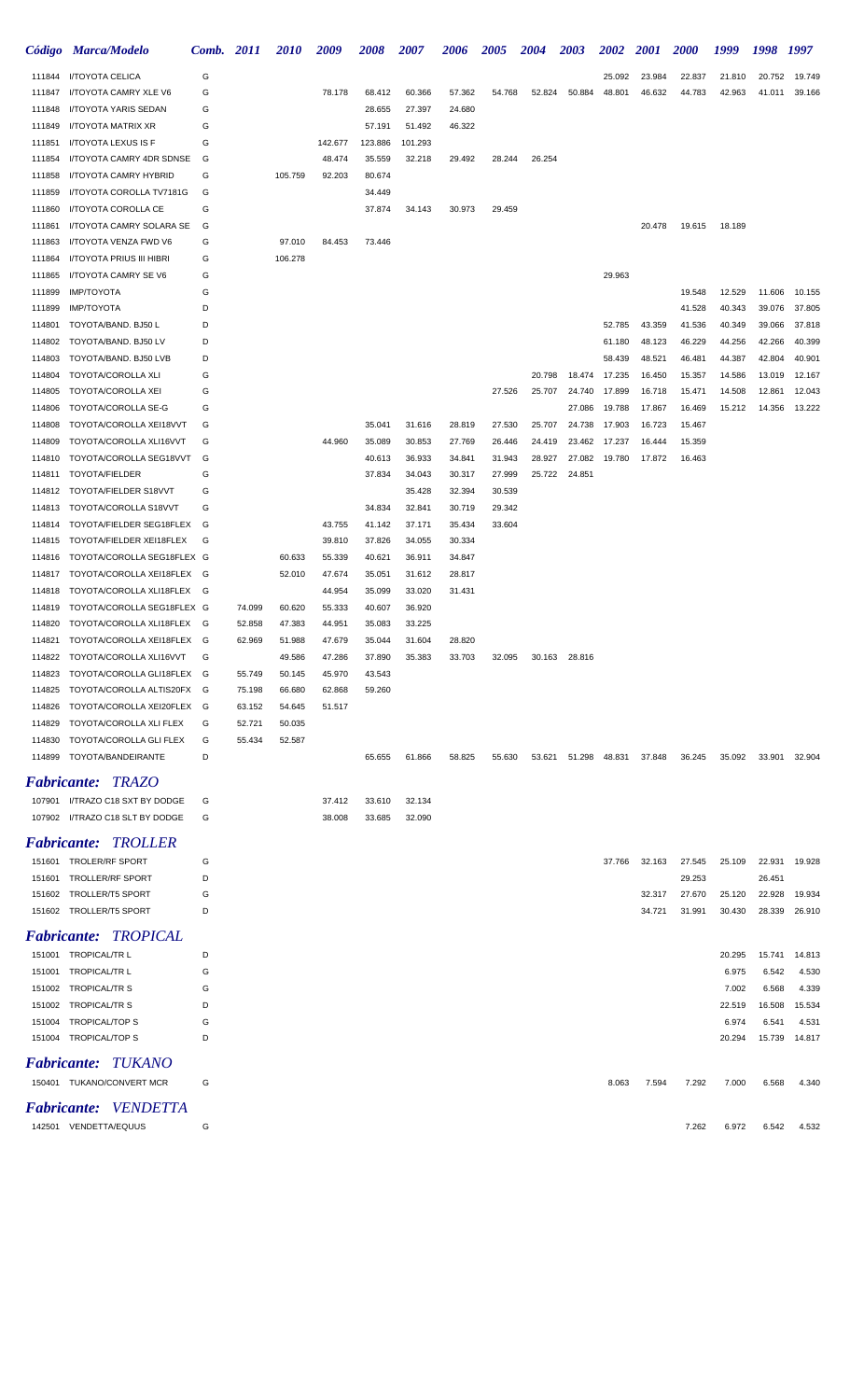|                  | Código Marca/Modelo                                    | Comb. 2011 |        | <i>2010</i> | 2009             | <b>2008</b>      | <b>2007</b>      | <b>2006</b>      | <b>2005</b> | <b>2004</b> | <b>2003</b>          | <b>2002</b> | <b>2001</b> | <b>2000</b> | 1999   | 1998 1997 |               |
|------------------|--------------------------------------------------------|------------|--------|-------------|------------------|------------------|------------------|------------------|-------------|-------------|----------------------|-------------|-------------|-------------|--------|-----------|---------------|
|                  | 111844 I/TOYOTA CELICA                                 | G          |        |             |                  |                  |                  |                  |             |             |                      | 25.092      | 23.984      | 22.837      | 21.810 | 20.752    | 19.749        |
| 111847           | I/TOYOTA CAMRY XLE V6                                  | G          |        |             | 78.178           | 68.412           | 60.366           | 57.362           | 54.768      | 52.824      | 50.884               | 48.801      | 46.632      | 44.783      | 42.963 | 41.011    | 39.166        |
| 111848           | I/TOYOTA YARIS SEDAN                                   | G          |        |             |                  | 28.655           | 27.397           | 24.680           |             |             |                      |             |             |             |        |           |               |
| 111849           | I/TOYOTA MATRIX XR                                     | G          |        |             |                  | 57.191           | 51.492           | 46.322           |             |             |                      |             |             |             |        |           |               |
| 111851           | <b>I/TOYOTA LEXUS IS F</b>                             | G          |        |             | 142.677          | 123.886          | 101.293          |                  |             |             |                      |             |             |             |        |           |               |
| 111854           | I/TOYOTA CAMRY 4DR SDNSE                               | G          |        |             | 48.474           | 35.559           | 32.218           | 29.492           | 28.244      | 26.254      |                      |             |             |             |        |           |               |
| 111858           | I/TOYOTA CAMRY HYBRID                                  | G          |        | 105.759     | 92.203           | 80.674           |                  |                  |             |             |                      |             |             |             |        |           |               |
| 111859           | I/TOYOTA COROLLA TV7181G                               | G          |        |             |                  | 34.449           |                  |                  |             |             |                      |             |             |             |        |           |               |
| 111860           | I/TOYOTA COROLLA CE                                    | G          |        |             |                  | 37.874           | 34.143           | 30.973           | 29.459      |             |                      |             |             |             |        |           |               |
| 111861           | I/TOYOTA CAMRY SOLARA SE                               | G          |        |             |                  |                  |                  |                  |             |             |                      |             | 20.478      | 19.615      | 18.189 |           |               |
| 111863           | I/TOYOTA VENZA FWD V6                                  | G          |        | 97.010      | 84.453           | 73.446           |                  |                  |             |             |                      |             |             |             |        |           |               |
| 111864           | I/TOYOTA PRIUS III HIBRI                               | G          |        | 106.278     |                  |                  |                  |                  |             |             |                      |             |             |             |        |           |               |
| 111865           | I/TOYOTA CAMRY SE V6                                   | G          |        |             |                  |                  |                  |                  |             |             |                      | 29.963      |             |             |        |           |               |
| 111899           | <b>IMP/TOYOTA</b>                                      | G          |        |             |                  |                  |                  |                  |             |             |                      |             |             | 19.548      | 12.529 | 11.606    | 10.155        |
| 111899           | <b>IMP/TOYOTA</b>                                      | D          |        |             |                  |                  |                  |                  |             |             |                      |             |             | 41.528      | 40.343 | 39.076    | 37.805        |
| 114801           | TOYOTA/BAND. BJ50 L                                    | D          |        |             |                  |                  |                  |                  |             |             |                      | 52.785      | 43.359      | 41.536      | 40.349 | 39.066    | 37.818        |
| 114802           | TOYOTA/BAND. BJ50 LV                                   | D          |        |             |                  |                  |                  |                  |             |             |                      | 61.180      | 48.123      | 46.229      | 44.256 | 42.266    | 40.399        |
| 114803           | TOYOTA/BAND. BJ50 LVB                                  | D          |        |             |                  |                  |                  |                  |             |             |                      | 58.439      | 48.521      | 46.481      | 44.387 | 42.804    | 40.901        |
| 114804           | TOYOTA/COROLLA XLI                                     | G          |        |             |                  |                  |                  |                  |             | 20.798      | 18.474               | 17.235      | 16.450      | 15.357      | 14.586 | 13.019    | 12.167        |
| 114805           | TOYOTA/COROLLA XEI                                     | G          |        |             |                  |                  |                  |                  | 27.526      | 25.707      | 24.740               | 17.899      | 16.718      | 15.471      | 14.508 | 12.861    | 12.043        |
| 114806           | TOYOTA/COROLLA SE-G                                    | G          |        |             |                  |                  |                  |                  |             |             | 27.086               | 19.788      | 17.867      | 16.469      | 15.212 | 14.356    | 13.222        |
| 114808           | TOYOTA/COROLLA XEI18VVT                                | G          |        |             |                  | 35.041           | 31.616           | 28.819           | 27.530      | 25.707      | 24.738               | 17.903      | 16.723      | 15.467      |        |           |               |
| 114809           | TOYOTA/COROLLA XLI16VVT                                | G          |        |             | 44.960           | 35.089           | 30.853           | 27.769           | 26.446      | 24.419      | 23.462               | 17.237      | 16.444      | 15.359      |        |           |               |
| 114810           | TOYOTA/COROLLA SEG18VVT                                | G          |        |             |                  | 40.613           | 36.933           | 34.841           | 31.943      | 28.927      | 27.082               | 19.780      | 17.872      | 16.463      |        |           |               |
| 114811           | TOYOTA/FIELDER                                         | G          |        |             |                  | 37.834           | 34.043           | 30.317           | 27.999      |             | 25.722 24.851        |             |             |             |        |           |               |
|                  | 114812 TOYOTA/FIELDER S18VVT                           | G<br>G     |        |             |                  |                  | 35.428           | 32.394           | 30.539      |             |                      |             |             |             |        |           |               |
| 114813           | TOYOTA/COROLLA S18VVT                                  |            |        |             |                  | 34.834           | 32.841           | 30.719           | 29.342      |             |                      |             |             |             |        |           |               |
| 114814<br>114815 | TOYOTA/FIELDER SEG18FLEX G<br>TOYOTA/FIELDER XEI18FLEX | G          |        |             | 43.755<br>39.810 | 41.142<br>37.826 | 37.171<br>34.055 | 35.434<br>30.334 | 33.604      |             |                      |             |             |             |        |           |               |
| 114816           | TOYOTA/COROLLA SEG18FLEX G                             |            |        | 60.633      | 55.339           | 40.621           | 36.911           | 34.847           |             |             |                      |             |             |             |        |           |               |
| 114817           | TOYOTA/COROLLA XEI18FLEX G                             |            |        | 52.010      | 47.674           | 35.051           | 31.612           | 28.817           |             |             |                      |             |             |             |        |           |               |
| 114818           | TOYOTA/COROLLA XLI18FLEX G                             |            |        |             | 44.954           | 35.099           | 33.020           | 31.431           |             |             |                      |             |             |             |        |           |               |
| 114819           | TOYOTA/COROLLA SEG18FLEX G                             |            | 74.099 | 60.620      | 55.333           | 40.607           | 36.920           |                  |             |             |                      |             |             |             |        |           |               |
| 114820           | TOYOTA/COROLLA XLI18FLEX G                             |            | 52.858 | 47.383      | 44.951           | 35.083           | 33.225           |                  |             |             |                      |             |             |             |        |           |               |
| 114821           | TOYOTA/COROLLA XEI18FLEX G                             |            | 62.969 | 51.988      | 47.679           | 35.044           | 31.604           | 28.820           |             |             |                      |             |             |             |        |           |               |
|                  | 114822 TOYOTA/COROLLA XLI16VVT                         | G          |        | 49.586      | 47.286           | 37.890           | 35.383           | 33.703           | 32.095      |             | 30.163 28.816        |             |             |             |        |           |               |
| 114823           | TOYOTA/COROLLA GLI18FLEX G                             |            | 55.749 | 50.145      | 45.970           | 43.543           |                  |                  |             |             |                      |             |             |             |        |           |               |
| 114825           | TOYOTA/COROLLA ALTIS20FX G                             |            | 75.198 | 66.680      | 62.868           | 59.260           |                  |                  |             |             |                      |             |             |             |        |           |               |
| 114826           | TOYOTA/COROLLA XEI20FLEX G                             |            | 63.152 | 54.645      | 51.517           |                  |                  |                  |             |             |                      |             |             |             |        |           |               |
| 114829           | TOYOTA/COROLLA XLI FLEX                                | G          | 52.721 | 50.035      |                  |                  |                  |                  |             |             |                      |             |             |             |        |           |               |
| 114830           | TOYOTA/COROLLA GLI FLEX                                | G          | 55.434 | 52.587      |                  |                  |                  |                  |             |             |                      |             |             |             |        |           |               |
|                  | 114899 TOYOTA/BANDEIRANTE                              | D          |        |             |                  | 65.655           | 61.866           | 58.825           | 55.630      |             | 53.621 51.298 48.831 |             | 37.848      | 36.245      | 35.092 |           | 33.901 32.904 |
|                  |                                                        |            |        |             |                  |                  |                  |                  |             |             |                      |             |             |             |        |           |               |
|                  | <b>Fabricante: TRAZO</b>                               |            |        |             |                  |                  |                  |                  |             |             |                      |             |             |             |        |           |               |
|                  | 107901 I/TRAZO C18 SXT BY DODGE                        | G          |        |             | 37.412           | 33.610           | 32.134           |                  |             |             |                      |             |             |             |        |           |               |
|                  | 107902 I/TRAZO C18 SLT BY DODGE                        | G          |        |             | 38.008           | 33.685           | 32.090           |                  |             |             |                      |             |             |             |        |           |               |
|                  | <b>Fabricante: TROLLER</b>                             |            |        |             |                  |                  |                  |                  |             |             |                      |             |             |             |        |           |               |
| 151601           | <b>TROLER/RF SPORT</b>                                 | G          |        |             |                  |                  |                  |                  |             |             |                      | 37.766      | 32.163      | 27.545      | 25.109 | 22.931    | 19.928        |
| 151601           | <b>TROLLER/RF SPORT</b>                                | D          |        |             |                  |                  |                  |                  |             |             |                      |             |             | 29.253      |        | 26.451    |               |
|                  | 151602 TROLLER/T5 SPORT                                | G          |        |             |                  |                  |                  |                  |             |             |                      |             | 32.317      | 27.670      | 25.120 | 22.928    | 19.934        |
|                  | 151602 TROLLER/T5 SPORT                                | D          |        |             |                  |                  |                  |                  |             |             |                      |             | 34.721      | 31.991      | 30.430 | 28.339    | 26.910        |
|                  |                                                        |            |        |             |                  |                  |                  |                  |             |             |                      |             |             |             |        |           |               |
|                  | <b>Fabricante: TROPICAL</b>                            |            |        |             |                  |                  |                  |                  |             |             |                      |             |             |             |        |           |               |
|                  | 151001 TROPICAL/TR L                                   | D          |        |             |                  |                  |                  |                  |             |             |                      |             |             |             | 20.295 | 15.741    | 14.813        |
| 151001           | <b>TROPICAL/TR L</b>                                   | G          |        |             |                  |                  |                  |                  |             |             |                      |             |             |             | 6.975  | 6.542     | 4.530         |
|                  | 151002 TROPICAL/TR S                                   | G          |        |             |                  |                  |                  |                  |             |             |                      |             |             |             | 7.002  | 6.568     | 4.339         |
|                  | 151002 TROPICAL/TR S                                   | D          |        |             |                  |                  |                  |                  |             |             |                      |             |             |             | 22.519 | 16.508    | 15.534        |
|                  | 151004 TROPICAL/TOP S                                  | G          |        |             |                  |                  |                  |                  |             |             |                      |             |             |             | 6.974  | 6.541     | 4.531         |
|                  | 151004 TROPICAL/TOP S                                  | D          |        |             |                  |                  |                  |                  |             |             |                      |             |             |             | 20.294 | 15.739    | 14.817        |
|                  | <b>Fabricante: TUKANO</b>                              |            |        |             |                  |                  |                  |                  |             |             |                      |             |             |             |        |           |               |
|                  | 150401 TUKANO/CONVERT MCR                              | G          |        |             |                  |                  |                  |                  |             |             |                      | 8.063       | 7.594       | 7.292       | 7.000  | 6.568     | 4.340         |
|                  |                                                        |            |        |             |                  |                  |                  |                  |             |             |                      |             |             |             |        |           |               |
|                  | <b>Fabricante: VENDETTA</b>                            |            |        |             |                  |                  |                  |                  |             |             |                      |             |             |             |        |           |               |
|                  | 142501 VENDETTA/EQUUS                                  | G          |        |             |                  |                  |                  |                  |             |             |                      |             |             | 7.262       | 6.972  | 6.542     | 4.532         |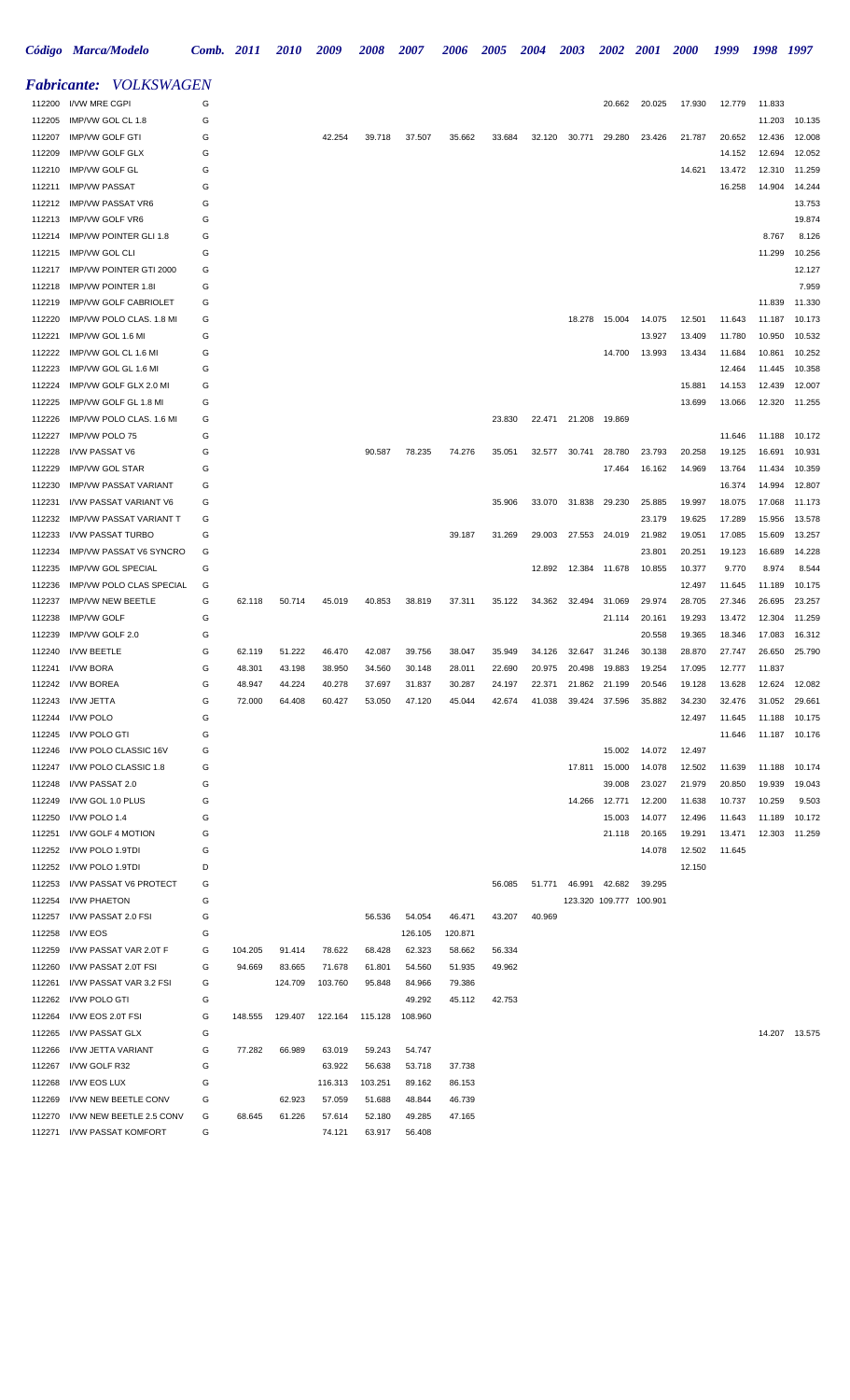|                  | Código Marca/Modelo                                      | <b>Comb.</b> 2011 |         | <i><b>2010</b></i> | 2009    | 2008    | <i><b>2007</b></i> | 2006    | <i><b>2005</b></i> | 2004   | 2003                 | <b>2002</b>      | <i>2001</i>             | <b>2000</b>      | 1999             | 1998             | 1997             |
|------------------|----------------------------------------------------------|-------------------|---------|--------------------|---------|---------|--------------------|---------|--------------------|--------|----------------------|------------------|-------------------------|------------------|------------------|------------------|------------------|
|                  | <b>Fabricante:</b> VOLKSWAGEN                            |                   |         |                    |         |         |                    |         |                    |        |                      |                  |                         |                  |                  |                  |                  |
| 112200           | I/VW MRE CGPI                                            | G                 |         |                    |         |         |                    |         |                    |        |                      | 20.662           | 20.025                  | 17.930           | 12.779           | 11.833           |                  |
| 112205           | IMP/VW GOL CL 1.8                                        | G                 |         |                    |         |         |                    |         |                    |        |                      |                  |                         |                  |                  | 11.203           | 10.135           |
| 112207           | IMP/VW GOLF GTI                                          | G                 |         |                    | 42.254  | 39.718  | 37.507             | 35.662  | 33.684             | 32.120 | 30.771               | 29.280           | 23.426                  | 21.787           | 20.652           | 12.436           | 12.008           |
| 112209           | <b>IMP/VW GOLF GLX</b>                                   | G                 |         |                    |         |         |                    |         |                    |        |                      |                  |                         |                  | 14.152           | 12.694           | 12.052           |
| 112210           | IMP/VW GOLF GL                                           | G                 |         |                    |         |         |                    |         |                    |        |                      |                  |                         | 14.621           | 13.472           | 12.310           | 11.259           |
| 112211           | <b>IMP/VW PASSAT</b>                                     | G                 |         |                    |         |         |                    |         |                    |        |                      |                  |                         |                  | 16.258           | 14.904           | 14.244           |
| 112212           | IMP/VW PASSAT VR6                                        | G                 |         |                    |         |         |                    |         |                    |        |                      |                  |                         |                  |                  |                  | 13.753           |
| 112213           | <b>IMP/VW GOLF VR6</b>                                   | G                 |         |                    |         |         |                    |         |                    |        |                      |                  |                         |                  |                  |                  | 19.874           |
| 112214           | <b>IMP/VW POINTER GLI 1.8</b>                            | G                 |         |                    |         |         |                    |         |                    |        |                      |                  |                         |                  |                  | 8.767            | 8.126            |
| 112215           | <b>IMP/VW GOL CLI</b>                                    | G                 |         |                    |         |         |                    |         |                    |        |                      |                  |                         |                  |                  | 11.299           | 10.256           |
| 112217           | IMP/VW POINTER GTI 2000                                  | G                 |         |                    |         |         |                    |         |                    |        |                      |                  |                         |                  |                  |                  | 12.127           |
| 112218           | <b>IMP/VW POINTER 1.8I</b>                               | G                 |         |                    |         |         |                    |         |                    |        |                      |                  |                         |                  |                  |                  | 7.959            |
| 112219<br>112220 | <b>IMP/VW GOLF CABRIOLET</b><br>IMP/VW POLO CLAS. 1.8 MI | G<br>G            |         |                    |         |         |                    |         |                    |        | 18.278               | 15.004           | 14.075                  | 12.501           | 11.643           | 11.839<br>11.187 | 11.330<br>10.173 |
| 112221           | IMP/VW GOL 1.6 MI                                        | G                 |         |                    |         |         |                    |         |                    |        |                      |                  | 13.927                  | 13.409           | 11.780           | 10.950           | 10.532           |
| 112222           | IMP/VW GOL CL 1.6 MI                                     | G                 |         |                    |         |         |                    |         |                    |        |                      | 14.700           | 13.993                  | 13.434           | 11.684           | 10.861           | 10.252           |
| 112223           | IMP/VW GOL GL 1.6 MI                                     | G                 |         |                    |         |         |                    |         |                    |        |                      |                  |                         |                  | 12.464           | 11.445           | 10.358           |
| 112224           | IMP/VW GOLF GLX 2.0 MI                                   | G                 |         |                    |         |         |                    |         |                    |        |                      |                  |                         | 15.881           | 14.153           | 12.439           | 12.007           |
| 112225           | IMP/VW GOLF GL 1.8 MI                                    | G                 |         |                    |         |         |                    |         |                    |        |                      |                  |                         | 13.699           | 13.066           | 12.320           | 11.255           |
| 112226           | IMP/VW POLO CLAS. 1.6 MI                                 | G                 |         |                    |         |         |                    |         | 23.830             | 22.471 | 21.208               | 19.869           |                         |                  |                  |                  |                  |
| 112227           | IMP/VW POLO 75                                           | G                 |         |                    |         |         |                    |         |                    |        |                      |                  |                         |                  | 11.646           | 11.188           | 10.172           |
| 112228           | I/VW PASSAT V6                                           | G                 |         |                    |         | 90.587  | 78.235             | 74.276  | 35.051             | 32.577 | 30.741               | 28.780           | 23.793                  | 20.258           | 19.125           | 16.691           | 10.931           |
| 112229           | <b>IMP/VW GOL STAR</b>                                   | G                 |         |                    |         |         |                    |         |                    |        |                      | 17.464           | 16.162                  | 14.969           | 13.764           | 11.434           | 10.359           |
| 112230           | <b>IMP/VW PASSAT VARIANT</b>                             | G                 |         |                    |         |         |                    |         |                    |        |                      |                  |                         |                  | 16.374           | 14.994           | 12.807           |
| 112231           | I/VW PASSAT VARIANT V6                                   | G                 |         |                    |         |         |                    |         | 35.906             | 33.070 | 31.838               | 29.230           | 25.885                  | 19.997           | 18.075           | 17.068           | 11.173           |
| 112232           | <b>IMP/VW PASSAT VARIANT T</b>                           | G                 |         |                    |         |         |                    |         |                    |        |                      |                  | 23.179                  | 19.625           | 17.289           | 15.956           | 13.578           |
| 112233           | <b>I/VW PASSAT TURBO</b>                                 | G                 |         |                    |         |         |                    | 39.187  | 31.269             | 29.003 | 27.553               | 24.019           | 21.982                  | 19.051           | 17.085           | 15.609           | 13.257           |
| 112234           | <b>IMP/VW PASSAT V6 SYNCRO</b>                           | G                 |         |                    |         |         |                    |         |                    |        |                      |                  | 23.801                  | 20.251           | 19.123           | 16.689           | 14.228           |
| 112235           | <b>IMP/VW GOL SPECIAL</b>                                | G                 |         |                    |         |         |                    |         |                    | 12.892 | 12.384               | 11.678           | 10.855                  | 10.377           | 9.770            | 8.974            | 8.544            |
| 112236           | IMP/VW POLO CLAS SPECIAL                                 | G                 |         |                    |         |         |                    |         |                    |        |                      |                  |                         | 12.497           | 11.645           | 11.189           | 10.175           |
| 112237           | IMP/VW NEW BEETLE                                        | G                 | 62.118  | 50.714             | 45.019  | 40.853  | 38.819             | 37.311  | 35.122             | 34.362 | 32.494               | 31.069           | 29.974                  | 28.705           | 27.346           | 26.695           | 23.257           |
| 112238           | <b>IMP/VW GOLF</b>                                       | G                 |         |                    |         |         |                    |         |                    |        |                      | 21.114           | 20.161                  | 19.293           | 13.472           | 12.304           | 11.259           |
| 112239           | IMP/VW GOLF 2.0                                          | G                 |         |                    |         |         |                    |         |                    |        |                      |                  | 20.558                  | 19.365           | 18.346           | 17.083           | 16.312           |
| 112240           | I/VW BEETLE                                              | G                 | 62.119  | 51.222             | 46.470  | 42.087  | 39.756             | 38.047  | 35.949             | 34.126 | 32.647               | 31.246           | 30.138                  | 28.870           | 27.747           | 26.650           | 25.790           |
|                  | 112241 I/VW BORA                                         | G                 | 48.301  | 43.198             | 38.950  | 34.560  | 30.148             | 28.011  | 22.690             | 20.975 | 20.498               | 19.883           | 19.254                  | 17.095           | 12.777           | 11.837           |                  |
|                  | 112242 I/VW BOREA                                        | G                 | 48.947  | 44.224             | 40.278  | 37.697  | 31.837             | 30.287  | 24.197             | 22.371 | 21.862               | 21.199           | 20.546                  | 19.128           | 13.628           |                  | 12.624 12.082    |
|                  | 112243 I/VW JETTA                                        | G                 | 72.000  | 64.408             | 60.427  | 53.050  | 47.120             | 45.044  | 42.674             | 41.038 |                      | 39.424 37.596    | 35.882                  | 34.230           | 32.476           | 31.052           | 29.661           |
|                  | 112244 I/VW POLO                                         | G                 |         |                    |         |         |                    |         |                    |        |                      |                  |                         | 12.497           | 11.645           | 11.188           | 10.175           |
|                  | 112245 I/VW POLO GTI                                     | G                 |         |                    |         |         |                    |         |                    |        |                      |                  |                         |                  | 11.646           |                  | 11.187 10.176    |
| 112246           | I/VW POLO CLASSIC 16V                                    | G                 |         |                    |         |         |                    |         |                    |        |                      | 15.002           | 14.072                  | 12.497           |                  |                  |                  |
|                  | 112247 I/VW POLO CLASSIC 1.8                             | G                 |         |                    |         |         |                    |         |                    |        |                      | 17.811 15.000    | 14.078                  | 12.502           | 11.639           | 11.188           | 10.174           |
| 112248           | I/VW PASSAT 2.0                                          | G                 |         |                    |         |         |                    |         |                    |        |                      | 39.008           | 23.027                  | 21.979           | 20.850           | 19.939           | 19.043           |
| 112249<br>112250 | I/VW GOL 1.0 PLUS<br>I/VW POLO 1.4                       | G<br>G            |         |                    |         |         |                    |         |                    |        | 14.266               | 12.771<br>15.003 | 12.200<br>14.077        | 11.638<br>12.496 | 10.737<br>11.643 | 10.259<br>11.189 | 9.503<br>10.172  |
| 112251           | I/VW GOLF 4 MOTION                                       | G                 |         |                    |         |         |                    |         |                    |        |                      | 21.118           | 20.165                  | 19.291           | 13.471           | 12.303           | 11.259           |
| 112252           | I/VW POLO 1.9TDI                                         | G                 |         |                    |         |         |                    |         |                    |        |                      |                  | 14.078                  | 12.502           | 11.645           |                  |                  |
| 112252           | I/VW POLO 1.9TDI                                         | D                 |         |                    |         |         |                    |         |                    |        |                      |                  |                         | 12.150           |                  |                  |                  |
| 112253           | I/VW PASSAT V6 PROTECT                                   | G                 |         |                    |         |         |                    |         | 56.085             |        | 51.771 46.991 42.682 |                  | 39.295                  |                  |                  |                  |                  |
| 112254           | <b>I/VW PHAETON</b>                                      | G                 |         |                    |         |         |                    |         |                    |        |                      |                  | 123.320 109.777 100.901 |                  |                  |                  |                  |
| 112257           | I/VW PASSAT 2.0 FSI                                      | G                 |         |                    |         | 56.536  | 54.054             | 46.471  | 43.207             | 40.969 |                      |                  |                         |                  |                  |                  |                  |
| 112258           | I/VW EOS                                                 | G                 |         |                    |         |         | 126.105            | 120.871 |                    |        |                      |                  |                         |                  |                  |                  |                  |
| 112259           | I/VW PASSAT VAR 2.0T F                                   | G                 | 104.205 | 91.414             | 78.622  | 68.428  | 62.323             | 58.662  | 56.334             |        |                      |                  |                         |                  |                  |                  |                  |
| 112260           | I/VW PASSAT 2.0T FSI                                     | G                 | 94.669  | 83.665             | 71.678  | 61.801  | 54.560             | 51.935  | 49.962             |        |                      |                  |                         |                  |                  |                  |                  |
| 112261           | I/VW PASSAT VAR 3.2 FSI                                  | G                 |         | 124.709            | 103.760 | 95.848  | 84.966             | 79.386  |                    |        |                      |                  |                         |                  |                  |                  |                  |
| 112262           | I/VW POLO GTI                                            | G                 |         |                    |         |         | 49.292             | 45.112  | 42.753             |        |                      |                  |                         |                  |                  |                  |                  |
| 112264           | I/VW EOS 2.0T FSI                                        | G                 | 148.555 | 129.407            | 122.164 | 115.128 | 108.960            |         |                    |        |                      |                  |                         |                  |                  |                  |                  |
| 112265           | I/VW PASSAT GLX                                          | G                 |         |                    |         |         |                    |         |                    |        |                      |                  |                         |                  |                  |                  | 14.207 13.575    |
| 112266           | I/VW JETTA VARIANT                                       | G                 | 77.282  | 66.989             | 63.019  | 59.243  | 54.747             |         |                    |        |                      |                  |                         |                  |                  |                  |                  |
| 112267           | I/VW GOLF R32                                            | G                 |         |                    | 63.922  | 56.638  | 53.718             | 37.738  |                    |        |                      |                  |                         |                  |                  |                  |                  |
| 112268           | I/VW EOS LUX                                             | G                 |         |                    | 116.313 | 103.251 | 89.162             | 86.153  |                    |        |                      |                  |                         |                  |                  |                  |                  |
| 112269           | I/VW NEW BEETLE CONV                                     | G                 |         | 62.923             | 57.059  | 51.688  | 48.844             | 46.739  |                    |        |                      |                  |                         |                  |                  |                  |                  |
| 112270           | I/VW NEW BEETLE 2.5 CONV                                 | G                 | 68.645  | 61.226             | 57.614  | 52.180  | 49.285             | 47.165  |                    |        |                      |                  |                         |                  |                  |                  |                  |
|                  | 112271 I/VW PASSAT KOMFORT                               | G                 |         |                    | 74.121  | 63.917  | 56.408             |         |                    |        |                      |                  |                         |                  |                  |                  |                  |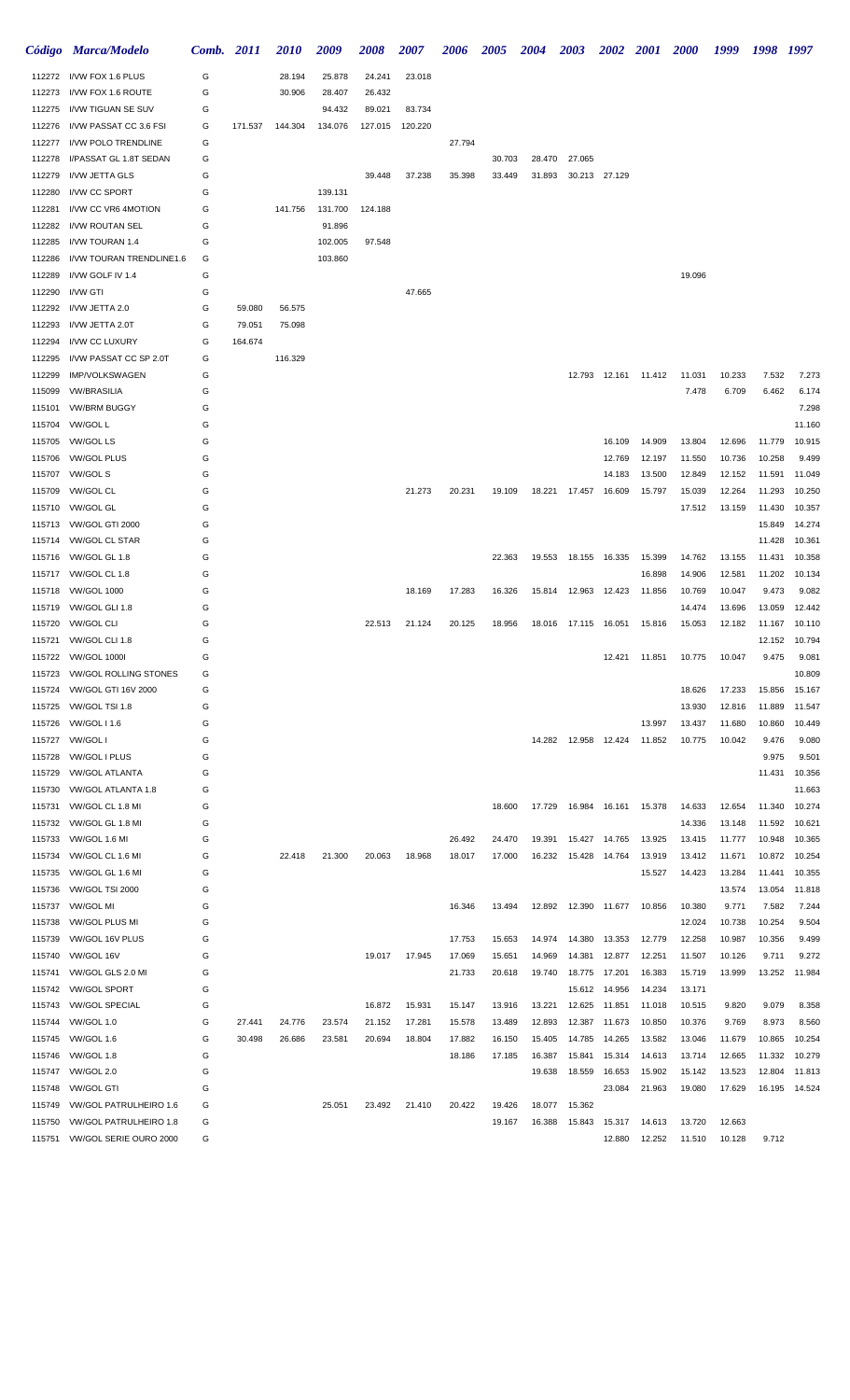|                  | Código Marca/Modelo                                | Comb. 2011 |         | <i>2010</i> | 2009              | <b>2008</b> | <b>2007</b> | <b>2006</b> | <b>2005</b> | <b>2004</b>      | <b>2003</b>          |                  | 2002 2001 2000   |                  | 1999             | 1998 1997        |                  |
|------------------|----------------------------------------------------|------------|---------|-------------|-------------------|-------------|-------------|-------------|-------------|------------------|----------------------|------------------|------------------|------------------|------------------|------------------|------------------|
|                  | 112272 I/VW FOX 1.6 PLUS                           | G          |         | 28.194      | 25.878            | 24.241      | 23.018      |             |             |                  |                      |                  |                  |                  |                  |                  |                  |
| 112273           | I/VW FOX 1.6 ROUTE                                 | G          |         | 30.906      | 28.407            | 26.432      |             |             |             |                  |                      |                  |                  |                  |                  |                  |                  |
| 112275           | I/VW TIGUAN SE SUV                                 | G          |         |             | 94.432            | 89.021      | 83.734      |             |             |                  |                      |                  |                  |                  |                  |                  |                  |
| 112276           | I/VW PASSAT CC 3.6 FSI                             | G          | 171.537 | 144.304     | 134.076           | 127.015     | 120.220     |             |             |                  |                      |                  |                  |                  |                  |                  |                  |
| 112277           | I/VW POLO TRENDLINE                                | G          |         |             |                   |             |             | 27.794      |             |                  |                      |                  |                  |                  |                  |                  |                  |
| 112278           | I/PASSAT GL 1.8T SEDAN                             | G          |         |             |                   |             |             |             | 30.703      | 28.470           | 27.065               |                  |                  |                  |                  |                  |                  |
| 112279           | I/VW JETTA GLS                                     | G          |         |             |                   | 39.448      | 37.238      | 35.398      | 33.449      | 31.893           |                      | 30.213 27.129    |                  |                  |                  |                  |                  |
| 112280           | I/VW CC SPORT                                      | G          |         |             | 139.131           |             |             |             |             |                  |                      |                  |                  |                  |                  |                  |                  |
| 112281<br>112282 | I/VW CC VR6 4MOTION<br>I/VW ROUTAN SEL             | G          |         | 141.756     | 131.700           | 124.188     |             |             |             |                  |                      |                  |                  |                  |                  |                  |                  |
| 112285           | I/VW TOURAN 1.4                                    | G<br>G     |         |             | 91.896<br>102.005 | 97.548      |             |             |             |                  |                      |                  |                  |                  |                  |                  |                  |
| 112286           | I/VW TOURAN TRENDLINE1.6                           | G          |         |             | 103.860           |             |             |             |             |                  |                      |                  |                  |                  |                  |                  |                  |
| 112289           | I/VW GOLF IV 1.4                                   | G          |         |             |                   |             |             |             |             |                  |                      |                  |                  | 19.096           |                  |                  |                  |
| 112290           | I/VW GTI                                           | G          |         |             |                   |             | 47.665      |             |             |                  |                      |                  |                  |                  |                  |                  |                  |
| 112292           | I/VW JETTA 2.0                                     | G          | 59.080  | 56.575      |                   |             |             |             |             |                  |                      |                  |                  |                  |                  |                  |                  |
| 112293           | I/VW JETTA 2.0T                                    | G          | 79.051  | 75.098      |                   |             |             |             |             |                  |                      |                  |                  |                  |                  |                  |                  |
| 112294           | I/VW CC LUXURY                                     | G          | 164.674 |             |                   |             |             |             |             |                  |                      |                  |                  |                  |                  |                  |                  |
| 112295           | I/VW PASSAT CC SP 2.0T                             | G          |         | 116.329     |                   |             |             |             |             |                  |                      |                  |                  |                  |                  |                  |                  |
| 112299           | IMP/VOLKSWAGEN                                     | G          |         |             |                   |             |             |             |             |                  | 12.793               |                  | 12.161 11.412    | 11.031           | 10.233           | 7.532            | 7.273            |
| 115099           | <b>VW/BRASILIA</b>                                 | G          |         |             |                   |             |             |             |             |                  |                      |                  |                  | 7.478            | 6.709            | 6.462            | 6.174            |
| 115101           | <b>VW/BRM BUGGY</b>                                | G          |         |             |                   |             |             |             |             |                  |                      |                  |                  |                  |                  |                  | 7.298            |
|                  | 115704 VW/GOL L                                    | G          |         |             |                   |             |             |             |             |                  |                      |                  |                  |                  |                  |                  | 11.160           |
|                  | 115705 VW/GOL LS                                   | G          |         |             |                   |             |             |             |             |                  |                      | 16.109           | 14.909           | 13.804           | 12.696           | 11.779           | 10.915           |
|                  | 115706 VW/GOL PLUS                                 | G          |         |             |                   |             |             |             |             |                  |                      | 12.769           | 12.197           | 11.550           | 10.736           | 10.258           | 9.499            |
|                  | 115707 VW/GOL S                                    | G          |         |             |                   |             |             |             |             |                  |                      | 14.183           | 13.500           | 12.849           | 12.152           | 11.591           | 11.049           |
|                  | 115709 VW/GOL CL                                   | G          |         |             |                   |             | 21.273      | 20.231      | 19.109      | 18.221           | 17.457               | 16.609           | 15.797           | 15.039           | 12.264           | 11.293           | 10.250           |
|                  | 115710 VW/GOL GL<br>115713 VW/GOL GTI 2000         | G<br>G     |         |             |                   |             |             |             |             |                  |                      |                  |                  | 17.512           | 13.159           | 11.430<br>15.849 | 10.357<br>14.274 |
|                  | 115714 VW/GOL CL STAR                              | G          |         |             |                   |             |             |             |             |                  |                      |                  |                  |                  |                  | 11.428           | 10.361           |
|                  | 115716 VW/GOL GL 1.8                               | G          |         |             |                   |             |             |             | 22.363      | 19.553           |                      | 18.155 16.335    | 15.399           | 14.762           | 13.155           | 11.431           | 10.358           |
|                  | 115717 VW/GOL CL 1.8                               | G          |         |             |                   |             |             |             |             |                  |                      |                  | 16.898           | 14.906           | 12.581           | 11.202           | 10.134           |
|                  | 115718 VW/GOL 1000                                 | G          |         |             |                   |             | 18.169      | 17.283      | 16.326      | 15.814           | 12.963               | 12.423           | 11.856           | 10.769           | 10.047           | 9.473            | 9.082            |
|                  | 115719 VW/GOL GLI 1.8                              | G          |         |             |                   |             |             |             |             |                  |                      |                  |                  | 14.474           | 13.696           | 13.059           | 12.442           |
|                  | 115720 VW/GOL CLI                                  | G          |         |             |                   | 22.513      | 21.124      | 20.125      | 18.956      |                  | 18.016 17.115 16.051 |                  | 15.816           | 15.053           | 12.182           | 11.167           | 10.110           |
|                  | 115721 VW/GOL CLI 1.8                              | G          |         |             |                   |             |             |             |             |                  |                      |                  |                  |                  |                  | 12.152           | 10.794           |
|                  | 115722 VW/GOL 1000I                                | G          |         |             |                   |             |             |             |             |                  |                      |                  | 12.421 11.851    | 10.775           | 10.047           | 9.475            | 9.081            |
|                  | 115723 VW/GOL ROLLING STONES                       | G          |         |             |                   |             |             |             |             |                  |                      |                  |                  |                  |                  |                  | 10.809           |
|                  | 115724 VW/GOL GTI 16V 2000                         | G          |         |             |                   |             |             |             |             |                  |                      |                  |                  | 18.626           | 17.233           | 15.856           | 15.167           |
|                  | 115725 VW/GOL TSI 1.8                              | G          |         |             |                   |             |             |             |             |                  |                      |                  |                  | 13.930           | 12.816           | 11.889           | 11.547           |
|                  | 115726 VW/GOL I 1.6                                | G          |         |             |                   |             |             |             |             |                  |                      |                  | 13.997           | 13.437           | 11.680           | 10.860           | 10.449           |
|                  | 115727 VW/GOL I                                    | G          |         |             |                   |             |             |             |             |                  | 14.282 12.958        | 12.424           | 11.852           | 10.775           | 10.042           | 9.476            | 9.080            |
|                  | 115728 VW/GOL I PLUS                               | G          |         |             |                   |             |             |             |             |                  |                      |                  |                  |                  |                  | 9.975            | 9.501            |
| 115729           | <b>VW/GOL ATLANTA</b><br><b>VW/GOL ATLANTA 1.8</b> | G          |         |             |                   |             |             |             |             |                  |                      |                  |                  |                  |                  | 11.431           | 10.356           |
| 115730<br>115731 | VW/GOL CL 1.8 MI                                   | G<br>G     |         |             |                   |             |             |             | 18.600      | 17.729           |                      | 16.984 16.161    | 15.378           | 14.633           | 12.654           | 11.340           | 11.663<br>10.274 |
| 115732           | VW/GOL GL 1.8 MI                                   | G          |         |             |                   |             |             |             |             |                  |                      |                  |                  | 14.336           | 13.148           | 11.592           | 10.621           |
| 115733           | VW/GOL 1.6 MI                                      | G          |         |             |                   |             |             | 26.492      | 24.470      | 19.391           | 15.427               | 14.765           | 13.925           | 13.415           | 11.777           | 10.948           | 10.365           |
| 115734           | VW/GOL CL 1.6 MI                                   | G          |         | 22.418      | 21.300            | 20.063      | 18.968      | 18.017      | 17.000      | 16.232           | 15.428               | 14.764           | 13.919           | 13.412           | 11.671           | 10.872           | 10.254           |
| 115735           | VW/GOL GL 1.6 MI                                   | G          |         |             |                   |             |             |             |             |                  |                      |                  | 15.527           | 14.423           | 13.284           | 11.441           | 10.355           |
| 115736           | VW/GOL TSI 2000                                    | G          |         |             |                   |             |             |             |             |                  |                      |                  |                  |                  | 13.574           | 13.054           | 11.818           |
| 115737           | <b>VW/GOL MI</b>                                   | G          |         |             |                   |             |             | 16.346      | 13.494      | 12.892           | 12.390               | 11.677           | 10.856           | 10.380           | 9.771            | 7.582            | 7.244            |
| 115738           | <b>VW/GOL PLUS MI</b>                              | G          |         |             |                   |             |             |             |             |                  |                      |                  |                  | 12.024           | 10.738           | 10.254           | 9.504            |
| 115739           | VW/GOL 16V PLUS                                    | G          |         |             |                   |             |             | 17.753      | 15.653      | 14.974           | 14.380               | 13.353           | 12.779           | 12.258           | 10.987           | 10.356           | 9.499            |
| 115740           | VW/GOL 16V                                         | G          |         |             |                   | 19.017      | 17.945      | 17.069      | 15.651      | 14.969           | 14.381               | 12.877           | 12.251           | 11.507           | 10.126           | 9.711            | 9.272            |
|                  | 115741 VW/GOL GLS 2.0 MI                           | G          |         |             |                   |             |             | 21.733      | 20.618      | 19.740           | 18.775               | 17.201           | 16.383           | 15.719           | 13.999           | 13.252           | 11.984           |
|                  | 115742 VW/GOL SPORT                                | G          |         |             |                   |             |             |             |             |                  | 15.612               | 14.956           | 14.234           | 13.171           |                  |                  |                  |
|                  | 115743 VW/GOL SPECIAL                              | G          |         |             |                   | 16.872      | 15.931      | 15.147      | 13.916      | 13.221           | 12.625               | 11.851           | 11.018           | 10.515           | 9.820            | 9.079            | 8.358            |
|                  | 115744 VW/GOL 1.0                                  | G          | 27.441  | 24.776      | 23.574            | 21.152      | 17.281      | 15.578      | 13.489      | 12.893           | 12.387               | 11.673           | 10.850           | 10.376           | 9.769            | 8.973            | 8.560            |
|                  | 115745 VW/GOL 1.6                                  | G          | 30.498  | 26.686      | 23.581            | 20.694      | 18.804      | 17.882      | 16.150      | 15.405           | 14.785               | 14.265           | 13.582           | 13.046           | 11.679           | 10.865           | 10.254           |
|                  | 115746 VW/GOL 1.8<br>115747 VW/GOL 2.0             | G<br>G     |         |             |                   |             |             | 18.186      | 17.185      | 16.387<br>19.638 | 15.841<br>18.559     | 15.314<br>16.653 | 14.613<br>15.902 | 13.714<br>15.142 | 12.665<br>13.523 | 11.332<br>12.804 | 10.279<br>11.813 |
| 115748           | <b>VW/GOL GTI</b>                                  | G          |         |             |                   |             |             |             |             |                  |                      | 23.084           | 21.963           | 19.080           | 17.629           | 16.195           | 14.524           |
| 115749           | <b>VW/GOL PATRULHEIRO 1.6</b>                      | G          |         |             | 25.051            | 23.492      | 21.410      | 20.422      | 19.426      | 18.077           | 15.362               |                  |                  |                  |                  |                  |                  |
| 115750           | <b>VW/GOL PATRULHEIRO 1.8</b>                      | G          |         |             |                   |             |             |             | 19.167      | 16.388           | 15.843               | 15.317           | 14.613           | 13.720           | 12.663           |                  |                  |
|                  | 115751 VW/GOL SERIE OURO 2000                      | G          |         |             |                   |             |             |             |             |                  |                      | 12.880           | 12.252           | 11.510           | 10.128           | 9.712            |                  |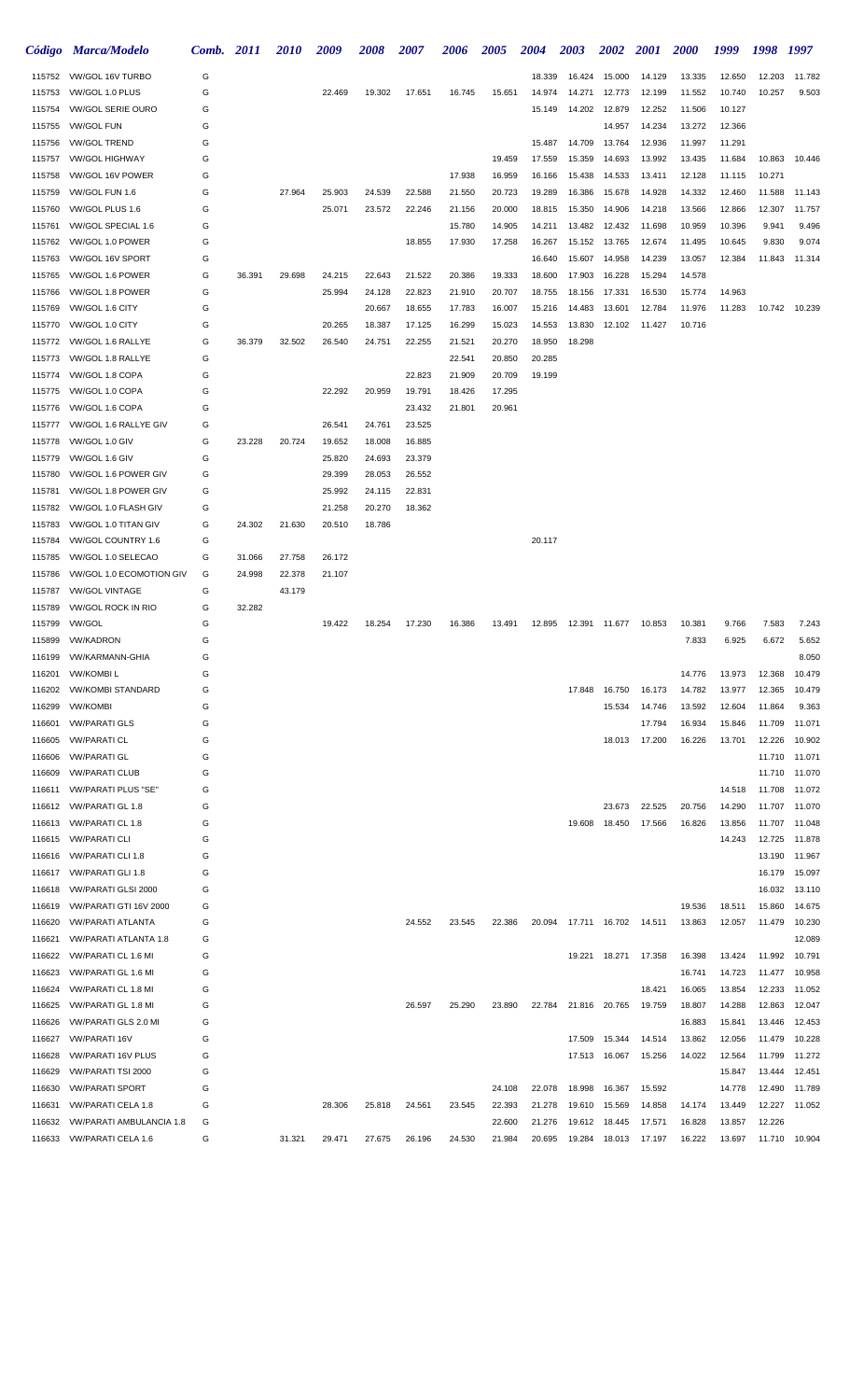|                  | Código Marca/Modelo                                 | Comb. 2011 |        | <i>2010</i> | 2009   | 2008   | 2007             | <b>2006</b>      | <b>2005</b>      | <b>2004</b>      | <b>2003</b>                 | <b>2002</b>      | <b>2001</b>            | <b>2000</b>      | 1999             | 1998             | 1997             |
|------------------|-----------------------------------------------------|------------|--------|-------------|--------|--------|------------------|------------------|------------------|------------------|-----------------------------|------------------|------------------------|------------------|------------------|------------------|------------------|
|                  | 115752 VW/GOL 16V TURBO                             | G          |        |             |        |        |                  |                  |                  | 18.339           | 16.424                      | 15.000           | 14.129                 | 13.335           | 12.650           | 12.203           | 11.782           |
| 115753           | VW/GOL 1.0 PLUS                                     | G          |        |             | 22.469 | 19.302 | 17.651           | 16.745           | 15.651           | 14.974           | 14.271                      | 12.773           | 12.199                 | 11.552           | 10.740           | 10.257           | 9.503            |
| 115754           | <b>VW/GOL SERIE OURO</b>                            | G          |        |             |        |        |                  |                  |                  | 15.149           | 14.202                      | 12.879           | 12.252                 | 11.506           | 10.127           |                  |                  |
| 115755           | <b>VW/GOL FUN</b>                                   | G          |        |             |        |        |                  |                  |                  |                  |                             | 14.957           | 14.234                 | 13.272           | 12.366           |                  |                  |
| 115756           | <b>VW/GOL TREND</b>                                 | G          |        |             |        |        |                  |                  |                  | 15.487           | 14.709                      | 13.764           | 12.936                 | 11.997           | 11.291           |                  |                  |
| 115757           | <b>VW/GOL HIGHWAY</b>                               | G          |        |             |        |        |                  |                  | 19.459           | 17.559           | 15.359                      | 14.693           | 13.992                 | 13.435           | 11.684           | 10.863           | 10.446           |
| 115758<br>115759 | VW/GOL 16V POWER<br>VW/GOL FUN 1.6                  | G<br>G     |        | 27.964      | 25.903 | 24.539 | 22.588           | 17.938<br>21.550 | 16.959<br>20.723 | 16.166<br>19.289 | 15.438<br>16.386            | 14.533<br>15.678 | 13.411<br>14.928       | 12.128<br>14.332 | 11.115<br>12.460 | 10.271<br>11.588 | 11.143           |
| 115760           | VW/GOL PLUS 1.6                                     | G          |        |             | 25.071 | 23.572 | 22.246           | 21.156           | 20.000           | 18.815           | 15.350                      | 14.906           | 14.218                 | 13.566           | 12.866           | 12.307           | 11.757           |
| 115761           | VW/GOL SPECIAL 1.6                                  | G          |        |             |        |        |                  | 15.780           | 14.905           | 14.211           | 13.482                      | 12.432           | 11.698                 | 10.959           | 10.396           | 9.941            | 9.496            |
| 115762           | VW/GOL 1.0 POWER                                    | G          |        |             |        |        | 18.855           | 17.930           | 17.258           | 16.267           | 15.152                      | 13.765           | 12.674                 | 11.495           | 10.645           | 9.830            | 9.074            |
| 115763           | VW/GOL 16V SPORT                                    | G          |        |             |        |        |                  |                  |                  | 16.640           | 15.607                      | 14.958           | 14.239                 | 13.057           | 12.384           | 11.843           | 11.314           |
| 115765           | VW/GOL 1.6 POWER                                    | G          | 36.391 | 29.698      | 24.215 | 22.643 | 21.522           | 20.386           | 19.333           | 18.600           | 17.903                      | 16.228           | 15.294                 | 14.578           |                  |                  |                  |
| 115766           | VW/GOL 1.8 POWER                                    | G          |        |             | 25.994 | 24.128 | 22.823           | 21.910           | 20.707           | 18.755           | 18.156                      | 17.331           | 16.530                 | 15.774           | 14.963           |                  |                  |
| 115769           | VW/GOL 1.6 CITY                                     | G          |        |             |        | 20.667 | 18.655           | 17.783           | 16.007           | 15.216           | 14.483                      | 13.601           | 12.784                 | 11.976           | 11.283           |                  | 10.742 10.239    |
| 115770           | VW/GOL 1.0 CITY                                     | G          |        |             | 20.265 | 18.387 | 17.125           | 16.299           | 15.023           | 14.553           | 13.830                      | 12.102           | 11.427                 | 10.716           |                  |                  |                  |
| 115772           | VW/GOL 1.6 RALLYE                                   | G          | 36.379 | 32.502      | 26.540 | 24.751 | 22.255           | 21.521           | 20.270           | 18.950           | 18.298                      |                  |                        |                  |                  |                  |                  |
| 115773           | VW/GOL 1.8 RALLYE                                   | G          |        |             |        |        |                  | 22.541           | 20.850           | 20.285           |                             |                  |                        |                  |                  |                  |                  |
| 115774           | VW/GOL 1.8 COPA                                     | G          |        |             |        |        | 22.823           | 21.909           | 20.709           | 19.199           |                             |                  |                        |                  |                  |                  |                  |
| 115775           | VW/GOL 1.0 COPA                                     | G          |        |             | 22.292 | 20.959 | 19.791           | 18.426           | 17.295           |                  |                             |                  |                        |                  |                  |                  |                  |
| 115776           | VW/GOL 1.6 COPA<br>115777 VW/GOL 1.6 RALLYE GIV     | G<br>G     |        |             | 26.541 | 24.761 | 23.432<br>23.525 | 21.801           | 20.961           |                  |                             |                  |                        |                  |                  |                  |                  |
| 115778           | VW/GOL 1.0 GIV                                      | G          | 23.228 | 20.724      | 19.652 | 18.008 | 16.885           |                  |                  |                  |                             |                  |                        |                  |                  |                  |                  |
| 115779           | VW/GOL 1.6 GIV                                      | G          |        |             | 25.820 | 24.693 | 23.379           |                  |                  |                  |                             |                  |                        |                  |                  |                  |                  |
| 115780           | VW/GOL 1.6 POWER GIV                                | G          |        |             | 29.399 | 28.053 | 26.552           |                  |                  |                  |                             |                  |                        |                  |                  |                  |                  |
| 115781           | VW/GOL 1.8 POWER GIV                                | G          |        |             | 25.992 | 24.115 | 22.831           |                  |                  |                  |                             |                  |                        |                  |                  |                  |                  |
| 115782           | VW/GOL 1.0 FLASH GIV                                | G          |        |             | 21.258 | 20.270 | 18.362           |                  |                  |                  |                             |                  |                        |                  |                  |                  |                  |
| 115783           | VW/GOL 1.0 TITAN GIV                                | G          | 24.302 | 21.630      | 20.510 | 18.786 |                  |                  |                  |                  |                             |                  |                        |                  |                  |                  |                  |
| 115784           | VW/GOL COUNTRY 1.6                                  | G          |        |             |        |        |                  |                  |                  | 20.117           |                             |                  |                        |                  |                  |                  |                  |
| 115785           | VW/GOL 1.0 SELECAO                                  | G          | 31.066 | 27.758      | 26.172 |        |                  |                  |                  |                  |                             |                  |                        |                  |                  |                  |                  |
| 115786           | VW/GOL 1.0 ECOMOTION GIV                            | G          | 24.998 | 22.378      | 21.107 |        |                  |                  |                  |                  |                             |                  |                        |                  |                  |                  |                  |
| 115787           | <b>VW/GOL VINTAGE</b>                               | G          |        | 43.179      |        |        |                  |                  |                  |                  |                             |                  |                        |                  |                  |                  |                  |
| 115789           | <b>VW/GOL ROCK IN RIO</b>                           | G          | 32.282 |             |        |        |                  |                  |                  |                  |                             |                  |                        |                  |                  |                  |                  |
| 115799           | <b>VW/GOL</b>                                       | G          |        |             | 19.422 | 18.254 | 17.230           | 16.386           | 13.491           | 12.895           |                             | 12.391  11.677   | 10.853                 | 10.381           | 9.766            | 7.583            | 7.243            |
| 115899<br>116199 | <b>VW/KADRON</b><br>VW/KARMANN-GHIA                 | G<br>G     |        |             |        |        |                  |                  |                  |                  |                             |                  |                        | 7.833            | 6.925            | 6.672            | 5.652<br>8.050   |
| 116201           | <b>VW/KOMBIL</b>                                    | G          |        |             |        |        |                  |                  |                  |                  |                             |                  |                        | 14.776           | 13.973           | 12.368           | 10.479           |
| 116202           | <b>VW/KOMBI STANDARD</b>                            | G          |        |             |        |        |                  |                  |                  |                  |                             | 17.848  16.750   | 16.173                 | 14.782           | 13.977           | 12.365           | 10.479           |
| 116299           | <b>VW/KOMBI</b>                                     | G          |        |             |        |        |                  |                  |                  |                  |                             | 15.534           | 14.746                 | 13.592           | 12.604           | 11.864           | 9.363            |
| 116601           | <b>VW/PARATI GLS</b>                                | G          |        |             |        |        |                  |                  |                  |                  |                             |                  | 17.794                 | 16.934           | 15.846           | 11.709           | 11.071           |
| 116605           | <b>VW/PARATI CL</b>                                 | G          |        |             |        |        |                  |                  |                  |                  |                             |                  | 18.013 17.200          | 16.226           | 13.701           | 12.226           | 10.902           |
| 116606           | <b>VW/PARATI GL</b>                                 | G          |        |             |        |        |                  |                  |                  |                  |                             |                  |                        |                  |                  | 11.710           | 11.071           |
| 116609           | <b>VW/PARATI CLUB</b>                               | G          |        |             |        |        |                  |                  |                  |                  |                             |                  |                        |                  |                  | 11.710           | 11.070           |
| 116611           | <b>VW/PARATI PLUS "SE"</b>                          | G          |        |             |        |        |                  |                  |                  |                  |                             |                  |                        |                  | 14.518           | 11.708           | 11.072           |
|                  | 116612 VW/PARATI GL 1.8                             | G          |        |             |        |        |                  |                  |                  |                  |                             | 23.673           | 22.525                 | 20.756           | 14.290           | 11.707           | 11.070           |
| 116613           | VW/PARATI CL 1.8                                    | G          |        |             |        |        |                  |                  |                  |                  | 19.608                      | 18.450           | 17.566                 | 16.826           | 13.856           | 11.707           | 11.048           |
| 116615<br>116616 | <b>VW/PARATI CLI</b><br>VW/PARATI CLI 1.8           | G<br>G     |        |             |        |        |                  |                  |                  |                  |                             |                  |                        |                  | 14.243           | 12.725<br>13.190 | 11.878<br>11.967 |
|                  | 116617 VW/PARATI GLI 1.8                            | G          |        |             |        |        |                  |                  |                  |                  |                             |                  |                        |                  |                  | 16.179           | 15.097           |
| 116618           | VW/PARATI GLSI 2000                                 | G          |        |             |        |        |                  |                  |                  |                  |                             |                  |                        |                  |                  | 16.032           | 13.110           |
| 116619           | VW/PARATI GTI 16V 2000                              | G          |        |             |        |        |                  |                  |                  |                  |                             |                  |                        | 19.536           | 18.511           | 15.860           | 14.675           |
| 116620           | <b>VW/PARATI ATLANTA</b>                            | G          |        |             |        |        | 24.552           | 23.545           | 22.386           |                  | 20.094 17.711 16.702 14.511 |                  |                        | 13.863           | 12.057           | 11.479           | 10.230           |
| 116621           | <b>VW/PARATI ATLANTA 1.8</b>                        | G          |        |             |        |        |                  |                  |                  |                  |                             |                  |                        |                  |                  |                  | 12.089           |
| 116622           | VW/PARATI CL 1.6 MI                                 | G          |        |             |        |        |                  |                  |                  |                  |                             |                  | 19.221  18.271  17.358 | 16.398           | 13.424           | 11.992           | 10.791           |
| 116623           | VW/PARATI GL 1.6 MI                                 | G          |        |             |        |        |                  |                  |                  |                  |                             |                  |                        | 16.741           | 14.723           | 11.477           | 10.958           |
| 116624           | VW/PARATI CL 1.8 MI                                 | G          |        |             |        |        |                  |                  |                  |                  |                             |                  | 18.421                 | 16.065           | 13.854           | 12.233           | 11.052           |
| 116625           | VW/PARATI GL 1.8 MI                                 | G          |        |             |        |        | 26.597           | 25.290           | 23.890           | 22.784           | 21.816                      | 20.765           | 19.759                 | 18.807           | 14.288           | 12.863           | 12.047           |
| 116626           | VW/PARATI GLS 2.0 MI                                | G          |        |             |        |        |                  |                  |                  |                  |                             |                  |                        | 16.883           | 15.841           | 13.446           | 12.453           |
| 116627           | <b>VW/PARATI16V</b>                                 | G          |        |             |        |        |                  |                  |                  |                  | 17.509                      | 15.344           | 14.514                 | 13.862           | 12.056           | 11.479           | 10.228           |
| 116628<br>116629 | <b>VW/PARATI 16V PLUS</b>                           | G<br>G     |        |             |        |        |                  |                  |                  |                  | 17.513                      | 16.067           | 15.256                 | 14.022           | 12.564           | 11.799           | 11.272           |
| 116630           | <b>VW/PARATI TSI 2000</b><br><b>VW/PARATI SPORT</b> | G          |        |             |        |        |                  |                  | 24.108           | 22.078           | 18.998                      | 16.367           | 15.592                 |                  | 15.847<br>14.778 | 13.444<br>12.490 | 12.451<br>11.789 |
| 116631           | <b>VW/PARATI CELA 1.8</b>                           | G          |        |             | 28.306 | 25.818 | 24.561           | 23.545           | 22.393           | 21.278           | 19.610                      | 15.569           | 14.858                 | 14.174           | 13.449           | 12.227           | 11.052           |
| 116632           | <b>VW/PARATI AMBULANCIA 1.8</b>                     | G          |        |             |        |        |                  |                  | 22.600           | 21.276           | 19.612                      | 18.445           | 17.571                 | 16.828           | 13.857           | 12.226           |                  |
|                  | 116633 VW/PARATI CELA 1.6                           | G          |        | 31.321      | 29.471 | 27.675 | 26.196           | 24.530           | 21.984           | 20.695           | 19.284                      | 18.013           | 17.197                 | 16.222           | 13.697           |                  | 11.710 10.904    |
|                  |                                                     |            |        |             |        |        |                  |                  |                  |                  |                             |                  |                        |                  |                  |                  |                  |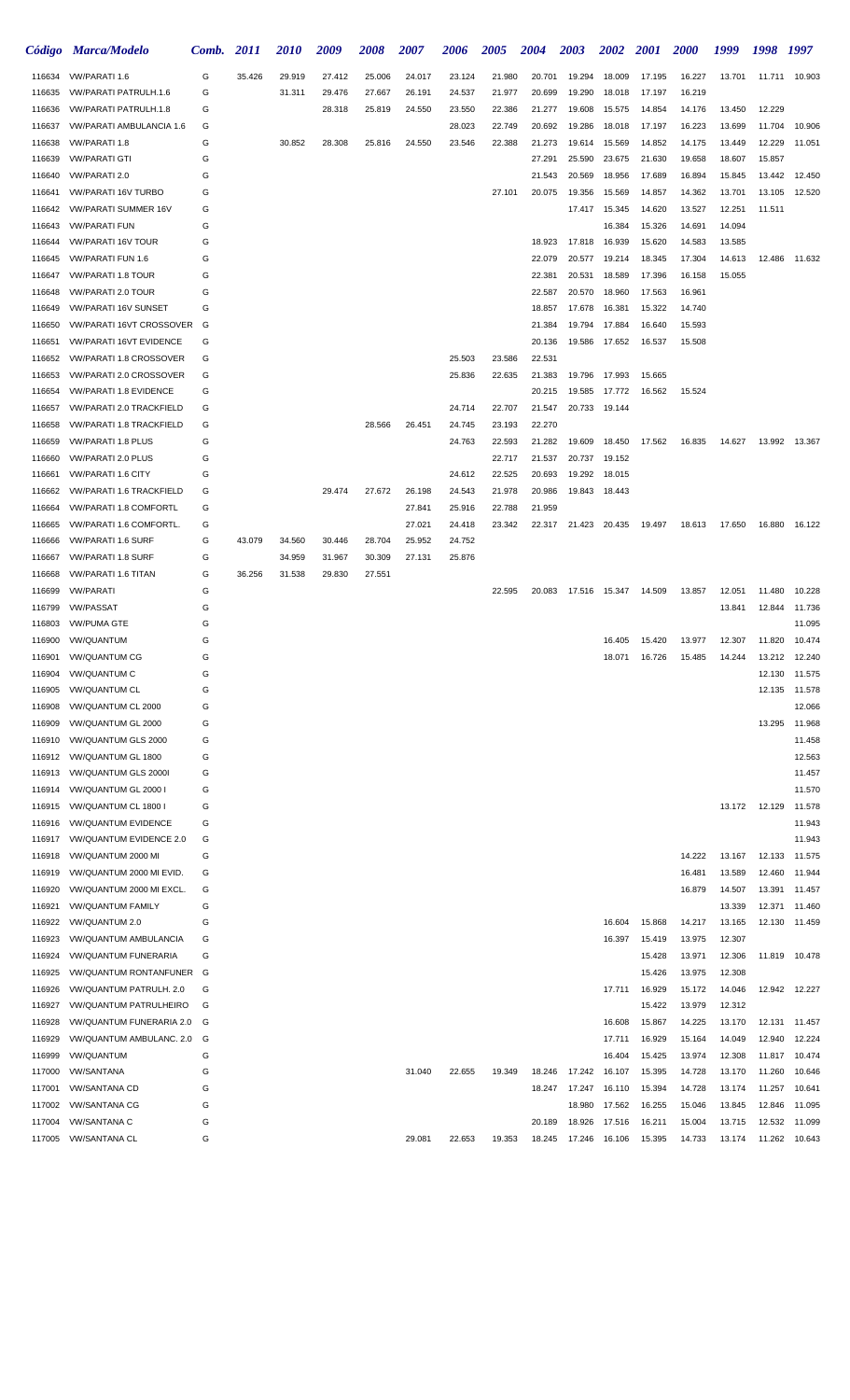|                  | Código Marca/Modelo                            | Comb.  | <i>2011</i> | <i>2010</i> | 2009   | 2008   | 2007   | 2006   | <b>2005</b> | <b>2004</b> | 2003                 | <b>2002</b>      | <b>2001</b>      | <b>2000</b>      | 1999             | 1998             | 1997             |
|------------------|------------------------------------------------|--------|-------------|-------------|--------|--------|--------|--------|-------------|-------------|----------------------|------------------|------------------|------------------|------------------|------------------|------------------|
| 116634           | VW/PARATI 1.6                                  | G      | 35.426      | 29.919      | 27.412 | 25.006 | 24.017 | 23.124 | 21.980      | 20.701      | 19.294               | 18.009           | 17.195           | 16.227           | 13.701           |                  | 11.711 10.903    |
| 116635           | <b>VW/PARATI PATRULH.1.6</b>                   | G      |             | 31.311      | 29.476 | 27.667 | 26.191 | 24.537 | 21.977      | 20.699      | 19.290               | 18.018           | 17.197           | 16.219           |                  |                  |                  |
| 116636           | <b>VW/PARATI PATRULH.1.8</b>                   | G      |             |             | 28.318 | 25.819 | 24.550 | 23.550 | 22.386      | 21.277      | 19.608               | 15.575           | 14.854           | 14.176           | 13.450           | 12.229           |                  |
| 116637           | <b>VW/PARATI AMBULANCIA 1.6</b>                | G      |             |             |        |        |        | 28.023 | 22.749      | 20.692      | 19.286               | 18.018           | 17.197           | 16.223           | 13.699           | 11.704           | 10.906           |
| 116638           | VW/PARATI 1.8                                  | G      |             | 30.852      | 28.308 | 25.816 | 24.550 | 23.546 | 22.388      | 21.273      | 19.614               | 15.569           | 14.852           | 14.175           | 13.449           | 12.229           | 11.051           |
| 116639           | <b>VW/PARATI GTI</b>                           | G      |             |             |        |        |        |        |             | 27.291      | 25.590               | 23.675           | 21.630           | 19.658           | 18.607           | 15.857           |                  |
| 116640           | VW/PARATI 2.0                                  | G      |             |             |        |        |        |        |             | 21.543      | 20.569               | 18.956           | 17.689           | 16.894           | 15.845           | 13.442           | 12.450           |
| 116641           | <b>VW/PARATI 16V TURBO</b>                     | G      |             |             |        |        |        |        | 27.101      | 20.075      | 19.356               | 15.569           | 14.857           | 14.362           | 13.701           | 13.105           | 12.520           |
| 116642           | <b>VW/PARATI SUMMER 16V</b>                    | G      |             |             |        |        |        |        |             |             | 17.417               | 15.345           | 14.620           | 13.527           | 12.251           | 11.511           |                  |
| 116643           | <b>VW/PARATI FUN</b>                           | G      |             |             |        |        |        |        |             | 18.923      |                      | 16.384           | 15.326           | 14.691           | 14.094           |                  |                  |
| 116644<br>116645 | <b>VW/PARATI 16V TOUR</b><br>VW/PARATI FUN 1.6 | G<br>G |             |             |        |        |        |        |             | 22.079      | 17.818<br>20.577     | 16.939<br>19.214 | 15.620<br>18.345 | 14.583<br>17.304 | 13.585<br>14.613 |                  | 12.486 11.632    |
| 116647           | <b>VW/PARATI 1.8 TOUR</b>                      | G      |             |             |        |        |        |        |             | 22.381      | 20.531               | 18.589           | 17.396           | 16.158           | 15.055           |                  |                  |
| 116648           | VW/PARATI 2.0 TOUR                             | G      |             |             |        |        |        |        |             | 22.587      | 20.570               | 18.960           | 17.563           | 16.961           |                  |                  |                  |
| 116649           | <b>VW/PARATI 16V SUNSET</b>                    | G      |             |             |        |        |        |        |             | 18.857      | 17.678               | 16.381           | 15.322           | 14.740           |                  |                  |                  |
| 116650           | VW/PARATI 16VT CROSSOVER G                     |        |             |             |        |        |        |        |             | 21.384      | 19.794               | 17.884           | 16.640           | 15.593           |                  |                  |                  |
| 116651           | <b>VW/PARATI 16VT EVIDENCE</b>                 | G      |             |             |        |        |        |        |             | 20.136      | 19.586               | 17.652           | 16.537           | 15.508           |                  |                  |                  |
| 116652           | VW/PARATI 1.8 CROSSOVER                        | G      |             |             |        |        |        | 25.503 | 23.586      | 22.531      |                      |                  |                  |                  |                  |                  |                  |
| 116653           | VW/PARATI 2.0 CROSSOVER                        | G      |             |             |        |        |        | 25.836 | 22.635      | 21.383      | 19.796               | 17.993           | 15.665           |                  |                  |                  |                  |
| 116654           | <b>VW/PARATI 1.8 EVIDENCE</b>                  | G      |             |             |        |        |        |        |             | 20.215      | 19.585               | 17.772           | 16.562           | 15.524           |                  |                  |                  |
| 116657           | <b>VW/PARATI 2.0 TRACKFIELD</b>                | G      |             |             |        |        |        | 24.714 | 22.707      | 21.547      | 20.733               | 19.144           |                  |                  |                  |                  |                  |
| 116658           | <b>VW/PARATI 1.8 TRACKFIELD</b>                | G      |             |             |        | 28.566 | 26.451 | 24.745 | 23.193      | 22.270      |                      |                  |                  |                  |                  |                  |                  |
| 116659           | <b>VW/PARATI 1.8 PLUS</b>                      | G      |             |             |        |        |        | 24.763 | 22.593      | 21.282      | 19.609               | 18.450           | 17.562           | 16.835           | 14.627           |                  | 13.992 13.367    |
| 116660           | <b>VW/PARATI 2.0 PLUS</b>                      | G      |             |             |        |        |        |        | 22.717      | 21.537      | 20.737               | 19.152           |                  |                  |                  |                  |                  |
| 116661           | <b>VW/PARATI 1.6 CITY</b>                      | G      |             |             |        |        |        | 24.612 | 22.525      | 20.693      | 19.292               | 18.015           |                  |                  |                  |                  |                  |
| 116662           | <b>VW/PARATI 1.6 TRACKFIELD</b>                | G      |             |             | 29.474 | 27.672 | 26.198 | 24.543 | 21.978      | 20.986      | 19.843               | 18.443           |                  |                  |                  |                  |                  |
| 116664           | <b>VW/PARATI 1.8 COMFORTL</b>                  | G      |             |             |        |        | 27.841 | 25.916 | 22.788      | 21.959      |                      |                  |                  |                  |                  |                  |                  |
| 116665           | <b>VW/PARATI 1.6 COMFORTL.</b>                 | G      |             |             |        |        | 27.021 | 24.418 | 23.342      |             | 22.317 21.423 20.435 |                  | 19.497           | 18.613           | 17.650           |                  | 16.880 16.122    |
| 116666           | <b>VW/PARATI 1.6 SURF</b>                      | G      | 43.079      | 34.560      | 30.446 | 28.704 | 25.952 | 24.752 |             |             |                      |                  |                  |                  |                  |                  |                  |
| 116667           | <b>VW/PARATI 1.8 SURF</b>                      | G<br>G |             | 34.959      | 31.967 | 30.309 | 27.131 | 25.876 |             |             |                      |                  |                  |                  |                  |                  |                  |
| 116668<br>116699 | VW/PARATI 1.6 TITAN<br><b>VW/PARATI</b>        | G      | 36.256      | 31.538      | 29.830 | 27.551 |        |        | 22.595      |             | 20.083 17.516 15.347 |                  | 14.509           | 13.857           | 12.051           | 11.480           | 10.228           |
| 116799           | <b>VW/PASSAT</b>                               | G      |             |             |        |        |        |        |             |             |                      |                  |                  |                  | 13.841           | 12.844           | 11.736           |
| 116803           | <b>VW/PUMA GTE</b>                             | G      |             |             |        |        |        |        |             |             |                      |                  |                  |                  |                  |                  | 11.095           |
| 116900           | <b>VW/QUANTUM</b>                              | G      |             |             |        |        |        |        |             |             |                      | 16.405           | 15.420           | 13.977           | 12.307           | 11.820           | 10.474           |
| 116901           | <b>VW/QUANTUM CG</b>                           | G      |             |             |        |        |        |        |             |             |                      | 18.071           | 16.726           | 15.485           | 14.244           |                  | 13.212 12.240    |
| 116904           | <b>VW/QUANTUM C</b>                            | G      |             |             |        |        |        |        |             |             |                      |                  |                  |                  |                  | 12.130           | 11.575           |
| 116905           | <b>VW/QUANTUM CL</b>                           | G      |             |             |        |        |        |        |             |             |                      |                  |                  |                  |                  | 12.135           | 11.578           |
| 116908           | VW/QUANTUM CL 2000                             | G      |             |             |        |        |        |        |             |             |                      |                  |                  |                  |                  |                  | 12.066           |
| 116909           | VW/QUANTUM GL 2000                             | G      |             |             |        |        |        |        |             |             |                      |                  |                  |                  |                  | 13.295           | 11.968           |
| 116910           | VW/QUANTUM GLS 2000                            | G      |             |             |        |        |        |        |             |             |                      |                  |                  |                  |                  |                  | 11.458           |
| 116912           | VW/QUANTUM GL 1800                             | G      |             |             |        |        |        |        |             |             |                      |                  |                  |                  |                  |                  | 12.563           |
| 116913           | VW/QUANTUM GLS 2000I                           | G      |             |             |        |        |        |        |             |             |                      |                  |                  |                  |                  |                  | 11.457           |
| 116914           | VW/QUANTUM GL 2000 I                           | G      |             |             |        |        |        |        |             |             |                      |                  |                  |                  |                  |                  | 11.570           |
| 116915           | VW/QUANTUM CL 1800 I                           | G      |             |             |        |        |        |        |             |             |                      |                  |                  |                  | 13.172           | 12.129           | 11.578           |
| 116916           | <b>VW/QUANTUM EVIDENCE</b>                     | G      |             |             |        |        |        |        |             |             |                      |                  |                  |                  |                  |                  | 11.943           |
| 116917           | <b>VW/QUANTUM EVIDENCE 2.0</b>                 | G      |             |             |        |        |        |        |             |             |                      |                  |                  |                  |                  |                  | 11.943           |
| 116918           | VW/QUANTUM 2000 MI                             | G      |             |             |        |        |        |        |             |             |                      |                  |                  | 14.222           | 13.167           | 12.133           | 11.575           |
| 116919           | VW/QUANTUM 2000 MI EVID.                       | G      |             |             |        |        |        |        |             |             |                      |                  |                  | 16.481           | 13.589           | 12.460           | 11.944           |
| 116920           | VW/QUANTUM 2000 MI EXCL.                       | G      |             |             |        |        |        |        |             |             |                      |                  |                  | 16.879           | 14.507           | 13.391           | 11.457           |
| 116921<br>116922 | <b>VW/QUANTUM FAMILY</b><br>VW/QUANTUM 2.0     | G<br>G |             |             |        |        |        |        |             |             |                      | 16.604           | 15.868           | 14.217           | 13.339<br>13.165 | 12.371<br>12.130 | 11.460<br>11.459 |
| 116923           | VW/QUANTUM AMBULANCIA                          | G      |             |             |        |        |        |        |             |             |                      | 16.397           | 15.419           | 13.975           | 12.307           |                  |                  |
| 116924           | <b>VW/QUANTUM FUNERARIA</b>                    | G      |             |             |        |        |        |        |             |             |                      |                  | 15.428           | 13.971           | 12.306           |                  | 11.819 10.478    |
| 116925           | VW/QUANTUM RONTANFUNER G                       |        |             |             |        |        |        |        |             |             |                      |                  | 15.426           | 13.975           | 12.308           |                  |                  |
| 116926           | VW/QUANTUM PATRULH. 2.0                        | G      |             |             |        |        |        |        |             |             |                      | 17.711           | 16.929           | 15.172           | 14.046           |                  | 12.942 12.227    |
| 116927           | <b>VW/QUANTUM PATRULHEIRO</b>                  | G      |             |             |        |        |        |        |             |             |                      |                  | 15.422           | 13.979           | 12.312           |                  |                  |
| 116928           | VW/QUANTUM FUNERARIA 2.0                       | G      |             |             |        |        |        |        |             |             |                      | 16.608           | 15.867           | 14.225           | 13.170           | 12.131           | 11.457           |
| 116929           | VW/QUANTUM AMBULANC. 2.0                       | G      |             |             |        |        |        |        |             |             |                      | 17.711           | 16.929           | 15.164           | 14.049           | 12.940           | 12.224           |
| 116999           | <b>VW/QUANTUM</b>                              | G      |             |             |        |        |        |        |             |             |                      | 16.404           | 15.425           | 13.974           | 12.308           | 11.817           | 10.474           |
| 117000           | <b>VW/SANTANA</b>                              | G      |             |             |        |        | 31.040 | 22.655 | 19.349      | 18.246      | 17.242               | 16.107           | 15.395           | 14.728           | 13.170           | 11.260           | 10.646           |
| 117001           | <b>VW/SANTANA CD</b>                           | G      |             |             |        |        |        |        |             | 18.247      | 17.247               | 16.110           | 15.394           | 14.728           | 13.174           | 11.257           | 10.641           |
| 117002           | <b>VW/SANTANA CG</b>                           | G      |             |             |        |        |        |        |             |             | 18.980               | 17.562           | 16.255           | 15.046           | 13.845           | 12.846           | 11.095           |
| 117004           | <b>VW/SANTANA C</b>                            | G      |             |             |        |        |        |        |             | 20.189      | 18.926               | 17.516           | 16.211           | 15.004           | 13.715           | 12.532           | 11.099           |
| 117005           | <b>VW/SANTANA CL</b>                           | G      |             |             |        |        | 29.081 | 22.653 | 19.353      | 18.245      | 17.246               | 16.106           | 15.395           | 14.733           | 13.174           | 11.262           | 10.643           |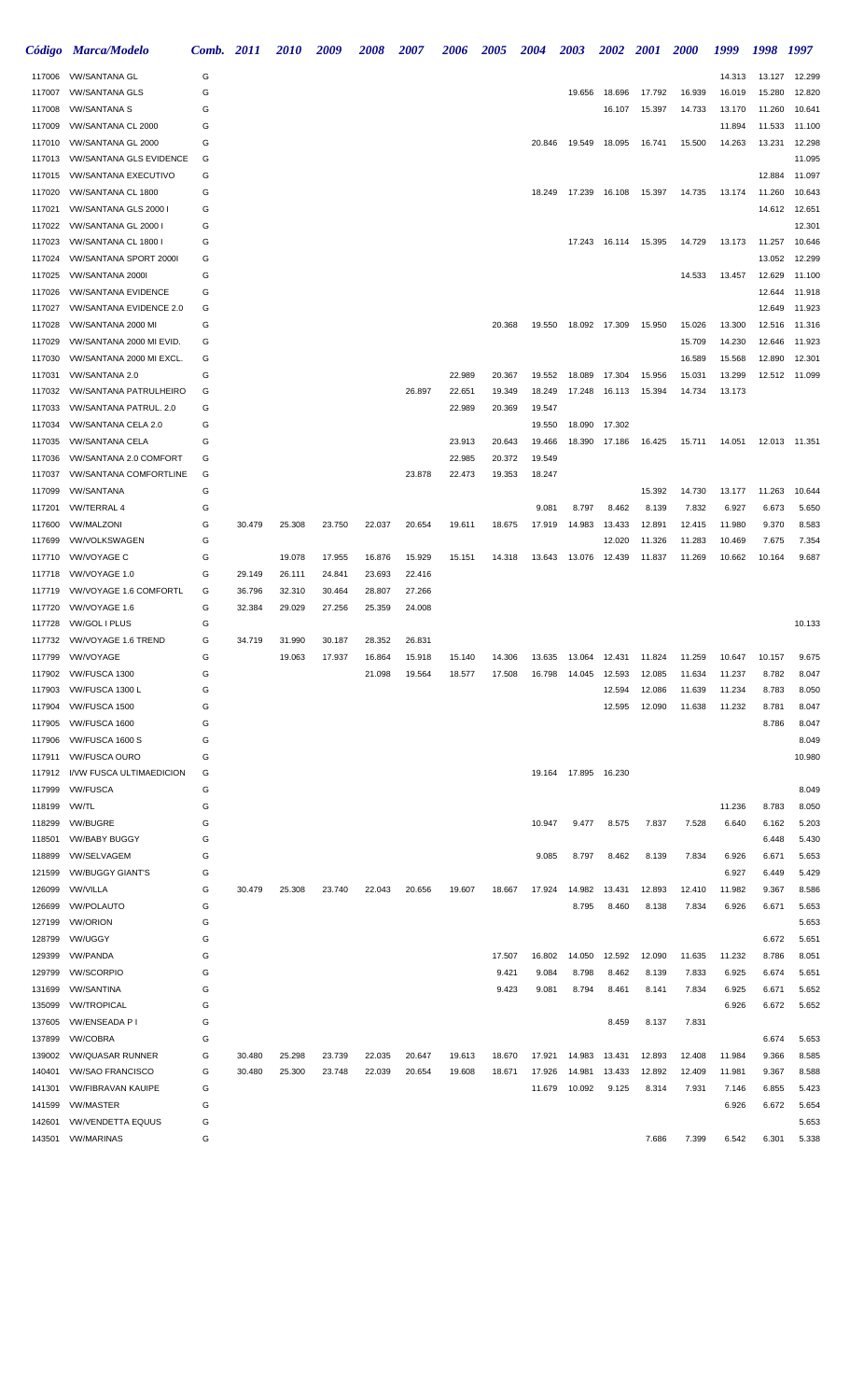|                  | Código Marca/Modelo                                | Comb. 2011 |        | <i>2010</i> | 2009   | <b>2008</b> | 2007   | 2006   | 2005           | <b>2004</b>    | <b>2003</b>                    | <b>2002</b>    | <b>2001</b> | <b>2000</b>    | 1999           | 1998           | 1997             |
|------------------|----------------------------------------------------|------------|--------|-------------|--------|-------------|--------|--------|----------------|----------------|--------------------------------|----------------|-------------|----------------|----------------|----------------|------------------|
| 117006           | VW/SANTANA GL                                      | G          |        |             |        |             |        |        |                |                |                                |                |             |                | 14.313         | 13.127         | 12.299           |
| 117007           | <b>VW/SANTANA GLS</b>                              | G          |        |             |        |             |        |        |                |                | 19.656                         | 18.696         | 17.792      | 16.939         | 16.019         | 15.280         | 12.820           |
| 117008           | <b>VW/SANTANA S</b>                                | G          |        |             |        |             |        |        |                |                |                                | 16.107         | 15.397      | 14.733         | 13.170         | 11.260         | 10.641           |
| 117009           | VW/SANTANA CL 2000                                 | G          |        |             |        |             |        |        |                |                |                                |                |             |                | 11.894         | 11.533         | 11.100           |
| 117010           | VW/SANTANA GL 2000                                 | G          |        |             |        |             |        |        |                | 20.846         | 19.549                         | 18.095         | 16.741      | 15.500         | 14.263         | 13.231         | 12.298           |
| 117013           | <b>VW/SANTANA GLS EVIDENCE</b>                     | G          |        |             |        |             |        |        |                |                |                                |                |             |                |                |                | 11.095           |
| 117015           | <b>VW/SANTANA EXECUTIVO</b>                        | G          |        |             |        |             |        |        |                |                |                                |                |             |                |                | 12.884         | 11.097           |
| 117020           | VW/SANTANA CL 1800                                 | G          |        |             |        |             |        |        |                | 18.249         | 17.239                         | 16.108         | 15.397      | 14.735         | 13.174         | 11.260         | 10.643           |
| 117021           | VW/SANTANA GLS 2000 I<br>VW/SANTANA GL 2000 I      | G          |        |             |        |             |        |        |                |                |                                |                |             |                |                | 14.612         | 12.651           |
| 117022<br>117023 | VW/SANTANA CL 1800 I                               | G<br>G     |        |             |        |             |        |        |                |                | 17.243                         | 16.114         | 15.395      | 14.729         | 13.173         | 11.257         | 12.301<br>10.646 |
| 117024           | VW/SANTANA SPORT 2000I                             | G          |        |             |        |             |        |        |                |                |                                |                |             |                |                | 13.052         | 12.299           |
| 117025           | VW/SANTANA 2000I                                   | G          |        |             |        |             |        |        |                |                |                                |                |             | 14.533         | 13.457         | 12.629         | 11.100           |
| 117026           | <b>VW/SANTANA EVIDENCE</b>                         | G          |        |             |        |             |        |        |                |                |                                |                |             |                |                | 12.644         | 11.918           |
| 117027           | <b>VW/SANTANA EVIDENCE 2.0</b>                     | G          |        |             |        |             |        |        |                |                |                                |                |             |                |                | 12.649         | 11.923           |
| 117028           | VW/SANTANA 2000 MI                                 | G          |        |             |        |             |        |        | 20.368         | 19.550         |                                | 18.092 17.309  | 15.950      | 15.026         | 13.300         | 12.516         | 11.316           |
| 117029           | VW/SANTANA 2000 MI EVID.                           | G          |        |             |        |             |        |        |                |                |                                |                |             | 15.709         | 14.230         | 12.646         | 11.923           |
| 117030           | VW/SANTANA 2000 MI EXCL.                           | G          |        |             |        |             |        |        |                |                |                                |                |             | 16.589         | 15.568         | 12.890         | 12.301           |
| 117031           | VW/SANTANA 2.0                                     | G          |        |             |        |             |        | 22.989 | 20.367         | 19.552         | 18.089                         | 17.304         | 15.956      | 15.031         | 13.299         | 12.512         | 11.099           |
| 117032           | <b>VW/SANTANA PATRULHEIRO</b>                      | G          |        |             |        |             | 26.897 | 22.651 | 19.349         | 18.249         | 17.248                         | 16.113         | 15.394      | 14.734         | 13.173         |                |                  |
| 117033           | VW/SANTANA PATRUL. 2.0                             | G          |        |             |        |             |        | 22.989 | 20.369         | 19.547         |                                |                |             |                |                |                |                  |
| 117034           | VW/SANTANA CELA 2.0                                | G          |        |             |        |             |        |        |                | 19.550         | 18.090                         | 17.302         |             |                |                |                |                  |
| 117035           | <b>VW/SANTANA CELA</b>                             | G          |        |             |        |             |        | 23.913 | 20.643         | 19.466         | 18.390                         | 17.186         | 16.425      | 15.711         | 14.051         |                | 12.013 11.351    |
| 117036           | VW/SANTANA 2.0 COMFORT                             | G          |        |             |        |             |        | 22.985 | 20.372         | 19.549         |                                |                |             |                |                |                |                  |
| 117037<br>117099 | <b>VW/SANTANA COMFORTLINE</b><br><b>VW/SANTANA</b> | G<br>G     |        |             |        |             | 23.878 | 22.473 | 19.353         | 18.247         |                                |                | 15.392      | 14.730         | 13.177         | 11.263         | 10.644           |
| 117201           | <b>VW/TERRAL 4</b>                                 | G          |        |             |        |             |        |        |                | 9.081          | 8.797                          | 8.462          | 8.139       | 7.832          | 6.927          | 6.673          | 5.650            |
| 117600           | <b>VW/MALZONI</b>                                  | G          | 30.479 | 25.308      | 23.750 | 22.037      | 20.654 | 19.611 | 18.675         | 17.919         | 14.983                         | 13.433         | 12.891      | 12.415         | 11.980         | 9.370          | 8.583            |
| 117699           | <b>VW/VOLKSWAGEN</b>                               | G          |        |             |        |             |        |        |                |                |                                | 12.020         | 11.326      | 11.283         | 10.469         | 7.675          | 7.354            |
| 117710           | <b>VW/VOYAGE C</b>                                 | G          |        | 19.078      | 17.955 | 16.876      | 15.929 | 15.151 | 14.318         | 13.643         | 13.076                         | 12.439         | 11.837      | 11.269         | 10.662         | 10.164         | 9.687            |
| 117718           | VW/VOYAGE 1.0                                      | G          | 29.149 | 26.111      | 24.841 | 23.693      | 22.416 |        |                |                |                                |                |             |                |                |                |                  |
| 117719           | VW/VOYAGE 1.6 COMFORTL                             | G          | 36.796 | 32.310      | 30.464 | 28.807      | 27.266 |        |                |                |                                |                |             |                |                |                |                  |
| 117720           | VW/VOYAGE 1.6                                      | G          | 32.384 | 29.029      | 27.256 | 25.359      | 24.008 |        |                |                |                                |                |             |                |                |                |                  |
| 117728           | <b>VW/GOL I PLUS</b>                               | G          |        |             |        |             |        |        |                |                |                                |                |             |                |                |                | 10.133           |
| 117732           | <b>VW/VOYAGE 1.6 TREND</b>                         | G          | 34.719 | 31.990      | 30.187 | 28.352      | 26.831 |        |                |                |                                |                |             |                |                |                |                  |
|                  | 117799 VW/VOYAGE                                   | G          |        | 19.063      | 17.937 | 16.864      | 15.918 | 15.140 | 14.306         |                | 13.635  13.064  12.431  11.824 |                |             | 11.259         | 10.647         | 10.157         | 9.675            |
| 117902           | VW/FUSCA 1300                                      | G          |        |             |        | 21.098      | 19.564 | 18.577 | 17.508         | 16.798         | 14.045                         | 12.593         | 12.085      | 11.634         | 11.237         | 8.782          | 8.047            |
| 117903           | VW/FUSCA 1300 L                                    | G          |        |             |        |             |        |        |                |                |                                | 12.594         | 12.086      | 11.639         | 11.234         | 8.783          | 8.050            |
| 117904           | VW/FUSCA 1500                                      | G          |        |             |        |             |        |        |                |                |                                | 12.595         | 12.090      | 11.638         | 11.232         | 8.781          | 8.047            |
| 117905           | VW/FUSCA 1600                                      | G          |        |             |        |             |        |        |                |                |                                |                |             |                |                | 8.786          | 8.047            |
| 117906<br>117911 | VW/FUSCA 1600 S<br><b>VW/FUSCA OURO</b>            | G<br>G     |        |             |        |             |        |        |                |                |                                |                |             |                |                |                | 8.049<br>10.980  |
| 117912           | I/VW FUSCA ULTIMAEDICION                           | G          |        |             |        |             |        |        |                |                | 19.164 17.895 16.230           |                |             |                |                |                |                  |
| 117999           | <b>VW/FUSCA</b>                                    | G          |        |             |        |             |        |        |                |                |                                |                |             |                |                |                | 8.049            |
| 118199           | <b>VW/TL</b>                                       | G          |        |             |        |             |        |        |                |                |                                |                |             |                | 11.236         | 8.783          | 8.050            |
| 118299           | <b>VW/BUGRE</b>                                    | G          |        |             |        |             |        |        |                | 10.947         | 9.477                          | 8.575          | 7.837       | 7.528          | 6.640          | 6.162          | 5.203            |
| 118501           | <b>VW/BABY BUGGY</b>                               | G          |        |             |        |             |        |        |                |                |                                |                |             |                |                | 6.448          | 5.430            |
| 118899           | <b>VW/SELVAGEM</b>                                 | G          |        |             |        |             |        |        |                | 9.085          | 8.797                          | 8.462          | 8.139       | 7.834          | 6.926          | 6.671          | 5.653            |
| 121599           | <b>VW/BUGGY GIANT'S</b>                            | G          |        |             |        |             |        |        |                |                |                                |                |             |                | 6.927          | 6.449          | 5.429            |
| 126099           | <b>VW/VILLA</b>                                    | G          | 30.479 | 25.308      | 23.740 | 22.043      | 20.656 | 19.607 | 18.667         | 17.924         | 14.982                         | 13.431         | 12.893      | 12.410         | 11.982         | 9.367          | 8.586            |
| 126699           | <b>VW/POLAUTO</b>                                  | G          |        |             |        |             |        |        |                |                | 8.795                          | 8.460          | 8.138       | 7.834          | 6.926          | 6.671          | 5.653            |
| 127199           | <b>VW/ORION</b>                                    | G          |        |             |        |             |        |        |                |                |                                |                |             |                |                |                | 5.653            |
| 128799           | <b>VW/UGGY</b>                                     | G          |        |             |        |             |        |        |                |                |                                |                |             |                |                | 6.672          | 5.651            |
| 129399           | <b>VW/PANDA</b>                                    | G          |        |             |        |             |        |        | 17.507         | 16.802         | 14.050                         | 12.592         | 12.090      | 11.635         | 11.232         | 8.786          | 8.051            |
| 129799<br>131699 | <b>VW/SCORPIO</b><br><b>VW/SANTINA</b>             | G<br>G     |        |             |        |             |        |        | 9.421<br>9.423 | 9.084<br>9.081 | 8.798<br>8.794                 | 8.462<br>8.461 | 8.139       | 7.833<br>7.834 | 6.925<br>6.925 | 6.674          | 5.651<br>5.652   |
| 135099           | <b>VW/TROPICAL</b>                                 | G          |        |             |        |             |        |        |                |                |                                |                | 8.141       |                | 6.926          | 6.671<br>6.672 | 5.652            |
| 137605           | <b>VW/ENSEADA P I</b>                              | G          |        |             |        |             |        |        |                |                |                                | 8.459          | 8.137       | 7.831          |                |                |                  |
| 137899           | <b>VW/COBRA</b>                                    | G          |        |             |        |             |        |        |                |                |                                |                |             |                |                | 6.674          | 5.653            |
| 139002           | <b>VW/QUASAR RUNNER</b>                            | G          | 30.480 | 25.298      | 23.739 | 22.035      | 20.647 | 19.613 | 18.670         | 17.921         | 14.983                         | 13.431         | 12.893      | 12.408         | 11.984         | 9.366          | 8.585            |
| 140401           | <b>VW/SAO FRANCISCO</b>                            | G          | 30.480 | 25.300      | 23.748 | 22.039      | 20.654 | 19.608 | 18.671         | 17.926         | 14.981                         | 13.433         | 12.892      | 12.409         | 11.981         | 9.367          | 8.588            |
| 141301           | <b>VW/FIBRAVAN KAUIPE</b>                          | G          |        |             |        |             |        |        |                | 11.679         | 10.092                         | 9.125          | 8.314       | 7.931          | 7.146          | 6.855          | 5.423            |
| 141599           | <b>VW/MASTER</b>                                   | G          |        |             |        |             |        |        |                |                |                                |                |             |                | 6.926          | 6.672          | 5.654            |
| 142601           | <b>VW/VENDETTA EQUUS</b>                           | G          |        |             |        |             |        |        |                |                |                                |                |             |                |                |                | 5.653            |
| 143501           | <b>VW/MARINAS</b>                                  | G          |        |             |        |             |        |        |                |                |                                |                | 7.686       | 7.399          | 6.542          | 6.301          | 5.338            |
|                  |                                                    |            |        |             |        |             |        |        |                |                |                                |                |             |                |                |                |                  |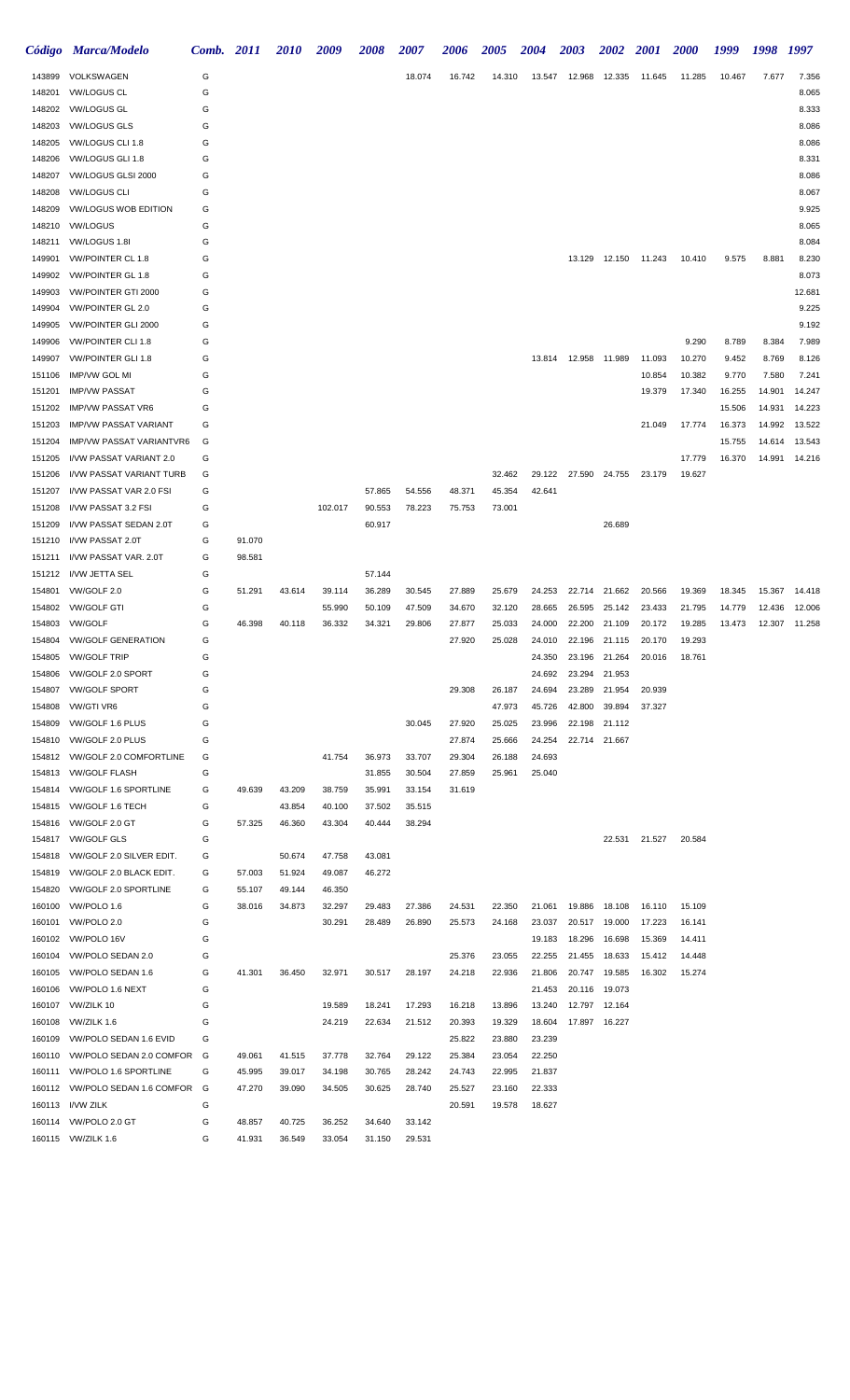|                  | Código Marca/Modelo                                      | Comb. 2011 |        | <b>2010</b> | 2009             | <b>2008</b>      | 2007             | <b>2006</b>      | <b>2005</b>      | <b>2004</b>      | <b>2003</b>            | <b>2002</b>             | <b>2001</b>                 | <b>2000</b>      | 1999             | 1998             | 1997             |
|------------------|----------------------------------------------------------|------------|--------|-------------|------------------|------------------|------------------|------------------|------------------|------------------|------------------------|-------------------------|-----------------------------|------------------|------------------|------------------|------------------|
| 143899           | VOLKSWAGEN                                               | G          |        |             |                  |                  | 18.074           | 16.742           | 14.310           |                  | 13.547 12.968          | 12.335                  | 11.645                      | 11.285           | 10.467           | 7.677            | 7.356            |
| 148201           | <b>VW/LOGUS CL</b>                                       | G          |        |             |                  |                  |                  |                  |                  |                  |                        |                         |                             |                  |                  |                  | 8.065            |
| 148202           | <b>VW/LOGUS GL</b>                                       | G          |        |             |                  |                  |                  |                  |                  |                  |                        |                         |                             |                  |                  |                  | 8.333            |
| 148203           | <b>VW/LOGUS GLS</b>                                      | G          |        |             |                  |                  |                  |                  |                  |                  |                        |                         |                             |                  |                  |                  | 8.086            |
| 148205           | VW/LOGUS CLI 1.8                                         | G          |        |             |                  |                  |                  |                  |                  |                  |                        |                         |                             |                  |                  |                  | 8.086            |
| 148206           | VW/LOGUS GLI 1.8                                         | G          |        |             |                  |                  |                  |                  |                  |                  |                        |                         |                             |                  |                  |                  | 8.331            |
| 148207<br>148208 | VW/LOGUS GLSI 2000<br><b>VW/LOGUS CLI</b>                | G<br>G     |        |             |                  |                  |                  |                  |                  |                  |                        |                         |                             |                  |                  |                  | 8.086<br>8.067   |
| 148209           | <b>VW/LOGUS WOB EDITION</b>                              | G          |        |             |                  |                  |                  |                  |                  |                  |                        |                         |                             |                  |                  |                  | 9.925            |
| 148210           | <b>VW/LOGUS</b>                                          | G          |        |             |                  |                  |                  |                  |                  |                  |                        |                         |                             |                  |                  |                  | 8.065            |
| 148211           | VW/LOGUS 1.8I                                            | G          |        |             |                  |                  |                  |                  |                  |                  |                        |                         |                             |                  |                  |                  | 8.084            |
| 149901           | VW/POINTER CL 1.8                                        | G          |        |             |                  |                  |                  |                  |                  |                  |                        |                         | 13.129  12.150  11.243      | 10.410           | 9.575            | 8.881            | 8.230            |
| 149902           | <b>VW/POINTER GL 1.8</b>                                 | G          |        |             |                  |                  |                  |                  |                  |                  |                        |                         |                             |                  |                  |                  | 8.073            |
| 149903           | VW/POINTER GTI 2000                                      | G          |        |             |                  |                  |                  |                  |                  |                  |                        |                         |                             |                  |                  |                  | 12.681           |
| 149904           | <b>VW/POINTER GL 2.0</b>                                 | G          |        |             |                  |                  |                  |                  |                  |                  |                        |                         |                             |                  |                  |                  | 9.225            |
| 149905           | <b>VW/POINTER GLI 2000</b>                               | G          |        |             |                  |                  |                  |                  |                  |                  |                        |                         |                             |                  |                  |                  | 9.192            |
| 149906           | VW/POINTER CLI 1.8                                       | G          |        |             |                  |                  |                  |                  |                  |                  |                        |                         |                             | 9.290            | 8.789            | 8.384            | 7.989            |
| 149907           | <b>VW/POINTER GLI 1.8</b>                                | G          |        |             |                  |                  |                  |                  |                  |                  | 13.814  12.958  11.989 |                         | 11.093                      | 10.270           | 9.452            | 8.769            | 8.126            |
| 151106           | IMP/VW GOL MI                                            | G          |        |             |                  |                  |                  |                  |                  |                  |                        |                         | 10.854                      | 10.382           | 9.770            | 7.580            | 7.241            |
| 151201           | <b>IMP/VW PASSAT</b>                                     | G          |        |             |                  |                  |                  |                  |                  |                  |                        |                         | 19.379                      | 17.340           | 16.255           | 14.901           | 14.247           |
| 151202           | <b>IMP/VW PASSAT VR6</b>                                 | G          |        |             |                  |                  |                  |                  |                  |                  |                        |                         |                             |                  | 15.506           | 14.931           | 14.223           |
| 151203<br>151204 | <b>IMP/VW PASSAT VARIANT</b><br>IMP/VW PASSAT VARIANTVR6 | G<br>G     |        |             |                  |                  |                  |                  |                  |                  |                        |                         | 21.049                      | 17.774           | 16.373<br>15.755 | 14.992<br>14.614 | 13.522<br>13.543 |
| 151205           | I/VW PASSAT VARIANT 2.0                                  | G          |        |             |                  |                  |                  |                  |                  |                  |                        |                         |                             | 17.779           | 16.370           | 14.991           | 14.216           |
| 151206           | I/VW PASSAT VARIANT TURB                                 | G          |        |             |                  |                  |                  |                  | 32.462           |                  |                        |                         | 29.122 27.590 24.755 23.179 | 19.627           |                  |                  |                  |
| 151207           | I/VW PASSAT VAR 2.0 FSI                                  | G          |        |             |                  | 57.865           | 54.556           | 48.371           | 45.354           | 42.641           |                        |                         |                             |                  |                  |                  |                  |
| 151208           | I/VW PASSAT 3.2 FSI                                      | G          |        |             | 102.017          | 90.553           | 78.223           | 75.753           | 73.001           |                  |                        |                         |                             |                  |                  |                  |                  |
| 151209           | I/VW PASSAT SEDAN 2.0T                                   | G          |        |             |                  | 60.917           |                  |                  |                  |                  |                        | 26.689                  |                             |                  |                  |                  |                  |
| 151210           | I/VW PASSAT 2.0T                                         | G          | 91.070 |             |                  |                  |                  |                  |                  |                  |                        |                         |                             |                  |                  |                  |                  |
| 151211           | I/VW PASSAT VAR. 2.0T                                    | G          | 98.581 |             |                  |                  |                  |                  |                  |                  |                        |                         |                             |                  |                  |                  |                  |
| 151212           | I/VW JETTA SEL                                           | G          |        |             |                  | 57.144           |                  |                  |                  |                  |                        |                         |                             |                  |                  |                  |                  |
| 154801           | VW/GOLF 2.0                                              | G          | 51.291 | 43.614      | 39.114           | 36.289           | 30.545           | 27.889           | 25.679           | 24.253           | 22.714                 | 21.662                  | 20.566                      | 19.369           | 18.345           | 15.367           | 14.418           |
| 154802           | <b>VW/GOLF GTI</b>                                       | G          |        |             | 55.990           | 50.109           | 47.509           | 34.670           | 32.120           | 28.665           | 26.595                 | 25.142                  | 23.433                      | 21.795           | 14.779           | 12.436           | 12.006           |
| 154803           | <b>VW/GOLF</b>                                           | G          | 46.398 | 40.118      | 36.332           | 34.321           | 29.806           | 27.877           | 25.033           | 24.000           | 22.200                 | 21.109                  | 20.172                      | 19.285           | 13.473           | 12.307           | 11.258           |
| 154804           | <b>VW/GOLF GENERATION</b>                                | G          |        |             |                  |                  |                  | 27.920           | 25.028           | 24.010           | 22.196                 | 21.115                  | 20.170                      | 19.293           |                  |                  |                  |
| 154805           | <b>VW/GOLF TRIP</b>                                      | G          |        |             |                  |                  |                  |                  |                  | 24.350           | 23.196                 | 21.264                  | 20.016                      | 18.761           |                  |                  |                  |
| 154806           | VW/GOLF 2.0 SPORT<br>154807 VW/GOLF SPORT                | G<br>G     |        |             |                  |                  |                  | 29.308           | 26.187           | 24.692<br>24.694 | 23.294<br>23.289       | 21.953<br>21.954        | 20.939                      |                  |                  |                  |                  |
| 154808           | VW/GTI VR6                                               | G          |        |             |                  |                  |                  |                  | 47.973           | 45.726           | 42.800                 | 39.894                  | 37.327                      |                  |                  |                  |                  |
| 154809           | VW/GOLF 1.6 PLUS                                         | G          |        |             |                  |                  | 30.045           | 27.920           | 25.025           | 23.996           | 22.198                 | 21.112                  |                             |                  |                  |                  |                  |
| 154810           | VW/GOLF 2.0 PLUS                                         | G          |        |             |                  |                  |                  | 27.874           | 25.666           | 24.254           |                        | 22.714 21.667           |                             |                  |                  |                  |                  |
| 154812           | <b>VW/GOLF 2.0 COMFORTLINE</b>                           | G          |        |             | 41.754           | 36.973           | 33.707           | 29.304           | 26.188           | 24.693           |                        |                         |                             |                  |                  |                  |                  |
|                  | 154813 VW/GOLF FLASH                                     | G          |        |             |                  | 31.855           | 30.504           | 27.859           | 25.961           | 25.040           |                        |                         |                             |                  |                  |                  |                  |
| 154814           | <b>VW/GOLF 1.6 SPORTLINE</b>                             | G          | 49.639 | 43.209      | 38.759           | 35.991           | 33.154           | 31.619           |                  |                  |                        |                         |                             |                  |                  |                  |                  |
|                  | 154815 VW/GOLF 1.6 TECH                                  | G          |        | 43.854      | 40.100           | 37.502           | 35.515           |                  |                  |                  |                        |                         |                             |                  |                  |                  |                  |
|                  | 154816 VW/GOLF 2.0 GT                                    | G          | 57.325 | 46.360      | 43.304           | 40.444           | 38.294           |                  |                  |                  |                        |                         |                             |                  |                  |                  |                  |
|                  | 154817 VW/GOLF GLS                                       | G          |        |             |                  |                  |                  |                  |                  |                  |                        | 22.531                  | 21.527                      | 20.584           |                  |                  |                  |
| 154818           | VW/GOLF 2.0 SILVER EDIT.                                 | G          |        | 50.674      | 47.758           | 43.081           |                  |                  |                  |                  |                        |                         |                             |                  |                  |                  |                  |
| 154819           | VW/GOLF 2.0 BLACK EDIT.                                  | G          | 57.003 | 51.924      | 49.087           | 46.272           |                  |                  |                  |                  |                        |                         |                             |                  |                  |                  |                  |
| 154820           | VW/GOLF 2.0 SPORTLINE                                    | G          | 55.107 | 49.144      | 46.350           |                  |                  |                  |                  |                  |                        |                         |                             |                  |                  |                  |                  |
| 160100           | VW/POLO 1.6<br>160101 VW/POLO 2.0                        | G<br>G     | 38.016 | 34.873      | 32.297<br>30.291 | 29.483<br>28.489 | 27.386<br>26.890 | 24.531<br>25.573 | 22.350<br>24.168 | 21.061<br>23.037 | 19.886                 | 18.108<br>20.517 19.000 | 16.110<br>17.223            | 15.109<br>16.141 |                  |                  |                  |
|                  | 160102 VW/POLO 16V                                       | G          |        |             |                  |                  |                  |                  |                  | 19.183           | 18.296                 | 16.698                  | 15.369                      | 14.411           |                  |                  |                  |
|                  | 160104 VW/POLO SEDAN 2.0                                 | G          |        |             |                  |                  |                  | 25.376           | 23.055           | 22.255           | 21.455                 | 18.633                  | 15.412                      | 14.448           |                  |                  |                  |
| 160105           | VW/POLO SEDAN 1.6                                        | G          | 41.301 | 36.450      | 32.971           | 30.517           | 28.197           | 24.218           | 22.936           | 21.806           |                        | 20.747 19.585           | 16.302                      | 15.274           |                  |                  |                  |
|                  | 160106 VW/POLO 1.6 NEXT                                  | G          |        |             |                  |                  |                  |                  |                  | 21.453           | 20.116                 | 19.073                  |                             |                  |                  |                  |                  |
|                  | 160107 VW/ZILK 10                                        | G          |        |             | 19.589           | 18.241           | 17.293           | 16.218           | 13.896           | 13.240           |                        | 12.797 12.164           |                             |                  |                  |                  |                  |
|                  | 160108 VW/ZILK 1.6                                       | G          |        |             | 24.219           | 22.634           | 21.512           | 20.393           | 19.329           | 18.604           |                        | 17.897 16.227           |                             |                  |                  |                  |                  |
| 160109           | VW/POLO SEDAN 1.6 EVID                                   | G          |        |             |                  |                  |                  | 25.822           | 23.880           | 23.239           |                        |                         |                             |                  |                  |                  |                  |
| 160110           | VW/POLO SEDAN 2.0 COMFOR G                               |            | 49.061 | 41.515      | 37.778           | 32.764           | 29.122           | 25.384           | 23.054           | 22.250           |                        |                         |                             |                  |                  |                  |                  |
|                  | 160111 VW/POLO 1.6 SPORTLINE                             | G          | 45.995 | 39.017      | 34.198           | 30.765           | 28.242           | 24.743           | 22.995           | 21.837           |                        |                         |                             |                  |                  |                  |                  |
|                  | 160112 WW/POLO SEDAN 1.6 COMFOR G                        |            | 47.270 | 39.090      | 34.505           | 30.625           | 28.740           | 25.527           | 23.160           | 22.333           |                        |                         |                             |                  |                  |                  |                  |
|                  | 160113 I/VW ZILK                                         | G          |        |             |                  |                  |                  | 20.591           | 19.578           | 18.627           |                        |                         |                             |                  |                  |                  |                  |
|                  | 160114 VW/POLO 2.0 GT                                    | G          | 48.857 | 40.725      | 36.252           | 34.640           | 33.142           |                  |                  |                  |                        |                         |                             |                  |                  |                  |                  |
|                  | 160115 VW/ZILK 1.6                                       | G          | 41.931 | 36.549      | 33.054           | 31.150           | 29.531           |                  |                  |                  |                        |                         |                             |                  |                  |                  |                  |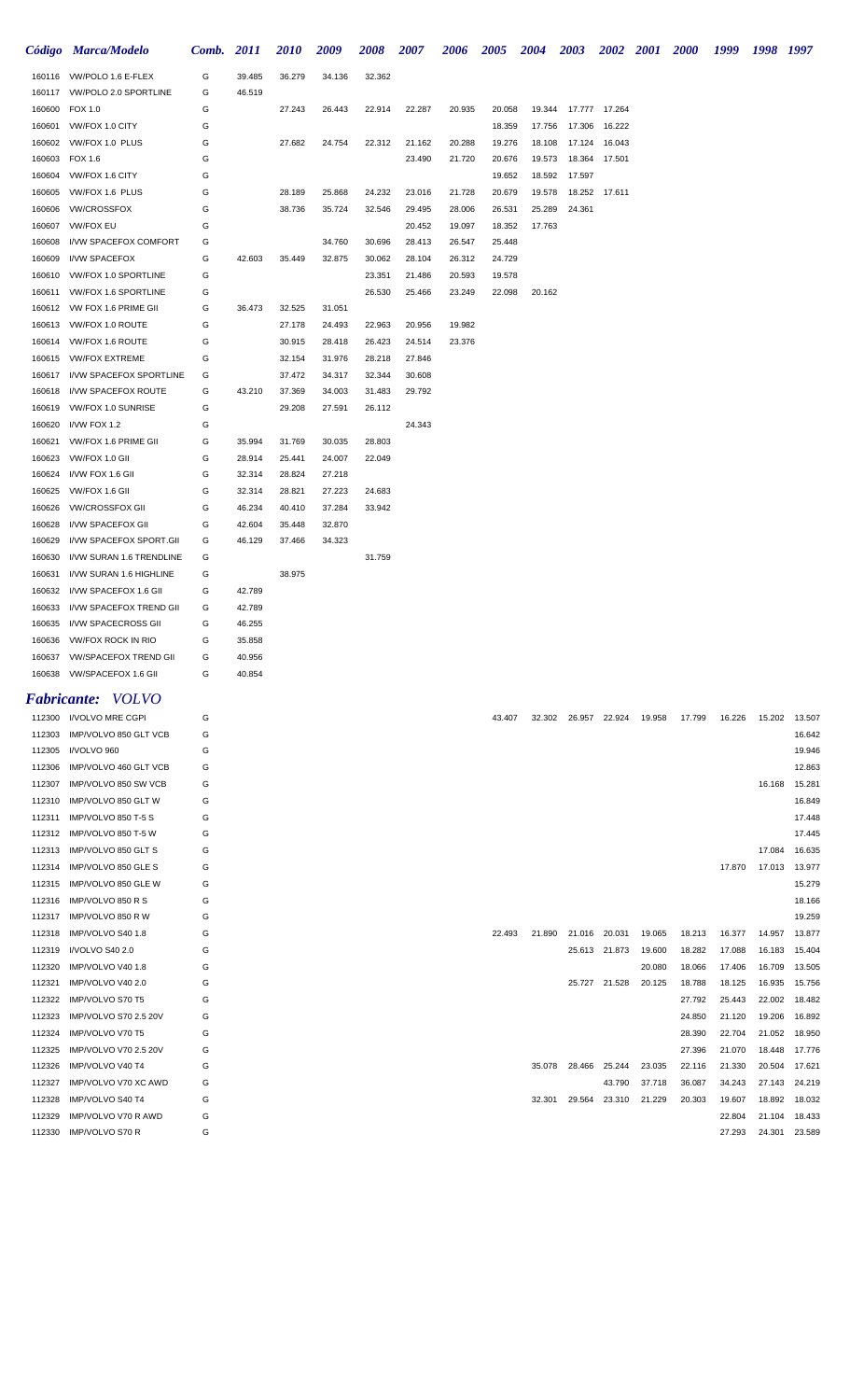|                  | Código Marca/Modelo                        | Comb. 2011 |                  | <b>2010</b>      | 2009             | <b>2008</b> | <b>2007</b>      | <b>2006</b>      | <b>2005</b>      | <b>2004</b>      | <b>2003</b>          |                                | 2002 2001 2000 |                  | 1999             | 1998 1997        |                  |
|------------------|--------------------------------------------|------------|------------------|------------------|------------------|-------------|------------------|------------------|------------------|------------------|----------------------|--------------------------------|----------------|------------------|------------------|------------------|------------------|
|                  | 160116 VW/POLO 1.6 E-FLEX                  | G          | 39.485           | 36.279           | 34.136           | 32.362      |                  |                  |                  |                  |                      |                                |                |                  |                  |                  |                  |
|                  | 160117 VW/POLO 2.0 SPORTLINE               | G          | 46.519           |                  |                  |             |                  |                  |                  |                  |                      |                                |                |                  |                  |                  |                  |
| 160600           | FOX 1.0                                    | G          |                  | 27.243           | 26.443           | 22.914      | 22.287           | 20.935           | 20.058           | 19.344           |                      | 17.777 17.264                  |                |                  |                  |                  |                  |
| 160601           | VW/FOX 1.0 CITY                            | G          |                  |                  |                  |             |                  |                  | 18.359           | 17.756           | 17.306               | 16.222                         |                |                  |                  |                  |                  |
| 160602           | VW/FOX 1.0 PLUS                            | G          |                  | 27.682           | 24.754           | 22.312      | 21.162           | 20.288           | 19.276           | 18.108           | 17.124               | 16.043                         |                |                  |                  |                  |                  |
| 160603           | FOX 1.6                                    | G          |                  |                  |                  |             | 23.490           | 21.720           | 20.676           | 19.573           | 18.364               | 17.501                         |                |                  |                  |                  |                  |
| 160604           | VW/FOX 1.6 CITY                            | G          |                  |                  |                  |             |                  |                  | 19.652           | 18.592           | 17.597               |                                |                |                  |                  |                  |                  |
| 160605           | VW/FOX 1.6 PLUS                            | G          |                  | 28.189           | 25.868           | 24.232      | 23.016           | 21.728           | 20.679           | 19.578           |                      | 18.252 17.611                  |                |                  |                  |                  |                  |
| 160606<br>160607 | <b>VW/CROSSFOX</b><br><b>VW/FOX EU</b>     | G<br>G     |                  | 38.736           | 35.724           | 32.546      | 29.495<br>20.452 | 28.006<br>19.097 | 26.531<br>18.352 | 25.289<br>17.763 | 24.361               |                                |                |                  |                  |                  |                  |
| 160608           | <b>I/VW SPACEFOX COMFORT</b>               | G          |                  |                  | 34.760           | 30.696      | 28.413           | 26.547           | 25.448           |                  |                      |                                |                |                  |                  |                  |                  |
| 160609           | I/VW SPACEFOX                              | G          | 42.603           | 35.449           | 32.875           | 30.062      | 28.104           | 26.312           | 24.729           |                  |                      |                                |                |                  |                  |                  |                  |
| 160610           | VW/FOX 1.0 SPORTLINE                       | G          |                  |                  |                  | 23.351      | 21.486           | 20.593           | 19.578           |                  |                      |                                |                |                  |                  |                  |                  |
| 160611           | <b>VW/FOX 1.6 SPORTLINE</b>                | G          |                  |                  |                  | 26.530      | 25.466           | 23.249           | 22.098           | 20.162           |                      |                                |                |                  |                  |                  |                  |
|                  | 160612 VW FOX 1.6 PRIME GII                | G          | 36.473           | 32.525           | 31.051           |             |                  |                  |                  |                  |                      |                                |                |                  |                  |                  |                  |
|                  | 160613 VW/FOX 1.0 ROUTE                    | G          |                  | 27.178           | 24.493           | 22.963      | 20.956           | 19.982           |                  |                  |                      |                                |                |                  |                  |                  |                  |
| 160614           | VW/FOX 1.6 ROUTE                           | G          |                  | 30.915           | 28.418           | 26.423      | 24.514           | 23.376           |                  |                  |                      |                                |                |                  |                  |                  |                  |
| 160615           | <b>VW/FOX EXTREME</b>                      | G          |                  | 32.154           | 31.976           | 28.218      | 27.846           |                  |                  |                  |                      |                                |                |                  |                  |                  |                  |
| 160617           | I/VW SPACEFOX SPORTLINE                    | G          |                  | 37.472           | 34.317           | 32.344      | 30.608           |                  |                  |                  |                      |                                |                |                  |                  |                  |                  |
| 160618           | I/VW SPACEFOX ROUTE                        | G          | 43.210           | 37.369           | 34.003           | 31.483      | 29.792           |                  |                  |                  |                      |                                |                |                  |                  |                  |                  |
| 160619           | <b>VW/FOX 1.0 SUNRISE</b>                  | G          |                  | 29.208           | 27.591           | 26.112      |                  |                  |                  |                  |                      |                                |                |                  |                  |                  |                  |
| 160620           | I/VW FOX 1.2                               | G          |                  |                  |                  |             | 24.343           |                  |                  |                  |                      |                                |                |                  |                  |                  |                  |
| 160621           | VW/FOX 1.6 PRIME GII                       | G          | 35.994           | 31.769           | 30.035           | 28.803      |                  |                  |                  |                  |                      |                                |                |                  |                  |                  |                  |
| 160623           | VW/FOX 1.0 GII<br>I/VW FOX 1.6 GII         | G<br>G     | 28.914<br>32.314 | 25.441           | 24.007           | 22.049      |                  |                  |                  |                  |                      |                                |                |                  |                  |                  |                  |
| 160624<br>160625 | VW/FOX 1.6 GII                             | G          | 32.314           | 28.824<br>28.821 | 27.218<br>27.223 | 24.683      |                  |                  |                  |                  |                      |                                |                |                  |                  |                  |                  |
| 160626           | <b>VW/CROSSFOX GII</b>                     | G          | 46.234           | 40.410           | 37.284           | 33.942      |                  |                  |                  |                  |                      |                                |                |                  |                  |                  |                  |
| 160628           | I/VW SPACEFOX GII                          | G          | 42.604           | 35.448           | 32.870           |             |                  |                  |                  |                  |                      |                                |                |                  |                  |                  |                  |
| 160629           | I/VW SPACEFOX SPORT.GII                    | G          | 46.129           | 37.466           | 34.323           |             |                  |                  |                  |                  |                      |                                |                |                  |                  |                  |                  |
| 160630           | I/VW SURAN 1.6 TRENDLINE                   | G          |                  |                  |                  | 31.759      |                  |                  |                  |                  |                      |                                |                |                  |                  |                  |                  |
| 160631           | I/VW SURAN 1.6 HIGHLINE                    | G          |                  | 38.975           |                  |             |                  |                  |                  |                  |                      |                                |                |                  |                  |                  |                  |
| 160632           | I/VW SPACEFOX 1.6 GII                      | G          | 42.789           |                  |                  |             |                  |                  |                  |                  |                      |                                |                |                  |                  |                  |                  |
| 160633           | I/VW SPACEFOX TREND GII                    | G          | 42.789           |                  |                  |             |                  |                  |                  |                  |                      |                                |                |                  |                  |                  |                  |
| 160635           | <b>I/VW SPACECROSS GII</b>                 | G          | 46.255           |                  |                  |             |                  |                  |                  |                  |                      |                                |                |                  |                  |                  |                  |
| 160636           | <b>VW/FOX ROCK IN RIO</b>                  | G          | 35.858           |                  |                  |             |                  |                  |                  |                  |                      |                                |                |                  |                  |                  |                  |
|                  | 160637 VW/SPACEFOX TREND GII               | G          | 40.956           |                  |                  |             |                  |                  |                  |                  |                      |                                |                |                  |                  |                  |                  |
|                  | 160638 VW/SPACEFOX 1.6 GII                 | G          | 40.854           |                  |                  |             |                  |                  |                  |                  |                      |                                |                |                  |                  |                  |                  |
|                  | <b>Fabricante:</b> VOLVO                   |            |                  |                  |                  |             |                  |                  |                  |                  |                      |                                |                |                  |                  |                  |                  |
|                  | 112300 I/VOLVO MRE CGPI                    | G          |                  |                  |                  |             |                  |                  | 43.407           |                  | 32.302 26.957 22.924 |                                | 19.958         | 17.799           | 16.226           | 15.202           | 13.507           |
|                  | 112303 IMP/VOLVO 850 GLT VCB               | G          |                  |                  |                  |             |                  |                  |                  |                  |                      |                                |                |                  |                  |                  | 16.642           |
| 112305           | I/VOLVO 960                                | G          |                  |                  |                  |             |                  |                  |                  |                  |                      |                                |                |                  |                  |                  | 19.946           |
| 112306           | IMP/VOLVO 460 GLT VCB                      | G          |                  |                  |                  |             |                  |                  |                  |                  |                      |                                |                |                  |                  |                  | 12.863           |
| 112307           | IMP/VOLVO 850 SW VCB                       | G          |                  |                  |                  |             |                  |                  |                  |                  |                      |                                |                |                  |                  | 16.168           | 15.281           |
| 112310           | IMP/VOLVO 850 GLT W                        | G          |                  |                  |                  |             |                  |                  |                  |                  |                      |                                |                |                  |                  |                  | 16.849           |
| 112311           | IMP/VOLVO 850 T-5 S                        | G          |                  |                  |                  |             |                  |                  |                  |                  |                      |                                |                |                  |                  |                  | 17.448           |
| 112312<br>112313 | IMP/VOLVO 850 T-5 W<br>IMP/VOLVO 850 GLT S | G<br>G     |                  |                  |                  |             |                  |                  |                  |                  |                      |                                |                |                  |                  | 17.084           | 17.445<br>16.635 |
| 112314           | IMP/VOLVO 850 GLE S                        | G          |                  |                  |                  |             |                  |                  |                  |                  |                      |                                |                |                  | 17.870           | 17.013           | 13.977           |
| 112315           | IMP/VOLVO 850 GLE W                        | G          |                  |                  |                  |             |                  |                  |                  |                  |                      |                                |                |                  |                  |                  | 15.279           |
| 112316           | IMP/VOLVO 850 R S                          | G          |                  |                  |                  |             |                  |                  |                  |                  |                      |                                |                |                  |                  |                  | 18.166           |
| 112317           | IMP/VOLVO 850 R W                          | G          |                  |                  |                  |             |                  |                  |                  |                  |                      |                                |                |                  |                  |                  | 19.259           |
| 112318           | IMP/VOLVO S40 1.8                          | G          |                  |                  |                  |             |                  |                  | 22.493           | 21.890           |                      | 21.016 20.031                  | 19.065         | 18.213           | 16.377           | 14.957           | 13.877           |
| 112319           | I/VOLVO S40 2.0                            | G          |                  |                  |                  |             |                  |                  |                  |                  |                      | 25.613 21.873                  | 19.600         | 18.282           | 17.088           | 16.183           | 15.404           |
| 112320           | IMP/VOLVO V40 1.8                          | G          |                  |                  |                  |             |                  |                  |                  |                  |                      |                                | 20.080         | 18.066           | 17.406           | 16.709           | 13.505           |
| 112321           | IMP/VOLVO V40 2.0                          | G          |                  |                  |                  |             |                  |                  |                  |                  |                      | 25.727 21.528                  | 20.125         | 18.788           | 18.125           | 16.935           | 15.756           |
| 112322           | IMP/VOLVO S70 T5                           | G          |                  |                  |                  |             |                  |                  |                  |                  |                      |                                |                | 27.792           | 25.443           | 22.002           | 18.482           |
| 112323           | IMP/VOLVO S70 2.5 20V                      | G          |                  |                  |                  |             |                  |                  |                  |                  |                      |                                |                | 24.850           | 21.120           | 19.206           | 16.892           |
| 112324           | IMP/VOLVO V70 T5                           | G          |                  |                  |                  |             |                  |                  |                  |                  |                      |                                |                | 28.390           | 22.704           | 21.052           | 18.950           |
| 112325           | IMP/VOLVO V70 2.5 20V                      | G          |                  |                  |                  |             |                  |                  |                  |                  |                      |                                |                | 27.396           | 21.070           | 18.448           | 17.776           |
| 112326           | IMP/VOLVO V40 T4                           | G          |                  |                  |                  |             |                  |                  |                  |                  | 35.078 28.466 25.244 |                                | 23.035         | 22.116           | 21.330           | 20.504           | 17.621           |
| 112327<br>112328 | IMP/VOLVO V70 XC AWD<br>IMP/VOLVO S40 T4   | G<br>G     |                  |                  |                  |             |                  |                  |                  | 32.301           |                      | 43.790<br>29.564 23.310 21.229 | 37.718         | 36.087<br>20.303 | 34.243<br>19.607 | 27.143<br>18.892 | 24.219<br>18.032 |
| 112329           | IMP/VOLVO V70 R AWD                        | G          |                  |                  |                  |             |                  |                  |                  |                  |                      |                                |                |                  | 22.804           | 21.104           | 18.433           |
|                  | 112330 IMP/VOLVO S70 R                     | G          |                  |                  |                  |             |                  |                  |                  |                  |                      |                                |                |                  | 27.293           |                  | 24.301 23.589    |
|                  |                                            |            |                  |                  |                  |             |                  |                  |                  |                  |                      |                                |                |                  |                  |                  |                  |